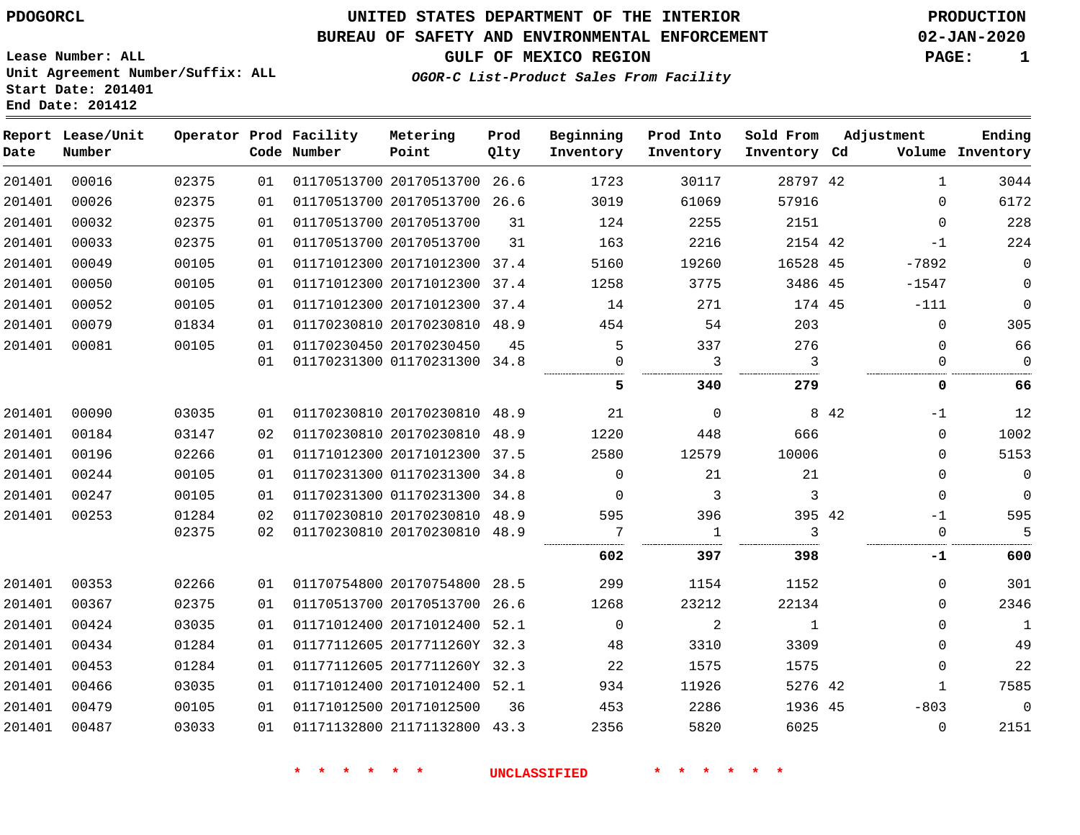### **BUREAU OF SAFETY AND ENVIRONMENTAL ENFORCEMENT 02-JAN-2020**

**GULF OF MEXICO REGION PAGE: 1**

**Lease Number: ALL Unit Agreement Number/Suffix: ALL Start Date: 201401 End Date: 201412**

### **OGOR-C List-Product Sales From Facility**

| Date   | Report Lease/Unit<br>Number |       |    | Operator Prod Facility<br>Code Number | Metering<br>Point            | Prod<br>Qlty | Beginning<br>Inventory | Prod Into<br>Inventory | Sold From<br>Inventory Cd |       | Adjustment   | Ending<br>Volume Inventory |
|--------|-----------------------------|-------|----|---------------------------------------|------------------------------|--------------|------------------------|------------------------|---------------------------|-------|--------------|----------------------------|
| 201401 | 00016                       | 02375 | 01 |                                       | 01170513700 20170513700 26.6 |              | 1723                   | 30117                  | 28797 42                  |       | $\mathbf{1}$ | 3044                       |
| 201401 | 00026                       | 02375 | 01 |                                       | 01170513700 20170513700 26.6 |              | 3019                   | 61069                  | 57916                     |       | $\Omega$     | 6172                       |
| 201401 | 00032                       | 02375 | 01 |                                       | 01170513700 20170513700      | 31           | 124                    | 2255                   | 2151                      |       | $\mathbf 0$  | 228                        |
| 201401 | 00033                       | 02375 | 01 |                                       | 01170513700 20170513700      | 31           | 163                    | 2216                   | 2154 42                   |       | $-1$         | 224                        |
| 201401 | 00049                       | 00105 | 01 |                                       | 01171012300 20171012300 37.4 |              | 5160                   | 19260                  | 16528 45                  |       | $-7892$      | $\mathbf 0$                |
| 201401 | 00050                       | 00105 | 01 |                                       | 01171012300 20171012300 37.4 |              | 1258                   | 3775                   | 3486 45                   |       | $-1547$      | $\Omega$                   |
| 201401 | 00052                       | 00105 | 01 |                                       | 01171012300 20171012300      | 37.4         | 14                     | 271                    | 174 45                    |       | $-111$       | $\mathbf 0$                |
| 201401 | 00079                       | 01834 | 01 |                                       | 01170230810 20170230810 48.9 |              | 454                    | 54                     | 203                       |       | $\mathbf 0$  | 305                        |
| 201401 | 00081                       | 00105 | 01 |                                       | 01170230450 20170230450      | 45           | 5                      | 337                    | 276                       |       | 0            | 66                         |
|        |                             |       | 01 |                                       | 01170231300 01170231300 34.8 |              | $\Omega$               | 3                      | 3                         |       | $\Omega$     | $\mathbf 0$                |
|        |                             |       |    |                                       |                              |              | 5                      | 340                    | 279                       |       | 0            | 66                         |
| 201401 | 00090                       | 03035 | 01 |                                       | 01170230810 20170230810 48.9 |              | 21                     | $\mathbf 0$            |                           | 8 4 2 | $-1$         | 12                         |
| 201401 | 00184                       | 03147 | 02 |                                       | 01170230810 20170230810 48.9 |              | 1220                   | 448                    | 666                       |       | $\Omega$     | 1002                       |
| 201401 | 00196                       | 02266 | 01 |                                       | 01171012300 20171012300      | 37.5         | 2580                   | 12579                  | 10006                     |       | 0            | 5153                       |
| 201401 | 00244                       | 00105 | 01 |                                       | 01170231300 01170231300      | 34.8         | $\Omega$               | 21                     | 21                        |       | $\mathbf 0$  | $\mathbf 0$                |
| 201401 | 00247                       | 00105 | 01 |                                       | 01170231300 01170231300 34.8 |              | $\Omega$               | 3                      | 3                         |       | $\mathbf 0$  | $\mathbf{0}$               |
| 201401 | 00253                       | 01284 | 02 |                                       | 01170230810 20170230810 48.9 |              | 595                    | 396                    | 395 42                    |       | $-1$         | 595                        |
|        |                             | 02375 | 02 |                                       | 01170230810 20170230810 48.9 |              | 7<br>                  | $\mathbf{1}$           | 3                         |       | 0<br>        | 5                          |
|        |                             |       |    |                                       |                              |              | 602                    | 397                    | 398                       |       | -1           | 600                        |
| 201401 | 00353                       | 02266 | 01 |                                       | 01170754800 20170754800 28.5 |              | 299                    | 1154                   | 1152                      |       | $\Omega$     | 301                        |
| 201401 | 00367                       | 02375 | 01 |                                       | 01170513700 20170513700      | 26.6         | 1268                   | 23212                  | 22134                     |       | $\mathbf 0$  | 2346                       |
| 201401 | 00424                       | 03035 | 01 |                                       | 01171012400 20171012400 52.1 |              | $\Omega$               | $\overline{a}$         | 1                         |       | $\Omega$     | $\mathbf{1}$               |
| 201401 | 00434                       | 01284 | 01 |                                       | 01177112605 2017711260Y 32.3 |              | 48                     | 3310                   | 3309                      |       | $\mathbf 0$  | 49                         |
| 201401 | 00453                       | 01284 | 01 |                                       | 01177112605 2017711260Y 32.3 |              | 22                     | 1575                   | 1575                      |       | $\Omega$     | 22                         |
| 201401 | 00466                       | 03035 | 01 |                                       | 01171012400 20171012400 52.1 |              | 934                    | 11926                  | 5276 42                   |       | $\mathbf{1}$ | 7585                       |
| 201401 | 00479                       | 00105 | 01 |                                       | 01171012500 20171012500      | 36           | 453                    | 2286                   | 1936 45                   |       | $-803$       | $\mathbf{0}$               |
| 201401 | 00487                       | 03033 | 01 |                                       | 01171132800 21171132800 43.3 |              | 2356                   | 5820                   | 6025                      |       | $\mathbf{0}$ | 2151                       |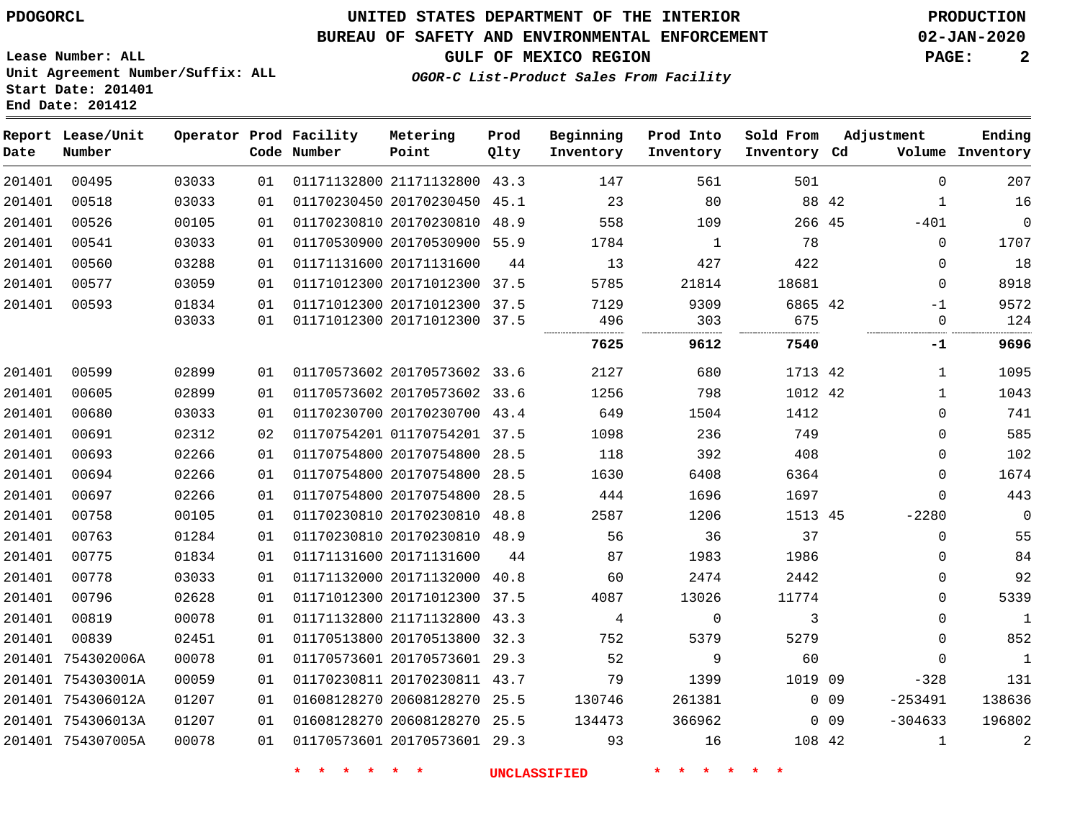754307005A

### **UNITED STATES DEPARTMENT OF THE INTERIOR PDOGORCL PRODUCTION**

#### **BUREAU OF SAFETY AND ENVIRONMENTAL ENFORCEMENT 02-JAN-2020**

**GULF OF MEXICO REGION PAGE: 2**

**Lease Number: ALL Unit Agreement Number/Suffix: ALL Start Date: 201401 End Date: 201412**

**OGOR-C List-Product Sales From Facility**

| Date   | Report Lease/Unit<br>Number |       |    | Operator Prod Facility<br>Code Number | Metering<br>Point            | Prod<br>Qlty | Beginning<br>Inventory | Prod Into<br>Inventory | Sold From<br>Inventory Cd |        | Adjustment   | Ending<br>Volume Inventory |
|--------|-----------------------------|-------|----|---------------------------------------|------------------------------|--------------|------------------------|------------------------|---------------------------|--------|--------------|----------------------------|
| 201401 | 00495                       | 03033 | 01 |                                       | 01171132800 21171132800 43.3 |              | 147                    | 561                    | 501                       |        | $\mathbf 0$  | 207                        |
| 201401 | 00518                       | 03033 | 01 |                                       | 01170230450 20170230450 45.1 |              | 23                     | 80                     | 88 42                     |        | $\mathbf{1}$ | 16                         |
| 201401 | 00526                       | 00105 | 01 |                                       | 01170230810 20170230810 48.9 |              | 558                    | 109                    | 266 45                    |        | $-401$       | $\mathsf{O}$               |
| 201401 | 00541                       | 03033 | 01 |                                       | 01170530900 20170530900 55.9 |              | 1784                   | 1                      | 78                        |        | 0            | 1707                       |
| 201401 | 00560                       | 03288 | 01 |                                       | 01171131600 20171131600      | 44           | 13                     | 427                    | 422                       |        | $\Omega$     | 18                         |
| 201401 | 00577                       | 03059 | 01 |                                       | 01171012300 20171012300 37.5 |              | 5785                   | 21814                  | 18681                     |        | $\mathbf 0$  | 8918                       |
| 201401 | 00593                       | 01834 | 01 |                                       | 01171012300 20171012300 37.5 |              | 7129                   | 9309                   | 6865 42                   |        | $-1$         | 9572                       |
|        |                             | 03033 | 01 |                                       | 01171012300 20171012300 37.5 |              | 496                    | 303                    | 675                       |        | 0            | 124                        |
|        |                             |       |    |                                       |                              |              | 7625                   | 9612                   | 7540                      |        | -1           | 9696                       |
| 201401 | 00599                       | 02899 | 01 |                                       | 01170573602 20170573602 33.6 |              | 2127                   | 680                    | 1713 42                   |        | $\mathbf{1}$ | 1095                       |
| 201401 | 00605                       | 02899 | 01 |                                       | 01170573602 20170573602 33.6 |              | 1256                   | 798                    | 1012 42                   |        | $\mathbf{1}$ | 1043                       |
| 201401 | 00680                       | 03033 | 01 |                                       | 01170230700 20170230700 43.4 |              | 649                    | 1504                   | 1412                      |        | 0            | 741                        |
| 201401 | 00691                       | 02312 | 02 |                                       | 01170754201 01170754201 37.5 |              | 1098                   | 236                    | 749                       |        | 0            | 585                        |
| 201401 | 00693                       | 02266 | 01 |                                       | 01170754800 20170754800 28.5 |              | 118                    | 392                    | 408                       |        | 0            | 102                        |
| 201401 | 00694                       | 02266 | 01 |                                       | 01170754800 20170754800 28.5 |              | 1630                   | 6408                   | 6364                      |        | $\mathbf 0$  | 1674                       |
| 201401 | 00697                       | 02266 | 01 |                                       | 01170754800 20170754800      | 28.5         | 444                    | 1696                   | 1697                      |        | $\mathbf 0$  | 443                        |
| 201401 | 00758                       | 00105 | 01 |                                       | 01170230810 20170230810 48.8 |              | 2587                   | 1206                   | 1513 45                   |        | $-2280$      | $\mathbf 0$                |
| 201401 | 00763                       | 01284 | 01 |                                       | 01170230810 20170230810 48.9 |              | 56                     | 36                     | 37                        |        | 0            | 55                         |
| 201401 | 00775                       | 01834 | 01 |                                       | 01171131600 20171131600      | 44           | 87                     | 1983                   | 1986                      |        | 0            | 84                         |
| 201401 | 00778                       | 03033 | 01 |                                       | 01171132000 20171132000      | 40.8         | 60                     | 2474                   | 2442                      |        | 0            | 92                         |
| 201401 | 00796                       | 02628 | 01 |                                       | 01171012300 20171012300 37.5 |              | 4087                   | 13026                  | 11774                     |        | 0            | 5339                       |
| 201401 | 00819                       | 00078 | 01 |                                       | 01171132800 21171132800 43.3 |              | 4                      | $\Omega$               | 3                         |        | 0            | $\overline{1}$             |
| 201401 | 00839                       | 02451 | 01 |                                       | 01170513800 20170513800      | 32.3         | 752                    | 5379                   | 5279                      |        | $\mathbf 0$  | 852                        |
|        | 201401 754302006A           | 00078 | 01 |                                       | 01170573601 20170573601 29.3 |              | 52                     | 9                      | 60                        |        | $\Omega$     | $\mathbf{1}$               |
|        | 201401 754303001A           | 00059 | 01 |                                       | 01170230811 20170230811 43.7 |              | 79                     | 1399                   | 1019 09                   |        | $-328$       | 131                        |
|        | 201401 754306012A           | 01207 | 01 |                                       | 01608128270 20608128270 25.5 |              | 130746                 | 261381                 |                           | $0$ 09 | $-253491$    | 138636                     |
|        | 201401 754306013A           | 01207 | 01 |                                       | 01608128270 20608128270 25.5 |              | 134473                 | 366962                 |                           | $0$ 09 | $-304633$    | 196802                     |

01170573601 20170573601 29.3

**\* \* \* \* \* \* UNCLASSIFIED \* \* \* \* \* \***

42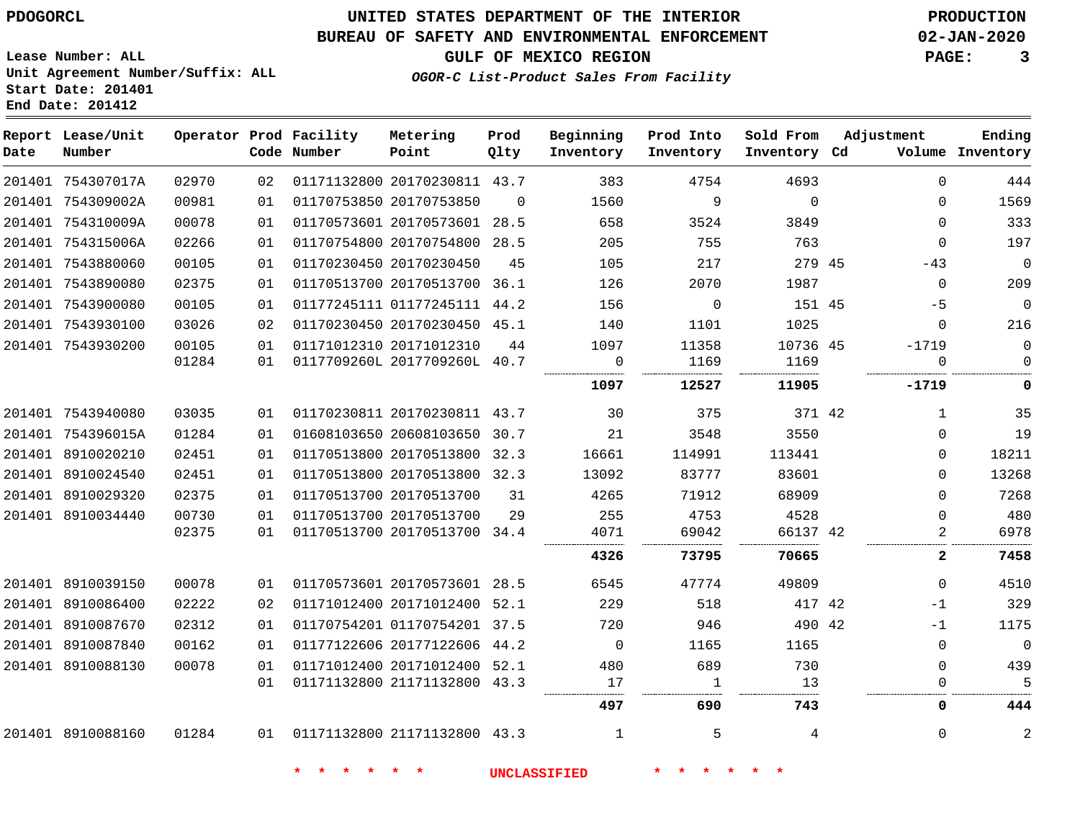### **BUREAU OF SAFETY AND ENVIRONMENTAL ENFORCEMENT 02-JAN-2020**

**GULF OF MEXICO REGION PAGE: 3**

**Lease Number: ALL Unit Agreement Number/Suffix: ALL Start Date: 201401 End Date: 201412**

**OGOR-C List-Product Sales From Facility**

| Date | Report Lease/Unit<br>Number |       |    | Operator Prod Facility<br>Code Number | Metering<br>Point            | Prod<br>Qlty | Beginning<br>Inventory | Prod Into<br>Inventory | Sold From<br>Inventory Cd | Adjustment   | Ending<br>Volume Inventory |
|------|-----------------------------|-------|----|---------------------------------------|------------------------------|--------------|------------------------|------------------------|---------------------------|--------------|----------------------------|
|      | 201401 754307017A           | 02970 | 02 |                                       | 01171132800 20170230811 43.7 |              | 383                    | 4754                   | 4693                      | $\Omega$     | 444                        |
|      | 201401 754309002A           | 00981 | 01 |                                       | 01170753850 20170753850      | $\Omega$     | 1560                   | 9                      | $\Omega$                  | $\Omega$     | 1569                       |
|      | 201401 754310009A           | 00078 | 01 |                                       | 01170573601 20170573601 28.5 |              | 658                    | 3524                   | 3849                      | $\mathbf 0$  | 333                        |
|      | 201401 754315006A           | 02266 | 01 |                                       | 01170754800 20170754800 28.5 |              | 205                    | 755                    | 763                       | $\Omega$     | 197                        |
|      | 201401 7543880060           | 00105 | 01 |                                       | 01170230450 20170230450      | 45           | 105                    | 217                    | 279 45                    | $-43$        | $\mathbf 0$                |
|      | 201401 7543890080           | 02375 | 01 |                                       | 01170513700 20170513700 36.1 |              | 126                    | 2070                   | 1987                      | $\mathbf 0$  | 209                        |
|      | 201401 7543900080           | 00105 | 01 |                                       | 01177245111 01177245111 44.2 |              | 156                    | $\mathbf 0$            | 151 45                    | $-5$         | $\mathbf 0$                |
|      | 201401 7543930100           | 03026 | 02 |                                       | 01170230450 20170230450 45.1 |              | 140                    | 1101                   | 1025                      | $\mathbf 0$  | 216                        |
|      | 201401 7543930200           | 00105 | 01 |                                       | 01171012310 20171012310      | 44           | 1097                   | 11358                  | 10736 45                  | $-1719$      | 0                          |
|      |                             | 01284 | 01 |                                       | 0117709260L 2017709260L 40.7 |              | $\mathbf 0$            | 1169                   | 1169                      | $\mathbf 0$  | $\mathbf 0$                |
|      |                             |       |    |                                       |                              |              | 1097                   | 12527                  | 11905                     | $-1719$      | 0                          |
|      | 201401 7543940080           | 03035 | 01 |                                       | 01170230811 20170230811 43.7 |              | 30                     | 375                    | 371 42                    | $\mathbf{1}$ | 35                         |
|      | 201401 754396015A           | 01284 | 01 |                                       | 01608103650 20608103650 30.7 |              | 21                     | 3548                   | 3550                      | $\mathbf 0$  | 19                         |
|      | 201401 8910020210           | 02451 | 01 |                                       | 01170513800 20170513800 32.3 |              | 16661                  | 114991                 | 113441                    | $\mathbf 0$  | 18211                      |
|      | 201401 8910024540           | 02451 | 01 |                                       | 01170513800 20170513800 32.3 |              | 13092                  | 83777                  | 83601                     | 0            | 13268                      |
|      | 201401 8910029320           | 02375 | 01 |                                       | 01170513700 20170513700      | 31           | 4265                   | 71912                  | 68909                     | $\Omega$     | 7268                       |
|      | 201401 8910034440           | 00730 | 01 |                                       | 01170513700 20170513700      | 29           | 255                    | 4753                   | 4528                      | $\mathbf 0$  | 480                        |
|      |                             | 02375 | 01 |                                       | 01170513700 20170513700 34.4 |              | 4071                   | 69042                  | 66137 42                  | 2            | 6978                       |
|      |                             |       |    |                                       |                              |              | 4326                   | 73795                  | 70665                     | $\mathbf{2}$ | 7458                       |
|      | 201401 8910039150           | 00078 | 01 |                                       | 01170573601 20170573601 28.5 |              | 6545                   | 47774                  | 49809                     | $\Omega$     | 4510                       |
|      | 201401 8910086400           | 02222 | 02 |                                       | 01171012400 20171012400 52.1 |              | 229                    | 518                    | 417 42                    | $-1$         | 329                        |
|      | 201401 8910087670           | 02312 | 01 |                                       | 01170754201 01170754201 37.5 |              | 720                    | 946                    | 490 42                    | $-1$         | 1175                       |
|      | 201401 8910087840           | 00162 | 01 |                                       | 01177122606 20177122606 44.2 |              | $\overline{0}$         | 1165                   | 1165                      | $\Omega$     | $\mathbf 0$                |
|      | 201401 8910088130           | 00078 | 01 |                                       | 01171012400 20171012400 52.1 |              | 480                    | 689                    | 730                       | $\mathbf 0$  | 439                        |
|      |                             |       | 01 |                                       | 01171132800 21171132800 43.3 |              | 17                     | 1                      | 13                        | 0            | 5                          |
|      |                             |       |    |                                       |                              |              | 497                    | 690                    | 743                       | 0            | 444                        |
|      | 201401 8910088160           | 01284 |    | 01  01171132800  21171132800  43.3    |                              |              | $\mathbf{1}$           | 5                      | 4                         | $\mathbf 0$  | $\overline{2}$             |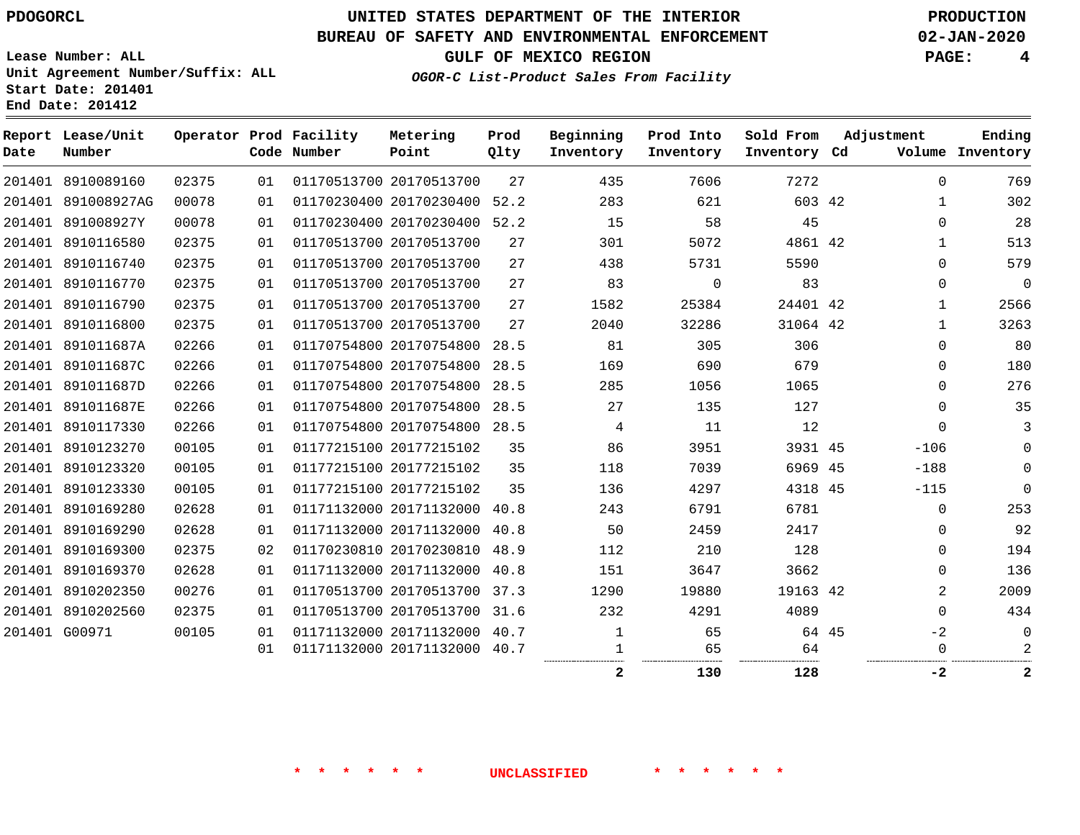### **BUREAU OF SAFETY AND ENVIRONMENTAL ENFORCEMENT 02-JAN-2020**

**GULF OF MEXICO REGION PAGE: 4**

**Lease Number: ALL Unit Agreement Number/Suffix: ALL Start Date: 201401 End Date: 201412**

**OGOR-C List-Product Sales From Facility**

| Date | Report Lease/Unit<br>Number |       |    | Operator Prod Facility<br>Code Number | Metering<br>Point            | Prod<br>Qlty | Beginning<br>Inventory | Prod Into<br>Inventory | Sold From<br>Inventory Cd | Adjustment |              | Ending<br>Volume Inventory |
|------|-----------------------------|-------|----|---------------------------------------|------------------------------|--------------|------------------------|------------------------|---------------------------|------------|--------------|----------------------------|
|      | 201401 8910089160           | 02375 | 01 |                                       | 01170513700 20170513700      | 27           | 435                    | 7606                   | 7272                      |            | $\Omega$     | 769                        |
|      | 201401 891008927AG          | 00078 | 01 |                                       | 01170230400 20170230400 52.2 |              | 283                    | 621                    | 603 42                    |            | $\mathbf{1}$ | 302                        |
|      | 201401 891008927Y           | 00078 | 01 |                                       | 01170230400 20170230400 52.2 |              | 15                     | 58                     | 45                        |            | $\Omega$     | 28                         |
|      | 201401 8910116580           | 02375 | 01 |                                       | 01170513700 20170513700      | 27           | 301                    | 5072                   | 4861 42                   |            | $\mathbf{1}$ | 513                        |
|      | 201401 8910116740           | 02375 | 01 |                                       | 01170513700 20170513700      | 27           | 438                    | 5731                   | 5590                      |            | $\Omega$     | 579                        |
|      | 201401 8910116770           | 02375 | 01 |                                       | 01170513700 20170513700      | 27           | 83                     | $\Omega$               | 83                        |            | $\Omega$     | $\mathbf 0$                |
|      | 201401 8910116790           | 02375 | 01 |                                       | 01170513700 20170513700      | 27           | 1582                   | 25384                  | 24401 42                  |            | $\mathbf 1$  | 2566                       |
|      | 201401 8910116800           | 02375 | 01 |                                       | 01170513700 20170513700      | 27           | 2040                   | 32286                  | 31064 42                  |            | $\mathbf{1}$ | 3263                       |
|      | 201401 891011687A           | 02266 | 01 |                                       | 01170754800 20170754800 28.5 |              | 81                     | 305                    | 306                       |            | 0            | 80                         |
|      | 201401 891011687C           | 02266 | 01 |                                       | 01170754800 20170754800      | 28.5         | 169                    | 690                    | 679                       |            | $\Omega$     | 180                        |
|      | 201401 891011687D           | 02266 | 01 |                                       | 01170754800 20170754800 28.5 |              | 285                    | 1056                   | 1065                      |            | $\Omega$     | 276                        |
|      | 201401 891011687E           | 02266 | 01 |                                       | 01170754800 20170754800      | 28.5         | 27                     | 135                    | 127                       |            | $\Omega$     | 35                         |
|      | 201401 8910117330           | 02266 | 01 |                                       | 01170754800 20170754800 28.5 |              | 4                      | 11                     | 12                        |            | $\Omega$     | 3                          |
|      | 201401 8910123270           | 00105 | 01 |                                       | 01177215100 20177215102      | 35           | 86                     | 3951                   | 3931 45                   |            | $-106$       | $\mathbf 0$                |
|      | 201401 8910123320           | 00105 | 01 |                                       | 01177215100 20177215102      | 35           | 118                    | 7039                   | 6969 45                   |            | $-188$       | $\mathbf 0$                |
|      | 201401 8910123330           | 00105 | 01 |                                       | 01177215100 20177215102      | 35           | 136                    | 4297                   | 4318 45                   |            | $-115$       | $\Omega$                   |
|      | 201401 8910169280           | 02628 | 01 |                                       | 01171132000 20171132000      | 40.8         | 243                    | 6791                   | 6781                      |            | $\mathbf 0$  | 253                        |
|      | 201401 8910169290           | 02628 | 01 |                                       | 01171132000 20171132000      | 40.8         | 50                     | 2459                   | 2417                      |            | $\Omega$     | 92                         |
|      | 201401 8910169300           | 02375 | 02 |                                       | 01170230810 20170230810 48.9 |              | 112                    | 210                    | 128                       |            | $\Omega$     | 194                        |
|      | 201401 8910169370           | 02628 | 01 |                                       | 01171132000 20171132000      | 40.8         | 151                    | 3647                   | 3662                      |            | $\Omega$     | 136                        |
|      | 201401 8910202350           | 00276 | 01 |                                       | 01170513700 20170513700 37.3 |              | 1290                   | 19880                  | 19163 42                  |            | 2            | 2009                       |
|      | 201401 8910202560           | 02375 | 01 |                                       | 01170513700 20170513700      | 31.6         | 232                    | 4291                   | 4089                      |            | $\Omega$     | 434                        |
|      | 201401 G00971               | 00105 | 01 |                                       | 01171132000 20171132000 40.7 |              | 1                      | 65                     | 64 45                     |            | $-2$         | $\mathbf 0$                |
|      |                             |       | 01 |                                       | 01171132000 20171132000 40.7 |              |                        | 65                     | 64                        |            | $\Omega$     | 2                          |
|      |                             |       |    |                                       |                              |              | 2                      | 130                    | 128                       |            | -2           | $\mathbf{2}$               |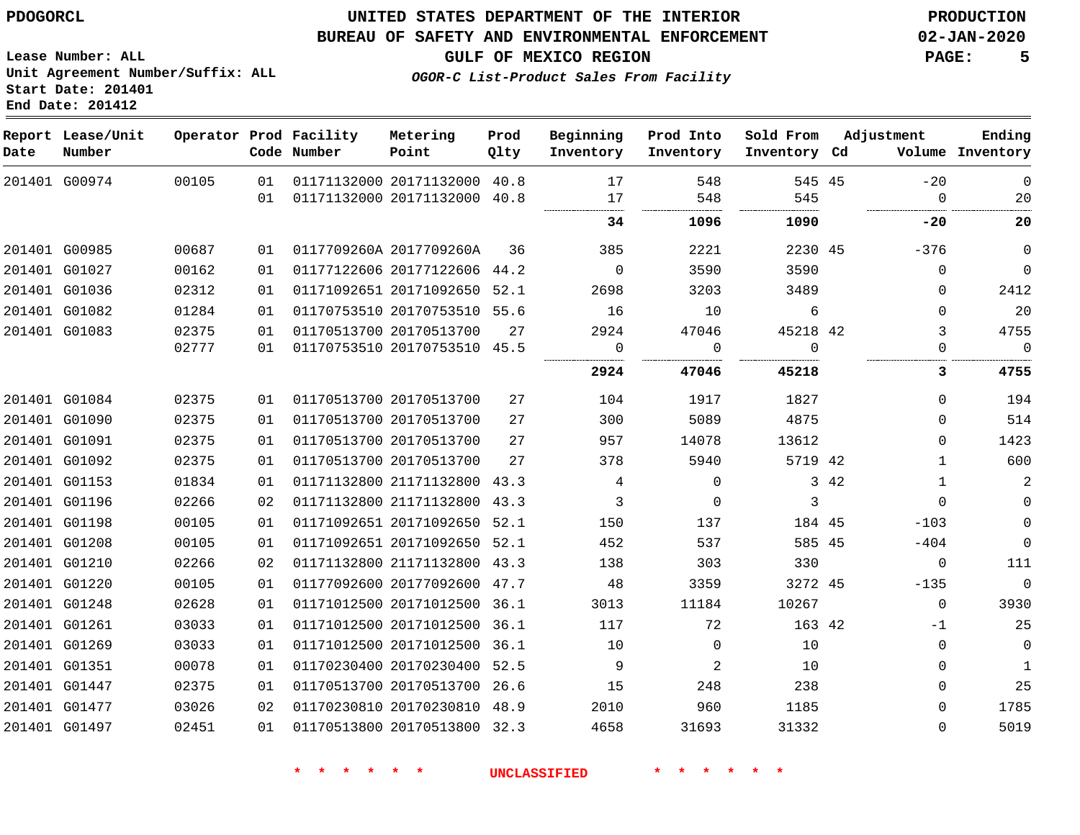### **UNITED STATES DEPARTMENT OF THE INTERIOR PDOGORCL PRODUCTION**

#### **BUREAU OF SAFETY AND ENVIRONMENTAL ENFORCEMENT 02-JAN-2020**

**Lease Number: ALL Unit Agreement Number/Suffix: ALL Start Date: 201401**

**GULF OF MEXICO REGION PAGE: 5**

**OGOR-C List-Product Sales From Facility**

| Date          | Report Lease/Unit<br>Number |       |    | Operator Prod Facility<br>Code Number | Metering<br>Point            | Prod<br>Qlty | Beginning<br>Inventory | Prod Into<br>Inventory | Sold From<br>Inventory Cd |      | Adjustment     | Ending<br>Volume Inventory |
|---------------|-----------------------------|-------|----|---------------------------------------|------------------------------|--------------|------------------------|------------------------|---------------------------|------|----------------|----------------------------|
|               | 201401 G00974               | 00105 | 01 |                                       | 01171132000 20171132000 40.8 |              | 17                     | 548                    | 545 45                    |      | $-20$          | $\mathbf 0$                |
|               |                             |       | 01 | 01171132000 20171132000 40.8          |                              |              | 17                     | 548                    | 545                       |      | $\overline{0}$ | 20                         |
|               |                             |       |    |                                       |                              |              | 34                     | 1096                   | 1090                      |      | -20            | 20                         |
|               | 201401 G00985               | 00687 | 01 |                                       | 0117709260A 2017709260A      | 36           | 385                    | 2221                   | 2230 45                   |      | $-376$         | $\overline{0}$             |
|               | 201401 G01027               | 00162 | 01 |                                       | 01177122606 20177122606 44.2 |              | $\overline{0}$         | 3590                   | 3590                      |      | $\Omega$       | $\mathbf 0$                |
|               | 201401 G01036               | 02312 | 01 |                                       | 01171092651 20171092650 52.1 |              | 2698                   | 3203                   | 3489                      |      | $\Omega$       | 2412                       |
|               | 201401 G01082               | 01284 | 01 |                                       | 01170753510 20170753510 55.6 |              | 16                     | 10                     | 6                         |      | $\Omega$       | 20                         |
|               | 201401 G01083               | 02375 | 01 |                                       | 01170513700 20170513700      | 27           | 2924                   | 47046                  | 45218 42                  |      | 3              | 4755                       |
|               |                             | 02777 | 01 |                                       | 01170753510 20170753510 45.5 |              | 0                      | $\Omega$               | $\Omega$<br>              |      | $\Omega$       | $\bigcap$                  |
|               |                             |       |    |                                       |                              |              | 2924                   | 47046                  | 45218                     |      | 3.             | 4755                       |
|               | 201401 G01084               | 02375 | 01 |                                       | 01170513700 20170513700      | 27           | 104                    | 1917                   | 1827                      |      | $\Omega$       | 194                        |
|               | 201401 G01090               | 02375 | 01 |                                       | 01170513700 20170513700      | 27           | 300                    | 5089                   | 4875                      |      | $\Omega$       | 514                        |
|               | 201401 G01091               | 02375 | 01 |                                       | 01170513700 20170513700      | 27           | 957                    | 14078                  | 13612                     |      | $\Omega$       | 1423                       |
|               | 201401 G01092               | 02375 | 01 |                                       | 01170513700 20170513700      | 27           | 378                    | 5940                   | 5719 42                   |      | $\mathbf{1}$   | 600                        |
|               | 201401 G01153               | 01834 | 01 |                                       | 01171132800 21171132800 43.3 |              | $\overline{4}$         | $\overline{0}$         |                           | 3 42 | $\mathbf{1}$   | $\overline{a}$             |
|               | 201401 G01196               | 02266 | 02 |                                       | 01171132800 21171132800 43.3 |              | $\overline{3}$         | $\overline{0}$         | 3                         |      | $\Omega$       | $\mathbf 0$                |
|               | 201401 G01198               | 00105 | 01 |                                       | 01171092651 20171092650 52.1 |              | 150                    | 137                    | 184 45                    |      | $-103$         | $\mathbf 0$                |
|               | 201401 G01208               | 00105 | 01 |                                       | 01171092651 20171092650 52.1 |              | 452                    | 537                    | 585 45                    |      | $-404$         | $\mathsf 0$                |
|               | 201401 G01210               | 02266 | 02 |                                       | 01171132800 21171132800 43.3 |              | 138                    | 303                    | 330                       |      | $\overline{0}$ | 111                        |
|               | 201401 G01220               | 00105 | 01 |                                       | 01177092600 20177092600 47.7 |              | 48                     | 3359                   | 3272 45                   |      | $-135$         | $\overline{0}$             |
|               | 201401 G01248               | 02628 | 01 |                                       | 01171012500 20171012500 36.1 |              | 3013                   | 11184                  | 10267                     |      | $\mathbf 0$    | 3930                       |
| 201401 G01261 |                             | 03033 | 01 |                                       | 01171012500 20171012500 36.1 |              | 117                    | 72                     | 163 42                    |      | $-1$           | 25                         |
|               | 201401 G01269               | 03033 | 01 |                                       | 01171012500 20171012500 36.1 |              | 10                     | $\Omega$               | 10                        |      | $\Omega$       | $\mathbf 0$                |
|               | 201401 G01351               | 00078 | 01 |                                       | 01170230400 20170230400 52.5 |              | 9                      | 2                      | 10                        |      | $\Omega$       | $\mathbf{1}$               |
|               | 201401 G01447               | 02375 | 01 |                                       | 01170513700 20170513700 26.6 |              | 15                     | 248                    | 238                       |      | 0              | 25                         |
|               | 201401 G01477               | 03026 | 02 |                                       | 01170230810 20170230810 48.9 |              | 2010                   | 960                    | 1185                      |      | 0              | 1785                       |
|               | 201401 G01497               | 02451 | 01 |                                       | 01170513800 20170513800 32.3 |              | 4658                   | 31693                  | 31332                     |      | $\Omega$       | 5019                       |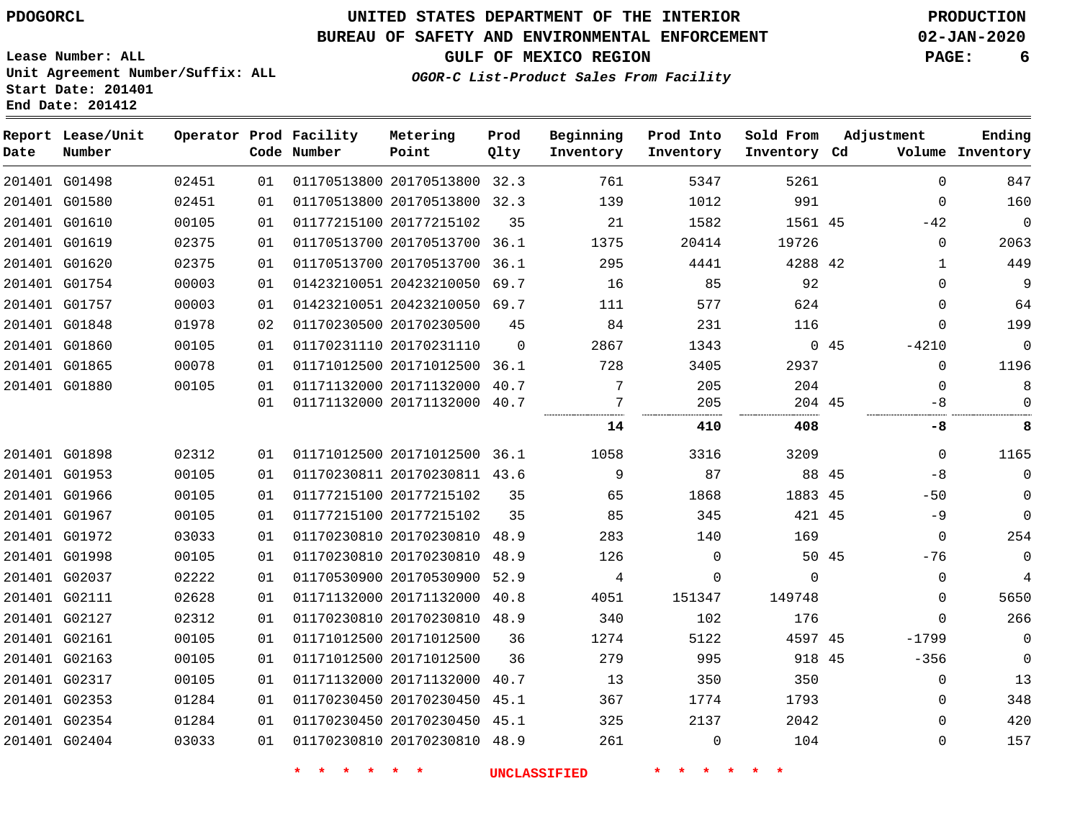### **BUREAU OF SAFETY AND ENVIRONMENTAL ENFORCEMENT 02-JAN-2020**

**GULF OF MEXICO REGION PAGE: 6**

**Lease Number: ALL Unit Agreement Number/Suffix: ALL Start Date: 201401 End Date: 201412**

**OGOR-C List-Product Sales From Facility**

| Date | Report Lease/Unit<br>Number |       |    | Operator Prod Facility<br>Code Number | Metering<br>Point            | Prod<br>Qlty | Beginning<br>Inventory | Prod Into<br>Inventory | Sold From<br>Inventory Cd | Adjustment |              | Ending<br>Volume Inventory |
|------|-----------------------------|-------|----|---------------------------------------|------------------------------|--------------|------------------------|------------------------|---------------------------|------------|--------------|----------------------------|
|      | 201401 G01498               | 02451 | 01 |                                       | 01170513800 20170513800 32.3 |              | 761                    | 5347                   | 5261                      |            | $\mathbf 0$  | 847                        |
|      | 201401 G01580               | 02451 | 01 |                                       | 01170513800 20170513800 32.3 |              | 139                    | 1012                   | 991                       |            | $\mathbf 0$  | 160                        |
|      | 201401 G01610               | 00105 | 01 |                                       | 01177215100 20177215102      | 35           | 21                     | 1582                   | 1561 45                   |            | $-42$        | $\mathbf 0$                |
|      | 201401 G01619               | 02375 | 01 |                                       | 01170513700 20170513700 36.1 |              | 1375                   | 20414                  | 19726                     |            | 0            | 2063                       |
|      | 201401 G01620               | 02375 | 01 |                                       | 01170513700 20170513700 36.1 |              | 295                    | 4441                   | 4288 42                   |            | 1            | 449                        |
|      | 201401 G01754               | 00003 | 01 |                                       | 01423210051 20423210050 69.7 |              | 16                     | 85                     | 92                        |            | $\Omega$     | 9                          |
|      | 201401 G01757               | 00003 | 01 |                                       | 01423210051 20423210050 69.7 |              | 111                    | 577                    | 624                       |            | $\mathbf{0}$ | 64                         |
|      | 201401 G01848               | 01978 | 02 |                                       | 01170230500 20170230500      | 45           | 84                     | 231                    | 116                       |            | $\Omega$     | 199                        |
|      | 201401 G01860               | 00105 | 01 |                                       | 01170231110 20170231110      | $\Omega$     | 2867                   | 1343                   |                           | 045        | $-4210$      | 0                          |
|      | 201401 G01865               | 00078 | 01 |                                       | 01171012500 20171012500      | 36.1         | 728                    | 3405                   | 2937                      |            | $\Omega$     | 1196                       |
|      | 201401 G01880               | 00105 | 01 |                                       | 01171132000 20171132000 40.7 |              | 7                      | 205                    | 204                       |            | $\mathbf 0$  | 8                          |
|      |                             |       | 01 |                                       | 01171132000 20171132000 40.7 |              | 7                      | 205                    | 204 45                    |            | -8           | 0                          |
|      |                             |       |    |                                       |                              |              | 14                     | 410                    | 408                       |            | -8           | 8                          |
|      | 201401 G01898               | 02312 | 01 |                                       | 01171012500 20171012500 36.1 |              | 1058                   | 3316                   | 3209                      |            | $\mathbf{0}$ | 1165                       |
|      | 201401 G01953               | 00105 | 01 |                                       | 01170230811 20170230811 43.6 |              | 9                      | 87                     | 88 45                     |            | $-8$         | $\mathbf 0$                |
|      | 201401 G01966               | 00105 | 01 |                                       | 01177215100 20177215102      | 35           | 65                     | 1868                   | 1883 45                   |            | $-50$        | 0                          |
|      | 201401 G01967               | 00105 | 01 |                                       | 01177215100 20177215102      | 35           | 85                     | 345                    | 421 45                    |            | $-9$         | $\mathbf 0$                |
|      | 201401 G01972               | 03033 | 01 |                                       | 01170230810 20170230810      | 48.9         | 283                    | 140                    | 169                       |            | 0            | 254                        |
|      | 201401 G01998               | 00105 | 01 |                                       | 01170230810 20170230810      | 48.9         | 126                    | $\mathbf 0$            | 50 45                     |            | $-76$        | $\mathbf 0$                |
|      | 201401 G02037               | 02222 | 01 |                                       | 01170530900 20170530900      | 52.9         | 4                      | 0                      | $\mathbf{0}$              |            | 0            | $\overline{4}$             |
|      | 201401 G02111               | 02628 | 01 |                                       | 01171132000 20171132000 40.8 |              | 4051                   | 151347                 | 149748                    |            | 0            | 5650                       |
|      | 201401 G02127               | 02312 | 01 |                                       | 01170230810 20170230810 48.9 |              | 340                    | 102                    | 176                       |            | $\mathbf 0$  | 266                        |
|      | 201401 G02161               | 00105 | 01 |                                       | 01171012500 20171012500      | 36           | 1274                   | 5122                   | 4597 45                   |            | $-1799$      | $\mathbf 0$                |
|      | 201401 G02163               | 00105 | 01 |                                       | 01171012500 20171012500      | 36           | 279                    | 995                    | 918 45                    |            | $-356$       | $\mathbf 0$                |
|      | 201401 G02317               | 00105 | 01 |                                       | 01171132000 20171132000      | 40.7         | 13                     | 350                    | 350                       |            | 0            | 13                         |
|      | 201401 G02353               | 01284 | 01 |                                       | 01170230450 20170230450 45.1 |              | 367                    | 1774                   | 1793                      |            | $\Omega$     | 348                        |
|      | 201401 G02354               | 01284 | 01 |                                       | 01170230450 20170230450 45.1 |              | 325                    | 2137                   | 2042                      |            | $\Omega$     | 420                        |
|      | 201401 G02404               | 03033 | 01 |                                       | 01170230810 20170230810 48.9 |              | 261                    | $\mathbf 0$            | 104                       |            | 0            | 157                        |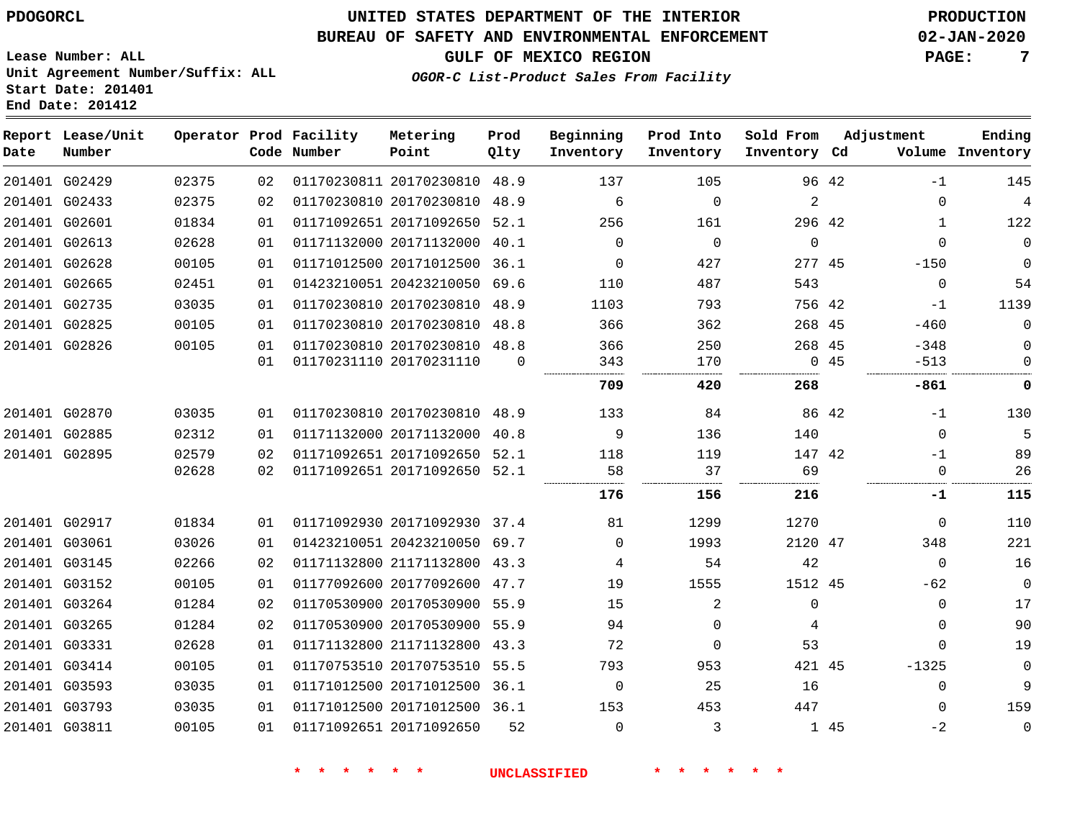#### **BUREAU OF SAFETY AND ENVIRONMENTAL ENFORCEMENT 02-JAN-2020**

**GULF OF MEXICO REGION PAGE: 7**

**Lease Number: ALL Unit Agreement Number/Suffix: ALL Start Date: 201401 End Date: 201412**

### **OGOR-C List-Product Sales From Facility**

| Ending<br>Volume Inventory | Adjustment       |       | Sold From<br>Inventory Cd | Prod Into<br>Inventory | Beginning<br>Inventory | Prod<br>Qlty | Metering<br>Point            | Operator Prod Facility<br>Code Number |          |       | Report Lease/Unit<br>Number | Date |
|----------------------------|------------------|-------|---------------------------|------------------------|------------------------|--------------|------------------------------|---------------------------------------|----------|-------|-----------------------------|------|
| 145                        | $-1$             | 96 42 |                           | 105                    | 137                    |              | 01170230811 20170230810 48.9 |                                       | 02       | 02375 | 201401 G02429               |      |
| $\overline{4}$             | 0                |       | 2                         | $\mathbf 0$            | 6                      |              | 01170230810 20170230810 48.9 |                                       | 02       | 02375 | 201401 G02433               |      |
| 122                        | $\mathbf{1}$     |       | 296 42                    | 161                    | 256                    | 52.1         | 01171092651 20171092650      |                                       | 01       | 01834 | 201401 G02601               |      |
| $\mathbf 0$                | $\Omega$         |       | $\mathbf 0$               | $\mathbf 0$            | $\Omega$               |              | 01171132000 20171132000 40.1 |                                       | 01       | 02628 | 201401 G02613               |      |
| $\mathbf 0$                | $-150$           |       | 277 45                    | 427                    | 0                      | 36.1         | 01171012500 20171012500      |                                       | 01       | 00105 | 201401 G02628               |      |
| 54                         | $\mathbf{0}$     |       | 543                       | 487                    | 110                    |              | 01423210051 20423210050 69.6 |                                       | 01       | 02451 | 201401 G02665               |      |
| 1139                       | $-1$             |       | 756 42                    | 793                    | 1103                   |              | 01170230810 20170230810 48.9 |                                       | 01       | 03035 | 201401 G02735               |      |
| $\mathbf 0$                | $-460$           |       | 268 45                    | 362                    | 366                    |              | 01170230810 20170230810 48.8 |                                       | 01       | 00105 | 201401 G02825               |      |
| 0<br>$\mathbf 0$           | $-348$<br>$-513$ | 045   | 268 45                    | 250<br>170             | 366<br>343<br>         | $\Omega$     | 01170230810 20170230810 48.8 | 01170231110 20170231110               | 01<br>01 | 00105 | 201401 G02826               |      |
| 0                          | -861             |       | 268                       | 420                    | 709                    |              |                              |                                       |          |       |                             |      |
| 130                        | -1               | 86 42 |                           | 84                     | 133                    |              | 01170230810 20170230810 48.9 |                                       | 01       | 03035 | 201401 G02870               |      |
|                            | $\Omega$         |       | 140                       | 136                    | 9                      |              | 01171132000 20171132000 40.8 |                                       | 01       | 02312 | 201401 G02885               |      |
| 89                         | $-1$             |       | 147 42                    | 119                    | 118                    |              | 01171092651 20171092650 52.1 |                                       | 02       | 02579 | 201401 G02895               |      |
| 26                         | $\mathbf 0$      |       | 69                        | 37                     | 58                     |              | 01171092651 20171092650 52.1 |                                       | 02       | 02628 |                             |      |
| 115                        | -1               |       | 216                       | 156                    | 176                    |              |                              |                                       |          |       |                             |      |
| 110                        | $\Omega$         |       | 1270                      | 1299                   | 81                     |              | 01171092930 20171092930 37.4 |                                       | 01       | 01834 | 201401 G02917               |      |
| 221                        | 348              |       | 2120 47                   | 1993                   | $\Omega$               |              | 01423210051 20423210050 69.7 |                                       | 01       | 03026 | 201401 G03061               |      |
| 16                         | $\mathbf 0$      |       | 42                        | 54                     | 4                      |              | 01171132800 21171132800 43.3 |                                       | 02       | 02266 | 201401 G03145               |      |
| $\mathsf{O}$               | $-62$            |       | 1512 45                   | 1555                   | 19                     |              | 01177092600 20177092600 47.7 |                                       | 01       | 00105 | 201401 G03152               |      |
| 17                         | 0                |       | $\mathbf{0}$              | $\overline{a}$         | 15                     |              | 01170530900 20170530900 55.9 |                                       | 02       | 01284 | 201401 G03264               |      |
| 90                         | 0                |       | 4                         | $\Omega$               | 94                     |              | 01170530900 20170530900 55.9 |                                       | 02       | 01284 | 201401 G03265               |      |
| 19                         | $\Omega$         |       | 53                        | $\mathbf 0$            | 72                     |              | 01171132800 21171132800 43.3 |                                       | 01       | 02628 | 201401 G03331               |      |
| $\mathbf 0$                | $-1325$          |       | 421 45                    | 953                    | 793                    |              | 01170753510 20170753510 55.5 |                                       | 01       | 00105 | 201401 G03414               |      |
| 9                          | 0                |       | 16                        | 25                     | 0                      |              | 01171012500 20171012500 36.1 |                                       | 01       | 03035 | 201401 G03593               |      |
| 159                        | $\Omega$         |       | 447                       | 453                    | 153                    |              | 01171012500 20171012500 36.1 |                                       | 01       | 03035 | 201401 G03793               |      |
| $\mathbf 0$                | $-2$             | 1 45  |                           | 3                      | $\Omega$               | 52           |                              | 01171092651 20171092650               | 01       | 00105 | 201401 G03811               |      |
|                            |                  |       |                           |                        |                        |              |                              |                                       |          |       |                             |      |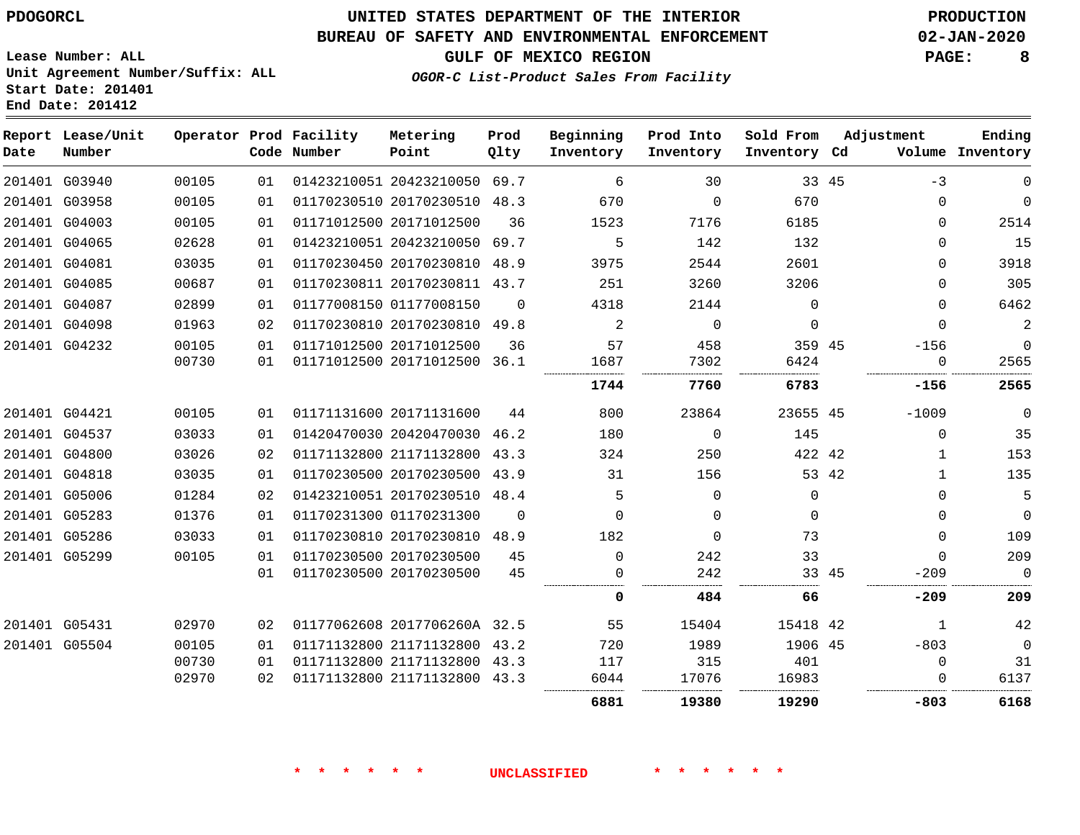### **BUREAU OF SAFETY AND ENVIRONMENTAL ENFORCEMENT 02-JAN-2020**

**GULF OF MEXICO REGION PAGE: 8**

**Lease Number: ALL Unit Agreement Number/Suffix: ALL Start Date: 201401 End Date: 201412**

**OGOR-C List-Product Sales From Facility**

| Date | Report Lease/Unit<br>Number |       |    | Operator Prod Facility<br>Code Number | Metering<br>Point            | Prod<br>Qlty | Beginning<br>Inventory | Prod Into<br>Inventory | Sold From<br>Inventory Cd |       | Adjustment | Ending<br>Volume Inventory |
|------|-----------------------------|-------|----|---------------------------------------|------------------------------|--------------|------------------------|------------------------|---------------------------|-------|------------|----------------------------|
|      | 201401 G03940               | 00105 | 01 |                                       | 01423210051 20423210050 69.7 |              | 6                      | 30                     | 33 45                     |       | $-3$       | $\mathbf 0$                |
|      | 201401 G03958               | 00105 | 01 |                                       | 01170230510 20170230510 48.3 |              | 670                    | $\Omega$               | 670                       |       | 0          | $\mathbf 0$                |
|      | 201401 G04003               | 00105 | 01 |                                       | 01171012500 20171012500      | 36           | 1523                   | 7176                   | 6185                      |       | $\Omega$   | 2514                       |
|      | 201401 G04065               | 02628 | 01 |                                       | 01423210051 20423210050 69.7 |              | 5                      | 142                    | 132                       |       | $\Omega$   | 15                         |
|      | 201401 G04081               | 03035 | 01 |                                       | 01170230450 20170230810 48.9 |              | 3975                   | 2544                   | 2601                      |       | $\Omega$   | 3918                       |
|      | 201401 G04085               | 00687 | 01 |                                       | 01170230811 20170230811 43.7 |              | 251                    | 3260                   | 3206                      |       | $\Omega$   | 305                        |
|      | 201401 G04087               | 02899 | 01 |                                       | 01177008150 01177008150      | $\Omega$     | 4318                   | 2144                   | $\Omega$                  |       | 0          | 6462                       |
|      | 201401 G04098               | 01963 | 02 |                                       | 01170230810 20170230810 49.8 |              | 2                      | $\mathbf 0$            | $\Omega$                  |       | $\Omega$   | $\overline{c}$             |
|      | 201401 G04232               | 00105 | 01 |                                       | 01171012500 20171012500      | 36           | 57                     | 458                    | 359 45                    |       | $-156$     | 0                          |
|      |                             | 00730 | 01 |                                       | 01171012500 20171012500 36.1 |              | 1687                   | 7302                   | 6424                      |       | 0          | 2565                       |
|      |                             |       |    |                                       |                              |              | 1744                   | 7760                   | 6783                      |       | $-156$     | 2565                       |
|      | 201401 G04421               | 00105 | 01 |                                       | 01171131600 20171131600      | 44           | 800                    | 23864                  | 23655 45                  |       | $-1009$    | $\mathbf 0$                |
|      | 201401 G04537               | 03033 | 01 |                                       | 01420470030 20420470030 46.2 |              | 180                    | $\Omega$               | 145                       |       | $\Omega$   | 35                         |
|      | 201401 G04800               | 03026 | 02 |                                       | 01171132800 21171132800 43.3 |              | 324                    | 250                    | 422 42                    |       | 1          | 153                        |
|      | 201401 G04818               | 03035 | 01 |                                       | 01170230500 20170230500 43.9 |              | 31                     | 156                    |                           | 53 42 | 1          | 135                        |
|      | 201401 G05006               | 01284 | 02 |                                       | 01423210051 20170230510 48.4 |              | 5                      | $\mathbf 0$            | 0                         |       | $\Omega$   | 5                          |
|      | 201401 G05283               | 01376 | 01 |                                       | 01170231300 01170231300      | $\mathbf 0$  | $\Omega$               | $\mathbf 0$            | $\mathbf 0$               |       | 0          | 0                          |
|      | 201401 G05286               | 03033 | 01 |                                       | 01170230810 20170230810 48.9 |              | 182                    | $\mathbf 0$            | 73                        |       | 0          | 109                        |
|      | 201401 G05299               | 00105 | 01 |                                       | 01170230500 20170230500      | 45           | $\Omega$               | 242                    | 33                        |       | $\Omega$   | 209                        |
|      |                             |       | 01 |                                       | 01170230500 20170230500      | 45           | $\Omega$               | 242                    |                           | 33 45 | $-209$     | $\mathbf 0$                |
|      |                             |       |    |                                       |                              |              | 0                      | 484                    | 66                        |       | $-209$     | 209                        |
|      | 201401 G05431               | 02970 | 02 |                                       | 01177062608 2017706260A 32.5 |              | 55                     | 15404                  | 15418 42                  |       | 1          | 42                         |
|      | 201401 G05504               | 00105 | 01 |                                       | 01171132800 21171132800 43.2 |              | 720                    | 1989                   | 1906 45                   |       | $-803$     | $\mathbf 0$                |
|      |                             | 00730 | 01 |                                       | 01171132800 21171132800      | 43.3         | 117                    | 315                    | 401                       |       | 0          | 31                         |
|      |                             | 02970 | 02 |                                       | 01171132800 21171132800 43.3 |              | 6044                   | 17076                  | 16983                     |       |            | 6137                       |
|      |                             |       |    |                                       |                              |              | 6881                   | 19380                  | 19290                     |       | -803       | 6168                       |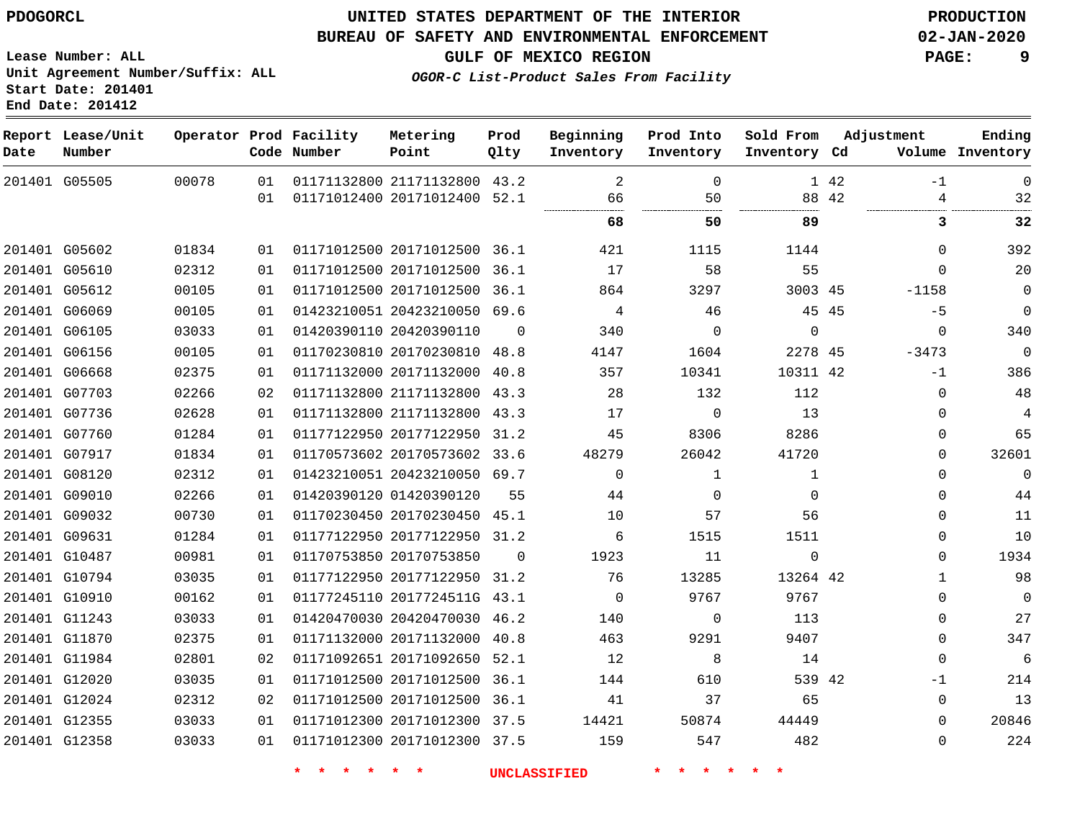#### **BUREAU OF SAFETY AND ENVIRONMENTAL ENFORCEMENT 02-JAN-2020**

**Lease Number: ALL Unit Agreement Number/Suffix: ALL Start Date: 201401 End Date: 201412**

**OGOR-C List-Product Sales From Facility**

**GULF OF MEXICO REGION PAGE: 9**

| Date | Report Lease/Unit<br>Number |       |    | Operator Prod Facility<br>Code Number | Metering<br>Point            | Prod<br>Qlty | Beginning<br>Inventory | Prod Into<br>Inventory | Sold From<br>Inventory Cd | Adjustment |              | Ending<br>Volume Inventory |
|------|-----------------------------|-------|----|---------------------------------------|------------------------------|--------------|------------------------|------------------------|---------------------------|------------|--------------|----------------------------|
|      | 201401 G05505               | 00078 | 01 |                                       | 01171132800 21171132800 43.2 |              | 2                      | $\mathbf 0$            |                           | 1 42       | $-1$         | $\overline{0}$             |
|      |                             |       | 01 |                                       | 01171012400 20171012400 52.1 |              | 66                     | 50                     |                           | 88 42      | 4            | 32                         |
|      |                             |       |    |                                       |                              |              | 68                     | 50                     | 89                        |            | 3            | 32                         |
|      | 201401 G05602               | 01834 | 01 |                                       | 01171012500 20171012500 36.1 |              | 421                    | 1115                   | 1144                      |            | $\Omega$     | 392                        |
|      | 201401 G05610               | 02312 | 01 |                                       | 01171012500 20171012500      | 36.1         | 17                     | 58                     | 55                        |            | $\Omega$     | 20                         |
|      | 201401 G05612               | 00105 | 01 |                                       | 01171012500 20171012500 36.1 |              | 864                    | 3297                   | 3003 45                   |            | $-1158$      | $\mathbf 0$                |
|      | 201401 G06069               | 00105 | 01 |                                       | 01423210051 20423210050 69.6 |              | 4                      | 46                     |                           | 45 45      | $-5$         | $\mathbf 0$                |
|      | 201401 G06105               | 03033 | 01 |                                       | 01420390110 20420390110      | $\Omega$     | 340                    | $\mathbf 0$            | $\mathbf{0}$              |            | $\mathbf 0$  | 340                        |
|      | 201401 G06156               | 00105 | 01 |                                       | 01170230810 20170230810 48.8 |              | 4147                   | 1604                   | 2278 45                   |            | $-3473$      | $\overline{0}$             |
|      | 201401 G06668               | 02375 | 01 |                                       | 01171132000 20171132000      | 40.8         | 357                    | 10341                  | 10311 42                  |            | $-1$         | 386                        |
|      | 201401 G07703               | 02266 | 02 |                                       | 01171132800 21171132800 43.3 |              | 28                     | 132                    | 112                       |            | $\Omega$     | 48                         |
|      | 201401 G07736               | 02628 | 01 |                                       | 01171132800 21171132800      | 43.3         | 17                     | $\Omega$               | 13                        |            | $\Omega$     | 4                          |
|      | 201401 G07760               | 01284 | 01 |                                       | 01177122950 20177122950      | 31.2         | 45                     | 8306                   | 8286                      |            | $\Omega$     | 65                         |
|      | 201401 G07917               | 01834 | 01 |                                       | 01170573602 20170573602 33.6 |              | 48279                  | 26042                  | 41720                     |            | $\Omega$     | 32601                      |
|      | 201401 G08120               | 02312 | 01 |                                       | 01423210051 20423210050 69.7 |              | $\Omega$               | 1                      | 1                         |            | $\Omega$     | $\mathbf 0$                |
|      | 201401 G09010               | 02266 | 01 |                                       | 01420390120 01420390120      | 55           | 44                     | $\Omega$               | $\Omega$                  |            | $\Omega$     | 44                         |
|      | 201401 G09032               | 00730 | 01 |                                       | 01170230450 20170230450 45.1 |              | 10                     | 57                     | 56                        |            | $\Omega$     | 11                         |
|      | 201401 G09631               | 01284 | 01 |                                       | 01177122950 20177122950 31.2 |              | 6                      | 1515                   | 1511                      |            | $\Omega$     | 10                         |
|      | 201401 G10487               | 00981 | 01 |                                       | 01170753850 20170753850      | $\Omega$     | 1923                   | 11                     | $\mathbf 0$               |            | $\Omega$     | 1934                       |
|      | 201401 G10794               | 03035 | 01 |                                       | 01177122950 20177122950 31.2 |              | 76                     | 13285                  | 13264 42                  |            | $\mathbf{1}$ | 98                         |
|      | 201401 G10910               | 00162 | 01 |                                       | 01177245110 2017724511G 43.1 |              | $\mathbf 0$            | 9767                   | 9767                      |            | $\Omega$     | $\overline{0}$             |
|      | 201401 G11243               | 03033 | 01 |                                       | 01420470030 20420470030 46.2 |              | 140                    | $\Omega$               | 113                       |            | $\mathbf 0$  | 27                         |
|      | 201401 G11870               | 02375 | 01 |                                       | 01171132000 20171132000 40.8 |              | 463                    | 9291                   | 9407                      |            | $\Omega$     | 347                        |
|      | 201401 G11984               | 02801 | 02 |                                       | 01171092651 20171092650 52.1 |              | 12                     | 8                      | 14                        |            | $\mathbf{0}$ | 6                          |
|      | 201401 G12020               | 03035 | 01 |                                       | 01171012500 20171012500 36.1 |              | 144                    | 610                    | 539 42                    |            | $-1$         | 214                        |
|      | 201401 G12024               | 02312 | 02 |                                       | 01171012500 20171012500 36.1 |              | 41                     | 37                     | 65                        |            | $\Omega$     | 13                         |
|      | 201401 G12355               | 03033 | 01 |                                       | 01171012300 20171012300 37.5 |              | 14421                  | 50874                  | 44449                     |            | $\Omega$     | 20846                      |
|      | 201401 G12358               | 03033 | 01 |                                       | 01171012300 20171012300 37.5 |              | 159                    | 547                    | 482                       |            | $\Omega$     | 224                        |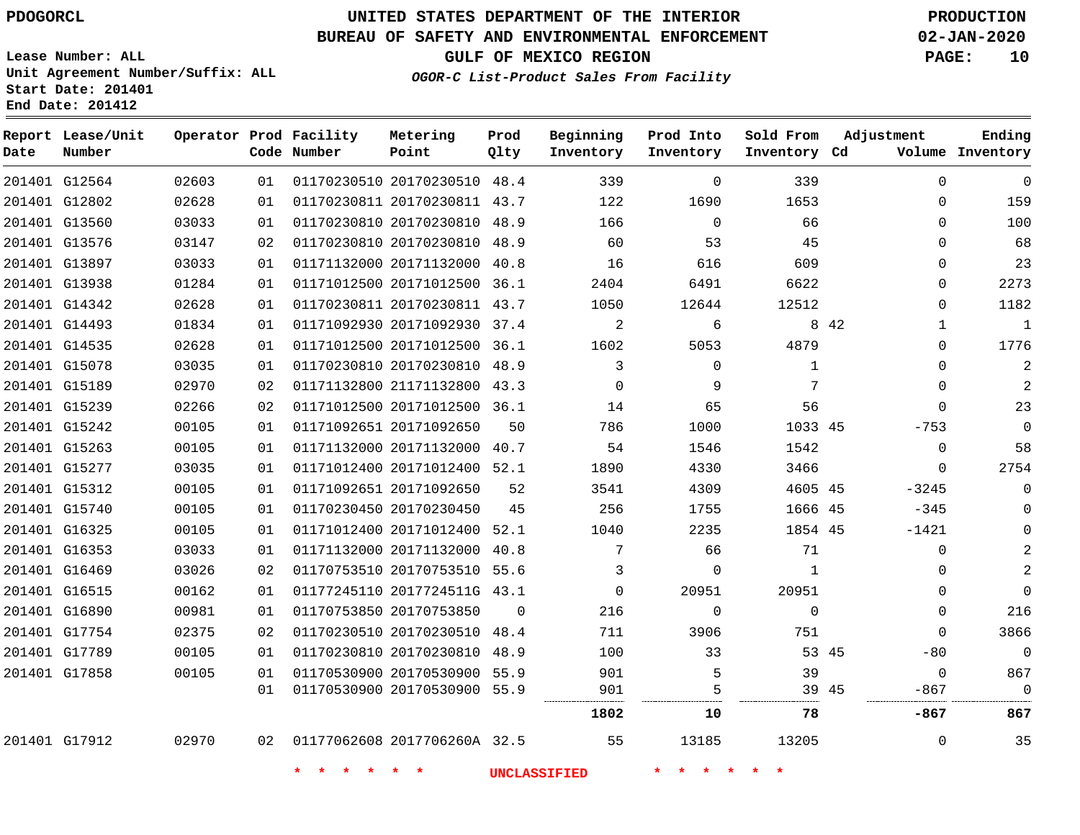**Date**

**Report Lease/Unit**

**Number**

# **UNITED STATES DEPARTMENT OF THE INTERIOR PDOGORCL PRODUCTION**

**Prod Qlty**

#### **BUREAU OF SAFETY AND ENVIRONMENTAL ENFORCEMENT 02-JAN-2020**

**Lease Number: ALL Unit Agreement Number/Suffix: ALL Start Date: 201401 End Date: 201412**

**Operator Prod Facility**

**Code Number**

**OGOR-C List-Product Sales From Facility**

**Beginning Inventory** **Prod Into Inventory** **Sold From Inventory**

**Inventory Cd Volume**

**Adjustment**

**GULF OF MEXICO REGION PAGE: 10**

**Ending**

|                                |                |          |                              |                                                              | <b>UNCLASSIFIED</b> |                |                |              |       |                          |                |
|--------------------------------|----------------|----------|------------------------------|--------------------------------------------------------------|---------------------|----------------|----------------|--------------|-------|--------------------------|----------------|
| 201401 G17912                  | 02970          | 02       | 01177062608 2017706260A 32.5 |                                                              |                     | 55             | 13185          | 13205        |       | $\mathbf{0}$             | 35             |
|                                |                |          |                              |                                                              |                     | 1802           | 10             | 78           |       | -867                     | 867            |
|                                |                | 01       | 01170530900 20170530900 55.9 |                                                              |                     | 901            | 5              | 39 45        |       | $-867$                   | $\overline{0}$ |
| 201401 G17858                  | 00105          | 01       |                              | 01170530900 20170530900 55.9                                 |                     | 901            | 5              | 39           |       | $\mathbf 0$              | 867            |
| 201401 G17789                  | 00105          | 01       | 01170230810 20170230810 48.9 |                                                              |                     | 100            | 33             | 53 45        |       | $-80$                    | $\overline{0}$ |
| 201401 G17754                  | 02375          | 02       |                              | 01170230510 20170230510 48.4                                 |                     | 711            | 3906           | 751          |       | $\mathbf{0}$             | 3866           |
| 201401 G16890                  | 00981          | 01       | 01170753850 20170753850      |                                                              | $\Omega$            | 216            | $\mathbf 0$    | $\mathbf 0$  |       | $\mathbf{0}$             | 216            |
| 201401 G16515                  | 00162          | 01       |                              | 01177245110 2017724511G 43.1                                 |                     | $\Omega$       | 20951          | 20951        |       | $\Omega$                 | $\Omega$       |
| 201401 G16469                  | 03026          | 02       |                              | 01170753510 20170753510 55.6                                 |                     | 3              | 0              | 1            |       | 0                        | 2              |
| 201401 G16353                  | 03033          | 01       |                              | 01171132000 20171132000 40.8                                 |                     | 7              | 66             | 71           |       | $\mathbf 0$              |                |
| 201401 G16325                  | 00105          | 01       |                              | 01171012400 20171012400 52.1                                 |                     | 1040           | 2235           | 1854 45      |       | $-1421$                  |                |
| 201401 G15740                  | 00105          | 01       | 01170230450 20170230450      |                                                              | 45                  | 256            | 1755           | 1666 45      |       | -345                     |                |
| 201401 G15312                  | 00105          | 01       | 01171092651 20171092650      |                                                              | 52                  | 3541           | 4309           | 4605 45      |       | $-3245$                  | 0              |
| 201401 G15277                  | 03035          | 01       | 01171012400 20171012400 52.1 |                                                              |                     | 1890           | 4330           | 3466         |       | $\overline{0}$           | 2754           |
| 201401 G15263                  | 00105          | 01       |                              | 01171132000 20171132000 40.7                                 |                     | 54             | 1546           | 1542         |       | $\mathbf 0$              | 58             |
| 201401 G15242                  | 00105          | 01       | 01171092651 20171092650      |                                                              | 50                  | 786            | 1000           | 1033 45      |       | $-753$                   | $\overline{0}$ |
| 201401 G15239                  | 02266          | 02       |                              | 01171012500 20171012500 36.1                                 |                     | 14             | 65             | 56           |       | $\Omega$                 | 23             |
| 201401 G15189                  | 02970          | 02       |                              | 01171132800 21171132800 43.3                                 |                     | $\Omega$       | 9              | 7            |       | $\Omega$                 |                |
| 201401 G15078                  | 03035          | 01       |                              | 01170230810 20170230810 48.9                                 |                     | $\overline{3}$ | $\mathbf 0$    | $\mathbf{1}$ |       | 0                        | 2              |
| 201401 G14535                  | 02628          | 01       |                              | 01171012500 20171012500 36.1                                 |                     | 1602           | 5053           | 4879         |       | 0                        | 1776           |
| 201401 G14342<br>201401 G14493 | 02628<br>01834 | 01<br>01 |                              | 01171092930 20171092930 37.4                                 |                     | 1050<br>2      | 12644<br>6     | 12512        | 8 4 2 | $\Omega$<br>$\mathbf{1}$ | 1182<br>1      |
| 201401 G13938                  | 01284          | 01       |                              | 01171012500 20171012500 36.1<br>01170230811 20170230811 43.7 |                     | 2404           | 6491           | 6622         |       | 0                        |                |
| 201401 G13897                  | 03033          | 01       |                              | 01171132000 20171132000 40.8                                 |                     | 16             | 616            | 609          |       | 0                        | 2273           |
| 201401 G13576                  | 03147          | 02       |                              | 01170230810 20170230810 48.9                                 |                     | 60             | 53             | 45           |       | $\Omega$                 | 68<br>23       |
| 201401 G13560                  | 03033          | 01       |                              | 01170230810 20170230810 48.9                                 |                     | 166            | $\overline{0}$ | 66           |       | $\Omega$                 | 100            |
| 201401 G12802                  | 02628          | 01       |                              | 01170230811 20170230811 43.7                                 |                     | 122            | 1690           | 1653         |       | $\Omega$                 | 159            |
| 201401 G12564                  | 02603          | 01       | 01170230510 20170230510 48.4 |                                                              |                     | 339            | $\mathbf 0$    | 339          |       | $\mathbf 0$              | $\mathbf 0$    |

**Metering Point**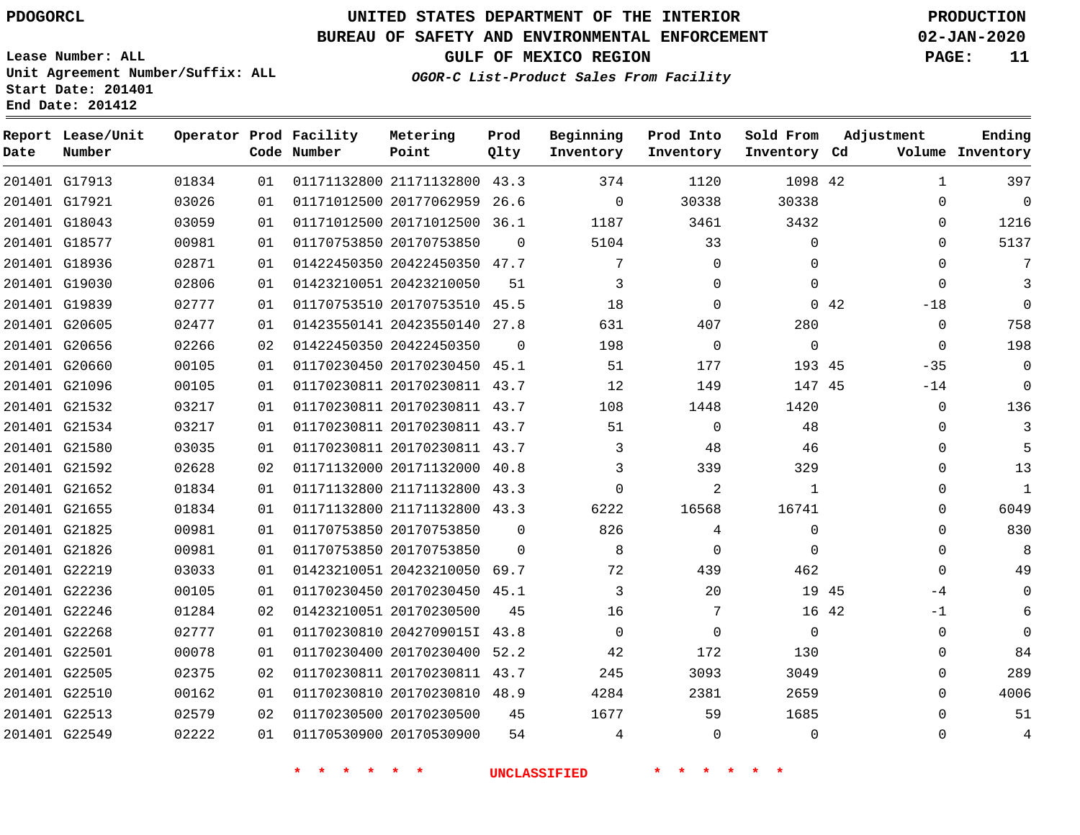## **UNITED STATES DEPARTMENT OF THE INTERIOR PDOGORCL PRODUCTION**

### **BUREAU OF SAFETY AND ENVIRONMENTAL ENFORCEMENT 02-JAN-2020**

**Lease Number: ALL Unit Agreement Number/Suffix: ALL Start Date: 201401**

**GULF OF MEXICO REGION PAGE: 11**

**OGOR-C List-Product Sales From Facility**

| Date | Report Lease/Unit<br>Number |       |    | Operator Prod Facility<br>Code Number | Metering<br>Point            | Prod<br>Qlty | Beginning<br>Inventory | Prod Into<br>Inventory | Sold From<br>Inventory Cd |             | Adjustment  | Ending<br>Volume Inventory |
|------|-----------------------------|-------|----|---------------------------------------|------------------------------|--------------|------------------------|------------------------|---------------------------|-------------|-------------|----------------------------|
|      | 201401 G17913               | 01834 | 01 |                                       | 01171132800 21171132800 43.3 |              | 374                    | 1120                   | 1098 42                   |             | 1           | 397                        |
|      | 201401 G17921               | 03026 | 01 |                                       | 01171012500 20177062959 26.6 |              | $\Omega$               | 30338                  | 30338                     |             | $\Omega$    | $\Omega$                   |
|      | 201401 G18043               | 03059 | 01 |                                       | 01171012500 20171012500 36.1 |              | 1187                   | 3461                   | 3432                      |             | 0           | 1216                       |
|      | 201401 G18577               | 00981 | 01 |                                       | 01170753850 20170753850      | $\Omega$     | 5104                   | 33                     | $\Omega$                  |             | $\Omega$    | 5137                       |
|      | 201401 G18936               | 02871 | 01 |                                       | 01422450350 20422450350 47.7 |              | 7                      | $\Omega$               | $\Omega$                  |             | $\Omega$    |                            |
|      | 201401 G19030               | 02806 | 01 |                                       | 01423210051 20423210050      | 51           | 3                      | $\Omega$               | $\Omega$                  |             | $\Omega$    | 3                          |
|      | 201401 G19839               | 02777 | 01 |                                       | 01170753510 20170753510 45.5 |              | 18                     | $\Omega$               |                           | $0\quad 42$ | $-18$       | $\Omega$                   |
|      | 201401 G20605               | 02477 | 01 |                                       | 01423550141 20423550140 27.8 |              | 631                    | 407                    | 280                       |             | $\Omega$    | 758                        |
|      | 201401 G20656               | 02266 | 02 |                                       | 01422450350 20422450350      | $\Omega$     | 198                    | $\overline{0}$         | $\Omega$                  |             | $\mathbf 0$ | 198                        |
|      | 201401 G20660               | 00105 | 01 |                                       | 01170230450 20170230450 45.1 |              | 51                     | 177                    | 193 45                    |             | $-35$       | $\Omega$                   |
|      | 201401 G21096               | 00105 | 01 |                                       | 01170230811 20170230811 43.7 |              | 12                     | 149                    | 147 45                    |             | $-14$       | $\mathbf{0}$               |
|      | 201401 G21532               | 03217 | 01 |                                       | 01170230811 20170230811 43.7 |              | 108                    | 1448                   | 1420                      |             | $\mathbf 0$ | 136                        |
|      | 201401 G21534               | 03217 | 01 |                                       | 01170230811 20170230811 43.7 |              | 51                     | $\Omega$               | 48                        |             | $\Omega$    | 3                          |
|      | 201401 G21580               | 03035 | 01 |                                       | 01170230811 20170230811 43.7 |              | 3                      | 48                     | 46                        |             | 0           |                            |
|      | 201401 G21592               | 02628 | 02 |                                       | 01171132000 20171132000      | 40.8         | 3                      | 339                    | 329                       |             | $\Omega$    | 13                         |
|      | 201401 G21652               | 01834 | 01 |                                       | 01171132800 21171132800 43.3 |              | $\mathbf 0$            | 2                      | 1                         |             | 0           | $\mathbf{1}$               |
|      | 201401 G21655               | 01834 | 01 |                                       | 01171132800 21171132800 43.3 |              | 6222                   | 16568                  | 16741                     |             | $\Omega$    | 6049                       |
|      | 201401 G21825               | 00981 | 01 |                                       | 01170753850 20170753850      | $\Omega$     | 826                    | 4                      | $\mathbf 0$               |             | $\mathbf 0$ | 830                        |
|      | 201401 G21826               | 00981 | 01 |                                       | 01170753850 20170753850      | $\Omega$     | 8                      | $\Omega$               | $\Omega$                  |             | $\mathbf 0$ | 8                          |
|      | 201401 G22219               | 03033 | 01 |                                       | 01423210051 20423210050 69.7 |              | 72                     | 439                    | 462                       |             | $\Omega$    | 49                         |
|      | 201401 G22236               | 00105 | 01 |                                       | 01170230450 20170230450 45.1 |              | 3                      | 20                     |                           | 19 45       | -4          | $\Omega$                   |
|      | 201401 G22246               | 01284 | 02 |                                       | 01423210051 20170230500      | 45           | 16                     | 7                      |                           | 16 42       | $-1$        | 6                          |
|      | 201401 G22268               | 02777 | 01 |                                       | 01170230810 2042709015I 43.8 |              | $\Omega$               | $\Omega$               | $\Omega$                  |             | $\Omega$    | $\Omega$                   |
|      | 201401 G22501               | 00078 | 01 |                                       | 01170230400 20170230400      | 52.2         | 42                     | 172                    | 130                       |             | 0           | 84                         |
|      | 201401 G22505               | 02375 | 02 |                                       | 01170230811 20170230811 43.7 |              | 245                    | 3093                   | 3049                      |             | $\Omega$    | 289                        |
|      | 201401 G22510               | 00162 | 01 |                                       | 01170230810 20170230810 48.9 |              | 4284                   | 2381                   | 2659                      |             | $\mathbf 0$ | 4006                       |
|      | 201401 G22513               | 02579 | 02 |                                       | 01170230500 20170230500      | 45           | 1677                   | 59                     | 1685                      |             | $\Omega$    | 51                         |
|      | 201401 G22549               | 02222 | 01 |                                       | 01170530900 20170530900      | 54           | 4                      | $\Omega$               | $\Omega$                  |             | $\Omega$    | 4                          |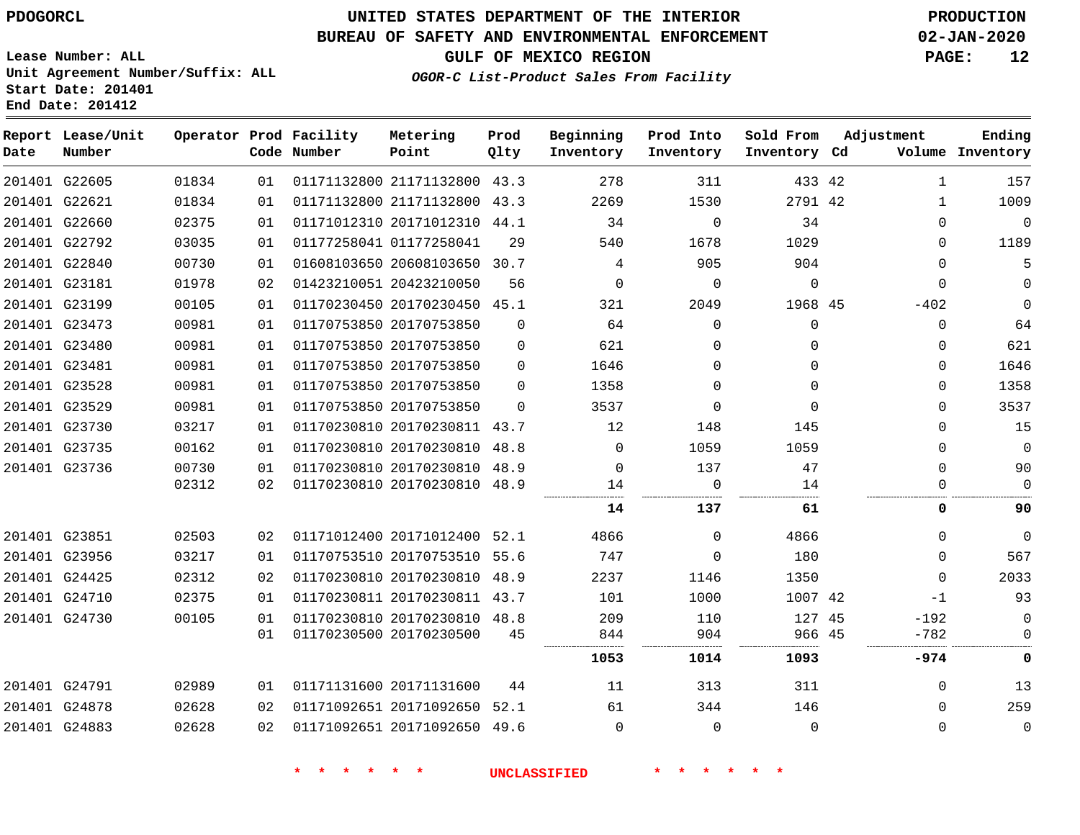### **BUREAU OF SAFETY AND ENVIRONMENTAL ENFORCEMENT 02-JAN-2020**

**OGOR-C List-Product Sales From Facility**

**GULF OF MEXICO REGION PAGE: 12**

**Lease Number: ALL Unit Agreement Number/Suffix: ALL Start Date: 201401 End Date: 201412**

| Date | Report Lease/Unit<br>Number |       |    | Operator Prod Facility<br>Code Number | Metering<br>Point            | Prod<br>Qlty | Beginning<br>Inventory | Prod Into<br>Inventory | Sold From<br>Inventory Cd | Adjustment   | Ending<br>Volume Inventory |
|------|-----------------------------|-------|----|---------------------------------------|------------------------------|--------------|------------------------|------------------------|---------------------------|--------------|----------------------------|
|      | 201401 G22605               | 01834 | 01 |                                       | 01171132800 21171132800 43.3 |              | 278                    | 311                    | 433 42                    | $\mathbf{1}$ | 157                        |
|      | 201401 G22621               | 01834 | 01 |                                       | 01171132800 21171132800 43.3 |              | 2269                   | 1530                   | 2791 42                   | $\mathbf{1}$ | 1009                       |
|      | 201401 G22660               | 02375 | 01 |                                       | 01171012310 20171012310 44.1 |              | 34                     | $\Omega$               | 34                        | $\Omega$     | $\Omega$                   |
|      | 201401 G22792               | 03035 | 01 |                                       | 01177258041 01177258041      | 29           | 540                    | 1678                   | 1029                      | $\Omega$     | 1189                       |
|      | 201401 G22840               | 00730 | 01 |                                       | 01608103650 20608103650 30.7 |              | 4                      | 905                    | 904                       | $\Omega$     | 5                          |
|      | 201401 G23181               | 01978 | 02 |                                       | 01423210051 20423210050      | 56           | $\mathbf 0$            | $\mathbf 0$            | $\mathbf{0}$              | $\mathbf 0$  | $\Omega$                   |
|      | 201401 G23199               | 00105 | 01 |                                       | 01170230450 20170230450 45.1 |              | 321                    | 2049                   | 1968 45                   | $-402$       | $\mathbf{0}$               |
|      | 201401 G23473               | 00981 | 01 |                                       | 01170753850 20170753850      | $\Omega$     | 64                     | $\Omega$               | $\mathbf{0}$              | $\mathbf 0$  | 64                         |
|      | 201401 G23480               | 00981 | 01 |                                       | 01170753850 20170753850      | $\Omega$     | 621                    | $\Omega$               | $\Omega$                  | $\mathbf 0$  | 621                        |
|      | 201401 G23481               | 00981 | 01 |                                       | 01170753850 20170753850      | $\Omega$     | 1646                   | $\Omega$               | $\Omega$                  | $\Omega$     | 1646                       |
|      | 201401 G23528               | 00981 | 01 |                                       | 01170753850 20170753850      | $\Omega$     | 1358                   | $\Omega$               | $\Omega$                  | $\Omega$     | 1358                       |
|      | 201401 G23529               | 00981 | 01 |                                       | 01170753850 20170753850      | $\Omega$     | 3537                   | $\Omega$               | $\Omega$                  | $\Omega$     | 3537                       |
|      | 201401 G23730               | 03217 | 01 |                                       | 01170230810 20170230811 43.7 |              | 12                     | 148                    | 145                       | $\Omega$     | 15                         |
|      | 201401 G23735               | 00162 | 01 |                                       | 01170230810 20170230810 48.8 |              | 0                      | 1059                   | 1059                      | $\mathbf{0}$ | $\mathbf 0$                |
|      | 201401 G23736               | 00730 | 01 |                                       | 01170230810 20170230810 48.9 |              | 0                      | 137                    | 47                        | $\Omega$     | 90                         |
|      |                             | 02312 | 02 |                                       | 01170230810 20170230810 48.9 |              | 14                     | $\Omega$               | 14                        | $\Omega$     | $\Omega$                   |
|      |                             |       |    |                                       |                              |              | 14                     | 137                    | 61                        | 0            | 90                         |
|      | 201401 G23851               | 02503 | 02 |                                       | 01171012400 20171012400 52.1 |              | 4866                   | $\Omega$               | 4866                      | $\Omega$     | $\Omega$                   |
|      | 201401 G23956               | 03217 | 01 |                                       | 01170753510 20170753510 55.6 |              | 747                    | $\Omega$               | 180                       | $\Omega$     | 567                        |
|      | 201401 G24425               | 02312 | 02 |                                       | 01170230810 20170230810 48.9 |              | 2237                   | 1146                   | 1350                      | $\Omega$     | 2033                       |
|      | 201401 G24710               | 02375 | 01 |                                       | 01170230811 20170230811 43.7 |              | 101                    | 1000                   | 1007 42                   | -1           | 93                         |
|      | 201401 G24730               | 00105 | 01 |                                       | 01170230810 20170230810 48.8 |              | 209                    | 110                    | 127 45                    | $-192$       | $\Omega$                   |
|      |                             |       | 01 |                                       | 01170230500 20170230500      | 45           | 844                    | 904                    | 966 45                    | $-782$       | 0                          |
|      |                             |       |    |                                       |                              |              | 1053                   | 1014                   | 1093                      | -974         | 0                          |
|      | 201401 G24791               | 02989 | 01 |                                       | 01171131600 20171131600      | 44           | 11                     | 313                    | 311                       | $\mathbf{0}$ | 13                         |
|      | 201401 G24878               | 02628 | 02 |                                       | 01171092651 20171092650 52.1 |              | 61                     | 344                    | 146                       | $\Omega$     | 259                        |
|      | 201401 G24883               | 02628 | 02 |                                       | 01171092651 20171092650 49.6 |              | $\Omega$               | $\Omega$               | $\Omega$                  | $\Omega$     | $\Omega$                   |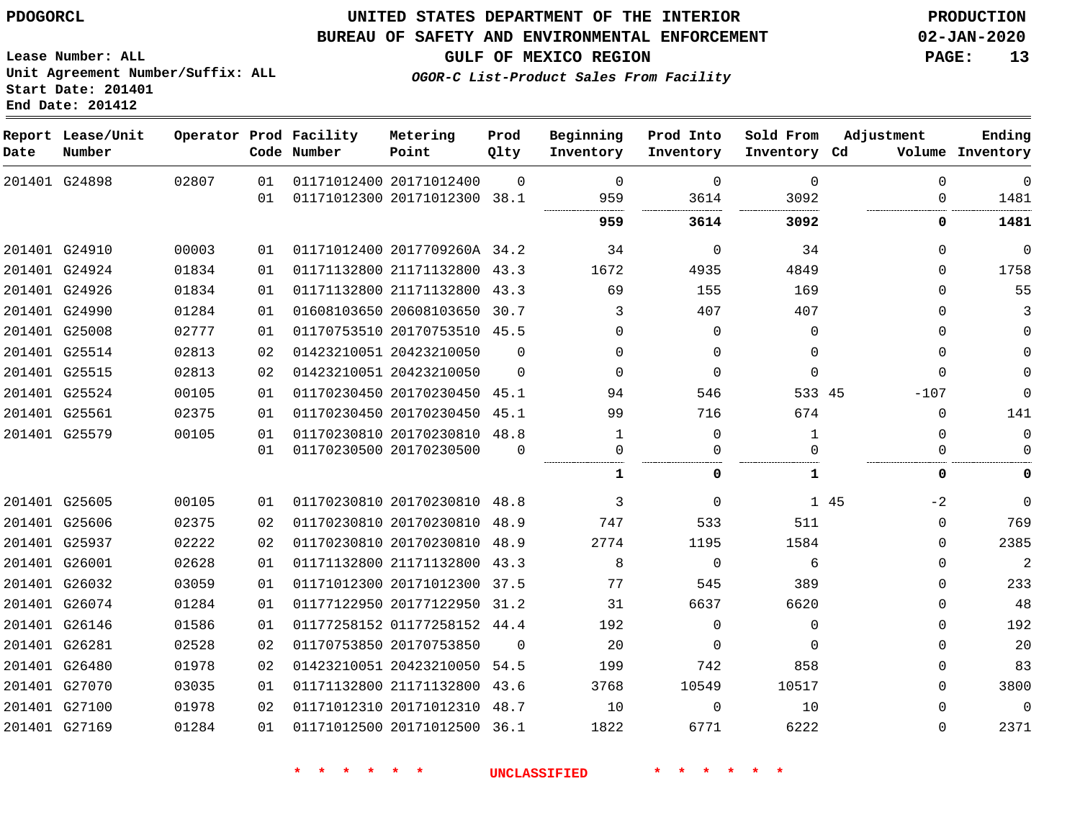#### **BUREAU OF SAFETY AND ENVIRONMENTAL ENFORCEMENT 02-JAN-2020**

**GULF OF MEXICO REGION PAGE: 13**

**Lease Number: ALL Unit Agreement Number/Suffix: ALL Start Date: 201401 End Date: 201412**

**OGOR-C List-Product Sales From Facility**

| Date | Report Lease/Unit<br>Number |       |    | Operator Prod Facility<br>Code Number | Metering<br>Point            | Prod<br>Qlty | Beginning<br>Inventory | Prod Into<br>Inventory | Sold From<br>Inventory Cd | Adjustment   | Ending<br>Volume Inventory |
|------|-----------------------------|-------|----|---------------------------------------|------------------------------|--------------|------------------------|------------------------|---------------------------|--------------|----------------------------|
|      | 201401 G24898               | 02807 | 01 |                                       | 01171012400 20171012400      | $\Omega$     | $\Omega$               | $\mathbf 0$            | $\mathbf 0$               | $\mathbf 0$  | $\mathbf 0$                |
|      |                             |       | 01 |                                       | 01171012300 20171012300 38.1 |              | 959                    | 3614                   | 3092                      | 0            | 1481                       |
|      |                             |       |    |                                       |                              |              | 959                    | 3614                   | 3092                      | 0            | 1481                       |
|      | 201401 G24910               | 00003 | 01 |                                       | 01171012400 2017709260A 34.2 |              | 34                     | $\mathbf 0$            | 34                        | $\Omega$     | 0                          |
|      | 201401 G24924               | 01834 | 01 |                                       | 01171132800 21171132800 43.3 |              | 1672                   | 4935                   | 4849                      | $\Omega$     | 1758                       |
|      | 201401 G24926               | 01834 | 01 |                                       | 01171132800 21171132800 43.3 |              | 69                     | 155                    | 169                       | $\Omega$     | 55                         |
|      | 201401 G24990               | 01284 | 01 |                                       | 01608103650 20608103650 30.7 |              | 3                      | 407                    | 407                       | $\Omega$     |                            |
|      | 201401 G25008               | 02777 | 01 |                                       | 01170753510 20170753510 45.5 |              | $\Omega$               | $\mathbf 0$            | 0                         | $\Omega$     | 0                          |
|      | 201401 G25514               | 02813 | 02 |                                       | 01423210051 20423210050      | $\Omega$     | $\Omega$               | $\mathbf 0$            | $\Omega$                  | 0            |                            |
|      | 201401 G25515               | 02813 | 02 |                                       | 01423210051 20423210050      | $\Omega$     | $\Omega$               | $\mathbf 0$            | $\Omega$                  | $\Omega$     |                            |
|      | 201401 G25524               | 00105 | 01 |                                       | 01170230450 20170230450 45.1 |              | 94                     | 546                    | 533 45                    | $-107$       | $\Omega$                   |
|      | 201401 G25561               | 02375 | 01 |                                       | 01170230450 20170230450 45.1 |              | 99                     | 716                    | 674                       | $\Omega$     | 141                        |
|      | 201401 G25579               | 00105 | 01 |                                       | 01170230810 20170230810 48.8 |              | 1                      | $\mathbf{0}$           | $\mathbf{1}$              | 0            | 0                          |
|      |                             |       | 01 |                                       | 01170230500 20170230500      | $\Omega$     | 0                      | $\Omega$               | U                         | $\Omega$     | U                          |
|      |                             |       |    |                                       |                              |              |                        | 0                      | 1                         | 0            | 0                          |
|      | 201401 G25605               | 00105 | 01 |                                       | 01170230810 20170230810 48.8 |              | 3                      | $\mathbf 0$            |                           | 1 45<br>$-2$ | $\mathbf 0$                |
|      | 201401 G25606               | 02375 | 02 |                                       | 01170230810 20170230810 48.9 |              | 747                    | 533                    | 511                       | $\Omega$     | 769                        |
|      | 201401 G25937               | 02222 | 02 |                                       | 01170230810 20170230810 48.9 |              | 2774                   | 1195                   | 1584                      | 0            | 2385                       |
|      | 201401 G26001               | 02628 | 01 |                                       | 01171132800 21171132800 43.3 |              | 8                      | $\mathbf 0$            | 6                         | $\Omega$     | 2                          |
|      | 201401 G26032               | 03059 | 01 |                                       | 01171012300 20171012300 37.5 |              | 77                     | 545                    | 389                       | $\Omega$     | 233                        |
|      | 201401 G26074               | 01284 | 01 |                                       | 01177122950 20177122950 31.2 |              | 31                     | 6637                   | 6620                      | $\Omega$     | 48                         |
|      | 201401 G26146               | 01586 | 01 |                                       | 01177258152 01177258152 44.4 |              | 192                    | $\mathbf 0$            | $\mathbf 0$               | $\Omega$     | 192                        |
|      | 201401 G26281               | 02528 | 02 |                                       | 01170753850 20170753850      | - 0          | 20                     | 0                      | $\Omega$                  | $\Omega$     | 20                         |
|      | 201401 G26480               | 01978 | 02 |                                       | 01423210051 20423210050      | 54.5         | 199                    | 742                    | 858                       | 0            | 83                         |
|      | 201401 G27070               | 03035 | 01 |                                       | 01171132800 21171132800 43.6 |              | 3768                   | 10549                  | 10517                     | $\Omega$     | 3800                       |
|      | 201401 G27100               | 01978 | 02 |                                       | 01171012310 20171012310 48.7 |              | 10                     | $\Omega$               | 10                        | $\Omega$     | $\overline{0}$             |
|      | 201401 G27169               | 01284 | 01 |                                       | 01171012500 20171012500 36.1 |              | 1822                   | 6771                   | 6222                      | $\Omega$     | 2371                       |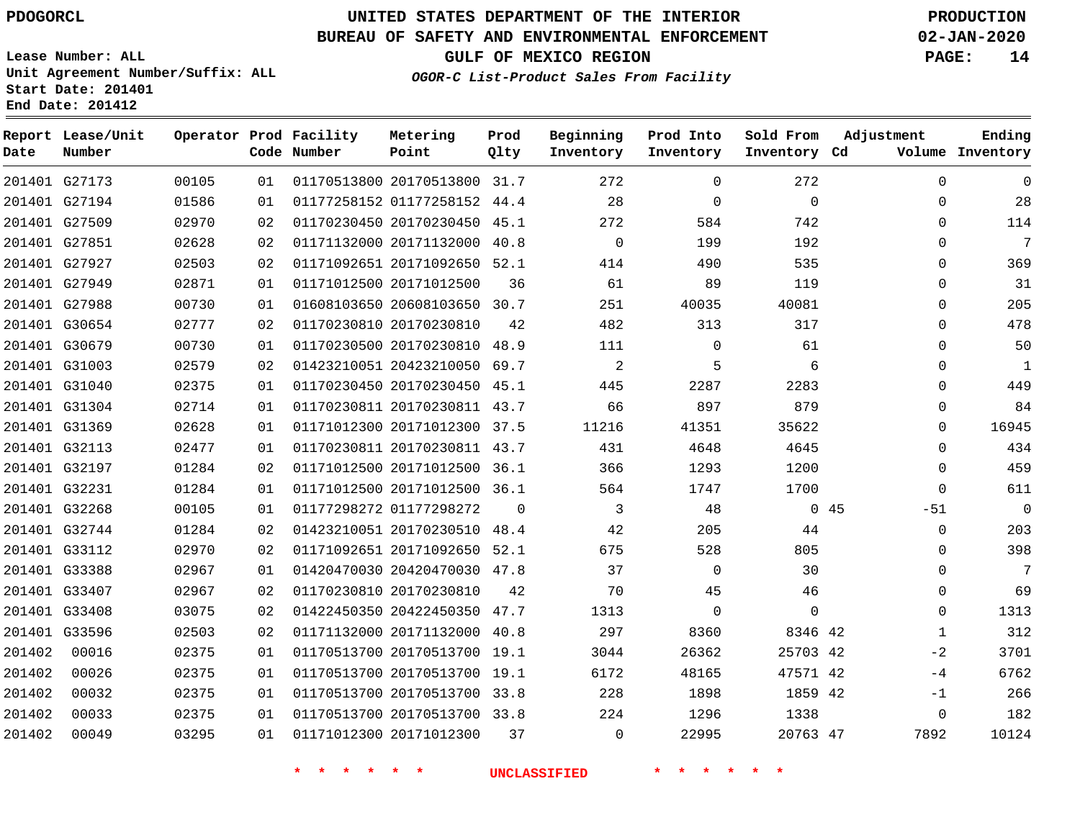G27173 G27194

**Date**

**Report Lease/Unit**

**Number**

# **UNITED STATES DEPARTMENT OF THE INTERIOR PDOGORCL PRODUCTION**

**Prod**

### **BUREAU OF SAFETY AND ENVIRONMENTAL ENFORCEMENT 02-JAN-2020**

**Lease Number: ALL Unit Agreement Number/Suffix: ALL Start Date: 201401 End Date: 201412**

**Operator Prod Facility**

**OGOR-C List-Product Sales From Facility**

**Beginning**

**GULF OF MEXICO REGION PAGE: 14**

**Inventory Cd Volume**

**Adjustment**

 

 

**Ending**

|       |    | Code Number             | Point                        | Qlty | Inventory | Inventory |
|-------|----|-------------------------|------------------------------|------|-----------|-----------|
| 00105 | 01 |                         | 01170513800 20170513800 31.7 |      | 272       | $\Omega$  |
| 01586 | 01 |                         | 01177258152 01177258152      | 44.4 | 28        | $\Omega$  |
| 02970 | 02 |                         | 01170230450 20170230450      | 45.1 | 272       | 584       |
| 02628 | 02 |                         | 01171132000 20171132000      | 40.8 | 0         | 199       |
| 02503 | 02 |                         | 01171092651 20171092650      | 52.1 | 414       | 490       |
| 02871 | 01 | 01171012500 20171012500 |                              | 36   | 61        | 89        |
| 00730 | 01 |                         | 01608103650 20608103650      | 30.7 | 251       | 40035     |
| 02777 | 02 | 01170230810 20170230810 |                              | 42   | 482       | 313       |
| 00720 |    |                         |                              |      | 111       | $\sim$    |

**Metering Point**

|        | 201401 G27509 | 02970 | 02 | 01170230450 20170230450 45.1 |          | 272         | 584      | 742         | $\Omega$     | 114            |
|--------|---------------|-------|----|------------------------------|----------|-------------|----------|-------------|--------------|----------------|
|        | 201401 G27851 | 02628 | 02 | 01171132000 20171132000 40.8 |          | $\mathbf 0$ | 199      | 192         | $\Omega$     | 7              |
|        | 201401 G27927 | 02503 | 02 | 01171092651 20171092650 52.1 |          | 414         | 490      | 535         | $\Omega$     | 369            |
|        | 201401 G27949 | 02871 | 01 | 01171012500 20171012500      | 36       | 61          | 89       | 119         | $\Omega$     | 31             |
|        | 201401 G27988 | 00730 | 01 | 01608103650 20608103650 30.7 |          | 251         | 40035    | 40081       | $\Omega$     | 205            |
|        | 201401 G30654 | 02777 | 02 | 01170230810 20170230810      | 42       | 482         | 313      | 317         | $\Omega$     | 478            |
|        | 201401 G30679 | 00730 | 01 | 01170230500 20170230810 48.9 |          | 111         | $\Omega$ | 61          | 0            | 50             |
|        | 201401 G31003 | 02579 | 02 | 01423210051 20423210050 69.7 |          | 2           | 5        | 6           | $\Omega$     | 1              |
|        | 201401 G31040 | 02375 | 01 | 01170230450 20170230450 45.1 |          | 445         | 2287     | 2283        | $\Omega$     | 449            |
|        | 201401 G31304 | 02714 | 01 | 01170230811 20170230811 43.7 |          | 66          | 897      | 879         | 0            | 84             |
|        | 201401 G31369 | 02628 | 01 | 01171012300 20171012300 37.5 |          | 11216       | 41351    | 35622       | $\Omega$     | 16945          |
|        | 201401 G32113 | 02477 | 01 | 01170230811 20170230811 43.7 |          | 431         | 4648     | 4645        | $\Omega$     | 434            |
|        | 201401 G32197 | 01284 | 02 | 01171012500 20171012500 36.1 |          | 366         | 1293     | 1200        | $\Omega$     | 459            |
|        | 201401 G32231 | 01284 | 01 | 01171012500 20171012500 36.1 |          | 564         | 1747     | 1700        | $\Omega$     | 611            |
|        | 201401 G32268 | 00105 | 01 | 01177298272 01177298272      | $\Omega$ | 3           | 48       |             | 045<br>$-51$ | $\overline{0}$ |
|        | 201401 G32744 | 01284 | 02 | 01423210051 20170230510 48.4 |          | 42          | 205      | 44          | $\Omega$     | 203            |
|        | 201401 G33112 | 02970 | 02 | 01171092651 20171092650 52.1 |          | 675         | 528      | 805         | 0            | 398            |
|        | 201401 G33388 | 02967 | 01 | 01420470030 20420470030 47.8 |          | 37          | $\Omega$ | 30          | $\Omega$     | 7              |
|        | 201401 G33407 | 02967 | 02 | 01170230810 20170230810      | 42       | 70          | 45       | 46          | $\Omega$     | 69             |
|        | 201401 G33408 | 03075 | 02 | 01422450350 20422450350 47.7 |          | 1313        | $\Omega$ | $\mathbf 0$ | $\Omega$     | 1313           |
|        | 201401 G33596 | 02503 | 02 | 01171132000 20171132000 40.8 |          | 297         | 8360     | 8346 42     | $\mathbf{1}$ | 312            |
| 201402 | 00016         | 02375 | 01 | 01170513700 20170513700 19.1 |          | 3044        | 26362    | 25703 42    | $-2$         | 3701           |
| 201402 | 00026         | 02375 | 01 | 01170513700 20170513700 19.1 |          | 6172        | 48165    | 47571 42    | $-4$         | 6762           |
| 201402 | 00032         | 02375 | 01 | 01170513700 20170513700 33.8 |          | 228         | 1898     | 1859 42     | $-1$         | 266            |
| 201402 | 00033         | 02375 | 01 | 01170513700 20170513700 33.8 |          | 224         | 1296     | 1338        | $\Omega$     | 182            |
| 201402 | 00049         | 03295 | 01 | 01171012300 20171012300      | 37       | $\Omega$    | 22995    | 20763 47    | 7892         | 10124          |

**\* \* \* \* \* \* UNCLASSIFIED \* \* \* \* \* \***

 

**Sold From Inventory**

**Prod Into**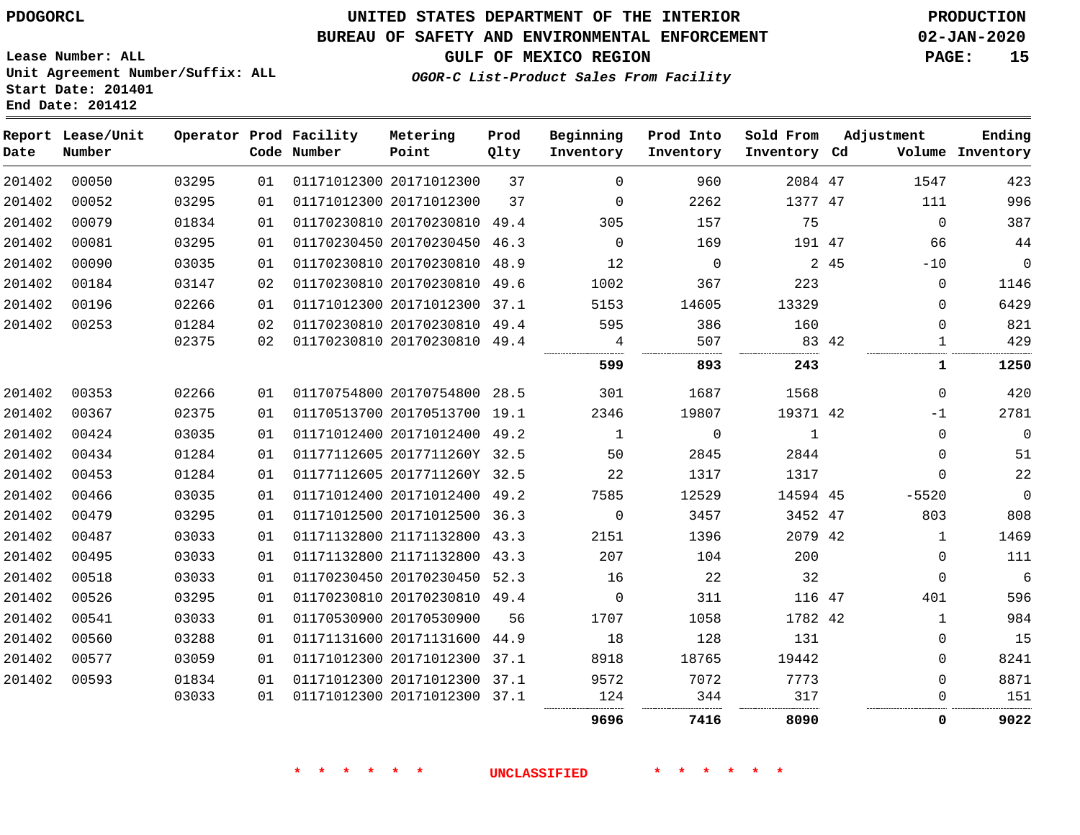**Report Lease/Unit**

**Number**

**Date**

# **UNITED STATES DEPARTMENT OF THE INTERIOR PDOGORCL PRODUCTION**

**Prod Qlty**

#### **BUREAU OF SAFETY AND ENVIRONMENTAL ENFORCEMENT 02-JAN-2020**

**Lease Number: ALL Unit Agreement Number/Suffix: ALL Start Date: 201401 End Date: 201412**

**Operator Prod Facility**

**Code Number**

20171012300

**Metering Point**

**OGOR-C List-Product Sales From Facility**

**Prod Into Inventory**

**Beginning Inventory**

**GULF OF MEXICO REGION PAGE: 15**

**Inventory Cd Volume**

**Adjustment**

. . . . . . . . . . . . . . . . . . . .

**Ending**

47

**Sold From Inventory**

| 00052 | 03295 | 01 | 01171012300 20171012300 | 37   | 0            | 2262        | 1377 47        |    |
|-------|-------|----|-------------------------|------|--------------|-------------|----------------|----|
| 00079 | 01834 | 01 | 01170230810 20170230810 | 49.4 | 305          | 157         | 75             |    |
| 00081 | 03295 | 01 | 01170230450 20170230450 | 46.3 | $\Omega$     | 169         | 191 47         |    |
| 00090 | 03035 | 01 | 01170230810 20170230810 | 48.9 | 12           | 0           | $\overline{2}$ | 45 |
| 00184 | 03147 | 02 | 01170230810 20170230810 | 49.6 | 1002         | 367         | 223            |    |
| 00196 | 02266 | 01 | 01171012300 20171012300 | 37.1 | 5153         | 14605       | 13329          |    |
| 00253 | 01284 | 02 | 01170230810 20170230810 | 49.4 | 595          | 386         | 160            |    |
|       | 02375 | 02 | 01170230810 20170230810 | 49.4 | 4            | 507         | 83             | 42 |
|       |       |    |                         |      | 599          | 893         | 243            |    |
| 00353 | 02266 | 01 | 01170754800 20170754800 | 28.5 | 301          | 1687        | 1568           |    |
| 00367 | 02375 | 01 | 01170513700 20170513700 | 19.1 | 2346         | 19807       | 19371 42       |    |
| 00424 | 03035 | 01 | 01171012400 20171012400 | 49.2 | $\mathbf{1}$ | $\mathbf 0$ | $\mathbf{1}$   |    |
| 00434 | 01284 | 01 | 01177112605 2017711260Y | 32.5 | 50           | 2845        | 2844           |    |
| 00453 | 01284 | 01 | 01177112605 2017711260Y | 32.5 | 22           | 1317        | 1317           |    |
| 00466 | 03035 | 01 | 01171012400 20171012400 | 49.2 | 7585         | 12529       | 14594 45       |    |
| 00479 | 03295 | 01 | 01171012500 20171012500 | 36.3 | $\mathbf 0$  | 3457        | 3452           | 47 |
| 00487 | 03033 | 01 | 01171132800 21171132800 | 43.3 | 2151         | 1396        | 2079           | 42 |
| 00495 | 03033 | 01 | 01171132800 21171132800 | 43.3 | 207          | 104         | 200            |    |
| 00518 | 03033 | 01 | 01170230450 20170230450 | 52.3 | 16           | 22          | 32             |    |
| 00526 | 03295 | 01 | 01170230810 20170230810 | 49.4 | 0            | 311         | 116 47         |    |
| 00541 | 03033 | 01 | 01170530900 20170530900 | 56   | 1707         | 1058        | 1782 42        |    |
| 00560 | 03288 | 01 | 01171131600 20171131600 | 44.9 | 18           | 128         | 131            |    |
| 00577 | 03059 | 01 | 01171012300 20171012300 | 37.1 | 8918         | 18765       | 19442          |    |
| 00593 | 01834 | 01 | 01171012300 20171012300 | 37.1 | 9572         | 7072        | 7773           |    |
|       | 03033 | 01 | 01171012300 20171012300 | 37.1 | 124          | 344         | 317            |    |

**\* \* \* \* \* \* UNCLASSIFIED \* \* \* \* \* \***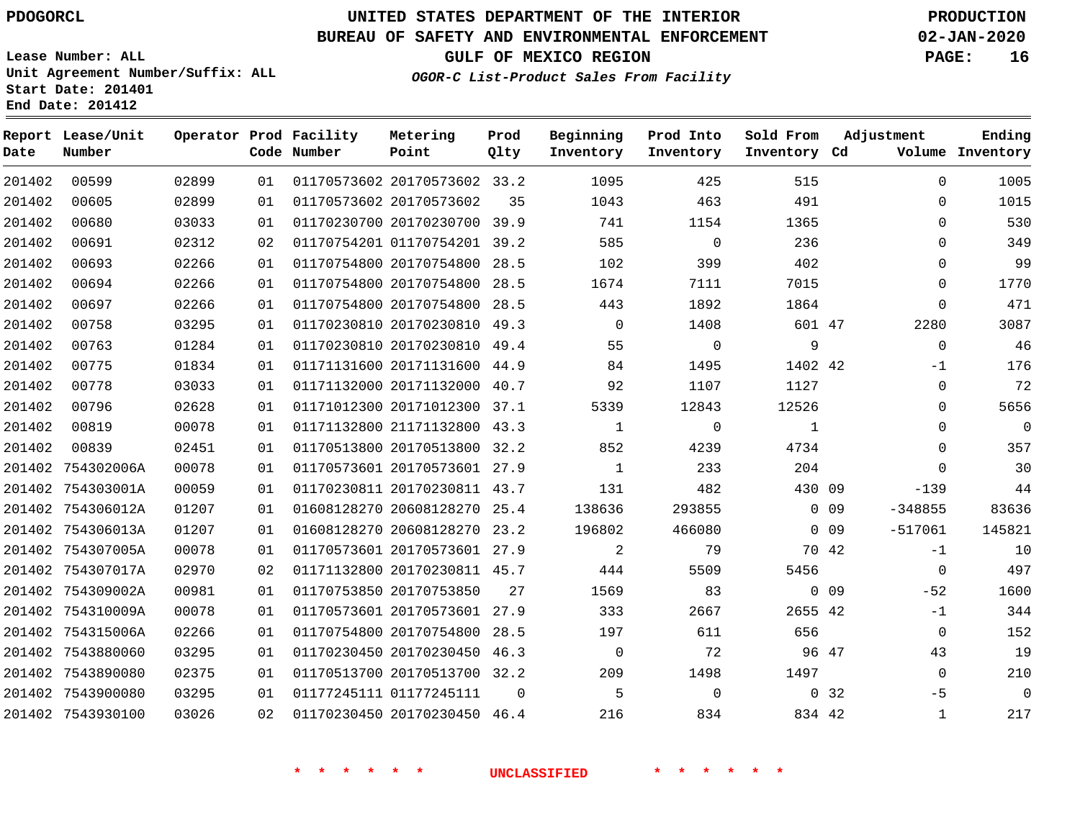**End Date: 201412**

**Report Lease/Unit**

# **UNITED STATES DEPARTMENT OF THE INTERIOR PDOGORCL PRODUCTION**

**Prod**

#### **BUREAU OF SAFETY AND ENVIRONMENTAL ENFORCEMENT 02-JAN-2020**

**Lease Number: ALL Unit Agreement Number/Suffix: ALL Start Date: 201401**

**Operator Prod Facility**

**OGOR-C List-Product Sales From Facility**

**Beginning**

**Prod Into**

**Sold From**

**GULF OF MEXICO REGION PAGE: 16**

**Adjustment**

**Ending**

| Date   | Number            |       |    | Code Number | Point                        | Qlty           | Inventory                  | Inventory      | Inventory Cd   |                 |                | Volume Inventory         |
|--------|-------------------|-------|----|-------------|------------------------------|----------------|----------------------------|----------------|----------------|-----------------|----------------|--------------------------|
| 201402 | 00599             | 02899 | 01 |             | 01170573602 20170573602 33.2 |                | 1095                       | 425            | 515            |                 | $\mathbf 0$    | 1005                     |
| 201402 | 00605             | 02899 | 01 |             | 01170573602 20170573602      | 35             | 1043                       | 463            | 491            |                 | 0              | 1015                     |
| 201402 | 00680             | 03033 | 01 |             | 01170230700 20170230700 39.9 |                | 741                        | 1154           | 1365           |                 | $\Omega$       | 530                      |
| 201402 | 00691             | 02312 | 02 |             | 01170754201 01170754201 39.2 |                | 585                        | $\overline{0}$ | 236            |                 | $\Omega$       | 349                      |
| 201402 | 00693             | 02266 | 01 |             | 01170754800 20170754800 28.5 |                | 102                        | 399            | 402            |                 | $\Omega$       | 99                       |
| 201402 | 00694             | 02266 | 01 |             | 01170754800 20170754800 28.5 |                | 1674                       | 7111           | 7015           |                 | $\mathbf 0$    | 1770                     |
| 201402 | 00697             | 02266 | 01 |             | 01170754800 20170754800      | 28.5           | 443                        | 1892           | 1864           |                 | $\mathbf 0$    | 471                      |
| 201402 | 00758             | 03295 | 01 |             | 01170230810 20170230810 49.3 |                | $\overline{0}$             | 1408           | 601 47         |                 | 2280           | 3087                     |
| 201402 | 00763             | 01284 | 01 |             | 01170230810 20170230810 49.4 |                | 55                         | $\overline{0}$ | 9              |                 | $\overline{0}$ | 46                       |
| 201402 | 00775             | 01834 | 01 |             | 01171131600 20171131600 44.9 |                | 84                         | 1495           | 1402 42        |                 | $-1$           | 176                      |
| 201402 | 00778             | 03033 | 01 |             | 01171132000 20171132000 40.7 |                | 92                         | 1107           | 1127           |                 | $\mathbf 0$    | 72                       |
| 201402 | 00796             | 02628 | 01 |             | 01171012300 20171012300 37.1 |                | 5339                       | 12843          | 12526          |                 | $\Omega$       | 5656                     |
| 201402 | 00819             | 00078 | 01 |             | 01171132800 21171132800 43.3 |                | $\overline{1}$             | $\overline{0}$ | $\overline{1}$ |                 | $\mathbf 0$    | $\overline{0}$           |
| 201402 | 00839             | 02451 | 01 |             | 01170513800 20170513800 32.2 |                | 852                        | 4239           | 4734           |                 | $\mathbf 0$    | 357                      |
|        | 201402 754302006A | 00078 | 01 |             | 01170573601 20170573601 27.9 |                | 1                          | 233            | 204            |                 | $\Omega$       | 30                       |
|        | 201402 754303001A | 00059 | 01 |             | 01170230811 20170230811 43.7 |                | 131                        | 482            | 430 09         |                 | $-139$         | 44                       |
|        | 201402 754306012A | 01207 | 01 |             | 01608128270 20608128270 25.4 |                | 138636                     | 293855         |                | $0$ 09          | $-348855$      | 83636                    |
|        | 201402 754306013A | 01207 | 01 |             | 01608128270 20608128270 23.2 |                | 196802                     | 466080         |                | $0$ 09          | $-517061$      | 145821                   |
|        | 201402 754307005A | 00078 | 01 |             | 01170573601 20170573601 27.9 |                | $\overline{\phantom{a}}^2$ | 79             |                | 70 42           | $-1$           | 10                       |
|        | 201402 754307017A | 02970 | 02 |             | 01171132800 20170230811 45.7 |                | 444                        | 5509           | 5456           |                 | $\overline{0}$ | 497                      |
|        | 201402 754309002A | 00981 | 01 |             | 01170753850 20170753850      | 27             | 1569                       | 83             |                | 0 <sub>09</sub> | $-52$          | 1600                     |
|        | 201402 754310009A | 00078 | 01 |             | 01170573601 20170573601 27.9 |                | 333                        | 2667           | 2655 42        |                 | $-1$           | 344                      |
|        | 201402 754315006A | 02266 | 01 |             | 01170754800 20170754800 28.5 |                | 197                        | 611            | 656            |                 | $\overline{0}$ | 152                      |
|        | 201402 7543880060 | 03295 | 01 |             | 01170230450 20170230450 46.3 |                | $\overline{0}$             | 72             | 96 47          |                 | 43             | 19                       |
|        | 201402 7543890080 | 02375 | 01 |             | 01170513700 20170513700 32.2 |                | 209                        | 1498           | 1497           |                 | $\overline{0}$ | 210                      |
|        | 201402 7543900080 | 03295 | 01 |             | 01177245111 01177245111      | $\overline{0}$ | $5^{\circ}$                | $\overline{0}$ |                | 0 <sub>32</sub> | $-5$           | $\overline{\phantom{0}}$ |
|        | 201402 7543930100 | 03026 | 02 |             | 01170230450 20170230450 46.4 |                | 216                        | 834            | 834 42         |                 | $\mathbf{1}$   | 217                      |
|        |                   |       |    |             |                              |                |                            |                |                |                 |                |                          |

**Metering**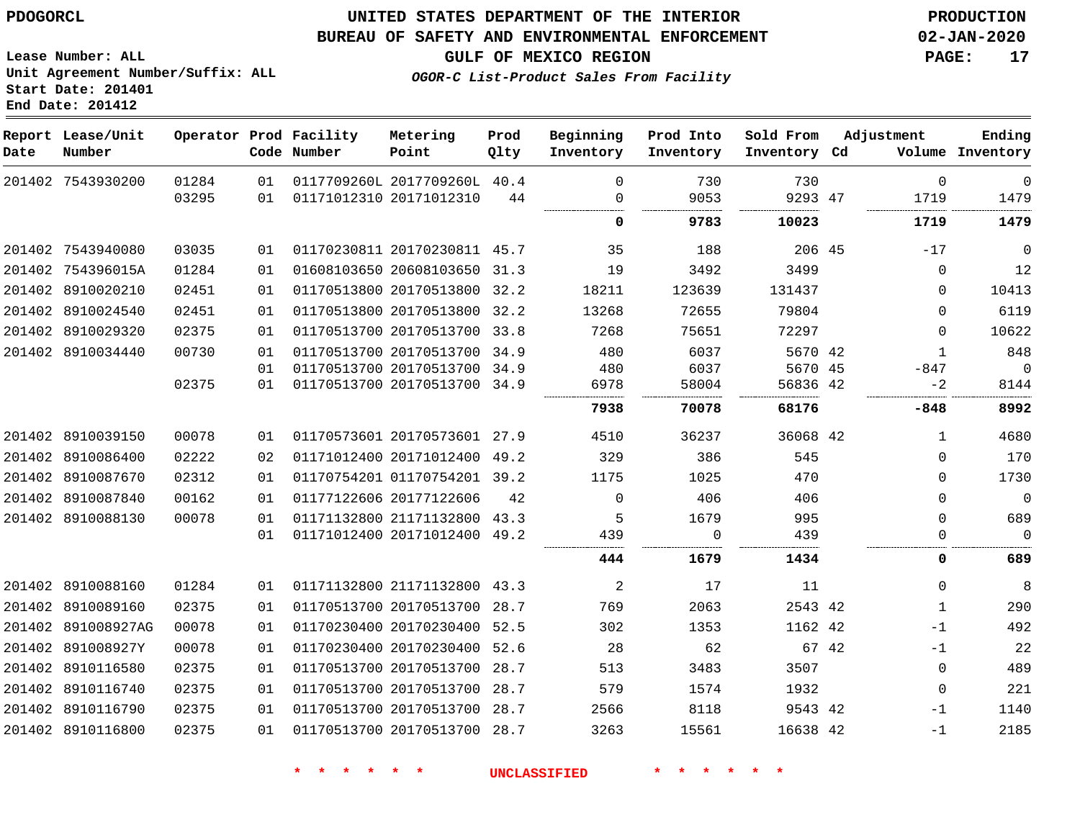#### **BUREAU OF SAFETY AND ENVIRONMENTAL ENFORCEMENT 02-JAN-2020**

**GULF OF MEXICO REGION PAGE: 17**

**Lease Number: ALL Unit Agreement Number/Suffix: ALL Start Date: 201401 End Date: 201412**

**OGOR-C List-Product Sales From Facility**

| Date | Report Lease/Unit<br>Number |       |    | Operator Prod Facility<br>Code Number | Metering<br>Point            | Prod<br>Qlty | Beginning<br>Inventory | Prod Into<br>Inventory | Sold From<br>Inventory Cd |       | Adjustment   | Ending<br>Volume Inventory |
|------|-----------------------------|-------|----|---------------------------------------|------------------------------|--------------|------------------------|------------------------|---------------------------|-------|--------------|----------------------------|
|      | 201402 7543930200           | 01284 | 01 |                                       | 0117709260L 2017709260L 40.4 |              | 0                      | 730                    | 730                       |       | $\mathbf 0$  | 0                          |
|      |                             | 03295 | 01 |                                       | 01171012310 20171012310      | 44           | 0                      | 9053                   | 9293 47                   |       | 1719         | 1479                       |
|      |                             |       |    |                                       |                              |              | 0                      | 9783                   | 10023                     |       | 1719         | 1479                       |
|      | 201402 7543940080           | 03035 | 01 |                                       | 01170230811 20170230811 45.7 |              | 35                     | 188                    | 206 45                    |       | $-17$        | $\mathbf 0$                |
|      | 201402 754396015A           | 01284 | 01 |                                       | 01608103650 20608103650 31.3 |              | 19                     | 3492                   | 3499                      |       | $\mathbf{0}$ | 12                         |
|      | 201402 8910020210           | 02451 | 01 |                                       | 01170513800 20170513800 32.2 |              | 18211                  | 123639                 | 131437                    |       | $\Omega$     | 10413                      |
|      | 201402 8910024540           | 02451 | 01 |                                       | 01170513800 20170513800 32.2 |              | 13268                  | 72655                  | 79804                     |       | $\Omega$     | 6119                       |
|      | 201402 8910029320           | 02375 | 01 |                                       | 01170513700 20170513700 33.8 |              | 7268                   | 75651                  | 72297                     |       | $\Omega$     | 10622                      |
|      | 201402 8910034440           | 00730 | 01 |                                       | 01170513700 20170513700 34.9 |              | 480                    | 6037                   | 5670 42                   |       | $\mathbf{1}$ | 848                        |
|      |                             |       | 01 |                                       | 01170513700 20170513700 34.9 |              | 480                    | 6037                   | 5670 45                   |       | $-847$       | $\mathbf 0$                |
|      |                             | 02375 | 01 |                                       | 01170513700 20170513700 34.9 |              | 6978                   | 58004                  | 56836 42                  |       | $-2$         | 8144                       |
|      |                             |       |    |                                       |                              |              | 7938                   | 70078                  | 68176                     |       | -848         | 8992                       |
|      | 201402 8910039150           | 00078 | 01 |                                       | 01170573601 20170573601 27.9 |              | 4510                   | 36237                  | 36068 42                  |       | 1            | 4680                       |
|      | 201402 8910086400           | 02222 | 02 |                                       | 01171012400 20171012400      | 49.2         | 329                    | 386                    | 545                       |       | 0            | 170                        |
|      | 201402 8910087670           | 02312 | 01 |                                       | 01170754201 01170754201 39.2 |              | 1175                   | 1025                   | 470                       |       | 0            | 1730                       |
|      | 201402 8910087840           | 00162 | 01 |                                       | 01177122606 20177122606      | 42           | $\Omega$               | 406                    | 406                       |       | 0            | $\overline{0}$             |
|      | 201402 8910088130           | 00078 | 01 |                                       | 01171132800 21171132800      | 43.3         | 5                      | 1679                   | 995                       |       | 0            | 689                        |
|      |                             |       | 01 |                                       | 01171012400 20171012400      | 49.2         | 439                    | $\Omega$               | 439                       |       | 0            | $\Omega$                   |
|      |                             |       |    |                                       |                              |              | 444                    | 1679                   | 1434                      |       | 0            | 689                        |
|      | 201402 8910088160           | 01284 | 01 |                                       | 01171132800 21171132800 43.3 |              | 2                      | 17                     | 11                        |       | $\Omega$     | 8                          |
|      | 201402 8910089160           | 02375 | 01 |                                       | 01170513700 20170513700 28.7 |              | 769                    | 2063                   | 2543 42                   |       | $\mathbf{1}$ | 290                        |
|      | 201402 891008927AG          | 00078 | 01 |                                       | 01170230400 20170230400 52.5 |              | 302                    | 1353                   | 1162 42                   |       | $-1$         | 492                        |
|      | 201402 891008927Y           | 00078 | 01 |                                       | 01170230400 20170230400      | 52.6         | 28                     | 62                     |                           | 67 42 | $-1$         | 22                         |
|      | 201402 8910116580           | 02375 | 01 |                                       | 01170513700 20170513700 28.7 |              | 513                    | 3483                   | 3507                      |       | $\mathbf{0}$ | 489                        |
|      | 201402 8910116740           | 02375 | 01 |                                       | 01170513700 20170513700 28.7 |              | 579                    | 1574                   | 1932                      |       | $\mathbf 0$  | 221                        |
|      | 201402 8910116790           | 02375 | 01 |                                       | 01170513700 20170513700 28.7 |              | 2566                   | 8118                   | 9543 42                   |       | $-1$         | 1140                       |
|      | 201402 8910116800           | 02375 | 01 |                                       | 01170513700 20170513700 28.7 |              | 3263                   | 15561                  | 16638 42                  |       | $-1$         | 2185                       |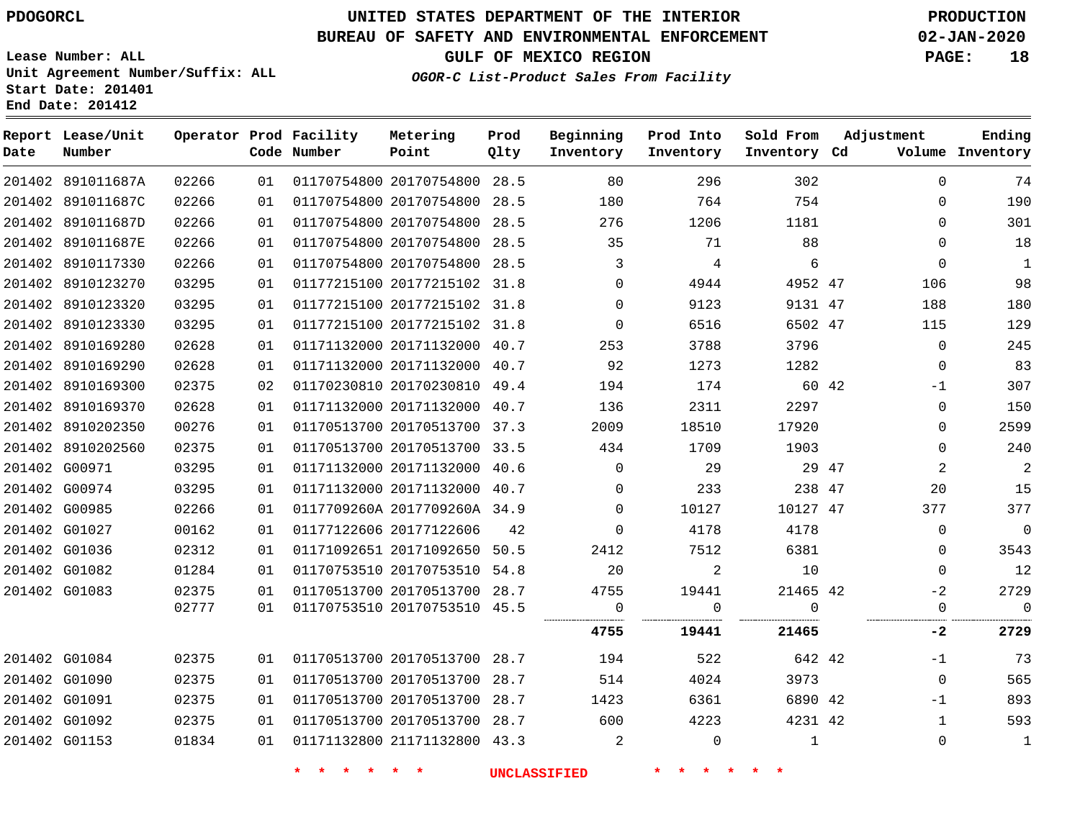#### **BUREAU OF SAFETY AND ENVIRONMENTAL ENFORCEMENT 02-JAN-2020**

**Lease Number: ALL Unit Agreement Number/Suffix: ALL Start Date: 201401**

**End Date: 201412**

 G01092 G01153     **GULF OF MEXICO REGION PAGE: 18**

**OGOR-C List-Product Sales From Facility**

  $\Omega$ 

|      | Report Lease/Unit |       |    | Operator Prod Facility<br>Code Number | Metering                     | Prod | Beginning    | Prod Into      | Sold From    | Adjustment     | Ending           |
|------|-------------------|-------|----|---------------------------------------|------------------------------|------|--------------|----------------|--------------|----------------|------------------|
| Date | Number            |       |    |                                       | Point                        | Qlty | Inventory    | Inventory      | Inventory Cd |                | Volume Inventory |
|      | 201402 891011687A | 02266 | 01 |                                       | 01170754800 20170754800      | 28.5 | 80           | 296            | 302          | $\Omega$       | 74               |
|      | 201402 891011687C | 02266 | 01 |                                       | 01170754800 20170754800 28.5 |      | 180          | 764            | 754          | 0              | 190              |
|      | 201402 891011687D | 02266 | 01 |                                       | 01170754800 20170754800      | 28.5 | 276          | 1206           | 1181         | $\Omega$       | 301              |
|      | 201402 891011687E | 02266 | 01 |                                       | 01170754800 20170754800      | 28.5 | 35           | 71             | 88           | $\Omega$       | 18               |
|      | 201402 8910117330 | 02266 | 01 |                                       | 01170754800 20170754800 28.5 |      | 3            | $\overline{4}$ | 6            | $\Omega$       | $\mathbf{1}$     |
|      | 201402 8910123270 | 03295 | 01 |                                       | 01177215100 20177215102 31.8 |      | $\mathbf{0}$ | 4944           | 4952 47      | 106            | 98               |
|      | 201402 8910123320 | 03295 | 01 |                                       | 01177215100 20177215102 31.8 |      | $\Omega$     | 9123           | 9131 47      | 188            | 180              |
|      | 201402 8910123330 | 03295 | 01 |                                       | 01177215100 20177215102 31.8 |      | $\Omega$     | 6516           | 6502 47      | 115            | 129              |
|      | 201402 8910169280 | 02628 | 01 |                                       | 01171132000 20171132000 40.7 |      | 253          | 3788           | 3796         | $\mathbf 0$    | 245              |
|      | 201402 8910169290 | 02628 | 01 |                                       | 01171132000 20171132000 40.7 |      | 92           | 1273           | 1282         | $\mathbf 0$    | 83               |
|      | 201402 8910169300 | 02375 | 02 |                                       | 01170230810 20170230810 49.4 |      | 194          | 174            | 60 42        | $-1$           | 307              |
|      | 201402 8910169370 | 02628 | 01 |                                       | 01171132000 20171132000 40.7 |      | 136          | 2311           | 2297         | 0              | 150              |
|      | 201402 8910202350 | 00276 | 01 |                                       | 01170513700 20170513700 37.3 |      | 2009         | 18510          | 17920        | $\Omega$       | 2599             |
|      | 201402 8910202560 | 02375 | 01 |                                       | 01170513700 20170513700 33.5 |      | 434          | 1709           | 1903         | $\Omega$       | 240              |
|      | 201402 G00971     | 03295 | 01 |                                       | 01171132000 20171132000 40.6 |      | $\mathbf 0$  | 29             | 29 47        | $\overline{a}$ | $\overline{c}$   |
|      | 201402 G00974     | 03295 | 01 |                                       | 01171132000 20171132000 40.7 |      | $\Omega$     | 233            | 238 47       | 20             | 15               |
|      | 201402 G00985     | 02266 | 01 |                                       | 0117709260A 2017709260A 34.9 |      | $\Omega$     | 10127          | 10127 47     | 377            | 377              |
|      | 201402 G01027     | 00162 | 01 |                                       | 01177122606 20177122606      | 42   | $\mathbf{0}$ | 4178           | 4178         | $\mathbf 0$    | $\mathbf 0$      |
|      | 201402 G01036     | 02312 | 01 |                                       | 01171092651 20171092650 50.5 |      | 2412         | 7512           | 6381         | $\Omega$       | 3543             |
|      | 201402 G01082     | 01284 | 01 |                                       | 01170753510 20170753510 54.8 |      | 20           | 2              | 10           | $\mathbf 0$    | 12               |
|      | 201402 G01083     | 02375 | 01 |                                       | 01170513700 20170513700 28.7 |      | 4755         | 19441          | 21465 42     | $-2$           | 2729             |
|      |                   | 02777 | 01 |                                       | 01170753510 20170753510 45.5 |      | 0            | 0              | $\mathbf 0$  | 0              | $\mathbf 0$      |
|      |                   |       |    |                                       |                              |      | 4755         | 19441          | 21465        | $-2$           | 2729             |
|      | 201402 G01084     | 02375 | 01 |                                       | 01170513700 20170513700 28.7 |      | 194          | 522            | 642 42       | -1             | 73               |
|      | 201402 G01090     | 02375 | 01 |                                       | 01170513700 20170513700 28.7 |      | 514          | 4024           | 3973         | $\Omega$       | 565              |
|      | 201402 G01091     | 02375 | 01 |                                       | 01170513700 20170513700 28.7 |      | 1423         | 6361           | 6890 42      | $-1$           | 893              |

**\* \* \* \* \* \* UNCLASSIFIED \* \* \* \* \* \***

 20170513700 28.7 21171132800 43.3

 

  $\Omega$  42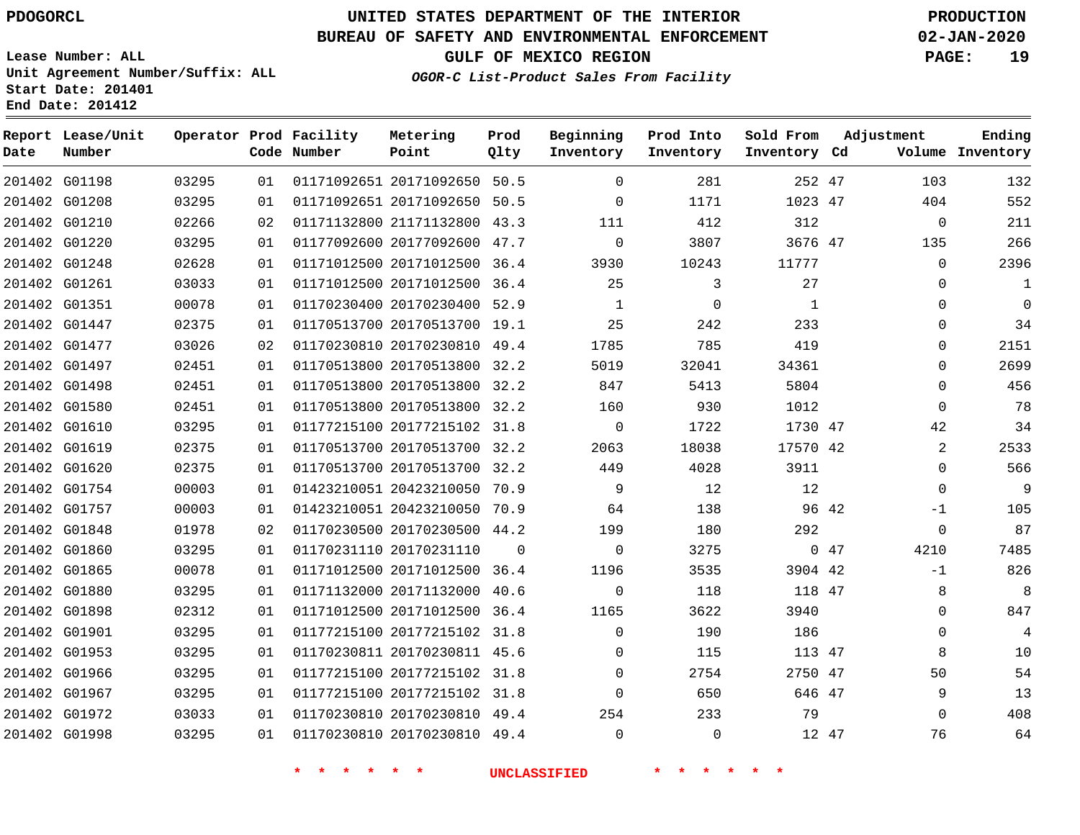### **BUREAU OF SAFETY AND ENVIRONMENTAL ENFORCEMENT 02-JAN-2020**

**Lease Number: ALL Unit Agreement Number/Suffix: ALL Start Date: 201401 End Date: 201412**

**OGOR-C List-Product Sales From Facility**

**GULF OF MEXICO REGION PAGE: 19**

| Date          | Report Lease/Unit<br>Number |       |    | Operator Prod Facility<br>Code Number | Metering<br>Point            | Prod<br>Qlty | Beginning<br>Inventory | Prod Into<br>Inventory | Sold From<br>Inventory Cd | Adjustment    | Ending<br>Volume Inventory |
|---------------|-----------------------------|-------|----|---------------------------------------|------------------------------|--------------|------------------------|------------------------|---------------------------|---------------|----------------------------|
| 201402 G01198 |                             | 03295 | 01 |                                       | 01171092651 20171092650 50.5 |              | $\Omega$               | 281                    | 252 47                    | 103           | 132                        |
| 201402 G01208 |                             | 03295 | 01 |                                       | 01171092651 20171092650 50.5 |              | $\Omega$               | 1171                   | 1023 47                   | 404           | 552                        |
| 201402 G01210 |                             | 02266 | 02 |                                       | 01171132800 21171132800 43.3 |              | 111                    | 412                    | 312                       | $\mathbf 0$   | 211                        |
| 201402 G01220 |                             | 03295 | 01 |                                       | 01177092600 20177092600 47.7 |              | $\mathbf 0$            | 3807                   | 3676 47                   | 135           | 266                        |
| 201402 G01248 |                             | 02628 | 01 |                                       | 01171012500 20171012500 36.4 |              | 3930                   | 10243                  | 11777                     | $\Omega$      | 2396                       |
| 201402 G01261 |                             | 03033 | 01 |                                       | 01171012500 20171012500 36.4 |              | 25                     | 3                      | 27                        | $\mathbf 0$   | 1                          |
| 201402 G01351 |                             | 00078 | 01 |                                       | 01170230400 20170230400 52.9 |              | 1                      | $\Omega$               | 1                         | $\Omega$      | $\mathbf 0$                |
| 201402 G01447 |                             | 02375 | 01 |                                       | 01170513700 20170513700 19.1 |              | 25                     | 242                    | 233                       | 0             | 34                         |
| 201402 G01477 |                             | 03026 | 02 |                                       | 01170230810 20170230810 49.4 |              | 1785                   | 785                    | 419                       | $\Omega$      | 2151                       |
| 201402 G01497 |                             | 02451 | 01 |                                       | 01170513800 20170513800 32.2 |              | 5019                   | 32041                  | 34361                     | 0             | 2699                       |
| 201402 G01498 |                             | 02451 | 01 |                                       | 01170513800 20170513800 32.2 |              | 847                    | 5413                   | 5804                      | $\Omega$      | 456                        |
| 201402 G01580 |                             | 02451 | 01 |                                       | 01170513800 20170513800 32.2 |              | 160                    | 930                    | 1012                      | $\Omega$      | 78                         |
| 201402 G01610 |                             | 03295 | 01 |                                       | 01177215100 20177215102 31.8 |              | $\Omega$               | 1722                   | 1730 47                   | 42            | 34                         |
| 201402 G01619 |                             | 02375 | 01 |                                       | 01170513700 20170513700 32.2 |              | 2063                   | 18038                  | 17570 42                  | 2             | 2533                       |
| 201402 G01620 |                             | 02375 | 01 |                                       | 01170513700 20170513700 32.2 |              | 449                    | 4028                   | 3911                      | $\Omega$      | 566                        |
| 201402 G01754 |                             | 00003 | 01 |                                       | 01423210051 20423210050 70.9 |              | 9                      | 12                     | 12                        | $\Omega$      | 9                          |
| 201402 G01757 |                             | 00003 | 01 |                                       | 01423210051 20423210050 70.9 |              | 64                     | 138                    |                           | 96 42<br>$-1$ | 105                        |
| 201402 G01848 |                             | 01978 | 02 |                                       | 01170230500 20170230500 44.2 |              | 199                    | 180                    | 292                       | $\mathbf{0}$  | 87                         |
| 201402 G01860 |                             | 03295 | 01 |                                       | 01170231110 20170231110      | $\Omega$     | $\mathbf 0$            | 3275                   |                           | 047<br>4210   | 7485                       |
| 201402 G01865 |                             | 00078 | 01 |                                       | 01171012500 20171012500 36.4 |              | 1196                   | 3535                   | 3904 42                   | $-1$          | 826                        |
| 201402 G01880 |                             | 03295 | 01 |                                       | 01171132000 20171132000      | 40.6         | $\mathbf 0$            | 118                    | 118 47                    | 8             | 8                          |
| 201402 G01898 |                             | 02312 | 01 |                                       | 01171012500 20171012500 36.4 |              | 1165                   | 3622                   | 3940                      | $\Omega$      | 847                        |
| 201402 G01901 |                             | 03295 | 01 |                                       | 01177215100 20177215102 31.8 |              | $\Omega$               | 190                    | 186                       | $\mathbf 0$   | $\overline{4}$             |
| 201402 G01953 |                             | 03295 | 01 |                                       | 01170230811 20170230811 45.6 |              | $\Omega$               | 115                    | 113 47                    | 8             | 10                         |
| 201402 G01966 |                             | 03295 | 01 |                                       | 01177215100 20177215102 31.8 |              | $\mathbf 0$            | 2754                   | 2750 47                   | 50            | 54                         |
| 201402 G01967 |                             | 03295 | 01 |                                       | 01177215100 20177215102 31.8 |              | $\Omega$               | 650                    | 646 47                    | 9             | 13                         |
| 201402 G01972 |                             | 03033 | 01 |                                       | 01170230810 20170230810 49.4 |              | 254                    | 233                    | 79                        | $\mathbf 0$   | 408                        |
| 201402 G01998 |                             | 03295 | 01 |                                       | 01170230810 20170230810 49.4 |              | $\Omega$               | $\Omega$               | 12 47                     | 76            | 64                         |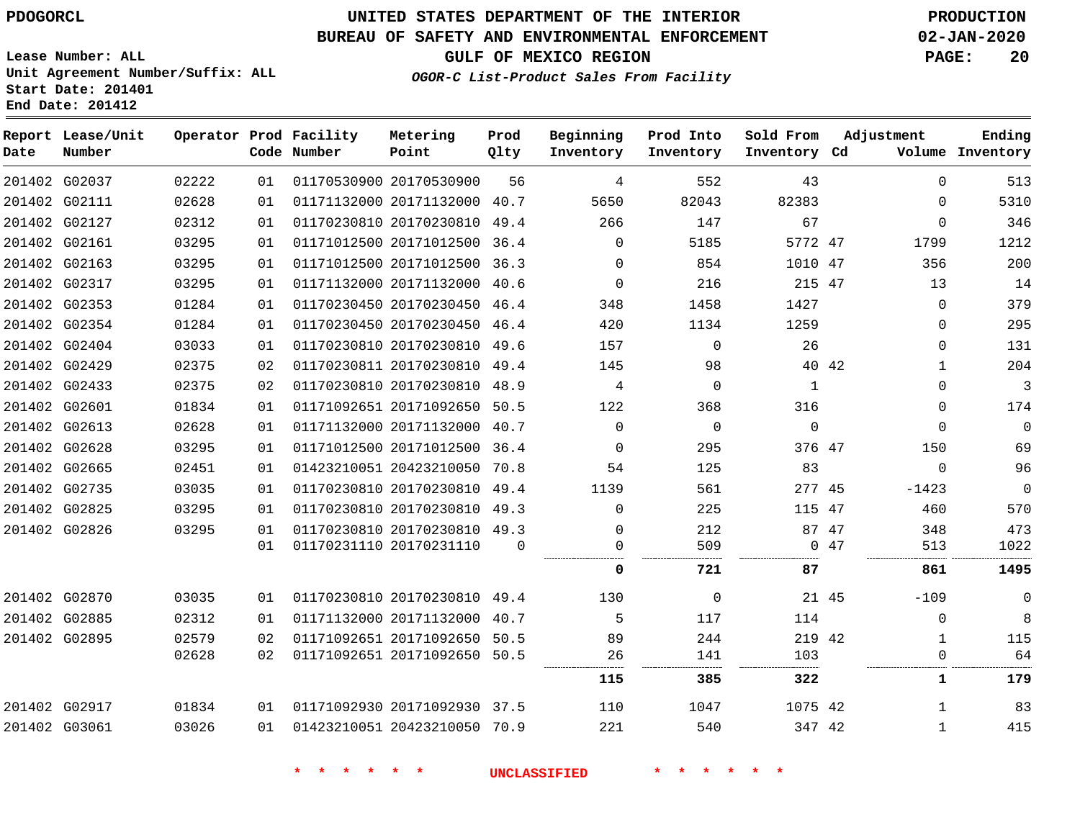**Date**

**Report Lease/Unit**

**Number**

# **UNITED STATES DEPARTMENT OF THE INTERIOR PDOGORCL PRODUCTION**

**Prod Qlty**

#### **BUREAU OF SAFETY AND ENVIRONMENTAL ENFORCEMENT 02-JAN-2020**

**Lease Number: ALL Unit Agreement Number/Suffix: ALL Start Date: 201401 End Date: 201412**

**Operator Prod Facility**

**Code Number**

**OGOR-C List-Product Sales From Facility**

**Beginning Inventory** **Prod Into Inventory** **Sold From Inventory**

**GULF OF MEXICO REGION PAGE: 20**

**Inventory Cd Volume**

**Adjustment**

> 

. . . . . . . . .

 

**Ending**

 

|               | 201402 G02037 | 02222 | 01 | 01170530900 20170530900      | 56       | 4        | 552      | 43           |       | 0            |
|---------------|---------------|-------|----|------------------------------|----------|----------|----------|--------------|-------|--------------|
|               | 201402 G02111 | 02628 | 01 | 01171132000 20171132000 40.7 |          | 5650     | 82043    | 82383        |       | $\mathbf 0$  |
| 201402 G02127 |               | 02312 | 01 | 01170230810 20170230810 49.4 |          | 266      | 147      | 67           |       | $\mathbf 0$  |
| 201402 G02161 |               | 03295 | 01 | 01171012500 20171012500      | 36.4     | $\Omega$ | 5185     | 5772 47      |       | 1799         |
| 201402 G02163 |               | 03295 | 01 | 01171012500 20171012500      | 36.3     | $\Omega$ | 854      | 1010 47      |       | 356          |
| 201402 G02317 |               | 03295 | 01 | 01171132000 20171132000      | 40.6     | $\Omega$ | 216      | 215 47       |       | 13           |
|               | 201402 G02353 | 01284 | 01 | 01170230450 20170230450 46.4 |          | 348      | 1458     | 1427         |       | $\mathbf 0$  |
|               | 201402 G02354 | 01284 | 01 | 01170230450 20170230450 46.4 |          | 420      | 1134     | 1259         |       | $\mathbf 0$  |
|               | 201402 G02404 | 03033 | 01 | 01170230810 20170230810 49.6 |          | 157      | $\Omega$ | 26           |       | $\mathbf 0$  |
| 201402 G02429 |               | 02375 | 02 | 01170230811 20170230810 49.4 |          | 145      | 98       |              | 40 42 | $1\,$        |
| 201402 G02433 |               | 02375 | 02 | 01170230810 20170230810 48.9 |          | 4        | 0        | $\mathbf{1}$ |       | $\mathbf 0$  |
| 201402 G02601 |               | 01834 | 01 | 01171092651 20171092650      | 50.5     | 122      | 368      | 316          |       | $\mathbf 0$  |
| 201402 G02613 |               | 02628 | 01 | 01171132000 20171132000 40.7 |          | $\Omega$ | $\Omega$ | $\mathbf 0$  |       | $\mathbf 0$  |
| 201402 G02628 |               | 03295 | 01 | 01171012500 20171012500      | 36.4     | $\Omega$ | 295      | 376 47       |       | 150          |
| 201402 G02665 |               | 02451 | 01 | 01423210051 20423210050      | 70.8     | 54       | 125      | 83           |       | $\mathbf 0$  |
| 201402 G02735 |               | 03035 | 01 | 01170230810 20170230810 49.4 |          | 1139     | 561      | 277 45       |       | $-1423$      |
| 201402 G02825 |               | 03295 | 01 | 01170230810 20170230810 49.3 |          | 0        | 225      | 115 47       |       | 460          |
| 201402 G02826 |               | 03295 | 01 | 01170230810 20170230810 49.3 |          | 0        | 212      |              | 87 47 | 348          |
|               |               |       | 01 | 01170231110 20170231110      | $\Omega$ | 0        | 509      |              | 0.47  | 513          |
|               |               |       |    |                              |          | 0        | 721      | 87           |       | 861          |
|               | 201402 G02870 | 03035 | 01 | 01170230810 20170230810 49.4 |          | 130      | 0        |              | 21 45 | $-109$       |
| 201402 G02885 |               | 02312 | 01 | 01171132000 20171132000 40.7 |          | 5        | 117      | 114          |       | $\mathbf 0$  |
| 201402 G02895 |               | 02579 | 02 | 01171092651 20171092650 50.5 |          | 89       | 244      | 219 42       |       | $\mathbf 1$  |
|               |               | 02628 | 02 | 01171092651 20171092650 50.5 |          | 26       | 141      | 103          |       | $\Omega$     |
|               |               |       |    |                              |          | 115      | 385      | 322          |       | 1            |
| 201402 G02917 |               | 01834 | 01 | 01171092930 20171092930 37.5 |          | 110      | 1047     | 1075 42      |       | $\mathbf{1}$ |
| 201402 G03061 |               | 03026 | 01 | 01423210051 20423210050 70.9 |          | 221      | 540      | 347 42       |       | 1            |
|               |               |       |    |                              |          |          |          |              |       |              |

**Metering Point**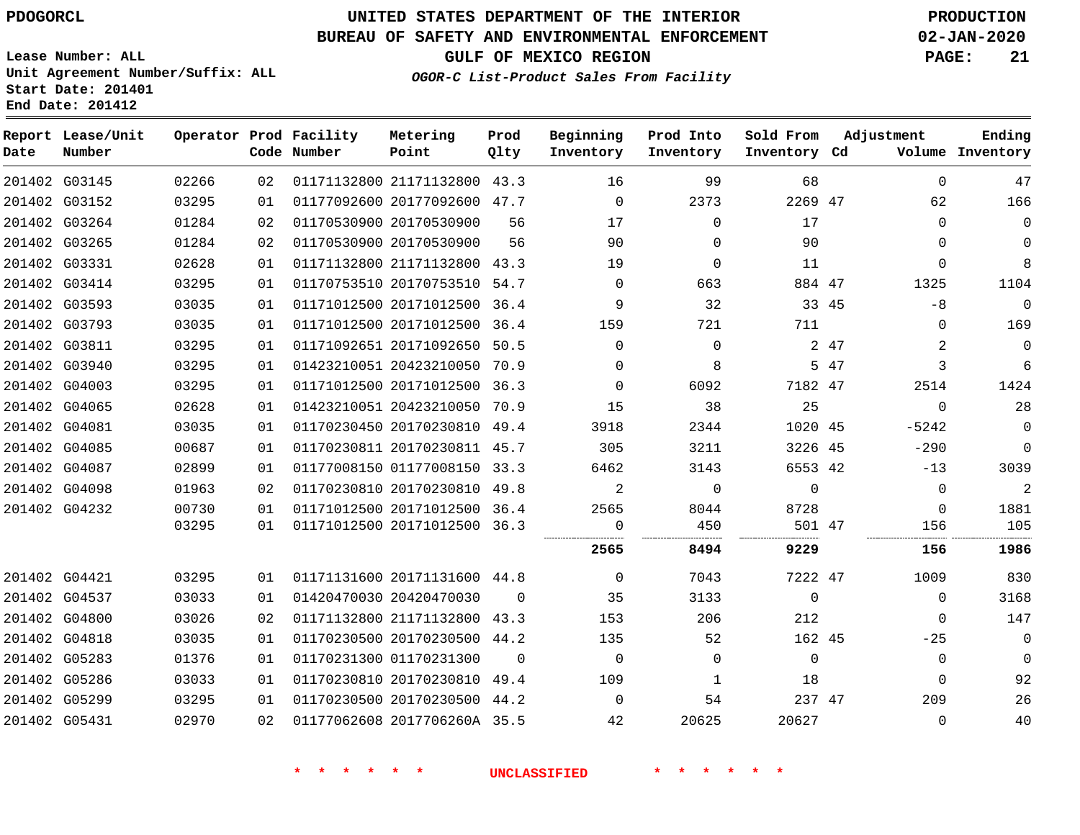# **UNITED STATES DEPARTMENT OF THE INTERIOR PDOGORCL PRODUCTION**

### **BUREAU OF SAFETY AND ENVIRONMENTAL ENFORCEMENT 02-JAN-2020**

**Lease Number: ALL Unit Agreement Number/Suffix: ALL Start Date: 201401**

**OGOR-C List-Product Sales From Facility**

**GULF OF MEXICO REGION PAGE: 21**

| Date | Report Lease/Unit<br>Number |       |    | Operator Prod Facility<br>Code Number | Metering<br>Point            | Prod<br>Qlty | Beginning<br>Inventory | Prod Into<br>Inventory | Sold From<br>Inventory Cd | Adjustment |             | Ending<br>Volume Inventory |
|------|-----------------------------|-------|----|---------------------------------------|------------------------------|--------------|------------------------|------------------------|---------------------------|------------|-------------|----------------------------|
|      | 201402 G03145               | 02266 | 02 |                                       | 01171132800 21171132800 43.3 |              | 16                     | 99                     | 68                        |            | $\Omega$    | 47                         |
|      | 201402 G03152               | 03295 | 01 |                                       | 01177092600 20177092600 47.7 |              | $\Omega$               | 2373                   | 2269 47                   |            | 62          | 166                        |
|      | 201402 G03264               | 01284 | 02 |                                       | 01170530900 20170530900      | 56           | 17                     | $\Omega$               | 17                        |            | $\Omega$    | $\mathbf 0$                |
|      | 201402 G03265               | 01284 | 02 |                                       | 01170530900 20170530900      | 56           | 90                     | $\Omega$               | 90                        |            | $\Omega$    | $\mathbf 0$                |
|      | 201402 G03331               | 02628 | 01 |                                       | 01171132800 21171132800 43.3 |              | 19                     | $\Omega$               | 11                        |            | $\Omega$    | 8                          |
|      | 201402 G03414               | 03295 | 01 |                                       | 01170753510 20170753510 54.7 |              | $\Omega$               | 663                    | 884 47                    |            | 1325        | 1104                       |
|      | 201402 G03593               | 03035 | 01 |                                       | 01171012500 20171012500 36.4 |              | 9                      | 32                     | 33 45                     |            | -8          | $\mathbf 0$                |
|      | 201402 G03793               | 03035 | 01 |                                       | 01171012500 20171012500 36.4 |              | 159                    | 721                    | 711                       |            | $\Omega$    | 169                        |
|      | 201402 G03811               | 03295 | 01 |                                       | 01171092651 20171092650 50.5 |              | $\Omega$               | $\Omega$               |                           | 2 47       | 2           | $\mathsf 0$                |
|      | 201402 G03940               | 03295 | 01 |                                       | 01423210051 20423210050 70.9 |              | $\mathbf 0$            | 8                      |                           | 5 47       | 3           | 6                          |
|      | 201402 G04003               | 03295 | 01 |                                       | 01171012500 20171012500 36.3 |              | 0                      | 6092                   | 7182 47                   |            | 2514        | 1424                       |
|      | 201402 G04065               | 02628 | 01 |                                       | 01423210051 20423210050 70.9 |              | 15                     | 38                     | 25                        |            | $\Omega$    | 28                         |
|      | 201402 G04081               | 03035 | 01 |                                       | 01170230450 20170230810 49.4 |              | 3918                   | 2344                   | 1020 45                   |            | $-5242$     | $\mathbf 0$                |
|      | 201402 G04085               | 00687 | 01 |                                       | 01170230811 20170230811 45.7 |              | 305                    | 3211                   | 3226 45                   |            | $-290$      | $\mathbf 0$                |
|      | 201402 G04087               | 02899 | 01 |                                       | 01177008150 01177008150 33.3 |              | 6462                   | 3143                   | 6553 42                   |            | $-13$       | 3039                       |
|      | 201402 G04098               | 01963 | 02 |                                       | 01170230810 20170230810 49.8 |              | 2                      | $\Omega$               | $\Omega$                  |            | $\Omega$    | 2                          |
|      | 201402 G04232               | 00730 | 01 |                                       | 01171012500 20171012500 36.4 |              | 2565                   | 8044                   | 8728                      |            | $\Omega$    | 1881                       |
|      |                             | 03295 | 01 |                                       | 01171012500 20171012500 36.3 |              | 0                      | 450                    | 501 47                    |            | 156         | 105                        |
|      |                             |       |    |                                       |                              |              | 2565                   | 8494                   | 9229                      |            | 156         | 1986                       |
|      | 201402 G04421               | 03295 | 01 |                                       | 01171131600 20171131600 44.8 |              | $\overline{0}$         | 7043                   | 7222 47                   |            | 1009        | 830                        |
|      | 201402 G04537               | 03033 | 01 |                                       | 01420470030 20420470030      | $\Omega$     | 35                     | 3133                   | $\Omega$                  |            | $\Omega$    | 3168                       |
|      | 201402 G04800               | 03026 | 02 |                                       | 01171132800 21171132800 43.3 |              | 153                    | 206                    | 212                       |            | $\Omega$    | 147                        |
|      | 201402 G04818               | 03035 | 01 |                                       | 01170230500 20170230500 44.2 |              | 135                    | 52                     | 162 45                    |            | $-25$       | $\mathbf 0$                |
|      | 201402 G05283               | 01376 | 01 |                                       | 01170231300 01170231300      | $\Omega$     | $\Omega$               | $\Omega$               | $\Omega$                  |            | $\mathbf 0$ | $\mathbf 0$                |
|      | 201402 G05286               | 03033 | 01 |                                       | 01170230810 20170230810 49.4 |              | 109                    | 1                      | 18                        |            | $\Omega$    | 92                         |
|      | 201402 G05299               | 03295 | 01 |                                       | 01170230500 20170230500 44.2 |              | $\Omega$               | 54                     | 237 47                    |            | 209         | 26                         |
|      | 201402 G05431               | 02970 | 02 |                                       | 01177062608 2017706260A 35.5 |              | 42                     | 20625                  | 20627                     |            | 0           | 40                         |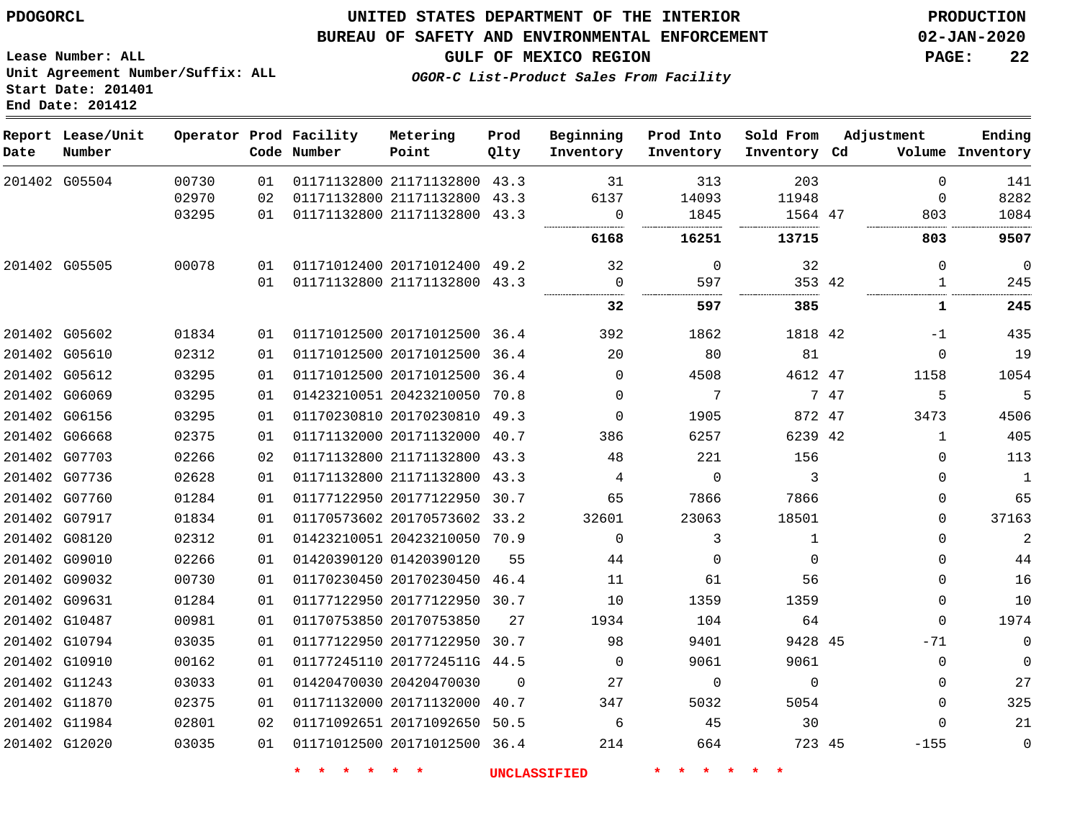#### **BUREAU OF SAFETY AND ENVIRONMENTAL ENFORCEMENT 02-JAN-2020**

**Lease Number: ALL Unit Agreement Number/Suffix: ALL Start Date: 201401 End Date: 201412**

**OGOR-C List-Product Sales From Facility**

**GULF OF MEXICO REGION PAGE: 22**

| Date | Report Lease/Unit<br>Number |       |    | Operator Prod Facility<br>Code Number | Metering<br>Point            | Prod<br>Qlty | Beginning<br>Inventory | Prod Into<br>Inventory | Sold From<br>Inventory Cd |      | Adjustment  | Ending<br>Volume Inventory |
|------|-----------------------------|-------|----|---------------------------------------|------------------------------|--------------|------------------------|------------------------|---------------------------|------|-------------|----------------------------|
|      | 201402 G05504               | 00730 | 01 |                                       | 01171132800 21171132800 43.3 |              | 31                     | 313                    | 203                       |      | $\mathbf 0$ | 141                        |
|      |                             | 02970 | 02 |                                       | 01171132800 21171132800      | 43.3         | 6137                   | 14093                  | 11948                     |      | 0           | 8282                       |
|      |                             | 03295 | 01 |                                       | 01171132800 21171132800 43.3 |              | 0                      | 1845                   | 1564 47                   |      | 803         | 1084                       |
|      |                             |       |    |                                       |                              |              | 6168                   | 16251                  | 13715                     |      | 803         | 9507                       |
|      | 201402 G05505               | 00078 | 01 |                                       | 01171012400 20171012400 49.2 |              | 32                     | $\mathbf 0$            | 32                        |      | $\mathbf 0$ | $\mathbf 0$                |
|      |                             |       | 01 |                                       | 01171132800 21171132800 43.3 |              | $\overline{0}$         | 597                    | 353 42                    |      | 1           | 245                        |
|      |                             |       |    |                                       |                              |              | 32                     | 597                    | 385                       |      | 1           | 245                        |
|      | 201402 G05602               | 01834 | 01 |                                       | 01171012500 20171012500 36.4 |              | 392                    | 1862                   | 1818 42                   |      | $-1$        | 435                        |
|      | 201402 G05610               | 02312 | 01 |                                       | 01171012500 20171012500      | 36.4         | 20                     | 80                     | 81                        |      | $\Omega$    | 19                         |
|      | 201402 G05612               | 03295 | 01 |                                       | 01171012500 20171012500 36.4 |              | $\mathbf 0$            | 4508                   | 4612 47                   |      | 1158        | 1054                       |
|      | 201402 G06069               | 03295 | 01 |                                       | 01423210051 20423210050      | 70.8         | $\mathbf 0$            | 7                      |                           | 7 47 | 5           | 5                          |
|      | 201402 G06156               | 03295 | 01 |                                       | 01170230810 20170230810 49.3 |              | $\Omega$               | 1905                   | 872 47                    |      | 3473        | 4506                       |
|      | 201402 G06668               | 02375 | 01 |                                       | 01171132000 20171132000 40.7 |              | 386                    | 6257                   | 6239 42                   |      | 1           | 405                        |
|      | 201402 G07703               | 02266 | 02 |                                       | 01171132800 21171132800      | 43.3         | 48                     | 221                    | 156                       |      | $\mathbf 0$ | 113                        |
|      | 201402 G07736               | 02628 | 01 |                                       | 01171132800 21171132800 43.3 |              | 4                      | 0                      | 3                         |      | 0           | $\mathbf{1}$               |
|      | 201402 G07760               | 01284 | 01 |                                       | 01177122950 20177122950      | 30.7         | 65                     | 7866                   | 7866                      |      | $\Omega$    | 65                         |
|      | 201402 G07917               | 01834 | 01 |                                       | 01170573602 20170573602 33.2 |              | 32601                  | 23063                  | 18501                     |      | $\Omega$    | 37163                      |
|      | 201402 G08120               | 02312 | 01 |                                       | 01423210051 20423210050 70.9 |              | $\Omega$               | 3                      | $\mathbf{1}$              |      | $\Omega$    | $\overline{2}$             |
|      | 201402 G09010               | 02266 | 01 |                                       | 01420390120 01420390120      | 55           | 44                     | 0                      | $\mathbf 0$               |      | 0           | 44                         |
|      | 201402 G09032               | 00730 | 01 |                                       | 01170230450 20170230450 46.4 |              | 11                     | 61                     | 56                        |      | $\Omega$    | 16                         |
|      | 201402 G09631               | 01284 | 01 |                                       | 01177122950 20177122950 30.7 |              | 10                     | 1359                   | 1359                      |      | 0           | 10                         |
|      | 201402 G10487               | 00981 | 01 |                                       | 01170753850 20170753850      | 27           | 1934                   | 104                    | 64                        |      | $\Omega$    | 1974                       |
|      | 201402 G10794               | 03035 | 01 |                                       | 01177122950 20177122950      | 30.7         | 98                     | 9401                   | 9428 45                   |      | $-71$       | $\mathbf 0$                |
|      | 201402 G10910               | 00162 | 01 |                                       | 01177245110 2017724511G 44.5 |              | $\mathbf{0}$           | 9061                   | 9061                      |      | 0           | 0                          |
|      | 201402 G11243               | 03033 | 01 |                                       | 01420470030 20420470030      | $\Omega$     | 27                     | 0                      | $\Omega$                  |      | $\Omega$    | 27                         |
|      | 201402 G11870               | 02375 | 01 |                                       | 01171132000 20171132000      | 40.7         | 347                    | 5032                   | 5054                      |      | $\Omega$    | 325                        |
|      | 201402 G11984               | 02801 | 02 |                                       | 01171092651 20171092650 50.5 |              | 6                      | 45                     | 30                        |      | $\Omega$    | 21                         |
|      | 201402 G12020               | 03035 | 01 |                                       | 01171012500 20171012500 36.4 |              | 214                    | 664                    | 723 45                    |      | $-155$      | $\mathbf 0$                |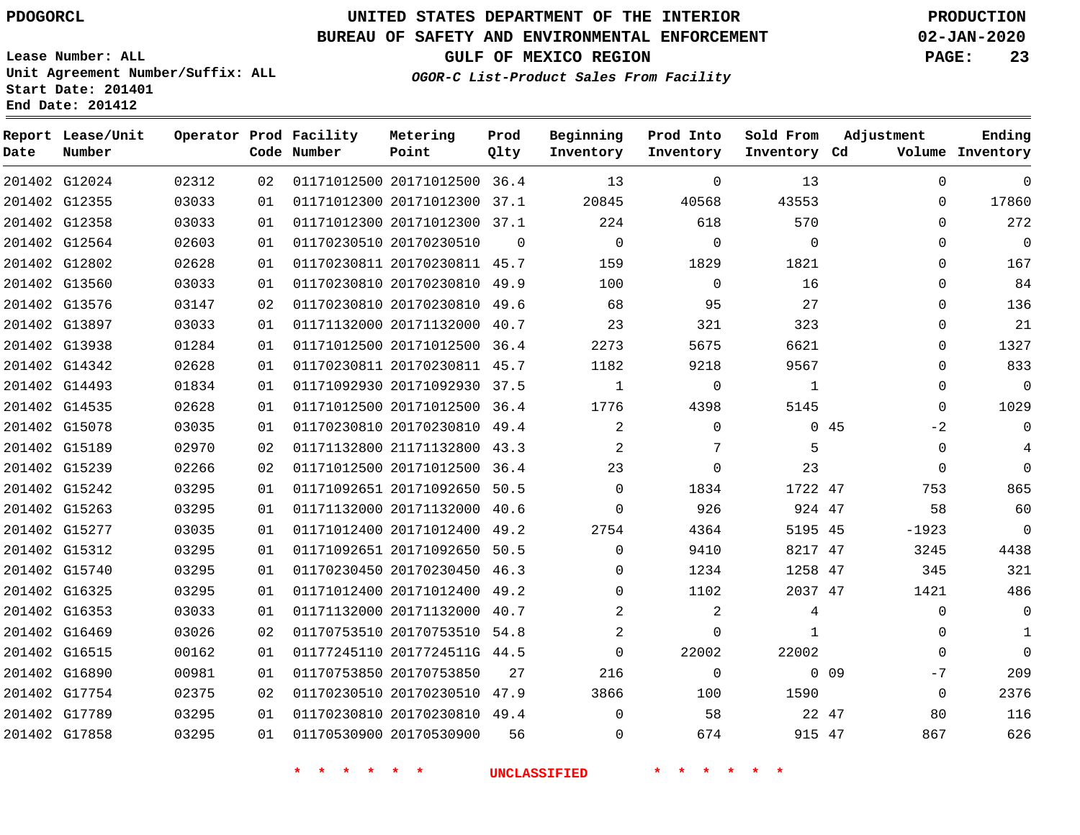### **BUREAU OF SAFETY AND ENVIRONMENTAL ENFORCEMENT 02-JAN-2020**

**Lease Number: ALL Unit Agreement Number/Suffix: ALL Start Date: 2014 End Date: 201412**

**OGOR-C List-Product Sales From Facility**

**GULF OF MEXICO REGION PAGE: 23**

| 401                      |  |  |  |
|--------------------------|--|--|--|
| $\overline{\phantom{0}}$ |  |  |  |

| Date | Report Lease/Unit<br>Number |       |    | Operator Prod Facility<br>Code Number | Metering<br>Point            | Prod<br>Qlty | Beginning<br>Inventory | Prod Into<br>Inventory | Sold From<br>Inventory Cd | Adjustment              | Ending<br>Volume Inventory |
|------|-----------------------------|-------|----|---------------------------------------|------------------------------|--------------|------------------------|------------------------|---------------------------|-------------------------|----------------------------|
|      | 201402 G12024               | 02312 | 02 |                                       | 01171012500 20171012500 36.4 |              | 13                     | $\Omega$               | 13                        | $\Omega$                | $\Omega$                   |
|      | 201402 G12355               | 03033 | 01 |                                       | 01171012300 20171012300 37.1 |              | 20845                  | 40568                  | 43553                     | $\Omega$                | 17860                      |
|      | 201402 G12358               | 03033 | 01 |                                       | 01171012300 20171012300 37.1 |              | 224                    | 618                    | 570                       | $\Omega$                | 272                        |
|      | 201402 G12564               | 02603 | 01 |                                       | 01170230510 20170230510      | $\Omega$     | $\Omega$               | $\Omega$               | $\Omega$                  | $\Omega$                | $\Omega$                   |
|      | 201402 G12802               | 02628 | 01 |                                       | 01170230811 20170230811 45.7 |              | 159                    | 1829                   | 1821                      | $\Omega$                | 167                        |
|      | 201402 G13560               | 03033 | 01 |                                       | 01170230810 20170230810 49.9 |              | 100                    | $\mathbf 0$            | 16                        | $\mathbf 0$             | 84                         |
|      | 201402 G13576               | 03147 | 02 |                                       | 01170230810 20170230810      | 49.6         | 68                     | 95                     | 27                        | $\Omega$                | 136                        |
|      | 201402 G13897               | 03033 | 01 |                                       | 01171132000 20171132000 40.7 |              | 23                     | 321                    | 323                       | $\Omega$                | 21                         |
|      | 201402 G13938               | 01284 | 01 |                                       | 01171012500 20171012500 36.4 |              | 2273                   | 5675                   | 6621                      | $\Omega$                | 1327                       |
|      | 201402 G14342               | 02628 | 01 |                                       | 01170230811 20170230811 45.7 |              | 1182                   | 9218                   | 9567                      | $\Omega$                | 833                        |
|      | 201402 G14493               | 01834 | 01 |                                       | 01171092930 20171092930 37.5 |              | 1                      | $\mathbf 0$            | 1                         | 0                       | $\overline{0}$             |
|      | 201402 G14535               | 02628 | 01 |                                       | 01171012500 20171012500 36.4 |              | 1776                   | 4398                   | 5145                      | $\Omega$                | 1029                       |
|      | 201402 G15078               | 03035 | 01 |                                       | 01170230810 20170230810 49.4 |              | 2                      | $\Omega$               |                           | 045<br>-2               | $\mathbf 0$                |
|      | 201402 G15189               | 02970 | 02 |                                       | 01171132800 21171132800 43.3 |              | $\overline{a}$         | 7                      | 5                         | $\mathbf 0$             | 4                          |
|      | 201402 G15239               | 02266 | 02 |                                       | 01171012500 20171012500 36.4 |              | 23                     | $\Omega$               | 23                        | $\Omega$                | $\Omega$                   |
|      | 201402 G15242               | 03295 | 01 |                                       | 01171092651 20171092650 50.5 |              | $\Omega$               | 1834                   | 1722 47                   | 753                     | 865                        |
|      | 201402 G15263               | 03295 | 01 |                                       | 01171132000 20171132000 40.6 |              | $\Omega$               | 926                    | 924 47                    | 58                      | 60                         |
|      | 201402 G15277               | 03035 | 01 |                                       | 01171012400 20171012400 49.2 |              | 2754                   | 4364                   | 5195 45                   | $-1923$                 | $\Omega$                   |
|      | 201402 G15312               | 03295 | 01 |                                       | 01171092651 20171092650 50.5 |              | $\Omega$               | 9410                   | 8217 47                   | 3245                    | 4438                       |
|      | 201402 G15740               | 03295 | 01 |                                       | 01170230450 20170230450 46.3 |              | $\Omega$               | 1234                   | 1258 47                   | 345                     | 321                        |
|      | 201402 G16325               | 03295 | 01 |                                       | 01171012400 20171012400 49.2 |              | 0                      | 1102                   | 2037 47                   | 1421                    | 486                        |
|      | 201402 G16353               | 03033 | 01 |                                       | 01171132000 20171132000 40.7 |              | 2                      | 2                      | 4                         | $\Omega$                | $\mathbf 0$                |
|      | 201402 G16469               | 03026 | 02 |                                       | 01170753510 20170753510 54.8 |              | 2                      | $\Omega$               | $\mathbf{1}$              | $\Omega$                | 1                          |
|      | 201402 G16515               | 00162 | 01 |                                       | 01177245110 2017724511G 44.5 |              | $\mathbf 0$            | 22002                  | 22002                     | $\Omega$                | $\mathsf{O}$               |
|      | 201402 G16890               | 00981 | 01 |                                       | 01170753850 20170753850      | 27           | 216                    | $\mathbf 0$            |                           | 0 <sub>09</sub><br>$-7$ | 209                        |
|      | 201402 G17754               | 02375 | 02 |                                       | 01170230510 20170230510 47.9 |              | 3866                   | 100                    | 1590                      | $\Omega$                | 2376                       |
|      | 201402 G17789               | 03295 | 01 |                                       | 01170230810 20170230810 49.4 |              | $\mathbf 0$            | 58                     | 22 47                     | 80                      | 116                        |
|      | 201402 G17858               | 03295 | 01 |                                       | 01170530900 20170530900      | 56           | $\mathbf 0$            | 674                    | 915 47                    | 867                     | 626                        |
|      |                             |       |    |                                       |                              |              |                        |                        |                           |                         |                            |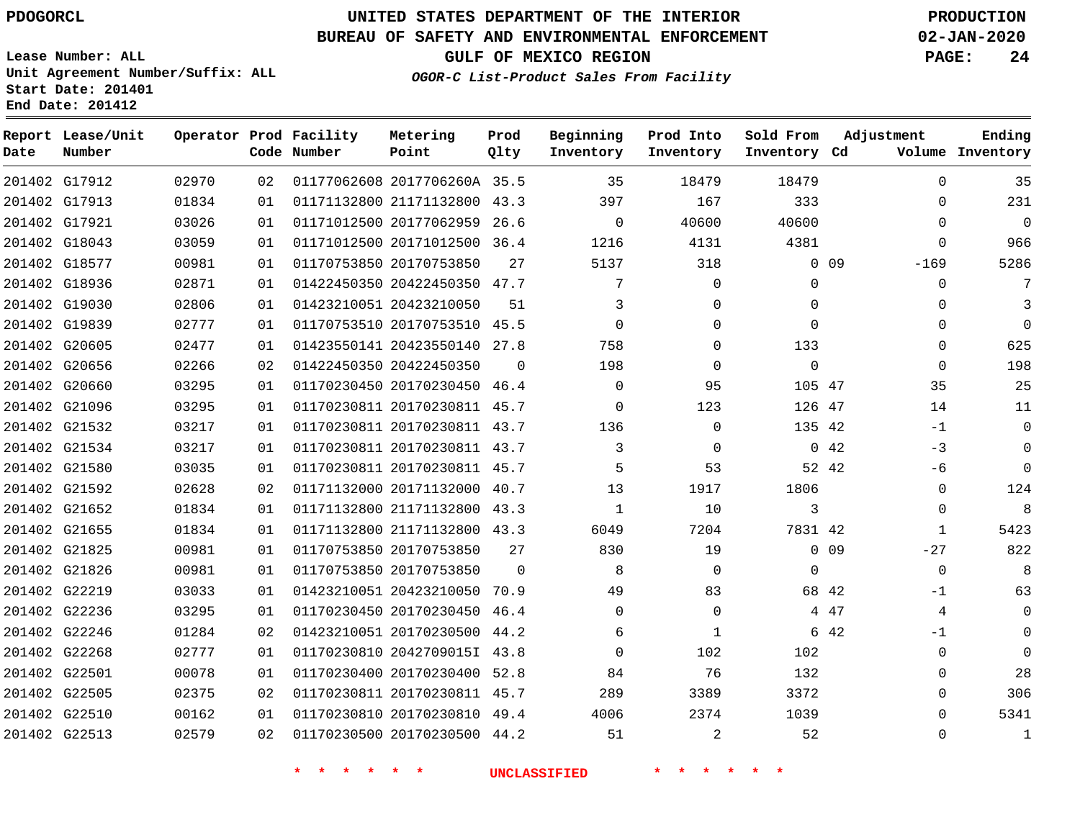**Date**

**Report Lease/Unit**

**Number**

### **UNITED STATES DEPARTMENT OF THE INTERIOR PDOGORCL PRODUCTION**

**Prod Qlty**

#### **BUREAU OF SAFETY AND ENVIRONMENTAL ENFORCEMENT 02-JAN-2020**

**Lease Number: ALL Unit Agreement Number/Suffix: ALL Start Date: 201401 End Date: 201412**

**Operator Prod Facility**

**Code Number**

**Metering Point**

**OGOR-C List-Product Sales From Facility**

**Beginning Inventory**

**Prod Into Inventory**

**Sold From Inventory**

**Inventory Cd Volume**

**Adjustment**

  $\Omega$  $\Omega$  -169  $\Omega$  $\Omega$  $\Omega$  $\Omega$  $\Omega$  -1 -3 -6  $\overline{0}$  $\Omega$   $-27$  $\Omega$ -1 -1  $\Omega$   $\Omega$ 

**GULF OF MEXICO REGION PAGE: 24**

**Ending**

| 201402 G17912 | 02970 | 02 |                         | 01177062608 2017706260A 35.5 35  |                |                | 18479          | 18479          |                 |
|---------------|-------|----|-------------------------|----------------------------------|----------------|----------------|----------------|----------------|-----------------|
| 201402 G17913 | 01834 | 01 |                         | 01171132800 21171132800 43.3     |                | 397            | 167            | 333            |                 |
| 201402 G17921 | 03026 | 01 |                         | 01171012500 20177062959 26.6     |                | $\overline{0}$ | 40600          | 40600          |                 |
| 201402 G18043 | 03059 | 01 |                         | 01171012500 20171012500 36.4     |                | 1216           | 4131           | 4381           |                 |
| 201402 G18577 | 00981 | 01 | 01170753850 20170753850 |                                  | 27             | 5137           | 318            |                | 0 <sub>09</sub> |
| 201402 G18936 | 02871 | 01 |                         | 01422450350 20422450350 47.7     |                | 7              | $\Omega$       | $\mathbf 0$    |                 |
| 201402 G19030 | 02806 | 01 | 01423210051 20423210050 |                                  | 51             | $\mathbf{3}$   | $\Omega$       | $\Omega$       |                 |
| 201402 G19839 | 02777 | 01 |                         | 01170753510 20170753510 45.5     |                | $\overline{0}$ | $\Omega$       | $\Omega$       |                 |
| 201402 G20605 | 02477 | 01 |                         | 01423550141 20423550140 27.8     |                | 758            | $\Omega$       | 133            |                 |
| 201402 G20656 | 02266 | 02 | 01422450350 20422450350 |                                  | $\Omega$       | 198            | $\overline{0}$ | $\overline{0}$ |                 |
| 201402 G20660 | 03295 | 01 |                         | 01170230450 20170230450 46.4     |                | $\overline{0}$ | 95             | 105 47         |                 |
| 201402 G21096 | 03295 | 01 |                         | 01170230811 20170230811 45.7     |                | $\overline{0}$ | 123            | 126 47         |                 |
| 201402 G21532 | 03217 | 01 |                         | 01170230811 20170230811 43.7 136 |                |                | $\Omega$       | 135 42         |                 |
| 201402 G21534 | 03217 | 01 |                         | 01170230811 20170230811 43.7     |                | $\overline{3}$ | $\overline{0}$ | $0\quad 42$    |                 |
| 201402 G21580 | 03035 | 01 |                         | 01170230811 20170230811 45.7     |                | 5 <sup>5</sup> | 53             | 52 42          |                 |
| 201402 G21592 | 02628 | 02 |                         | 01171132000 20171132000 40.7     |                | 13             | 1917           | 1806           |                 |
| 201402 G21652 | 01834 | 01 |                         | 01171132800 21171132800 43.3     |                | $\mathbf{1}$   | 10             | 3              |                 |
| 201402 G21655 | 01834 | 01 |                         | 01171132800 21171132800 43.3     |                | 6049           | 7204           | 7831 42        |                 |
| 201402 G21825 | 00981 | 01 |                         | 01170753850 20170753850          | 27             | 830            | 19             |                | $0\quad09$      |
| 201402 G21826 | 00981 | 01 |                         | 01170753850 20170753850          | $\overline{0}$ | 8 <sup>8</sup> | $\overline{0}$ | $\overline{0}$ |                 |
| 201402 G22219 | 03033 | 01 |                         | 01423210051 20423210050 70.9     |                | 49             | 83             | 68 42          |                 |
| 201402 G22236 | 03295 | 01 |                         | 01170230450 20170230450 46.4     |                | $\overline{0}$ | $\Omega$       |                | 4 47            |
| 201402 G22246 | 01284 | 02 |                         | 01423210051 20170230500 44.2     |                | 6              | 1              |                | 6 42            |
| 201402 G22268 | 02777 | 01 |                         | 01170230810 20427090151 43.8     |                | $\overline{0}$ | 102            | 102            |                 |
| 201402 G22501 | 00078 | 01 |                         | 01170230400 20170230400 52.8     |                | 84             | 76             | 132            |                 |
| 201402 G22505 | 02375 | 02 |                         | 01170230811 20170230811 45.7     |                | 289            | 3389           | 3372           |                 |
| 201402 G22510 | 00162 | 01 |                         | 01170230810 20170230810 49.4     |                | 4006           | 2374           | 1039           |                 |
| 201402 G22513 | 02579 | 02 |                         | 01170230500 20170230500 44.2     |                | 51             | $\overline{2}$ | 52             |                 |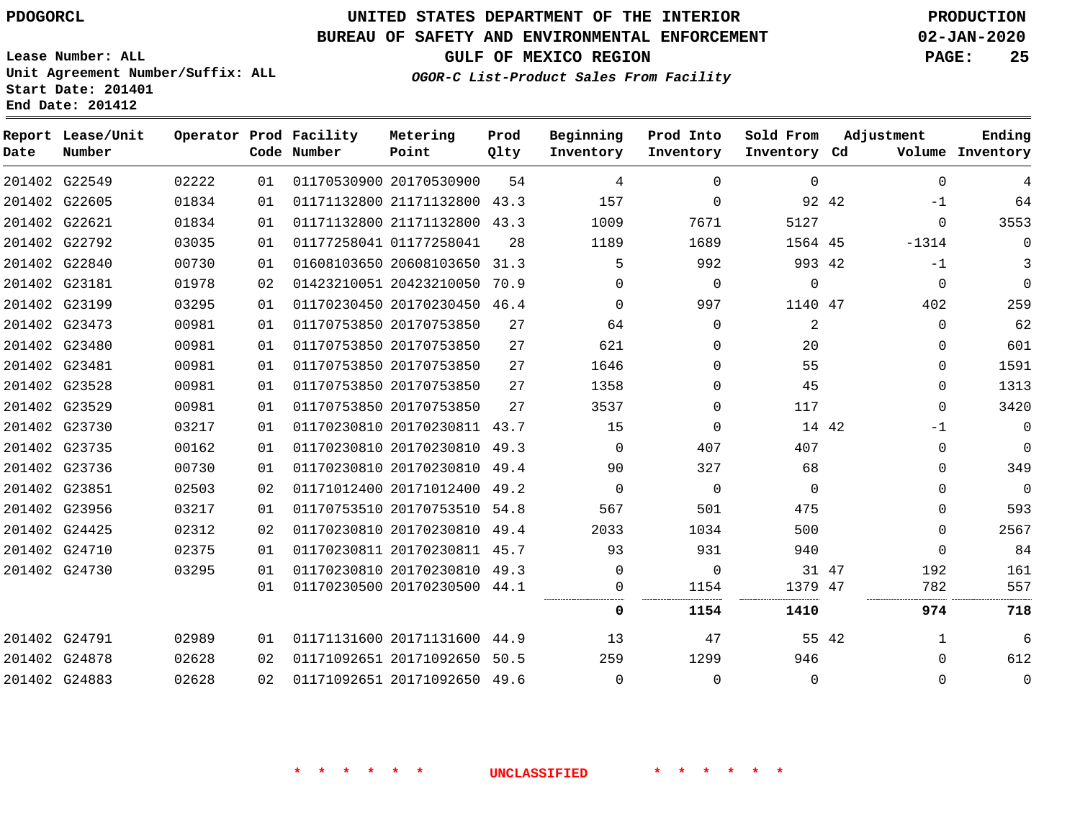## **UNITED STATES DEPARTMENT OF THE INTERIOR PDOGORCL PRODUCTION**

#### **BUREAU OF SAFETY AND ENVIRONMENTAL ENFORCEMENT 02-JAN-2020**

**Lease Number: ALL Unit Agreement Number/Suffix: ALL Start Date: 201401**

**OGOR-C List-Product Sales From Facility**

**GULF OF MEXICO REGION PAGE: 25**

**Metering Prod Beginning Prod Into**

|      | Report Lease/Unit |       |    | Operator Prod Facility | Metering                     | Prod | Beginning | Prod Into | Sold From    |       | Adjustment  | Ending           |
|------|-------------------|-------|----|------------------------|------------------------------|------|-----------|-----------|--------------|-------|-------------|------------------|
| Date | Number            |       |    | Code Number            | Point                        | Qlty | Inventory | Inventory | Inventory Cd |       |             | Volume Inventory |
|      | 201402 G22549     | 02222 | 01 |                        | 01170530900 20170530900      | 54   | 4         | $\Omega$  | $\Omega$     |       | $\mathbf 0$ | 4                |
|      | 201402 G22605     | 01834 | 01 |                        | 01171132800 21171132800 43.3 |      | 157       | $\Omega$  |              | 92 42 | $-1$        | 64               |
|      | 201402 G22621     | 01834 | 01 |                        | 01171132800 21171132800 43.3 |      | 1009      | 7671      | 5127         |       | $\Omega$    | 3553             |
|      | 201402 G22792     | 03035 | 01 |                        | 01177258041 01177258041      | 28   | 1189      | 1689      | 1564 45      |       | $-1314$     | $\Omega$         |
|      | 201402 G22840     | 00730 | 01 |                        | 01608103650 20608103650 31.3 |      | 5         | 992       | 993 42       |       | $-1$        | 3                |
|      | 201402 G23181     | 01978 | 02 |                        | 01423210051 20423210050      | 70.9 | $\Omega$  | $\Omega$  | $\Omega$     |       | $\mathbf 0$ | $\mathbf 0$      |
|      | 201402 G23199     | 03295 | 01 |                        | 01170230450 20170230450 46.4 |      | $\Omega$  | 997       | 1140 47      |       | 402         | 259              |
|      | 201402 G23473     | 00981 | 01 |                        | 01170753850 20170753850      | 27   | 64        | $\Omega$  | 2            |       | $\Omega$    | 62               |
|      | 201402 G23480     | 00981 | 01 |                        | 01170753850 20170753850      | 27   | 621       | $\Omega$  | 20           |       | 0           | 601              |
|      | 201402 G23481     | 00981 | 01 |                        | 01170753850 20170753850      | 27   | 1646      | $\Omega$  | 55           |       | $\Omega$    | 1591             |
|      | 201402 G23528     | 00981 | 01 |                        | 01170753850 20170753850      | 27   | 1358      | 0         | 45           |       | $\Omega$    | 1313             |
|      | 201402 G23529     | 00981 | 01 |                        | 01170753850 20170753850      | 27   | 3537      | $\Omega$  | 117          |       | 0           | 3420             |
|      | 201402 G23730     | 03217 | 01 |                        | 01170230810 20170230811 43.7 |      | 15        | 0         |              | 14 42 | $-1$        | $\mathbf 0$      |
|      | 201402 G23735     | 00162 | 01 |                        | 01170230810 20170230810 49.3 |      | $\Omega$  | 407       | 407          |       | $\Omega$    | $\mathbf 0$      |
|      | 201402 G23736     | 00730 | 01 |                        | 01170230810 20170230810 49.4 |      | 90        | 327       | 68           |       | 0           | 349              |
|      | 201402 G23851     | 02503 | 02 |                        | 01171012400 20171012400      | 49.2 | $\Omega$  | $\Omega$  | $\Omega$     |       | $\Omega$    | $\mathbf 0$      |
|      | 201402 G23956     | 03217 | 01 |                        | 01170753510 20170753510 54.8 |      | 567       | 501       | 475          |       | $\Omega$    | 593              |
|      | 201402 G24425     | 02312 | 02 |                        | 01170230810 20170230810      | 49.4 | 2033      | 1034      | 500          |       | $\Omega$    | 2567             |
|      | 201402 G24710     | 02375 | 01 |                        | 01170230811 20170230811 45.7 |      | 93        | 931       | 940          |       | $\Omega$    | 84               |
|      | 201402 G24730     | 03295 | 01 |                        | 01170230810 20170230810 49.3 |      | $\Omega$  | $\Omega$  |              | 31 47 | 192         | 161              |
|      |                   |       | 01 |                        | 01170230500 20170230500 44.1 |      | 0         | 1154      | 1379 47      |       | 782         | 557              |
|      |                   |       |    |                        |                              |      | 0         | 1154      | 1410         |       | 974         | 718              |
|      | 201402 G24791     | 02989 | 01 |                        | 01171131600 20171131600 44.9 |      | 13        | 47        |              | 55 42 | 1           | 6                |
|      | 201402 G24878     | 02628 | 02 |                        | 01171092651 20171092650      | 50.5 | 259       | 1299      | 946          |       | $\Omega$    | 612              |
|      | 201402 G24883     | 02628 | 02 |                        | 01171092651 20171092650 49.6 |      | $\Omega$  | $\Omega$  | $\Omega$     |       | $\Omega$    | $\mathbf 0$      |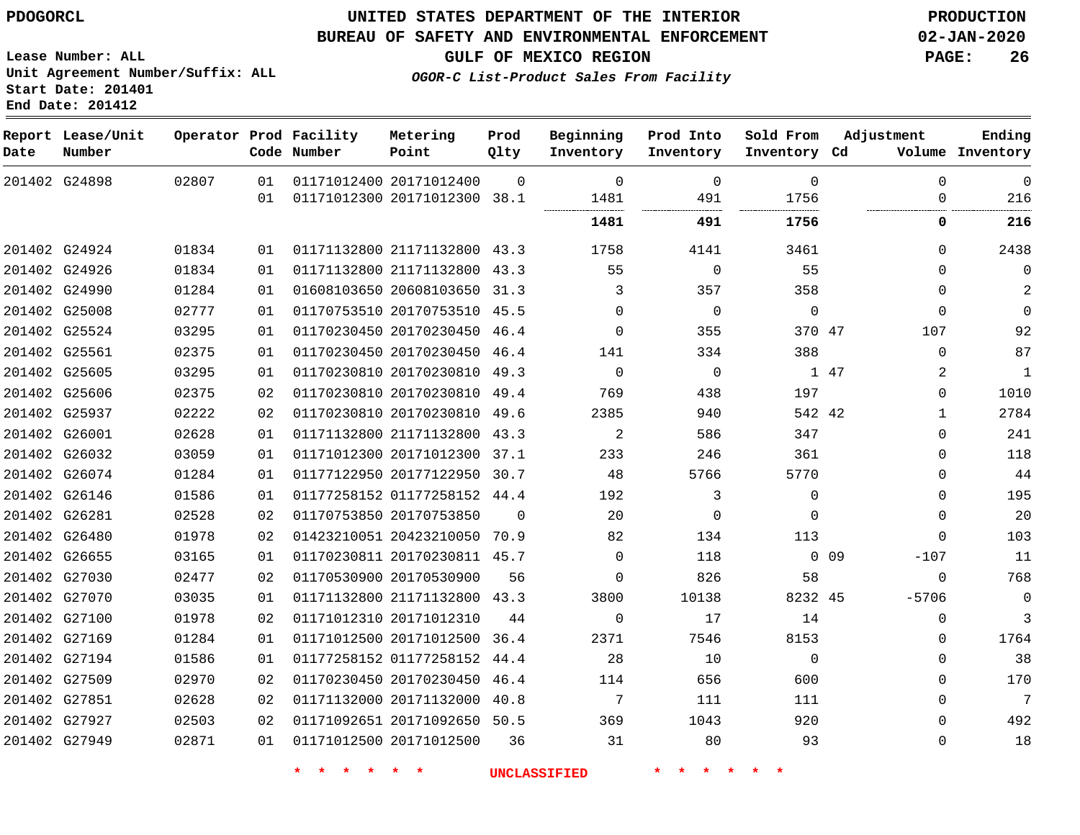### **UNITED STATES DEPARTMENT OF THE INTERIOR PDOGORCL PRODUCTION**

#### **BUREAU OF SAFETY AND ENVIRONMENTAL ENFORCEMENT 02-JAN-2020**

**Lease Number: ALL Unit Agreement Number/Suffix: ALL Start Date: 201401**

**GULF OF MEXICO REGION PAGE: 26**

**OGOR-C List-Product Sales From Facility**

| Date          | Report Lease/Unit<br>Number |       |                 | Operator Prod Facility<br>Code Number | Metering<br>Point            | Prod<br>Qlty | Beginning<br>Inventory | Prod Into<br>Inventory | Sold From<br>Inventory Cd |                 | Adjustment   | Ending<br>Volume Inventory |
|---------------|-----------------------------|-------|-----------------|---------------------------------------|------------------------------|--------------|------------------------|------------------------|---------------------------|-----------------|--------------|----------------------------|
|               | 201402 G24898               | 02807 | 01              |                                       | 01171012400 20171012400      | $\Omega$     | $\Omega$               | $\mathbf 0$            | $\Omega$                  |                 | $\Omega$     | $\overline{0}$             |
|               |                             |       | 01              |                                       | 01171012300 20171012300 38.1 |              | 1481                   | 491                    | 1756                      |                 | $\Omega$     | 216                        |
|               |                             |       |                 |                                       |                              |              | 1481                   | 491                    | 1756                      |                 | 0            | 216                        |
|               | 201402 G24924               | 01834 | 01              |                                       | 01171132800 21171132800 43.3 |              | 1758                   | 4141                   | 3461                      |                 | 0            | 2438                       |
| 201402 G24926 |                             | 01834 | 01              |                                       | 01171132800 21171132800 43.3 |              | 55                     | $\mathbf 0$            | 55                        |                 | 0            | $\mathbf 0$                |
| 201402 G24990 |                             | 01284 | 01              |                                       | 01608103650 20608103650 31.3 |              | 3                      | 357                    | 358                       |                 | $\Omega$     | 2                          |
| 201402 G25008 |                             | 02777 | 01              |                                       | 01170753510 20170753510 45.5 |              | $\Omega$               | $\mathbf 0$            | $\mathbf 0$               |                 | $\Omega$     | $\mathbf 0$                |
|               | 201402 G25524               | 03295 | 01              |                                       | 01170230450 20170230450 46.4 |              | $\Omega$               | 355                    | 370 47                    |                 | 107          | 92                         |
|               | 201402 G25561               | 02375 | 01              |                                       | 01170230450 20170230450 46.4 |              | 141                    | 334                    | 388                       |                 | $\Omega$     | 87                         |
| 201402 G25605 |                             | 03295 | 01              |                                       | 01170230810 20170230810 49.3 |              | $\mathbf 0$            | $\mathbf 0$            |                           | 1 47            | 2            | $\mathbf{1}$               |
| 201402 G25606 |                             | 02375 | 02              |                                       | 01170230810 20170230810 49.4 |              | 769                    | 438                    | 197                       |                 | 0            | 1010                       |
|               | 201402 G25937               | 02222 | 02              |                                       | 01170230810 20170230810 49.6 |              | 2385                   | 940                    | 542 42                    |                 | $\mathbf{1}$ | 2784                       |
| 201402 G26001 |                             | 02628 | 01              |                                       | 01171132800 21171132800 43.3 |              | 2                      | 586                    | 347                       |                 | $\Omega$     | 241                        |
| 201402 G26032 |                             | 03059 | 01              |                                       | 01171012300 20171012300 37.1 |              | 233                    | 246                    | 361                       |                 | 0            | 118                        |
|               | 201402 G26074               | 01284 | 01              |                                       | 01177122950 20177122950 30.7 |              | 48                     | 5766                   | 5770                      |                 | 0            | 44                         |
|               | 201402 G26146               | 01586 | 01              |                                       | 01177258152 01177258152 44.4 |              | 192                    | 3                      | $\mathbf 0$               |                 | 0            | 195                        |
| 201402 G26281 |                             | 02528 | 02              |                                       | 01170753850 20170753850      | $\Omega$     | 20                     | $\mathbf 0$            | $\Omega$                  |                 | 0            | 20                         |
|               | 201402 G26480               | 01978 | 02              |                                       | 01423210051 20423210050      | 70.9         | 82                     | 134                    | 113                       |                 | $\Omega$     | 103                        |
| 201402 G26655 |                             | 03165 | 01              |                                       | 01170230811 20170230811 45.7 |              | $\Omega$               | 118                    |                           | 0 <sub>09</sub> | $-107$       | 11                         |
|               | 201402 G27030               | 02477 | 02              |                                       | 01170530900 20170530900      | 56           | $\Omega$               | 826                    | 58                        |                 | $\Omega$     | 768                        |
|               | 201402 G27070               | 03035 | 01              |                                       | 01171132800 21171132800 43.3 |              | 3800                   | 10138                  | 8232 45                   |                 | $-5706$      | $\mathbf 0$                |
|               | 201402 G27100               | 01978 | 02              |                                       | 01171012310 20171012310      | 44           | $\mathbf 0$            | 17                     | 14                        |                 | 0            | 3                          |
| 201402 G27169 |                             | 01284 | 01              |                                       | 01171012500 20171012500 36.4 |              | 2371                   | 7546                   | 8153                      |                 | 0            | 1764                       |
| 201402 G27194 |                             | 01586 | 01              |                                       | 01177258152 01177258152 44.4 |              | 28                     | 10                     | $\mathbf 0$               |                 | 0            | 38                         |
|               | 201402 G27509               | 02970 | 02              |                                       | 01170230450 20170230450      | 46.4         | 114                    | 656                    | 600                       |                 | 0            | 170                        |
| 201402 G27851 |                             | 02628 | 02 <sub>o</sub> |                                       | 01171132000 20171132000 40.8 |              | 7                      | 111                    | 111                       |                 | $\Omega$     | 7                          |
| 201402 G27927 |                             | 02503 | 02              |                                       | 01171092651 20171092650 50.5 |              | 369                    | 1043                   | 920                       |                 | $\Omega$     | 492                        |
| 201402 G27949 |                             | 02871 | 01              |                                       | 01171012500 20171012500      | 36           | 31                     | 80                     | 93                        |                 | $\Omega$     | 18                         |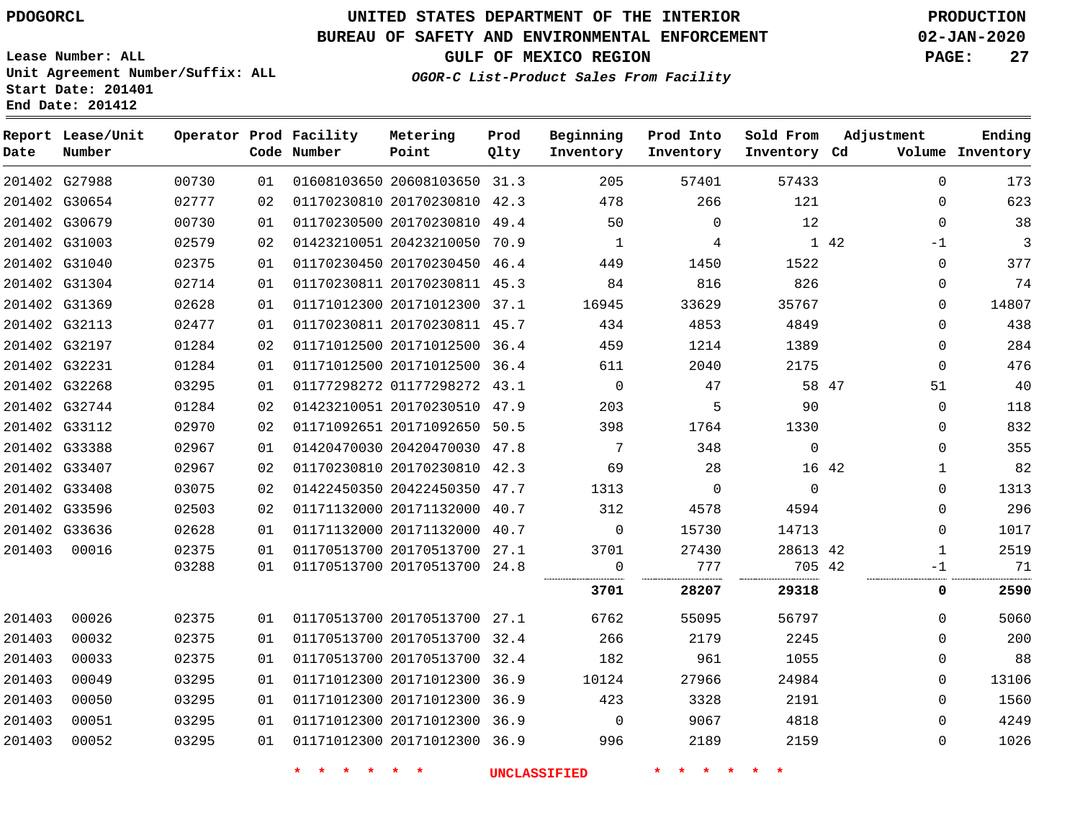G27988

**Report Lease/Unit**

**Number**

**Date**

## **UNITED STATES DEPARTMENT OF THE INTERIOR PDOGORCL PRODUCTION**

**Prod Qlty**

#### **BUREAU OF SAFETY AND ENVIRONMENTAL ENFORCEMENT 02-JAN-2020**

**Lease Number: ALL Unit Agreement Number/Suffix: ALL Start Date: 201401 End Date: 201412**

**Operator Prod Facility**

**Code Number**

20608103650 31.3

**Metering Point**

**OGOR-C List-Product Sales From Facility**

**Sold From Inventory**

**Prod Into Inventory**

**Beginning Inventory**

**GULF OF MEXICO REGION PAGE: 27**

**Inventory Cd Volume**

**Adjustment**

**Ending**

| G30654 | 02777 |    | 02   01170230810   20170230810   42.3 |  | 478                 | 266             | 121            | $\Omega$       | 623                      |
|--------|-------|----|---------------------------------------|--|---------------------|-----------------|----------------|----------------|--------------------------|
| G30679 | 00730 | 01 | 01170230500 20170230810 49.4          |  | 50                  | $\Omega$        | 12             | $\mathbf{0}$   | 38                       |
| G31003 | 02579 | 02 | 01423210051 20423210050 70.9          |  | $\overline{1}$      | $4\overline{ }$ | $1\quad 42$    | $-1$           | $\overline{\phantom{a}}$ |
| G31040 | 02375 | 01 | 01170230450 20170230450 46.4          |  | 449                 | 1450            | 1522           | $\Omega$       | 377                      |
| G31304 | 02714 | 01 | 01170230811 20170230811 45.3          |  | 84                  | 816             | 826            | $\Omega$       | 74                       |
| G31369 | 02628 | 01 | 01171012300 20171012300 37.1          |  | 16945               | 33629           | 35767          | $\Omega$       | 14807                    |
| G32113 | 02477 | 01 | 01170230811 20170230811 45.7          |  | 434                 | 4853            | 4849           | $\Omega$       | 438                      |
| G32197 | 01284 | 02 | 01171012500 20171012500 36.4          |  | 459                 | 1214            | 1389           | $\Omega$       | 284                      |
| G32231 | 01284 | 01 | 01171012500 20171012500 36.4          |  | 611                 | 2040            | 2175           | $\overline{0}$ | 476                      |
| G32268 | 03295 | 01 | 01177298272 01177298272 43.1          |  | $\overline{0}$      | 47              | 58 47          | 51             | 40                       |
| G32744 | 01284 | 02 | 01423210051 20170230510 47.9          |  | 203                 | $5^{\circ}$     | 90             | $\overline{0}$ | 118                      |
| G33112 | 02970 | 02 | 01171092651 20171092650 50.5          |  | 398                 | 1764            | 1330           | $\Omega$       | 832                      |
| G33388 | 02967 | 01 | 01420470030 20420470030 47.8          |  | $\overline{7}$      | 348             | $\overline{0}$ | $\Omega$       | 355                      |
| G33407 | 02967 | 02 | 01170230810 20170230810 42.3          |  | 69                  | 28              | 16 42          | $\mathbf{1}$   | 82                       |
| G33408 | 03075 | 02 | 01422450350 20422450350 47.7          |  | 1313                | $\overline{0}$  | $\overline{0}$ | $\Omega$       | 1313                     |
| G33596 | 02503 | 02 | 01171132000 20171132000 40.7          |  | 312                 | 4578            | 4594           | $\Omega$       | 296                      |
| G33636 | 02628 |    | 01  01171132000  20171132000  40.7    |  | $\overline{0}$      | 15730           | 14713          | $\Omega$       | 1017                     |
| 00016  | 02375 | 01 | 01170513700 20170513700 27.1          |  | 3701                | 27430           | 28613 42       | $\mathbf{1}$   | 2519                     |
|        | 03288 |    | 01  01170513700  20170513700  24.8    |  | $\overline{0}$      | 777             | 705 42         | $-1$           | 71                       |
|        |       |    |                                       |  | 3701                | 28207           | 29318          | 0              | 2590                     |
| 00026  | 02375 |    | 01 01170513700 20170513700 27.1 6762  |  |                     | 55095           | 56797          | $\Omega$       | 5060                     |
| 00032  | 02375 | 01 | 01170513700 20170513700 32.4 266      |  |                     | 2179            | 2245           | $\Omega$       | 200                      |
| 00033  | 02375 | 01 | 01170513700 20170513700 32.4          |  | 182                 | 961             | 1055           | $\Omega$       | 88                       |
| 00049  | 03295 | 01 | 01171012300 20171012300 36.9          |  | 10124               | 27966           | 24984          | $\Omega$       | 13106                    |
| 00050  | 03295 | 01 | 01171012300 20171012300 36.9          |  | 423                 | 3328            | 2191           | $\Omega$       | 1560                     |
| 00051  | 03295 | 01 | 01171012300 20171012300 36.9          |  | $\overline{0}$      | 9067            | 4818           | $\overline{0}$ | 4249                     |
| 00052  | 03295 | 01 | 01171012300 20171012300 36.9          |  | 5996                | 2189            | 2159           | $\Omega$       | 1026                     |
|        |       |    |                                       |  | <b>UNCLASSIFIED</b> |                 |                |                |                          |
|        |       |    |                                       |  |                     |                 |                |                |                          |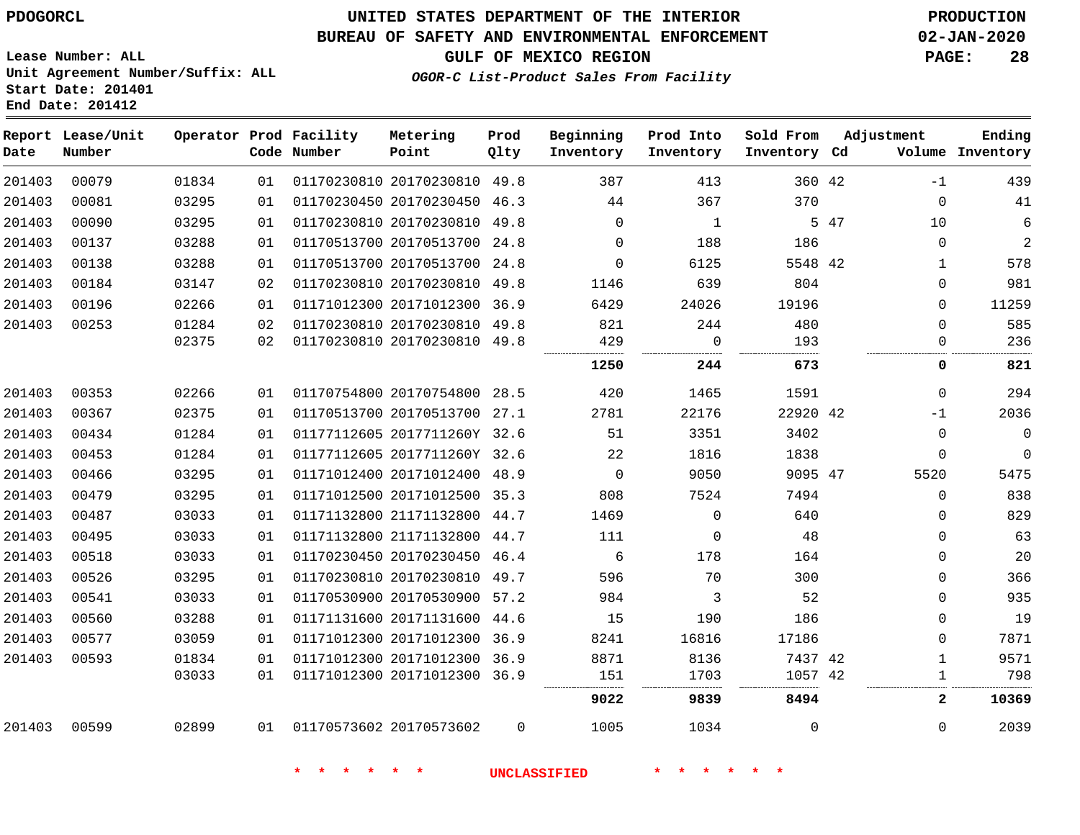# **UNITED STATES DEPARTMENT OF THE INTERIOR PDOGORCL PRODUCTION**

#### **BUREAU OF SAFETY AND ENVIRONMENTAL ENFORCEMENT 02-JAN-2020**

**Lease Number: ALL Unit Agreement Number/Suffix: ALL Start Date: 201401**

## **GULF OF MEXICO REGION PAGE: 28**

**OGOR-C List-Product Sales From Facility**

| Date   | Report Lease/Unit<br>Number |       |    | Operator Prod Facility<br>Code Number | Metering<br>Point            | Prod<br>Qlty | Beginning<br>Inventory | Prod Into<br>Inventory | Sold From<br>Inventory Cd |      | Adjustment   | Ending<br>Volume Inventory |
|--------|-----------------------------|-------|----|---------------------------------------|------------------------------|--------------|------------------------|------------------------|---------------------------|------|--------------|----------------------------|
| 201403 | 00079                       | 01834 | 01 |                                       | 01170230810 20170230810 49.8 |              | 387                    | 413                    | 360 42                    |      | $-1$         | 439                        |
| 201403 | 00081                       | 03295 | 01 |                                       | 01170230450 20170230450 46.3 |              | 44                     | 367                    | 370                       |      | $\mathsf 0$  | 41                         |
| 201403 | 00090                       | 03295 | 01 |                                       | 01170230810 20170230810 49.8 |              | $\Omega$               | 1                      |                           | 5 47 | 10           | 6                          |
| 201403 | 00137                       | 03288 | 01 |                                       | 01170513700 20170513700 24.8 |              | $\Omega$               | 188                    | 186                       |      | $\mathbf 0$  | 2                          |
| 201403 | 00138                       | 03288 | 01 |                                       | 01170513700 20170513700 24.8 |              | $\mathbf 0$            | 6125                   | 5548 42                   |      | $\mathbf{1}$ | 578                        |
| 201403 | 00184                       | 03147 | 02 |                                       | 01170230810 20170230810 49.8 |              | 1146                   | 639                    | 804                       |      | $\mathbf 0$  | 981                        |
| 201403 | 00196                       | 02266 | 01 |                                       | 01171012300 20171012300 36.9 |              | 6429                   | 24026                  | 19196                     |      | $\Omega$     | 11259                      |
| 201403 | 00253                       | 01284 | 02 |                                       | 01170230810 20170230810 49.8 |              | 821                    | 244                    | 480                       |      | $\Omega$     | 585                        |
|        |                             | 02375 | 02 |                                       | 01170230810 20170230810 49.8 |              | 429                    | $\mathbf 0$            | 193<br>.                  |      | $\mathbf 0$  | 236                        |
|        |                             |       |    |                                       |                              |              | 1250                   | 244                    | 673                       |      | 0            | 821                        |
| 201403 | 00353                       | 02266 | 01 |                                       | 01170754800 20170754800 28.5 |              | 420                    | 1465                   | 1591                      |      | $\Omega$     | 294                        |
| 201403 | 00367                       | 02375 | 01 |                                       | 01170513700 20170513700 27.1 |              | 2781                   | 22176                  | 22920 42                  |      | $-1$         | 2036                       |
| 201403 | 00434                       | 01284 | 01 |                                       | 01177112605 2017711260Y 32.6 |              | 51                     | 3351                   | 3402                      |      | $\mathbf 0$  | $\Omega$                   |
| 201403 | 00453                       | 01284 | 01 |                                       | 01177112605 2017711260Y 32.6 |              | 22                     | 1816                   | 1838                      |      | $\mathbf 0$  | $\Omega$                   |
| 201403 | 00466                       | 03295 | 01 |                                       | 01171012400 20171012400 48.9 |              | $\mathbf 0$            | 9050                   | 9095 47                   |      | 5520         | 5475                       |
| 201403 | 00479                       | 03295 | 01 |                                       | 01171012500 20171012500 35.3 |              | 808                    | 7524                   | 7494                      |      | $\mathbf 0$  | 838                        |
| 201403 | 00487                       | 03033 | 01 |                                       | 01171132800 21171132800 44.7 |              | 1469                   | $\mathbf 0$            | 640                       |      | $\mathbf 0$  | 829                        |
| 201403 | 00495                       | 03033 | 01 |                                       | 01171132800 21171132800 44.7 |              | 111                    | $\mathbf 0$            | 48                        |      | $\mathbf 0$  | 63                         |
| 201403 | 00518                       | 03033 | 01 |                                       | 01170230450 20170230450 46.4 |              | 6                      | 178                    | 164                       |      | 0            | 20                         |
| 201403 | 00526                       | 03295 | 01 |                                       | 01170230810 20170230810 49.7 |              | 596                    | 70                     | 300                       |      | $\Omega$     | 366                        |
| 201403 | 00541                       | 03033 | 01 |                                       | 01170530900 20170530900 57.2 |              | 984                    | 3                      | 52                        |      | $\Omega$     | 935                        |
| 201403 | 00560                       | 03288 | 01 |                                       | 01171131600 20171131600 44.6 |              | 15                     | 190                    | 186                       |      | $\mathbf 0$  | 19                         |
| 201403 | 00577                       | 03059 | 01 |                                       | 01171012300 20171012300 36.9 |              | 8241                   | 16816                  | 17186                     |      | $\mathbf 0$  | 7871                       |
| 201403 | 00593                       | 01834 | 01 |                                       | 01171012300 20171012300 36.9 |              | 8871                   | 8136                   | 7437 42                   |      | $\mathbf{1}$ | 9571                       |
|        |                             | 03033 | 01 |                                       | 01171012300 20171012300 36.9 |              | 151                    | 1703                   | 1057 42                   |      | $\mathbf{1}$ | 798                        |
|        |                             |       |    |                                       |                              |              | 9022                   | 9839                   | 8494                      |      | $\mathbf{2}$ | 10369                      |
| 201403 | 00599                       | 02899 | 01 |                                       | 01170573602 20170573602      | $\Omega$     | 1005                   | 1034                   | $\Omega$                  |      | $\Omega$     | 2039                       |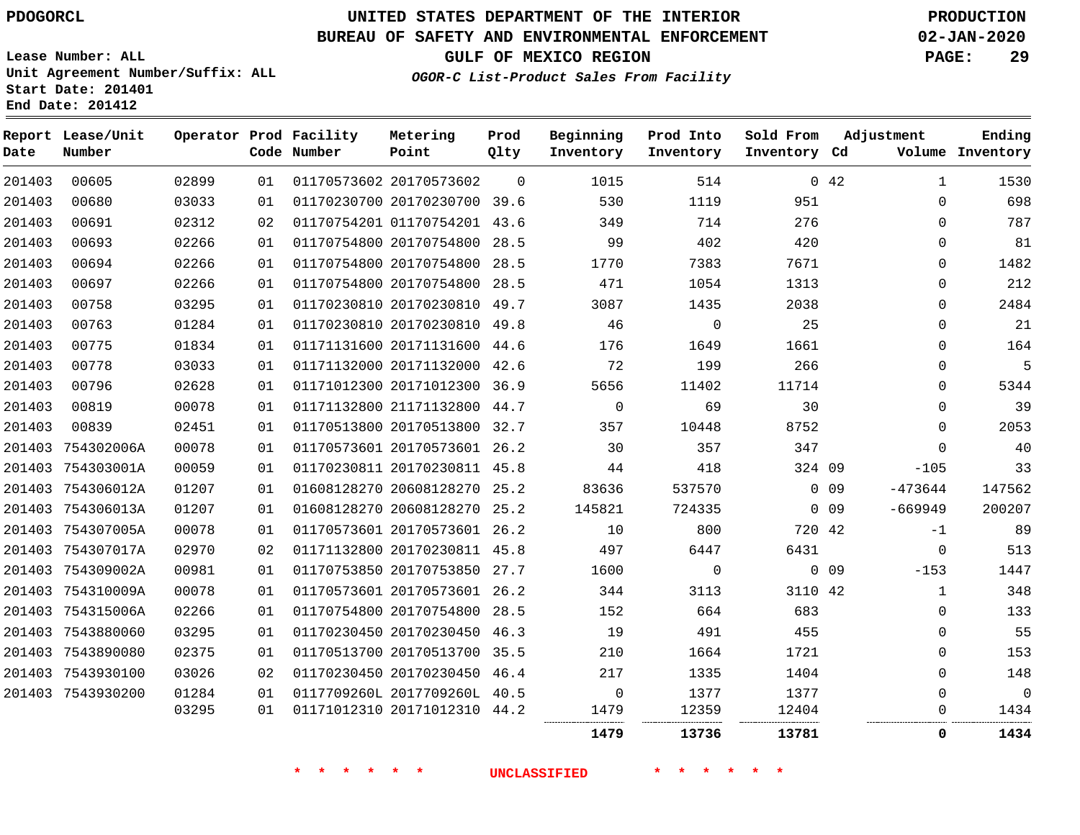### **BUREAU OF SAFETY AND ENVIRONMENTAL ENFORCEMENT 02-JAN-2020**

**Lease Number: ALL Unit Agreement Number/Suffix: ALL Start Date: 201401**

**OGOR-C List-Product Sales From Facility**

**GULF OF MEXICO REGION PAGE: 29**

**End Date: 201412**

| Date   | Report Lease/Unit<br>Number |       |    | Operator Prod Facility<br>Code Number | Metering<br>Point            | Prod<br>Qlty | Beginning<br>Inventory | Prod Into<br>Inventory | Sold From<br>Inventory Cd |                 | Adjustment   | Ending<br>Volume Inventory |
|--------|-----------------------------|-------|----|---------------------------------------|------------------------------|--------------|------------------------|------------------------|---------------------------|-----------------|--------------|----------------------------|
| 201403 | 00605                       | 02899 | 01 |                                       | 01170573602 20170573602      | $\Omega$     | 1015                   | 514                    |                           | 042             | $\mathbf{1}$ | 1530                       |
| 201403 | 00680                       | 03033 | 01 |                                       | 01170230700 20170230700 39.6 |              | 530                    | 1119                   | 951                       |                 | $\mathbf 0$  | 698                        |
| 201403 | 00691                       | 02312 | 02 |                                       | 01170754201 01170754201 43.6 |              | 349                    | 714                    | 276                       |                 | $\Omega$     | 787                        |
| 201403 | 00693                       | 02266 | 01 |                                       | 01170754800 20170754800 28.5 |              | 99                     | 402                    | 420                       |                 | $\Omega$     | 81                         |
| 201403 | 00694                       | 02266 | 01 |                                       | 01170754800 20170754800 28.5 |              | 1770                   | 7383                   | 7671                      |                 | 0            | 1482                       |
| 201403 | 00697                       | 02266 | 01 |                                       | 01170754800 20170754800 28.5 |              | 471                    | 1054                   | 1313                      |                 | $\Omega$     | 212                        |
| 201403 | 00758                       | 03295 | 01 |                                       | 01170230810 20170230810 49.7 |              | 3087                   | 1435                   | 2038                      |                 | 0            | 2484                       |
| 201403 | 00763                       | 01284 | 01 |                                       | 01170230810 20170230810 49.8 |              | 46                     | $\mathbf 0$            | 25                        |                 | $\Omega$     | 21                         |
| 201403 | 00775                       | 01834 | 01 |                                       | 01171131600 20171131600 44.6 |              | 176                    | 1649                   | 1661                      |                 | 0            | 164                        |
| 201403 | 00778                       | 03033 | 01 |                                       | 01171132000 20171132000 42.6 |              | 72                     | 199                    | 266                       |                 | $\Omega$     | 5                          |
| 201403 | 00796                       | 02628 | 01 |                                       | 01171012300 20171012300 36.9 |              | 5656                   | 11402                  | 11714                     |                 | 0            | 5344                       |
| 201403 | 00819                       | 00078 | 01 |                                       | 01171132800 21171132800 44.7 |              | $\overline{0}$         | 69                     | 30                        |                 | 0            | 39                         |
| 201403 | 00839                       | 02451 | 01 |                                       | 01170513800 20170513800 32.7 |              | 357                    | 10448                  | 8752                      |                 | $\Omega$     | 2053                       |
|        | 201403 754302006A           | 00078 | 01 |                                       | 01170573601 20170573601 26.2 |              | 30                     | 357                    | 347                       |                 | $\Omega$     | 40                         |
|        | 201403 754303001A           | 00059 | 01 |                                       | 01170230811 20170230811 45.8 |              | 44                     | 418                    | 324 09                    |                 | $-105$       | 33                         |
|        | 201403 754306012A           | 01207 | 01 |                                       | 01608128270 20608128270 25.2 |              | 83636                  | 537570                 |                           | $0$ 09          | -473644      | 147562                     |
|        | 201403 754306013A           | 01207 | 01 |                                       | 01608128270 20608128270 25.2 |              | 145821                 | 724335                 |                           | $0\quad09$      | $-669949$    | 200207                     |
|        | 201403 754307005A           | 00078 | 01 |                                       | 01170573601 20170573601 26.2 |              | 10                     | 800                    | 720 42                    |                 | $-1$         | 89                         |
|        | 201403 754307017A           | 02970 | 02 |                                       | 01171132800 20170230811 45.8 |              | 497                    | 6447                   | 6431                      |                 | 0            | 513                        |
|        | 201403 754309002A           | 00981 | 01 |                                       | 01170753850 20170753850 27.7 |              | 1600                   | $\mathbf 0$            |                           | 0 <sub>09</sub> | $-153$       | 1447                       |
|        | 201403 754310009A           | 00078 | 01 |                                       | 01170573601 20170573601 26.2 |              | 344                    | 3113                   | 3110 42                   |                 | $\mathbf{1}$ | 348                        |
|        | 201403 754315006A           | 02266 | 01 |                                       | 01170754800 20170754800 28.5 |              | 152                    | 664                    | 683                       |                 | $\Omega$     | 133                        |
|        | 201403 7543880060           | 03295 | 01 |                                       | 01170230450 20170230450 46.3 |              | 19                     | 491                    | 455                       |                 | 0            | 55                         |
|        | 201403 7543890080           | 02375 | 01 |                                       | 01170513700 20170513700 35.5 |              | 210                    | 1664                   | 1721                      |                 | $\Omega$     | 153                        |
|        | 201403 7543930100           | 03026 | 02 |                                       | 01170230450 20170230450 46.4 |              | 217                    | 1335                   | 1404                      |                 | 0            | 148                        |
|        | 201403 7543930200           | 01284 | 01 |                                       | 0117709260L 2017709260L 40.5 |              | $\mathbf 0$            | 1377                   | 1377                      |                 | $\Omega$     | $\overline{0}$             |
|        |                             | 03295 | 01 |                                       | 01171012310 20171012310 44.2 |              | 1479                   | 12359                  | 12404                     |                 | 0            | 1434                       |
|        |                             |       |    |                                       |                              |              | 1479                   | 13736                  | 13781                     |                 | 0            | 1434                       |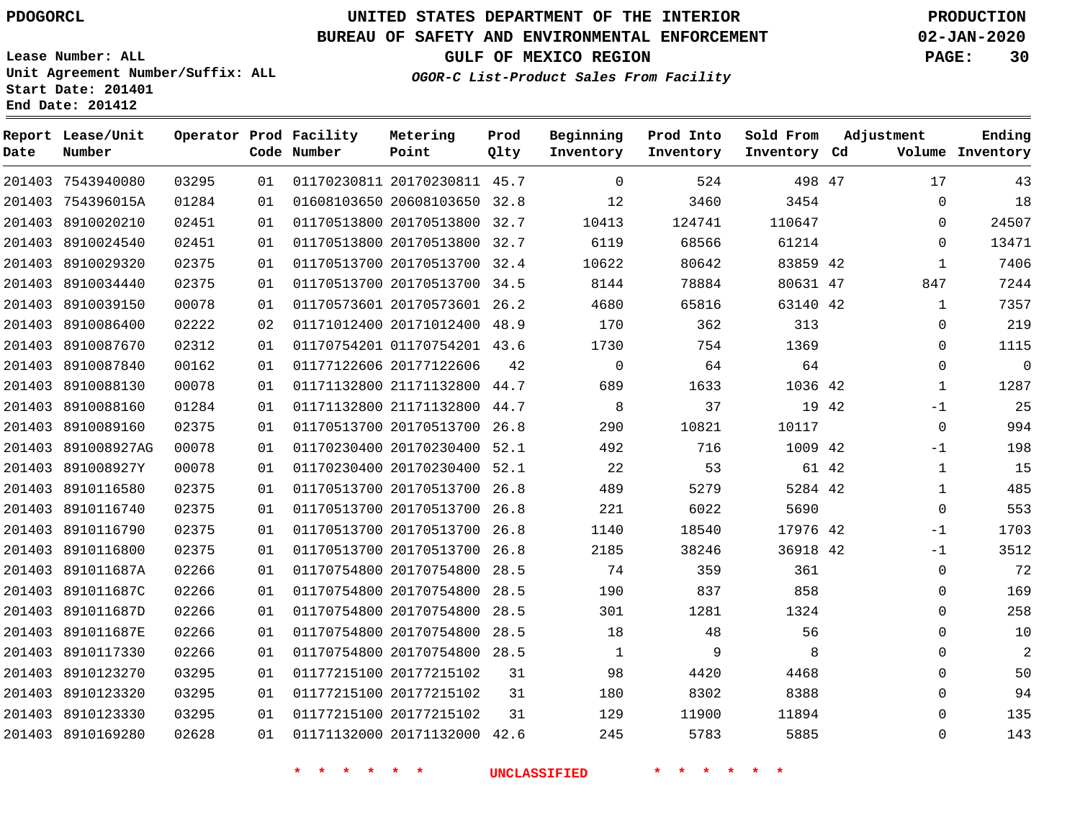**Date**

**Report Lease/Unit**

**Number**

# **UNITED STATES DEPARTMENT OF THE INTERIOR PDOGORCL PRODUCTION**

**Prod**

#### **BUREAU OF SAFETY AND ENVIRONMENTAL ENFORCEMENT 02-JAN-2020**

**Lease Number: ALL Unit Agreement Number/Suffix: ALL Start Date: 201401 End Date: 201412**

**Operator Prod Facility**

**Code Number**

**OGOR-C List-Product Sales From Facility**

**Beginning**

**Prod Into**

**Sold From Inventory**

**GULF OF MEXICO REGION PAGE: 30**

**Inventory Cd Volume**

**Adjustment**

**Ending**

| 201403 7543940080  | 03295 | 01 |                            | 01170230811 20170230811 45.7 |    | $\mathbf 0$         | 524     | 498 47   |  |
|--------------------|-------|----|----------------------------|------------------------------|----|---------------------|---------|----------|--|
| 201403 754396015A  | 01284 | 01 |                            | 01608103650 20608103650 32.8 |    | 12                  | 3460    | 3454     |  |
| 201403 8910020210  | 02451 | 01 |                            | 01170513800 20170513800 32.7 |    | 10413               | 124741  | 110647   |  |
| 201403 8910024540  | 02451 | 01 |                            | 01170513800 20170513800 32.7 |    | 6119                | 68566   | 61214    |  |
| 201403 8910029320  | 02375 | 01 |                            | 01170513700 20170513700 32.4 |    | 10622               | 80642   | 83859 42 |  |
| 201403 8910034440  | 02375 | 01 |                            | 01170513700 20170513700 34.5 |    | 8144                | 78884   | 80631 47 |  |
| 201403 8910039150  | 00078 | 01 |                            | 01170573601 20170573601 26.2 |    | 4680                | 65816   | 63140 42 |  |
| 201403 8910086400  | 02222 | 02 |                            | 01171012400 20171012400 48.9 |    | 170                 | 362     | 313      |  |
| 201403 8910087670  | 02312 | 01 |                            | 01170754201 01170754201 43.6 |    | 1730                | 754     | 1369     |  |
| 201403 8910087840  | 00162 | 01 | 01177122606 20177122606    |                              | 42 | $\mathbf 0$         | 64      | 64       |  |
| 201403 8910088130  | 00078 | 01 |                            | 01171132800 21171132800 44.7 |    | 689                 | 1633    | 1036 42  |  |
| 201403 8910088160  | 01284 | 01 |                            | 01171132800 21171132800 44.7 |    | 8                   | 37      | 19 42    |  |
| 201403 8910089160  | 02375 | 01 |                            | 01170513700 20170513700 26.8 |    | 290                 | 10821   | 10117    |  |
| 201403 891008927AG | 00078 | 01 |                            | 01170230400 20170230400 52.1 |    | 492                 | 716     | 1009 42  |  |
| 201403 891008927Y  | 00078 | 01 |                            | 01170230400 20170230400 52.1 |    | 22                  | 53      | 61 42    |  |
| 201403 8910116580  | 02375 | 01 |                            | 01170513700 20170513700 26.8 |    | 489                 | 5279    | 5284 42  |  |
| 201403 8910116740  | 02375 | 01 |                            | 01170513700 20170513700 26.8 |    | 221                 | 6022    | 5690     |  |
| 201403 8910116790  | 02375 | 01 |                            | 01170513700 20170513700 26.8 |    | 1140                | 18540   | 17976 42 |  |
| 201403 8910116800  | 02375 | 01 |                            | 01170513700 20170513700 26.8 |    | 2185                | 38246   | 36918 42 |  |
| 201403 891011687A  | 02266 | 01 |                            | 01170754800 20170754800 28.5 |    | 74                  | 359     | 361      |  |
| 201403 891011687C  | 02266 | 01 |                            | 01170754800 20170754800 28.5 |    | 190                 | 837     | 858      |  |
| 201403 891011687D  | 02266 | 01 |                            | 01170754800 20170754800 28.5 |    | 301                 | 1281    | 1324     |  |
| 201403 891011687E  | 02266 | 01 |                            | 01170754800 20170754800 28.5 |    | 18                  | 48      | 56       |  |
| 201403 8910117330  | 02266 | 01 |                            | 01170754800 20170754800 28.5 |    | $\mathbf{1}$        | 9       | 8        |  |
| 201403 8910123270  | 03295 | 01 |                            | 01177215100 20177215102      | 31 | 98                  | 4420    | 4468     |  |
| 201403 8910123320  | 03295 | 01 | 01177215100 20177215102    |                              | 31 | 180                 | 8302    | 8388     |  |
| 201403 8910123330  | 03295 | 01 | 01177215100 20177215102    |                              | 31 | 129                 | 11900   | 11894    |  |
| 201403 8910169280  | 02628 | 01 |                            | 01171132000 20171132000 42.6 |    | 245                 | 5783    | 5885     |  |
|                    |       |    | $\star$<br>$\star$ $\star$ | $\star$ $\star$              |    | <b>UNCLASSIFIED</b> | * * * * |          |  |

**Metering Point**

**Qlty Inventory Inventory**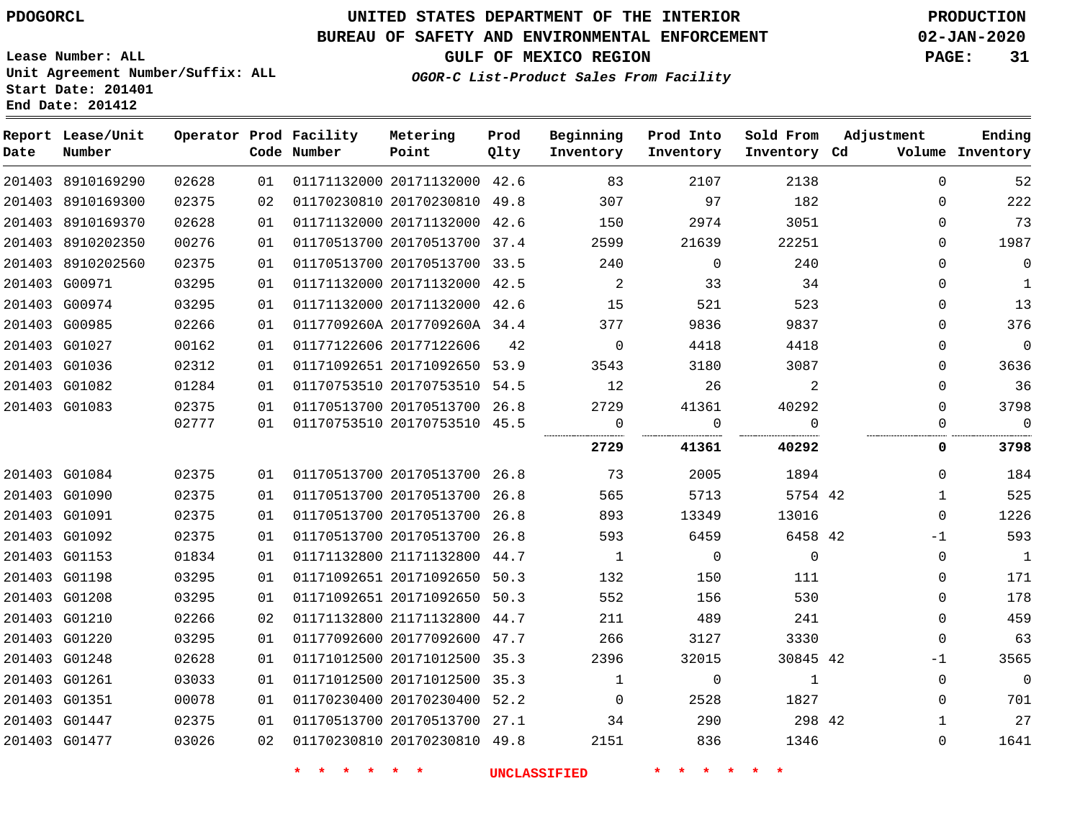# **UNITED STATES DEPARTMENT OF THE INTERIOR PDOGORCL PRODUCTION**

### **BUREAU OF SAFETY AND ENVIRONMENTAL ENFORCEMENT 02-JAN-2020**

**Lease Number: ALL Unit Agreement Number/Suffix: ALL Start Date: 201401**

**OGOR-C List-Product Sales From Facility**

**GULF OF MEXICO REGION PAGE: 31**

| OGOR-C List-Product Sales From Facility |  |  |
|-----------------------------------------|--|--|
|                                         |  |  |

| Date | Report Lease/Unit<br>Number |       |    | Operator Prod Facility<br>Code Number | Metering<br>Point            | Prod<br>Qlty | Beginning<br>Inventory | Prod Into<br>Inventory | Sold From<br>Inventory Cd | Adjustment   | Ending<br>Volume Inventory |
|------|-----------------------------|-------|----|---------------------------------------|------------------------------|--------------|------------------------|------------------------|---------------------------|--------------|----------------------------|
|      | 201403 8910169290           | 02628 | 01 |                                       | 01171132000 20171132000 42.6 |              | 83                     | 2107                   | 2138                      | $\mathbf 0$  | 52                         |
|      | 201403 8910169300           | 02375 | 02 |                                       | 01170230810 20170230810 49.8 |              | 307                    | 97                     | 182                       | $\Omega$     | 222                        |
|      | 201403 8910169370           | 02628 | 01 |                                       | 01171132000 20171132000 42.6 |              | 150                    | 2974                   | 3051                      | $\Omega$     | 73                         |
|      | 201403 8910202350           | 00276 | 01 |                                       | 01170513700 20170513700 37.4 |              | 2599                   | 21639                  | 22251                     | $\Omega$     | 1987                       |
|      | 201403 8910202560           | 02375 | 01 |                                       | 01170513700 20170513700 33.5 |              | 240                    | $\overline{0}$         | 240                       | $\Omega$     | $\mathbf 0$                |
|      | 201403 G00971               | 03295 | 01 |                                       | 01171132000 20171132000 42.5 |              | $\overline{2}$         | 33                     | 34                        | $\mathbf 0$  | $\mathbf{1}$               |
|      | 201403 G00974               | 03295 | 01 |                                       | 01171132000 20171132000 42.6 |              | 15                     | 521                    | 523                       | $\mathbf{0}$ | 13                         |
|      | 201403 G00985               | 02266 | 01 |                                       | 0117709260A 2017709260A 34.4 |              | 377                    | 9836                   | 9837                      | $\Omega$     | 376                        |
|      | 201403 G01027               | 00162 | 01 |                                       | 01177122606 20177122606      | 42           | $\Omega$               | 4418                   | 4418                      | $\Omega$     | $\mathbf 0$                |
|      | 201403 G01036               | 02312 | 01 |                                       | 01171092651 20171092650 53.9 |              | 3543                   | 3180                   | 3087                      | $\Omega$     | 3636                       |
|      | 201403 G01082               | 01284 | 01 |                                       | 01170753510 20170753510 54.5 |              | 12                     | 26                     | 2                         | $\Omega$     | 36                         |
|      | 201403 G01083               | 02375 | 01 |                                       | 01170513700 20170513700 26.8 |              | 2729                   | 41361                  | 40292                     | 0            | 3798                       |
|      |                             | 02777 | 01 |                                       | 01170753510 20170753510 45.5 |              | $\overline{0}$         | $\mathbf 0$<br>        | $\Omega$                  | $\Omega$     | $\overline{0}$             |
|      |                             |       |    |                                       |                              |              | 2729                   | 41361                  | 40292                     | 0            | 3798                       |
|      | 201403 G01084               | 02375 | 01 |                                       | 01170513700 20170513700 26.8 |              | 73                     | 2005                   | 1894                      | $\Omega$     | 184                        |
|      | 201403 G01090               | 02375 | 01 |                                       | 01170513700 20170513700 26.8 |              | 565                    | 5713                   | 5754 42                   | $\mathbf{1}$ | 525                        |
|      | 201403 G01091               | 02375 | 01 |                                       | 01170513700 20170513700 26.8 |              | 893                    | 13349                  | 13016                     | $\Omega$     | 1226                       |
|      | 201403 G01092               | 02375 | 01 |                                       | 01170513700 20170513700 26.8 |              | 593                    | 6459                   | 6458 42                   | $-1$         | 593                        |
|      | 201403 G01153               | 01834 | 01 |                                       | 01171132800 21171132800 44.7 |              | $\overline{1}$         | $\overline{0}$         | $\overline{0}$            | $\Omega$     | $\overline{1}$             |
|      | 201403 G01198               | 03295 | 01 |                                       | 01171092651 20171092650 50.3 |              | 132                    | 150                    | 111                       | 0            | 171                        |
|      | 201403 G01208               | 03295 | 01 |                                       | 01171092651 20171092650 50.3 |              | 552                    | 156                    | 530                       | $\Omega$     | 178                        |
|      | 201403 G01210               | 02266 | 02 |                                       | 01171132800 21171132800 44.7 |              | 211                    | 489                    | 241                       | $\Omega$     | 459                        |
|      | 201403 G01220               | 03295 | 01 |                                       | 01177092600 20177092600 47.7 |              | 266                    | 3127                   | 3330                      | $\Omega$     | 63                         |
|      | 201403 G01248               | 02628 | 01 |                                       | 01171012500 20171012500 35.3 |              | 2396                   | 32015                  | 30845 42                  | $-1$         | 3565                       |
|      | 201403 G01261               | 03033 | 01 |                                       | 01171012500 20171012500 35.3 |              | 1                      | $\mathbf 0$            | 1                         | $\Omega$     | $\overline{0}$             |
|      | 201403 G01351               | 00078 | 01 |                                       | 01170230400 20170230400 52.2 |              | $\Omega$               | 2528                   | 1827                      | $\Omega$     | 701                        |
|      | 201403 G01447               | 02375 | 01 |                                       | 01170513700 20170513700 27.1 |              | 34                     | 290                    | 298 42                    | 1            | 27                         |
|      | 201403 G01477               | 03026 | 02 |                                       | 01170230810 20170230810 49.8 |              | 2151                   | 836                    | 1346                      | $\Omega$     | 1641                       |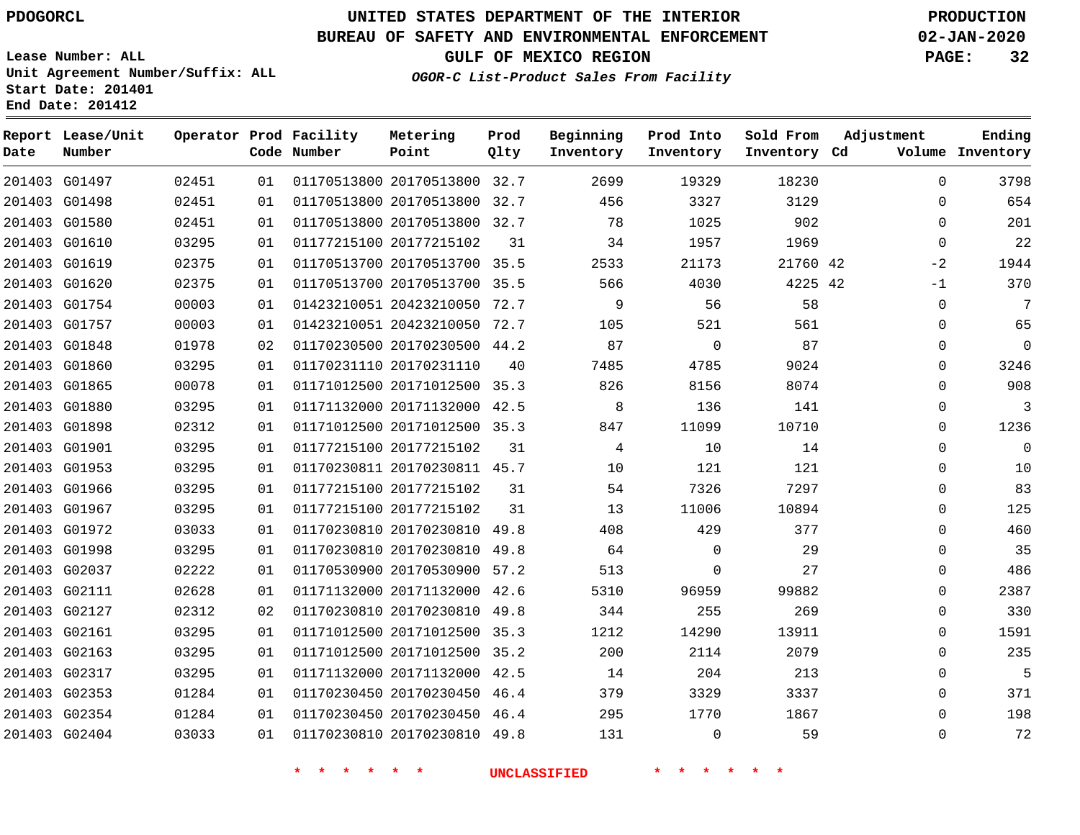G01497 G01498 G01580

**Date**

**Report Lease/Unit**

**Number**

### **UNITED STATES DEPARTMENT OF THE INTERIOR PDOGORCL PRODUCTION**

**Prod Qlty**

#### **BUREAU OF SAFETY AND ENVIRONMENTAL ENFORCEMENT 02-JAN-2020**

**Lease Number: ALL Unit Agreement Number/Suffix: ALL Start Date: 201401 End Date: 201412**

**Operator Prod Facility**

**Code Number**

**OGOR-C List-Product Sales From Facility**

**Prod Into Inventory**

**Beginning Inventory**

**GULF OF MEXICO REGION PAGE: 32**

**Inventory Cd Volume**

**Adjustment**

  $\Omega$  $\Omega$   $-2$ -1  $\Omega$   $\Omega$   $\Omega$  $\overline{0}$   $\Omega$  $\overline{0}$  $\Omega$  $\Omega$  $\Omega$  $\Omega$   $\Omega$  $\Omega$   $\Omega$   $\Omega$ 

**Ending**

 

**Sold From Inventory**

| 201403 G01610 | 03295 | 01 | 01177215100 20177215102      | 31   | 34                  | 1957        | 1969  |
|---------------|-------|----|------------------------------|------|---------------------|-------------|-------|
| 201403 G01619 | 02375 | 01 | 01170513700 20170513700 35.5 |      | 2533                | 21173       | 21760 |
| 201403 G01620 | 02375 | 01 | 01170513700 20170513700 35.5 |      | 566                 | 4030        | 4225  |
| 201403 G01754 | 00003 | 01 | 01423210051 20423210050      | 72.7 | 9                   | 56          | 58    |
| 201403 G01757 | 00003 | 01 | 01423210051 20423210050 72.7 |      | 105                 | 521         | 561   |
| 201403 G01848 | 01978 | 02 | 01170230500 20170230500      | 44.2 | 87                  | 0           | 87    |
| 201403 G01860 | 03295 | 01 | 01170231110 20170231110      | 40   | 7485                | 4785        | 9024  |
| 201403 G01865 | 00078 | 01 | 01171012500 20171012500      | 35.3 | 826                 | 8156        | 8074  |
| 201403 G01880 | 03295 | 01 | 01171132000 20171132000      | 42.5 | 8                   | 136         | 141   |
| 201403 G01898 | 02312 | 01 | 01171012500 20171012500 35.3 |      | 847                 | 11099       | 10710 |
| 201403 G01901 | 03295 | 01 | 01177215100 20177215102      | 31   | 4                   | 10          | 14    |
| 201403 G01953 | 03295 | 01 | 01170230811 20170230811      | 45.7 | 10                  | 121         | 121   |
| 201403 G01966 | 03295 | 01 | 01177215100 20177215102      | 31   | 54                  | 7326        | 7297  |
| 201403 G01967 | 03295 | 01 | 01177215100 20177215102      | 31   | 13                  | 11006       | 10894 |
| 201403 G01972 | 03033 | 01 | 01170230810 20170230810      | 49.8 | 408                 | 429         | 377   |
| 201403 G01998 | 03295 | 01 | 01170230810 20170230810 49.8 |      | 64                  | $\mathbf 0$ | 29    |
| 201403 G02037 | 02222 | 01 | 01170530900 20170530900 57.2 |      | 513                 | $\mathbf 0$ | 27    |
| 201403 G02111 | 02628 | 01 | 01171132000 20171132000      | 42.6 | 5310                | 96959       | 99882 |
| 201403 G02127 | 02312 | 02 | 01170230810 20170230810      | 49.8 | 344                 | 255         | 269   |
| 201403 G02161 | 03295 | 01 | 01171012500 20171012500      | 35.3 | 1212                | 14290       | 13911 |
| 201403 G02163 | 03295 | 01 | 01171012500 20171012500      | 35.2 | 200                 | 2114        | 2079  |
| 201403 G02317 | 03295 | 01 | 01171132000 20171132000 42.5 |      | 14                  | 204         | 213   |
| 201403 G02353 | 01284 | 01 | 01170230450 20170230450      | 46.4 | 379                 | 3329        | 3337  |
| 201403 G02354 | 01284 | 01 | 01170230450 20170230450 46.4 |      | 295                 | 1770        | 1867  |
| 201403 G02404 | 03033 | 01 | 01170230810 20170230810 49.8 |      | 131                 | 0           | 59    |
|               |       |    |                              |      | <b>UNCLASSIFIED</b> |             |       |

 20170513800 32.7 20170513800 32.7 20170513800 32.7

**Metering Point**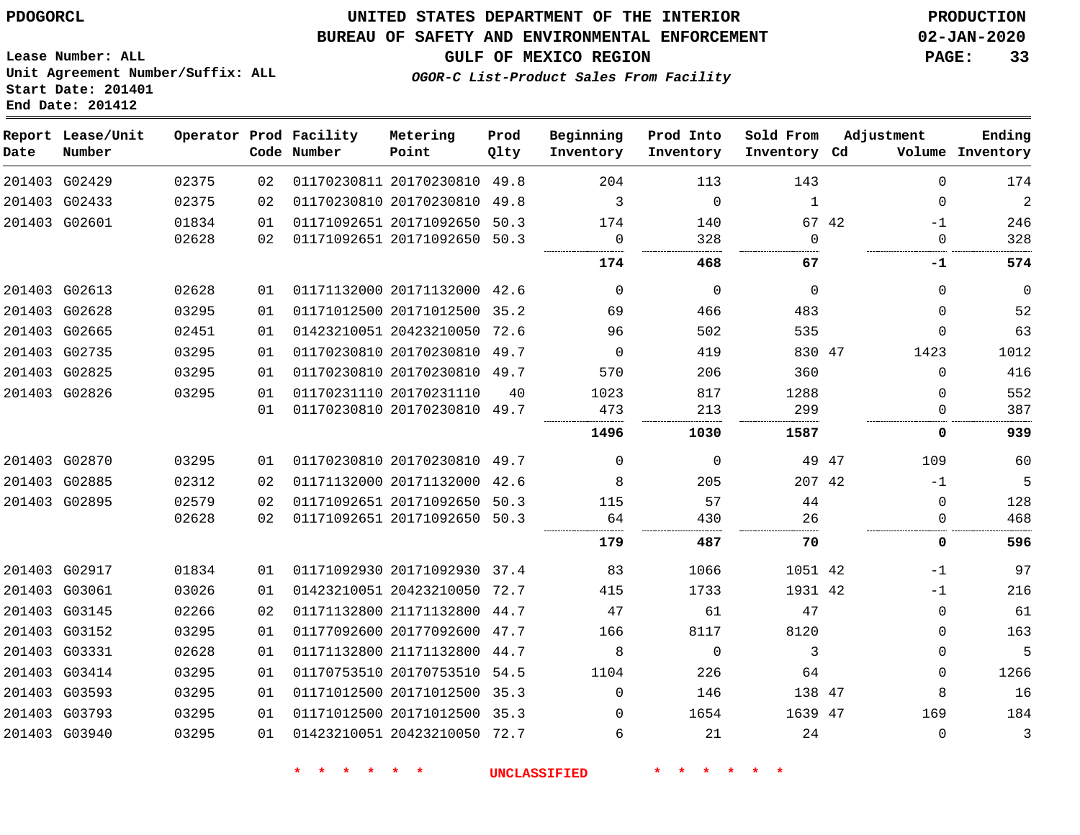**Date**

**End Date: 201412**

**Report Lease/Unit**

**Number**

 G03793 G03940

### **UNITED STATES DEPARTMENT OF THE INTERIOR PDOGORCL PRODUCTION**

#### **BUREAU OF SAFETY AND ENVIRONMENTAL ENFORCEMENT 02-JAN-2020**

**Lease Number: ALL Unit Agreement Number/Suffix: ALL Start Date: 201401**

**Operator Prod Facility**

**Code Number**

   

**Prod Qlty**

**GULF OF MEXICO REGION PAGE: 33**

**Inventory Cd Volume**

**Adjustment**

 $\cap$ 

  **Ending**

**OGOR-C List-Product Sales From Facility**

**Beginning Inventory**

**Sold From Inventory**

**Prod Into Inventory**

| 201403 G02429 | 02375 | 02  | 01170230811 20170230810 49.8 |      | 204      | 113      | 143      |       | $\Omega$ | 174            |
|---------------|-------|-----|------------------------------|------|----------|----------|----------|-------|----------|----------------|
| 201403 G02433 | 02375 | 02  | 01170230810 20170230810      | 49.8 | 3        | $\Omega$ | 1        |       | 0        | $\overline{a}$ |
| 201403 G02601 | 01834 | 01  | 01171092651 20171092650 50.3 |      | 174      | 140      |          | 67 42 | $-1$     | 246            |
|               | 02628 | 02  | 01171092651 20171092650 50.3 |      | 0        | 328      | $\Omega$ |       | $\Omega$ | 328            |
|               |       |     |                              |      | 174      | 468      | 67       |       | -1       | 574            |
| 201403 G02613 | 02628 | 01  | 01171132000 20171132000 42.6 |      | $\Omega$ | $\Omega$ | $\Omega$ |       | 0        | 0              |
| 201403 G02628 | 03295 | 01  | 01171012500 20171012500 35.2 |      | 69       | 466      | 483      |       | $\Omega$ | 52             |
| 201403 G02665 | 02451 | 01  | 01423210051 20423210050 72.6 |      | 96       | 502      | 535      |       | $\Omega$ | 63             |
| 201403 G02735 | 03295 | 01  | 01170230810 20170230810 49.7 |      | $\Omega$ | 419      | 830 47   |       | 1423     | 1012           |
| 201403 G02825 | 03295 | 01. | 01170230810 20170230810 49.7 |      | 570      | 206      | 360      |       | $\Omega$ | 416            |
| 201403 G02826 | 03295 | 01  | 01170231110 20170231110      | 40   | 1023     | 817      | 1288     |       | $\Omega$ | 552            |
|               |       | 01  | 01170230810 20170230810 49.7 |      | 473      | 213      | 299      |       | $\Omega$ | 387            |
|               |       |     |                              |      | 1496     | 1030     | 1587     |       | 0        | 939            |
| 201403 G02870 | 03295 | 01  | 01170230810 20170230810 49.7 |      | $\Omega$ | $\Omega$ |          | 49 47 | 109      | 60             |
| 201403 G02885 | 02312 | 02  | 01171132000 20171132000 42.6 |      | 8        | 205      | 207 42   |       | $-1$     | 5              |
| 201403 G02895 | 02579 | 02  | 01171092651 20171092650 50.3 |      | 115      | 57       | 44       |       | $\Omega$ | 128            |
|               | 02628 | 02  | 01171092651 20171092650 50.3 |      | 64       | 430      | 26       |       | $\Omega$ | 468            |
|               |       |     |                              |      | 179      | 487      | 70       |       | 0        | 596            |
| 201403 G02917 | 01834 | 01  | 01171092930 20171092930 37.4 |      | 83       | 1066     | 1051 42  |       | $-1$     | 97             |
| 201403 G03061 | 03026 | 01  | 01423210051 20423210050 72.7 |      | 415      | 1733     | 1931 42  |       | $-1$     | 216            |
| 201403 G03145 | 02266 | 02  | 01171132800 21171132800 44.7 |      | 47       | 61       | 47       |       | $\Omega$ | 61             |
| 201403 G03152 | 03295 | 01  | 01177092600 20177092600 47.7 |      | 166      | 8117     | 8120     |       | 0        | 163            |
| 201403 G03331 | 02628 | 01  | 01171132800 21171132800 44.7 |      | 8        | $\Omega$ | 3        |       | $\Omega$ | 5              |
| 201403 G03414 | 03295 | 01. | 01170753510 20170753510 54.5 |      | 1104     | 226      | 64       |       | $\Omega$ | 1266           |
| 201403 G03593 | 03295 | 01  | 01171012500 20171012500 35.3 |      | $\Omega$ | 146      | 138 47   |       |          | 16             |

 20171012500 35.3 20423210050 72.7

**Metering Point**

 

  47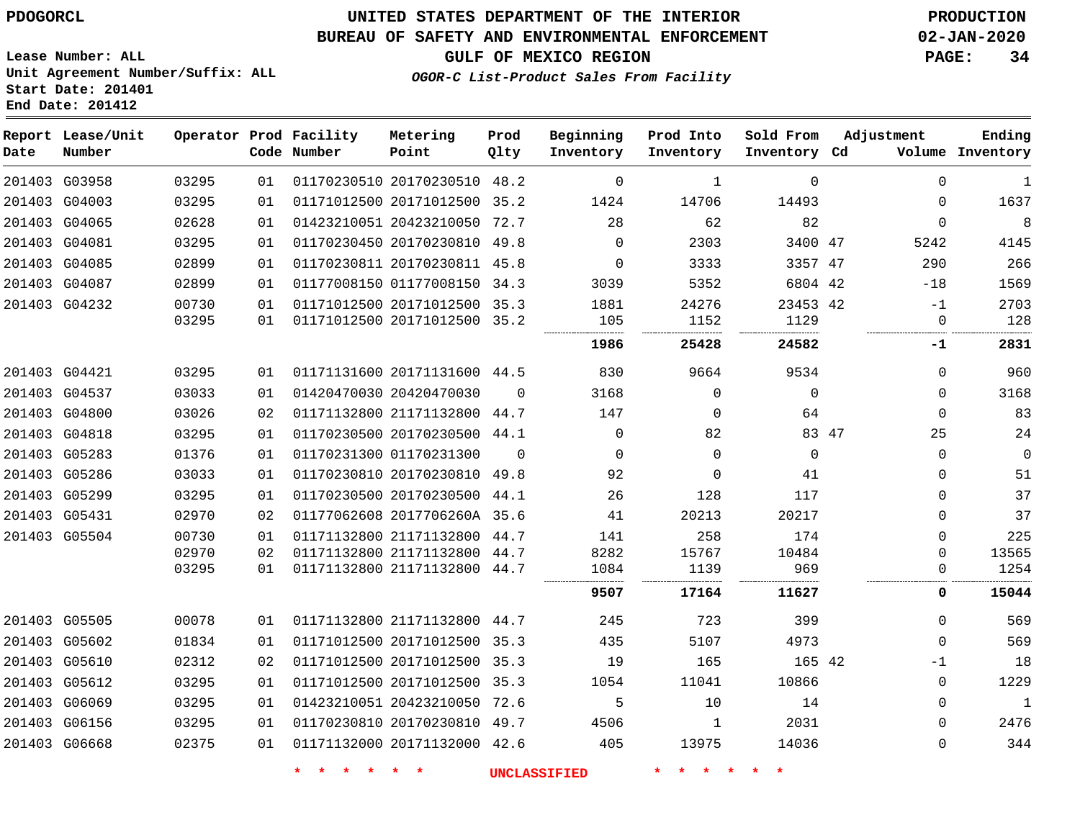### **UNITED STATES DEPARTMENT OF THE INTERIOR PDOGORCL PRODUCTION**

### **BUREAU OF SAFETY AND ENVIRONMENTAL ENFORCEMENT 02-JAN-2020**

**Lease Number: ALL Unit Agreement Number/Suffix: ALL Start Date: 201401**

**GULF OF MEXICO REGION PAGE: 34**

**OGOR-C List-Product Sales From Facility**

| Date | Report Lease/Unit<br>Number |       |    | Operator Prod Facility<br>Code Number | Metering<br>Point            | Prod<br>Qlty | Beginning<br>Inventory | Prod Into<br>Inventory | Sold From<br>Inventory Cd | Adjustment  | Ending<br>Volume Inventory  |
|------|-----------------------------|-------|----|---------------------------------------|------------------------------|--------------|------------------------|------------------------|---------------------------|-------------|-----------------------------|
|      | 201403 G03958               | 03295 | 01 |                                       | 01170230510 20170230510 48.2 |              | $\mathbf 0$            | $\mathbf{1}$           | $\Omega$                  |             | $\mathbf 0$<br>$\mathbf{1}$ |
|      | 201403 G04003               | 03295 | 01 |                                       | 01171012500 20171012500 35.2 |              | 1424                   | 14706                  | 14493                     |             | 1637<br>$\mathbf 0$         |
|      | 201403 G04065               | 02628 | 01 |                                       | 01423210051 20423210050 72.7 |              | 28                     | 62                     | 82                        |             | 8<br>$\mathbf 0$            |
|      | 201403 G04081               | 03295 | 01 |                                       | 01170230450 20170230810 49.8 |              | $\Omega$               | 2303                   | 3400 47                   | 5242        | 4145                        |
|      | 201403 G04085               | 02899 | 01 |                                       | 01170230811 20170230811 45.8 |              | $\Omega$               | 3333                   | 3357 47                   | 290         | 266                         |
|      | 201403 G04087               | 02899 | 01 |                                       | 01177008150 01177008150 34.3 |              | 3039                   | 5352                   | 6804 42                   | $-18$       | 1569                        |
|      | 201403 G04232               | 00730 | 01 |                                       | 01171012500 20171012500 35.3 |              | 1881                   | 24276                  | 23453 42                  | $-1$        | 2703                        |
|      |                             | 03295 | 01 |                                       | 01171012500 20171012500 35.2 |              | 105                    | 1152                   | 1129                      |             | 128<br>0                    |
|      |                             |       |    |                                       |                              |              | 1986                   | 25428                  | 24582                     | -1          | 2831                        |
|      | 201403 G04421               | 03295 | 01 |                                       | 01171131600 20171131600 44.5 |              | 830                    | 9664                   | 9534                      |             | 960<br>$\mathbf 0$          |
|      | 201403 G04537               | 03033 | 01 |                                       | 01420470030 20420470030      | $\Omega$     | 3168                   | $\mathbf 0$            | $\Omega$                  |             | 3168<br>$\mathbf 0$         |
|      | 201403 G04800               | 03026 | 02 |                                       | 01171132800 21171132800 44.7 |              | 147                    | 0                      | 64                        |             | 83<br>$\mathbf 0$           |
|      | 201403 G04818               | 03295 | 01 |                                       | 01170230500 20170230500 44.1 |              | $\Omega$               | 82                     |                           | 83 47<br>25 | 24                          |
|      | 201403 G05283               | 01376 | 01 |                                       | 01170231300 01170231300      | $\Omega$     | $\Omega$               | $\Omega$               | $\Omega$                  |             | $\mathbf 0$<br>$\mathbf 0$  |
|      | 201403 G05286               | 03033 | 01 |                                       | 01170230810 20170230810 49.8 |              | 92                     | 0                      | 41                        |             | 51<br>0                     |
|      | 201403 G05299               | 03295 | 01 |                                       | 01170230500 20170230500 44.1 |              | 26                     | 128                    | 117                       |             | 37<br>$\mathbf 0$           |
|      | 201403 G05431               | 02970 | 02 |                                       | 01177062608 2017706260A 35.6 |              | 41                     | 20213                  | 20217                     |             | 37<br>$\mathbf 0$           |
|      | 201403 G05504               | 00730 | 01 |                                       | 01171132800 21171132800 44.7 |              | 141                    | 258                    | 174                       |             | 225<br>$\mathbf 0$          |
|      |                             | 02970 | 02 |                                       | 01171132800 21171132800 44.7 |              | 8282                   | 15767                  | 10484                     |             | 13565<br>0                  |
|      |                             | 03295 | 01 |                                       | 01171132800 21171132800 44.7 |              | 1084                   | 1139                   | 969                       |             | 1254<br>0                   |
|      |                             |       |    |                                       |                              |              | 9507                   | 17164                  | 11627                     |             | 0<br>15044                  |
|      | 201403 G05505               | 00078 | 01 |                                       | 01171132800 21171132800 44.7 |              | 245                    | 723                    | 399                       |             | 569<br>$\mathbf 0$          |
|      | 201403 G05602               | 01834 | 01 |                                       | 01171012500 20171012500 35.3 |              | 435                    | 5107                   | 4973                      |             | 569<br>$\Omega$             |
|      | 201403 G05610               | 02312 | 02 |                                       | 01171012500 20171012500 35.3 |              | 19                     | 165                    | 165 42                    | $-1$        | 18                          |
|      | 201403 G05612               | 03295 | 01 |                                       | 01171012500 20171012500      | 35.3         | 1054                   | 11041                  | 10866                     |             | 1229<br>$\mathbf 0$         |
|      | 201403 G06069               | 03295 | 01 |                                       | 01423210051 20423210050 72.6 |              | 5                      | 10                     | 14                        |             | $\mathbf{1}$<br>$\mathbf 0$ |
|      | 201403 G06156               | 03295 | 01 |                                       | 01170230810 20170230810 49.7 |              | 4506                   | 1                      | 2031                      |             | 2476<br>0                   |
|      | 201403 G06668               | 02375 | 01 |                                       | 01171132000 20171132000 42.6 |              | 405                    | 13975                  | 14036                     |             | 344<br>0                    |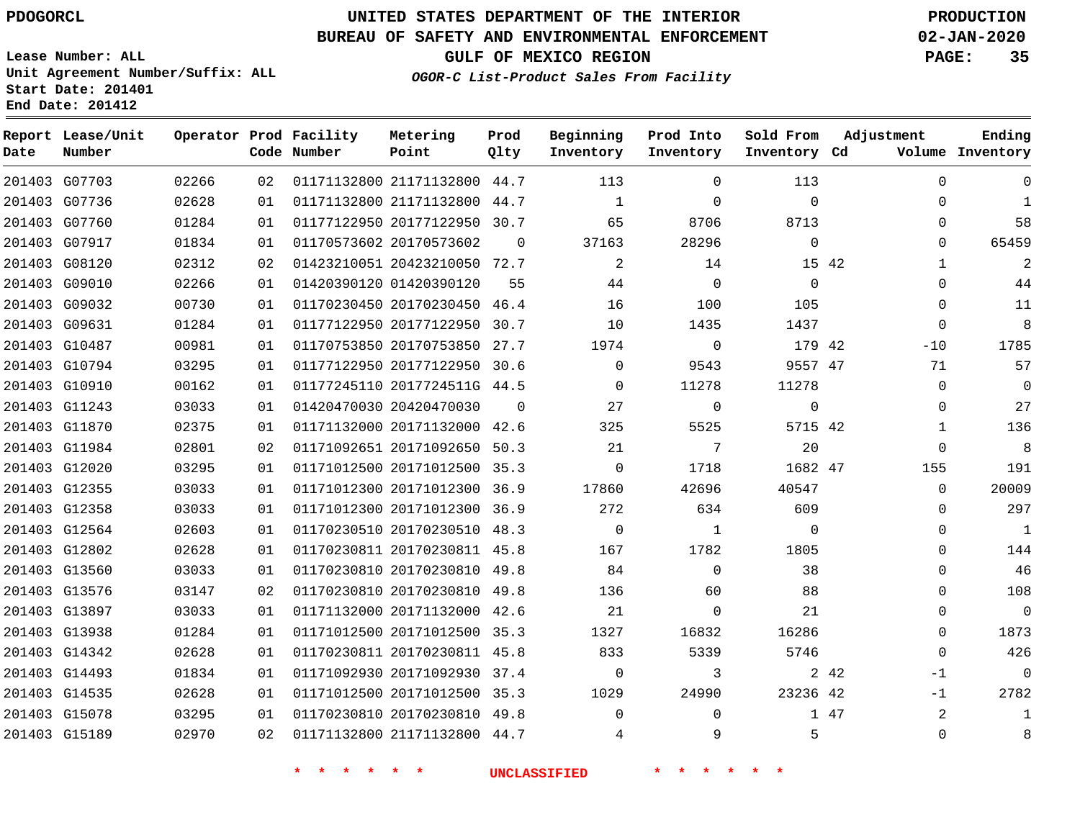G07703

**Date**

**Report Lease/Unit**

**Number**

 G14493 G14535 G15078 G15189

## **UNITED STATES DEPARTMENT OF THE INTERIOR PDOGORCL PRODUCTION**

**Prod Qlty**

#### **BUREAU OF SAFETY AND ENVIRONMENTAL ENFORCEMENT 02-JAN-2020**

**Lease Number: ALL Unit Agreement Number/Suffix: ALL Start Date: 201401 End Date: 201412**

**Operator Prod Facility**

**Code Number**

**GULF OF MEXICO REGION PAGE: 35**

**Inventory Cd Volume**

**Adjustment**

-1 -1  $\Omega$ 

**Ending**

**OGOR-C List-Product Sales From Facility**

  $\sim$ 

**Sold From Inventory**

**Prod Into Inventory**

**Beginning Inventory**

| 201403 G07736 | 02628 | 01 |                         | 01171132800 21171132800 44.7 |          |          | $\Omega$     | $\Omega$    |       | $\Omega$     |
|---------------|-------|----|-------------------------|------------------------------|----------|----------|--------------|-------------|-------|--------------|
| 201403 G07760 | 01284 | 01 |                         | 01177122950 20177122950 30.7 |          | 65       | 8706         | 8713        |       | $\Omega$     |
| 201403 G07917 | 01834 | 01 | 01170573602 20170573602 |                              | $\Omega$ | 37163    | 28296        | $\Omega$    |       | $\Omega$     |
| 201403 G08120 | 02312 | 02 |                         | 01423210051 20423210050 72.7 |          | 2        | 14           |             | 15 42 | $\mathbf{1}$ |
| 201403 G09010 | 02266 | 01 | 01420390120 01420390120 |                              | 55       | 44       | $\Omega$     | $\Omega$    |       | $\Omega$     |
| 201403 G09032 | 00730 | 01 |                         | 01170230450 20170230450 46.4 |          | 16       | 100          | 105         |       | $\Omega$     |
| 201403 G09631 | 01284 | 01 |                         | 01177122950 20177122950 30.7 |          | 10       | 1435         | 1437        |       | $\Omega$     |
| 201403 G10487 | 00981 | 01 |                         | 01170753850 20170753850 27.7 |          | 1974     | $\Omega$     | 179 42      |       | $-10$        |
| 201403 G10794 | 03295 | 01 |                         | 01177122950 20177122950 30.6 |          | $\Omega$ | 9543         | 9557 47     |       | 71           |
| 201403 G10910 | 00162 | 01 |                         | 01177245110 2017724511G 44.5 |          | $\Omega$ | 11278        | 11278       |       | $\mathbf 0$  |
| 201403 G11243 | 03033 | 01 | 01420470030 20420470030 |                              | $\Omega$ | 27       | $\Omega$     | $\mathbf 0$ |       | $\Omega$     |
| 201403 G11870 | 02375 | 01 |                         | 01171132000 20171132000 42.6 |          | 325      | 5525         | 5715 42     |       | 1            |
| 201403 G11984 | 02801 | 02 |                         | 01171092651 20171092650 50.3 |          | 21       | 7            | 20          |       | $\Omega$     |
| 201403 G12020 | 03295 | 01 |                         | 01171012500 20171012500 35.3 |          | $\Omega$ | 1718         | 1682 47     |       | 155          |
| 201403 G12355 | 03033 | 01 |                         | 01171012300 20171012300 36.9 |          | 17860    | 42696        | 40547       |       | $\Omega$     |
| 201403 G12358 | 03033 | 01 |                         | 01171012300 20171012300 36.9 |          | 272      | 634          | 609         |       | $\Omega$     |
| 201403 G12564 | 02603 | 01 |                         | 01170230510 20170230510      | 48.3     | $\Omega$ | $\mathbf{1}$ | $\mathbf 0$ |       | $\Omega$     |
| 201403 G12802 | 02628 | 01 |                         | 01170230811 20170230811 45.8 |          | 167      | 1782         | 1805        |       | $\Omega$     |
| 201403 G13560 | 03033 | 01 |                         | 01170230810 20170230810 49.8 |          | 84       | $\Omega$     | 38          |       | $\Omega$     |
| 201403 G13576 | 03147 | 02 |                         | 01170230810 20170230810      | 49.8     | 136      | 60           | 88          |       | $\Omega$     |
| 201403 G13897 | 03033 | 01 |                         | 01171132000 20171132000 42.6 |          | 21       | $\Omega$     | 21          |       | $\Omega$     |
| 201403 G13938 | 01284 | 01 |                         | 01171012500 20171012500 35.3 |          | 1327     | 16832        | 16286       |       | $\Omega$     |
| 201403 G14342 | 02628 | 01 |                         | 01170230811 20170230811 45.8 |          | 833      | 5339         | 5746        |       | 0            |

21171132800 44.7

**Metering Point**

 20171092930 37.4 20171012500 35.3 20170230810 49.8 21171132800 44.7

**\* \* \* \* \* \* UNCLASSIFIED \* \* \* \* \* \***

42 42 47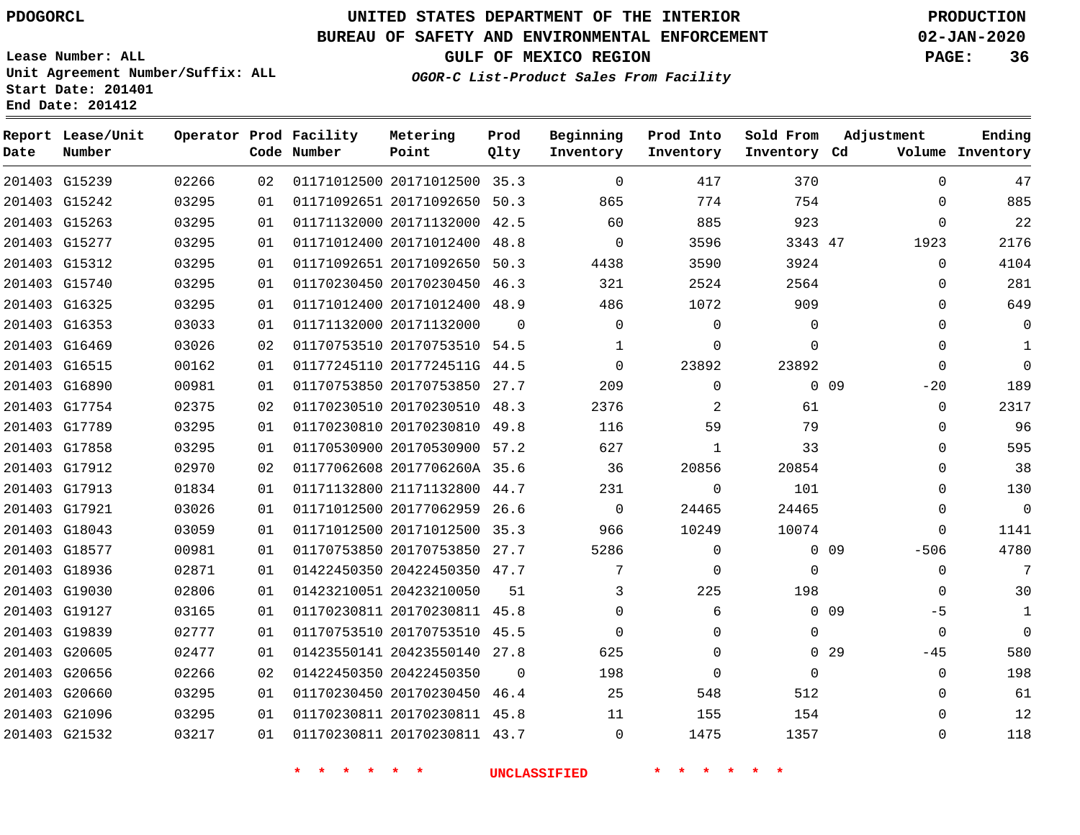**Report Lease/Unit**

**Number**

G15239

**Date**

# **UNITED STATES DEPARTMENT OF THE INTERIOR PDOGORCL PRODUCTION**

**Prod Qlty**

#### **BUREAU OF SAFETY AND ENVIRONMENTAL ENFORCEMENT 02-JAN-2020**

**Lease Number: ALL Unit Agreement Number/Suffix: ALL Start Date: 201401**

**Operator Prod Facility**

**Code Number**

20171012500 35.3

**Metering Point**

**OGOR-C List-Product Sales From Facility**

**Sold From Inventory**

**Prod Into Inventory**

**Beginning Inventory**

**GULF OF MEXICO REGION PAGE: 36**

**Inventory Cd Volume**

**Adjustment**

  $\Omega$  $\Omega$   $\Omega$  $\Omega$  $\Omega$  $\Omega$   $-20$  $\Omega$  $\overline{0}$   $\Omega$  $\overline{0}$  $\Omega$  $\Omega$ -506  $\Omega$  $\Omega$ -5  $-45$   $\Omega$ 

**Ending**

|                 | 754         | 774         | 865         |          | 01171092651 20171092650 50.3 | 01 | 03295 | 201403 G15242 |  |
|-----------------|-------------|-------------|-------------|----------|------------------------------|----|-------|---------------|--|
|                 | 923         | 885         | 60          |          | 01171132000 20171132000 42.5 | 01 | 03295 | 201403 G15263 |  |
|                 | 3343 47     | 3596        | $\Omega$    |          | 01171012400 20171012400 48.8 | 01 | 03295 | 201403 G15277 |  |
|                 | 3924        | 3590        | 4438        |          | 01171092651 20171092650 50.3 | 01 | 03295 | 201403 G15312 |  |
|                 | 2564        | 2524        | 321         |          | 01170230450 20170230450 46.3 | 01 | 03295 | 201403 G15740 |  |
|                 | 909         | 1072        | 486         |          | 01171012400 20171012400 48.9 | 01 | 03295 | 201403 G16325 |  |
|                 | 0           | 0           | 0           | $\Omega$ | 01171132000 20171132000      | 01 | 03033 | 201403 G16353 |  |
|                 | 0           | $\Omega$    | 1           |          | 01170753510 20170753510 54.5 | 02 | 03026 | 201403 G16469 |  |
|                 | 23892       | 23892       | 0           |          | 01177245110 2017724511G 44.5 | 01 | 00162 | 201403 G16515 |  |
| 0 <sub>09</sub> |             | $\Omega$    | 209         |          | 01170753850 20170753850 27.7 | 01 | 00981 | 201403 G16890 |  |
|                 | 61          | 2           | 2376        |          | 01170230510 20170230510 48.3 | 02 | 02375 | 201403 G17754 |  |
|                 | 79          | 59          | 116         |          | 01170230810 20170230810 49.8 | 01 | 03295 | 201403 G17789 |  |
|                 | 33          | 1           | 627         |          | 01170530900 20170530900 57.2 | 01 | 03295 | 201403 G17858 |  |
|                 | 20854       | 20856       | 36          |          | 01177062608 2017706260A 35.6 | 02 | 02970 | 201403 G17912 |  |
|                 | 101         | $\Omega$    | 231         |          | 01171132800 21171132800 44.7 | 01 | 01834 | 201403 G17913 |  |
|                 | 24465       | 24465       | $\mathbf 0$ |          | 01171012500 20177062959 26.6 | 01 | 03026 | 201403 G17921 |  |
|                 | 10074       | 10249       | 966         |          | 01171012500 20171012500 35.3 | 01 | 03059 | 201403 G18043 |  |
| 0.09            |             | $\Omega$    | 5286        |          | 01170753850 20170753850 27.7 | 01 | 00981 | 201403 G18577 |  |
|                 | $\mathbf 0$ | $\Omega$    | 7           |          | 01422450350 20422450350 47.7 | 01 | 02871 | 201403 G18936 |  |
|                 | 198         | 225         | 3           | 51       | 01423210051 20423210050      | 01 | 02806 | 201403 G19030 |  |
| 0 <sub>09</sub> |             | 6           | 0           |          | 01170230811 20170230811 45.8 | 01 | 03165 | 201403 G19127 |  |
|                 | 0           | 0           | $\mathbf 0$ |          | 01170753510 20170753510 45.5 | 01 | 02777 | 201403 G19839 |  |
| 0 <sub>29</sub> |             | $\Omega$    | 625         |          | 01423550141 20423550140 27.8 | 01 | 02477 | 201403 G20605 |  |
|                 | $\mathbf 0$ | $\mathbf 0$ | 198         | $\Omega$ | 01422450350 20422450350      | 02 | 02266 | 201403 G20656 |  |
|                 | 512         | 548         | 25          |          | 01170230450 20170230450 46.4 | 01 | 03295 | 201403 G20660 |  |
|                 | 154         | 155         | 11          |          | 01170230811 20170230811 45.8 | 01 | 03295 | 201403 G21096 |  |
|                 | 1357        | 1475        | 0           |          | 01170230811 20170230811 43.7 | 01 | 03217 | 201403 G21532 |  |
|                 |             |             |             |          |                              |    |       |               |  |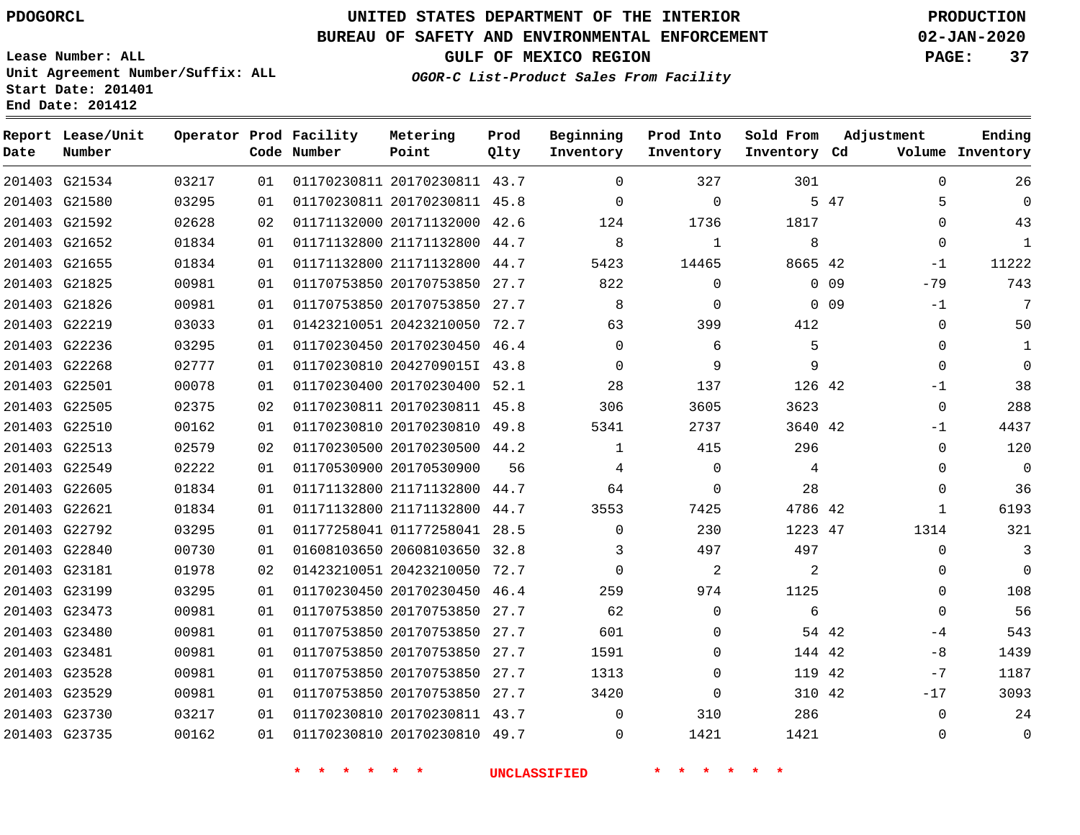#### **BUREAU OF SAFETY AND ENVIRONMENTAL ENFORCEMENT 02-JAN-2020**

**Lease Number: ALL Unit Agreement Number/Suffix: ALL Start Date: 201401**

**OGOR-C List-Product Sales From Facility**

**GULF OF MEXICO REGION PAGE: 37**

**End Date: 201412**

| Date | Report Lease/Unit<br>Number |       |    | Operator Prod Facility<br>Code Number | Metering<br>Point            | Prod<br>Qlty | Beginning<br>Inventory | Prod Into<br>Inventory | Sold From<br>Inventory Cd | Adjustment              | Ending<br>Volume Inventory |
|------|-----------------------------|-------|----|---------------------------------------|------------------------------|--------------|------------------------|------------------------|---------------------------|-------------------------|----------------------------|
|      | 201403 G21534               | 03217 | 01 |                                       | 01170230811 20170230811 43.7 |              | $\Omega$               | 327                    | 301                       | $\Omega$                | 26                         |
|      | 201403 G21580               | 03295 | 01 |                                       | 01170230811 20170230811 45.8 |              | $\Omega$               | $\Omega$               |                           | 5 47<br>5               | $\Omega$                   |
|      | 201403 G21592               | 02628 | 02 |                                       | 01171132000 20171132000      | 42.6         | 124                    | 1736                   | 1817                      | $\mathbf{0}$            | 43                         |
|      | 201403 G21652               | 01834 | 01 |                                       | 01171132800 21171132800 44.7 |              | 8                      | $\mathbf{1}$           | 8                         | $\Omega$                | $\mathbf{1}$               |
|      | 201403 G21655               | 01834 | 01 |                                       | 01171132800 21171132800      | 44.7         | 5423                   | 14465                  | 8665 42                   | -1                      | 11222                      |
|      | 201403 G21825               | 00981 | 01 |                                       | 01170753850 20170753850      | 27.7         | 822                    | $\mathbf 0$            |                           | $0$ 09<br>$-79$         | 743                        |
|      | 201403 G21826               | 00981 | 01 |                                       | 01170753850 20170753850      | 27.7         | 8                      | $\mathbf 0$            |                           | 0 <sub>09</sub><br>$-1$ | 7                          |
|      | 201403 G22219               | 03033 | 01 |                                       | 01423210051 20423210050      | 72.7         | 63                     | 399                    | 412                       | $\mathbf 0$             | 50                         |
|      | 201403 G22236               | 03295 | 01 |                                       | 01170230450 20170230450 46.4 |              | $\Omega$               | 6                      | 5                         | $\Omega$                | 1                          |
|      | 201403 G22268               | 02777 | 01 |                                       | 01170230810 2042709015I 43.8 |              | $\Omega$               | 9                      | 9                         | 0                       | $\mathbf 0$                |
|      | 201403 G22501               | 00078 | 01 |                                       | 01170230400 20170230400 52.1 |              | 28                     | 137                    | 126 42                    | $-1$                    | 38                         |
|      | 201403 G22505               | 02375 | 02 |                                       | 01170230811 20170230811 45.8 |              | 306                    | 3605                   | 3623                      | $\mathbf{0}$            | 288                        |
|      | 201403 G22510               | 00162 | 01 |                                       | 01170230810 20170230810 49.8 |              | 5341                   | 2737                   | 3640 42                   | -1                      | 4437                       |
|      | 201403 G22513               | 02579 | 02 |                                       | 01170230500 20170230500 44.2 |              | $\mathbf{1}$           | 415                    | 296                       | $\mathbf{0}$            | 120                        |
|      | 201403 G22549               | 02222 | 01 |                                       | 01170530900 20170530900      | 56           | 4                      | $\Omega$               | 4                         | $\Omega$                | $\mathbf 0$                |
|      | 201403 G22605               | 01834 | 01 |                                       | 01171132800 21171132800 44.7 |              | 64                     | $\mathbf 0$            | 28                        | $\mathbf{0}$            | 36                         |
|      | 201403 G22621               | 01834 | 01 |                                       | 01171132800 21171132800      | 44.7         | 3553                   | 7425                   | 4786 42                   | $\mathbf{1}$            | 6193                       |
|      | 201403 G22792               | 03295 | 01 |                                       | 01177258041 01177258041 28.5 |              | $\Omega$               | 230                    | 1223 47                   | 1314                    | 321                        |
|      | 201403 G22840               | 00730 | 01 |                                       | 01608103650 20608103650 32.8 |              | 3                      | 497                    | 497                       | $\mathbf{0}$            | 3                          |
|      | 201403 G23181               | 01978 | 02 |                                       | 01423210051 20423210050      | 72.7         | $\Omega$               | 2                      | 2                         | $\Omega$                | $\mathbf 0$                |
|      | 201403 G23199               | 03295 | 01 |                                       | 01170230450 20170230450      | 46.4         | 259                    | 974                    | 1125                      | $\Omega$                | 108                        |
|      | 201403 G23473               | 00981 | 01 |                                       | 01170753850 20170753850      | 27.7         | 62                     | $\Omega$               | 6                         | $\Omega$                | 56                         |
|      | 201403 G23480               | 00981 | 01 |                                       | 01170753850 20170753850      | 27.7         | 601                    | $\Omega$               |                           | 54 42<br>$-4$           | 543                        |
|      | 201403 G23481               | 00981 | 01 |                                       | 01170753850 20170753850 27.7 |              | 1591                   | $\Omega$               | 144 42                    | -8                      | 1439                       |
|      | 201403 G23528               | 00981 | 01 |                                       | 01170753850 20170753850      | 27.7         | 1313                   | $\Omega$               | 119 42                    | $-7$                    | 1187                       |
|      | 201403 G23529               | 00981 | 01 |                                       | 01170753850 20170753850 27.7 |              | 3420                   | $\mathbf 0$            | 310 42                    | $-17$                   | 3093                       |
|      | 201403 G23730               | 03217 | 01 |                                       | 01170230810 20170230811 43.7 |              | $\mathbf 0$            | 310                    | 286                       | $\mathbf{0}$            | 24                         |
|      | 201403 G23735               | 00162 | 01 |                                       | 01170230810 20170230810 49.7 |              | $\Omega$               | 1421                   | 1421                      | $\Omega$                | $\mathbf 0$                |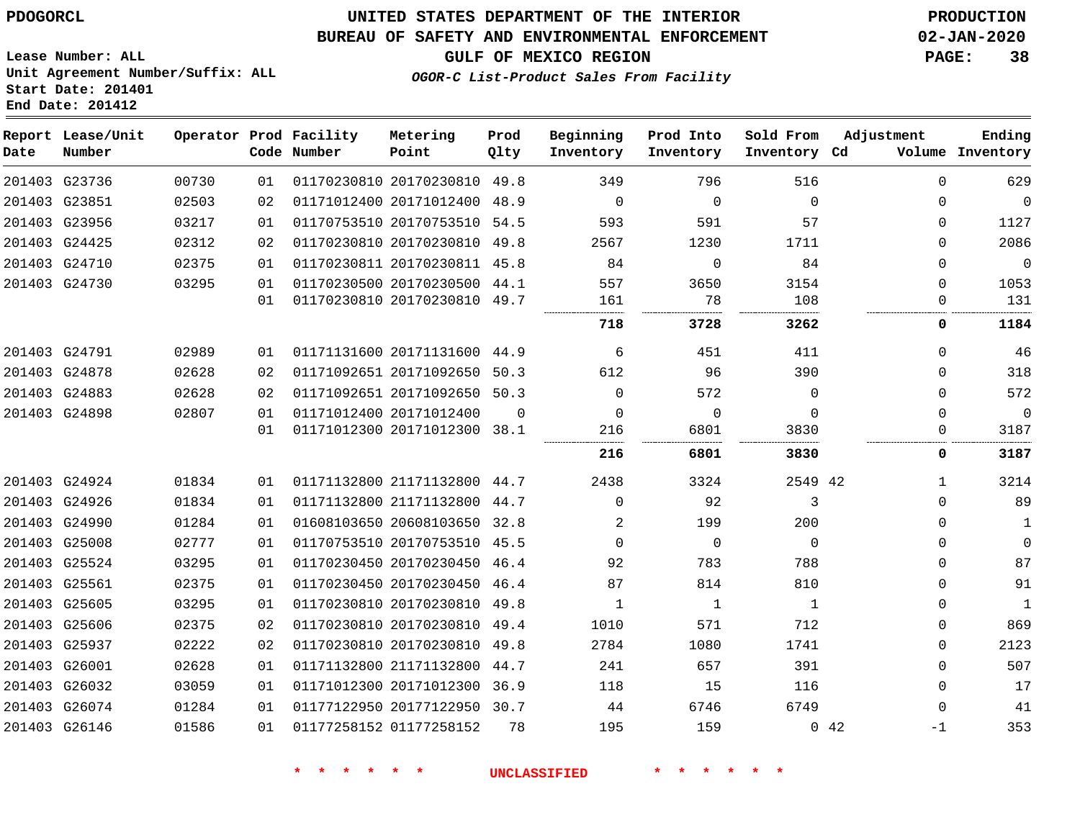## **UNITED STATES DEPARTMENT OF THE INTERIOR PDOGORCL PRODUCTION**

#### **BUREAU OF SAFETY AND ENVIRONMENTAL ENFORCEMENT 02-JAN-2020**

**Lease Number: ALL Unit Agreement Number/Suffix: ALL Start Date: 201401**

**GULF OF MEXICO REGION PAGE: 38**

**OGOR-C List-Product Sales From Facility**

| Date | Report Lease/Unit<br>Number |       |    | Operator Prod Facility<br>Code Number | Metering<br>Point            | Prod<br>Qlty | Beginning<br>Inventory | Prod Into<br>Inventory | Sold From<br>Inventory Cd | Adjustment | Ending<br>Volume Inventory |
|------|-----------------------------|-------|----|---------------------------------------|------------------------------|--------------|------------------------|------------------------|---------------------------|------------|----------------------------|
|      | 201403 G23736               | 00730 | 01 |                                       | 01170230810 20170230810 49.8 |              | 349                    | 796                    | 516                       | $\Omega$   | 629                        |
|      | 201403 G23851               | 02503 | 02 |                                       | 01171012400 20171012400 48.9 |              | $\overline{0}$         | $\mathbf 0$            | $\Omega$                  | $\Omega$   | $\mathbf 0$                |
|      | 201403 G23956               | 03217 | 01 |                                       | 01170753510 20170753510 54.5 |              | 593                    | 591                    | 57                        | $\Omega$   | 1127                       |
|      | 201403 G24425               | 02312 | 02 |                                       | 01170230810 20170230810 49.8 |              | 2567                   | 1230                   | 1711                      | $\Omega$   | 2086                       |
|      | 201403 G24710               | 02375 | 01 |                                       | 01170230811 20170230811 45.8 |              | 84                     | $\Omega$               | 84                        | $\Omega$   | $\overline{0}$             |
|      | 201403 G24730               | 03295 | 01 |                                       | 01170230500 20170230500 44.1 |              | 557                    | 3650                   | 3154                      | $\Omega$   | 1053                       |
|      |                             |       | 01 |                                       | 01170230810 20170230810 49.7 |              | 161                    | 78                     | 108                       | $\Omega$   | 131                        |
|      |                             |       |    |                                       |                              |              | 718                    | 3728                   | 3262                      | 0          | 1184                       |
|      | 201403 G24791               | 02989 | 01 |                                       | 01171131600 20171131600 44.9 |              | 6                      | 451                    | 411                       | 0          | 46                         |
|      | 201403 G24878               | 02628 | 02 |                                       | 01171092651 20171092650      | 50.3         | 612                    | 96                     | 390                       | $\Omega$   | 318                        |
|      | 201403 G24883               | 02628 | 02 |                                       | 01171092651 20171092650 50.3 |              | $\Omega$               | 572                    | $\Omega$                  | $\Omega$   | 572                        |
|      | 201403 G24898               | 02807 | 01 |                                       | 01171012400 20171012400      | $\Omega$     | $\mathbf 0$            | $\mathbf 0$            | $\Omega$                  | 0          | $\mathbf 0$                |
|      |                             |       | 01 |                                       | 01171012300 20171012300 38.1 |              | 216                    | 6801                   | 3830                      | 0          | 3187                       |
|      |                             |       |    |                                       |                              |              | 216                    | 6801                   | 3830                      | 0          | 3187                       |
|      | 201403 G24924               | 01834 | 01 |                                       | 01171132800 21171132800 44.7 |              | 2438                   | 3324                   | 2549 42                   | 1          | 3214                       |
|      | 201403 G24926               | 01834 | 01 |                                       | 01171132800 21171132800 44.7 |              | $\Omega$               | 92                     | 3                         | $\Omega$   | 89                         |
|      | 201403 G24990               | 01284 | 01 |                                       | 01608103650 20608103650 32.8 |              | 2                      | 199                    | 200                       | $\Omega$   | $\mathbf 1$                |
|      | 201403 G25008               | 02777 | 01 |                                       | 01170753510 20170753510 45.5 |              | $\Omega$               | $\overline{0}$         | $\Omega$                  | 0          | $\mathbf 0$                |
|      | 201403 G25524               | 03295 | 01 |                                       | 01170230450 20170230450 46.4 |              | 92                     | 783                    | 788                       | $\Omega$   | 87                         |
|      | 201403 G25561               | 02375 | 01 |                                       | 01170230450 20170230450 46.4 |              | 87                     | 814                    | 810                       | $\Omega$   | 91                         |
|      | 201403 G25605               | 03295 | 01 |                                       | 01170230810 20170230810 49.8 |              | 1                      | 1                      | 1                         | 0          | $\mathbf{1}$               |
|      | 201403 G25606               | 02375 | 02 |                                       | 01170230810 20170230810 49.4 |              | 1010                   | 571                    | 712                       | $\Omega$   | 869                        |
|      | 201403 G25937               | 02222 | 02 |                                       | 01170230810 20170230810 49.8 |              | 2784                   | 1080                   | 1741                      | $\Omega$   | 2123                       |
|      | 201403 G26001               | 02628 | 01 |                                       | 01171132800 21171132800 44.7 |              | 241                    | 657                    | 391                       | $\Omega$   | 507                        |
|      | 201403 G26032               | 03059 | 01 |                                       | 01171012300 20171012300 36.9 |              | 118                    | 15                     | 116                       | $\Omega$   | 17                         |
|      | 201403 G26074               | 01284 | 01 |                                       | 01177122950 20177122950 30.7 |              | 44                     | 6746                   | 6749                      | 0          | 41                         |
|      | 201403 G26146               | 01586 | 01 |                                       | 01177258152 01177258152      | 78           | 195                    | 159                    |                           | 042<br>-1  | 353                        |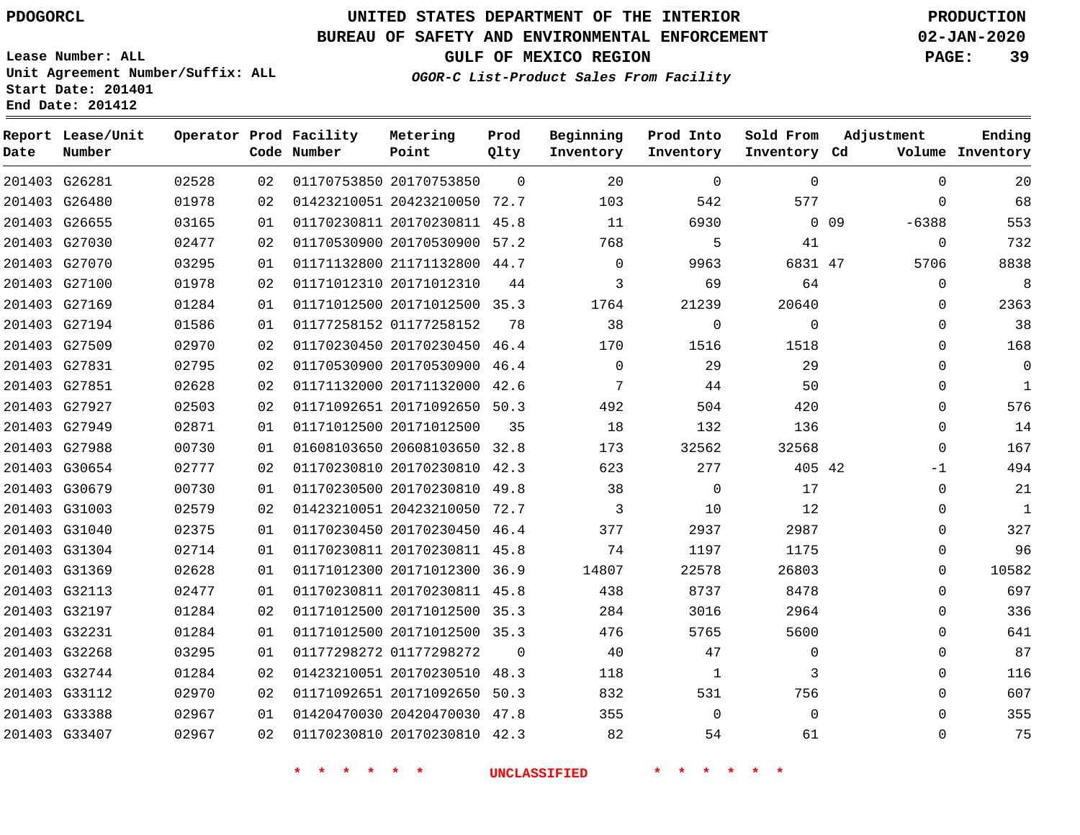**Report Lease/Unit**

**Number**

## **UNITED STATES DEPARTMENT OF THE INTERIOR PDOGORCL PRODUCTION**

**Prod Qlty**

#### **BUREAU OF SAFETY AND ENVIRONMENTAL ENFORCEMENT 02-JAN-2020**

**Lease Number: ALL Unit Agreement Number/Suffix: ALL Start Date: 201401 End Date: 201412**

**Operator Prod Facility**

**OGOR-C List-Product Sales From Facility**

**Beginning Inventory** **Prod Into Inventory**

**Sold From Inventory**

**GULF OF MEXICO REGION PAGE: 39**

**Adjustment**

**Ending**

| Date | Number        |       |    | Code Number                | Point                        | Qlty     | Inventory           | Inventory                          | Inventory Cd    |            |             | Volume Inventory |
|------|---------------|-------|----|----------------------------|------------------------------|----------|---------------------|------------------------------------|-----------------|------------|-------------|------------------|
|      | 201403 G26281 | 02528 | 02 |                            | 01170753850 20170753850      | $\Omega$ | 20                  | $\mathbf 0$                        | $\mathbf 0$     |            | $\Omega$    | 20               |
|      | 201403 G26480 | 01978 | 02 |                            | 01423210051 20423210050 72.7 |          | 103                 | 542                                | 577             |            | $\Omega$    | 68               |
|      | 201403 G26655 | 03165 | 01 |                            | 01170230811 20170230811 45.8 |          | 11                  | 6930                               |                 | $0\quad09$ | $-6388$     | 553              |
|      | 201403 G27030 | 02477 | 02 |                            | 01170530900 20170530900 57.2 |          | 768                 | 5                                  | 41              |            | $\mathbf 0$ | 732              |
|      | 201403 G27070 | 03295 | 01 |                            | 01171132800 21171132800 44.7 |          | $\Omega$            | 9963                               | 6831 47         |            | 5706        | 8838             |
|      | 201403 G27100 | 01978 | 02 |                            | 01171012310 20171012310      | 44       | 3                   | 69                                 | 64              |            | $\mathbf 0$ | 8                |
|      | 201403 G27169 | 01284 | 01 |                            | 01171012500 20171012500 35.3 |          | 1764                | 21239                              | 20640           |            | $\Omega$    | 2363             |
|      | 201403 G27194 | 01586 | 01 |                            | 01177258152 01177258152      | 78       | 38                  | $\mathbf 0$                        | $\mathbf 0$     |            | $\mathbf 0$ | 38               |
|      | 201403 G27509 | 02970 | 02 |                            | 01170230450 20170230450 46.4 |          | 170                 | 1516                               | 1518            |            | $\Omega$    | 168              |
|      | 201403 G27831 | 02795 | 02 |                            | 01170530900 20170530900 46.4 |          | $\mathbf 0$         | 29                                 | 29              |            | $\Omega$    | $\mathbf 0$      |
|      | 201403 G27851 | 02628 | 02 |                            | 01171132000 20171132000 42.6 |          | 7                   | 44                                 | 50              |            | 0           | $\mathbf{1}$     |
|      | 201403 G27927 | 02503 | 02 |                            | 01171092651 20171092650 50.3 |          | 492                 | 504                                | 420             |            | $\Omega$    | 576              |
|      | 201403 G27949 | 02871 | 01 |                            | 01171012500 20171012500      | 35       | 18                  | 132                                | 136             |            | $\mathbf 0$ | 14               |
|      | 201403 G27988 | 00730 | 01 |                            | 01608103650 20608103650 32.8 |          | 173                 | 32562                              | 32568           |            | $\Omega$    | 167              |
|      | 201403 G30654 | 02777 | 02 |                            | 01170230810 20170230810 42.3 |          | 623                 | 277                                | 405 42          |            | $-1$        | 494              |
|      | 201403 G30679 | 00730 | 01 |                            | 01170230500 20170230810 49.8 |          | 38                  | $\mathbf 0$                        | 17              |            | $\mathbf 0$ | 21               |
|      | 201403 G31003 | 02579 | 02 |                            | 01423210051 20423210050 72.7 |          | 3                   | 10                                 | 12              |            | $\Omega$    | $\mathbf 1$      |
|      | 201403 G31040 | 02375 | 01 |                            | 01170230450 20170230450 46.4 |          | 377                 | 2937                               | 2987            |            | $\Omega$    | 327              |
|      | 201403 G31304 | 02714 | 01 |                            | 01170230811 20170230811 45.8 |          | 74                  | 1197                               | 1175            |            | 0           | 96               |
|      | 201403 G31369 | 02628 | 01 |                            | 01171012300 20171012300 36.9 |          | 14807               | 22578                              | 26803           |            | $\Omega$    | 10582            |
|      | 201403 G32113 | 02477 | 01 |                            | 01170230811 20170230811 45.8 |          | 438                 | 8737                               | 8478            |            | 0           | 697              |
|      | 201403 G32197 | 01284 | 02 |                            | 01171012500 20171012500 35.3 |          | 284                 | 3016                               | 2964            |            | $\Omega$    | 336              |
|      | 201403 G32231 | 01284 | 01 |                            | 01171012500 20171012500 35.3 |          | 476                 | 5765                               | 5600            |            | $\Omega$    | 641              |
|      | 201403 G32268 | 03295 | 01 |                            | 01177298272 01177298272      | $\Omega$ | 40                  | 47                                 | $\mathbf 0$     |            | $\Omega$    | 87               |
|      | 201403 G32744 | 01284 | 02 |                            | 01423210051 20170230510 48.3 |          | 118                 | $\mathbf{1}$                       | 3               |            | $\mathbf 0$ | 116              |
|      | 201403 G33112 | 02970 | 02 |                            | 01171092651 20171092650 50.3 |          | 832                 | 531                                | 756             |            | $\Omega$    | 607              |
|      | 201403 G33388 | 02967 | 01 |                            | 01420470030 20420470030 47.8 |          | 355                 | $\mathsf{O}$                       | $\mathbf 0$     |            | 0           | 355              |
|      | 201403 G33407 | 02967 | 02 |                            | 01170230810 20170230810 42.3 |          | 82                  | 54                                 | 61              |            | 0           | 75               |
|      |               |       |    | $\star$ $\star$<br>* * * * |                              |          | <b>UNCLASSIFIED</b> | $\star$ $\star$ $\star$<br>$\star$ | $\star$ $\star$ |            |             |                  |

**Metering Point**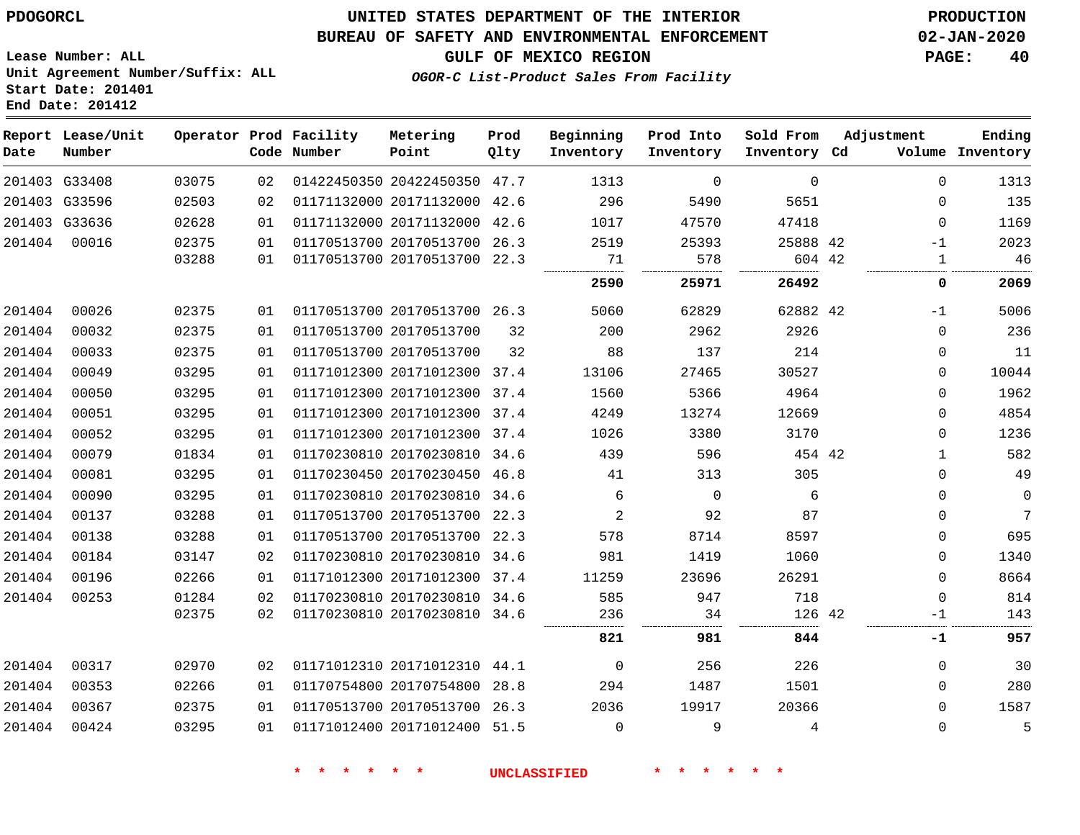**Start Date: 201401 End Date: 201412**

## **UNITED STATES DEPARTMENT OF THE INTERIOR PDOGORCL PRODUCTION**

#### **BUREAU OF SAFETY AND ENVIRONMENTAL ENFORCEMENT 02-JAN-2020**

**Lease Number: ALL Unit Agreement Number/Suffix: ALL**

**GULF OF MEXICO REGION PAGE: 40**

**OGOR-C List-Product Sales From Facility**

| Date          | Report Lease/Unit<br>Number |       |    | Operator Prod Facility<br>Code Number | Metering<br>Point            | Prod<br>Qlty | Beginning<br>Inventory | Prod Into<br>Inventory | Sold From<br>Inventory Cd | Adjustment   | Ending<br>Volume Inventory |
|---------------|-----------------------------|-------|----|---------------------------------------|------------------------------|--------------|------------------------|------------------------|---------------------------|--------------|----------------------------|
|               | 201403 G33408               | 03075 | 02 |                                       | 01422450350 20422450350 47.7 |              | 1313                   | $\Omega$               | $\mathbf 0$               | $\Omega$     | 1313                       |
| 201403 G33596 |                             | 02503 | 02 |                                       | 01171132000 20171132000 42.6 |              | 296                    | 5490                   | 5651                      | $\Omega$     | 135                        |
|               | 201403 G33636               | 02628 | 01 |                                       | 01171132000 20171132000      | 42.6         | 1017                   | 47570                  | 47418                     | $\Omega$     | 1169                       |
| 201404        | 00016                       | 02375 | 01 |                                       | 01170513700 20170513700 26.3 |              | 2519                   | 25393                  | 25888 42                  | $-1$         | 2023                       |
|               |                             | 03288 | 01 |                                       | 01170513700 20170513700 22.3 |              | 71                     | 578                    | 604 42                    | 1            | 46                         |
|               |                             |       |    |                                       |                              |              | 2590                   | 25971                  | 26492                     | 0            | 2069                       |
| 201404        | 00026                       | 02375 | 01 |                                       | 01170513700 20170513700 26.3 |              | 5060                   | 62829                  | 62882 42                  | $-1$         | 5006                       |
| 201404        | 00032                       | 02375 | 01 |                                       | 01170513700 20170513700      | 32           | 200                    | 2962                   | 2926                      | $\mathbf 0$  | 236                        |
| 201404        | 00033                       | 02375 | 01 |                                       | 01170513700 20170513700      | 32           | 88                     | 137                    | 214                       | 0            | 11                         |
| 201404        | 00049                       | 03295 | 01 |                                       | 01171012300 20171012300 37.4 |              | 13106                  | 27465                  | 30527                     | 0            | 10044                      |
| 201404        | 00050                       | 03295 | 01 |                                       | 01171012300 20171012300 37.4 |              | 1560                   | 5366                   | 4964                      | $\Omega$     | 1962                       |
| 201404        | 00051                       | 03295 | 01 |                                       | 01171012300 20171012300 37.4 |              | 4249                   | 13274                  | 12669                     | 0            | 4854                       |
| 201404        | 00052                       | 03295 | 01 |                                       | 01171012300 20171012300 37.4 |              | 1026                   | 3380                   | 3170                      | 0            | 1236                       |
| 201404        | 00079                       | 01834 | 01 |                                       | 01170230810 20170230810 34.6 |              | 439                    | 596                    | 454 42                    | $\mathbf{1}$ | 582                        |
| 201404        | 00081                       | 03295 | 01 |                                       | 01170230450 20170230450 46.8 |              | 41                     | 313                    | 305                       | 0            | 49                         |
| 201404        | 00090                       | 03295 | 01 |                                       | 01170230810 20170230810 34.6 |              | 6                      | $\overline{0}$         | 6                         | 0            | $\mathbf 0$                |
| 201404        | 00137                       | 03288 | 01 |                                       | 01170513700 20170513700 22.3 |              | 2                      | 92                     | 87                        | 0            | $7\overline{ }$            |
| 201404        | 00138                       | 03288 | 01 |                                       | 01170513700 20170513700 22.3 |              | 578                    | 8714                   | 8597                      | 0            | 695                        |
| 201404        | 00184                       | 03147 | 02 |                                       | 01170230810 20170230810 34.6 |              | 981                    | 1419                   | 1060                      | $\Omega$     | 1340                       |
| 201404        | 00196                       | 02266 | 01 |                                       | 01171012300 20171012300 37.4 |              | 11259                  | 23696                  | 26291                     | $\Omega$     | 8664                       |
| 201404        | 00253                       | 01284 | 02 |                                       | 01170230810 20170230810 34.6 |              | 585                    | 947                    | 718                       | 0            | 814                        |
|               |                             | 02375 | 02 |                                       | 01170230810 20170230810 34.6 |              | 236                    | 34                     | 126 42                    | -1           | 143                        |
|               |                             |       |    |                                       |                              |              | 821                    | 981                    | 844                       | -1           | 957                        |
| 201404        | 00317                       | 02970 | 02 |                                       | 01171012310 20171012310 44.1 |              | $\overline{0}$         | 256                    | 226                       | 0            | 30                         |
| 201404        | 00353                       | 02266 | 01 |                                       | 01170754800 20170754800      | 28.8         | 294                    | 1487                   | 1501                      | $\Omega$     | 280                        |
| 201404        | 00367                       | 02375 | 01 |                                       | 01170513700 20170513700 26.3 |              | 2036                   | 19917                  | 20366                     | $\Omega$     | 1587                       |
| 201404        | 00424                       | 03295 | 01 |                                       | 01171012400 20171012400 51.5 |              | $\Omega$               | 9                      | 4                         | $\Omega$     | 5                          |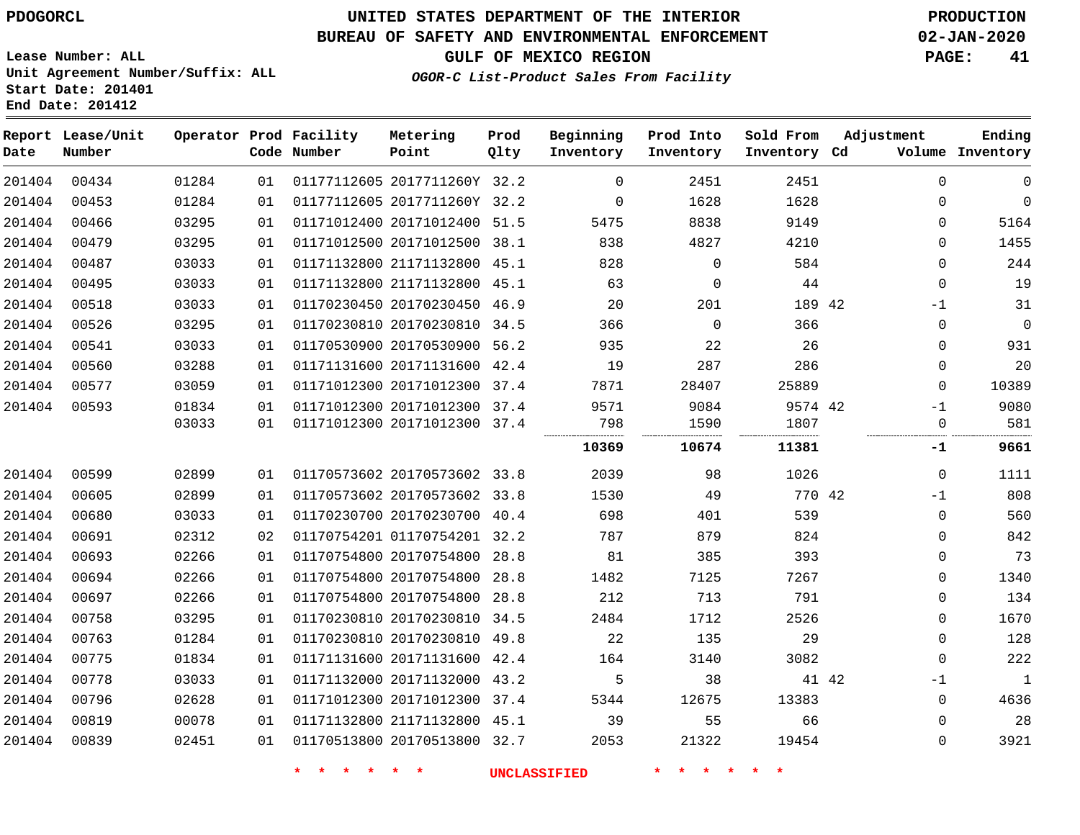## **BUREAU OF SAFETY AND ENVIRONMENTAL ENFORCEMENT 02-JAN-2020**

**OGOR-C List-Product Sales From Facility**

**GULF OF MEXICO REGION PAGE: 41**

**Lease Number: ALL Unit Agreement Number/Suffix: ALL Start Date: 201401 End Date: 201412**

| Date   | Report Lease/Unit<br>Number |       |    | Operator Prod Facility<br>Code Number | Metering<br>Point            | Prod<br>Qlty | Beginning<br>Inventory | Prod Into<br>Inventory | Sold From<br>Inventory Cd | Adjustment |             | Ending<br>Volume Inventory |
|--------|-----------------------------|-------|----|---------------------------------------|------------------------------|--------------|------------------------|------------------------|---------------------------|------------|-------------|----------------------------|
| 201404 | 00434                       | 01284 | 01 |                                       | 01177112605 2017711260Y 32.2 |              | $\Omega$               | 2451                   | 2451                      |            | $\Omega$    | $\mathbf 0$                |
| 201404 | 00453                       | 01284 | 01 |                                       | 01177112605 2017711260Y 32.2 |              | $\mathbf 0$            | 1628                   | 1628                      |            | 0           | $\mathbf{0}$               |
| 201404 | 00466                       | 03295 | 01 |                                       | 01171012400 20171012400 51.5 |              | 5475                   | 8838                   | 9149                      |            | 0           | 5164                       |
| 201404 | 00479                       | 03295 | 01 |                                       | 01171012500 20171012500 38.1 |              | 838                    | 4827                   | 4210                      |            | $\Omega$    | 1455                       |
| 201404 | 00487                       | 03033 | 01 |                                       | 01171132800 21171132800 45.1 |              | 828                    | $\mathbf 0$            | 584                       |            | $\Omega$    | 244                        |
| 201404 | 00495                       | 03033 | 01 |                                       | 01171132800 21171132800 45.1 |              | 63                     | $\Omega$               | 44                        |            | $\mathbf 0$ | 19                         |
| 201404 | 00518                       | 03033 | 01 |                                       | 01170230450 20170230450 46.9 |              | 20                     | 201                    | 189 42                    |            | $-1$        | 31                         |
| 201404 | 00526                       | 03295 | 01 |                                       | 01170230810 20170230810 34.5 |              | 366                    | $\Omega$               | 366                       |            | 0           | $\mathbf 0$                |
| 201404 | 00541                       | 03033 | 01 |                                       | 01170530900 20170530900 56.2 |              | 935                    | 22                     | 26                        |            | $\Omega$    | 931                        |
| 201404 | 00560                       | 03288 | 01 |                                       | 01171131600 20171131600 42.4 |              | 19                     | 287                    | 286                       |            | $\Omega$    | 20                         |
| 201404 | 00577                       | 03059 | 01 |                                       | 01171012300 20171012300 37.4 |              | 7871                   | 28407                  | 25889                     |            | $\Omega$    | 10389                      |
| 201404 | 00593                       | 01834 | 01 |                                       | 01171012300 20171012300 37.4 |              | 9571                   | 9084                   | 9574 42                   |            | $-1$        | 9080                       |
|        |                             | 03033 | 01 |                                       | 01171012300 20171012300 37.4 |              | 798                    | 1590                   | 1807                      |            | 0           | 581                        |
|        |                             |       |    |                                       |                              |              | 10369                  | 10674                  | 11381                     |            | -1          | 9661                       |
| 201404 | 00599                       | 02899 | 01 |                                       | 01170573602 20170573602 33.8 |              | 2039                   | 98                     | 1026                      |            | $\mathbf 0$ | 1111                       |
| 201404 | 00605                       | 02899 | 01 |                                       | 01170573602 20170573602 33.8 |              | 1530                   | 49                     | 770 42                    |            | $-1$        | 808                        |
| 201404 | 00680                       | 03033 | 01 |                                       | 01170230700 20170230700 40.4 |              | 698                    | 401                    | 539                       |            | $\mathbf 0$ | 560                        |
| 201404 | 00691                       | 02312 | 02 |                                       | 01170754201 01170754201 32.2 |              | 787                    | 879                    | 824                       |            | $\Omega$    | 842                        |
| 201404 | 00693                       | 02266 | 01 |                                       | 01170754800 20170754800 28.8 |              | 81                     | 385                    | 393                       |            | $\Omega$    | 73                         |
| 201404 | 00694                       | 02266 | 01 |                                       | 01170754800 20170754800 28.8 |              | 1482                   | 7125                   | 7267                      |            | 0           | 1340                       |
| 201404 | 00697                       | 02266 | 01 |                                       | 01170754800 20170754800      | 28.8         | 212                    | 713                    | 791                       |            | 0           | 134                        |
| 201404 | 00758                       | 03295 | 01 |                                       | 01170230810 20170230810 34.5 |              | 2484                   | 1712                   | 2526                      |            | 0           | 1670                       |
| 201404 | 00763                       | 01284 | 01 |                                       | 01170230810 20170230810 49.8 |              | 22                     | 135                    | 29                        |            | $\mathbf 0$ | 128                        |
| 201404 | 00775                       | 01834 | 01 |                                       | 01171131600 20171131600 42.4 |              | 164                    | 3140                   | 3082                      |            | $\mathbf 0$ | 222                        |
| 201404 | 00778                       | 03033 | 01 |                                       | 01171132000 20171132000 43.2 |              | 5                      | 38                     | 41 42                     |            | $-1$        | $\mathbf{1}$               |
| 201404 | 00796                       | 02628 | 01 |                                       | 01171012300 20171012300 37.4 |              | 5344                   | 12675                  | 13383                     |            | 0           | 4636                       |
| 201404 | 00819                       | 00078 | 01 |                                       | 01171132800 21171132800 45.1 |              | 39                     | 55                     | 66                        |            | 0           | 28                         |
| 201404 | 00839                       | 02451 | 01 |                                       | 01170513800 20170513800 32.7 |              | 2053                   | 21322                  | 19454                     |            | $\Omega$    | 3921                       |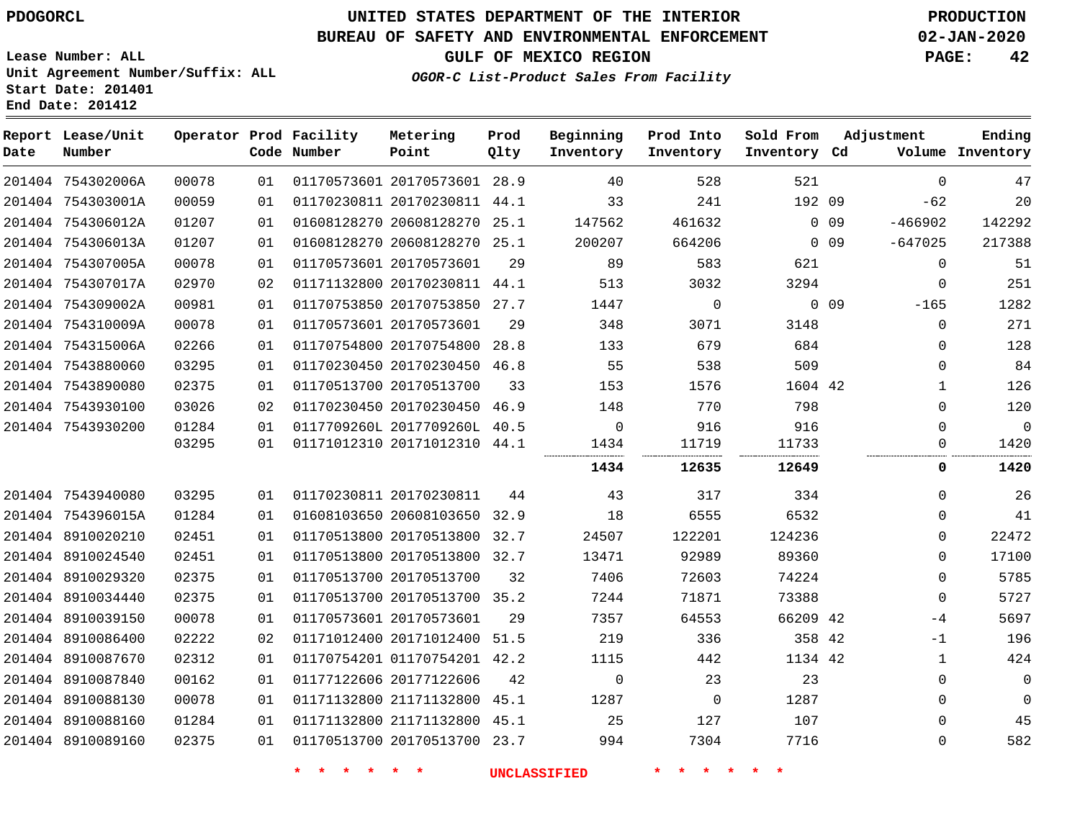## **BUREAU OF SAFETY AND ENVIRONMENTAL ENFORCEMENT 02-JAN-2020**

**Lease Number: ALL Unit Agreement Number/Suffix: ALL**

**GULF OF MEXICO REGION PAGE: 42**

**OGOR-C List-Product Sales From Facility**

|                    | onic Agleement Rumber/Dullin. A |  |
|--------------------|---------------------------------|--|
| Start Date: 201401 |                                 |  |
| End Date: 201412   |                                 |  |

| Date | Report Lease/Unit<br>Number |       |    | Operator Prod Facility<br>Code Number | Metering<br>Point            | Prod<br>Qlty | Beginning<br>Inventory | Prod Into<br>Inventory | Sold From<br>Inventory Cd | Adjustment              | Ending<br>Volume Inventory |
|------|-----------------------------|-------|----|---------------------------------------|------------------------------|--------------|------------------------|------------------------|---------------------------|-------------------------|----------------------------|
|      | 201404 754302006A           | 00078 | 01 |                                       | 01170573601 20170573601 28.9 |              | 40                     | 528                    | 521                       | $\Omega$                | 47                         |
|      | 201404 754303001A           | 00059 | 01 |                                       | 01170230811 20170230811 44.1 |              | 33                     | 241                    | 192 09                    | $-62$                   | 20                         |
|      | 201404 754306012A           | 01207 | 01 |                                       | 01608128270 20608128270 25.1 |              | 147562                 | 461632                 |                           | $0$ 09<br>$-466902$     | 142292                     |
|      | 201404 754306013A           | 01207 | 01 |                                       | 01608128270 20608128270 25.1 |              | 200207                 | 664206                 |                           | $-647025$<br>$0\quad09$ | 217388                     |
|      | 201404 754307005A           | 00078 | 01 | 01170573601 20170573601               |                              | 29           | 89                     | 583                    | 621                       | $\mathbf 0$             | 51                         |
|      | 201404 754307017A           | 02970 | 02 |                                       | 01171132800 20170230811 44.1 |              | 513                    | 3032                   | 3294                      |                         | 251<br>0                   |
|      | 201404 754309002A           | 00981 | 01 |                                       | 01170753850 20170753850 27.7 |              | 1447                   | $\mathbf 0$            |                           | $0$ 09<br>$-165$        | 1282                       |
|      | 201404 754310009A           | 00078 | 01 |                                       | 01170573601 20170573601      | 29           | 348                    | 3071                   | 3148                      |                         | 271<br>$\mathbf{0}$        |
|      | 201404 754315006A           | 02266 | 01 |                                       | 01170754800 20170754800      | 28.8         | 133                    | 679                    | 684                       |                         | 128<br>$\mathbf{0}$        |
|      | 201404 7543880060           | 03295 | 01 |                                       | 01170230450 20170230450 46.8 |              | 55                     | 538                    | 509                       |                         | 84<br>$\mathbf{0}$         |
|      | 201404 7543890080           | 02375 | 01 |                                       | 01170513700 20170513700      | 33           | 153                    | 1576                   | 1604 42                   |                         | 126<br>1                   |
|      | 201404 7543930100           | 03026 | 02 |                                       | 01170230450 20170230450 46.9 |              | 148                    | 770                    | 798                       |                         | 120<br>0                   |
|      | 201404 7543930200           | 01284 | 01 |                                       | 0117709260L 2017709260L 40.5 |              | $\Omega$               | 916                    | 916                       |                         | $\Omega$<br>$\Omega$       |
|      |                             | 03295 | 01 |                                       | 01171012310 20171012310 44.1 |              | 1434                   | 11719                  | 11733                     |                         | 1420<br>0                  |
|      |                             |       |    |                                       |                              |              | 1434                   | 12635                  | 12649                     |                         | 1420<br>0                  |
|      | 201404 7543940080           | 03295 | 01 |                                       | 01170230811 20170230811      | 44           | 43                     | 317                    | 334                       |                         | 26<br>$\Omega$             |
|      | 201404 754396015A           | 01284 | 01 |                                       | 01608103650 20608103650 32.9 |              | 18                     | 6555                   | 6532                      |                         | 41<br>$\Omega$             |
|      | 201404 8910020210           | 02451 | 01 |                                       | 01170513800 20170513800 32.7 |              | 24507                  | 122201                 | 124236                    |                         | 22472<br>$\Omega$          |
|      | 201404 8910024540           | 02451 | 01 |                                       | 01170513800 20170513800 32.7 |              | 13471                  | 92989                  | 89360                     |                         | $\mathbf{0}$<br>17100      |
|      | 201404 8910029320           | 02375 | 01 |                                       | 01170513700 20170513700      | 32           | 7406                   | 72603                  | 74224                     |                         | 5785<br>$\mathbf{0}$       |
|      | 201404 8910034440           | 02375 | 01 |                                       | 01170513700 20170513700 35.2 |              | 7244                   | 71871                  | 73388                     | $\mathbf 0$             | 5727                       |
|      | 201404 8910039150           | 00078 | 01 |                                       | 01170573601 20170573601      | 29           | 7357                   | 64553                  | 66209 42                  | -4                      | 5697                       |
|      | 201404 8910086400           | 02222 | 02 |                                       | 01171012400 20171012400 51.5 |              | 219                    | 336                    | 358 42                    | -1                      | 196                        |
|      | 201404 8910087670           | 02312 | 01 |                                       | 01170754201 01170754201 42.2 |              | 1115                   | 442                    | 1134 42                   |                         | 424<br>1                   |
|      | 201404 8910087840           | 00162 | 01 |                                       | 01177122606 20177122606      | 42           | $\Omega$               | 23                     | 23                        |                         | $\mathbf 0$<br>$\Omega$    |
|      | 201404 8910088130           | 00078 | 01 |                                       | 01171132800 21171132800      | 45.1         | 1287                   | $\mathbf 0$            | 1287                      |                         | $\mathbf 0$<br>0           |
|      | 201404 8910088160           | 01284 | 01 |                                       | 01171132800 21171132800 45.1 |              | 25                     | 127                    | 107                       |                         | 45<br>$\mathbf{0}$         |
|      | 201404 8910089160           | 02375 | 01 |                                       | 01170513700 20170513700 23.7 |              | 994                    | 7304                   | 7716                      |                         | 582<br>0                   |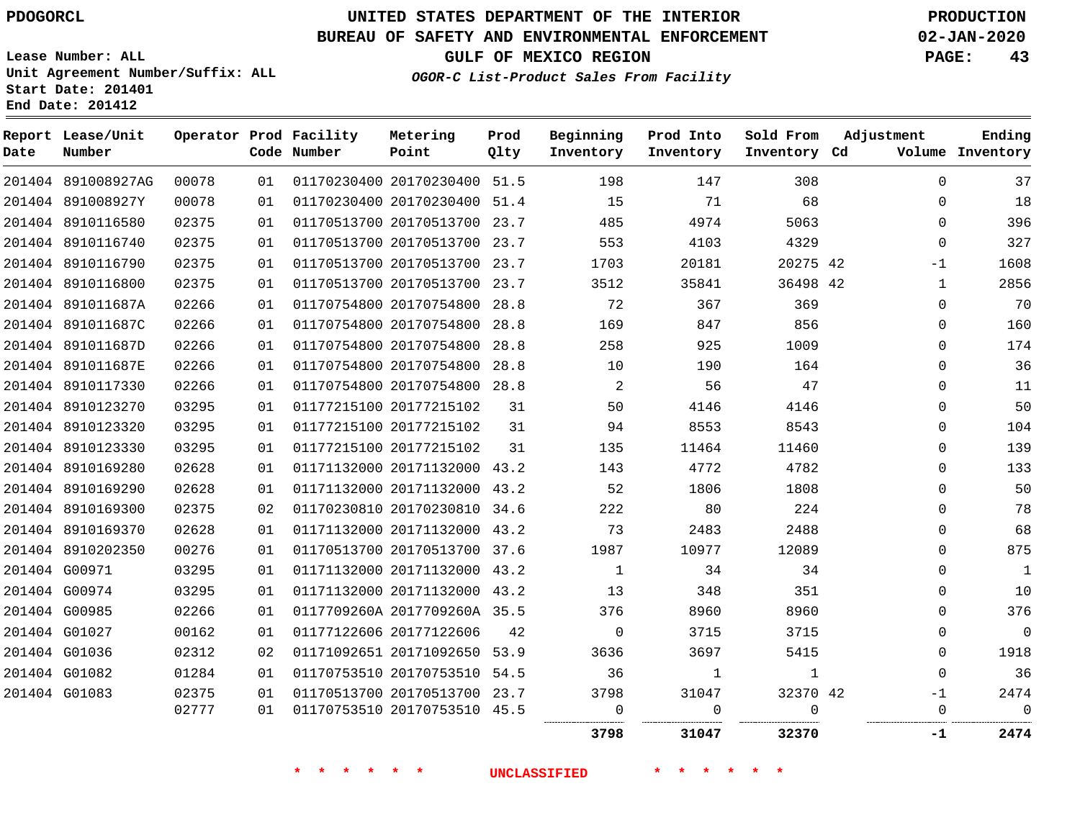# **UNITED STATES DEPARTMENT OF THE INTERIOR PDOGORCL PRODUCTION**

## **BUREAU OF SAFETY AND ENVIRONMENTAL ENFORCEMENT 02-JAN-2020**

**Lease Number: ALL Unit Agreement Number/Suffix: ALL Start Date: 201401**

**OGOR-C List-Product Sales From Facility**

**GULF OF MEXICO REGION PAGE: 43**

| Date | Report Lease/Unit<br>Number |       |    | Operator Prod Facility<br>Code Number | Metering<br>Point            | Prod<br>Qlty | Beginning<br>Inventory | Prod Into<br>Inventory | Sold From<br>Inventory Cd | Adjustment          | Ending<br>Volume Inventory |
|------|-----------------------------|-------|----|---------------------------------------|------------------------------|--------------|------------------------|------------------------|---------------------------|---------------------|----------------------------|
|      | 201404 891008927AG          | 00078 | 01 |                                       | 01170230400 20170230400      | 51.5         | 198                    | 147                    | 308                       | 0                   | 37                         |
|      | 201404 891008927Y           | 00078 | 01 |                                       | 01170230400 20170230400      | 51.4         | 15                     | 71                     | 68                        | $\Omega$            | 18                         |
|      | 201404 8910116580           | 02375 | 01 |                                       | 01170513700 20170513700 23.7 |              | 485                    | 4974                   | 5063                      | 0                   | 396                        |
|      | 201404 8910116740           | 02375 | 01 |                                       | 01170513700 20170513700      | 23.7         | 553                    | 4103                   | 4329                      | 0                   | 327                        |
|      | 201404 8910116790           | 02375 | 01 |                                       | 01170513700 20170513700 23.7 |              | 1703                   | 20181                  | 20275 42                  | $-1$                | 1608                       |
|      | 201404 8910116800           | 02375 | 01 |                                       | 01170513700 20170513700      | 23.7         | 3512                   | 35841                  | 36498                     | - 42<br>$\mathbf 1$ | 2856                       |
|      | 201404 891011687A           | 02266 | 01 |                                       | 01170754800 20170754800      | 28.8         | 72                     | 367                    | 369                       | 0                   | 70                         |
|      | 201404 891011687C           | 02266 | 01 |                                       | 01170754800 20170754800      | 28.8         | 169                    | 847                    | 856                       | 0                   | 160                        |
|      | 201404 891011687D           | 02266 | 01 |                                       | 01170754800 20170754800      | 28.8         | 258                    | 925                    | 1009                      | 0                   | 174                        |
|      | 201404 891011687E           | 02266 | 01 |                                       | 01170754800 20170754800      | 28.8         | 10                     | 190                    | 164                       | 0                   | 36                         |
|      | 201404 8910117330           | 02266 | 01 |                                       | 01170754800 20170754800      | 28.8         | 2                      | 56                     | 47                        | $\Omega$            | 11                         |
|      | 201404 8910123270           | 03295 | 01 |                                       | 01177215100 20177215102      | 31           | 50                     | 4146                   | 4146                      | 0                   | 50                         |
|      | 201404 8910123320           | 03295 | 01 |                                       | 01177215100 20177215102      | 31           | 94                     | 8553                   | 8543                      | 0                   | 104                        |
|      | 201404 8910123330           | 03295 | 01 |                                       | 01177215100 20177215102      | 31           | 135                    | 11464                  | 11460                     | 0                   | 139                        |
|      | 201404 8910169280           | 02628 | 01 |                                       | 01171132000 20171132000      | 43.2         | 143                    | 4772                   | 4782                      | 0                   | 133                        |
|      | 201404 8910169290           | 02628 | 01 |                                       | 01171132000 20171132000      | 43.2         | 52                     | 1806                   | 1808                      | 0                   | 50                         |
|      | 201404 8910169300           | 02375 | 02 |                                       | 01170230810 20170230810      | 34.6         | 222                    | 80                     | 224                       | 0                   | 78                         |
|      | 201404 8910169370           | 02628 | 01 |                                       | 01171132000 20171132000 43.2 |              | 73                     | 2483                   | 2488                      | 0                   | 68                         |
|      | 201404 8910202350           | 00276 | 01 |                                       | 01170513700 20170513700      | 37.6         | 1987                   | 10977                  | 12089                     | 0                   | 875                        |
|      | 201404 G00971               | 03295 | 01 |                                       | 01171132000 20171132000 43.2 |              | 1                      | 34                     | 34                        | 0                   | 1                          |
|      | 201404 G00974               | 03295 | 01 |                                       | 01171132000 20171132000      | 43.2         | 13                     | 348                    | 351                       | 0                   | 10                         |
|      | 201404 G00985               | 02266 | 01 |                                       | 0117709260A 2017709260A 35.5 |              | 376                    | 8960                   | 8960                      | $\Omega$            | 376                        |
|      | 201404 G01027               | 00162 | 01 |                                       | 01177122606 20177122606      | 42           | 0                      | 3715                   | 3715                      | 0                   | $\mathbf 0$                |
|      | 201404 G01036               | 02312 | 02 |                                       | 01171092651 20171092650      | 53.9         | 3636                   | 3697                   | 5415                      | 0                   | 1918                       |
|      | 201404 G01082               | 01284 | 01 |                                       | 01170753510 20170753510      | 54.5         | 36                     | 1                      | $\mathbf{1}$              | $\Omega$            | 36                         |
|      | 201404 G01083               | 02375 | 01 |                                       | 01170513700 20170513700      | 23.7         | 3798                   | 31047                  | 32370 42                  | -1                  | 2474                       |
|      |                             | 02777 | 01 |                                       | 01170753510 20170753510      | 45.5         | 0                      | $\mathbf 0$            | $\Omega$<br>              | 0                   | $\mathbf{0}$               |
|      |                             |       |    |                                       |                              |              | 3798                   | 31047                  | 32370                     | -1                  | 2474                       |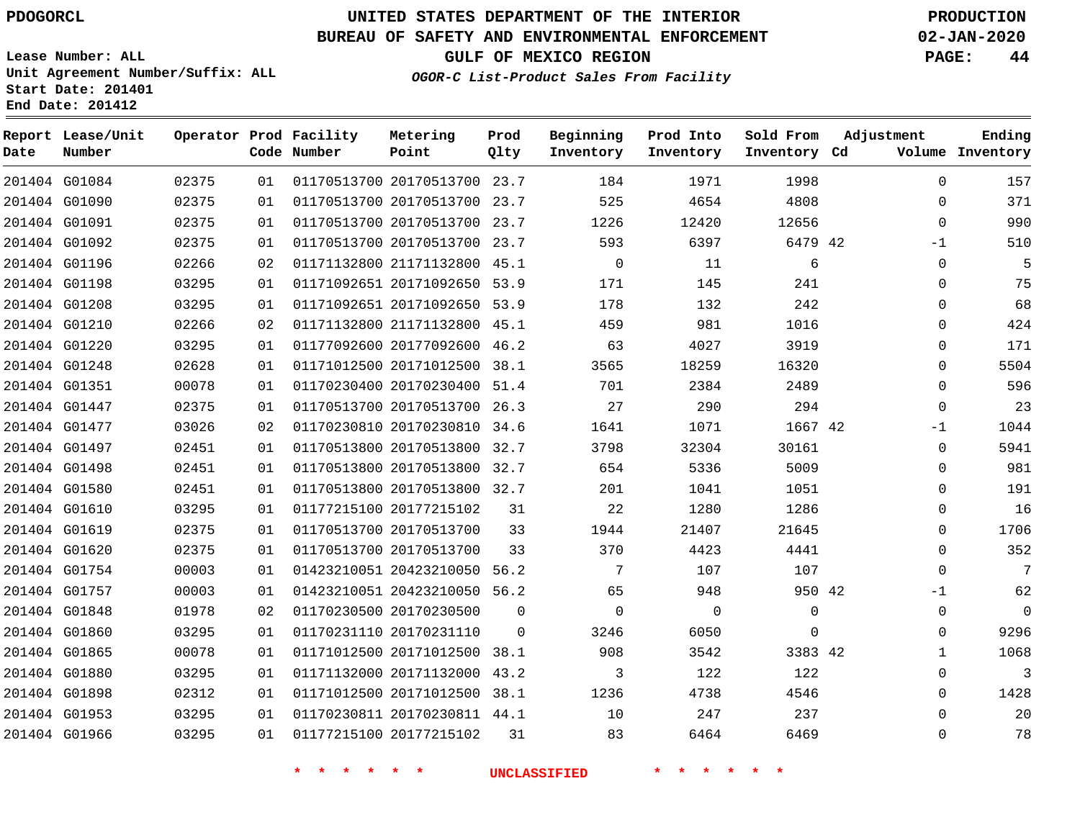G01084 G01090 G01091

**Date**

**Report Lease/Unit**

**Number**

# **UNITED STATES DEPARTMENT OF THE INTERIOR PDOGORCL PRODUCTION**

**Prod Qlty**

#### **BUREAU OF SAFETY AND ENVIRONMENTAL ENFORCEMENT 02-JAN-2020**

**Lease Number: ALL Unit Agreement Number/Suffix: ALL Start Date: 201401 End Date: 201412**

> 

**Operator Prod Facility**

**Code Number**

 20170513700 23.7 20170513700 23.7 20170513700 23.7

**Metering Point**

  **OGOR-C List-Product Sales From Facility**

 

 

 

**Sold From Inventory**

**Prod Into Inventory**

**Beginning Inventory**

**GULF OF MEXICO REGION PAGE: 44**

**Inventory Cd Volume**

**Adjustment**

 -1  $\Omega$  $\Omega$  $\Omega$   $\Omega$   $\Omega$ -1  $\Omega$  $\overline{0}$  $\Omega$  $\Omega$  $\Omega$  $\Omega$ -1  $\overline{0}$   $\Omega$ 

**Ending**

| 201404 G01092 | 02375 | 01 | 01170513700 20170513700 23.7 |                     | 593            | 6397     | 6479 42      |  |
|---------------|-------|----|------------------------------|---------------------|----------------|----------|--------------|--|
| 201404 G01196 | 02266 | 02 | 01171132800 21171132800 45.1 |                     | $\overline{0}$ | 11       | 6            |  |
| 201404 G01198 | 03295 | 01 | 01171092651 20171092650 53.9 |                     | 171            | 145      | 241          |  |
| 201404 G01208 | 03295 | 01 | 01171092651 20171092650 53.9 |                     | 178            | 132      | 242          |  |
| 201404 G01210 | 02266 | 02 | 01171132800 21171132800 45.1 |                     | 459            | 981      | 1016         |  |
| 201404 G01220 | 03295 | 01 | 01177092600 20177092600 46.2 |                     | 63             | 4027     | 3919         |  |
| 201404 G01248 | 02628 | 01 | 01171012500 20171012500 38.1 |                     | 3565           | 18259    | 16320        |  |
| 201404 G01351 | 00078 | 01 | 01170230400 20170230400 51.4 |                     | 701            | 2384     | 2489         |  |
| 201404 G01447 | 02375 | 01 | 01170513700 20170513700 26.3 |                     | 27             | 290      | 294          |  |
| 201404 G01477 | 03026 | 02 | 01170230810 20170230810 34.6 |                     | 1641           | 1071     | 1667 42      |  |
| 201404 G01497 | 02451 | 01 | 01170513800 20170513800 32.7 |                     | 3798           | 32304    | 30161        |  |
| 201404 G01498 | 02451 | 01 | 01170513800 20170513800 32.7 |                     | 654            | 5336     | 5009         |  |
| 201404 G01580 | 02451 | 01 | 01170513800 20170513800 32.7 |                     | 201            | 1041     | 1051         |  |
| 201404 G01610 | 03295 | 01 | 01177215100 20177215102      | 31                  | 22             | 1280     | 1286         |  |
| 201404 G01619 | 02375 | 01 | 01170513700 20170513700      | 33                  | 1944           | 21407    | 21645        |  |
| 201404 G01620 | 02375 | 01 | 01170513700 20170513700      | 33                  | 370            | 4423     | 4441         |  |
| 201404 G01754 | 00003 | 01 | 01423210051 20423210050 56.2 |                     | 7              | 107      | 107          |  |
| 201404 G01757 | 00003 | 01 | 01423210051 20423210050 56.2 |                     | 65             | 948      | 950 42       |  |
| 201404 G01848 | 01978 | 02 | 01170230500 20170230500      | $\Omega$            | $\Omega$       | $\Omega$ | $\mathbf 0$  |  |
| 201404 G01860 | 03295 | 01 | 01170231110 20170231110      | $\Omega$            | 3246           | 6050     | $\mathsf{O}$ |  |
| 201404 G01865 | 00078 | 01 | 01171012500 20171012500 38.1 |                     | 908            | 3542     | 3383 42      |  |
| 201404 G01880 | 03295 | 01 | 01171132000 20171132000 43.2 |                     | 3              | 122      | 122          |  |
| 201404 G01898 | 02312 | 01 | 01171012500 20171012500 38.1 |                     | 1236           | 4738     | 4546         |  |
| 201404 G01953 | 03295 | 01 | 01170230811 20170230811 44.1 |                     | 10             | 247      | 237          |  |
| 201404 G01966 | 03295 | 01 | 01177215100 20177215102      | 31                  | 83             | 6464     | 6469         |  |
|               |       |    |                              | <b>UNCLASSIFIED</b> |                |          |              |  |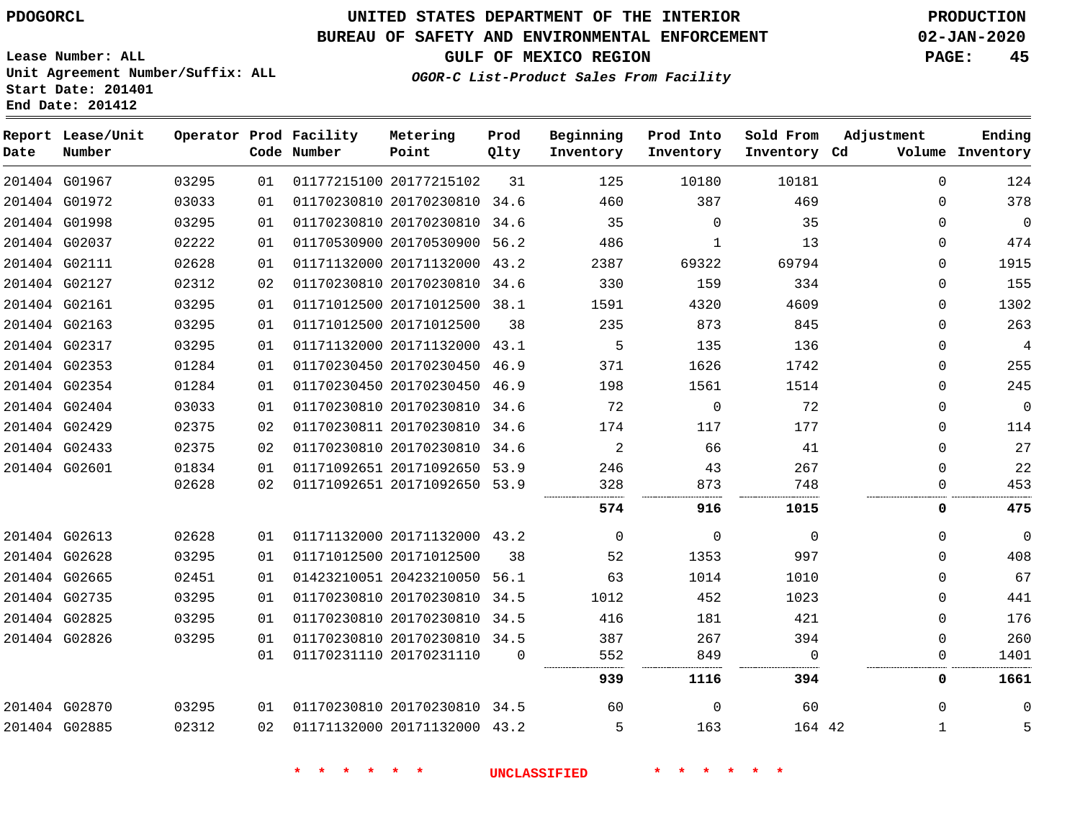## **BUREAU OF SAFETY AND ENVIRONMENTAL ENFORCEMENT 02-JAN-2020**

**OGOR-C List-Product Sales From Facility**

**GULF OF MEXICO REGION PAGE: 45**

**Lease Number: ALL Unit Agreement Number/Suffix: ALL Start Date: 201401 End Date: 201412**

| Date          | Report Lease/Unit<br>Number |       |    | Operator Prod Facility<br>Code Number | Metering<br>Point            | Prod<br>Qlty | Beginning<br>Inventory | Prod Into<br>Inventory | Sold From<br>Inventory Cd | Adjustment   | Ending<br>Volume Inventory |
|---------------|-----------------------------|-------|----|---------------------------------------|------------------------------|--------------|------------------------|------------------------|---------------------------|--------------|----------------------------|
| 201404 G01967 |                             | 03295 | 01 |                                       | 01177215100 20177215102      | 31           | 125                    | 10180                  | 10181                     | $\Omega$     | 124                        |
|               | 201404 G01972               | 03033 | 01 |                                       | 01170230810 20170230810 34.6 |              | 460                    | 387                    | 469                       | $\mathbf 0$  | 378                        |
| 201404 G01998 |                             | 03295 | 01 |                                       | 01170230810 20170230810 34.6 |              | 35                     | $\Omega$               | 35                        | $\Omega$     | $\mathbf 0$                |
| 201404 G02037 |                             | 02222 | 01 |                                       | 01170530900 20170530900 56.2 |              | 486                    | 1                      | 13                        | $\mathbf{0}$ | 474                        |
| 201404 G02111 |                             | 02628 | 01 |                                       | 01171132000 20171132000 43.2 |              | 2387                   | 69322                  | 69794                     | $\Omega$     | 1915                       |
| 201404 G02127 |                             | 02312 | 02 |                                       | 01170230810 20170230810 34.6 |              | 330                    | 159                    | 334                       | $\mathbf{0}$ | 155                        |
| 201404 G02161 |                             | 03295 | 01 |                                       | 01171012500 20171012500 38.1 |              | 1591                   | 4320                   | 4609                      | $\Omega$     | 1302                       |
| 201404 G02163 |                             | 03295 | 01 |                                       | 01171012500 20171012500      | 38           | 235                    | 873                    | 845                       | $\Omega$     | 263                        |
| 201404 G02317 |                             | 03295 | 01 |                                       | 01171132000 20171132000 43.1 |              | 5                      | 135                    | 136                       | $\Omega$     | $\overline{4}$             |
| 201404 G02353 |                             | 01284 | 01 |                                       | 01170230450 20170230450 46.9 |              | 371                    | 1626                   | 1742                      | $\Omega$     | 255                        |
|               | 201404 G02354               | 01284 | 01 |                                       | 01170230450 20170230450 46.9 |              | 198                    | 1561                   | 1514                      | $\Omega$     | 245                        |
|               | 201404 G02404               | 03033 | 01 |                                       | 01170230810 20170230810 34.6 |              | 72                     | $\mathbf 0$            | 72                        | $\Omega$     | $\overline{0}$             |
| 201404 G02429 |                             | 02375 | 02 |                                       | 01170230811 20170230810 34.6 |              | 174                    | 117                    | 177                       | $\Omega$     | 114                        |
| 201404 G02433 |                             | 02375 | 02 |                                       | 01170230810 20170230810 34.6 |              | 2                      | 66                     | 41                        | $\mathbf 0$  | 27                         |
| 201404 G02601 |                             | 01834 | 01 |                                       | 01171092651 20171092650 53.9 |              | 246                    | 43                     | 267                       | $\Omega$     | 22                         |
|               |                             | 02628 | 02 |                                       | 01171092651 20171092650 53.9 |              | 328                    | 873                    | 748                       | 0            | 453                        |
|               |                             |       |    |                                       |                              |              | 574                    | 916                    | 1015                      | 0            | 475                        |
|               | 201404 G02613               | 02628 | 01 |                                       | 01171132000 20171132000 43.2 |              | $\mathbf 0$            | $\mathbf 0$            | $\mathbf 0$               | $\mathbf 0$  | $\mathbf 0$                |
| 201404 G02628 |                             | 03295 | 01 |                                       | 01171012500 20171012500      | 38           | 52                     | 1353                   | 997                       | $\Omega$     | 408                        |
|               | 201404 G02665               | 02451 | 01 |                                       | 01423210051 20423210050 56.1 |              | 63                     | 1014                   | 1010                      | $\Omega$     | 67                         |
| 201404 G02735 |                             | 03295 | 01 |                                       | 01170230810 20170230810 34.5 |              | 1012                   | 452                    | 1023                      | $\Omega$     | 441                        |
| 201404 G02825 |                             | 03295 | 01 |                                       | 01170230810 20170230810 34.5 |              | 416                    | 181                    | 421                       | $\Omega$     | 176                        |
| 201404 G02826 |                             | 03295 | 01 |                                       | 01170230810 20170230810 34.5 |              | 387                    | 267                    | 394                       | $\Omega$     | 260                        |
|               |                             |       | 01 |                                       | 01170231110 20170231110      | $\Omega$     | 552                    | 849                    | $\Omega$                  | $\Omega$     | 1401                       |
|               |                             |       |    |                                       |                              |              | 939                    | 1116                   | 394                       | 0            | 1661                       |
| 201404 G02870 |                             | 03295 | 01 |                                       | 01170230810 20170230810 34.5 |              | 60                     | $\Omega$               | 60                        | $\Omega$     | $\Omega$                   |
| 201404 G02885 |                             | 02312 | 02 |                                       | 01171132000 20171132000 43.2 |              | 5                      | 163                    | 164 42                    | $\mathbf{1}$ | 5                          |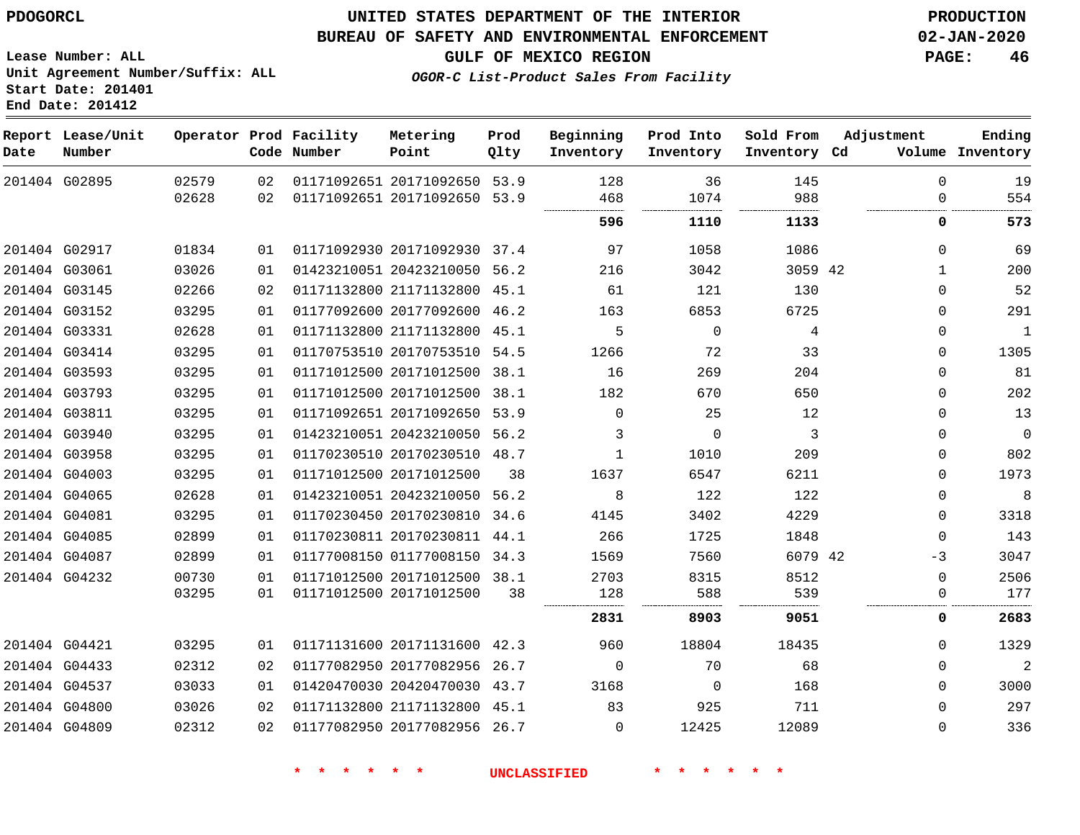**Lease Number: ALL**

**Start Date: 201401 End Date: 201412**

## **UNITED STATES DEPARTMENT OF THE INTERIOR PDOGORCL PRODUCTION**

#### **BUREAU OF SAFETY AND ENVIRONMENTAL ENFORCEMENT 02-JAN-2020**

**Unit Agreement Number/Suffix: ALL**

**GULF OF MEXICO REGION PAGE: 46**

**OGOR-C List-Product Sales From Facility**

| Date          | Report Lease/Unit<br>Number |       |    | Operator Prod Facility<br>Code Number | Metering<br>Point            | Prod<br>Qlty | Beginning<br>Inventory | Prod Into<br>Inventory | Sold From<br>Inventory Cd | Adjustment | Ending<br>Volume Inventory |
|---------------|-----------------------------|-------|----|---------------------------------------|------------------------------|--------------|------------------------|------------------------|---------------------------|------------|----------------------------|
| 201404 G02895 |                             | 02579 | 02 |                                       | 01171092651 20171092650 53.9 |              | 128                    | 36                     | 145                       | 0          | 19                         |
|               |                             | 02628 | 02 |                                       | 01171092651 20171092650      | 53.9         | 468                    | 1074                   | 988                       | 0          | 554                        |
|               |                             |       |    |                                       |                              |              | 596                    | 1110                   | 1133                      | 0          | 573                        |
|               | 201404 G02917               | 01834 | 01 |                                       | 01171092930 20171092930 37.4 |              | 97                     | 1058                   | 1086                      | 0          | 69                         |
|               | 201404 G03061               | 03026 | 01 |                                       | 01423210051 20423210050 56.2 |              | 216                    | 3042                   | 3059 42                   | 1          | 200                        |
|               | 201404 G03145               | 02266 | 02 |                                       | 01171132800 21171132800 45.1 |              | 61                     | 121                    | 130                       | 0          | 52                         |
|               | 201404 G03152               | 03295 | 01 |                                       | 01177092600 20177092600 46.2 |              | 163                    | 6853                   | 6725                      | 0          | 291                        |
|               | 201404 G03331               | 02628 | 01 |                                       | 01171132800 21171132800 45.1 |              | 5                      | $\mathbf 0$            | 4                         | 0          | 1                          |
|               | 201404 G03414               | 03295 | 01 |                                       | 01170753510 20170753510 54.5 |              | 1266                   | 72                     | 33                        | 0          | 1305                       |
|               | 201404 G03593               | 03295 | 01 |                                       | 01171012500 20171012500 38.1 |              | 16                     | 269                    | 204                       | 0          | 81                         |
|               | 201404 G03793               | 03295 | 01 |                                       | 01171012500 20171012500 38.1 |              | 182                    | 670                    | 650                       | 0          | 202                        |
|               | 201404 G03811               | 03295 | 01 |                                       | 01171092651 20171092650 53.9 |              | 0                      | 25                     | 12                        | 0          | 13                         |
|               | 201404 G03940               | 03295 | 01 |                                       | 01423210051 20423210050 56.2 |              | 3                      | 0                      | 3                         | 0          | $\mathbf 0$                |
|               | 201404 G03958               | 03295 | 01 |                                       | 01170230510 20170230510 48.7 |              | 1                      | 1010                   | 209                       | 0          | 802                        |
|               | 201404 G04003               | 03295 | 01 |                                       | 01171012500 20171012500      | 38           | 1637                   | 6547                   | 6211                      | 0          | 1973                       |
|               | 201404 G04065               | 02628 | 01 |                                       | 01423210051 20423210050 56.2 |              | 8                      | 122                    | 122                       | 0          | 8                          |
|               | 201404 G04081               | 03295 | 01 |                                       | 01170230450 20170230810 34.6 |              | 4145                   | 3402                   | 4229                      | 0          | 3318                       |
|               | 201404 G04085               | 02899 | 01 |                                       | 01170230811 20170230811 44.1 |              | 266                    | 1725                   | 1848                      | 0          | 143                        |
| 201404 G04087 |                             | 02899 | 01 |                                       | 01177008150 01177008150 34.3 |              | 1569                   | 7560                   | 6079 42                   | -3         | 3047                       |
| 201404 G04232 |                             | 00730 | 01 |                                       | 01171012500 20171012500 38.1 |              | 2703                   | 8315                   | 8512                      | 0          | 2506                       |
|               |                             | 03295 | 01 |                                       | 01171012500 20171012500      | 38           | 128                    | 588                    | 539                       | 0          | 177                        |
|               |                             |       |    |                                       |                              |              | 2831                   | 8903                   | 9051                      | 0          | 2683                       |
| 201404 G04421 |                             | 03295 | 01 |                                       | 01171131600 20171131600 42.3 |              | 960                    | 18804                  | 18435                     | 0          | 1329                       |
|               | 201404 G04433               | 02312 | 02 |                                       | 01177082950 20177082956      | 26.7         | 0                      | 70                     | 68                        | 0          | $\overline{c}$             |
|               | 201404 G04537               | 03033 | 01 |                                       | 01420470030 20420470030 43.7 |              | 3168                   | 0                      | 168                       | 0          | 3000                       |
|               | 201404 G04800               | 03026 | 02 |                                       | 01171132800 21171132800 45.1 |              | 83                     | 925                    | 711                       | 0          | 297                        |
|               | 201404 G04809               | 02312 | 02 |                                       | 01177082950 20177082956 26.7 |              | 0                      | 12425                  | 12089                     | 0          | 336                        |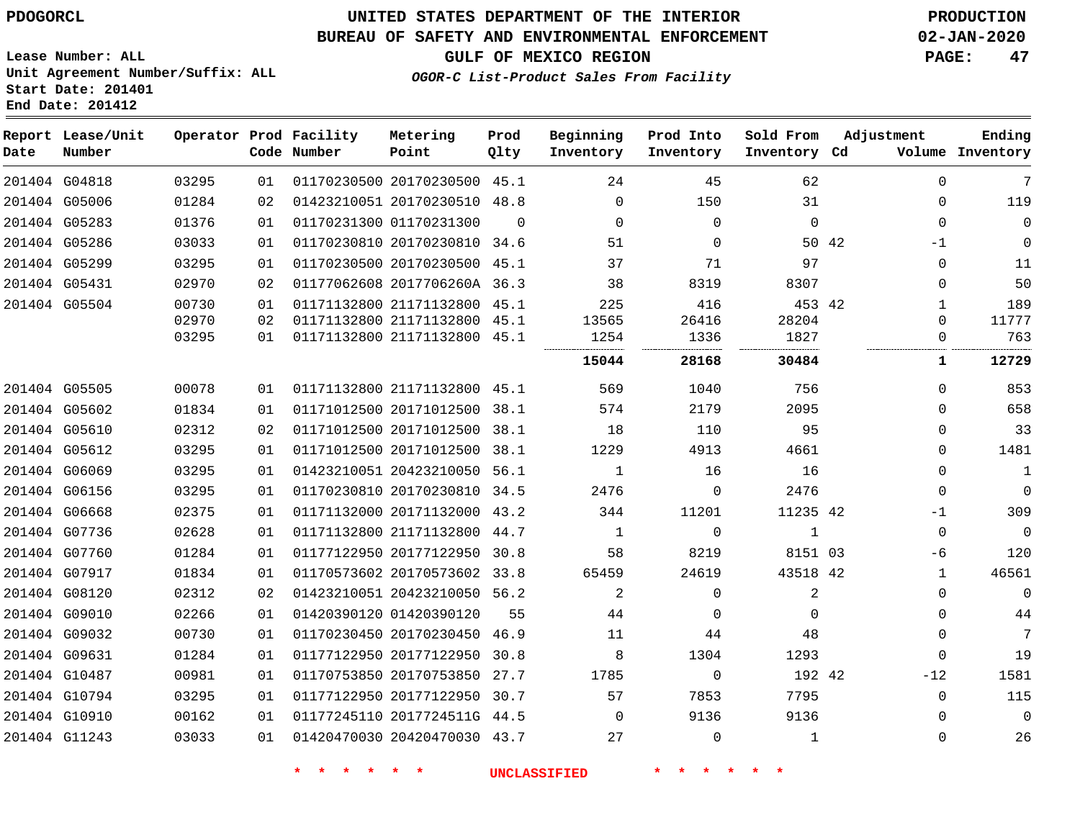**Date**

**Report Lease/Unit**

**Number**

## **UNITED STATES DEPARTMENT OF THE INTERIOR PDOGORCL PRODUCTION**

#### **BUREAU OF SAFETY AND ENVIRONMENTAL ENFORCEMENT 02-JAN-2020**

**GULF OF MEXICO REGION PAGE: 47**

**Ending**

**Lease Number: ALL Unit Agreement Number/Suffix: ALL Start Date: 201401 End Date: 201412**

|  | Operator Prod Facility<br>Code Number | Metering<br>Point | Prod<br>Olty | Beginning<br>Inventory | Prod Into<br>Inventory | Sold From Adjustment<br>Inventory Cd |  | Ending<br>Volume Inventory |
|--|---------------------------------------|-------------------|--------------|------------------------|------------------------|--------------------------------------|--|----------------------------|
|  |                                       |                   |              |                        |                        |                                      |  |                            |

**OGOR-C List-Product Sales From Facility**

| 7              | $\Omega$    |       | 62           | 45       | 24       |          | 01170230500 20170230500 45.1 |                         | 01 | 03295 | 201404 G04818 |  |
|----------------|-------------|-------|--------------|----------|----------|----------|------------------------------|-------------------------|----|-------|---------------|--|
| 119            | 0           |       | 31           | 150      | $\Omega$ |          | 01423210051 20170230510 48.8 |                         | 02 | 01284 | 201404 G05006 |  |
| $\Omega$       | $\Omega$    |       | $\mathbf 0$  | $\Omega$ | $\Omega$ | $\Omega$ |                              | 01170231300 01170231300 | 01 | 01376 | 201404 G05283 |  |
| $\mathbf 0$    | -1          | 50 42 |              | $\Omega$ | 51       | 34.6     | 01170230810 20170230810      |                         | 01 | 03033 | 201404 G05286 |  |
| 11             | $\Omega$    |       | 97           | 71       | 37       | 45.1     | 01170230500 20170230500      |                         | 01 | 03295 | 201404 G05299 |  |
| 50             | $\Omega$    |       | 8307         | 8319     | 38       | 36.3     | 01177062608 2017706260A      |                         | 02 | 02970 | 201404 G05431 |  |
| 189            |             |       | 453 42       | 416      | 225      | 45.1     | 01171132800 21171132800      |                         | 01 | 00730 | 201404 G05504 |  |
| 11777          | $\Omega$    |       | 28204        | 26416    | 13565    | 45.1     | 01171132800 21171132800      |                         | 02 | 02970 |               |  |
| 763            | 0           |       | 1827         | 1336     | 1254     | 45.1     | 01171132800 21171132800      |                         | 01 | 03295 |               |  |
| 12729          | 1           |       | 30484        | 28168    | 15044    |          |                              |                         |    |       |               |  |
| 853            | 0           |       | 756          | 1040     | 569      |          | 01171132800 21171132800 45.1 |                         | 01 | 00078 | 201404 G05505 |  |
| 658            | $\Omega$    |       | 2095         | 2179     | 574      | 38.1     | 01171012500 20171012500      |                         | 01 | 01834 | 201404 G05602 |  |
| 33             | $\Omega$    |       | 95           | 110      | 18       | 38.1     | 01171012500 20171012500      |                         | 02 | 02312 | 201404 G05610 |  |
| 1481           | 0           |       | 4661         | 4913     | 1229     | 38.1     |                              | 01171012500 20171012500 | 01 | 03295 | 201404 G05612 |  |
| 1              | $\Omega$    |       | 16           | 16       | 1        | 56.1     | 01423210051 20423210050      |                         | 01 | 03295 | 201404 G06069 |  |
| $\mathbf 0$    | $\Omega$    |       | 2476         | $\Omega$ | 2476     | 34.5     | 01170230810 20170230810      |                         | 01 | 03295 | 201404 G06156 |  |
| 309            | $-1$        |       | 11235 42     | 11201    | 344      | 43.2     | 01171132000 20171132000      |                         | 01 | 02375 | 201404 G06668 |  |
| $\overline{0}$ | $\mathbf 0$ |       | $\mathbf{1}$ | 0        | 1        | 44.7     | 01171132800 21171132800      |                         | 01 | 02628 | 201404 G07736 |  |
| 120            | -6          |       | 8151 03      | 8219     | 58       | 30.8     | 01177122950 20177122950      |                         | 01 | 01284 | 201404 G07760 |  |
| 46561          | 1           |       | 43518 42     | 24619    | 65459    | 33.8     | 01170573602 20170573602      |                         | 01 | 01834 | 201404 G07917 |  |
| $\Omega$       | $\Omega$    |       | 2            | $\Omega$ | 2        |          | 01423210051 20423210050 56.2 |                         | 02 | 02312 | 201404 G08120 |  |
| 44             | $\Omega$    |       | $\Omega$     | $\Omega$ | 44       | 55       | 01420390120 01420390120      |                         | 01 | 02266 | 201404 G09010 |  |
| 7              | $\Omega$    |       | 48           | 44       | 11       | 46.9     | 01170230450 20170230450      |                         | 01 | 00730 | 201404 G09032 |  |
| 19             | $\Omega$    |       | 1293         | 1304     | 8        | 30.8     | 01177122950 20177122950      |                         | 01 | 01284 | 201404 G09631 |  |
| 1581           | $-12$       |       | 192 42       | 0        | 1785     | 27.7     | 01170753850 20170753850      |                         | 01 | 00981 | 201404 G10487 |  |
| 115            | $\Omega$    |       | 7795         | 7853     | 57       | 30.7     | 01177122950 20177122950      |                         | 01 | 03295 | 201404 G10794 |  |
| $\Omega$       | $\Omega$    |       | 9136         | 9136     | 0        | 44.5     | 01177245110 2017724511G      |                         | 01 | 00162 | 201404 G10910 |  |
| 26             | $\Omega$    |       | $\mathbf 1$  | 0        | 27       |          | 01420470030 20420470030 43.7 |                         | 01 | 03033 | 201404 G11243 |  |
|                |             |       |              |          |          |          |                              |                         |    |       |               |  |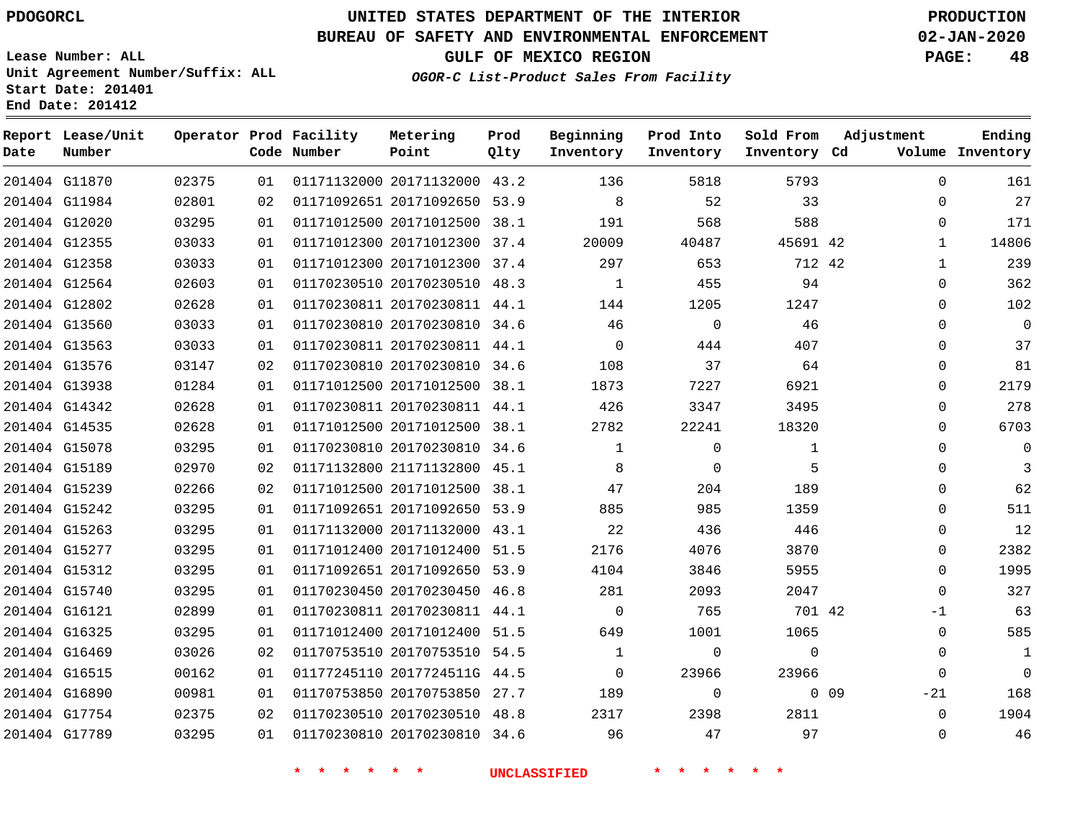# **UNITED STATES DEPARTMENT OF THE INTERIOR PDOGORCL PRODUCTION**

## **BUREAU OF SAFETY AND ENVIRONMENTAL ENFORCEMENT 02-JAN-2020**

**Lease Number: ALL Unit Agreement Number/Suffix: ALL Start Date: 201401**

**GULF OF MEXICO REGION PAGE: 48**

**OGOR-C List-Product Sales From Facility**

| Date | Report Lease/Unit<br>Number |       |    | Operator Prod Facility<br>Code Number | Metering<br>Point            | Prod<br>Qlty | Beginning<br>Inventory | Prod Into<br>Inventory | Sold From<br>Inventory Cd | Adjustment      | Ending<br>Volume Inventory |
|------|-----------------------------|-------|----|---------------------------------------|------------------------------|--------------|------------------------|------------------------|---------------------------|-----------------|----------------------------|
|      | 201404 G11870               | 02375 | 01 |                                       | 01171132000 20171132000 43.2 |              | 136                    | 5818                   | 5793                      |                 | $\Omega$<br>161            |
|      | 201404 G11984               | 02801 | 02 |                                       | 01171092651 20171092650 53.9 |              | 8                      | 52                     | 33                        |                 | 27<br>$\Omega$             |
|      | 201404 G12020               | 03295 | 01 |                                       | 01171012500 20171012500 38.1 |              | 191                    | 568                    | 588                       |                 | $\Omega$<br>171            |
|      | 201404 G12355               | 03033 | 01 |                                       | 01171012300 20171012300 37.4 |              | 20009                  | 40487                  | 45691 42                  |                 | 14806<br>$\mathbf{1}$      |
|      | 201404 G12358               | 03033 | 01 |                                       | 01171012300 20171012300 37.4 |              | 297                    | 653                    | 712 42                    |                 | 239<br>$\mathbf{1}$        |
|      | 201404 G12564               | 02603 | 01 |                                       | 01170230510 20170230510 48.3 |              | $\mathbf{1}$           | 455                    | 94                        |                 | 362<br>$\Omega$            |
|      | 201404 G12802               | 02628 | 01 |                                       | 01170230811 20170230811 44.1 |              | 144                    | 1205                   | 1247                      |                 | 102<br>$\Omega$            |
|      | 201404 G13560               | 03033 | 01 |                                       | 01170230810 20170230810 34.6 |              | 46                     | $\Omega$               | 46                        |                 | $\Omega$<br>$\Omega$       |
|      | 201404 G13563               | 03033 | 01 |                                       | 01170230811 20170230811 44.1 |              | $\Omega$               | 444                    | 407                       |                 | 37<br>0                    |
|      | 201404 G13576               | 03147 | 02 |                                       | 01170230810 20170230810 34.6 |              | 108                    | 37                     | 64                        |                 | 81<br>0                    |
|      | 201404 G13938               | 01284 | 01 |                                       | 01171012500 20171012500      | 38.1         | 1873                   | 7227                   | 6921                      |                 | 2179<br>$\Omega$           |
|      | 201404 G14342               | 02628 | 01 |                                       | 01170230811 20170230811 44.1 |              | 426                    | 3347                   | 3495                      |                 | 278<br>0                   |
|      | 201404 G14535               | 02628 | 01 |                                       | 01171012500 20171012500 38.1 |              | 2782                   | 22241                  | 18320                     |                 | 6703<br>$\Omega$           |
|      | 201404 G15078               | 03295 | 01 |                                       | 01170230810 20170230810 34.6 |              | $\mathbf{1}$           | $\mathbf 0$            | 1                         |                 | $\Omega$<br>$\Omega$       |
|      | 201404 G15189               | 02970 | 02 |                                       | 01171132800 21171132800 45.1 |              | 8                      | $\mathbf 0$            | 5                         |                 | $\mathbf 0$<br>3           |
|      | 201404 G15239               | 02266 | 02 |                                       | 01171012500 20171012500 38.1 |              | 47                     | 204                    | 189                       |                 | 62<br>0                    |
|      | 201404 G15242               | 03295 | 01 |                                       | 01171092651 20171092650 53.9 |              | 885                    | 985                    | 1359                      |                 | 511<br>$\Omega$            |
|      | 201404 G15263               | 03295 | 01 |                                       | 01171132000 20171132000 43.1 |              | 22                     | 436                    | 446                       |                 | 12<br>$\Omega$             |
|      | 201404 G15277               | 03295 | 01 |                                       | 01171012400 20171012400 51.5 |              | 2176                   | 4076                   | 3870                      |                 | 2382<br>0                  |
|      | 201404 G15312               | 03295 | 01 |                                       | 01171092651 20171092650 53.9 |              | 4104                   | 3846                   | 5955                      |                 | 1995<br>$\Omega$           |
|      | 201404 G15740               | 03295 | 01 |                                       | 01170230450 20170230450 46.8 |              | 281                    | 2093                   | 2047                      |                 | 327<br>$\Omega$            |
|      | 201404 G16121               | 02899 | 01 |                                       | 01170230811 20170230811 44.1 |              | $\Omega$               | 765                    | 701 42                    |                 | 63<br>$-1$                 |
|      | 201404 G16325               | 03295 | 01 |                                       | 01171012400 20171012400 51.5 |              | 649                    | 1001                   | 1065                      |                 | 585<br>0                   |
|      | 201404 G16469               | 03026 | 02 |                                       | 01170753510 20170753510 54.5 |              | $\mathbf{1}$           | $\mathbf 0$            | $\Omega$                  |                 | $\Omega$<br>1              |
|      | 201404 G16515               | 00162 | 01 |                                       | 01177245110 2017724511G 44.5 |              | $\Omega$               | 23966                  | 23966                     |                 | $\mathbf{0}$<br>$\Omega$   |
|      | 201404 G16890               | 00981 | 01 |                                       | 01170753850 20170753850      | 27.7         | 189                    | $\mathbf 0$            |                           | $0$ 09<br>$-21$ | 168                        |
|      | 201404 G17754               | 02375 | 02 |                                       | 01170230510 20170230510 48.8 |              | 2317                   | 2398                   | 2811                      |                 | 1904<br>$\Omega$           |
|      | 201404 G17789               | 03295 | 01 |                                       | 01170230810 20170230810 34.6 |              | 96                     | 47                     | 97                        |                 | 46<br>$\Omega$             |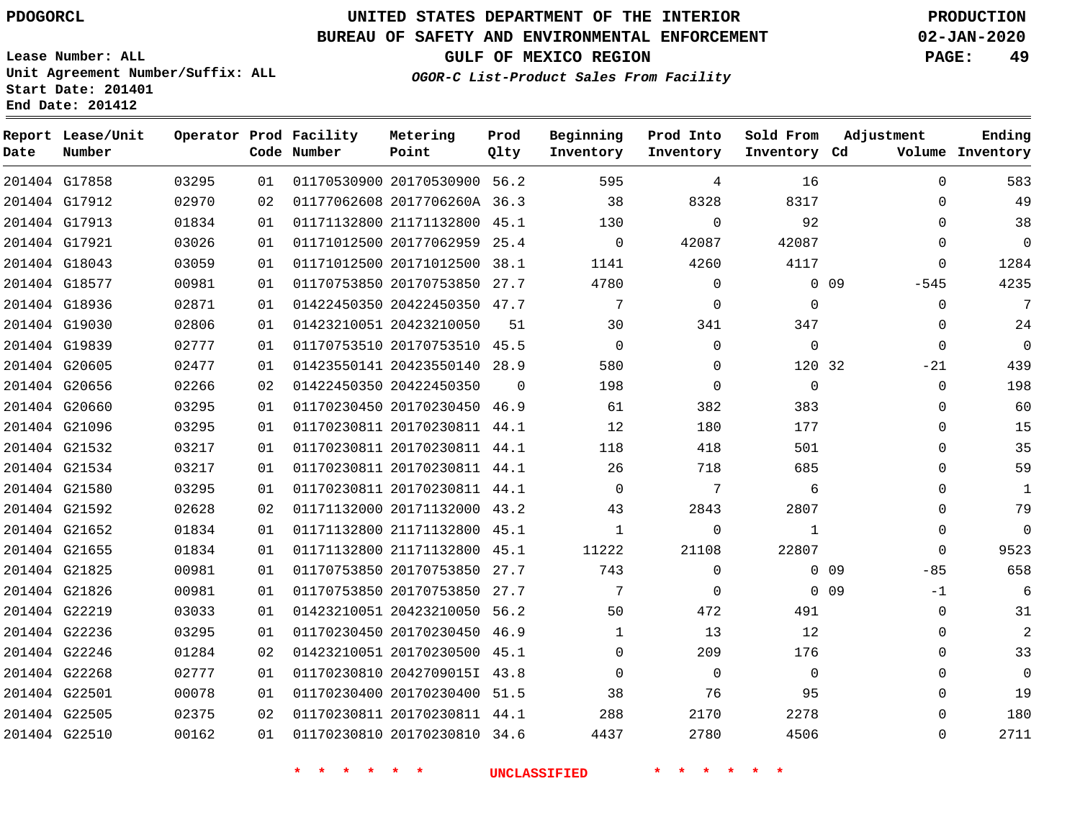#### **BUREAU OF SAFETY AND ENVIRONMENTAL ENFORCEMENT 02-JAN-2020**

**Lease Number: ALL Unit Agreement Number/Suffix: ALL Start Date: 201401 End Date: 201412**

**GULF OF MEXICO REGION PAGE: 49**

**OGOR-C List-Product Sales From Facility**

| Date | Report Lease/Unit<br>Number |       |    | Operator Prod Facility<br>Code Number | Metering<br>Point            | Prod<br>Qlty | Beginning<br>Inventory | Prod Into<br>Inventory | Sold From<br>Inventory Cd | Adjustment              | Ending<br>Volume Inventory |
|------|-----------------------------|-------|----|---------------------------------------|------------------------------|--------------|------------------------|------------------------|---------------------------|-------------------------|----------------------------|
|      | 201404 G17858               | 03295 | 01 |                                       | 01170530900 20170530900 56.2 |              | 595                    | 4                      | 16                        | $\Omega$                | 583                        |
|      | 201404 G17912               | 02970 | 02 |                                       | 01177062608 2017706260A 36.3 |              | 38                     | 8328                   | 8317                      | 0                       | 49                         |
|      | 201404 G17913               | 01834 | 01 |                                       | 01171132800 21171132800 45.1 |              | 130                    | $\Omega$               | 92                        | $\mathbf 0$             | 38                         |
|      | 201404 G17921               | 03026 | 01 |                                       | 01171012500 20177062959 25.4 |              | $\overline{0}$         | 42087                  | 42087                     | 0                       | $\overline{0}$             |
|      | 201404 G18043               | 03059 | 01 |                                       | 01171012500 20171012500 38.1 |              | 1141                   | 4260                   | 4117                      | 0                       | 1284                       |
|      | 201404 G18577               | 00981 | 01 |                                       | 01170753850 20170753850 27.7 |              | 4780                   | $\mathbf 0$            |                           | $0\quad09$<br>$-545$    | 4235                       |
|      | 201404 G18936               | 02871 | 01 |                                       | 01422450350 20422450350 47.7 |              | $7\phantom{.0}$        | $\Omega$               | $\Omega$                  | $\Omega$                | 7                          |
|      | 201404 G19030               | 02806 | 01 |                                       | 01423210051 20423210050      | 51           | 30                     | 341                    | 347                       | 0                       | 24                         |
|      | 201404 G19839               | 02777 | 01 |                                       | 01170753510 20170753510 45.5 |              | $\mathbf 0$            | $\Omega$               | $\mathbf 0$               | $\Omega$                | $\overline{0}$             |
|      | 201404 G20605               | 02477 | 01 |                                       | 01423550141 20423550140 28.9 |              | 580                    | $\Omega$               | 120 32                    | $-21$                   | 439                        |
|      | 201404 G20656               | 02266 | 02 |                                       | 01422450350 20422450350      | $\Omega$     | 198                    | $\Omega$               | $\mathbf 0$               | $\mathbf 0$             | 198                        |
|      | 201404 G20660               | 03295 | 01 |                                       | 01170230450 20170230450 46.9 |              | 61                     | 382                    | 383                       | $\Omega$                | 60                         |
|      | 201404 G21096               | 03295 | 01 |                                       | 01170230811 20170230811 44.1 |              | 12                     | 180                    | 177                       | $\Omega$                | 15                         |
|      | 201404 G21532               | 03217 | 01 |                                       | 01170230811 20170230811 44.1 |              | 118                    | 418                    | 501                       | 0                       | 35                         |
|      | 201404 G21534               | 03217 | 01 |                                       | 01170230811 20170230811 44.1 |              | 26                     | 718                    | 685                       | $\Omega$                | 59                         |
|      | 201404 G21580               | 03295 | 01 |                                       | 01170230811 20170230811 44.1 |              | $\mathbf 0$            | 7                      | 6                         | $\Omega$                | $\mathbf{1}$               |
|      | 201404 G21592               | 02628 | 02 |                                       | 01171132000 20171132000 43.2 |              | 43                     | 2843                   | 2807                      | 0                       | 79                         |
|      | 201404 G21652               | 01834 | 01 |                                       | 01171132800 21171132800 45.1 |              | $\mathbf{1}$           | $\Omega$               | $\mathbf{1}$              | 0                       | $\Omega$                   |
|      | 201404 G21655               | 01834 | 01 |                                       | 01171132800 21171132800 45.1 |              | 11222                  | 21108                  | 22807                     | $\Omega$                | 9523                       |
|      | 201404 G21825               | 00981 | 01 |                                       | 01170753850 20170753850      | 27.7         | 743                    | $\Omega$               |                           | $0$ 09<br>$-85$         | 658                        |
|      | 201404 G21826               | 00981 | 01 |                                       | 01170753850 20170753850 27.7 |              | 7                      | $\Omega$               |                           | 0 <sub>09</sub><br>$-1$ | 6                          |
|      | 201404 G22219               | 03033 | 01 |                                       | 01423210051 20423210050 56.2 |              | 50                     | 472                    | 491                       | $\Omega$                | 31                         |
|      | 201404 G22236               | 03295 | 01 |                                       | 01170230450 20170230450 46.9 |              | 1                      | 13                     | 12                        | $\mathbf 0$             | 2                          |
|      | 201404 G22246               | 01284 | 02 |                                       | 01423210051 20170230500 45.1 |              | $\Omega$               | 209                    | 176                       | $\mathbf 0$             | 33                         |
|      | 201404 G22268               | 02777 | 01 |                                       | 01170230810 2042709015I 43.8 |              | $\Omega$               | $\Omega$               | $\mathbf 0$               | 0                       | $\Omega$                   |
|      | 201404 G22501               | 00078 | 01 |                                       | 01170230400 20170230400 51.5 |              | 38                     | 76                     | 95                        | 0                       | 19                         |
|      | 201404 G22505               | 02375 | 02 |                                       | 01170230811 20170230811 44.1 |              | 288                    | 2170                   | 2278                      | $\mathbf 0$             | 180                        |
|      | 201404 G22510               | 00162 | 01 |                                       | 01170230810 20170230810 34.6 |              | 4437                   | 2780                   | 4506                      | 0                       | 2711                       |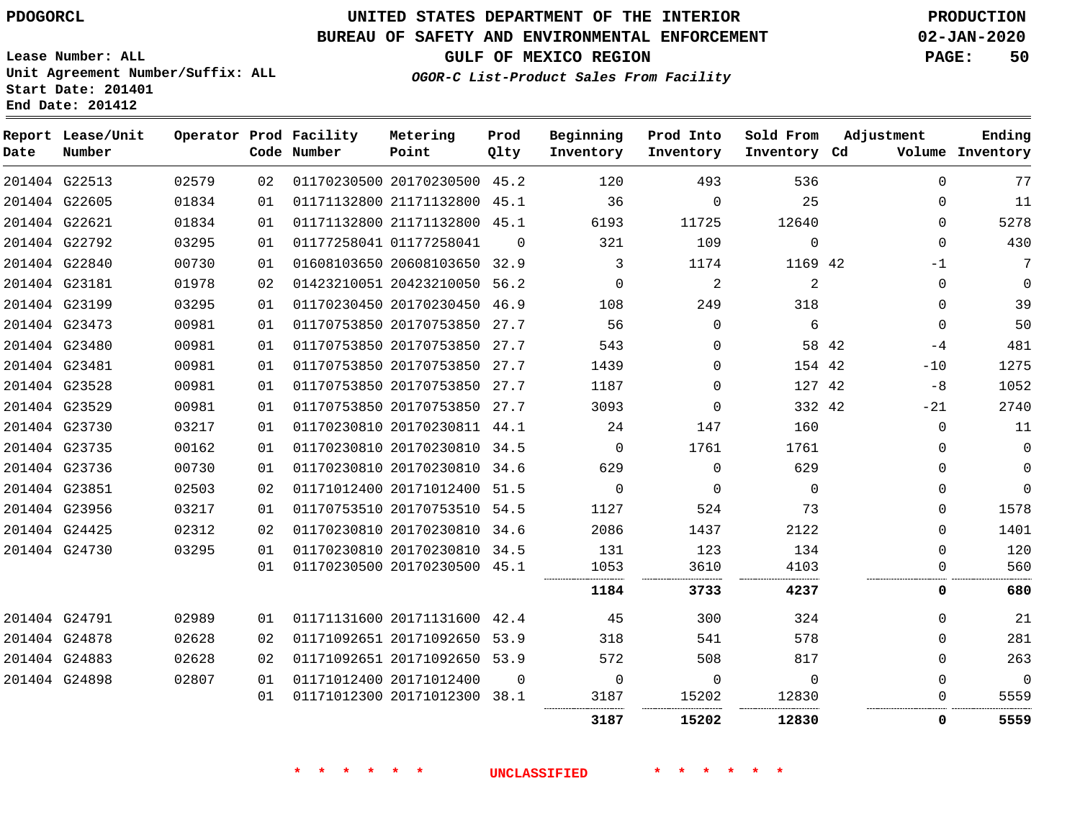#### **BUREAU OF SAFETY AND ENVIRONMENTAL ENFORCEMENT 02-JAN-2020**

**Lease Number: ALL Unit Agreement Number/Suffix: ALL Start Date: 201401**

**End Date: 201412**

**GULF OF MEXICO REGION PAGE: 50**

**OGOR-C List-Product Sales From Facility**

| Date | Report Lease/Unit<br>Number |       |    | Operator Prod Facility<br>Code Number | Metering<br>Point            | Prod<br>Qlty | Beginning<br>Inventory | Prod Into<br>Inventory | Sold From<br>Inventory Cd | Adjustment |             | Ending<br>Volume Inventory |
|------|-----------------------------|-------|----|---------------------------------------|------------------------------|--------------|------------------------|------------------------|---------------------------|------------|-------------|----------------------------|
|      | 201404 G22513               | 02579 | 02 |                                       | 01170230500 20170230500 45.2 |              | 120                    | 493                    | 536                       |            | $\Omega$    | 77                         |
|      | 201404 G22605               | 01834 | 01 |                                       | 01171132800 21171132800 45.1 |              | 36                     | $\Omega$               | 25                        |            | 0           | 11                         |
|      | 201404 G22621               | 01834 | 01 |                                       | 01171132800 21171132800 45.1 |              | 6193                   | 11725                  | 12640                     |            | $\mathbf 0$ | 5278                       |
|      | 201404 G22792               | 03295 | 01 |                                       | 01177258041 01177258041      | $\Omega$     | 321                    | 109                    | $\mathbf 0$               |            | $\Omega$    | 430                        |
|      | 201404 G22840               | 00730 | 01 |                                       | 01608103650 20608103650 32.9 |              | 3                      | 1174                   | 1169 42                   |            | $-1$        | 7                          |
|      | 201404 G23181               | 01978 | 02 |                                       | 01423210051 20423210050 56.2 |              | $\mathbf 0$            | 2                      | $\overline{a}$            |            | $\mathbf 0$ | $\mathbf 0$                |
|      | 201404 G23199               | 03295 | 01 |                                       | 01170230450 20170230450 46.9 |              | 108                    | 249                    | 318                       |            | $\mathbf 0$ | 39                         |
|      | 201404 G23473               | 00981 | 01 |                                       | 01170753850 20170753850 27.7 |              | 56                     | $\Omega$               | 6                         |            | $\Omega$    | 50                         |
|      | 201404 G23480               | 00981 | 01 |                                       | 01170753850 20170753850 27.7 |              | 543                    | $\Omega$               |                           | 58 42      | -4          | 481                        |
|      | 201404 G23481               | 00981 | 01 |                                       | 01170753850 20170753850 27.7 |              | 1439                   | $\Omega$               | 154 42                    |            | $-10$       | 1275                       |
|      | 201404 G23528               | 00981 | 01 |                                       | 01170753850 20170753850 27.7 |              | 1187                   | $\Omega$               | 127 42                    |            | -8          | 1052                       |
|      | 201404 G23529               | 00981 | 01 |                                       | 01170753850 20170753850 27.7 |              | 3093                   | $\Omega$               | 332 42                    |            | $-21$       | 2740                       |
|      | 201404 G23730               | 03217 | 01 |                                       | 01170230810 20170230811 44.1 |              | 24                     | 147                    | 160                       |            | $\Omega$    | 11                         |
|      | 201404 G23735               | 00162 | 01 |                                       | 01170230810 20170230810 34.5 |              | $\mathbf 0$            | 1761                   | 1761                      |            | 0           | $\mathbf 0$                |
|      | 201404 G23736               | 00730 | 01 |                                       | 01170230810 20170230810 34.6 |              | 629                    | $\Omega$               | 629                       |            | $\Omega$    | $\mathbf 0$                |
|      | 201404 G23851               | 02503 | 02 |                                       | 01171012400 20171012400 51.5 |              | $\Omega$               | $\Omega$               | $\Omega$                  |            | $\Omega$    | $\Omega$                   |
|      | 201404 G23956               | 03217 | 01 |                                       | 01170753510 20170753510 54.5 |              | 1127                   | 524                    | 73                        |            | $\Omega$    | 1578                       |
|      | 201404 G24425               | 02312 | 02 |                                       | 01170230810 20170230810 34.6 |              | 2086                   | 1437                   | 2122                      |            | 0           | 1401                       |
|      | 201404 G24730               | 03295 | 01 |                                       | 01170230810 20170230810 34.5 |              | 131                    | 123                    | 134                       |            | $\mathbf 0$ | 120                        |
|      |                             |       | 01 |                                       | 01170230500 20170230500 45.1 |              | 1053                   | 3610                   | 4103                      |            | 0           | 560                        |
|      |                             |       |    |                                       |                              |              | 1184                   | 3733                   | 4237                      |            | 0           | 680                        |
|      | 201404 G24791               | 02989 | 01 |                                       | 01171131600 20171131600 42.4 |              | 45                     | 300                    | 324                       |            | 0           | 21                         |
|      | 201404 G24878               | 02628 | 02 |                                       | 01171092651 20171092650 53.9 |              | 318                    | 541                    | 578                       |            | $\mathbf 0$ | 281                        |
|      | 201404 G24883               | 02628 | 02 |                                       | 01171092651 20171092650 53.9 |              | 572                    | 508                    | 817                       |            | $\mathbf 0$ | 263                        |
|      | 201404 G24898               | 02807 | 01 |                                       | 01171012400 20171012400      | $\Omega$     | $\mathbf 0$            | $\mathbf 0$            | $\mathbf 0$               |            | $\mathbf 0$ | $\Omega$                   |
|      |                             |       | 01 |                                       | 01171012300 20171012300 38.1 |              | 3187                   | 15202                  | 12830                     |            | 0           | 5559                       |
|      |                             |       |    |                                       |                              |              | 3187                   | 15202                  | 12830                     |            | 0           | 5559                       |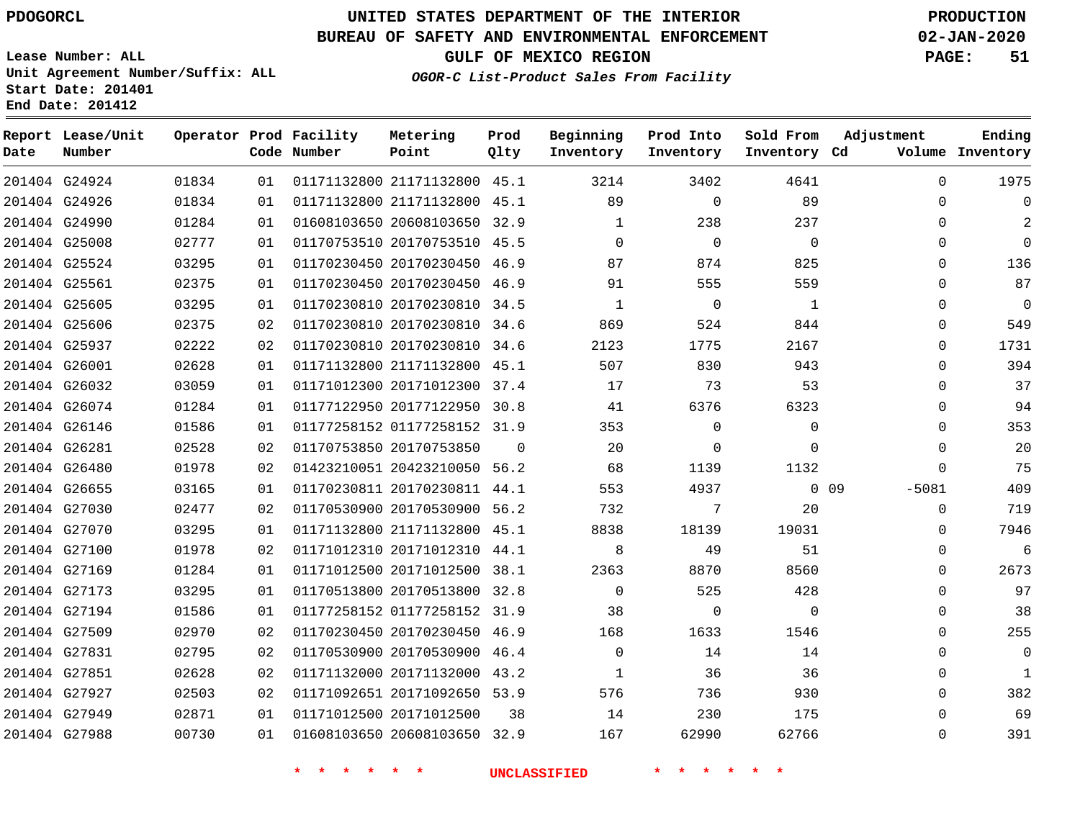**Prod Qlty**

#### **BUREAU OF SAFETY AND ENVIRONMENTAL ENFORCEMENT 02-JAN-2020**

**Lease Number: ALL Unit Agreement Number/Suffix: ALL Start Date: 201401**

**Operator Prod Facility**

**Code Number**

21171132800 45.1

**Metering Point**

**End Date: 201412**

**Report Lease/Unit**

**Number**

G24924

**Date**

**OGOR-C List-Product Sales From Facility**

**Sold From Inventory**

**Prod Into Inventory**

**Beginning Inventory**

**GULF OF MEXICO REGION PAGE: 51**

**Inventory Cd Volume**

**Adjustment**

**Ending**

|               | 201404 G24926 | 01834 | 01 |       | 01171132800 21171132800 45.1 |          | 89                  | $\mathbf{0}$   | 89             | 0                     |
|---------------|---------------|-------|----|-------|------------------------------|----------|---------------------|----------------|----------------|-----------------------|
|               | 201404 G24990 | 01284 | 01 |       | 01608103650 20608103650 32.9 |          | 1                   | 238            | 237            | 0                     |
|               | 201404 G25008 | 02777 | 01 |       | 01170753510 20170753510 45.5 |          | $\Omega$            | $\Omega$       | $\overline{0}$ | 0                     |
|               | 201404 G25524 | 03295 | 01 |       | 01170230450 20170230450 46.9 |          | 87                  | 874            | 825            | $\mathbf 0$           |
|               | 201404 G25561 | 02375 | 01 |       | 01170230450 20170230450 46.9 |          | 91                  | 555            | 559            | 0                     |
|               | 201404 G25605 | 03295 | 01 |       | 01170230810 20170230810 34.5 |          | $\overline{1}$      | $\overline{0}$ | $\blacksquare$ | 0                     |
|               | 201404 G25606 | 02375 | 02 |       | 01170230810 20170230810 34.6 |          | 869                 | 524            | 844            | $\mathbf 0$           |
|               | 201404 G25937 | 02222 | 02 |       | 01170230810 20170230810 34.6 |          | 2123                | 1775           | 2167           | 0                     |
|               | 201404 G26001 | 02628 | 01 |       | 01171132800 21171132800 45.1 |          | 507                 | 830            | 943            | $\mathbf 0$           |
|               | 201404 G26032 | 03059 | 01 |       | 01171012300 20171012300 37.4 |          | 17                  | 73             | 53             | $\mathbf 0$           |
|               | 201404 G26074 | 01284 | 01 |       | 01177122950 20177122950 30.8 |          | 41                  | 6376           | 6323           | $\mathbf 0$           |
|               | 201404 G26146 | 01586 | 01 |       | 01177258152 01177258152 31.9 |          | 353                 | $\Omega$       | $\overline{0}$ | $\mathbf 0$           |
|               | 201404 G26281 | 02528 | 02 |       | 01170753850 20170753850      | $\Omega$ | 20                  | $\mathbf{0}$   | $\overline{0}$ | $\mathbf 0$           |
|               | 201404 G26480 | 01978 | 02 |       | 01423210051 20423210050 56.2 |          | 68                  | 1139           | 1132           | $\mathbf 0$           |
| 201404 G26655 |               | 03165 | 01 |       | 01170230811 20170230811 44.1 |          | 553                 | 4937           |                | $0\quad09$<br>$-5081$ |
|               | 201404 G27030 | 02477 | 02 |       | 01170530900 20170530900 56.2 |          | 732                 | $\overline{7}$ | 20             | $\mathbf 0$           |
|               | 201404 G27070 | 03295 | 01 |       | 01171132800 21171132800 45.1 |          | 8838                | 18139          | 19031          | $\mathbf 0$           |
|               | 201404 G27100 | 01978 | 02 |       | 01171012310 20171012310 44.1 |          | 8 <sup>8</sup>      | 49             | 51             | $\mathbf 0$           |
|               | 201404 G27169 | 01284 | 01 |       | 01171012500 20171012500 38.1 |          | 2363                | 8870           | 8560           | $\mathbf 0$           |
|               | 201404 G27173 | 03295 | 01 |       | 01170513800 20170513800 32.8 |          | $\overline{0}$      | 525            | 428            | $\mathbf 0$           |
|               | 201404 G27194 | 01586 | 01 |       | 01177258152 01177258152 31.9 |          | 38                  | $\overline{0}$ | $\overline{0}$ | $\mathbf 0$           |
|               | 201404 G27509 | 02970 | 02 |       | 01170230450 20170230450 46.9 |          | 168                 | 1633           | 1546           | 0                     |
|               | 201404 G27831 | 02795 | 02 |       | 01170530900 20170530900 46.4 |          | $\Omega$            | 14             | 14             | $\mathbf 0$           |
| 201404 G27851 |               | 02628 | 02 |       | 01171132000 20171132000 43.2 |          | 1                   | 36             | 36             | $\mathbf 0$           |
|               | 201404 G27927 | 02503 | 02 |       | 01171092651 20171092650 53.9 |          | 576                 | 736            | 930            | 0                     |
|               | 201404 G27949 | 02871 | 01 |       | 01171012500 20171012500 38   |          | 14                  | 230            | 175            | $\mathbf 0$           |
|               | 201404 G27988 | 00730 | 01 |       | 01608103650 20608103650 32.9 |          | 167                 | 62990          | 62766          | $\mathbf 0$           |
|               |               |       |    | * * * | $\star$<br><b>水</b>          |          | <b>UNCLASSIFIED</b> | * * * *        |                |                       |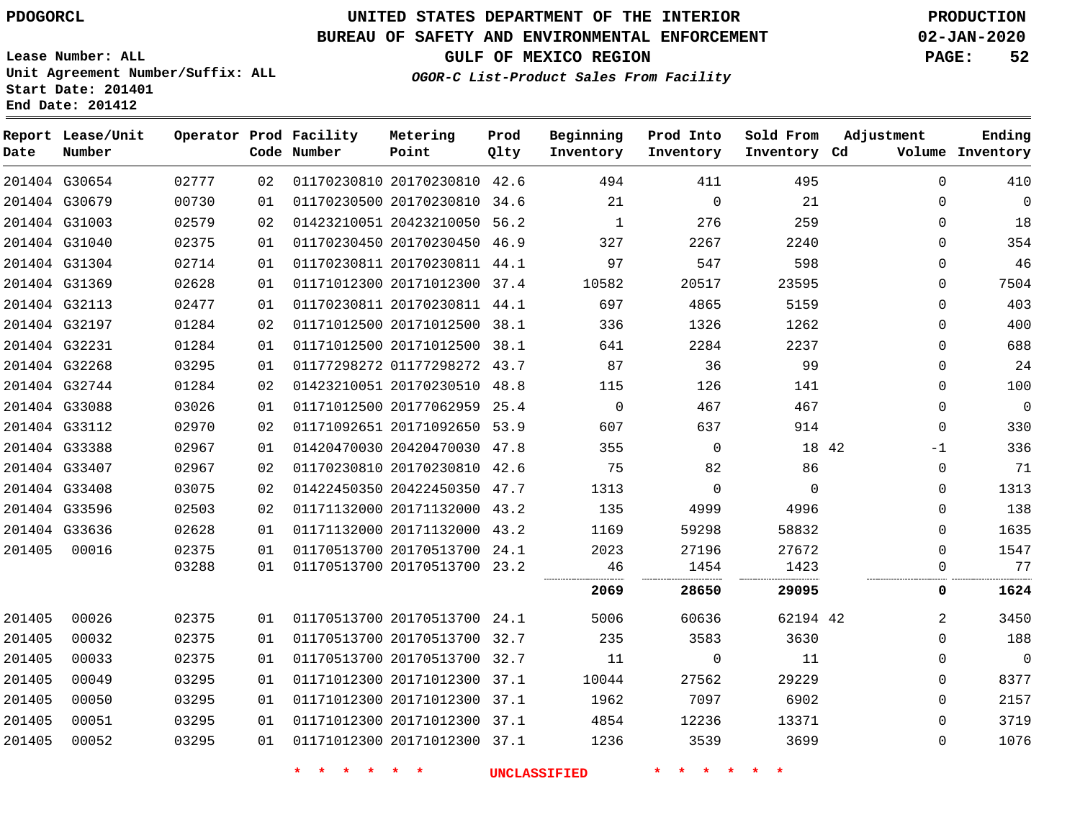# **UNITED STATES DEPARTMENT OF THE INTERIOR PDOGORCL PRODUCTION**

## **BUREAU OF SAFETY AND ENVIRONMENTAL ENFORCEMENT 02-JAN-2020**

**Lease Number: ALL Unit Agreement Number/Suffix: ALL Start Date: 201401**

**OGOR-C List-Product Sales From Facility**

**GULF OF MEXICO REGION PAGE: 52**

| __ ___ __ |  |  |
|-----------|--|--|
|           |  |  |
|           |  |  |

| Date   | Report Lease/Unit<br>Number |       |    | Operator Prod Facility<br>Code Number | Metering<br>Point            | Prod<br>Qlty | Beginning<br>Inventory | Prod Into<br>Inventory | Sold From<br>Inventory Cd | Adjustment   | Ending<br>Volume Inventory |
|--------|-----------------------------|-------|----|---------------------------------------|------------------------------|--------------|------------------------|------------------------|---------------------------|--------------|----------------------------|
|        | 201404 G30654               | 02777 | 02 |                                       | 01170230810 20170230810 42.6 |              | 494                    | 411                    | 495                       | $\Omega$     | 410                        |
|        | 201404 G30679               | 00730 | 01 |                                       | 01170230500 20170230810 34.6 |              | 21                     | 0                      | 21                        | 0            | $\mathbf 0$                |
|        | 201404 G31003               | 02579 | 02 |                                       | 01423210051 20423210050 56.2 |              | $\mathbf{1}$           | 276                    | 259                       | $\mathbf 0$  | 18                         |
|        | 201404 G31040               | 02375 | 01 |                                       | 01170230450 20170230450 46.9 |              | 327                    | 2267                   | 2240                      | $\mathbf 0$  | 354                        |
|        | 201404 G31304               | 02714 | 01 |                                       | 01170230811 20170230811 44.1 |              | 97                     | 547                    | 598                       | 0            | 46                         |
|        | 201404 G31369               | 02628 | 01 |                                       | 01171012300 20171012300 37.4 |              | 10582                  | 20517                  | 23595                     | $\mathbf{0}$ | 7504                       |
|        | 201404 G32113               | 02477 | 01 |                                       | 01170230811 20170230811 44.1 |              | 697                    | 4865                   | 5159                      | $\Omega$     | 403                        |
|        | 201404 G32197               | 01284 | 02 |                                       | 01171012500 20171012500 38.1 |              | 336                    | 1326                   | 1262                      | $\mathbf{0}$ | 400                        |
|        | 201404 G32231               | 01284 | 01 |                                       | 01171012500 20171012500 38.1 |              | 641                    | 2284                   | 2237                      | $\mathbf{0}$ | 688                        |
|        | 201404 G32268               | 03295 | 01 |                                       | 01177298272 01177298272 43.7 |              | 87                     | 36                     | 99                        | 0            | 24                         |
|        | 201404 G32744               | 01284 | 02 |                                       | 01423210051 20170230510 48.8 |              | 115                    | 126                    | 141                       | $\mathbf 0$  | 100                        |
|        | 201404 G33088               | 03026 | 01 |                                       | 01171012500 20177062959 25.4 |              | $\mathbf 0$            | 467                    | 467                       | $\mathbf{0}$ | $\overline{0}$             |
|        | 201404 G33112               | 02970 | 02 |                                       | 01171092651 20171092650 53.9 |              | 607                    | 637                    | 914                       | $\mathbf 0$  | 330                        |
|        | 201404 G33388               | 02967 | 01 |                                       | 01420470030 20420470030 47.8 |              | 355                    | $\mathbf 0$            | 18 42                     | $-1$         | 336                        |
|        | 201404 G33407               | 02967 | 02 |                                       | 01170230810 20170230810 42.6 |              | 75                     | 82                     | 86                        | $\mathsf 0$  | 71                         |
|        | 201404 G33408               | 03075 | 02 |                                       | 01422450350 20422450350 47.7 |              | 1313                   | $\mathbf 0$            | $\Omega$                  | $\mathbf{0}$ | 1313                       |
|        | 201404 G33596               | 02503 | 02 |                                       | 01171132000 20171132000 43.2 |              | 135                    | 4999                   | 4996                      | $\mathbf{0}$ | 138                        |
|        | 201404 G33636               | 02628 | 01 |                                       | 01171132000 20171132000      | 43.2         | 1169                   | 59298                  | 58832                     | $\mathbf{0}$ | 1635                       |
| 201405 | 00016                       | 02375 | 01 |                                       | 01170513700 20170513700 24.1 |              | 2023                   | 27196                  | 27672                     | $\Omega$     | 1547                       |
|        |                             | 03288 | 01 |                                       | 01170513700 20170513700 23.2 |              | 46                     | 1454                   | 1423                      | 0            | 77                         |
|        |                             |       |    |                                       |                              |              | 2069                   | 28650                  | 29095                     | 0            | 1624                       |
| 201405 | 00026                       | 02375 | 01 |                                       | 01170513700 20170513700 24.1 |              | 5006                   | 60636                  | 62194 42                  | 2            | 3450                       |
| 201405 | 00032                       | 02375 | 01 |                                       | 01170513700 20170513700 32.7 |              | 235                    | 3583                   | 3630                      | $\Omega$     | 188                        |
| 201405 | 00033                       | 02375 | 01 |                                       | 01170513700 20170513700 32.7 |              | 11                     | $\Omega$               | 11                        | 0            | $\Omega$                   |
| 201405 | 00049                       | 03295 | 01 |                                       | 01171012300 20171012300 37.1 |              | 10044                  | 27562                  | 29229                     | $\Omega$     | 8377                       |
| 201405 | 00050                       | 03295 | 01 |                                       | 01171012300 20171012300 37.1 |              | 1962                   | 7097                   | 6902                      | $\mathbf 0$  | 2157                       |
| 201405 | 00051                       | 03295 | 01 |                                       | 01171012300 20171012300 37.1 |              | 4854                   | 12236                  | 13371                     | $\mathbf{0}$ | 3719                       |
| 201405 | 00052                       | 03295 | 01 |                                       | 01171012300 20171012300 37.1 |              | 1236                   | 3539                   | 3699                      | 0            | 1076                       |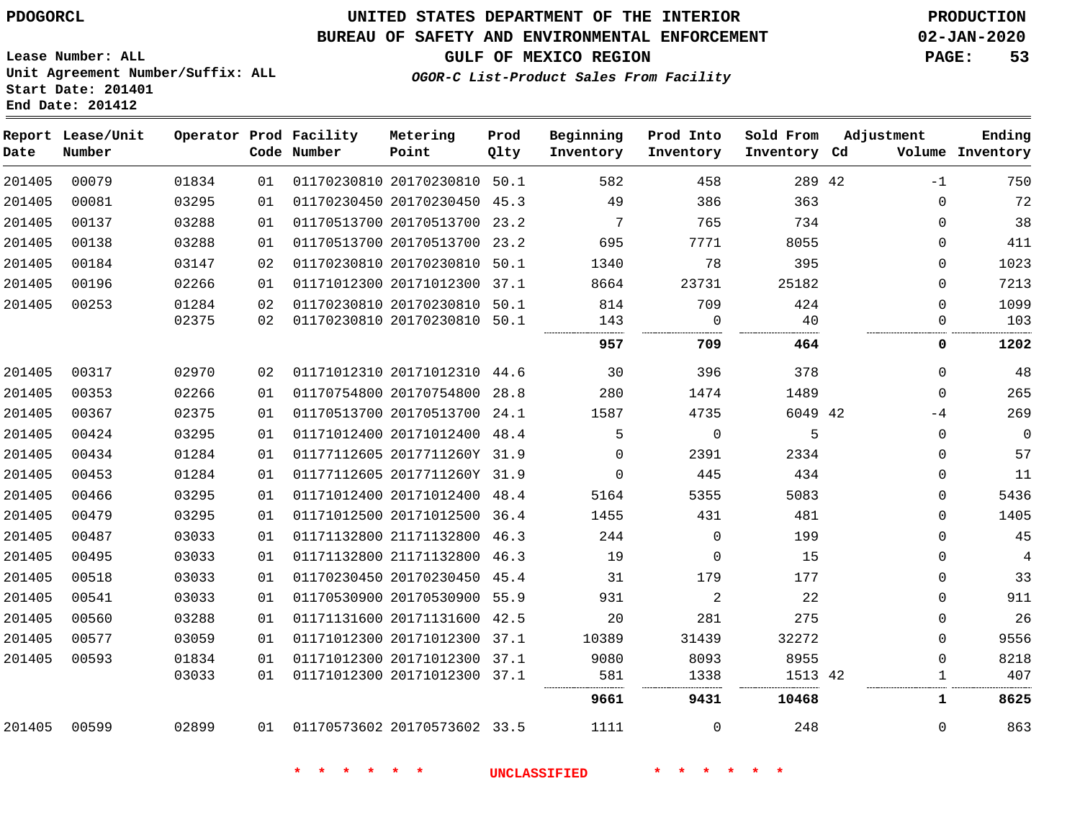**Date**

**End Date: 201412**

**Report Lease/Unit**

**Number**

## **UNITED STATES DEPARTMENT OF THE INTERIOR PDOGORCL PRODUCTION**

**Prod Qlty**

#### **BUREAU OF SAFETY AND ENVIRONMENTAL ENFORCEMENT 02-JAN-2020**

**Lease Number: ALL Unit Agreement Number/Suffix: ALL Start Date: 201401**

**Operator Prod Facility**

**Code Number**

**OGOR-C List-Product Sales From Facility**

**Beginning Inventory** **Prod Into Inventory** **Sold From Inventory**

**Inventory Cd Volume**

**Adjustment**

-1  $\Omega$   $\Omega$  $\Omega$   $\overline{0}$ 

**GULF OF MEXICO REGION PAGE: 53**

**Ending**

| 201405 | 00079 | 01834 | 01 |                              | 01170230810 20170230810 50.1 | 582                 | 458         | 289 42  |  |
|--------|-------|-------|----|------------------------------|------------------------------|---------------------|-------------|---------|--|
| 201405 | 00081 | 03295 | 01 |                              | 01170230450 20170230450 45.3 | 49                  | 386         | 363     |  |
| 201405 | 00137 | 03288 | 01 |                              | 01170513700 20170513700 23.2 | 7                   | 765         | 734     |  |
| 201405 | 00138 | 03288 | 01 |                              | 01170513700 20170513700 23.2 | 695                 | 7771        | 8055    |  |
| 201405 | 00184 | 03147 | 02 |                              | 01170230810 20170230810 50.1 | 1340                | 78          | 395     |  |
| 201405 | 00196 | 02266 | 01 |                              | 01171012300 20171012300 37.1 | 8664                | 23731       | 25182   |  |
| 201405 | 00253 | 01284 | 02 |                              | 01170230810 20170230810 50.1 | 814                 | 709         | 424     |  |
|        |       | 02375 | 02 |                              | 01170230810 20170230810 50.1 | 143<br>             | $\Omega$    | 40      |  |
|        |       |       |    |                              |                              | 957                 | 709         | 464     |  |
| 201405 | 00317 | 02970 | 02 | 01171012310 20171012310 44.6 |                              | 30                  | 396         | 378     |  |
| 201405 | 00353 | 02266 | 01 |                              | 01170754800 20170754800 28.8 | 280                 | 1474        | 1489    |  |
| 201405 | 00367 | 02375 | 01 |                              | 01170513700 20170513700 24.1 | 1587                | 4735        | 6049 42 |  |
| 201405 | 00424 | 03295 | 01 |                              | 01171012400 20171012400 48.4 | 5                   | $\mathbf 0$ | 5       |  |
| 201405 | 00434 | 01284 | 01 |                              | 01177112605 2017711260Y 31.9 | $\overline{0}$      | 2391        | 2334    |  |
| 201405 | 00453 | 01284 | 01 |                              | 01177112605 2017711260Y 31.9 | 0                   | 445         | 434     |  |
| 201405 | 00466 | 03295 | 01 |                              | 01171012400 20171012400 48.4 | 5164                | 5355        | 5083    |  |
| 201405 | 00479 | 03295 | 01 |                              | 01171012500 20171012500 36.4 | 1455                | 431         | 481     |  |
| 201405 | 00487 | 03033 | 01 |                              | 01171132800 21171132800 46.3 | 244                 | $\mathbf 0$ | 199     |  |
| 201405 | 00495 | 03033 | 01 |                              | 01171132800 21171132800 46.3 | 19                  | $\mathbf 0$ | 15      |  |
| 201405 | 00518 | 03033 | 01 |                              | 01170230450 20170230450 45.4 | 31                  | 179         | 177     |  |
| 201405 | 00541 | 03033 | 01 |                              | 01170530900 20170530900 55.9 | 931                 | 2           | 22      |  |
| 201405 | 00560 | 03288 | 01 |                              | 01171131600 20171131600 42.5 | 20                  | 281         | 275     |  |
| 201405 | 00577 | 03059 | 01 |                              | 01171012300 20171012300 37.1 | 10389               | 31439       | 32272   |  |
| 201405 | 00593 | 01834 | 01 |                              | 01171012300 20171012300 37.1 | 9080                | 8093        | 8955    |  |
|        |       | 03033 | 01 |                              | 01171012300 20171012300 37.1 | 581                 | 1338        | 1513 42 |  |
|        |       |       |    |                              |                              | 9661                | 9431        | 10468   |  |
| 201405 | 00599 | 02899 | 01 | 01170573602 20170573602 33.5 |                              | 1111                | 0           | 248     |  |
|        |       |       |    | * * * * *                    |                              | <b>UNCLASSIFIED</b> |             |         |  |
|        |       |       |    |                              |                              |                     |             |         |  |

**Metering Point**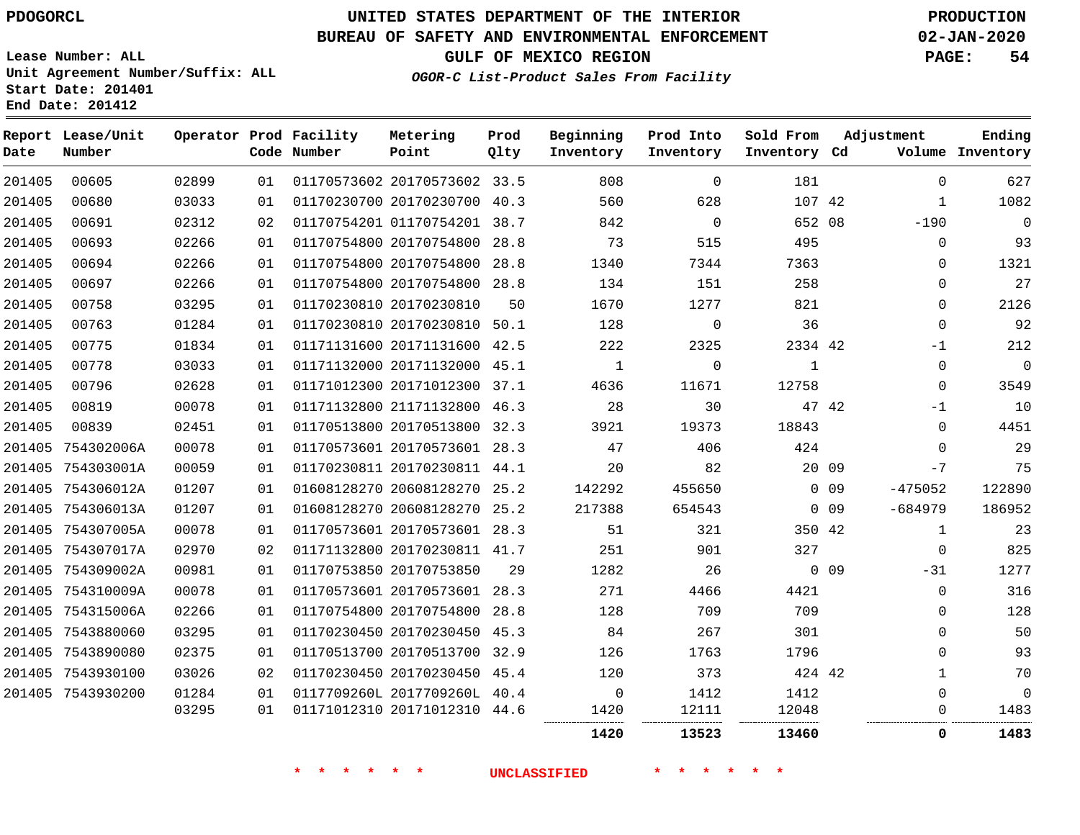**Prod**

**Metering**

## **BUREAU OF SAFETY AND ENVIRONMENTAL ENFORCEMENT 02-JAN-2020**

**Lease Number: ALL Unit Agreement Number/Suffix: ALL Start Date: 201401**

**Operator Prod Facility**

**End Date: 201412**

**Report Lease/Unit**

**GULF OF MEXICO REGION PAGE: 54**

**Adjustment**

**Ending**

**OGOR-C List-Product Sales From Facility**

**Beginning Prod Into Sold From**

| Date   | Number            |       |    | Code Number | Point                        | Qlty | Inventory | Inventory   | Inventory Cd |                 |              | Volume Inventory |
|--------|-------------------|-------|----|-------------|------------------------------|------|-----------|-------------|--------------|-----------------|--------------|------------------|
| 201405 | 00605             | 02899 | 01 |             | 01170573602 20170573602 33.5 |      | 808       | $\mathbf 0$ | 181          |                 | $\Omega$     | 627              |
| 201405 | 00680             | 03033 | 01 |             | 01170230700 20170230700 40.3 |      | 560       | 628         | 107 42       |                 | $\mathbf{1}$ | 1082             |
| 201405 | 00691             | 02312 | 02 |             | 01170754201 01170754201 38.7 |      | 842       | $\mathbf 0$ | 652 08       |                 | $-190$       | $\overline{0}$   |
| 201405 | 00693             | 02266 | 01 |             | 01170754800 20170754800      | 28.8 | 73        | 515         | 495          |                 | 0            | 93               |
| 201405 | 00694             | 02266 | 01 |             | 01170754800 20170754800 28.8 |      | 1340      | 7344        | 7363         |                 | 0            | 1321             |
| 201405 | 00697             | 02266 | 01 |             | 01170754800 20170754800 28.8 |      | 134       | 151         | 258          |                 | 0            | 27               |
| 201405 | 00758             | 03295 | 01 |             | 01170230810 20170230810      | 50   | 1670      | 1277        | 821          |                 | 0            | 2126             |
| 201405 | 00763             | 01284 | 01 |             | 01170230810 20170230810 50.1 |      | 128       | $\mathbf 0$ | 36           |                 | 0            | 92               |
| 201405 | 00775             | 01834 | 01 |             | 01171131600 20171131600 42.5 |      | 222       | 2325        | 2334 42      |                 | $-1$         | 212              |
| 201405 | 00778             | 03033 | 01 |             | 01171132000 20171132000 45.1 |      | 1         | 0           | 1            |                 | 0            | $\mathbf 0$      |
| 201405 | 00796             | 02628 | 01 |             | 01171012300 20171012300 37.1 |      | 4636      | 11671       | 12758        |                 | 0            | 3549             |
| 201405 | 00819             | 00078 | 01 |             | 01171132800 21171132800 46.3 |      | 28        | 30          |              | 47 42           | $-1$         | 10               |
| 201405 | 00839             | 02451 | 01 |             | 01170513800 20170513800 32.3 |      | 3921      | 19373       | 18843        |                 | $\Omega$     | 4451             |
|        | 201405 754302006A | 00078 | 01 |             | 01170573601 20170573601 28.3 |      | 47        | 406         | 424          |                 | $\Omega$     | 29               |
| 201405 | 754303001A        | 00059 | 01 |             | 01170230811 20170230811 44.1 |      | 20        | 82          | 20 09        |                 | $-7$         | 75               |
|        | 201405 754306012A | 01207 | 01 |             | 01608128270 20608128270 25.2 |      | 142292    | 455650      |              | $0\quad09$      | $-475052$    | 122890           |
|        | 201405 754306013A | 01207 | 01 |             | 01608128270 20608128270 25.2 |      | 217388    | 654543      |              | $0$ 09          | $-684979$    | 186952           |
|        | 201405 754307005A | 00078 | 01 |             | 01170573601 20170573601 28.3 |      | 51        | 321         | 350 42       |                 | $\mathbf{1}$ | 23               |
|        | 201405 754307017A | 02970 | 02 |             | 01171132800 20170230811 41.7 |      | 251       | 901         | 327          |                 | $\Omega$     | 825              |
|        | 201405 754309002A | 00981 | 01 |             | 01170753850 20170753850      | 29   | 1282      | 26          |              | 0 <sub>09</sub> | $-31$        | 1277             |
|        | 201405 754310009A | 00078 | 01 |             | 01170573601 20170573601 28.3 |      | 271       | 4466        | 4421         |                 | 0            | 316              |
|        | 201405 754315006A | 02266 | 01 |             | 01170754800 20170754800 28.8 |      | 128       | 709         | 709          |                 | $\Omega$     | 128              |
|        | 201405 7543880060 | 03295 | 01 |             | 01170230450 20170230450 45.3 |      | 84        | 267         | 301          |                 | 0            | 50               |
|        | 201405 7543890080 | 02375 | 01 |             | 01170513700 20170513700 32.9 |      | 126       | 1763        | 1796         |                 | $\Omega$     | 93               |
|        | 201405 7543930100 | 03026 | 02 |             | 01170230450 20170230450 45.4 |      | 120       | 373         | 424 42       |                 | $\mathbf{1}$ | 70               |
|        | 201405 7543930200 | 01284 | 01 |             | 0117709260L 2017709260L 40.4 |      | 0         | 1412        | 1412         |                 | $\Omega$     | $\mathbf 0$      |
|        |                   | 03295 | 01 |             | 01171012310 20171012310 44.6 |      | 1420      | 12111       | 12048<br>    |                 | 0            | 1483<br>.        |

**\* \* \* \* \* \* UNCLASSIFIED \* \* \* \* \* \***

**13523 13460 0 1483**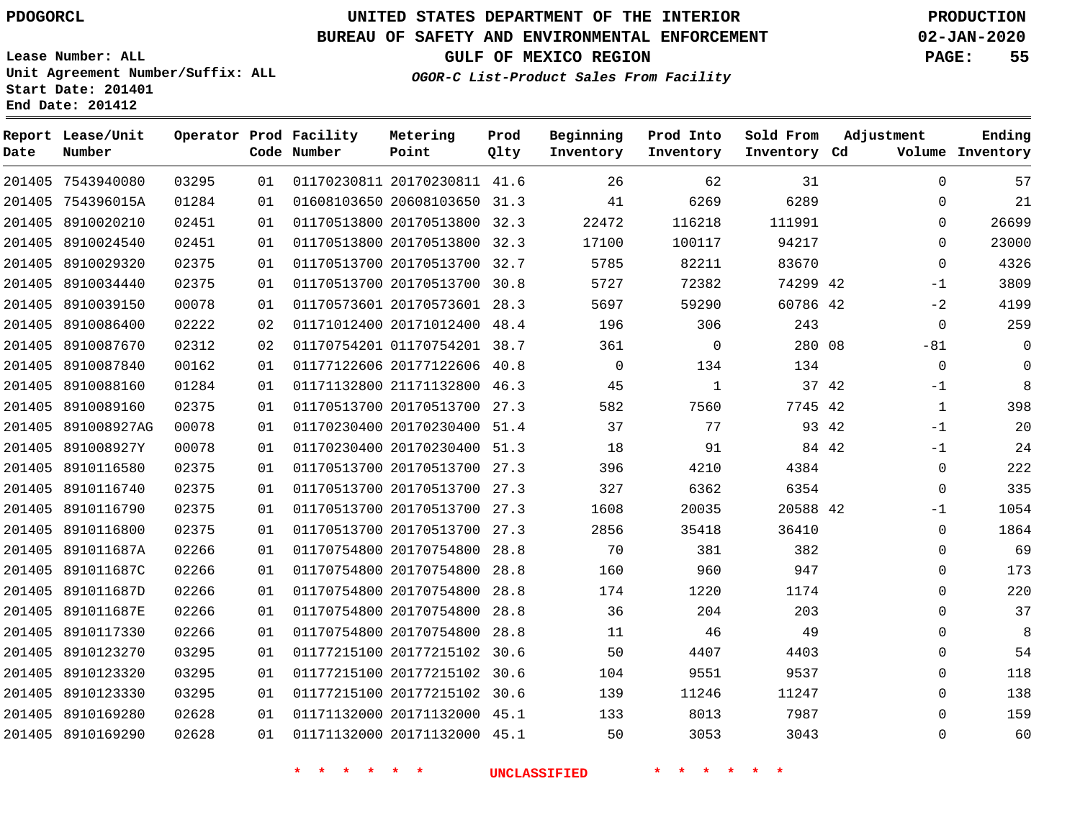**Date**

# **UNITED STATES DEPARTMENT OF THE INTERIOR PDOGORCL PRODUCTION**

#### **BUREAU OF SAFETY AND ENVIRONMENTAL ENFORCEMENT 02-JAN-2020**

**Lease Number: ALL Unit Agreement Number/Suffix: ALL Start Date: 201401 End Date: 201412**

#### **OGOR-C List-Product Sales From Facility**

**GULF OF MEXICO REGION PAGE: 55**

  $\Omega$  $\Omega$  $\Omega$  $\Omega$ -1  $-2$  $\Omega$  $-81$  $\Omega$  $-1$  -1 -1  $\Omega$  $\overline{0}$ -1  $\Omega$  $\Omega$  $\Omega$   $\Omega$  $\Omega$   $\Omega$   $\Omega$  $\Omega$ 

| Date   | Report Lease/Unit<br>Number |       |    | Operator Prod Facility<br>Code Number | Metering<br>Point            | Prod<br>Qlty | Beginning<br>Inventory | Prod Into<br>Inventory | Sold From<br>Inventory Cd | Adjustment<br>Volume | Ending<br>Inventory |
|--------|-----------------------------|-------|----|---------------------------------------|------------------------------|--------------|------------------------|------------------------|---------------------------|----------------------|---------------------|
| 201405 | 7543940080                  | 03295 | 01 |                                       | 01170230811 20170230811      | 41.6         | 26                     | 62                     | 31                        | $\Omega$             | 57                  |
| 201405 | 754396015A                  | 01284 | 01 |                                       | 01608103650 20608103650      | 31.3         | 41                     | 6269                   | 6289                      | 0                    | 21                  |
| 201405 | 8910020210                  | 02451 | 01 |                                       | 01170513800 20170513800      | 32.3         | 22472                  | 116218                 | 111991                    | $\Omega$             | 26699               |
| 201405 | 8910024540                  | 02451 | 01 |                                       | 01170513800 20170513800      | 32.3         | 17100                  | 100117                 | 94217                     | $\Omega$             | 23000               |
| 201405 | 8910029320                  | 02375 | 01 |                                       | 01170513700 20170513700      | 32.7         | 5785                   | 82211                  | 83670                     | $\Omega$             | 4326                |
| 201405 | 8910034440                  | 02375 | 01 |                                       | 01170513700 20170513700      | 30.8         | 5727                   | 72382                  | 74299 42                  | $-1$                 | 3809                |
| 201405 | 8910039150                  | 00078 | 01 |                                       | 01170573601 20170573601      | 28.3         | 5697                   | 59290                  | 60786 42                  | $-2$                 | 4199                |
| 201405 | 8910086400                  | 02222 | 02 |                                       | 01171012400 20171012400      | 48.4         | 196                    | 306                    | 243                       | $\mathbf 0$          | 259                 |
| 201405 | 8910087670                  | 02312 | 02 |                                       | 01170754201 01170754201      | 38.7         | 361                    | $\mathbf 0$            | 280 08                    | $-81$                | - 0                 |
| 201405 | 8910087840                  | 00162 | 01 |                                       | 01177122606 20177122606      | 40.8         | $\Omega$               | 134                    | 134                       | $\mathbf 0$          | $\mathbf 0$         |
| 201405 | 8910088160                  | 01284 | 01 |                                       | 01171132800 21171132800      | 46.3         | 45                     | 1                      | 37 42                     | $-1$                 | 8                   |
| 201405 | 8910089160                  | 02375 | 01 |                                       | 01170513700 20170513700      | 27.3         | 582                    | 7560                   | 7745 42                   | 1                    | 398                 |
| 201405 | 891008927AG                 | 00078 | 01 |                                       | 01170230400 20170230400      | 51.4         | 37                     | 77                     | 93                        | 42<br>$-1$           | 20                  |
| 201405 | 891008927Y                  | 00078 | 01 |                                       | 01170230400 20170230400      | 51.3         | 18                     | 91                     | 84 42                     | $-1$                 | 24                  |
| 201405 | 8910116580                  | 02375 | 01 |                                       | 01170513700 20170513700      | 27.3         | 396                    | 4210                   | 4384                      | $\Omega$             | 222                 |
| 201405 | 8910116740                  | 02375 | 01 |                                       | 01170513700 20170513700      | 27.3         | 327                    | 6362                   | 6354                      | $\Omega$             | 335                 |
| 201405 | 8910116790                  | 02375 | 01 |                                       | 01170513700 20170513700      | 27.3         | 1608                   | 20035                  | 20588 42                  | $-1$                 | 1054                |
| 201405 | 8910116800                  | 02375 | 01 |                                       | 01170513700 20170513700      | 27.3         | 2856                   | 35418                  | 36410                     | $\Omega$             | 1864                |
|        | 201405 891011687A           | 02266 | 01 |                                       | 01170754800 20170754800 28.8 |              | 70                     | 381                    | 382                       | $\Omega$             | 69                  |

**\* \* \* \* \* \* UNCLASSIFIED \* \* \* \* \* \***

 20170754800 28.8 20170754800 28.8 20170754800 28.8 20170754800 28.8 20177215102 30.6 20177215102 30.6 20177215102 30.6 20171132000 45.1 20171132000 45.1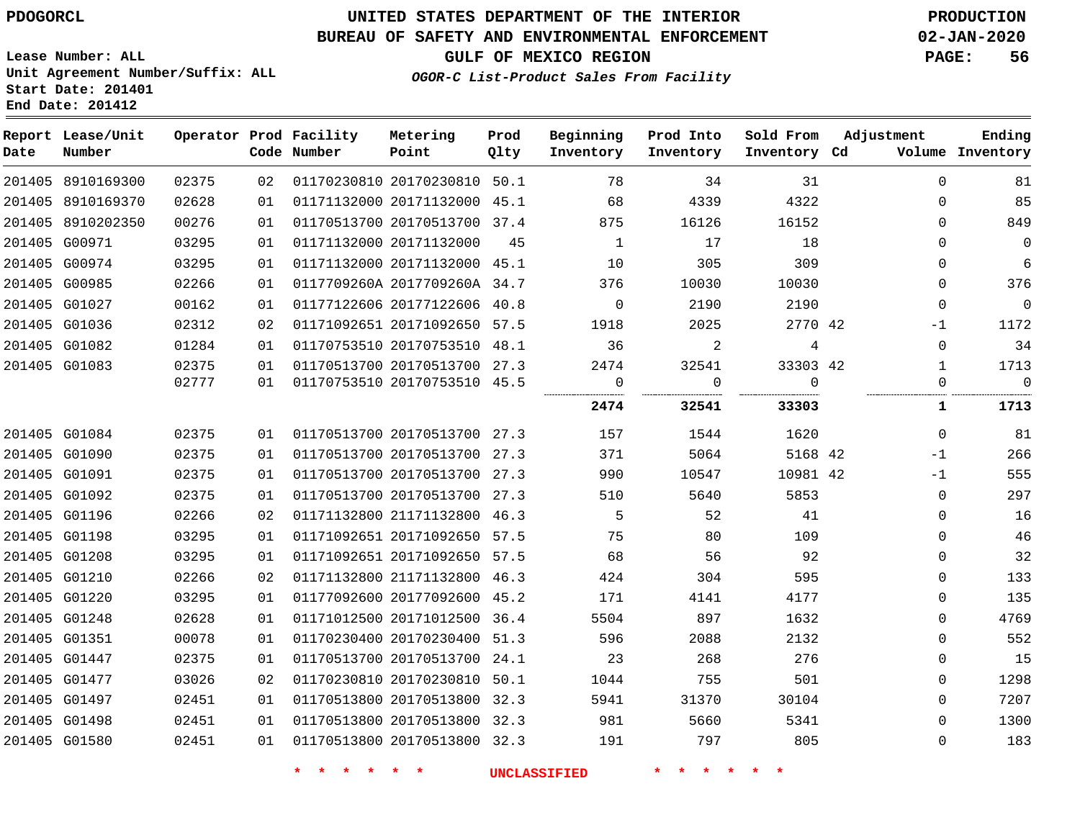# **UNITED STATES DEPARTMENT OF THE INTERIOR PDOGORCL PRODUCTION**

## **BUREAU OF SAFETY AND ENVIRONMENTAL ENFORCEMENT 02-JAN-2020**

**Lease Number: ALL Unit Agreement Number/Suffix: ALL Start Date: 201401**

**GULF OF MEXICO REGION PAGE: 56**

**OGOR-C List-Product Sales From Facility**

| Date | Report Lease/Unit<br>Number |       |    | Operator Prod Facility<br>Code Number | Metering<br>Point            | Prod<br>Qlty | Beginning<br>Inventory | Prod Into<br>Inventory | Sold From<br>Inventory Cd | Adjustment |              | Ending<br>Volume Inventory |
|------|-----------------------------|-------|----|---------------------------------------|------------------------------|--------------|------------------------|------------------------|---------------------------|------------|--------------|----------------------------|
|      | 201405 8910169300           | 02375 | 02 |                                       | 01170230810 20170230810 50.1 |              | 78                     | 34                     | 31                        |            | $\Omega$     | 81                         |
|      | 201405 8910169370           | 02628 | 01 |                                       | 01171132000 20171132000 45.1 |              | 68                     | 4339                   | 4322                      |            | $\mathbf 0$  | 85                         |
|      | 201405 8910202350           | 00276 | 01 |                                       | 01170513700 20170513700 37.4 |              | 875                    | 16126                  | 16152                     |            | $\Omega$     | 849                        |
|      | 201405 G00971               | 03295 | 01 |                                       | 01171132000 20171132000      | 45           | 1                      | 17                     | 18                        |            | $\Omega$     | 0                          |
|      | 201405 G00974               | 03295 | 01 |                                       | 01171132000 20171132000 45.1 |              | 10                     | 305                    | 309                       |            | $\Omega$     | 6                          |
|      | 201405 G00985               | 02266 | 01 |                                       | 0117709260A 2017709260A 34.7 |              | 376                    | 10030                  | 10030                     |            | 0            | 376                        |
|      | 201405 G01027               | 00162 | 01 |                                       | 01177122606 20177122606 40.8 |              | $\mathbf 0$            | 2190                   | 2190                      |            | 0            | $\mathbf 0$                |
|      | 201405 G01036               | 02312 | 02 |                                       | 01171092651 20171092650 57.5 |              | 1918                   | 2025                   | 2770 42                   |            | $-1$         | 1172                       |
|      | 201405 G01082               | 01284 | 01 |                                       | 01170753510 20170753510 48.1 |              | 36                     | 2                      | 4                         |            | $\Omega$     | 34                         |
|      | 201405 G01083               | 02375 | 01 |                                       | 01170513700 20170513700 27.3 |              | 2474                   | 32541                  | 33303 42                  |            | $\mathbf{1}$ | 1713                       |
|      |                             | 02777 | 01 |                                       | 01170753510 20170753510 45.5 |              | $\mathbf 0$            | $\mathbf 0$            | $\Omega$                  |            | $\Omega$     | $\mathbf 0$                |
|      |                             |       |    |                                       |                              |              | 2474                   | 32541                  | 33303                     |            | 1            | 1713                       |
|      | 201405 G01084               | 02375 | 01 |                                       | 01170513700 20170513700 27.3 |              | 157                    | 1544                   | 1620                      |            | $\mathbf 0$  | 81                         |
|      | 201405 G01090               | 02375 | 01 |                                       | 01170513700 20170513700 27.3 |              | 371                    | 5064                   | 5168 42                   |            | $-1$         | 266                        |
|      | 201405 G01091               | 02375 | 01 |                                       | 01170513700 20170513700 27.3 |              | 990                    | 10547                  | 10981 42                  |            | $-1$         | 555                        |
|      | 201405 G01092               | 02375 | 01 |                                       | 01170513700 20170513700 27.3 |              | 510                    | 5640                   | 5853                      |            | $\Omega$     | 297                        |
|      | 201405 G01196               | 02266 | 02 |                                       | 01171132800 21171132800 46.3 |              | 5                      | 52                     | 41                        |            | $\Omega$     | 16                         |
|      | 201405 G01198               | 03295 | 01 |                                       | 01171092651 20171092650 57.5 |              | 75                     | 80                     | 109                       |            | $\Omega$     | 46                         |
|      | 201405 G01208               | 03295 | 01 |                                       | 01171092651 20171092650 57.5 |              | 68                     | 56                     | 92                        |            | 0            | 32                         |
|      | 201405 G01210               | 02266 | 02 |                                       | 01171132800 21171132800 46.3 |              | 424                    | 304                    | 595                       |            | 0            | 133                        |
|      | 201405 G01220               | 03295 | 01 |                                       | 01177092600 20177092600 45.2 |              | 171                    | 4141                   | 4177                      |            | 0            | 135                        |
|      | 201405 G01248               | 02628 | 01 |                                       | 01171012500 20171012500 36.4 |              | 5504                   | 897                    | 1632                      |            | $\Omega$     | 4769                       |
|      | 201405 G01351               | 00078 | 01 |                                       | 01170230400 20170230400 51.3 |              | 596                    | 2088                   | 2132                      |            | $\Omega$     | 552                        |
|      | 201405 G01447               | 02375 | 01 |                                       | 01170513700 20170513700 24.1 |              | 23                     | 268                    | 276                       |            | 0            | 15                         |
|      | 201405 G01477               | 03026 | 02 |                                       | 01170230810 20170230810 50.1 |              | 1044                   | 755                    | 501                       |            | $\Omega$     | 1298                       |
|      | 201405 G01497               | 02451 | 01 |                                       | 01170513800 20170513800 32.3 |              | 5941                   | 31370                  | 30104                     |            | 0            | 7207                       |
|      | 201405 G01498               | 02451 | 01 |                                       | 01170513800 20170513800 32.3 |              | 981                    | 5660                   | 5341                      |            | $\Omega$     | 1300                       |
|      | 201405 G01580               | 02451 | 01 |                                       | 01170513800 20170513800 32.3 |              | 191                    | 797                    | 805                       |            | $\Omega$     | 183                        |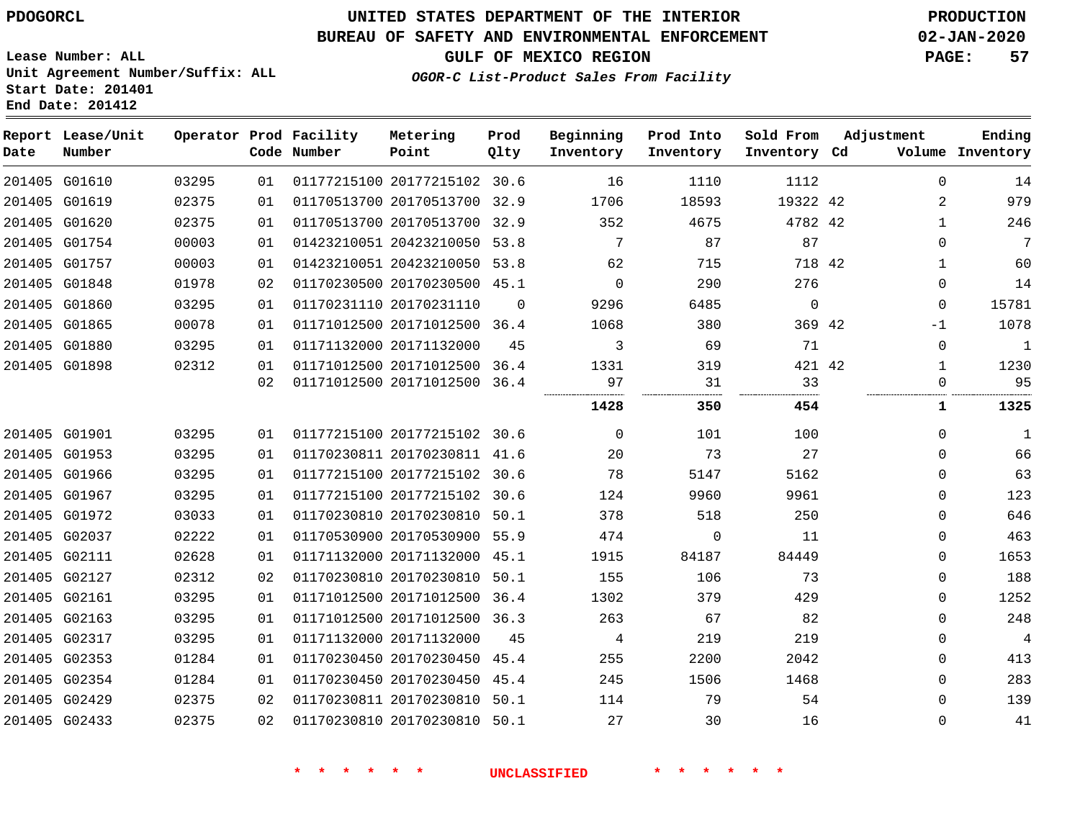## **BUREAU OF SAFETY AND ENVIRONMENTAL ENFORCEMENT 02-JAN-2020**

**GULF OF MEXICO REGION PAGE: 57**

**OGOR-C List-Product Sales From Facility**

**Lease Number: ALL Unit Agreement Number/Suffix: ALL Start Date: 201401 End Date: 201412**

| Date | Report Lease/Unit<br>Number |       |    | Operator Prod Facility<br>Code Number | Metering<br>Point            | Prod<br>Qlty | Beginning<br>Inventory | Prod Into<br>Inventory | Sold From<br>Inventory Cd | Adjustment     | Ending<br>Volume Inventory |
|------|-----------------------------|-------|----|---------------------------------------|------------------------------|--------------|------------------------|------------------------|---------------------------|----------------|----------------------------|
|      | 201405 G01610               | 03295 | 01 |                                       | 01177215100 20177215102 30.6 |              | 16                     | 1110                   | 1112                      | $\Omega$       | 14                         |
|      | 201405 G01619               | 02375 | 01 |                                       | 01170513700 20170513700 32.9 |              | 1706                   | 18593                  | 19322 42                  | $\overline{2}$ | 979                        |
|      | 201405 G01620               | 02375 | 01 |                                       | 01170513700 20170513700 32.9 |              | 352                    | 4675                   | 4782 42                   | $\mathbf{1}$   | 246                        |
|      | 201405 G01754               | 00003 | 01 |                                       | 01423210051 20423210050 53.8 |              | 7                      | 87                     | 87                        | $\Omega$       | 7                          |
|      | 201405 G01757               | 00003 | 01 |                                       | 01423210051 20423210050 53.8 |              | 62                     | 715                    | 718 42                    | $\mathbf 1$    | 60                         |
|      | 201405 G01848               | 01978 | 02 |                                       | 01170230500 20170230500 45.1 |              | $\Omega$               | 290                    | 276                       | $\Omega$       | 14                         |
|      | 201405 G01860               | 03295 | 01 |                                       | 01170231110 20170231110      | $\Omega$     | 9296                   | 6485                   | $\Omega$                  | $\mathbf{0}$   | 15781                      |
|      | 201405 G01865               | 00078 | 01 |                                       | 01171012500 20171012500 36.4 |              | 1068                   | 380                    | 369 42                    | $-1$           | 1078                       |
|      | 201405 G01880               | 03295 | 01 |                                       | 01171132000 20171132000      | 45           | 3                      | 69                     | 71                        | $\Omega$       | $\mathbf{1}$               |
|      | 201405 G01898               | 02312 | 01 |                                       | 01171012500 20171012500 36.4 |              | 1331                   | 319                    | 421 42                    | $\mathbf{1}$   | 1230                       |
|      |                             |       | 02 |                                       | 01171012500 20171012500 36.4 |              | 97                     | 31                     | 33                        | $\mathbf{0}$   | 95                         |
|      |                             |       |    |                                       |                              |              | 1428                   | 350                    | 454                       | 1              | 1325                       |
|      | 201405 G01901               | 03295 | 01 |                                       | 01177215100 20177215102 30.6 |              | $\Omega$               | 101                    | 100                       | $\Omega$       | 1                          |
|      | 201405 G01953               | 03295 | 01 |                                       | 01170230811 20170230811 41.6 |              | 20                     | 73                     | 27                        | $\Omega$       | 66                         |
|      | 201405 G01966               | 03295 | 01 |                                       | 01177215100 20177215102 30.6 |              | 78                     | 5147                   | 5162                      | $\Omega$       | 63                         |
|      | 201405 G01967               | 03295 | 01 |                                       | 01177215100 20177215102 30.6 |              | 124                    | 9960                   | 9961                      | $\Omega$       | 123                        |
|      | 201405 G01972               | 03033 | 01 |                                       | 01170230810 20170230810 50.1 |              | 378                    | 518                    | 250                       | $\Omega$       | 646                        |
|      | 201405 G02037               | 02222 | 01 |                                       | 01170530900 20170530900 55.9 |              | 474                    | $\Omega$               | 11                        | $\Omega$       | 463                        |
|      | 201405 G02111               | 02628 | 01 |                                       | 01171132000 20171132000 45.1 |              | 1915                   | 84187                  | 84449                     | $\Omega$       | 1653                       |
|      | 201405 G02127               | 02312 | 02 |                                       | 01170230810 20170230810 50.1 |              | 155                    | 106                    | 73                        | $\mathbf 0$    | 188                        |
|      | 201405 G02161               | 03295 | 01 |                                       | 01171012500 20171012500 36.4 |              | 1302                   | 379                    | 429                       | $\Omega$       | 1252                       |
|      | 201405 G02163               | 03295 | 01 |                                       | 01171012500 20171012500 36.3 |              | 263                    | 67                     | 82                        | $\Omega$       | 248                        |
|      | 201405 G02317               | 03295 | 01 |                                       | 01171132000 20171132000      | 45           | 4                      | 219                    | 219                       | $\mathbf 0$    | $\overline{4}$             |
|      | 201405 G02353               | 01284 | 01 |                                       | 01170230450 20170230450 45.4 |              | 255                    | 2200                   | 2042                      | $\Omega$       | 413                        |
|      | 201405 G02354               | 01284 | 01 |                                       | 01170230450 20170230450 45.4 |              | 245                    | 1506                   | 1468                      | $\Omega$       | 283                        |
|      | 201405 G02429               | 02375 | 02 |                                       | 01170230811 20170230810 50.1 |              | 114                    | 79                     | 54                        | $\Omega$       | 139                        |
|      | 201405 G02433               | 02375 | 02 |                                       | 01170230810 20170230810 50.1 |              | 27                     | 30                     | 16                        | $\mathbf 0$    | 41                         |
|      |                             |       |    |                                       |                              |              |                        |                        |                           |                |                            |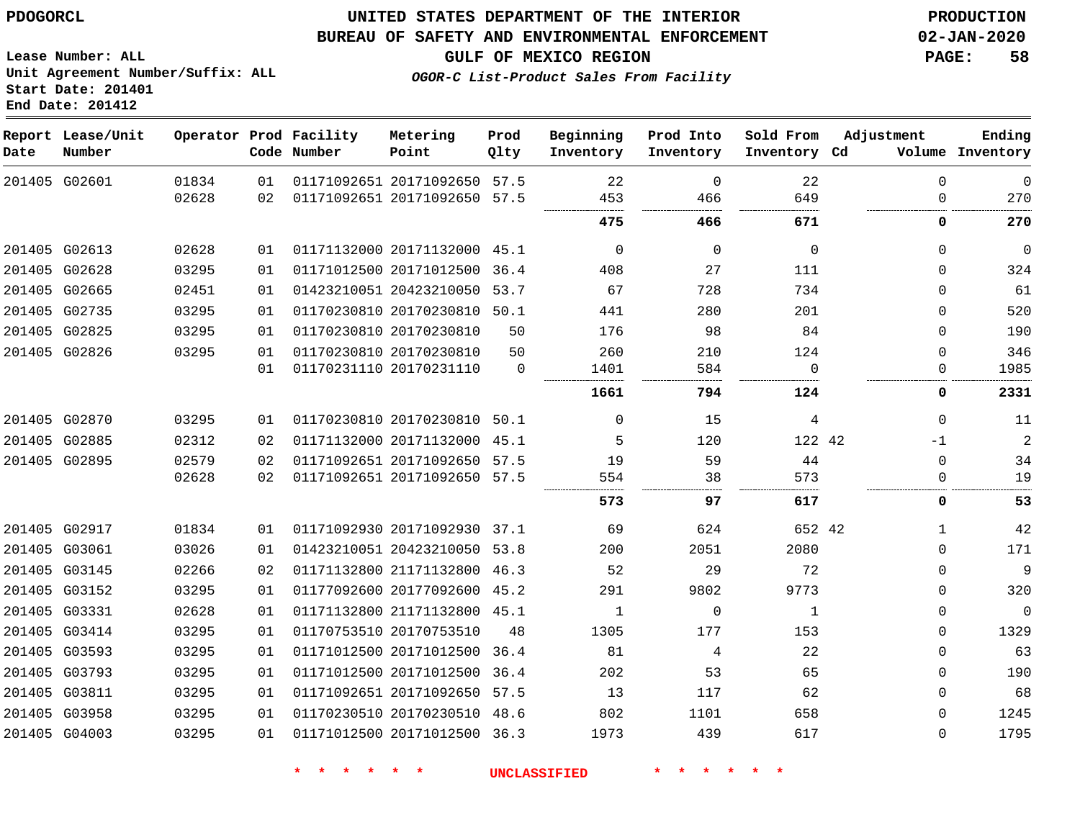#### **BUREAU OF SAFETY AND ENVIRONMENTAL ENFORCEMENT 02-JAN-2020**

**GULF OF MEXICO REGION PAGE: 58**

**Lease Number: ALL Unit Agreement Number/Suffix: ALL Start Date: 201401 End Date: 201412**

**OGOR-C List-Product Sales From Facility**

| Date | Report Lease/Unit<br>Number |       |    | Operator Prod Facility<br>Code Number | Metering<br>Point            | Prod<br>Qlty | Beginning<br>Inventory | Prod Into<br>Inventory | Sold From<br>Inventory Cd | Adjustment  | Ending<br>Volume Inventory |
|------|-----------------------------|-------|----|---------------------------------------|------------------------------|--------------|------------------------|------------------------|---------------------------|-------------|----------------------------|
|      | 201405 G02601               | 01834 | 01 |                                       | 01171092651 20171092650 57.5 |              | 22                     | $\mathbf 0$            | 22                        | $\Omega$    | $\mathbf 0$                |
|      |                             | 02628 | 02 |                                       | 01171092651 20171092650 57.5 |              | 453                    | 466                    | 649                       | $\Omega$    | 270                        |
|      |                             |       |    |                                       |                              |              | 475                    | 466                    | 671                       | 0           | 270                        |
|      | 201405 G02613               | 02628 | 01 |                                       | 01171132000 20171132000 45.1 |              | $\mathbf 0$            | $\Omega$               | $\mathbf 0$               | $\mathbf 0$ | $\mathbf{0}$               |
|      | 201405 G02628               | 03295 | 01 |                                       | 01171012500 20171012500 36.4 |              | 408                    | 27                     | 111                       | $\Omega$    | 324                        |
|      | 201405 G02665               | 02451 | 01 |                                       | 01423210051 20423210050      | 53.7         | 67                     | 728                    | 734                       | $\Omega$    | 61                         |
|      | 201405 G02735               | 03295 | 01 |                                       | 01170230810 20170230810 50.1 |              | 441                    | 280                    | 201                       | $\Omega$    | 520                        |
|      | 201405 G02825               | 03295 | 01 |                                       | 01170230810 20170230810      | 50           | 176                    | 98                     | 84                        | $\Omega$    | 190                        |
|      | 201405 G02826               | 03295 | 01 |                                       | 01170230810 20170230810      | 50           | 260                    | 210                    | 124                       | $\Omega$    | 346                        |
|      |                             |       | 01 |                                       | 01170231110 20170231110      | $\Omega$     | 1401                   | 584                    | $\Omega$                  | 0           | 1985                       |
|      |                             |       |    |                                       |                              |              | 1661                   | 794                    | 124                       | 0           | 2331                       |
|      | 201405 G02870               | 03295 | 01 |                                       | 01170230810 20170230810 50.1 |              | $\Omega$               | 15                     | 4                         | $\Omega$    | 11                         |
|      | 201405 G02885               | 02312 | 02 |                                       | 01171132000 20171132000      | 45.1         | 5                      | 120                    | 122 42                    | $-1$        | $\sqrt{2}$                 |
|      | 201405 G02895               | 02579 | 02 |                                       | 01171092651 20171092650 57.5 |              | 19                     | 59                     | 44                        | $\Omega$    | 34                         |
|      |                             | 02628 | 02 |                                       | 01171092651 20171092650 57.5 |              | 554                    | 38                     | 573                       | $\Omega$    | 19                         |
|      |                             |       |    |                                       |                              |              | 573                    | 97                     | 617                       | 0           | 53                         |
|      | 201405 G02917               | 01834 | 01 |                                       | 01171092930 20171092930 37.1 |              | 69                     | 624                    | 652 42                    | 1           | 42                         |
|      | 201405 G03061               | 03026 | 01 |                                       | 01423210051 20423210050 53.8 |              | 200                    | 2051                   | 2080                      | $\Omega$    | 171                        |
|      | 201405 G03145               | 02266 | 02 |                                       | 01171132800 21171132800 46.3 |              | 52                     | 29                     | 72                        | $\Omega$    | 9                          |
|      | 201405 G03152               | 03295 | 01 |                                       | 01177092600 20177092600 45.2 |              | 291                    | 9802                   | 9773                      | $\Omega$    | 320                        |
|      | 201405 G03331               | 02628 | 01 |                                       | 01171132800 21171132800 45.1 |              | $\mathbf{1}$           | $\mathbf 0$            | $\mathbf{1}$              | $\Omega$    | $\Omega$                   |
|      | 201405 G03414               | 03295 | 01 |                                       | 01170753510 20170753510      | 48           | 1305                   | 177                    | 153                       | $\Omega$    | 1329                       |
|      | 201405 G03593               | 03295 | 01 |                                       | 01171012500 20171012500      | 36.4         | 81                     | 4                      | 22                        | $\Omega$    | 63                         |
|      | 201405 G03793               | 03295 | 01 |                                       | 01171012500 20171012500 36.4 |              | 202                    | 53                     | 65                        | $\Omega$    | 190                        |
|      | 201405 G03811               | 03295 | 01 |                                       | 01171092651 20171092650 57.5 |              | 13                     | 117                    | 62                        | $\Omega$    | 68                         |
|      | 201405 G03958               | 03295 | 01 |                                       | 01170230510 20170230510 48.6 |              | 802                    | 1101                   | 658                       | $\Omega$    | 1245                       |
|      | 201405 G04003               | 03295 | 01 |                                       | 01171012500 20171012500 36.3 |              | 1973                   | 439                    | 617                       | $\Omega$    | 1795                       |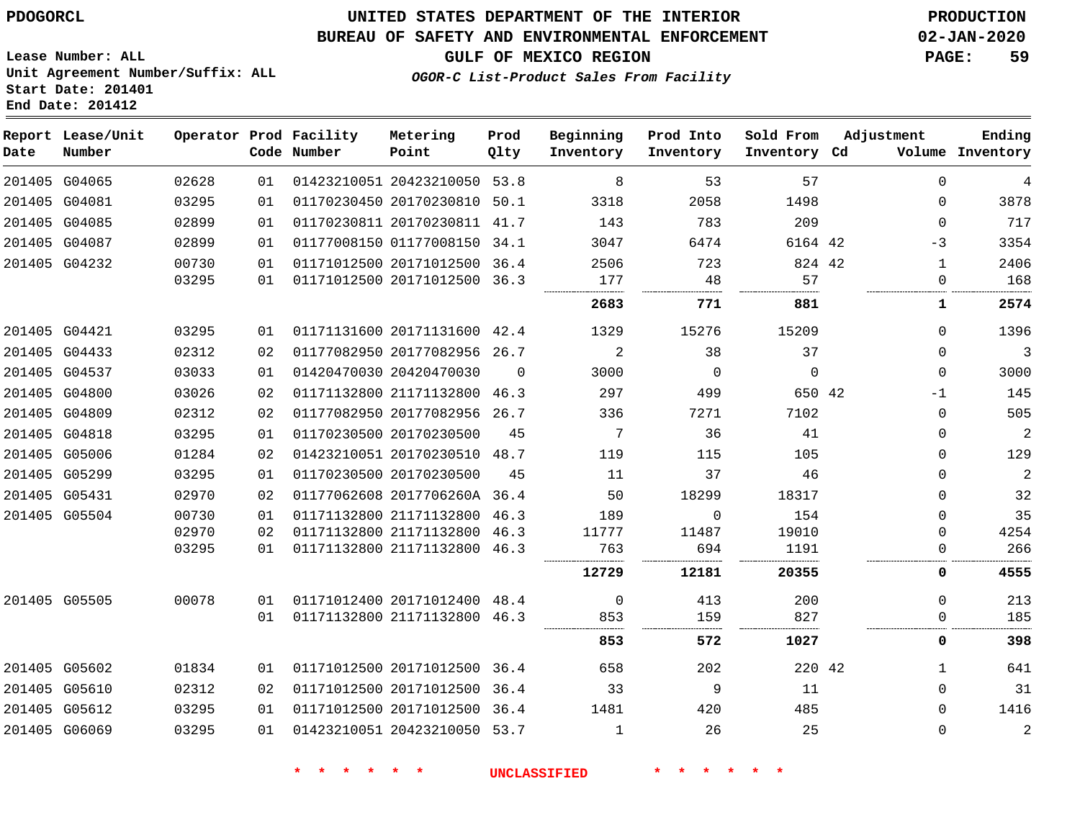## **UNITED STATES DEPARTMENT OF THE INTERIOR PDOGORCL PRODUCTION**

#### **BUREAU OF SAFETY AND ENVIRONMENTAL ENFORCEMENT 02-JAN-2020**

**Lease Number: ALL Unit Agreement Number/Suffix: ALL Start Date: 201401**

**GULF OF MEXICO REGION PAGE: 59**

**OGOR-C List-Product Sales From Facility**

| Date | Report Lease/Unit<br>Number |                |          | Operator Prod Facility<br>Code Number | Metering<br>Point                                       | Prod<br>Qlty | Beginning<br>Inventory | Prod Into<br>Inventory | Sold From<br>Inventory Cd | Adjustment           | Ending<br>Volume Inventory |
|------|-----------------------------|----------------|----------|---------------------------------------|---------------------------------------------------------|--------------|------------------------|------------------------|---------------------------|----------------------|----------------------------|
|      | 201405 G04065               | 02628          | 01       |                                       | 01423210051 20423210050 53.8                            |              | 8                      | 53                     | 57                        | $\Omega$             | 4                          |
|      | 201405 G04081               | 03295          | 01       |                                       | 01170230450 20170230810 50.1                            |              | 3318                   | 2058                   | 1498                      | $\Omega$             | 3878                       |
|      | 201405 G04085               | 02899          | 01       |                                       | 01170230811 20170230811 41.7                            |              | 143                    | 783                    | 209                       | 0                    | 717                        |
|      | 201405 G04087               | 02899          | 01       |                                       | 01177008150 01177008150 34.1                            |              | 3047                   | 6474                   | 6164 42                   | -3                   | 3354                       |
|      | 201405 G04232               | 00730          | 01       |                                       | 01171012500 20171012500 36.4                            |              | 2506                   | 723                    | 824 42                    | $\mathbf{1}$         | 2406                       |
|      |                             | 03295          | 01       |                                       | 01171012500 20171012500 36.3                            |              | 177<br>                | 48                     | 57                        | $\Omega$             | 168                        |
|      |                             |                |          |                                       |                                                         |              | 2683                   | 771                    | 881                       | 1                    | 2574                       |
|      | 201405 G04421               | 03295          | 01       |                                       | 01171131600 20171131600 42.4                            |              | 1329                   | 15276                  | 15209                     | $\Omega$             | 1396                       |
|      | 201405 G04433               | 02312          | 02       |                                       | 01177082950 20177082956 26.7                            |              | 2                      | 38                     | 37                        | $\Omega$             | 3                          |
|      | 201405 G04537               | 03033          | 01       |                                       | 01420470030 20420470030                                 | $\Omega$     | 3000                   | $\Omega$               | $\Omega$                  | $\Omega$             | 3000                       |
|      | 201405 G04800               | 03026          | 02       |                                       | 01171132800 21171132800 46.3                            |              | 297                    | 499                    | 650 42                    | $-1$                 | 145                        |
|      | 201405 G04809               | 02312          | 02       |                                       | 01177082950 20177082956 26.7                            |              | 336                    | 7271                   | 7102                      | $\Omega$             | 505                        |
|      | 201405 G04818               | 03295          | 01       |                                       | 01170230500 20170230500                                 | 45           | 7                      | 36                     | 41                        | $\Omega$             | $\overline{2}$             |
|      | 201405 G05006               | 01284          | 02       |                                       | 01423210051 20170230510 48.7                            |              | 119                    | 115                    | 105                       | $\Omega$             | 129                        |
|      | 201405 G05299               | 03295          | 01       |                                       | 01170230500 20170230500                                 | 45           | 11                     | 37                     | 46                        | $\Omega$             | $\overline{2}$             |
|      | 201405 G05431               | 02970          | 02       |                                       | 01177062608 2017706260A 36.4                            |              | 50                     | 18299                  | 18317                     | $\Omega$             | 32                         |
|      | 201405 G05504               | 00730          | 01       |                                       | 01171132800 21171132800 46.3                            |              | 189                    | $\Omega$               | 154                       | $\Omega$             | 35                         |
|      |                             | 02970<br>03295 | 02<br>01 |                                       | 01171132800 21171132800<br>01171132800 21171132800 46.3 | 46.3         | 11777<br>763           | 11487<br>694           | 19010<br>1191             | $\Omega$<br>$\Omega$ | 4254<br>266                |
|      |                             |                |          |                                       |                                                         |              |                        |                        |                           |                      |                            |
|      |                             |                |          |                                       |                                                         |              | 12729                  | 12181                  | 20355                     | 0                    | 4555                       |
|      | 201405 G05505               | 00078          | 01       |                                       | 01171012400 20171012400 48.4                            |              | 0                      | 413                    | 200                       | U                    | 213                        |
|      |                             |                | 01       |                                       | 01171132800 21171132800 46.3                            |              | 853                    | 159                    | 827                       | 0                    | 185                        |
|      |                             |                |          |                                       |                                                         |              | 853                    | 572                    | 1027                      | 0                    | 398                        |
|      | 201405 G05602               | 01834          | 01       |                                       | 01171012500 20171012500 36.4                            |              | 658                    | 202                    | 220 42                    | $\mathbf{1}$         | 641                        |
|      | 201405 G05610               | 02312          | 02       |                                       | 01171012500 20171012500 36.4                            |              | 33                     | 9                      | 11                        | $\Omega$             | 31                         |
|      | 201405 G05612               | 03295          | 01       |                                       | 01171012500 20171012500 36.4                            |              | 1481                   | 420                    | 485                       | $\Omega$             | 1416                       |
|      | 201405 G06069               | 03295          | 01       |                                       | 01423210051 20423210050 53.7                            |              | $\mathbf{1}$           | 26                     | 25                        | $\Omega$             | $\overline{2}$             |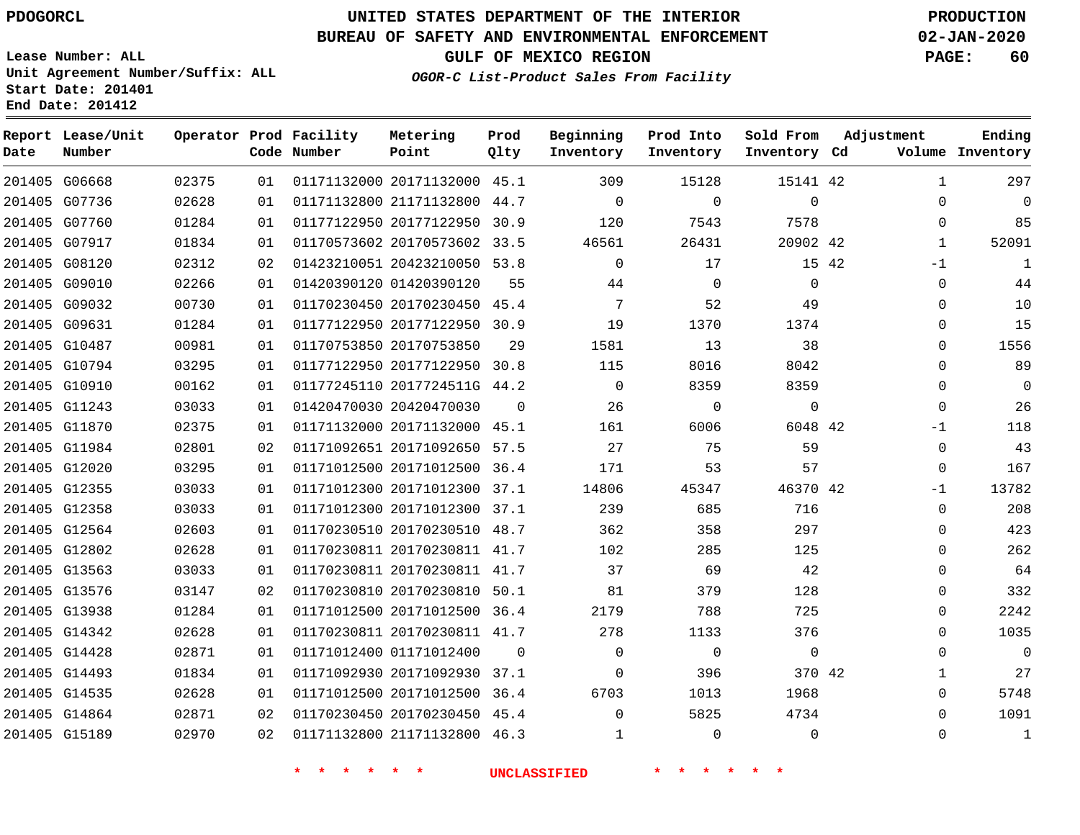**Date**

**Report Lease/Unit**

**Number**

G15189

# **UNITED STATES DEPARTMENT OF THE INTERIOR PDOGORCL PRODUCTION**

**Prod Qlty**

#### **BUREAU OF SAFETY AND ENVIRONMENTAL ENFORCEMENT 02-JAN-2020**

**Lease Number: ALL Unit Agreement Number/Suffix: ALL Start Date: 201401 End Date: 201412**

**Operator Prod Facility**

**Code Number**

**Metering Point**

**OGOR-C List-Product Sales From Facility**

**Beginning Inventory**

**Prod Into Inventory** **Sold From Inventory**

**GULF OF MEXICO REGION PAGE: 60**

**Inventory Cd Volume**

**Adjustment**

  $\Omega$  $\Omega$   $-1$  $\Omega$  $\Omega$  $\Omega$  $\Omega$  $\Omega$  $\Omega$  $\Omega$ -1  $\Omega$ -1  $\Omega$  $\Omega$  $\Omega$  $\Omega$  $\Omega$  $\Omega$  $\Omega$   $\Omega$ 

**Ending**

| 201405 G06668 | 02375 | 01              | 01171132000 20171132000 45.1       |                | 309            | 15128                                                                                                                                                                                                                                       | 15141 42       |  |
|---------------|-------|-----------------|------------------------------------|----------------|----------------|---------------------------------------------------------------------------------------------------------------------------------------------------------------------------------------------------------------------------------------------|----------------|--|
| 201405 G07736 | 02628 | 01              | 01171132800 21171132800 44.7       |                | $\overline{0}$ | $\Omega$                                                                                                                                                                                                                                    | $\mathbf 0$    |  |
| 201405 G07760 | 01284 | 01              | 01177122950 20177122950 30.9       |                | 120            | 7543                                                                                                                                                                                                                                        | 7578           |  |
| 201405 G07917 | 01834 | 01              | 01170573602 20170573602 33.5 46561 |                |                | 26431                                                                                                                                                                                                                                       | 20902 42       |  |
| 201405 G08120 | 02312 | 02 <sub>o</sub> | 01423210051 20423210050 53.8       |                | $\Omega$       | 17                                                                                                                                                                                                                                          | 15 42          |  |
| 201405 G09010 | 02266 | 01              | 01420390120 01420390120            | 55             | 44             | $\overline{0}$                                                                                                                                                                                                                              | $\overline{0}$ |  |
| 201405 G09032 | 00730 | 01              | 01170230450 20170230450 45.4       |                | $\overline{7}$ | 52                                                                                                                                                                                                                                          | 49             |  |
| 201405 G09631 | 01284 | 01              | 01177122950 20177122950 30.9       |                | 19             | 1370                                                                                                                                                                                                                                        | 1374           |  |
| 201405 G10487 | 00981 | 01              | 01170753850 20170753850            |                | 29<br>1581     | 13                                                                                                                                                                                                                                          | 38             |  |
| 201405 G10794 | 03295 | 01              | 01177122950 20177122950 30.8       |                | 115            | 8016                                                                                                                                                                                                                                        | 8042           |  |
| 201405 G10910 | 00162 | 01              | 01177245110 2017724511G 44.2       |                | $\overline{0}$ | 8359                                                                                                                                                                                                                                        | 8359           |  |
| 201405 G11243 | 03033 | 01              | 01420470030 20420470030            | $\overline{0}$ | 26             | $\overline{0}$                                                                                                                                                                                                                              | $\mathsf{O}$   |  |
| 201405 G11870 | 02375 | 01              | 01171132000 20171132000 45.1       |                |                | 161 — 161 — 162 — 162 — 162 — 162 — 162 — 162 — 162 — 162 — 162 — 162 — 162 — 162 — 162 — 162 — 162 — 162 — 162 — 162 — 162 — 162 — 162 — 162 — 162 — 162 — 162 — 162 — 162 — 162 — 162 — 162 — 162 — 162 — 162 — 162 — 162 — 1<br>6006 700 | 6048 42        |  |
| 201405 G11984 | 02801 | 02 <sub>o</sub> | 01171092651 20171092650 57.5 27    |                |                | 75                                                                                                                                                                                                                                          | 59             |  |
| 201405 G12020 | 03295 | 01              | 01171012500 20171012500 36.4       |                | 171            | 53                                                                                                                                                                                                                                          | 57             |  |
| 201405 G12355 | 03033 | 01              | 01171012300 20171012300 37.1 14806 |                |                | 45347                                                                                                                                                                                                                                       | 46370 42       |  |
| 201405 G12358 | 03033 | 01              | 01171012300 20171012300 37.1       |                | 239            | 685                                                                                                                                                                                                                                         | 716            |  |
| 201405 G12564 | 02603 | 01              | 01170230510 20170230510 48.7       |                | 362            | 358                                                                                                                                                                                                                                         | 297            |  |
| 201405 G12802 | 02628 | 01              | 01170230811 20170230811 41.7       |                | 102            | 285                                                                                                                                                                                                                                         | 125            |  |
| 201405 G13563 | 03033 | 01              | 01170230811 20170230811 41.7       |                | 37             | 69                                                                                                                                                                                                                                          | 42             |  |
| 201405 G13576 | 03147 | 02              | 01170230810 20170230810 50.1 81    |                |                | 379                                                                                                                                                                                                                                         | 128            |  |
| 201405 G13938 | 01284 | 01              | 01171012500 20171012500 36.4       |                | 2179           | 788                                                                                                                                                                                                                                         | 725            |  |
| 201405 G14342 | 02628 | 01              | 01170230811 20170230811 41.7       |                | 278            | 1133                                                                                                                                                                                                                                        | 376            |  |
| 201405 G14428 | 02871 | 01              |                                    |                | $\overline{0}$ | $\overline{0}$                                                                                                                                                                                                                              | $\overline{0}$ |  |
| 201405 G14493 | 01834 | 01              | 01171092930 20171092930 37.1       |                | $\overline{0}$ | 396                                                                                                                                                                                                                                         | 370 42         |  |
| 201405 G14535 | 02628 | 01              | 01171012500 20171012500 36.4       |                |                | 6703 — 100<br>1013                                                                                                                                                                                                                          | 1968           |  |
| 201405 G14864 | 02871 |                 | 02 01170230450 20170230450 45.4    |                | $\Omega$       | 5825                                                                                                                                                                                                                                        | 4734           |  |
|               |       |                 |                                    |                |                |                                                                                                                                                                                                                                             |                |  |

**\* \* \* \* \* \* UNCLASSIFIED \* \* \* \* \* \***

21171132800 46.3

 $\Omega$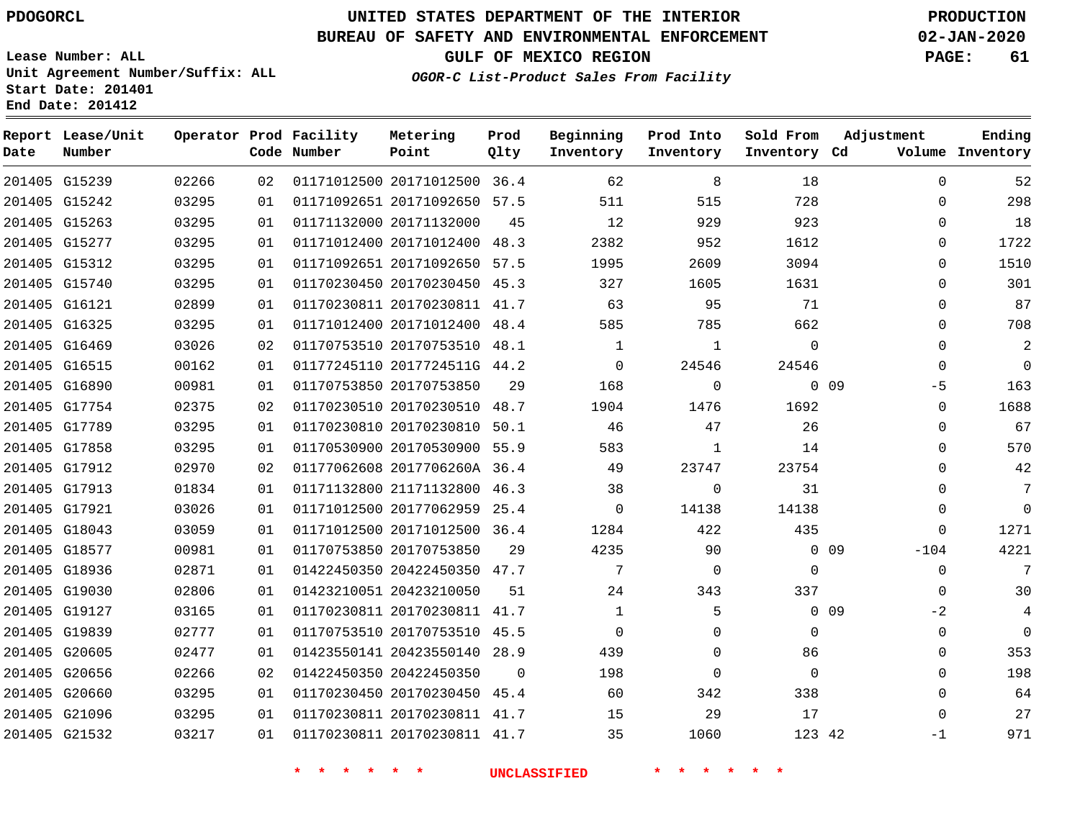# **UNITED STATES DEPARTMENT OF THE INTERIOR PDOGORCL PRODUCTION**

## **BUREAU OF SAFETY AND ENVIRONMENTAL ENFORCEMENT 02-JAN-2020**

**Lease Number: ALL Unit Agreement Number/Suffix: ALL Start Date: 201401**

**GULF OF MEXICO REGION PAGE: 61**

**OGOR-C List-Product Sales From Facility**

| Date | Report Lease/Unit<br>Number |       |     | Operator Prod Facility<br>Code Number | Metering<br>Point            | Prod<br>Qlty | Beginning<br>Inventory | Prod Into<br>Inventory | Sold From<br>Inventory Cd | Adjustment              | Ending<br>Volume Inventory |
|------|-----------------------------|-------|-----|---------------------------------------|------------------------------|--------------|------------------------|------------------------|---------------------------|-------------------------|----------------------------|
|      | 201405 G15239               | 02266 | 02  |                                       | 01171012500 20171012500 36.4 |              | 62                     | 8                      | 18                        | $\Omega$                | 52                         |
|      | 201405 G15242               | 03295 | 01  |                                       | 01171092651 20171092650 57.5 |              | 511                    | 515                    | 728                       | 0                       | 298                        |
|      | 201405 G15263               | 03295 | 01  |                                       | 01171132000 20171132000      | 45           | 12                     | 929                    | 923                       | $\Omega$                | 18                         |
|      | 201405 G15277               | 03295 | 01  |                                       | 01171012400 20171012400 48.3 |              | 2382                   | 952                    | 1612                      | $\Omega$                | 1722                       |
|      | 201405 G15312               | 03295 | 01  |                                       | 01171092651 20171092650 57.5 |              | 1995                   | 2609                   | 3094                      | $\mathbf{0}$            | 1510                       |
|      | 201405 G15740               | 03295 | 01  |                                       | 01170230450 20170230450 45.3 |              | 327                    | 1605                   | 1631                      | $\Omega$                | 301                        |
|      | 201405 G16121               | 02899 | 01  |                                       | 01170230811 20170230811 41.7 |              | 63                     | 95                     | 71                        | $\mathbf{0}$            | 87                         |
|      | 201405 G16325               | 03295 | 01  |                                       | 01171012400 20171012400 48.4 |              | 585                    | 785                    | 662                       | $\mathbf{0}$            | 708                        |
|      | 201405 G16469               | 03026 | 02  |                                       | 01170753510 20170753510 48.1 |              | $\mathbf{1}$           | $\mathbf{1}$           | $\Omega$                  | $\mathbf{0}$            | 2                          |
|      | 201405 G16515               | 00162 | 01  |                                       | 01177245110 2017724511G 44.2 |              | $\Omega$               | 24546                  | 24546                     | $\mathbf{0}$            | $\mathbf 0$                |
|      | 201405 G16890               | 00981 | 01  |                                       | 01170753850 20170753850      | 29           | 168                    | $\mathbf 0$            |                           | 0 <sub>09</sub><br>$-5$ | 163                        |
|      | 201405 G17754               | 02375 | 02  |                                       | 01170230510 20170230510 48.7 |              | 1904                   | 1476                   | 1692                      | $\Omega$                | 1688                       |
|      | 201405 G17789               | 03295 | 0 1 |                                       | 01170230810 20170230810 50.1 |              | 46                     | 47                     | 26                        | $\Omega$                | 67                         |
|      | 201405 G17858               | 03295 | 01  |                                       | 01170530900 20170530900 55.9 |              | 583                    | 1                      | 14                        | $\Omega$                | 570                        |
|      | 201405 G17912               | 02970 | 02  |                                       | 01177062608 2017706260A 36.4 |              | 49                     | 23747                  | 23754                     | $\Omega$                | 42                         |
|      | 201405 G17913               | 01834 | 01  |                                       | 01171132800 21171132800 46.3 |              | 38                     | $\Omega$               | 31                        | $\Omega$                | 7                          |
|      | 201405 G17921               | 03026 | 01  |                                       | 01171012500 20177062959      | 25.4         | $\mathbf 0$            | 14138                  | 14138                     | $\Omega$                | $\mathbf 0$                |
|      | 201405 G18043               | 03059 | 01  |                                       | 01171012500 20171012500 36.4 |              | 1284                   | 422                    | 435                       | $\Omega$                | 1271                       |
|      | 201405 G18577               | 00981 | 01  |                                       | 01170753850 20170753850      | 29           | 4235                   | 90                     |                           | $0\quad09$<br>$-104$    | 4221                       |
|      | 201405 G18936               | 02871 | 01  |                                       | 01422450350 20422450350 47.7 |              | 7                      | $\mathbf 0$            | $\mathbf 0$               | $\mathbf 0$             | $7\phantom{.0}$            |
|      | 201405 G19030               | 02806 | 01  |                                       | 01423210051 20423210050      | 51           | 24                     | 343                    | 337                       | $\Omega$                | 30                         |
|      | 201405 G19127               | 03165 | 01  |                                       | 01170230811 20170230811 41.7 |              | 1                      | 5                      |                           | 0 <sub>09</sub><br>$-2$ | 4                          |
|      | 201405 G19839               | 02777 | 01  |                                       | 01170753510 20170753510 45.5 |              | $\Omega$               | $\Omega$               | $\Omega$                  | $\Omega$                | $\Omega$                   |
|      | 201405 G20605               | 02477 | 01  |                                       | 01423550141 20423550140      | 28.9         | 439                    | $\mathbf{0}$           | 86                        | 0                       | 353                        |
|      | 201405 G20656               | 02266 | 02  |                                       | 01422450350 20422450350      | $\Omega$     | 198                    | $\mathbf{0}$           | $\Omega$                  | $\mathbf{0}$            | 198                        |
|      | 201405 G20660               | 03295 | 01  |                                       | 01170230450 20170230450 45.4 |              | 60                     | 342                    | 338                       | $\Omega$                | 64                         |
|      | 201405 G21096               | 03295 | 01  |                                       | 01170230811 20170230811 41.7 |              | 15                     | 29                     | 17                        | $\Omega$                | 27                         |
|      | 201405 G21532               | 03217 | 0 1 |                                       | 01170230811 20170230811 41.7 |              | 35                     | 1060                   | 123 42                    | $-1$                    | 971                        |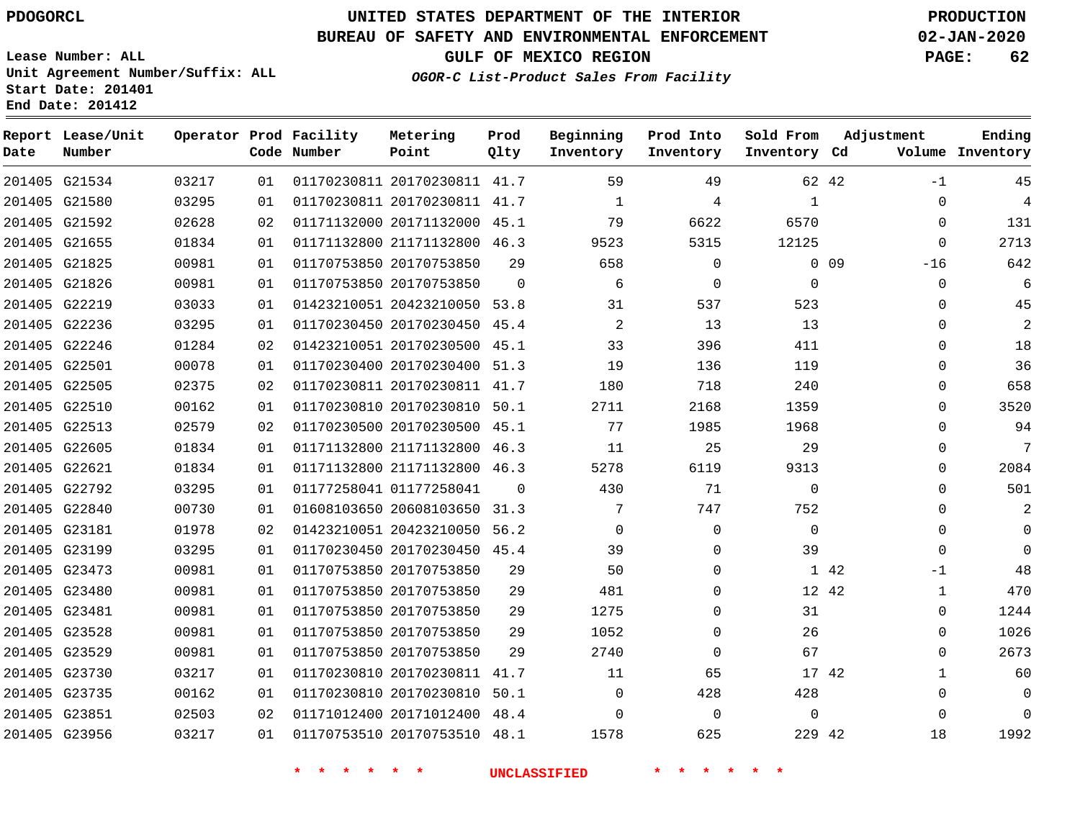**Start Date: 201401 End Date: 201412**

## **UNITED STATES DEPARTMENT OF THE INTERIOR PDOGORCL PRODUCTION**

#### **BUREAU OF SAFETY AND ENVIRONMENTAL ENFORCEMENT 02-JAN-2020**

**Lease Number: ALL Unit Agreement Number/Suffix: ALL**

**GULF OF MEXICO REGION PAGE: 62**

**OGOR-C List-Product Sales From Facility**

| Date | Report Lease/Unit<br>Number |       |    | Operator Prod Facility<br>Code Number | Metering<br>Point            | Prod<br>Qlty | Beginning<br>Inventory | Prod Into<br>Inventory | Sold From<br>Inventory Cd | Adjustment               | Ending<br>Volume Inventory |
|------|-----------------------------|-------|----|---------------------------------------|------------------------------|--------------|------------------------|------------------------|---------------------------|--------------------------|----------------------------|
|      | 201405 G21534               | 03217 | 01 |                                       | 01170230811 20170230811 41.7 |              | 59                     | 49                     |                           | 62 42<br>$-1$            | 45                         |
|      | 201405 G21580               | 03295 | 01 |                                       | 01170230811 20170230811      | 41.7         | $\mathbf 1$            | 4                      | $\mathbf{1}$              | $\mathbf 0$              | $\overline{4}$             |
|      | 201405 G21592               | 02628 | 02 |                                       | 01171132000 20171132000      | 45.1         | 79                     | 6622                   | 6570                      | $\Omega$                 | 131                        |
|      | 201405 G21655               | 01834 | 01 |                                       | 01171132800 21171132800      | 46.3         | 9523                   | 5315                   | 12125                     | $\mathbf 0$              | 2713                       |
|      | 201405 G21825               | 00981 | 01 |                                       | 01170753850 20170753850      | 29           | 658                    | 0                      |                           | 0 <sub>09</sub><br>$-16$ | 642                        |
|      | 201405 G21826               | 00981 | 01 |                                       | 01170753850 20170753850      | $\Omega$     | 6                      | $\Omega$               | $\mathbf 0$               | $\mathbf 0$              | 6                          |
|      | 201405 G22219               | 03033 | 01 |                                       | 01423210051 20423210050      | 53.8         | 31                     | 537                    | 523                       | $\Omega$                 | 45                         |
|      | 201405 G22236               | 03295 | 01 |                                       | 01170230450 20170230450 45.4 |              | 2                      | 13                     | 13                        | $\Omega$                 | $\overline{2}$             |
|      | 201405 G22246               | 01284 | 02 |                                       | 01423210051 20170230500      | 45.1         | 33                     | 396                    | 411                       | $\mathbf 0$              | 18                         |
|      | 201405 G22501               | 00078 | 01 |                                       | 01170230400 20170230400 51.3 |              | 19                     | 136                    | 119                       | $\Omega$                 | 36                         |
|      | 201405 G22505               | 02375 | 02 |                                       | 01170230811 20170230811 41.7 |              | 180                    | 718                    | 240                       | $\Omega$                 | 658                        |
|      | 201405 G22510               | 00162 | 01 |                                       | 01170230810 20170230810 50.1 |              | 2711                   | 2168                   | 1359                      | $\mathbf 0$              | 3520                       |
|      | 201405 G22513               | 02579 | 02 |                                       | 01170230500 20170230500 45.1 |              | 77                     | 1985                   | 1968                      | $\Omega$                 | 94                         |
|      | 201405 G22605               | 01834 | 01 |                                       | 01171132800 21171132800 46.3 |              | 11                     | 25                     | 29                        | $\Omega$                 | 7                          |
|      | 201405 G22621               | 01834 | 01 |                                       | 01171132800 21171132800      | 46.3         | 5278                   | 6119                   | 9313                      | $\mathbf{0}$             | 2084                       |
|      | 201405 G22792               | 03295 | 01 |                                       | 01177258041 01177258041      | $\Omega$     | 430                    | 71                     | $\mathbf 0$               | $\mathbf 0$              | 501                        |
|      | 201405 G22840               | 00730 | 01 |                                       | 01608103650 20608103650      | 31.3         | 7                      | 747                    | 752                       | $\Omega$                 | 2                          |
|      | 201405 G23181               | 01978 | 02 |                                       | 01423210051 20423210050 56.2 |              | $\Omega$               | $\mathbf 0$            | $\Omega$                  | $\mathbf{0}$             | $\Omega$                   |
|      | 201405 G23199               | 03295 | 01 |                                       | 01170230450 20170230450 45.4 |              | 39                     | $\mathbf 0$            | 39                        | $\mathbf 0$              | $\Omega$                   |
|      | 201405 G23473               | 00981 | 01 |                                       | 01170753850 20170753850      | 29           | 50                     | $\mathbf 0$            |                           | 1 42<br>$-1$             | 48                         |
|      | 201405 G23480               | 00981 | 01 |                                       | 01170753850 20170753850      | 29           | 481                    | $\Omega$               |                           | 12 42<br>$\mathbf{1}$    | 470                        |
|      | 201405 G23481               | 00981 | 01 |                                       | 01170753850 20170753850      | 29           | 1275                   | $\mathbf 0$            | 31                        | 0                        | 1244                       |
|      | 201405 G23528               | 00981 | 01 |                                       | 01170753850 20170753850      | 29           | 1052                   | $\mathbf 0$            | 26                        | $\mathbf 0$              | 1026                       |
|      | 201405 G23529               | 00981 | 01 |                                       | 01170753850 20170753850      | 2.9          | 2740                   | $\Omega$               | 67                        | $\Omega$                 | 2673                       |
|      | 201405 G23730               | 03217 | 01 |                                       | 01170230810 20170230811      | 41.7         | 11                     | 65                     |                           | 17 42<br>$\mathbf{1}$    | 60                         |
|      | 201405 G23735               | 00162 | 01 |                                       | 01170230810 20170230810      | 50.1         | $\Omega$               | 428                    | 428                       | $\Omega$                 | $\Omega$                   |
|      | 201405 G23851               | 02503 | 02 |                                       | 01171012400 20171012400      | 48.4         | $\Omega$               | $\mathbf 0$            | $\mathbf 0$               | $\mathbf 0$              | $\Omega$                   |
|      | 201405 G23956               | 03217 | 01 |                                       | 01170753510 20170753510 48.1 |              | 1578                   | 625                    | 229 42                    | 18                       | 1992                       |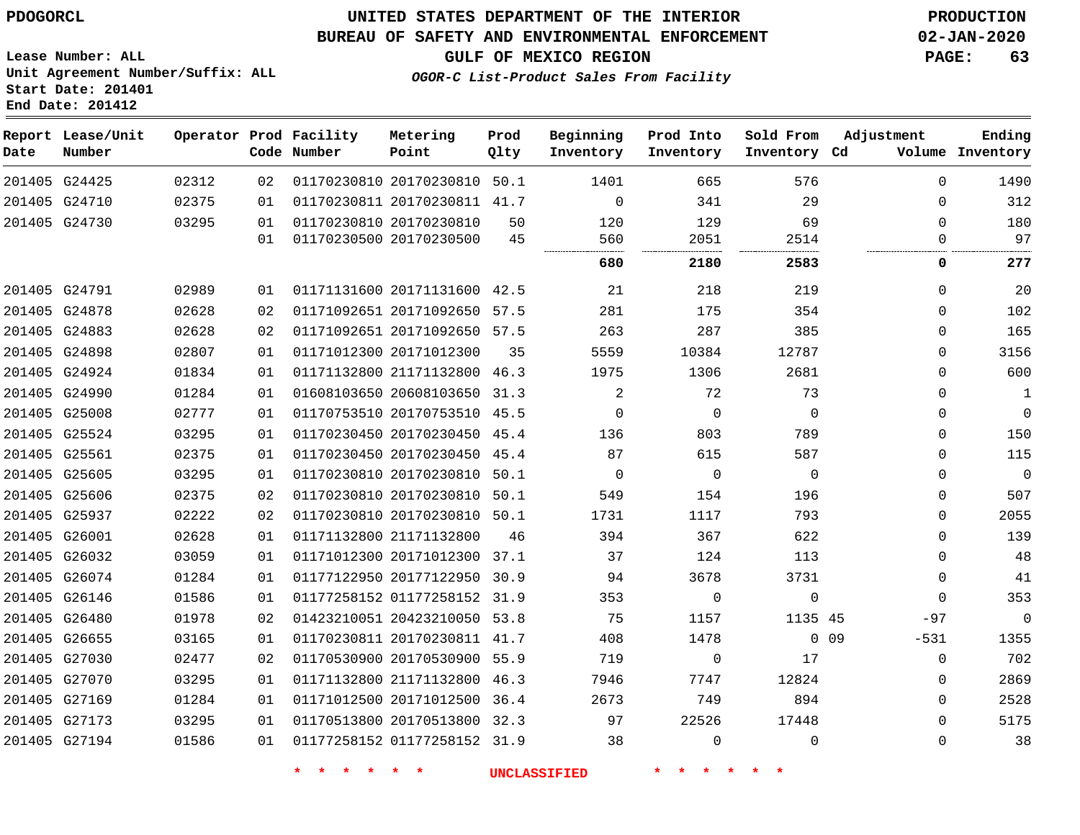## **UNITED STATES DEPARTMENT OF THE INTERIOR PDOGORCL PRODUCTION**

#### **BUREAU OF SAFETY AND ENVIRONMENTAL ENFORCEMENT 02-JAN-2020**

**Lease Number: ALL Unit Agreement Number/Suffix: ALL Start Date: 201401**

**GULF OF MEXICO REGION PAGE: 63**

**OGOR-C List-Product Sales From Facility**

| Date | Report Lease/Unit<br>Number |       |     | Operator Prod Facility<br>Code Number | Metering<br>Point            | Prod<br>Qlty | Beginning<br>Inventory | Prod Into<br>Inventory | Sold From<br>Inventory Cd | Adjustment                | Ending<br>Volume Inventory |
|------|-----------------------------|-------|-----|---------------------------------------|------------------------------|--------------|------------------------|------------------------|---------------------------|---------------------------|----------------------------|
|      | 201405 G24425               | 02312 | 02  |                                       | 01170230810 20170230810 50.1 |              | 1401                   | 665                    | 576                       | $\Omega$                  | 1490                       |
|      | 201405 G24710               | 02375 | 01  |                                       | 01170230811 20170230811 41.7 |              | $\mathbf 0$            | 341                    | 29                        | $\Omega$                  | 312                        |
|      | 201405 G24730               | 03295 | 01  | 01170230810 20170230810               |                              | 50           | 120                    | 129                    | 69                        | $\Omega$                  | 180                        |
|      |                             |       | 01  |                                       | 01170230500 20170230500      | 45           | 560                    | 2051                   | 2514                      | 0                         | 97                         |
|      |                             |       |     |                                       |                              |              | 680                    | 2180                   | 2583                      | 0                         | 277                        |
|      | 201405 G24791               | 02989 | 01  |                                       | 01171131600 20171131600 42.5 |              | 21                     | 218                    | 219                       | $\Omega$                  | 20                         |
|      | 201405 G24878               | 02628 | 02  |                                       | 01171092651 20171092650 57.5 |              | 281                    | 175                    | 354                       | $\Omega$                  | 102                        |
|      | 201405 G24883               | 02628 | 02  |                                       | 01171092651 20171092650 57.5 |              | 263                    | 287                    | 385                       | $\Omega$                  | 165                        |
|      | 201405 G24898               | 02807 | 01  | 01171012300 20171012300               |                              | 35           | 5559                   | 10384                  | 12787                     | $\Omega$                  | 3156                       |
|      | 201405 G24924               | 01834 | 01  |                                       | 01171132800 21171132800 46.3 |              | 1975                   | 1306                   | 2681                      | $\mathbf 0$               | 600                        |
|      | 201405 G24990               | 01284 | 01  |                                       | 01608103650 20608103650 31.3 |              | 2                      | 72                     | 73                        | $\mathbf 0$               | $\mathbf{1}$               |
|      | 201405 G25008               | 02777 | 01  |                                       | 01170753510 20170753510 45.5 |              | $\mathbf 0$            | $\mathbf 0$            | $\Omega$                  | $\mathbf 0$               | $\mathsf 0$                |
|      | 201405 G25524               | 03295 | 01  |                                       | 01170230450 20170230450 45.4 |              | 136                    | 803                    | 789                       | $\Omega$                  | 150                        |
|      | 201405 G25561               | 02375 | 01  |                                       | 01170230450 20170230450 45.4 |              | 87                     | 615                    | 587                       | $\Omega$                  | 115                        |
|      | 201405 G25605               | 03295 | 01  |                                       | 01170230810 20170230810 50.1 |              | 0                      | $\mathbf 0$            | $\overline{0}$            | $\mathbf 0$               | $\overline{0}$             |
|      | 201405 G25606               | 02375 | 02  |                                       | 01170230810 20170230810 50.1 |              | 549                    | 154                    | 196                       | $\Omega$                  | 507                        |
|      | 201405 G25937               | 02222 | 02  |                                       | 01170230810 20170230810 50.1 |              | 1731                   | 1117                   | 793                       | $\Omega$                  | 2055                       |
|      | 201405 G26001               | 02628 | 01  |                                       | 01171132800 21171132800      | 46           | 394                    | 367                    | 622                       | $\Omega$                  | 139                        |
|      | 201405 G26032               | 03059 | 01  |                                       | 01171012300 20171012300 37.1 |              | 37                     | 124                    | 113                       | $\mathbf 0$               | 48                         |
|      | 201405 G26074               | 01284 | 01  |                                       | 01177122950 20177122950 30.9 |              | 94                     | 3678                   | 3731                      | $\mathbf 0$               | 41                         |
|      | 201405 G26146               | 01586 | 01  |                                       | 01177258152 01177258152 31.9 |              | 353                    | $\Omega$               | $\mathbf 0$               | $\Omega$                  | 353                        |
|      | 201405 G26480               | 01978 | 02  |                                       | 01423210051 20423210050 53.8 |              | 75                     | 1157                   | 1135 45                   | $-97$                     | $\overline{0}$             |
|      | 201405 G26655               | 03165 | 01  |                                       | 01170230811 20170230811 41.7 |              | 408                    | 1478                   |                           | 0 <sub>09</sub><br>$-531$ | 1355                       |
|      | 201405 G27030               | 02477 | 02  |                                       | 01170530900 20170530900 55.9 |              | 719                    | 0                      | 17                        | 0                         | 702                        |
|      | 201405 G27070               | 03295 | 01  |                                       | 01171132800 21171132800 46.3 |              | 7946                   | 7747                   | 12824                     | $\Omega$                  | 2869                       |
|      | 201405 G27169               | 01284 | 01  |                                       | 01171012500 20171012500 36.4 |              | 2673                   | 749                    | 894                       | $\mathbf 0$               | 2528                       |
|      | 201405 G27173               | 03295 | 01  |                                       | 01170513800 20170513800 32.3 |              | 97                     | 22526                  | 17448                     | $\Omega$                  | 5175                       |
|      | 201405 G27194               | 01586 | 0 1 |                                       | 01177258152 01177258152 31.9 |              | 38                     | $\Omega$               | $\Omega$                  | $\Omega$                  | 38                         |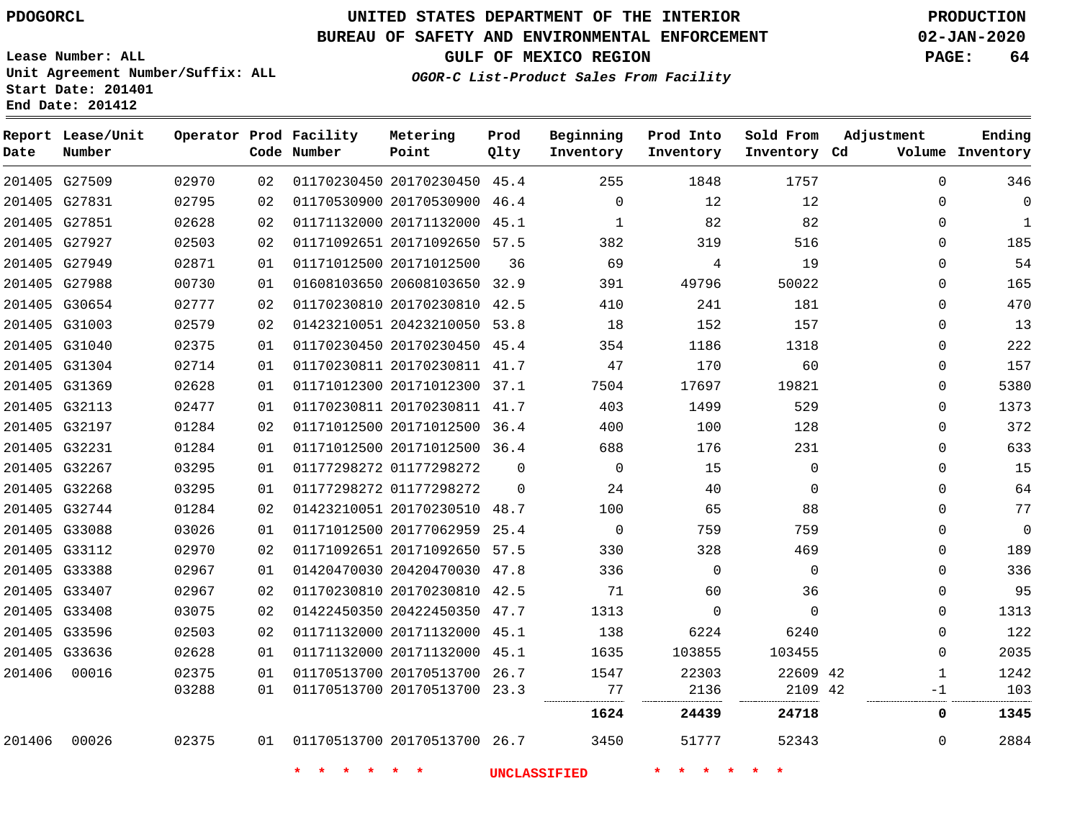**Report Lease/Unit**

**Number**

**Date**

# **UNITED STATES DEPARTMENT OF THE INTERIOR PDOGORCL PRODUCTION**

**Prod Qlty**

#### **BUREAU OF SAFETY AND ENVIRONMENTAL ENFORCEMENT 02-JAN-2020**

**Lease Number: ALL Unit Agreement Number/Suffix: ALL Start Date: 201401 End Date: 201412**

**Operator Prod Facility**

**Code Number**

**OGOR-C List-Product Sales From Facility**

**Beginning Inventory** **Prod Into Inventory** **Sold From Inventory**

**GULF OF MEXICO REGION PAGE: 64**

**Inventory Cd Volume**

**Adjustment**

**Ending**

|        |                                |                |          |                                    |                                                              |          | <b>UNCLASSIFIED</b> | $\star$ $\star$ |             |               |              |
|--------|--------------------------------|----------------|----------|------------------------------------|--------------------------------------------------------------|----------|---------------------|-----------------|-------------|---------------|--------------|
| 201406 | 00026                          | 02375          |          | 01  01170513700  20170513700  26.7 |                                                              |          | 3450                | 51777           | 52343       | 0             | 2884         |
|        |                                |                |          |                                    |                                                              |          | 1624                | 24439           | 24718       | 0             | 1345         |
|        |                                | 03288          | 01       |                                    | 01170513700 20170513700 23.3                                 |          | 77                  | 2136            | 2109 42     | -1            | 103          |
| 201406 | 00016                          | 02375          | 01       |                                    | 01170513700 20170513700 26.7                                 |          | 1547                | 22303           | 22609 42    | 1             | 1242         |
|        | 201405 G33636                  | 02628          | 01       |                                    | 01171132000 20171132000 45.1                                 |          | 1635                | 103855          | 103455      | 0             | 2035         |
|        | 201405 G33596                  | 02503          | 02       |                                    | 01171132000 20171132000 45.1                                 |          | 138                 | 6224            | 6240        | 0             | 122          |
|        | 201405 G33408                  | 03075          | 02       |                                    | 01422450350 20422450350 47.7                                 |          | 1313                | $\mathbf 0$     | $\Omega$    | $\Omega$      | 1313         |
|        | 201405 G33407                  | 02967          | 02       |                                    | 01170230810 20170230810 42.5                                 |          | 71                  | 60              | 36          | $\Omega$      | 95           |
|        | 201405 G33388                  | 02967          | 01       |                                    | 01420470030 20420470030 47.8                                 |          | 336                 | 0               | 0           | 0             | 336          |
|        | 201405 G33112                  | 02970          | 02       |                                    | 01171092651 20171092650 57.5                                 |          | 330                 | 328             | 469         | 0             | 189          |
|        | 201405 G33088                  | 03026          | 01       |                                    | 01171012500 20177062959 25.4                                 |          | $\overline{0}$      | 759             | 759         | 0             | 0            |
|        | 201405 G32744                  | 01284          | 02       |                                    | 01423210051 20170230510 48.7                                 |          | 100                 | 65              | 88          | $\Omega$      | 77           |
|        | 201405 G32268                  | 03295          | 01       |                                    | 01177298272 01177298272                                      | 0        | 24                  | 40              | 0           | 0             | 64           |
|        | 201405 G32267                  | 03295          | 01       |                                    | 01177298272 01177298272                                      | $\Omega$ | $\Omega$            | 15              | $\Omega$    | $\Omega$      | 15           |
|        | 201405 G32231                  | 01284          | 01       |                                    | 01171012500 20171012500 36.4                                 |          | 688                 | 176             | 231         | $\Omega$      | 633          |
|        | 201405 G32197                  | 01284          | 02       |                                    | 01171012500 20171012500 36.4                                 |          | 400                 | 100             | 128         | $\Omega$      | 372          |
|        | 201405 G32113                  | 02477          | 01       |                                    | 01170230811 20170230811 41.7                                 |          | 403                 | 1499            | 529         | 0             | 1373         |
|        | 201405 G31369                  | 02628          | 01       |                                    | 01171012300 20171012300 37.1                                 |          | 7504                | 17697           | 19821       | 0             | 5380         |
|        | 201405 G31304                  | 02714          | 01       |                                    | 01170230811 20170230811 41.7                                 |          | 47                  | 170             | 60          | 0             | 157          |
|        | 201405 G31040                  | 02375          | 01       |                                    | 01170230450 20170230450 45.4                                 |          | 354                 | 1186            | 1318        | 0             | 222          |
|        | 201405 G31003                  | 02579          | 02       |                                    | 01423210051 20423210050 53.8                                 |          | 18                  | 152             | 157         | 0             | 13           |
|        | 201405 G30654                  | 02777          | 02       |                                    | 01170230810 20170230810 42.5                                 |          | 410                 | 241             | 181         | $\Omega$      | 470          |
|        | 201405 G27949<br>201405 G27988 | 00730          | 01<br>01 |                                    | 01608103650 20608103650 32.9                                 | 36       | 391                 | 4<br>49796      | 19<br>50022 | $\Omega$      | 165          |
|        | 201405 G27927                  | 02503<br>02871 | 02       |                                    | 01171012500 20171012500                                      |          | 382<br>69           | 319             | 516         | 0<br>$\Omega$ | 185<br>54    |
|        | 201405 G27851                  | 02628          | 02       |                                    | 01171132000 20171132000 45.1<br>01171092651 20171092650 57.5 |          | 1                   | 82              | 82          | 0             | $\mathbf{1}$ |
|        | 201405 G27831                  | 02795          | 02       |                                    | 01170530900 20170530900 46.4                                 |          | $\Omega$            | 12              | 12          | 0             | 0            |
|        | 201405 G27509                  | 02970          | 02       |                                    | 01170230450 20170230450 45.4                                 |          | 255                 | 1848            | 1757        | 0             | 346          |
|        |                                |                |          |                                    |                                                              |          |                     |                 |             |               |              |

**Metering Point**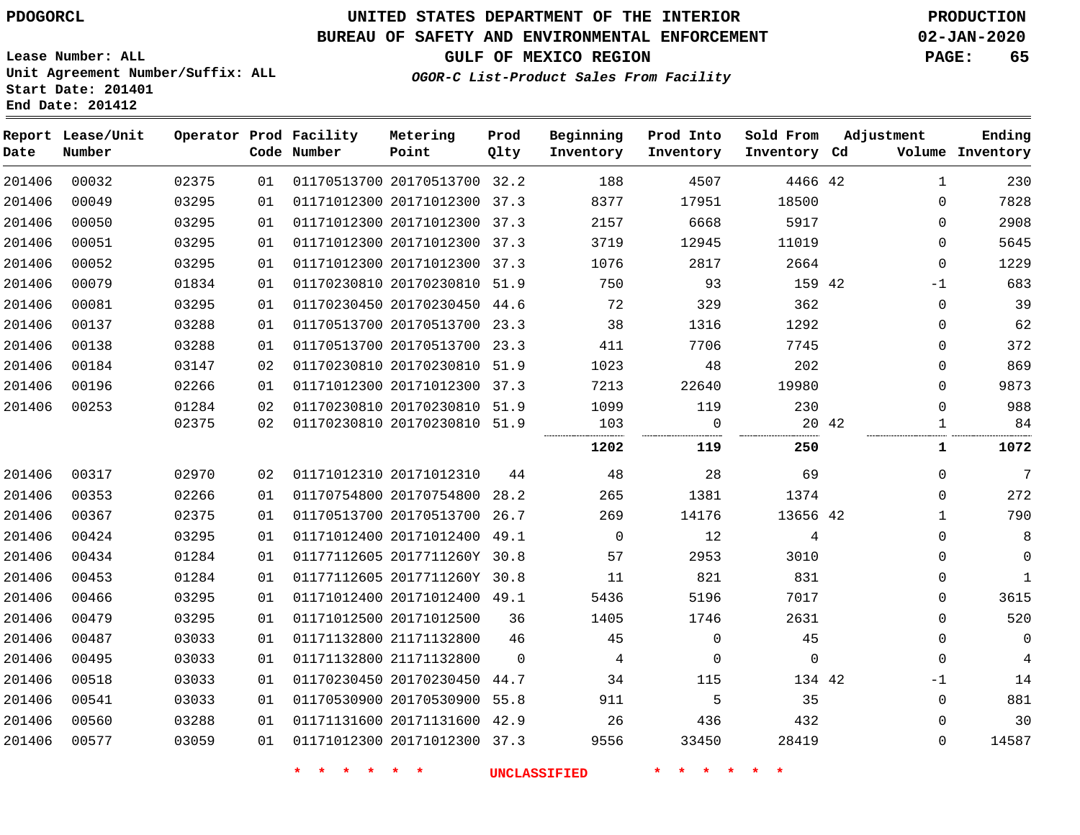## **BUREAU OF SAFETY AND ENVIRONMENTAL ENFORCEMENT 02-JAN-2020**

**OGOR-C List-Product Sales From Facility**

**GULF OF MEXICO REGION PAGE: 65**

**Lease Number: ALL Unit Agreement Number/Suffix: ALL Start Date: 201401 End Date: 201412**

| Date   | Report Lease/Unit<br>Number |       |    | Operator Prod Facility<br>Code Number | Metering<br>Point            | Prod<br>Qlty   | Beginning<br>Inventory | Prod Into<br>Inventory | Sold From<br>Inventory Cd | Adjustment |              | Ending<br>Volume Inventory |
|--------|-----------------------------|-------|----|---------------------------------------|------------------------------|----------------|------------------------|------------------------|---------------------------|------------|--------------|----------------------------|
| 201406 | 00032                       | 02375 | 01 |                                       | 01170513700 20170513700 32.2 |                | 188                    | 4507                   | 4466 42                   |            | $\mathbf{1}$ | 230                        |
| 201406 | 00049                       | 03295 | 01 |                                       | 01171012300 20171012300 37.3 |                | 8377                   | 17951                  | 18500                     |            | $\mathbf 0$  | 7828                       |
| 201406 | 00050                       | 03295 | 01 |                                       | 01171012300 20171012300 37.3 |                | 2157                   | 6668                   | 5917                      |            | $\mathbf 0$  | 2908                       |
| 201406 | 00051                       | 03295 | 01 |                                       | 01171012300 20171012300 37.3 |                | 3719                   | 12945                  | 11019                     |            | $\mathbf 0$  | 5645                       |
| 201406 | 00052                       | 03295 | 01 |                                       | 01171012300 20171012300 37.3 |                | 1076                   | 2817                   | 2664                      |            | $\mathbf 0$  | 1229                       |
| 201406 | 00079                       | 01834 | 01 |                                       | 01170230810 20170230810 51.9 |                | 750                    | 93                     | 159 42                    |            | $-1$         | 683                        |
| 201406 | 00081                       | 03295 | 01 |                                       | 01170230450 20170230450 44.6 |                | 72                     | 329                    | 362                       |            | $\Omega$     | 39                         |
| 201406 | 00137                       | 03288 | 01 |                                       | 01170513700 20170513700 23.3 |                | 38                     | 1316                   | 1292                      |            | $\Omega$     | 62                         |
| 201406 | 00138                       | 03288 | 01 |                                       | 01170513700 20170513700 23.3 |                | 411                    | 7706                   | 7745                      |            | $\mathbf 0$  | 372                        |
| 201406 | 00184                       | 03147 | 02 |                                       | 01170230810 20170230810 51.9 |                | 1023                   | 48                     | 202                       |            | $\Omega$     | 869                        |
| 201406 | 00196                       | 02266 | 01 |                                       | 01171012300 20171012300 37.3 |                | 7213                   | 22640                  | 19980                     |            | $\Omega$     | 9873                       |
| 201406 | 00253                       | 01284 | 02 |                                       | 01170230810 20170230810 51.9 |                | 1099                   | 119                    | 230                       |            | $\Omega$     | 988                        |
|        |                             | 02375 | 02 |                                       | 01170230810 20170230810 51.9 |                | 103                    | $\overline{0}$         |                           | 20 42      | 1            | 84                         |
|        |                             |       |    |                                       |                              |                | 1202                   | 119                    | 250                       |            | 1            | 1072                       |
| 201406 | 00317                       | 02970 | 02 |                                       | 01171012310 20171012310      | 44             | 48                     | 28                     | 69                        |            | $\mathbf 0$  | 7                          |
| 201406 | 00353                       | 02266 | 01 |                                       | 01170754800 20170754800 28.2 |                | 265                    | 1381                   | 1374                      |            | $\Omega$     | 272                        |
| 201406 | 00367                       | 02375 | 01 |                                       | 01170513700 20170513700 26.7 |                | 269                    | 14176                  | 13656 42                  |            | $\mathbf{1}$ | 790                        |
| 201406 | 00424                       | 03295 | 01 |                                       | 01171012400 20171012400 49.1 |                | $\overline{0}$         | 12                     | 4                         |            | $\mathbf 0$  | 8                          |
| 201406 | 00434                       | 01284 | 01 |                                       | 01177112605 2017711260Y 30.8 |                | 57                     | 2953                   | 3010                      |            | $\Omega$     | $\mathbf 0$                |
| 201406 | 00453                       | 01284 | 01 |                                       | 01177112605 2017711260Y 30.8 |                | 11                     | 821                    | 831                       |            | $\mathbf 0$  | $\mathbf{1}$               |
| 201406 | 00466                       | 03295 | 01 |                                       | 01171012400 20171012400 49.1 |                | 5436                   | 5196                   | 7017                      |            | $\Omega$     | 3615                       |
| 201406 | 00479                       | 03295 | 01 |                                       | 01171012500 20171012500      | 36             | 1405                   | 1746                   | 2631                      |            | $\mathbf 0$  | 520                        |
| 201406 | 00487                       | 03033 | 01 |                                       | 01171132800 21171132800      | 46             | 45                     | $\mathbf 0$            | 45                        |            | 0            | $\mathbf 0$                |
| 201406 | 00495                       | 03033 | 01 |                                       | 01171132800 21171132800      | $\overline{0}$ | $\overline{4}$         | 0                      | $\mathbf 0$               |            | $\mathbf 0$  | $\overline{4}$             |
| 201406 | 00518                       | 03033 | 01 |                                       | 01170230450 20170230450 44.7 |                | 34                     | 115                    | 134 42                    |            | $-1$         | 14                         |
| 201406 | 00541                       | 03033 | 01 |                                       | 01170530900 20170530900 55.8 |                | 911                    | 5                      | 35                        |            | $\mathbf 0$  | 881                        |
| 201406 | 00560                       | 03288 | 01 |                                       | 01171131600 20171131600 42.9 |                | 26                     | 436                    | 432                       |            | $\mathbf 0$  | 30                         |
| 201406 | 00577                       | 03059 | 01 |                                       | 01171012300 20171012300 37.3 |                | 9556                   | 33450                  | 28419                     |            | $\mathbf 0$  | 14587                      |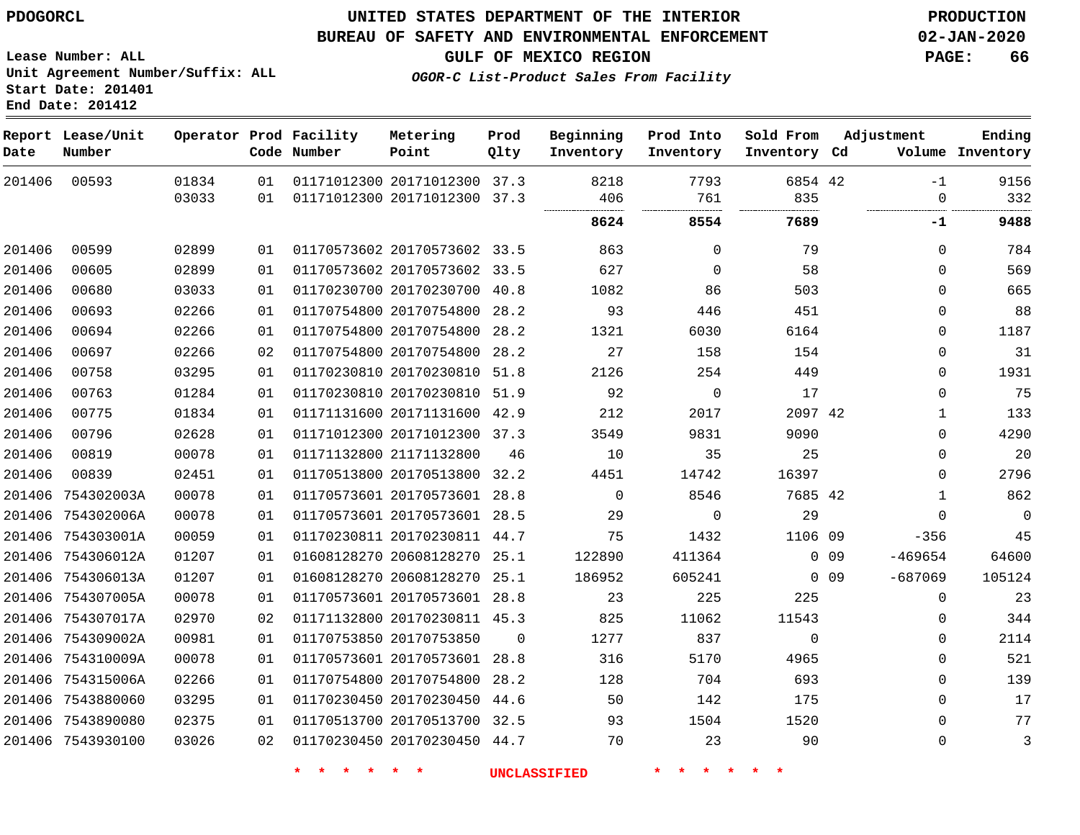#### **BUREAU OF SAFETY AND ENVIRONMENTAL ENFORCEMENT 02-JAN-2020**

**GULF OF MEXICO REGION PAGE: 66**

**Lease Number: ALL Unit Agreement Number/Suffix: ALL Start Date: 201401 End Date: 201412**

**OGOR-C List-Product Sales From Facility**

| Date   | Report Lease/Unit<br>Number |       |                 | Operator Prod Facility<br>Code Number | Metering<br>Point            | Prod<br>Qlty | Beginning<br>Inventory | Prod Into<br>Inventory | Sold From<br>Inventory Cd |                 | Adjustment   | Ending<br>Volume Inventory |
|--------|-----------------------------|-------|-----------------|---------------------------------------|------------------------------|--------------|------------------------|------------------------|---------------------------|-----------------|--------------|----------------------------|
| 201406 | 00593                       | 01834 | 01              |                                       | 01171012300 20171012300 37.3 |              | 8218                   | 7793                   | 6854 42                   |                 | $-1$         | 9156                       |
|        |                             | 03033 | 01              |                                       | 01171012300 20171012300 37.3 |              | 406                    | 761                    | 835                       |                 | $\mathbf 0$  | 332                        |
|        |                             |       |                 |                                       |                              |              | 8624                   | 8554                   | 7689                      |                 | -1           | 9488                       |
| 201406 | 00599                       | 02899 | 01              |                                       | 01170573602 20170573602 33.5 |              | 863                    | $\Omega$               | 79                        |                 | 0            | 784                        |
| 201406 | 00605                       | 02899 | 01              |                                       | 01170573602 20170573602 33.5 |              | 627                    | $\mathbf 0$            | 58                        |                 | $\mathbf 0$  | 569                        |
| 201406 | 00680                       | 03033 | 01              |                                       | 01170230700 20170230700 40.8 |              | 1082                   | 86                     | 503                       |                 | $\Omega$     | 665                        |
| 201406 | 00693                       | 02266 | 01              |                                       | 01170754800 20170754800      | 28.2         | 93                     | 446                    | 451                       |                 | 0            | 88                         |
| 201406 | 00694                       | 02266 | 01              |                                       | 01170754800 20170754800 28.2 |              | 1321                   | 6030                   | 6164                      |                 | $\Omega$     | 1187                       |
| 201406 | 00697                       | 02266 | 02              |                                       | 01170754800 20170754800      | 28.2         | 27                     | 158                    | 154                       |                 | 0            | 31                         |
| 201406 | 00758                       | 03295 | 01              |                                       | 01170230810 20170230810 51.8 |              | 2126                   | 254                    | 449                       |                 | 0            | 1931                       |
| 201406 | 00763                       | 01284 | 01              |                                       | 01170230810 20170230810 51.9 |              | 92                     | $\mathbf 0$            | 17                        |                 | 0            | 75                         |
| 201406 | 00775                       | 01834 | 01              |                                       | 01171131600 20171131600 42.9 |              | 212                    | 2017                   | 2097 42                   |                 | $\mathbf 1$  | 133                        |
| 201406 | 00796                       | 02628 | 01              |                                       | 01171012300 20171012300 37.3 |              | 3549                   | 9831                   | 9090                      |                 | $\Omega$     | 4290                       |
| 201406 | 00819                       | 00078 | 01              |                                       | 01171132800 21171132800      | 46           | 10                     | 35                     | 25                        |                 | 0            | 20                         |
| 201406 | 00839                       | 02451 | 01              |                                       | 01170513800 20170513800 32.2 |              | 4451                   | 14742                  | 16397                     |                 | 0            | 2796                       |
| 201406 | 754302003A                  | 00078 | 01              |                                       | 01170573601 20170573601 28.8 |              | $\mathbf 0$            | 8546                   | 7685 42                   |                 | $\mathbf{1}$ | 862                        |
|        | 201406 754302006A           | 00078 | 01              |                                       | 01170573601 20170573601 28.5 |              | 29                     | $\mathbf 0$            | 29                        |                 | 0            | $\mathsf 0$                |
|        | 201406 754303001A           | 00059 | 01              |                                       | 01170230811 20170230811 44.7 |              | 75                     | 1432                   | 1106 09                   |                 | $-356$       | 45                         |
|        | 201406 754306012A           | 01207 | 01              |                                       | 01608128270 20608128270 25.1 |              | 122890                 | 411364                 |                           | 0 <sub>09</sub> | $-469654$    | 64600                      |
|        | 201406 754306013A           | 01207 | 01              |                                       | 01608128270 20608128270      | 25.1         | 186952                 | 605241                 |                           | $0\quad09$      | $-687069$    | 105124                     |
|        | 201406 754307005A           | 00078 | 01              |                                       | 01170573601 20170573601 28.8 |              | 23                     | 225                    | 225                       |                 | 0            | 23                         |
|        | 201406 754307017A           | 02970 | 02              |                                       | 01171132800 20170230811 45.3 |              | 825                    | 11062                  | 11543                     |                 | $\Omega$     | 344                        |
|        | 201406 754309002A           | 00981 | 01              |                                       | 01170753850 20170753850      | $\Omega$     | 1277                   | 837                    | $\Omega$                  |                 | $\Omega$     | 2114                       |
|        | 201406 754310009A           | 00078 | 01              |                                       | 01170573601 20170573601      | 28.8         | 316                    | 5170                   | 4965                      |                 | 0            | 521                        |
|        | 201406 754315006A           | 02266 | 01              |                                       | 01170754800 20170754800      | 28.2         | 128                    | 704                    | 693                       |                 | 0            | 139                        |
|        | 201406 7543880060           | 03295 | 01              |                                       | 01170230450 20170230450 44.6 |              | 50                     | 142                    | 175                       |                 | $\mathbf 0$  | 17                         |
|        | 201406 7543890080           | 02375 | 01              |                                       | 01170513700 20170513700 32.5 |              | 93                     | 1504                   | 1520                      |                 | $\mathbf 0$  | 77                         |
|        | 201406 7543930100           | 03026 | 02 <sub>o</sub> |                                       | 01170230450 20170230450 44.7 |              | 70                     | 23                     | 90                        |                 | 0            | 3                          |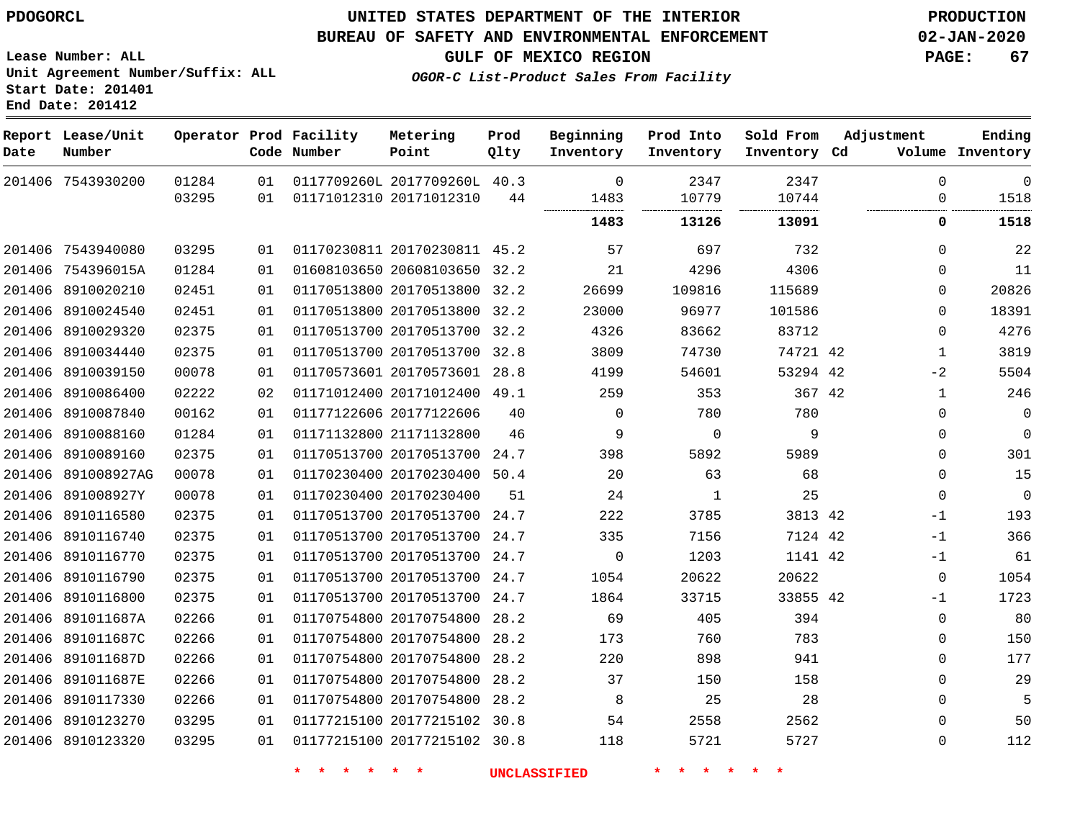#### **BUREAU OF SAFETY AND ENVIRONMENTAL ENFORCEMENT 02-JAN-2020**

**GULF OF MEXICO REGION PAGE: 67**

**Lease Number: ALL Unit Agreement Number/Suffix: ALL Start Date: 201401 End Date: 201412**

**OGOR-C List-Product Sales From Facility**

| Date   | Report Lease/Unit<br>Number |                |          | Operator Prod Facility<br>Code Number | Metering<br>Point            | Prod<br>Qlty | Beginning<br>Inventory | Prod Into<br>Inventory | Sold From<br>Inventory Cd | Adjustment              | Ending<br>Volume Inventory |
|--------|-----------------------------|----------------|----------|---------------------------------------|------------------------------|--------------|------------------------|------------------------|---------------------------|-------------------------|----------------------------|
|        | 201406 7543930200           | 01284<br>03295 | 01<br>01 | 01171012310 20171012310               | 0117709260L 2017709260L 40.3 | 44           | $\mathbf 0$<br>1483    | 2347<br>10779          | 2347<br>10744             | $\mathbf 0$<br>$\Omega$ | $\mathbf 0$<br>1518        |
|        |                             |                |          |                                       |                              |              | <br>1483               | <br><br>13126          | <br>13091                 | 0                       | 1518                       |
| 201406 | 7543940080                  | 03295          | 01       |                                       | 01170230811 20170230811 45.2 |              | 57                     | 697                    | 732                       | $\Omega$                | 22                         |
|        | 201406 754396015A           | 01284          | 01       |                                       | 01608103650 20608103650 32.2 |              | 21                     | 4296                   | 4306                      | $\Omega$                | 11                         |
|        | 201406 8910020210           | 02451          | 01       |                                       | 01170513800 20170513800 32.2 |              | 26699                  | 109816                 | 115689                    | $\Omega$                | 20826                      |
|        | 201406 8910024540           | 02451          | 01       |                                       | 01170513800 20170513800 32.2 |              | 23000                  | 96977                  | 101586                    | $\Omega$                | 18391                      |
|        | 201406 8910029320           | 02375          | 01       |                                       | 01170513700 20170513700 32.2 |              | 4326                   | 83662                  | 83712                     | $\Omega$                | 4276                       |
| 201406 | 8910034440                  | 02375          | 01       |                                       | 01170513700 20170513700 32.8 |              | 3809                   | 74730                  | 74721 42                  | $\mathbf{1}$            | 3819                       |
|        | 201406 8910039150           | 00078          | 01       |                                       | 01170573601 20170573601 28.8 |              | 4199                   | 54601                  | 53294 42                  | $-2$                    | 5504                       |
| 201406 | 8910086400                  | 02222          | 02       |                                       | 01171012400 20171012400      | 49.1         | 259                    | 353                    | 367 42                    | $\mathbf{1}$            | 246                        |
|        | 201406 8910087840           | 00162          | 01       |                                       | 01177122606 20177122606      | 40           | $\Omega$               | 780                    | 780                       | $\Omega$                | $\mathbf 0$                |
| 201406 | 8910088160                  | 01284          | 01       |                                       | 01171132800 21171132800      | 46           | 9                      | $\mathbf 0$            | 9                         | $\Omega$                | $\mathbf 0$                |
|        | 201406 8910089160           | 02375          | 01       |                                       | 01170513700 20170513700 24.7 |              | 398                    | 5892                   | 5989                      | $\Omega$                | 301                        |
|        | 201406 891008927AG          | 00078          | 01       |                                       | 01170230400 20170230400 50.4 |              | 20                     | 63                     | 68                        | $\mathbf 0$             | 15                         |
|        | 201406 891008927Y           | 00078          | 01       | 01170230400 20170230400               |                              | 51           | 24                     | 1                      | 25                        | $\mathbf 0$             | $\overline{0}$             |
|        | 201406 8910116580           | 02375          | 01       |                                       | 01170513700 20170513700 24.7 |              | 222                    | 3785                   | 3813 42                   | $-1$                    | 193                        |
| 201406 | 8910116740                  | 02375          | 01       |                                       | 01170513700 20170513700      | 24.7         | 335                    | 7156                   | 7124 42                   | $-1$                    | 366                        |
|        | 201406 8910116770           | 02375          | 01       |                                       | 01170513700 20170513700 24.7 |              | $\mathbf 0$            | 1203                   | 1141 42                   | $-1$                    | 61                         |
|        | 201406 8910116790           | 02375          | 01       |                                       | 01170513700 20170513700      | 24.7         | 1054                   | 20622                  | 20622                     | $\mathbf 0$             | 1054                       |
|        | 201406 8910116800           | 02375          | 01       |                                       | 01170513700 20170513700 24.7 |              | 1864                   | 33715                  | 33855 42                  | $-1$                    | 1723                       |
|        | 201406 891011687A           | 02266          | 01       |                                       | 01170754800 20170754800      | 28.2         | 69                     | 405                    | 394                       | $\mathbf 0$             | 80                         |
|        | 201406 891011687C           | 02266          | 01       |                                       | 01170754800 20170754800      | 28.2         | 173                    | 760                    | 783                       | $\mathbf 0$             | 150                        |
|        | 201406 891011687D           | 02266          | 01       |                                       | 01170754800 20170754800      | 28.2         | 220                    | 898                    | 941                       | $\mathbf 0$             | 177                        |
| 201406 | 891011687E                  | 02266          | 01       |                                       | 01170754800 20170754800      | 28.2         | 37                     | 150                    | 158                       | $\mathbf 0$             | 29                         |
|        | 201406 8910117330           | 02266          | 01       |                                       | 01170754800 20170754800 28.2 |              | 8                      | 25                     | 28                        | $\Omega$                | 5                          |
|        | 201406 8910123270           | 03295          | 01       |                                       | 01177215100 20177215102      | 30.8         | 54                     | 2558                   | 2562                      | $\Omega$                | 50                         |
|        | 201406 8910123320           | 03295          | 01       |                                       | 01177215100 20177215102 30.8 |              | 118                    | 5721                   | 5727                      | $\Omega$                | 112                        |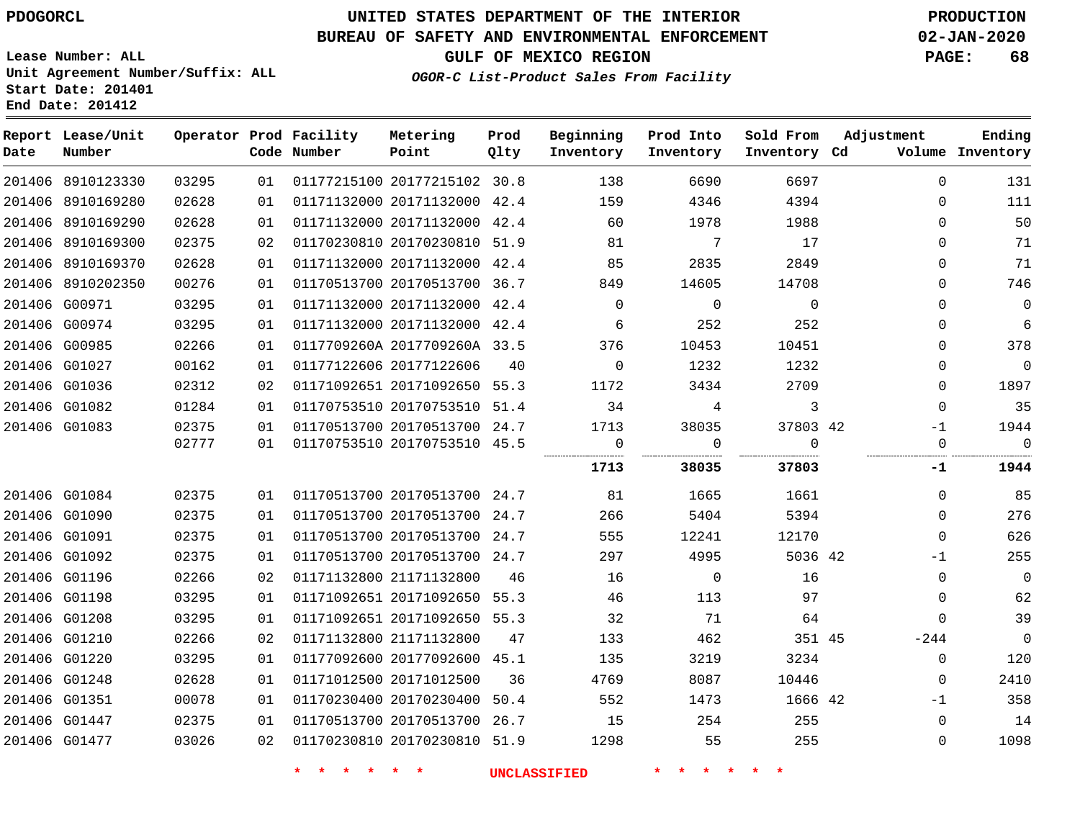# **UNITED STATES DEPARTMENT OF THE INTERIOR PDOGORCL PRODUCTION**

## **BUREAU OF SAFETY AND ENVIRONMENTAL ENFORCEMENT 02-JAN-2020**

**Lease Number: ALL Unit Agreement Number/Suffix: ALL Start Date: 201401**

**GULF OF MEXICO REGION PAGE: 68**

**OGOR-C List-Product Sales From Facility**

| Date | Report Lease/Unit<br>Number |       |    | Operator Prod Facility<br>Code Number | Metering<br>Point            | Prod<br>Qlty | Beginning<br>Inventory | Prod Into<br>Inventory | Sold From<br>Inventory Cd | Adjustment  | Ending<br>Volume Inventory |
|------|-----------------------------|-------|----|---------------------------------------|------------------------------|--------------|------------------------|------------------------|---------------------------|-------------|----------------------------|
|      | 201406 8910123330           | 03295 | 01 |                                       | 01177215100 20177215102 30.8 |              | 138                    | 6690                   | 6697                      | $\Omega$    | 131                        |
|      | 201406 8910169280           | 02628 | 01 |                                       | 01171132000 20171132000 42.4 |              | 159                    | 4346                   | 4394                      | $\mathbf 0$ | 111                        |
|      | 201406 8910169290           | 02628 | 01 |                                       | 01171132000 20171132000 42.4 |              | 60                     | 1978                   | 1988                      | $\Omega$    | 50                         |
|      | 201406 8910169300           | 02375 | 02 |                                       | 01170230810 20170230810 51.9 |              | 81                     | 7                      | 17                        | $\Omega$    | 71                         |
|      | 201406 8910169370           | 02628 | 01 |                                       | 01171132000 20171132000 42.4 |              | 85                     | 2835                   | 2849                      | $\Omega$    | 71                         |
|      | 201406 8910202350           | 00276 | 01 |                                       | 01170513700 20170513700 36.7 |              | 849                    | 14605                  | 14708                     | $\Omega$    | 746                        |
|      | 201406 G00971               | 03295 | 01 |                                       | 01171132000 20171132000 42.4 |              | $\Omega$               | $\mathbf 0$            | $\Omega$                  | $\Omega$    | $\mathbf 0$                |
|      | 201406 G00974               | 03295 | 01 |                                       | 01171132000 20171132000 42.4 |              | 6                      | 252                    | 252                       | $\Omega$    | 6                          |
|      | 201406 G00985               | 02266 | 01 |                                       | 0117709260A 2017709260A 33.5 |              | 376                    | 10453                  | 10451                     | $\Omega$    | 378                        |
|      | 201406 G01027               | 00162 | 01 |                                       | 01177122606 20177122606      | 40           | $\Omega$               | 1232                   | 1232                      | $\Omega$    | $\mathbf 0$                |
|      | 201406 G01036               | 02312 | 02 |                                       | 01171092651 20171092650 55.3 |              | 1172                   | 3434                   | 2709                      | $\mathbf 0$ | 1897                       |
|      | 201406 G01082               | 01284 | 01 |                                       | 01170753510 20170753510 51.4 |              | 34                     | 4                      | 3                         | $\mathbf 0$ | 35                         |
|      | 201406 G01083               | 02375 | 01 |                                       | 01170513700 20170513700 24.7 |              | 1713                   | 38035                  | 37803 42                  | $-1$        | 1944                       |
|      |                             | 02777 | 01 |                                       | 01170753510 20170753510 45.5 |              | $\mathbf 0$<br>        | 0                      | $\Omega$<br>.             | $\mathbf 0$ | $\mathbf 0$                |
|      |                             |       |    |                                       |                              |              | 1713                   | 38035                  | 37803                     | -1          | 1944                       |
|      | 201406 G01084               | 02375 | 01 |                                       | 01170513700 20170513700 24.7 |              | 81                     | 1665                   | 1661                      | $\Omega$    | 85                         |
|      | 201406 G01090               | 02375 | 01 |                                       | 01170513700 20170513700 24.7 |              | 266                    | 5404                   | 5394                      | $\Omega$    | 276                        |
|      | 201406 G01091               | 02375 | 01 |                                       | 01170513700 20170513700 24.7 |              | 555                    | 12241                  | 12170                     | $\mathbf 0$ | 626                        |
|      | 201406 G01092               | 02375 | 01 |                                       | 01170513700 20170513700 24.7 |              | 297                    | 4995                   | 5036 42                   | $-1$        | 255                        |
|      | 201406 G01196               | 02266 | 02 |                                       | 01171132800 21171132800      | 46           | 16                     | $\overline{0}$         | 16                        | $\Omega$    | $\overline{0}$             |
|      | 201406 G01198               | 03295 | 01 |                                       | 01171092651 20171092650 55.3 |              | 46                     | 113                    | 97                        | $\Omega$    | 62                         |
|      | 201406 G01208               | 03295 | 01 |                                       | 01171092651 20171092650 55.3 |              | 32                     | 71                     | 64                        | $\Omega$    | 39                         |
|      | 201406 G01210               | 02266 | 02 |                                       | 01171132800 21171132800      | 47           | 133                    | 462                    | 351 45                    | -244        | $\overline{0}$             |
|      | 201406 G01220               | 03295 | 01 |                                       | 01177092600 20177092600 45.1 |              | 135                    | 3219                   | 3234                      | $\mathbf 0$ | 120                        |
|      | 201406 G01248               | 02628 | 01 |                                       | 01171012500 20171012500      | 36           | 4769                   | 8087                   | 10446                     | $\Omega$    | 2410                       |
|      | 201406 G01351               | 00078 | 01 |                                       | 01170230400 20170230400      | 50.4         | 552                    | 1473                   | 1666 42                   | $-1$        | 358                        |
|      | 201406 G01447               | 02375 | 01 |                                       | 01170513700 20170513700 26.7 |              | 15                     | 254                    | 255                       | $\mathbf 0$ | 14                         |
|      | 201406 G01477               | 03026 | 02 |                                       | 01170230810 20170230810 51.9 |              | 1298                   | 55                     | 255                       | $\mathbf 0$ | 1098                       |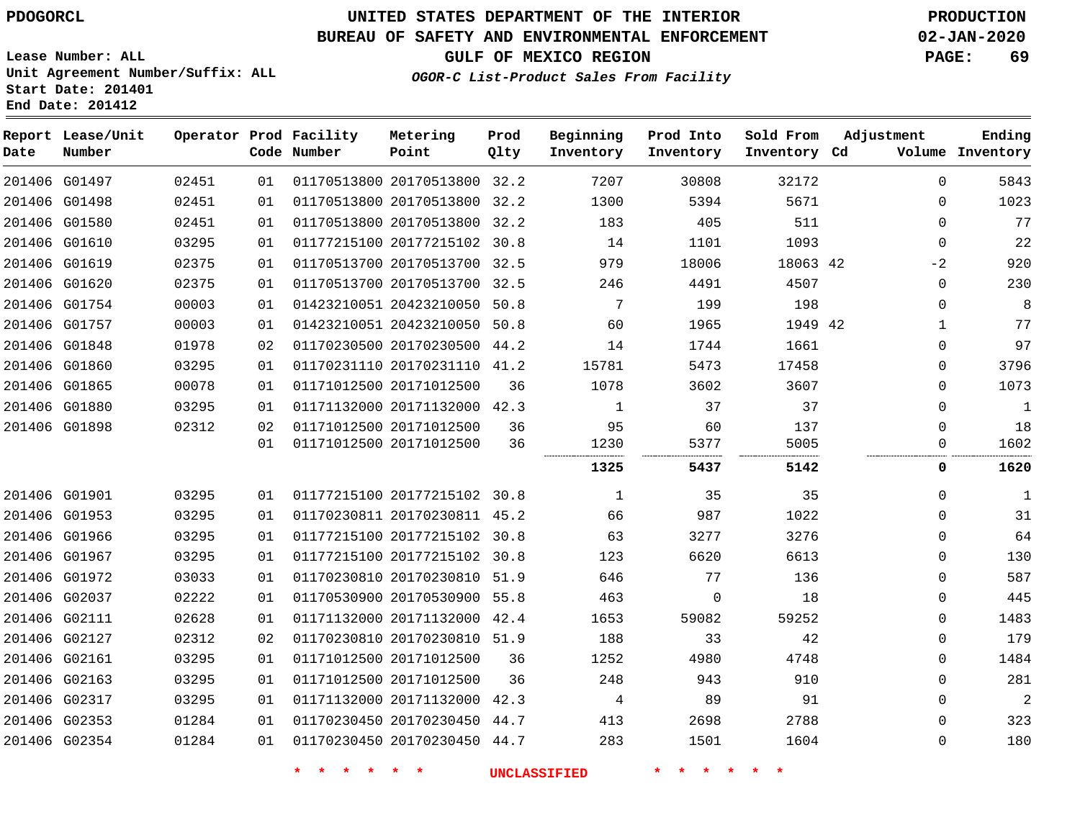#### **BUREAU OF SAFETY AND ENVIRONMENTAL ENFORCEMENT 02-JAN-2020**

**Lease Number: ALL Unit Agreement Number/Suffix: ALL Start Date: 201401**

**End Date: 201412**

**GULF OF MEXICO REGION PAGE: 69**

**OGOR-C List-Product Sales From Facility**

| Date | Report Lease/Unit<br>Number |       |    | Operator Prod Facility<br>Code Number | Metering<br>Point            | Prod<br>Qlty | Beginning<br>Inventory | Prod Into<br>Inventory | Sold From<br>Inventory Cd | Adjustment  | Ending<br>Volume Inventory |
|------|-----------------------------|-------|----|---------------------------------------|------------------------------|--------------|------------------------|------------------------|---------------------------|-------------|----------------------------|
|      | 201406 G01497               | 02451 | 01 |                                       | 01170513800 20170513800 32.2 |              | 7207                   | 30808                  | 32172                     | $\Omega$    | 5843                       |
|      | 201406 G01498               | 02451 | 01 |                                       | 01170513800 20170513800 32.2 |              | 1300                   | 5394                   | 5671                      | $\mathbf 0$ | 1023                       |
|      | 201406 G01580               | 02451 | 01 |                                       | 01170513800 20170513800 32.2 |              | 183                    | 405                    | 511                       | $\mathbf 0$ | 77                         |
|      | 201406 G01610               | 03295 | 01 |                                       | 01177215100 20177215102 30.8 |              | 14                     | 1101                   | 1093                      | $\mathbf 0$ | 22                         |
|      | 201406 G01619               | 02375 | 01 |                                       | 01170513700 20170513700 32.5 |              | 979                    | 18006                  | 18063 42                  | $-2$        | 920                        |
|      | 201406 G01620               | 02375 | 01 |                                       | 01170513700 20170513700 32.5 |              | 246                    | 4491                   | 4507                      | $\mathbf 0$ | 230                        |
|      | 201406 G01754               | 00003 | 01 |                                       | 01423210051 20423210050 50.8 |              | 7                      | 199                    | 198                       | $\mathbf 0$ | 8                          |
|      | 201406 G01757               | 00003 | 01 |                                       | 01423210051 20423210050 50.8 |              | 60                     | 1965                   | 1949 42                   | 1           | 77                         |
|      | 201406 G01848               | 01978 | 02 |                                       | 01170230500 20170230500      | 44.2         | 14                     | 1744                   | 1661                      | $\mathbf 0$ | 97                         |
|      | 201406 G01860               | 03295 | 01 |                                       | 01170231110 20170231110 41.2 |              | 15781                  | 5473                   | 17458                     | 0           | 3796                       |
|      | 201406 G01865               | 00078 | 01 |                                       | 01171012500 20171012500      | 36           | 1078                   | 3602                   | 3607                      | 0           | 1073                       |
|      | 201406 G01880               | 03295 | 01 |                                       | 01171132000 20171132000 42.3 |              | $\mathbf{1}$           | 37                     | 37                        | $\mathbf 0$ | $\mathbf{1}$               |
|      | 201406 G01898               | 02312 | 02 |                                       | 01171012500 20171012500      | 36           | 95                     | 60                     | 137                       | $\Omega$    | 18                         |
|      |                             |       | 01 |                                       | 01171012500 20171012500      | 36           | 1230                   | 5377                   | 5005                      | 0           | 1602                       |
|      |                             |       |    |                                       |                              |              | 1325                   | 5437                   | 5142                      | 0           | 1620                       |
|      | 201406 G01901               | 03295 | 01 |                                       | 01177215100 20177215102 30.8 |              | 1                      | 35                     | 35                        | $\mathbf 0$ | 1                          |
|      | 201406 G01953               | 03295 | 01 |                                       | 01170230811 20170230811 45.2 |              | 66                     | 987                    | 1022                      | $\mathbf 0$ | 31                         |
|      | 201406 G01966               | 03295 | 01 |                                       | 01177215100 20177215102 30.8 |              | 63                     | 3277                   | 3276                      | $\Omega$    | 64                         |
|      | 201406 G01967               | 03295 | 01 |                                       | 01177215100 20177215102 30.8 |              | 123                    | 6620                   | 6613                      | $\mathbf 0$ | 130                        |
|      | 201406 G01972               | 03033 | 01 |                                       | 01170230810 20170230810 51.9 |              | 646                    | 77                     | 136                       | $\mathbf 0$ | 587                        |
|      | 201406 G02037               | 02222 | 01 |                                       | 01170530900 20170530900 55.8 |              | 463                    | $\mathbf 0$            | 18                        | $\mathbf 0$ | 445                        |
|      | 201406 G02111               | 02628 | 01 |                                       | 01171132000 20171132000 42.4 |              | 1653                   | 59082                  | 59252                     | $\mathbf 0$ | 1483                       |
|      | 201406 G02127               | 02312 | 02 |                                       | 01170230810 20170230810 51.9 |              | 188                    | 33                     | 42                        | $\mathbf 0$ | 179                        |
|      | 201406 G02161               | 03295 | 01 |                                       | 01171012500 20171012500      | 36           | 1252                   | 4980                   | 4748                      | $\mathbf 0$ | 1484                       |
|      | 201406 G02163               | 03295 | 01 |                                       | 01171012500 20171012500      | 36           | 248                    | 943                    | 910                       | $\mathbf 0$ | 281                        |
|      | 201406 G02317               | 03295 | 01 |                                       | 01171132000 20171132000      | 42.3         | 4                      | 89                     | 91                        | $\mathbf 0$ | $\overline{a}$             |
|      | 201406 G02353               | 01284 | 01 |                                       | 01170230450 20170230450 44.7 |              | 413                    | 2698                   | 2788                      | $\mathbf 0$ | 323                        |
|      | 201406 G02354               | 01284 | 01 |                                       | 01170230450 20170230450 44.7 |              | 283                    | 1501                   | 1604                      | $\mathbf 0$ | 180                        |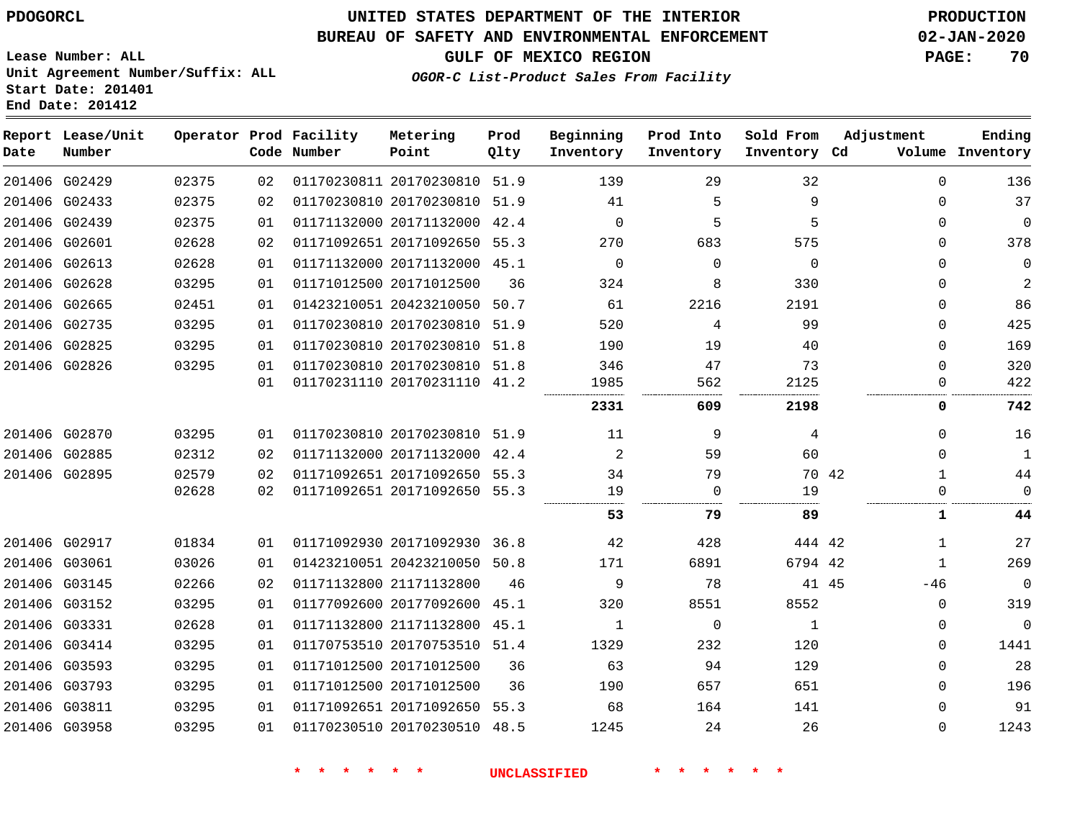**Lease Number: ALL**

# **UNITED STATES DEPARTMENT OF THE INTERIOR PDOGORCL PRODUCTION**

## **BUREAU OF SAFETY AND ENVIRONMENTAL ENFORCEMENT 02-JAN-2020**

**GULF OF MEXICO REGION PAGE: 70**

**Ending**

|      | Unit Agreement Number/Suffix: ALL<br>Start Date: 201401<br>End Date: 201412 |  |                                       | OGOR-C List-Product Sales From Facility |              |                        |                        |                           |                    |  |  |
|------|-----------------------------------------------------------------------------|--|---------------------------------------|-----------------------------------------|--------------|------------------------|------------------------|---------------------------|--------------------|--|--|
| Date | Report Lease/Unit<br>Number                                                 |  | Operator Prod Facility<br>Code Number | Metering<br>Point                       | Prod<br>Olty | Beginning<br>Inventory | Prod Into<br>Inventory | Sold From<br>Inventory Cd | Adjustment<br>Volt |  |  |
|      |                                                                             |  |                                       |                                         |              |                        |                        |                           |                    |  |  |

| Date          | Number        |       |    | Code Number | Point                        | Qlty | Inventory   | Inventory | Inventory Cd |       |             | Volume Inventory |
|---------------|---------------|-------|----|-------------|------------------------------|------|-------------|-----------|--------------|-------|-------------|------------------|
|               | 201406 G02429 | 02375 | 02 |             | 01170230811 20170230810      | 51.9 | 139         | 29        | 32           |       | $\Omega$    | 136              |
|               | 201406 G02433 | 02375 | 02 |             | 01170230810 20170230810      | 51.9 | 41          | 5         | 9            |       | $\Omega$    | 37               |
|               | 201406 G02439 | 02375 | 01 |             | 01171132000 20171132000      | 42.4 | $\mathbf 0$ | 5         | 5            |       | $\Omega$    | $\mathbf 0$      |
|               | 201406 G02601 | 02628 | 02 |             | 01171092651 20171092650      | 55.3 | 270         | 683       | 575          |       | $\Omega$    | 378              |
|               | 201406 G02613 | 02628 | 01 |             | 01171132000 20171132000 45.1 |      | 0           | 0         | $\mathbf 0$  |       | 0           | $\mathbf 0$      |
|               | 201406 G02628 | 03295 | 01 |             | 01171012500 20171012500      | 36   | 324         | 8         | 330          |       | 0           | 2                |
|               | 201406 G02665 | 02451 | 01 |             | 01423210051 20423210050      | 50.7 | 61          | 2216      | 2191         |       | 0           | 86               |
|               | 201406 G02735 | 03295 | 01 |             | 01170230810 20170230810      | 51.9 | 520         | 4         | 99           |       | $\Omega$    | 425              |
|               | 201406 G02825 | 03295 | 01 |             | 01170230810 20170230810      | 51.8 | 190         | 19        | 40           |       | $\Omega$    | 169              |
|               | 201406 G02826 | 03295 | 01 |             | 01170230810 20170230810      | 51.8 | 346         | 47        | 73           |       | 0           | 320              |
|               |               |       | 01 |             | 01170231110 20170231110 41.2 |      | 1985        | 562       | 2125         |       | 0           | 422              |
|               |               |       |    |             |                              |      | 2331        | 609       | 2198         |       | 0           | 742              |
|               | 201406 G02870 | 03295 | 01 |             | 01170230810 20170230810 51.9 |      | 11          | 9         | 4            |       | $\Omega$    | 16               |
|               | 201406 G02885 | 02312 | 02 |             | 01171132000 20171132000      | 42.4 | 2           | 59        | 60           |       | $\mathbf 0$ | 1                |
|               | 201406 G02895 | 02579 | 02 |             | 01171092651 20171092650      | 55.3 | 34          | 79        |              | 70 42 |             | 44               |
|               |               | 02628 | 02 |             | 01171092651 20171092650      | 55.3 | 19          | 0         | 19           |       | $\Omega$    | $\mathbf 0$      |
|               |               |       |    |             |                              |      | 53          | 79        | 89           |       | 1           | 44               |
|               | 201406 G02917 | 01834 | 01 |             | 01171092930 20171092930      | 36.8 | 42          | 428       | 444 42       |       | $\mathbf 1$ | 27               |
|               | 201406 G03061 | 03026 | 01 |             | 01423210051 20423210050 50.8 |      | 171         | 6891      | 6794 42      |       |             | 269              |
|               | 201406 G03145 | 02266 | 02 |             | 01171132800 21171132800      | 46   | 9           | 78        |              | 41 45 | $-46$       | $\mathbf 0$      |
|               | 201406 G03152 | 03295 | 01 |             | 01177092600 20177092600      | 45.1 | 320         | 8551      | 8552         |       | $\Omega$    | 319              |
|               | 201406 G03331 | 02628 | 01 |             | 01171132800 21171132800      | 45.1 | 1           | 0         | 1            |       | $\Omega$    | $\mathbf 0$      |
|               | 201406 G03414 | 03295 | 01 |             | 01170753510 20170753510      | 51.4 | 1329        | 232       | 120          |       | 0           | 1441             |
|               | 201406 G03593 | 03295 | 01 |             | 01171012500 20171012500      | 36   | 63          | 94        | 129          |       | 0           | 28               |
|               | 201406 G03793 | 03295 | 01 |             | 01171012500 20171012500      | 36   | 190         | 657       | 651          |       | $\Omega$    | 196              |
| 201406 G03811 |               | 03295 | 01 |             | 01171092651 20171092650      | 55.3 | 68          | 164       | 141          |       | $\Omega$    | 91               |
|               | 201406 G03958 | 03295 | 01 |             | 01170230510 20170230510      | 48.5 | 1245        | 24        | 26           |       | $\Omega$    | 1243             |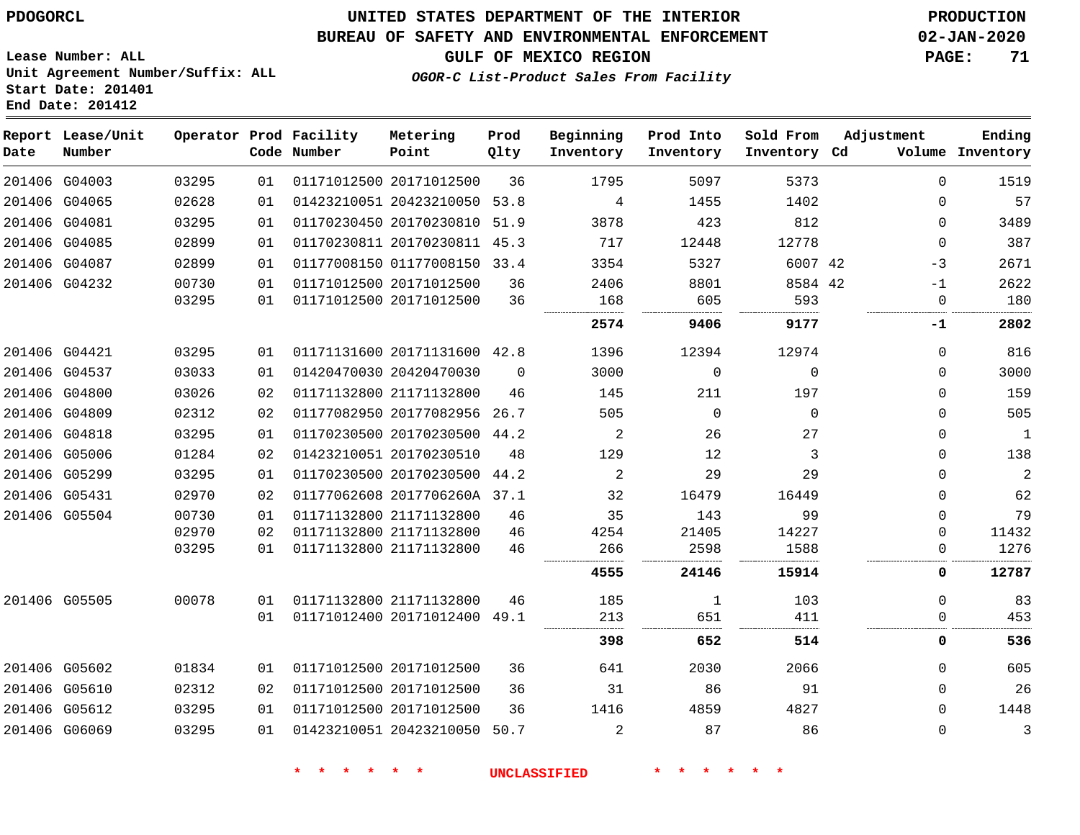**Report Lease/Unit**

G06069

## **UNITED STATES DEPARTMENT OF THE INTERIOR PDOGORCL PRODUCTION**

**Prod**

#### **BUREAU OF SAFETY AND ENVIRONMENTAL ENFORCEMENT 02-JAN-2020**

**OGOR-C List-Product Sales From Facility**

**Beginning Prod Into Sold From Adjustment**

**GULF OF MEXICO REGION PAGE: 71**

**Ending Inventory**

**Lease Number: ALL Unit Agreement Number/Suffix: ALL Start Date: 201401 End Date: 201412**

**Operator Prod Facility Metering**

| Date | Number        |       |    | Code Number | Point                        | Qlty     | Inventory | Inventory    | Inventory Cd |             | Volume Inventory |
|------|---------------|-------|----|-------------|------------------------------|----------|-----------|--------------|--------------|-------------|------------------|
|      | 201406 G04003 | 03295 | 01 |             | 01171012500 20171012500      | 36       | 1795      | 5097         | 5373         | $\Omega$    | 1519             |
|      | 201406 G04065 | 02628 | 01 |             | 01423210051 20423210050 53.8 |          | 4         | 1455         | 1402         | $\mathbf 0$ | 57               |
|      | 201406 G04081 | 03295 | 01 |             | 01170230450 20170230810 51.9 |          | 3878      | 423          | 812          | $\mathbf 0$ | 3489             |
|      | 201406 G04085 | 02899 | 01 |             | 01170230811 20170230811 45.3 |          | 717       | 12448        | 12778        | $\Omega$    | 387              |
|      | 201406 G04087 | 02899 | 01 |             | 01177008150 01177008150 33.4 |          | 3354      | 5327         | 6007 42      | $-3$        | 2671             |
|      | 201406 G04232 | 00730 | 01 |             | 01171012500 20171012500      | 36       | 2406      | 8801         | 8584 42      | $-1$        | 2622             |
|      |               | 03295 | 01 |             | 01171012500 20171012500      | 36       | 168       | 605          | 593          | $\mathbf 0$ | 180              |
|      |               |       |    |             |                              |          | 2574      | 9406         | 9177         | -1          | 2802             |
|      | 201406 G04421 | 03295 | 01 |             | 01171131600 20171131600 42.8 |          | 1396      | 12394        | 12974        | $\mathbf 0$ | 816              |
|      | 201406 G04537 | 03033 | 01 |             | 01420470030 20420470030      | $\Omega$ | 3000      | $\Omega$     | $\Omega$     | $\mathbf 0$ | 3000             |
|      | 201406 G04800 | 03026 | 02 |             | 01171132800 21171132800      | 46       | 145       | 211          | 197          | $\Omega$    | 159              |
|      | 201406 G04809 | 02312 | 02 |             | 01177082950 20177082956 26.7 |          | 505       | $\Omega$     | $\Omega$     | $\Omega$    | 505              |
|      | 201406 G04818 | 03295 | 01 |             | 01170230500 20170230500 44.2 |          | 2         | 26           | 27           | 0           | 1                |
|      | 201406 G05006 | 01284 | 02 |             | 01423210051 20170230510      | 48       | 129       | 12           | 3            | $\Omega$    | 138              |
|      | 201406 G05299 | 03295 | 01 |             | 01170230500 20170230500 44.2 |          | 2         | 29           | 29           | $\mathbf 0$ | $\overline{2}$   |
|      | 201406 G05431 | 02970 | 02 |             | 01177062608 2017706260A 37.1 |          | 32        | 16479        | 16449        | $\mathbf 0$ | 62               |
|      | 201406 G05504 | 00730 | 01 |             | 01171132800 21171132800      | 46       | 35        | 143          | 99           | $\Omega$    | 79               |
|      |               | 02970 | 02 |             | 01171132800 21171132800      | 46       | 4254      | 21405        | 14227        | $\Omega$    | 11432            |
|      |               | 03295 | 01 |             | 01171132800 21171132800      | 46       | 266       | 2598         | 1588         | 0           | 1276             |
|      |               |       |    |             |                              |          | 4555      | 24146        | 15914        | $\mathbf 0$ | 12787            |
|      | 201406 G05505 | 00078 | 01 |             | 01171132800 21171132800      | 46       | 185       | $\mathbf{1}$ | 103          | $\Omega$    | 83               |
|      |               |       | 01 |             | 01171012400 20171012400 49.1 |          | 213       | 651          | 411          | 0           | 453              |
|      |               |       |    |             |                              |          | 398       | 652          | 514          | 0           | 536              |
|      | 201406 G05602 | 01834 | 01 |             | 01171012500 20171012500      | 36       | 641       | 2030         | 2066         | $\mathbf 0$ | 605              |
|      | 201406 G05610 | 02312 | 02 |             | 01171012500 20171012500      | 36       | 31        | 86           | 91           | $\Omega$    | 26               |
|      | 201406 G05612 | 03295 | 01 |             | 01171012500 20171012500      | 36       | 1416      | 4859         | 4827         | $\Omega$    | 1448             |

**\* \* \* \* \* \* UNCLASSIFIED \* \* \* \* \* \***

01423210051 20423210050 50.7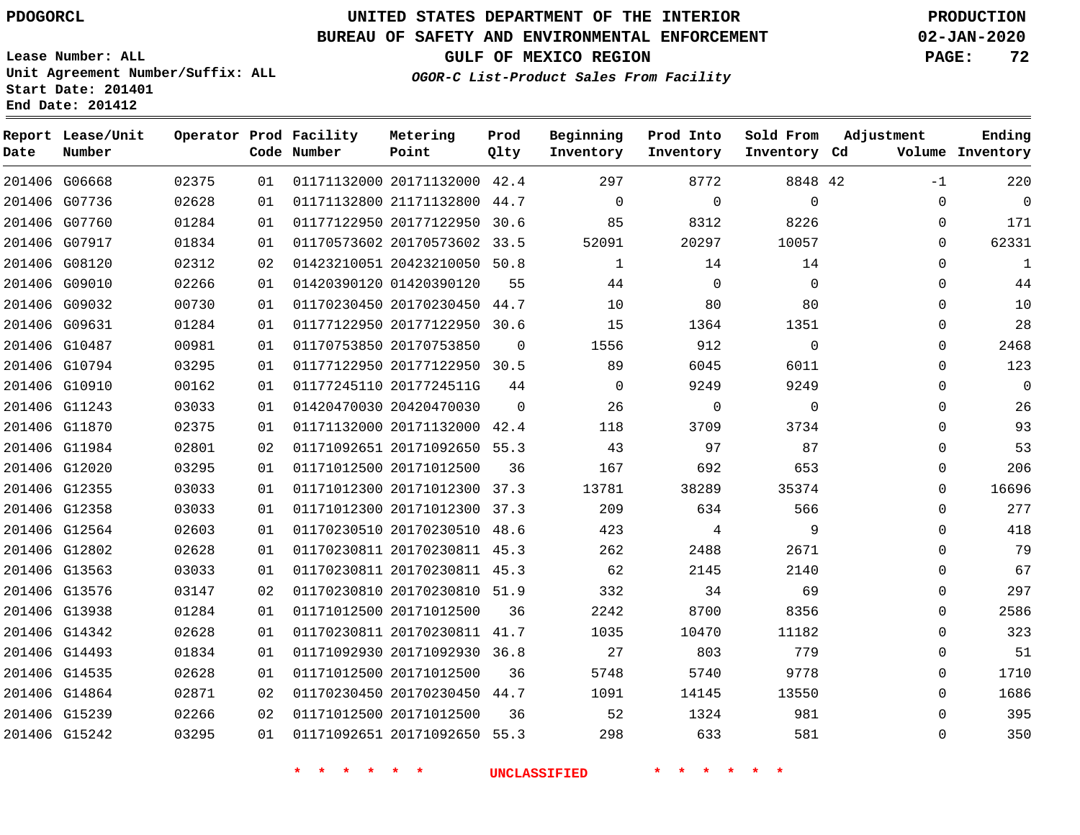**Date**

 G15239 G15242    

# **UNITED STATES DEPARTMENT OF THE INTERIOR PDOGORCL PRODUCTION**

#### **BUREAU OF SAFETY AND ENVIRONMENTAL ENFORCEMENT 02-JAN-2020**

**Lease Number: ALL Unit Agreement Number/Suffix: ALL Start Date: 201401 End Date: 201412**

**OGOR-C List-Product Sales From Facility**

**GULF OF MEXICO REGION PAGE: 72**

**Ending Inventory**

| Date | Report Lease/Unit<br>Number |       |    | Operator Prod Facility<br>Code Number | Metering<br>Point            | Prod<br>Qlty | Beginning<br>Inventory | Prod Into<br>Inventory | Sold From<br>Inventory Cd | Adjustment<br>Volume |
|------|-----------------------------|-------|----|---------------------------------------|------------------------------|--------------|------------------------|------------------------|---------------------------|----------------------|
|      | 201406 G06668               | 02375 | 01 |                                       | 01171132000 20171132000      | 42.4         | 297                    | 8772                   | 8848 42                   | $-1$                 |
|      | 201406 G07736               | 02628 | 01 |                                       | 01171132800 21171132800      | 44.7         | 0                      | 0                      | $\mathbf{0}$              | $\mathbf{0}$         |
|      | 201406 G07760               | 01284 | 01 |                                       | 01177122950 20177122950      | 30.6         | 85                     | 8312                   | 8226                      | $\mathbf 0$          |
|      | 201406 G07917               | 01834 | 01 |                                       | 01170573602 20170573602      | 33.5         | 52091                  | 20297                  | 10057                     | $\mathbf 0$          |
|      | 201406 G08120               | 02312 | 02 |                                       | 01423210051 20423210050      | 50.8         | $\mathbf{1}$           | 14                     | 14                        | $\mathbf 0$          |
|      | 201406 G09010               | 02266 | 01 |                                       | 01420390120 01420390120      | 55           | 44                     | $\mathbf 0$            | $\mathbf 0$               | $\mathbf{0}$         |
|      | 201406 G09032               | 00730 | 01 |                                       | 01170230450 20170230450      | 44.7         | 10                     | 80                     | 80                        | $\mathbf 0$          |
|      | 201406 G09631               | 01284 | 01 |                                       | 01177122950 20177122950      | 30.6         | 15                     | 1364                   | 1351                      | $\Omega$             |
|      | 201406 G10487               | 00981 | 01 |                                       | 01170753850 20170753850      | $\Omega$     | 1556                   | 912                    | $\Omega$                  | $\Omega$             |
|      | 201406 G10794               | 03295 | 01 |                                       | 01177122950 20177122950 30.5 |              | 89                     | 6045                   | 6011                      | $\Omega$             |
|      | 201406 G10910               | 00162 | 01 |                                       | 01177245110 2017724511G      | 44           | $\Omega$               | 9249                   | 9249                      | $\Omega$             |
|      | 201406 G11243               | 03033 | 01 |                                       | 01420470030 20420470030      | $\Omega$     | 26                     | $\mathbf 0$            | $\mathbf 0$               | $\Omega$             |
|      | 201406 G11870               | 02375 | 01 |                                       | 01171132000 20171132000      | 42.4         | 118                    | 3709                   | 3734                      | $\Omega$             |
|      | 201406 G11984               | 02801 | 02 |                                       | 01171092651 20171092650 55.3 |              | 43                     | 97                     | 87                        | $\Omega$             |
|      | 201406 G12020               | 03295 | 01 |                                       | 01171012500 20171012500      | 36           | 167                    | 692                    | 653                       | $\Omega$             |
|      | 201406 G12355               | 03033 | 01 |                                       | 01171012300 20171012300      | 37.3         | 13781                  | 38289                  | 35374                     | $\mathbf 0$          |
|      | 201406 G12358               | 03033 | 01 |                                       | 01171012300 20171012300      | 37.3         | 209                    | 634                    | 566                       | $\Omega$             |
|      | 201406 G12564               | 02603 | 01 |                                       | 01170230510 20170230510      | 48.6         | 423                    | 4                      | 9                         | $\mathbf 0$          |
|      | 201406 G12802               | 02628 | 01 |                                       | 01170230811 20170230811 45.3 |              | 262                    | 2488                   | 2671                      | $\mathbf{0}$         |
|      | 201406 G13563               | 03033 | 01 |                                       | 01170230811 20170230811 45.3 |              | 62                     | 2145                   | 2140                      | $\Omega$             |
|      | 201406 G13576               | 03147 | 02 |                                       | 01170230810 20170230810      | 51.9         | 332                    | 34                     | 69                        | $\Omega$             |
|      | 201406 G13938               | 01284 | 01 |                                       | 01171012500 20171012500      | 36           | 2242                   | 8700                   | 8356                      | $\mathbf 0$          |
|      | 201406 G14342               | 02628 | 01 |                                       | 01170230811 20170230811 41.7 |              | 1035                   | 10470                  | 11182                     | $\Omega$             |
|      | 201406 G14493               | 01834 | 01 |                                       | 01171092930 20171092930 36.8 |              | 27                     | 803                    | 779                       | $\mathbf{0}$         |
|      | 201406 G14535               | 02628 | 01 |                                       | 01171012500 20171012500      | 36           | 5748                   | 5740                   | 9778                      | $\mathbf 0$          |
|      | 201406 G14864               | 02871 | 02 |                                       | 01170230450 20170230450      | 44.7         | 1091                   | 14145                  | 13550                     | $\mathbf 0$          |

**\* \* \* \* \* \* UNCLASSIFIED \* \* \* \* \* \***

20171092650 55.3

20171012500

 

    $\Omega$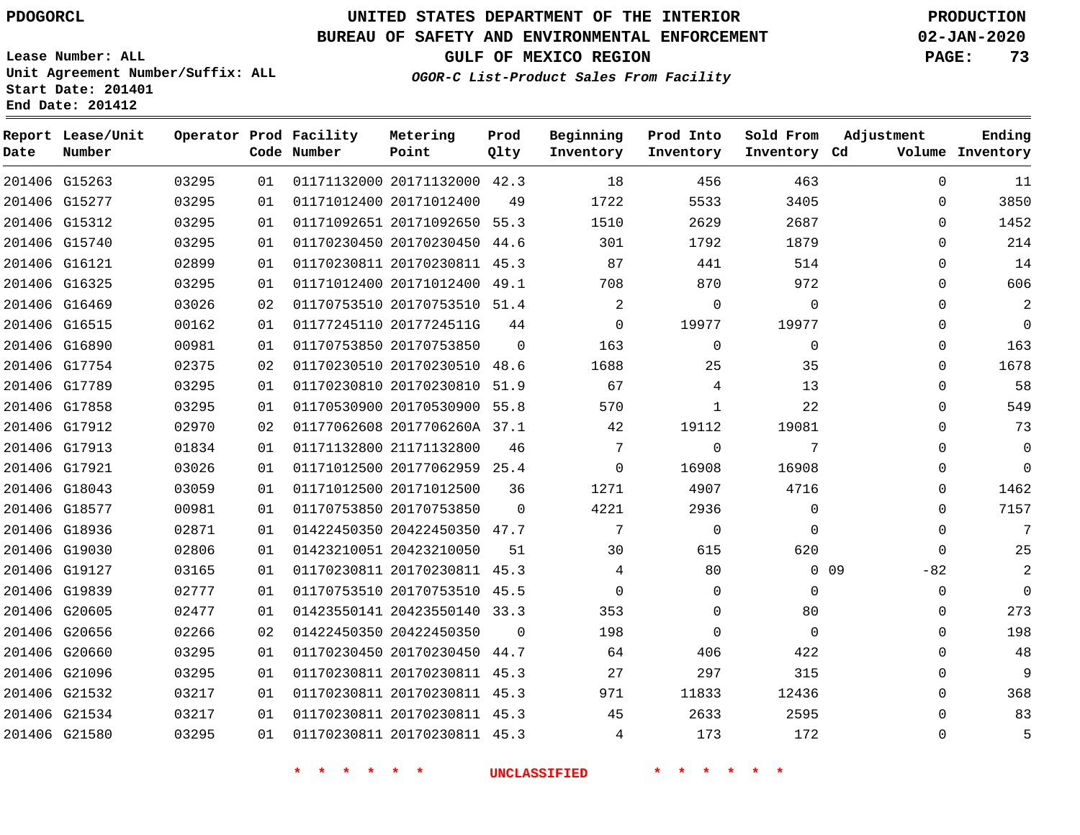**Report Lease/Unit**

**Number**

# **UNITED STATES DEPARTMENT OF THE INTERIOR PDOGORCL PRODUCTION**

**Prod Qlty**

#### **BUREAU OF SAFETY AND ENVIRONMENTAL ENFORCEMENT 02-JAN-2020**

**Lease Number: ALL Unit Agreement Number/Suffix: ALL Start Date: 201401 End Date: 201412**

**Operator Prod Facility**

**Code Number**

**OGOR-C List-Product Sales From Facility**

**Sold From Inventory**

**Prod Into Inventory**

**Beginning Inventory**

**GULF OF MEXICO REGION PAGE: 73**

**Inventory Cd Volume**

**Adjustment**

  $\Omega$  $\Omega$   $\Omega$  $\Omega$  $\Omega$  $\Omega$  $\Omega$  $\Omega$   $\Omega$  $\overline{0}$  $\overline{0}$  $\Omega$  $\overline{0}$  $\Omega$  $\Omega$  $\Omega$ -82  $\Omega$ 

**Ending**

| 201406 G15263 |               | 03295 | 01 |                         | 01171132000 20171132000 42.3 |                | 18              | 456            | 463         |        |
|---------------|---------------|-------|----|-------------------------|------------------------------|----------------|-----------------|----------------|-------------|--------|
| 201406 G15277 |               | 03295 | 01 |                         | 01171012400 20171012400      | 49             | 1722            | 5533           | 3405        |        |
| 201406 G15312 |               | 03295 | 01 |                         | 01171092651 20171092650 55.3 |                | 1510            | 2629           | 2687        |        |
| 201406 G15740 |               | 03295 | 01 |                         | 01170230450 20170230450 44.6 |                | 301             | 1792           | 1879        |        |
| 201406 G16121 |               | 02899 | 01 |                         | 01170230811 20170230811 45.3 |                | 87              | 441            | 514         |        |
| 201406 G16325 |               | 03295 | 01 |                         | 01171012400 20171012400 49.1 |                | 708             | 870            | 972         |        |
| 201406 G16469 |               | 03026 | 02 |                         | 01170753510 20170753510 51.4 |                | 2               | $\Omega$       | 0           |        |
| 201406 G16515 |               | 00162 | 01 |                         | 01177245110 2017724511G      | 44             | $\mathbf 0$     | 19977          | 19977       |        |
| 201406 G16890 |               | 00981 | 01 |                         | 01170753850 20170753850      | $\mathbf{0}$   | 163             | $\overline{0}$ | 0           |        |
| 201406 G17754 |               | 02375 | 02 |                         | 01170230510 20170230510 48.6 |                | 1688            | 25             | 35          |        |
| 201406 G17789 |               | 03295 | 01 |                         | 01170230810 20170230810 51.9 |                | 67              | $\overline{4}$ | 13          |        |
| 201406 G17858 |               | 03295 | 01 |                         | 01170530900 20170530900 55.8 |                | 570             | $\mathbf{1}$   | 22          |        |
| 201406 G17912 |               | 02970 | 02 |                         | 01177062608 2017706260A 37.1 |                | 42              | 19112          | 19081       |        |
| 201406 G17913 |               | 01834 | 01 | 01171132800 21171132800 |                              | 46             | $7\overline{ }$ | $\Omega$       | 7           |        |
| 201406 G17921 |               | 03026 | 01 |                         | 01171012500 20177062959 25.4 |                | $\overline{0}$  | 16908          | 16908       |        |
| 201406 G18043 |               | 03059 | 01 |                         | 01171012500 20171012500      | 36             | 1271            | 4907           | 4716        |        |
|               | 201406 G18577 | 00981 | 01 |                         | 01170753850 20170753850      | $\mathbf{0}$   | 4221            | 2936           | 0           |        |
| 201406 G18936 |               | 02871 | 01 |                         | 01422450350 20422450350 47.7 |                | $7\overline{ }$ | $\overline{0}$ | 0           |        |
| 201406 G19030 |               | 02806 | 01 |                         | 01423210051 20423210050      | 51             | 30              | 615            | 620         |        |
| 201406 G19127 |               | 03165 | 01 |                         | 01170230811 20170230811 45.3 |                | 4               | 80             |             | $0$ 09 |
| 201406 G19839 |               | 02777 | 01 |                         | 01170753510 20170753510 45.5 |                | $\overline{0}$  | $\Omega$       | $\Omega$    |        |
| 201406 G20605 |               | 02477 | 01 |                         | 01423550141 20423550140 33.3 |                | 353             | 0              | 80          |        |
| 201406 G20656 |               | 02266 | 02 |                         | 01422450350 20422450350      | $\overline{0}$ | 198             | $\overline{0}$ | $\mathbf 0$ |        |
| 201406 G20660 |               | 03295 | 01 |                         | 01170230450 20170230450 44.7 |                | 64              | 406            | 422         |        |
| 201406 G21096 |               | 03295 | 01 |                         | 01170230811 20170230811 45.3 |                | 27              | 297            | 315         |        |
| 201406 G21532 |               | 03217 | 01 |                         | 01170230811 20170230811 45.3 |                | 971             | 11833          | 12436       |        |
|               | 201406 G21534 | 03217 | 01 |                         | 01170230811 20170230811 45.3 |                | 45              | 2633           | 2595        |        |
| 201406 G21580 |               | 03295 | 01 |                         | 01170230811 20170230811 45.3 |                | 4               | 173            | 172         |        |
|               |               |       |    |                         |                              |                |                 |                |             |        |

**Metering Point**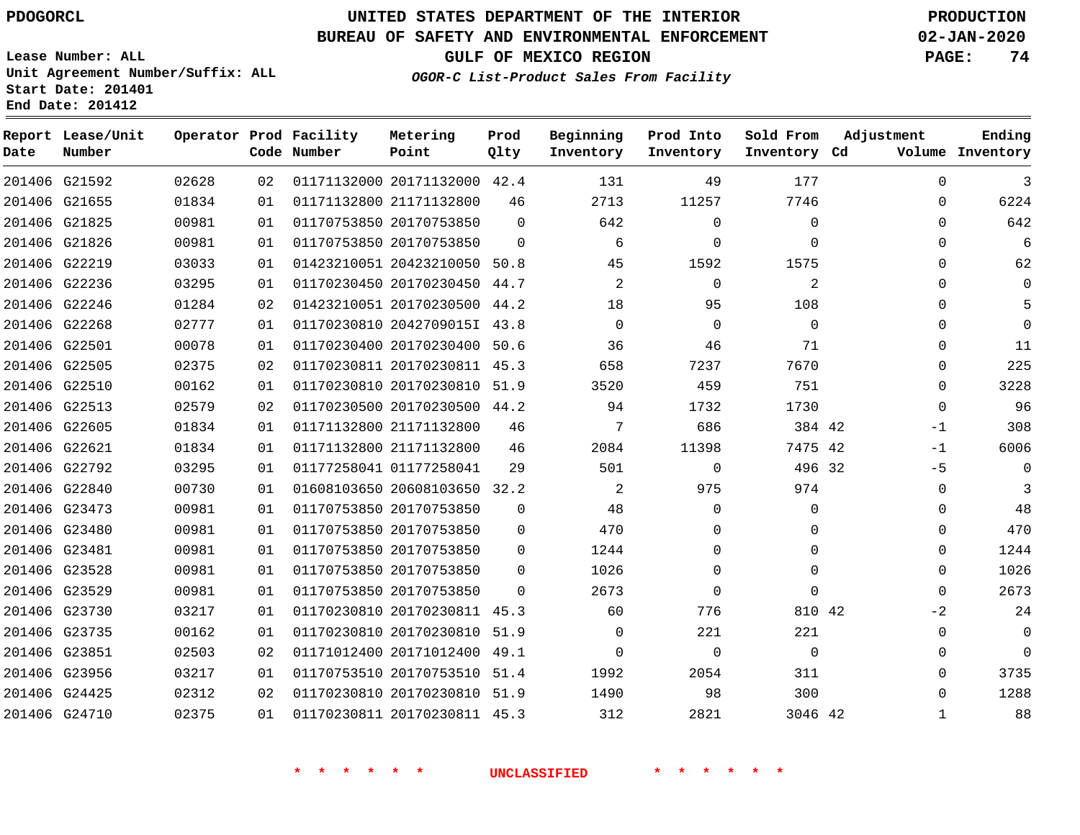**Lease Number: ALL**

**Report Lease/Unit**

**Number**

 G24425 G24710    

# **UNITED STATES DEPARTMENT OF THE INTERIOR PDOGORCL PRODUCTION**

**Prod Qlty**

#### **BUREAU OF SAFETY AND ENVIRONMENTAL ENFORCEMENT 02-JAN-2020**

**GULF OF MEXICO REGION PAGE: 74**

**Metering Point**

**Operator Prod Facility**

**Code Number**

**Inventory Cd Volume**

**Adjustment**

**Ending**

 

 

**Unit Agreement Number/Suffix: ALL Start Date: 201401 End Date: 201412**

**OGOR-C List-Product Sales From Facility**

**Beginning Inventory** **Prod Into Inventory** **Sold From Inventory**

| 3        | 0        | 177         | 49          | 131      |          | 01171132000 20171132000 42.4 | 02 | 02628 | 201406 G21592 |  |
|----------|----------|-------------|-------------|----------|----------|------------------------------|----|-------|---------------|--|
| 6224     | 0        | 7746        | 11257       | 2713     | 46       | 01171132800 21171132800      | 01 | 01834 | 201406 G21655 |  |
| 642      | 0        | $\Omega$    | $\Omega$    | 642      | $\Omega$ | 01170753850 20170753850      | 01 | 00981 | 201406 G21825 |  |
| 6        | 0        | $\Omega$    | $\mathbf 0$ | 6        | $\Omega$ | 01170753850 20170753850      | 01 | 00981 | 201406 G21826 |  |
| 62       | 0        | 1575        | 1592        | 45       | 50.8     | 01423210051 20423210050      | 01 | 03033 | 201406 G22219 |  |
| $\Omega$ | 0        | 2           | $\Omega$    | 2        | 44.7     | 01170230450 20170230450      | 01 | 03295 | 201406 G22236 |  |
| 5        | 0        | 108         | 95          | 18       | 44.2     | 01423210051 20170230500      | 02 | 01284 | 201406 G22246 |  |
| $\Omega$ | 0        | 0           | 0           | $\Omega$ | 43.8     | 01170230810 2042709015I      | 01 | 02777 | 201406 G22268 |  |
| 11       | 0        | 71          | 46          | 36       | 50.6     | 01170230400 20170230400      | 01 | 00078 | 201406 G22501 |  |
| 225      | $\Omega$ | 7670        | 7237        | 658      |          | 01170230811 20170230811 45.3 | 02 | 02375 | 201406 G22505 |  |
| 3228     | 0        | 751         | 459         | 3520     |          | 01170230810 20170230810 51.9 | 01 | 00162 | 201406 G22510 |  |
| 96       | $\Omega$ | 1730        | 1732        | 94       | 44.2     | 01170230500 20170230500      | 02 | 02579 | 201406 G22513 |  |
| 308      | $-1$     | 384 42      | 686         | 7        | 46       | 01171132800 21171132800      | 01 | 01834 | 201406 G22605 |  |
| 6006     | $-1$     | 7475 42     | 11398       | 2084     | 46       | 01171132800 21171132800      | 01 | 01834 | 201406 G22621 |  |
| $\Omega$ | $-5$     | 496 32      | $\Omega$    | 501      | 29       | 01177258041 01177258041      | 01 | 03295 | 201406 G22792 |  |
| 3        | 0        | 974         | 975         | 2        | 32.2     | 01608103650 20608103650      | 01 | 00730 | 201406 G22840 |  |
| 48       | 0        | 0           | $\Omega$    | 48       | $\Omega$ | 01170753850 20170753850      | 01 | 00981 | 201406 G23473 |  |
| 470      | $\Omega$ | $\Omega$    | $\Omega$    | 470      | $\Omega$ | 01170753850 20170753850      | 01 | 00981 | 201406 G23480 |  |
| 1244     | 0        | $\Omega$    | $\Omega$    | 1244     | $\Omega$ | 01170753850 20170753850      | 01 | 00981 | 201406 G23481 |  |
| 1026     | $\Omega$ | $\Omega$    | $\Omega$    | 1026     | $\Omega$ | 01170753850 20170753850      | 01 | 00981 | 201406 G23528 |  |
| 2673     | $\Omega$ | 0           | $\Omega$    | 2673     | $\Omega$ | 01170753850 20170753850      | 01 | 00981 | 201406 G23529 |  |
| 24       | $-2$     | 810 42      | 776         | 60       | 45.3     | 01170230810 20170230811      | 01 | 03217 | 201406 G23730 |  |
| $\Omega$ | 0        | 221         | 221         | $\Omega$ | 51.9     | 01170230810 20170230810      | 01 | 00162 | 201406 G23735 |  |
| $\Omega$ | 0        | $\mathbf 0$ | $\mathbf 0$ | $\Omega$ | 49.1     | 01171012400 20171012400      | 02 | 02503 | 201406 G23851 |  |
| 3735     | 0        | 311         | 2054        | 1992     |          | 01170753510 20170753510 51.4 | 01 | 03217 | 201406 G23956 |  |
|          |          |             |             |          |          |                              |    |       |               |  |

**\* \* \* \* \* \* UNCLASSIFIED \* \* \* \* \* \***

 20170230810 51.9 20170230811 45.3

 

 

42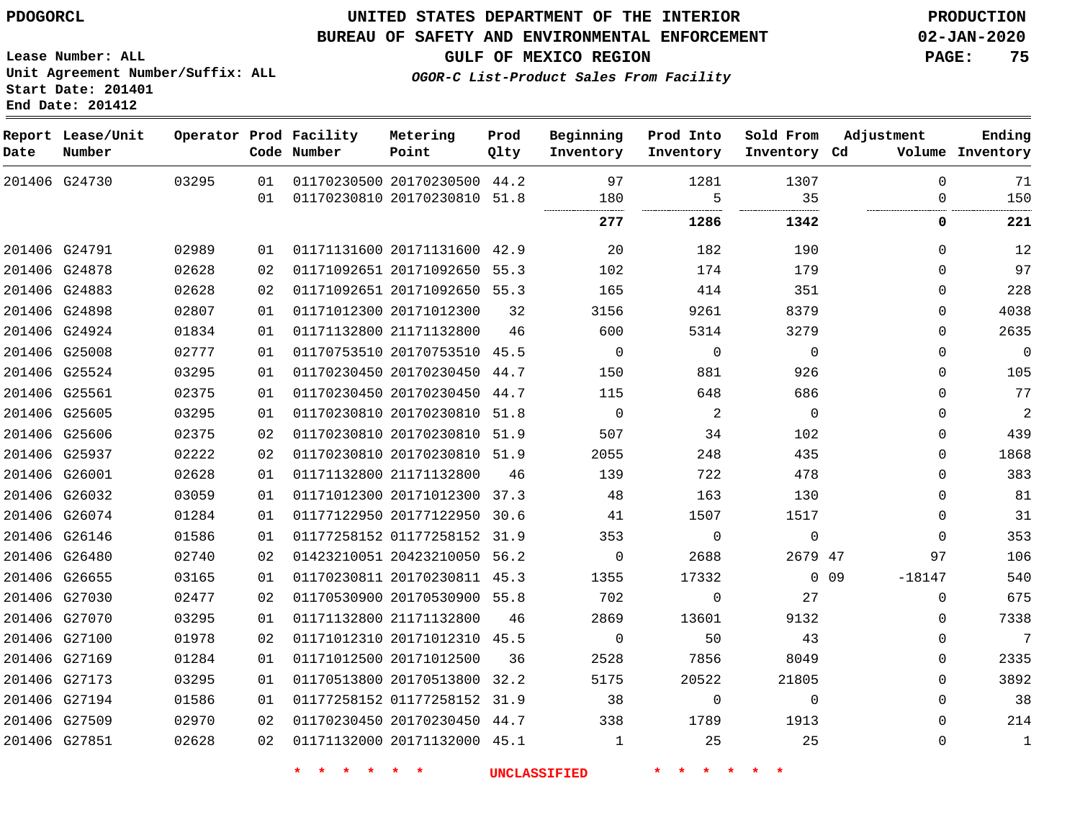G24730

**Date**

**Report Lease/Unit**

**Number**

### **UNITED STATES DEPARTMENT OF THE INTERIOR PDOGORCL PRODUCTION**

**Prod Qlty**

#### **BUREAU OF SAFETY AND ENVIRONMENTAL ENFORCEMENT 02-JAN-2020**

**Lease Number: ALL Unit Agreement Number/Suffix: ALL Start Date: 201401 End Date: 201412**

**Operator Prod Facility**

**Code Number**

**OGOR-C List-Product Sales From Facility**

**Inventory Cd Volume**

**Adjustment**

  $\Omega$ 

**GULF OF MEXICO REGION PAGE: 75**

 

**Ending**

|               |       | 01  | 01170230810 20170230810 51.8 |    | 180            | 5           | 35          | 0                 | 150            |
|---------------|-------|-----|------------------------------|----|----------------|-------------|-------------|-------------------|----------------|
|               |       |     |                              |    | 277            | 1286        | 1342        | 0                 | 221            |
| 201406 G24791 | 02989 | 01  | 01171131600 20171131600 42.9 |    | 20             | 182         | 190         | $\Omega$          | 12             |
| 201406 G24878 | 02628 | 02  | 01171092651 20171092650 55.3 |    | 102            | 174         | 179         | $\Omega$          | 97             |
| 201406 G24883 | 02628 | 02  | 01171092651 20171092650 55.3 |    | 165            | 414         | 351         | $\Omega$          | 228            |
| 201406 G24898 | 02807 | 01  | 01171012300 20171012300      | 32 | 3156           | 9261        | 8379        | $\Omega$          | 4038           |
| 201406 G24924 | 01834 | 01  | 01171132800 21171132800      | 46 | 600            | 5314        | 3279        | $\Omega$          | 2635           |
| 201406 G25008 | 02777 | 01  | 01170753510 20170753510 45.5 |    | $\overline{0}$ | $\mathbf 0$ | $\mathbf 0$ | 0                 | 0              |
| 201406 G25524 | 03295 | 01  | 01170230450 20170230450 44.7 |    | 150            | 881         | 926         | 0                 | 105            |
| 201406 G25561 | 02375 | 01  | 01170230450 20170230450 44.7 |    | 115            | 648         | 686         | $\Omega$          | 77             |
| 201406 G25605 | 03295 | 01  | 01170230810 20170230810 51.8 |    | $\Omega$       | 2           | $\Omega$    | $\Omega$          | $\overline{2}$ |
| 201406 G25606 | 02375 | 02  | 01170230810 20170230810 51.9 |    | 507            | 34          | 102         | 0                 | 439            |
| 201406 G25937 | 02222 | 02  | 01170230810 20170230810 51.9 |    | 2055           | 248         | 435         | $\Omega$          | 1868           |
| 201406 G26001 | 02628 | O 1 | 01171132800 21171132800      | 46 | 139            | 722         | 478         | $\Omega$          | 383            |
| 201406 G26032 | 03059 | 01  | 01171012300 20171012300 37.3 |    | 48             | 163         | 130         | $\Omega$          | 81             |
| 201406 G26074 | 01284 | 01  | 01177122950 20177122950 30.6 |    | 41             | 1507        | 1517        | $\Omega$          | 31             |
| 201406 G26146 | 01586 | 01  | 01177258152 01177258152 31.9 |    | 353            | 0           | 0           | $\Omega$          | 353            |
| 201406 G26480 | 02740 | 02  | 01423210051 20423210050 56.2 |    | 0              | 2688        | 2679 47     | 97                | 106            |
| 201406 G26655 | 03165 | 01. | 01170230811 20170230811 45.3 |    | 1355           | 17332       |             | 0 0 9<br>$-18147$ | 540            |
| 201406 G27030 | 02477 | 02  | 01170530900 20170530900 55.8 |    | 702            | 0           | 27          | 0                 | 675            |
| 201406 G27070 | 03295 | 01  | 01171132800 21171132800      | 46 | 2869           | 13601       | 9132        | $\Omega$          | 7338           |
| 201406 G27100 | 01978 | 02  | 01171012310 20171012310 45.5 |    | $\mathbf 0$    | 50          | 43          | 0                 | 7              |
| 201406 G27169 | 01284 | 01  | 01171012500 20171012500      | 36 | 2528           | 7856        | 8049        | 0                 | 2335           |
| 201406 G27173 | 03295 | 01  | 01170513800 20170513800 32.2 |    | 5175           | 20522       | 21805       | $\Omega$          | 3892           |
| 201406 G27194 | 01586 | 01  | 01177258152 01177258152 31.9 |    | 38             | $\mathbf 0$ | $\Omega$    | $\Omega$          | 38             |
| 201406 G27509 | 02970 | 02  | 01170230450 20170230450 44.7 |    | 338            | 1789        | 1913        | $\Omega$          | 214            |
| 201406 G27851 | 02628 | 02  | 01171132000 20171132000 45.1 |    | 1              | 25          | 25          | 0                 | $\mathbf 1$    |
|               |       |     |                              |    |                |             |             |                   |                |

20170230500 44.2

**Metering Point**

**Beginning Inventory**

**Sold From Inventory**

**Prod Into Inventory**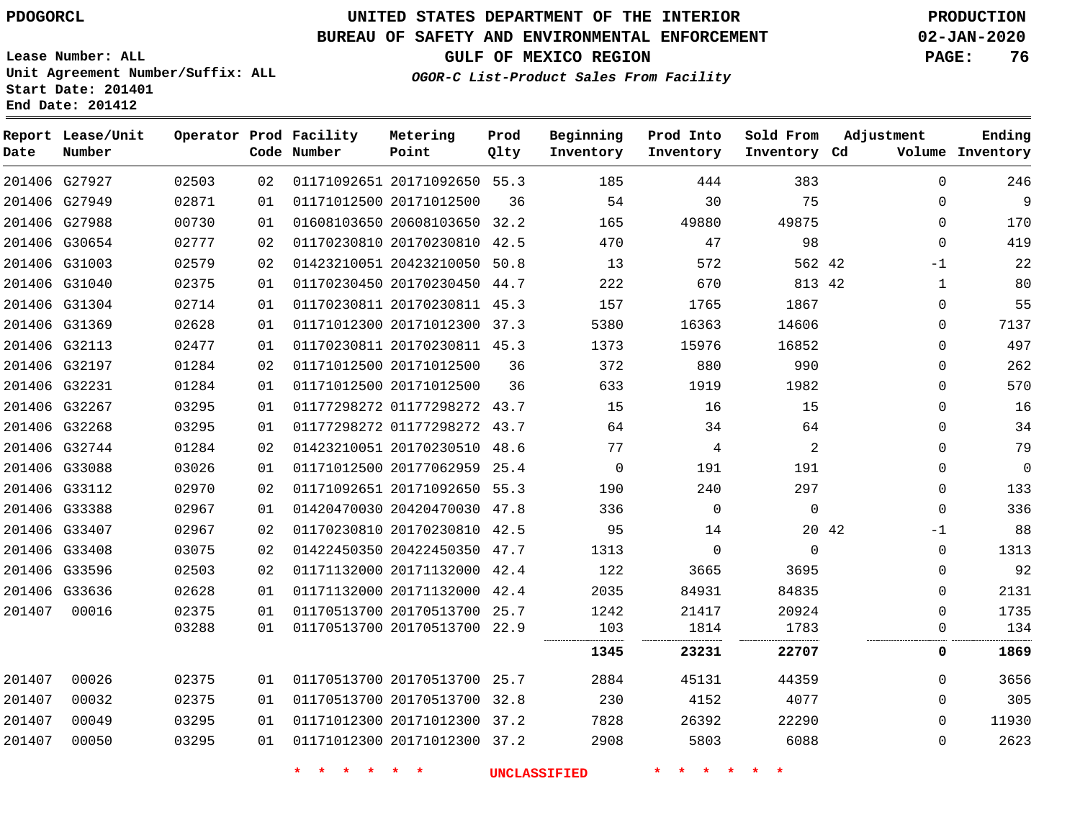**Date**

# **UNITED STATES DEPARTMENT OF THE INTERIOR PDOGORCL PRODUCTION**

#### **BUREAU OF SAFETY AND ENVIRONMENTAL ENFORCEMENT 02-JAN-2020**

**Lease Number: ALL Unit Agreement Number/Suffix: ALL Start Date: 201401 End Date: 201412**

**OGOR-C List-Product Sales From Facility**

**GULF OF MEXICO REGION PAGE: 76**

| Date   | Report Lease/Unit<br>Number |       |    | Operator Prod Facility<br>Code Number                                                                         | Metering<br>Point            | Prod<br>Qlty | Beginning<br>Inventory | Prod Into<br>Inventory | Sold From<br>Inventory Cd | Adjustment    | Ending<br>Volume Inventory |
|--------|-----------------------------|-------|----|---------------------------------------------------------------------------------------------------------------|------------------------------|--------------|------------------------|------------------------|---------------------------|---------------|----------------------------|
|        | 201406 G27927               | 02503 | 02 |                                                                                                               | 01171092651 20171092650 55.3 |              | 185                    | 444                    | 383                       | $\Omega$      | 246                        |
|        | 201406 G27949               | 02871 | 01 |                                                                                                               | 01171012500 20171012500      | 36           | 54                     | 30                     | 75                        | $\Omega$      | 9                          |
|        | 201406 G27988               | 00730 | 01 |                                                                                                               | 01608103650 20608103650 32.2 |              | 165                    | 49880                  | 49875                     | $\mathbf 0$   | 170                        |
|        | 201406 G30654               | 02777 | 02 |                                                                                                               | 01170230810 20170230810 42.5 |              | 470                    | 47                     | 98                        | $\mathbf 0$   | 419                        |
|        | 201406 G31003               | 02579 | 02 |                                                                                                               | 01423210051 20423210050 50.8 |              | 13                     | 572                    | 562 42                    | $-1$          | 22                         |
|        | 201406 G31040               | 02375 | 01 |                                                                                                               | 01170230450 20170230450 44.7 |              | 222                    | 670                    | 813 42                    | $\mathbf{1}$  | 80                         |
|        | 201406 G31304               | 02714 | 01 |                                                                                                               | 01170230811 20170230811 45.3 |              | 157                    | 1765                   | 1867                      | $\Omega$      | 55                         |
|        | 201406 G31369               | 02628 | 01 |                                                                                                               | 01171012300 20171012300 37.3 |              | 5380                   | 16363                  | 14606                     | $\Omega$      | 7137                       |
|        | 201406 G32113               | 02477 | 01 |                                                                                                               | 01170230811 20170230811 45.3 |              | 1373                   | 15976                  | 16852                     | $\Omega$      | 497                        |
|        | 201406 G32197               | 01284 | 02 |                                                                                                               | 01171012500 20171012500      | 36           | 372                    | 880                    | 990                       | $\Omega$      | 262                        |
|        | 201406 G32231               | 01284 | 01 |                                                                                                               | 01171012500 20171012500      | 36           | 633                    | 1919                   | 1982                      | $\Omega$      | 570                        |
|        | 201406 G32267               | 03295 | 01 |                                                                                                               | 01177298272 01177298272 43.7 |              | 15                     | 16                     | 15                        | $\Omega$      | 16                         |
|        | 201406 G32268               | 03295 | 01 |                                                                                                               | 01177298272 01177298272 43.7 |              | 64                     | 34                     | 64                        | 0             | 34                         |
|        | 201406 G32744               | 01284 | 02 |                                                                                                               | 01423210051 20170230510 48.6 |              | 77                     | 4                      | 2                         | $\Omega$      | 79                         |
|        | 201406 G33088               | 03026 | 01 |                                                                                                               | 01171012500 20177062959 25.4 |              | $\overline{0}$         | 191                    | 191                       | $\mathbf 0$   | 0                          |
|        | 201406 G33112               | 02970 | 02 |                                                                                                               | 01171092651 20171092650 55.3 |              | 190                    | 240                    | 297                       | $\Omega$      | 133                        |
|        | 201406 G33388               | 02967 | 01 |                                                                                                               | 01420470030 20420470030 47.8 |              | 336                    | $\mathbf{0}$           | $\mathbf{0}$              | $\mathbf{0}$  | 336                        |
|        | 201406 G33407               | 02967 | 02 |                                                                                                               | 01170230810 20170230810 42.5 |              | 95                     | 14                     |                           | 20 42<br>$-1$ | 88                         |
|        | 201406 G33408               | 03075 | 02 |                                                                                                               | 01422450350 20422450350 47.7 |              | 1313                   | $\mathbf 0$            | $\mathbf{0}$              | $\mathbf 0$   | 1313                       |
|        | 201406 G33596               | 02503 | 02 |                                                                                                               | 01171132000 20171132000 42.4 |              | 122                    | 3665                   | 3695                      | $\Omega$      | 92                         |
|        | 201406 G33636               | 02628 | 01 |                                                                                                               | 01171132000 20171132000 42.4 |              | 2035                   | 84931                  | 84835                     | $\Omega$      | 2131                       |
| 201407 | 00016                       | 02375 | 01 |                                                                                                               | 01170513700 20170513700 25.7 |              | 1242                   | 21417                  | 20924                     | $\Omega$      | 1735                       |
|        |                             | 03288 | 01 |                                                                                                               | 01170513700 20170513700 22.9 |              | 103                    | 1814                   | 1783                      | $\Omega$      | 134                        |
|        |                             |       |    |                                                                                                               |                              |              | 1345                   | 23231                  | 22707                     | 0             | 1869                       |
|        |                             |       |    | a da a badan da a badan badan badan bada da a bada da bada da bada da bada da bada da bada da bada da bada da |                              |              | .                      | .                      |                           | $\sim$        | -----                      |

| 00026 | 02375 | . N 1    |  | 2884                                                                                                                         | 45131 | 44359 | 3656  |
|-------|-------|----------|--|------------------------------------------------------------------------------------------------------------------------------|-------|-------|-------|
| 00032 | 02375 | . N 1    |  | 230                                                                                                                          | 4152  | 4077  | 305   |
| 00049 | 03295 | 01       |  | 7828                                                                                                                         | 26392 | 22290 | 11930 |
| 00050 | 03295 | $\cap$ 1 |  | 2908                                                                                                                         | 5803  | 6088  | 2623  |
|       |       |          |  | 01170513700 20170513700 25.7<br>01170513700 20170513700 32.8<br>01171012300 20171012300 37.2<br>01171012300 20171012300 37.2 |       |       |       |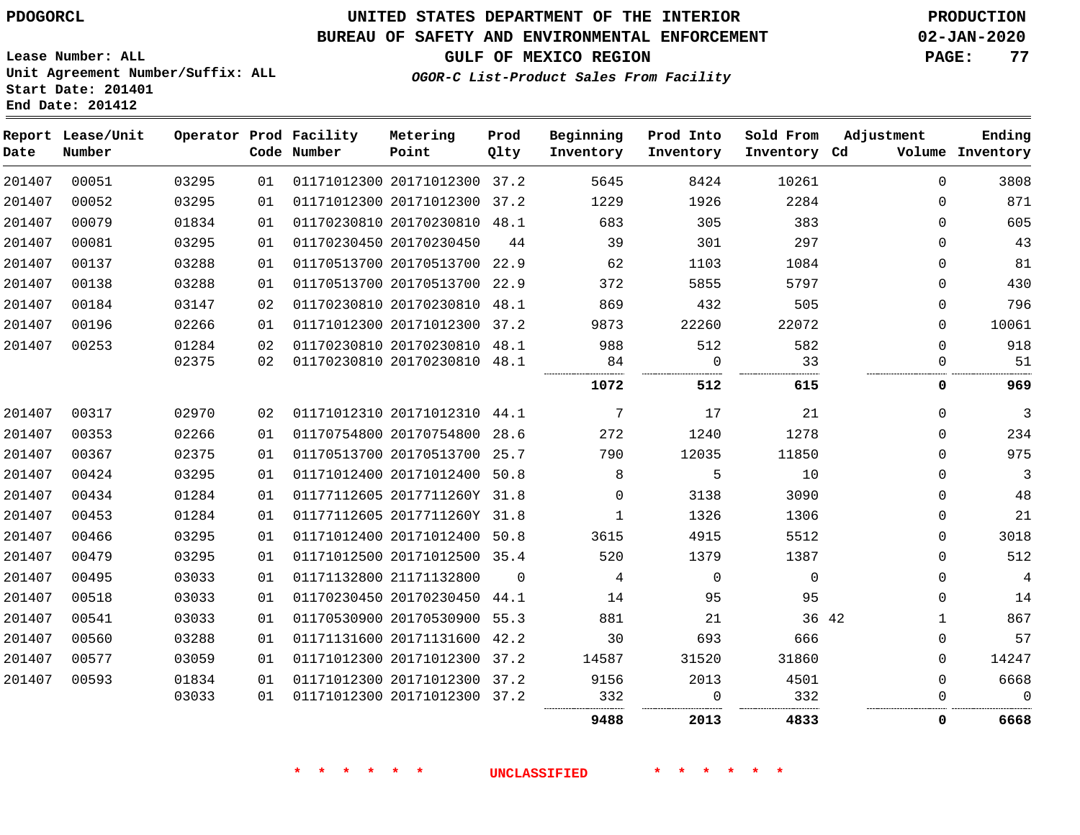**Start Date: 201401 End Date: 201412**

### **UNITED STATES DEPARTMENT OF THE INTERIOR PDOGORCL PRODUCTION**

### **BUREAU OF SAFETY AND ENVIRONMENTAL ENFORCEMENT 02-JAN-2020**

**Lease Number: ALL Unit Agreement Number/Suffix: ALL**

**GULF OF MEXICO REGION PAGE: 77**

**OGOR-C List-Product Sales From Facility**

| Ending<br>Volume Inventory | Adjustment  | Sold From<br>Inventory Cd | Prod Into<br>Inventory | Beginning<br>Inventory | Prod<br>Qlty | Metering<br>Point            | Operator Prod Facility<br>Code Number |                 |       | Report Lease/Unit<br>Number | Date   |
|----------------------------|-------------|---------------------------|------------------------|------------------------|--------------|------------------------------|---------------------------------------|-----------------|-------|-----------------------------|--------|
| 3808                       | $\Omega$    | 10261                     | 8424                   | 5645                   |              | 01171012300 20171012300 37.2 |                                       | 01              | 03295 | 00051                       | 201407 |
| 871                        | $\Omega$    | 2284                      | 1926                   | 1229                   |              | 01171012300 20171012300 37.2 |                                       | 01              | 03295 | 00052                       | 201407 |
| 605                        | $\Omega$    | 383                       | 305                    | 683                    |              | 01170230810 20170230810 48.1 |                                       | 01              | 01834 | 00079                       | 201407 |
| 43                         | $\Omega$    | 297                       | 301                    | 39                     | 44           |                              | 01170230450 20170230450               | 01              | 03295 | 00081                       | 201407 |
| 81                         | 0           | 1084                      | 1103                   | 62                     |              | 01170513700 20170513700 22.9 |                                       | 01              | 03288 | 00137                       | 201407 |
| 430                        | 0           | 5797                      | 5855                   | 372                    |              | 01170513700 20170513700 22.9 |                                       | 01              | 03288 | 00138                       | 201407 |
| 796                        | $\Omega$    | 505                       | 432                    | 869                    |              | 01170230810 20170230810 48.1 |                                       | 02              | 03147 | 00184                       | 201407 |
| 10061                      | 0           | 22072                     | 22260                  | 9873                   |              | 01171012300 20171012300 37.2 |                                       | 01              | 02266 | 00196                       | 201407 |
| 918                        | $\Omega$    | 582                       | 512                    | 988                    |              | 01170230810 20170230810 48.1 |                                       | 02              | 01284 | 00253                       | 201407 |
| 51                         | $\Omega$    | 33                        | $\overline{0}$         | 84                     |              | 01170230810 20170230810 48.1 |                                       | 02 <sub>o</sub> | 02375 |                             |        |
| 969                        | 0           | 615                       | 512                    | 1072                   |              |                              |                                       |                 |       |                             |        |
| 3                          | $\mathbf 0$ | 21                        | 17                     | $7\phantom{.0}$        |              |                              | 01171012310 20171012310 44.1          | 02              | 02970 | 00317                       | 201407 |
| 234                        | $\Omega$    | 1278                      | 1240                   | 272                    |              | 01170754800 20170754800 28.6 |                                       | 01              | 02266 | 00353                       | 201407 |
| 975                        | $\Omega$    | 11850                     | 12035                  | 790                    |              | 01170513700 20170513700 25.7 |                                       | 01              | 02375 | 00367                       | 201407 |
| 3                          | 0           | 10                        | 5                      | 8                      |              | 01171012400 20171012400 50.8 |                                       | 01              | 03295 | 00424                       | 201407 |
| 48                         | $\Omega$    | 3090                      | 3138                   | $\Omega$               |              | 01177112605 2017711260Y 31.8 |                                       | 01              | 01284 | 00434                       | 201407 |
| 21                         | 0           | 1306                      | 1326                   | $\mathbf{1}$           |              | 01177112605 2017711260Y 31.8 |                                       | 01              | 01284 | 00453                       | 201407 |
| 3018                       | 0           | 5512                      | 4915                   | 3615                   |              | 01171012400 20171012400 50.8 |                                       | 01              | 03295 | 00466                       | 201407 |
| 512                        | $\mathbf 0$ | 1387                      | 1379                   | 520                    |              | 01171012500 20171012500 35.4 |                                       | 01              | 03295 | 00479                       | 201407 |
| 4                          | $\Omega$    | $\Omega$                  | $\Omega$               | 4                      | $\Omega$     |                              | 01171132800 21171132800               | 01              | 03033 | 00495                       | 201407 |
| 14                         | 0           | 95                        | 95                     | 14                     |              | 01170230450 20170230450 44.1 |                                       | 01              | 03033 | 00518                       | 201407 |
| 867                        | 1           | 36 42                     | 21                     | 881                    |              | 01170530900 20170530900 55.3 |                                       | 01              | 03033 | 00541                       | 201407 |
| 57                         | 0           | 666                       | 693                    | 30                     |              | 01171131600 20171131600 42.2 |                                       | 01              | 03288 | 00560                       | 201407 |
| 14247                      | 0           | 31860                     | 31520                  | 14587                  |              | 01171012300 20171012300 37.2 |                                       | 01              | 03059 | 00577                       | 201407 |
| 6668                       | $\Omega$    | 4501                      | 2013                   | 9156                   |              | 01171012300 20171012300 37.2 |                                       | 01              | 01834 | 00593                       | 201407 |
| $\mathbf 0$                | $\Omega$    | 332                       | $\Omega$               | 332                    |              | 01171012300 20171012300 37.2 |                                       | 01              | 03033 |                             |        |
| 6668                       | 0           | 4833                      | 2013                   | 9488                   |              |                              |                                       |                 |       |                             |        |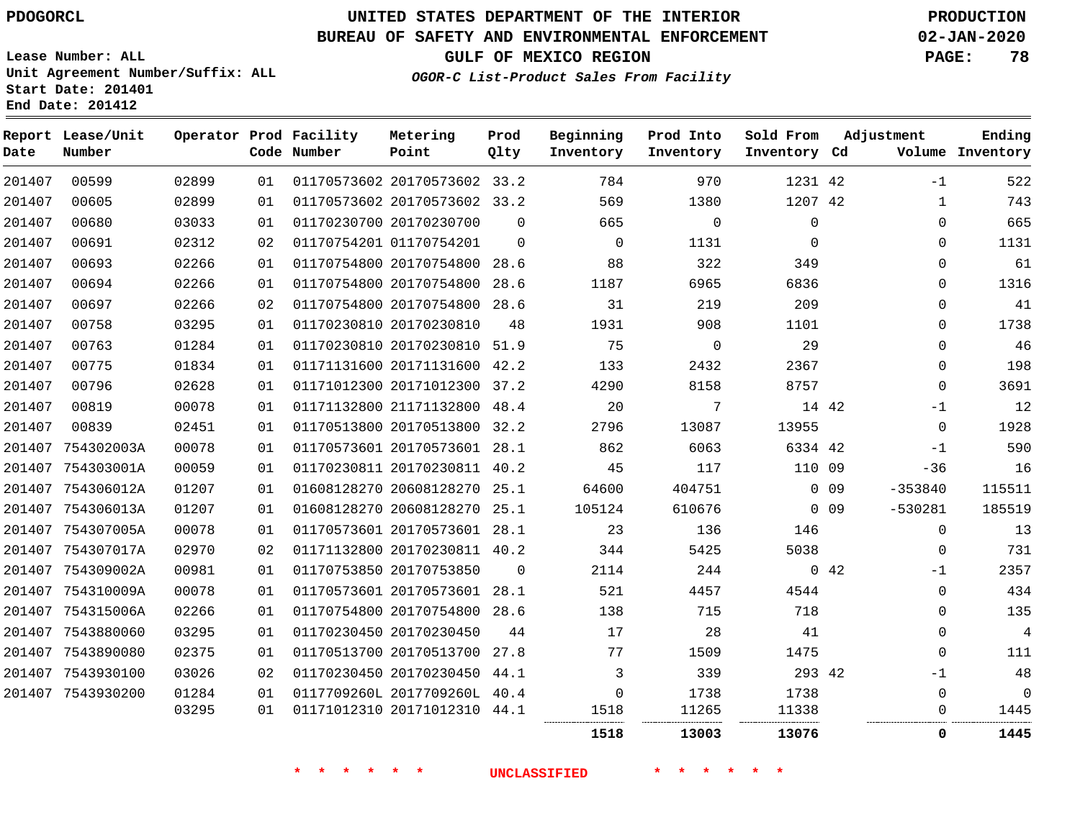### **BUREAU OF SAFETY AND ENVIRONMENTAL ENFORCEMENT 02-JAN-2020**

**Lease Number: ALL Unit Agreement Number/Suffix: ALL Start Date: 201401**

**End Date: 201412**

**GULF OF MEXICO REGION PAGE: 78**

**OGOR-C List-Product Sales From Facility**

| Date   | Report Lease/Unit<br>Number |       |    | Operator Prod Facility<br>Code Number | Metering<br>Point            | Prod<br>Qlty | Beginning<br>Inventory | Prod Into<br>Inventory | Sold From<br>Inventory Cd |                 | Adjustment   | Ending<br>Volume Inventory |
|--------|-----------------------------|-------|----|---------------------------------------|------------------------------|--------------|------------------------|------------------------|---------------------------|-----------------|--------------|----------------------------|
| 201407 | 00599                       | 02899 | 01 |                                       | 01170573602 20170573602 33.2 |              | 784                    | 970                    | 1231 42                   |                 | $-1$         | 522                        |
| 201407 | 00605                       | 02899 | 01 |                                       | 01170573602 20170573602 33.2 |              | 569                    | 1380                   | 1207 42                   |                 | $\mathbf{1}$ | 743                        |
| 201407 | 00680                       | 03033 | 01 |                                       | 01170230700 20170230700      | $\Omega$     | 665                    | $\Omega$               | $\Omega$                  |                 | 0            | 665                        |
| 201407 | 00691                       | 02312 | 02 |                                       | 01170754201 01170754201      | $\mathbf 0$  | $\mathbf 0$            | 1131                   | $\mathbf 0$               |                 | 0            | 1131                       |
| 201407 | 00693                       | 02266 | 01 |                                       | 01170754800 20170754800 28.6 |              | 88                     | 322                    | 349                       |                 | 0            | 61                         |
| 201407 | 00694                       | 02266 | 01 |                                       | 01170754800 20170754800 28.6 |              | 1187                   | 6965                   | 6836                      |                 | 0            | 1316                       |
| 201407 | 00697                       | 02266 | 02 |                                       | 01170754800 20170754800 28.6 |              | 31                     | 219                    | 209                       |                 | 0            | 41                         |
| 201407 | 00758                       | 03295 | 01 |                                       | 01170230810 20170230810      | 48           | 1931                   | 908                    | 1101                      |                 | 0            | 1738                       |
| 201407 | 00763                       | 01284 | 01 |                                       | 01170230810 20170230810 51.9 |              | 75                     | $\Omega$               | 29                        |                 | $\Omega$     | 46                         |
| 201407 | 00775                       | 01834 | 01 |                                       | 01171131600 20171131600 42.2 |              | 133                    | 2432                   | 2367                      |                 | 0            | 198                        |
| 201407 | 00796                       | 02628 | 01 |                                       | 01171012300 20171012300 37.2 |              | 4290                   | 8158                   | 8757                      |                 | $\Omega$     | 3691                       |
| 201407 | 00819                       | 00078 | 01 |                                       | 01171132800 21171132800 48.4 |              | 20                     | 7                      |                           | 14 42           | $-1$         | 12                         |
| 201407 | 00839                       | 02451 | 01 |                                       | 01170513800 20170513800 32.2 |              | 2796                   | 13087                  | 13955                     |                 | $\mathbf 0$  | 1928                       |
| 201407 | 754302003A                  | 00078 | 01 |                                       | 01170573601 20170573601 28.1 |              | 862                    | 6063                   | 6334 42                   |                 | $-1$         | 590                        |
|        | 201407 754303001A           | 00059 | 01 |                                       | 01170230811 20170230811 40.2 |              | 45                     | 117                    | 110 09                    |                 | $-36$        | 16                         |
|        | 201407 754306012A           | 01207 | 01 |                                       | 01608128270 20608128270 25.1 |              | 64600                  | 404751                 |                           | 0 <sub>09</sub> | $-353840$    | 115511                     |
|        | 201407 754306013A           | 01207 | 01 |                                       | 01608128270 20608128270 25.1 |              | 105124                 | 610676                 |                           | 0 <sub>09</sub> | $-530281$    | 185519                     |
|        | 201407 754307005A           | 00078 | 01 |                                       | 01170573601 20170573601 28.1 |              | 23                     | 136                    | 146                       |                 | 0            | 13                         |
|        | 201407 754307017A           | 02970 | 02 |                                       | 01171132800 20170230811 40.2 |              | 344                    | 5425                   | 5038                      |                 | $\mathbf 0$  | 731                        |
|        | 201407 754309002A           | 00981 | 01 |                                       | 01170753850 20170753850      | $\Omega$     | 2114                   | 244                    |                           | 0.42            | $-1$         | 2357                       |
|        | 201407 754310009A           | 00078 | 01 |                                       | 01170573601 20170573601 28.1 |              | 521                    | 4457                   | 4544                      |                 | 0            | 434                        |
|        | 201407 754315006A           | 02266 | 01 |                                       | 01170754800 20170754800 28.6 |              | 138                    | 715                    | 718                       |                 | $\Omega$     | 135                        |
|        | 201407 7543880060           | 03295 | 01 | 01170230450 20170230450               |                              | 44           | 17                     | 28                     | 41                        |                 | 0            | $\overline{\mathbf{4}}$    |
|        | 201407 7543890080           | 02375 | 01 |                                       | 01170513700 20170513700 27.8 |              | 77                     | 1509                   | 1475                      |                 | 0            | 111                        |
|        | 201407 7543930100           | 03026 | 02 |                                       | 01170230450 20170230450 44.1 |              | 3                      | 339                    | 293 42                    |                 | $-1$         | 48                         |
|        | 201407 7543930200           | 01284 | 01 |                                       | 0117709260L 2017709260L 40.4 |              | $\mathbf 0$            | 1738                   | 1738                      |                 | 0            | $\mathbf 0$                |
|        |                             | 03295 | 01 |                                       | 01171012310 20171012310 44.1 |              | 1518                   | 11265                  | 11338                     |                 | 0            | 1445                       |
|        |                             |       |    |                                       |                              |              | 1518                   | 13003                  | 13076                     |                 | 0            | 1445                       |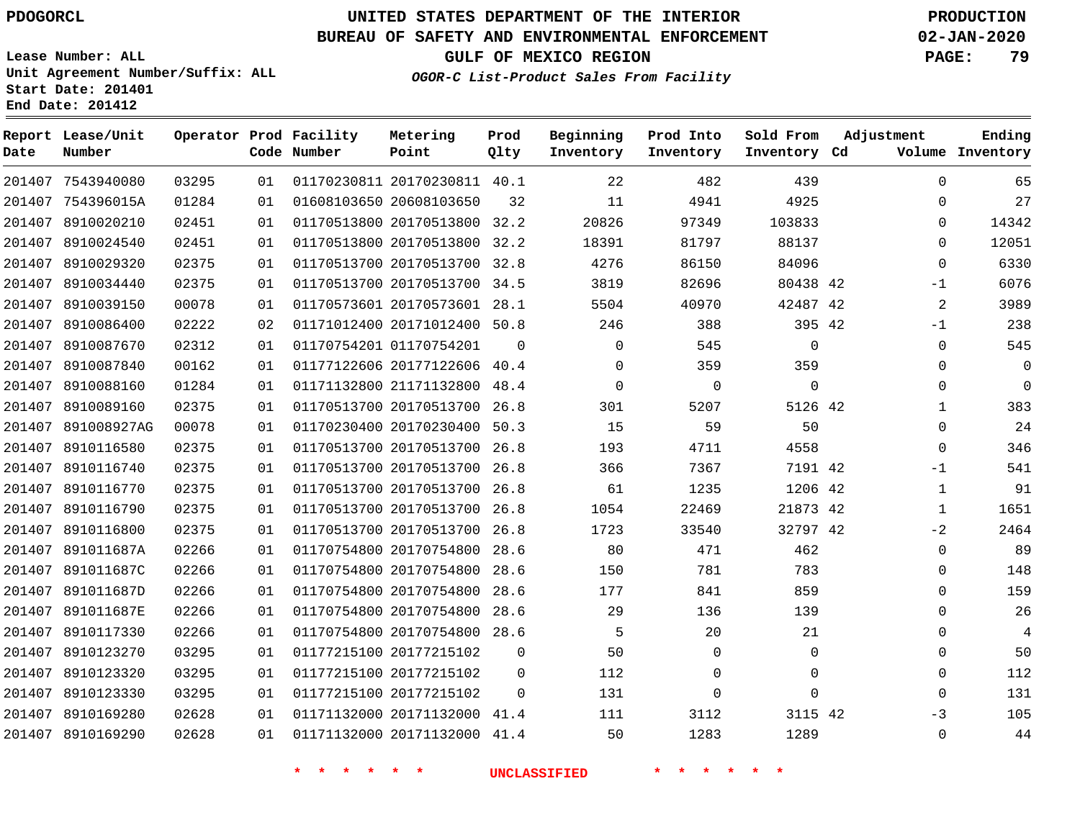**Report Date**

# **UNITED STATES DEPARTMENT OF THE INTERIOR PDOGORCL PRODUCTION**

#### **BUREAU OF SAFETY AND ENVIRONMENTAL ENFORCEMENT 02-JAN-2020**

**Lease Number: ALL Unit Agreement Number/Suffix: ALL Start Date: 201401 End Date: 201412**

**OGOR-C List-Product Sales From Facility**

**GULF OF MEXICO REGION PAGE: 79**

| Lease/Unit<br>Number |       |    | Operator Prod Facility<br>Code Number | Metering<br>Point            | Prod<br>Qlty | Beginning<br>Inventory | Prod Into<br>Inventory | Sold From<br>Inventory Cd | Adjustment  | Ending<br>Volume Inventory |
|----------------------|-------|----|---------------------------------------|------------------------------|--------------|------------------------|------------------------|---------------------------|-------------|----------------------------|
| 7543940080           | 03295 | 01 |                                       | 01170230811 20170230811 40.1 |              | 22                     | 482                    | 439                       | $\Omega$    | 65                         |
| 754396015A           | 01284 | 01 |                                       | 01608103650 20608103650      | 32           | 11                     | 4941                   | 4925                      | 0           | 27                         |
| 8910020210           | 02451 | 01 |                                       | 01170513800 20170513800 32.2 |              | 20826                  | 97349                  | 103833                    | 0           | 14342                      |
| 8910024540           | 02451 | 01 |                                       | 01170513800 20170513800      | 32.2         | 18391                  | 81797                  | 88137                     | $\Omega$    | 12051                      |
| 8910029320           | 02375 | 01 |                                       | 01170513700 20170513700 32.8 |              | 4276                   | 86150                  | 84096                     | $\mathbf 0$ | 6330                       |
| 8910034440           | 02375 | 01 |                                       | 01170513700 20170513700      | 34.5         | 3819                   | 82696                  | 80438 42                  | $-1$        | 6076                       |
| 8910039150           | 00078 | 01 |                                       | 01170573601 20170573601 28.1 |              | 5504                   | 40970                  | 42487 42                  | 2           | 3989                       |
| 8910086400           | 02222 | 02 |                                       | 01171012400 20171012400 50.8 |              | 246                    | 388                    | 395 42                    | $-1$        | 238                        |
| 8910087670           | 02312 | 01 |                                       | 01170754201 01170754201      | $\Omega$     | $\mathbf 0$            | 545                    | $\mathbf 0$               | $\mathbf 0$ | 545                        |
| 8910087840           | 00162 | 01 |                                       | 01177122606 20177122606 40.4 |              | $\Omega$               | 359                    | 359                       | $\mathbf 0$ | $\mathbf 0$                |
| 8910088160           | 01284 | 01 |                                       | 01171132800 21171132800      | 48.4         | $\Omega$               | $\mathbf 0$            | $\mathsf 0$               | $\mathbf 0$ | 0                          |
| 8910089160           | 02375 | 01 |                                       | 01170513700 20170513700      | 26.8         | 301                    | 5207                   | 5126 42                   | 1           | 383                        |
| 891008927AG          | 00078 | 01 |                                       | 01170230400 20170230400      | 50.3         | 15                     | 59                     | 50                        | $\mathbf 0$ | 24                         |
| 8910116580           | 02375 | 01 |                                       | 01170513700 20170513700      | 26.8         | 193                    | 4711                   | 4558                      | $\Omega$    | 346                        |
| 8910116740           | 02375 | 01 |                                       | 01170513700 20170513700      | 26.8         | 366                    | 7367                   | 7191 42                   | $-1$        | 541                        |
| 8910116770           | 02375 | 01 |                                       | 01170513700 20170513700      | 26.8         | 61                     | 1235                   | 1206 42                   | $\mathbf 1$ | 91                         |
| 8910116790           | 02375 | 01 |                                       | 01170513700 20170513700      | 26.8         | 1054                   | 22469                  | 21873 42                  | 1           | 1651                       |
| 8910116800           | 02375 | 01 |                                       | 01170513700 20170513700 26.8 |              | 1723                   | 33540                  | 32797 42                  | $-2$        | 2464                       |
| 891011687A           | 02266 | 01 |                                       | 01170754800 20170754800      | 28.6         | 80                     | 471                    | 462                       | $\mathbf 0$ | 89                         |
| 891011687C           | 02266 | 01 |                                       | 01170754800 20170754800      | 28.6         | 150                    | 781                    | 783                       | 0           | 148                        |
| 891011687D           | 02266 | 01 |                                       | 01170754800 20170754800      | 28.6         | 177                    | 841                    | 859                       | $\Omega$    | 159                        |
| 891011687E           | 02266 | 01 |                                       | 01170754800 20170754800      | 28.6         | 29                     | 136                    | 139                       | $\mathbf 0$ | 26                         |
| 8910117330           | 02266 | 01 |                                       | 01170754800 20170754800 28.6 |              | 5                      | 20                     | 21                        | $\mathbf 0$ | $\overline{4}$             |
| 8910123270           | 03295 | 01 |                                       | 01177215100 20177215102      | $\mathbf 0$  | 50                     | $\mathbf 0$            | 0                         | 0           | 50                         |
| 8910123320           | 03295 | 01 |                                       | 01177215100 20177215102      | $\mathbf 0$  | 112                    | $\mathbf 0$            | $\mathbf 0$               | $\mathbf 0$ | 112                        |
| 8910123330           | 03295 | 01 |                                       | 01177215100 20177215102      | $\Omega$     | 131                    | $\Omega$               | $\Omega$                  | $\Omega$    | 131                        |
| 8910169280           | 02628 | 01 |                                       | 01171132000 20171132000 41.4 |              | 111                    | 3112                   | 3115 42                   | -3          | 105                        |
| 8910169290           | 02628 | 01 |                                       | 01171132000 20171132000      | 41.4         | 50                     | 1283                   | 1289                      | $\Omega$    | 44                         |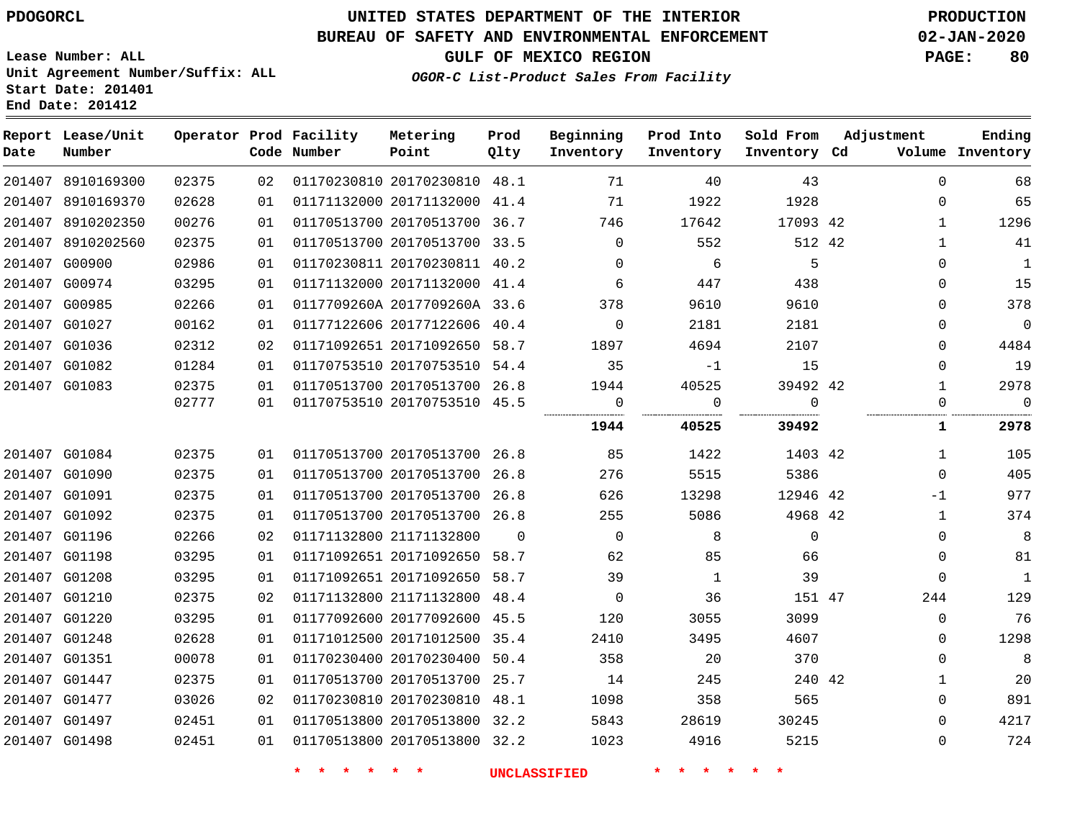# **UNITED STATES DEPARTMENT OF THE INTERIOR PDOGORCL PRODUCTION**

### **BUREAU OF SAFETY AND ENVIRONMENTAL ENFORCEMENT 02-JAN-2020**

**Lease Number: ALL Unit Agreement Number/Suffix: ALL Start Date: 201401**

**GULF OF MEXICO REGION PAGE: 80**

**OGOR-C List-Product Sales From Facility**

| Date | Report Lease/Unit<br>Number |       |    | Operator Prod Facility<br>Code Number | Metering<br>Point            | Prod<br>Qlty | Beginning<br>Inventory | Prod Into<br>Inventory | Sold From<br>Inventory Cd | Adjustment |              | Ending<br>Volume Inventory |
|------|-----------------------------|-------|----|---------------------------------------|------------------------------|--------------|------------------------|------------------------|---------------------------|------------|--------------|----------------------------|
|      | 201407 8910169300           | 02375 | 02 |                                       | 01170230810 20170230810 48.1 |              | 71                     | 40                     | 43                        |            | $\mathbf 0$  | 68                         |
|      | 201407 8910169370           | 02628 | 01 |                                       | 01171132000 20171132000 41.4 |              | 71                     | 1922                   | 1928                      |            | 0            | 65                         |
|      | 201407 8910202350           | 00276 | 01 |                                       | 01170513700 20170513700 36.7 |              | 746                    | 17642                  | 17093 42                  |            | $\mathbf{1}$ | 1296                       |
|      | 201407 8910202560           | 02375 | 01 |                                       | 01170513700 20170513700 33.5 |              | 0                      | 552                    | 512 42                    |            | 1            | 41                         |
|      | 201407 G00900               | 02986 | 01 |                                       | 01170230811 20170230811 40.2 |              | $\Omega$               | 6                      | - 5                       |            | 0            | $\mathbf{1}$               |
|      | 201407 G00974               | 03295 | 01 |                                       | 01171132000 20171132000 41.4 |              | 6                      | 447                    | 438                       |            | 0            | 15                         |
|      | 201407 G00985               | 02266 | 01 |                                       | 0117709260A 2017709260A 33.6 |              | 378                    | 9610                   | 9610                      |            | 0            | 378                        |
|      | 201407 G01027               | 00162 | 01 |                                       | 01177122606 20177122606 40.4 |              | $\overline{0}$         | 2181                   | 2181                      |            | 0            | $\mathbf 0$                |
|      | 201407 G01036               | 02312 | 02 |                                       | 01171092651 20171092650 58.7 |              | 1897                   | 4694                   | 2107                      |            | 0            | 4484                       |
|      | 201407 G01082               | 01284 | 01 |                                       | 01170753510 20170753510 54.4 |              | 35                     | $-1$                   | 15                        |            | 0            | 19                         |
|      | 201407 G01083               | 02375 | 01 |                                       | 01170513700 20170513700 26.8 |              | 1944                   | 40525                  | 39492 42                  |            | $\mathbf{1}$ | 2978                       |
|      |                             | 02777 | 01 |                                       | 01170753510 20170753510 45.5 |              | 0<br>                  | $\Omega$               | $\Omega$<br>              |            | 0            | $\Omega$                   |
|      |                             |       |    |                                       |                              |              | 1944                   | 40525                  | 39492                     |            | 1            | 2978                       |
|      | 201407 G01084               | 02375 | 01 |                                       | 01170513700 20170513700 26.8 |              | 85                     | 1422                   | 1403 42                   |            | $\mathbf{1}$ | 105                        |
|      | 201407 G01090               | 02375 | 01 |                                       | 01170513700 20170513700 26.8 |              | 276                    | 5515                   | 5386                      |            | $\Omega$     | 405                        |
|      | 201407 G01091               | 02375 | 01 |                                       | 01170513700 20170513700 26.8 |              | 626                    | 13298                  | 12946 42                  |            | $-1$         | 977                        |
|      | 201407 G01092               | 02375 | 01 |                                       | 01170513700 20170513700 26.8 |              | 255                    | 5086                   | 4968 42                   |            | $\mathbf{1}$ | 374                        |
|      | 201407 G01196               | 02266 | 02 |                                       | 01171132800 21171132800      | $\Omega$     | $\Omega$               | 8                      | $\mathbf 0$               |            | 0            | 8                          |
|      | 201407 G01198               | 03295 | 01 |                                       | 01171092651 20171092650 58.7 |              | 62                     | 85                     | 66                        |            | $\Omega$     | 81                         |
|      | 201407 G01208               | 03295 | 01 |                                       | 01171092651 20171092650 58.7 |              | 39                     | $\mathbf{1}$           | 39                        |            | 0            | $\mathbf{1}$               |
|      | 201407 G01210               | 02375 | 02 |                                       | 01171132800 21171132800 48.4 |              | $\Omega$               | 36                     | 151 47                    |            | 244          | 129                        |
|      | 201407 G01220               | 03295 | 01 |                                       | 01177092600 20177092600 45.5 |              | 120                    | 3055                   | 3099                      |            | 0            | 76                         |
|      | 201407 G01248               | 02628 | 01 |                                       | 01171012500 20171012500 35.4 |              | 2410                   | 3495                   | 4607                      |            | 0            | 1298                       |
|      | 201407 G01351               | 00078 | 01 |                                       | 01170230400 20170230400      | 50.4         | 358                    | 20                     | 370                       |            | 0            | 8                          |
|      | 201407 G01447               | 02375 | 01 |                                       | 01170513700 20170513700 25.7 |              | 14                     | 245                    | 240 42                    |            | 1            | 20                         |
|      | 201407 G01477               | 03026 | 02 |                                       | 01170230810 20170230810 48.1 |              | 1098                   | 358                    | 565                       |            | 0            | 891                        |
|      | 201407 G01497               | 02451 | 01 |                                       | 01170513800 20170513800 32.2 |              | 5843                   | 28619                  | 30245                     |            | 0            | 4217                       |
|      | 201407 G01498               | 02451 | 01 |                                       | 01170513800 20170513800 32.2 |              | 1023                   | 4916                   | 5215                      |            | $\Omega$     | 724                        |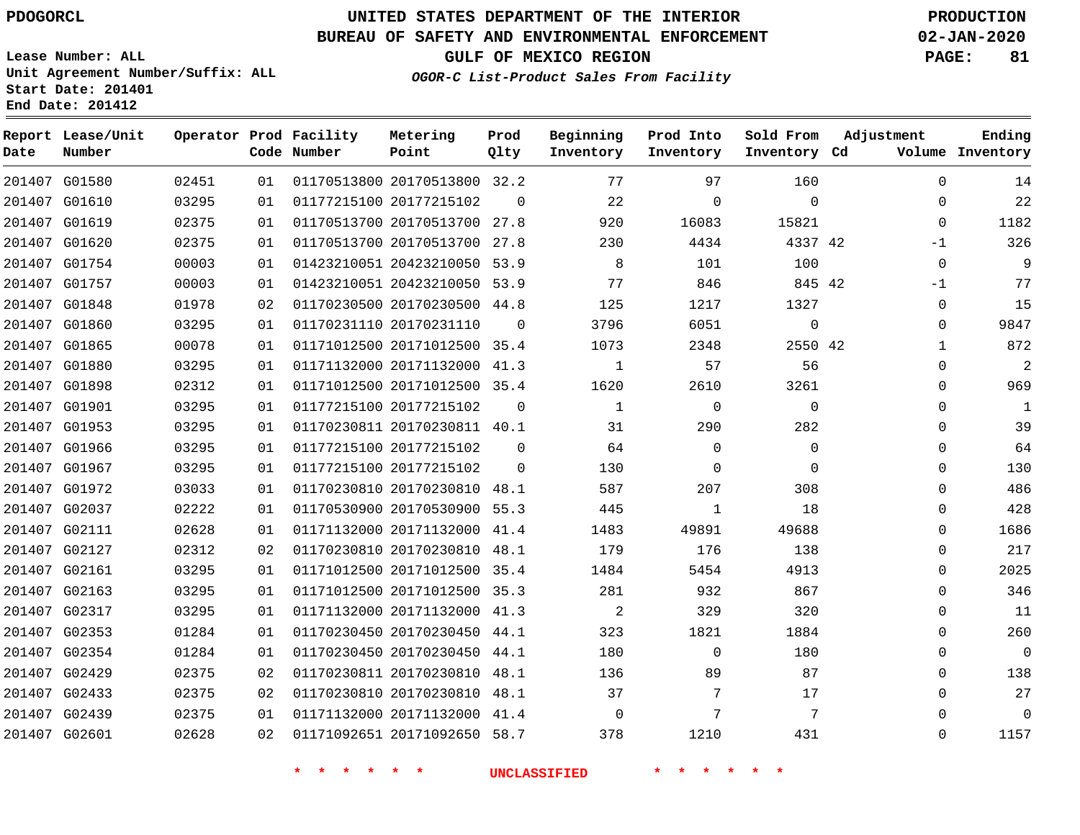#### **BUREAU OF SAFETY AND ENVIRONMENTAL ENFORCEMENT 02-JAN-2020**

**Lease Number: ALL Unit Agreement Number/Suffix: ALL Start Date: 201401 End Date: 201412**

**OGOR-C List-Product Sales From Facility**

**Ending**

**GULF OF MEXICO REGION PAGE: 81**

| Date   | Report Lease/Unit<br>Number |       |    | Operator Prod Facility<br>Code Number | Metering<br>Point            | Prod<br>01ty | Beginning<br>Inventory | Prod Into<br>Inventory | Sold From<br>Inventory Cd | Adjustment   | Ending<br>Volume Inventory |
|--------|-----------------------------|-------|----|---------------------------------------|------------------------------|--------------|------------------------|------------------------|---------------------------|--------------|----------------------------|
|        | 201407 G01580               | 02451 | 01 |                                       | 01170513800 20170513800 32.2 |              | 77                     | 97                     | 160                       | $\Omega$     | 14                         |
|        | 201407 G01610               | 03295 | 01 |                                       | 01177215100 20177215102      | $\Omega$     | 22                     | $\Omega$               | $\Omega$                  | $\Omega$     | 22                         |
|        | 201407 G01619               | 02375 | 01 |                                       | 01170513700 20170513700 27.8 |              | 920                    | 16083                  | 15821                     | $\Omega$     | 1182                       |
|        | 201407 G01620               | 02375 | 01 |                                       | 01170513700 20170513700      | 27.8         | 230                    | 4434                   | 4337 42                   | $-1$         | 326                        |
|        | 201407 G01754               | 00003 | 01 |                                       | 01423210051 20423210050 53.9 |              | 8                      | 101                    | 100                       | $\mathbf 0$  | 9                          |
| 201407 | G01757                      | 00003 | 01 |                                       | 01423210051 20423210050 53.9 |              | 77                     | 846                    | 845 42                    | $-1$         | 77                         |
|        | 201407 G01848               | 01978 | 02 |                                       | 01170230500 20170230500 44.8 |              | 125                    | 1217                   | 1327                      | 0            | 15                         |
|        | 201407 G01860               | 03295 | 01 |                                       | 01170231110 20170231110      | $\Omega$     | 3796                   | 6051                   | $\mathbf 0$               | 0            | 9847                       |
|        | 201407 G01865               | 00078 | 01 |                                       | 01171012500 20171012500 35.4 |              | 1073                   | 2348                   | 2550 42                   | $\mathbf{1}$ | 872                        |
|        | 201407 G01880               | 03295 | 01 |                                       | 01171132000 20171132000 41.3 |              | $\mathbf{1}$           | 57                     | 56                        | 0            | $\overline{2}$             |
|        | 201407 G01898               | 02312 | 01 |                                       | 01171012500 20171012500 35.4 |              | 1620                   | 2610                   | 3261                      | $\Omega$     | 969                        |
|        | 201407 G01901               | 03295 | 01 |                                       | 01177215100 20177215102      | 0            | $\mathbf{1}$           | $\mathbf 0$            | $\mathbf 0$               | 0            | $\mathbf{1}$               |
|        | 201407 G01953               | 03295 | 01 |                                       | 01170230811 20170230811 40.1 |              | 31                     | 290                    | 282                       | 0            | 39                         |
|        | 201407 G01966               | 03295 | 01 |                                       | 01177215100 20177215102      | $\Omega$     | 64                     | $\Omega$               | $\Omega$                  | $\Omega$     | 64                         |
|        | 201407 G01967               | 03295 | 01 |                                       | 01177215100 20177215102      | $\Omega$     | 130                    | $\Omega$               | $\Omega$                  | $\Omega$     | 130                        |
| 201407 | G01972                      | 03033 | 01 |                                       | 01170230810 20170230810      | 48.1         | 587                    | 207                    | 308                       | $\Omega$     | 486                        |
|        | 201407 G02037               | 02222 | 01 |                                       | 01170530900 20170530900 55.3 |              | 445                    | 1                      | 18                        | $\Omega$     | 428                        |
| 201407 | G02111                      | 02628 | 01 |                                       | 01171132000 20171132000 41.4 |              | 1483                   | 49891                  | 49688                     | $\mathbf{0}$ | 1686                       |
|        | 201407 G02127               | 02312 | 02 |                                       | 01170230810 20170230810 48.1 |              | 179                    | 176                    | 138                       | 0            | 217                        |
| 201407 | G02161                      | 03295 | 01 |                                       | 01171012500 20171012500      | 35.4         | 1484                   | 5454                   | 4913                      | $\mathbf{0}$ | 2025                       |
|        | 201407 G02163               | 03295 | 01 |                                       | 01171012500 20171012500 35.3 |              | 281                    | 932                    | 867                       | 0            | 346                        |
| 201407 | G02317                      | 03295 | 01 |                                       | 01171132000 20171132000 41.3 |              | $\overline{a}$         | 329                    | 320                       | 0            | 11                         |
|        | 201407 G02353               | 01284 | 01 |                                       | 01170230450 20170230450 44.1 |              | 323                    | 1821                   | 1884                      | 0            | 260                        |
| 201407 | G02354                      | 01284 | 01 |                                       | 01170230450 20170230450      | 44.1         | 180                    | 0                      | 180                       | 0            | $\mathbf 0$                |
|        | 201407 G02429               | 02375 | 02 |                                       | 01170230811 20170230810 48.1 |              | 136                    | 89                     | 87                        | 0            | 138                        |
|        | 201407 G02433               | 02375 | 02 |                                       | 01170230810 20170230810 48.1 |              | 37                     | 7                      | 17                        | 0            | 27                         |
|        | 201407 G02439               | 02375 | 01 |                                       | 01171132000 20171132000 41.4 |              | $\mathbf 0$            | 7                      | 7                         | $\Omega$     | $\mathbf 0$                |
|        | 201407 G02601               | 02628 | 02 |                                       | 01171092651 20171092650 58.7 |              | 378                    | 1210                   | 431                       | $\Omega$     | 1157                       |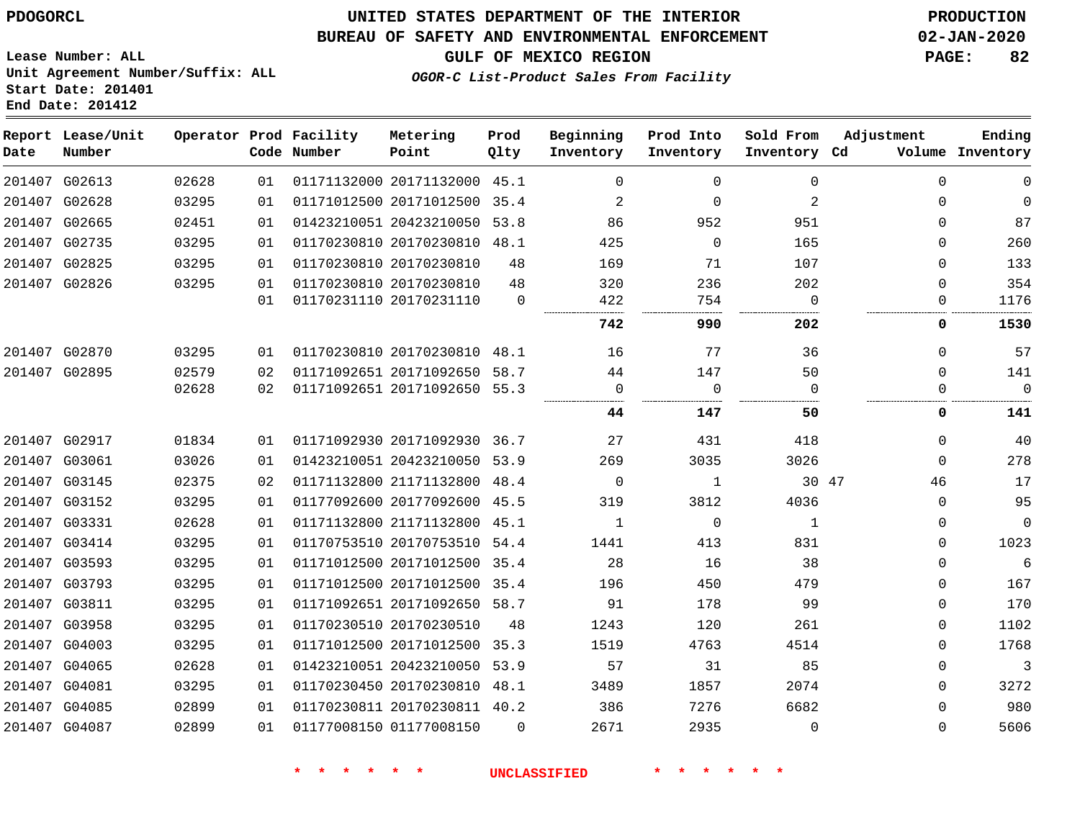### **BUREAU OF SAFETY AND ENVIRONMENTAL ENFORCEMENT 02-JAN-2020**

**Lease Number: ALL Unit Agreement Number/Suffix: ALL Start Date: 201401 End Date: 201412**

**GULF OF MEXICO REGION PAGE: 82**

**OGOR-C List-Product Sales From Facility**

| Date | Report Lease/Unit<br>Number |       |    | Operator Prod Facility<br>Code Number | Metering<br>Point            | Prod<br>Qlty | Beginning<br>Inventory | Prod Into<br>Inventory | Sold From<br>Inventory Cd | Adjustment  | Ending<br>Volume Inventory |
|------|-----------------------------|-------|----|---------------------------------------|------------------------------|--------------|------------------------|------------------------|---------------------------|-------------|----------------------------|
|      | 201407 G02613               | 02628 | 01 |                                       | 01171132000 20171132000 45.1 |              | $\Omega$               | $\Omega$               | $\Omega$                  | $\Omega$    | $\mathbf 0$                |
|      | 201407 G02628               | 03295 | 01 |                                       | 01171012500 20171012500 35.4 |              | 2                      | $\Omega$               | 2                         | $\Omega$    | $\Omega$                   |
|      | 201407 G02665               | 02451 | 01 |                                       | 01423210051 20423210050 53.8 |              | 86                     | 952                    | 951                       | $\Omega$    | 87                         |
|      | 201407 G02735               | 03295 | 01 |                                       | 01170230810 20170230810 48.1 |              | 425                    | $\Omega$               | 165                       | $\Omega$    | 260                        |
|      | 201407 G02825               | 03295 | 01 |                                       | 01170230810 20170230810      | 48           | 169                    | 71                     | 107                       | $\Omega$    | 133                        |
|      | 201407 G02826               | 03295 | 01 |                                       | 01170230810 20170230810      | 48           | 320                    | 236                    | 202                       | $\Omega$    | 354                        |
|      |                             |       | 01 |                                       | 01170231110 20170231110      | $\Omega$     | 422                    | 754                    | $\Omega$                  | $\Omega$    | 1176                       |
|      |                             |       |    |                                       |                              |              | 742                    | 990                    | 202                       | 0           | 1530                       |
|      | 201407 G02870               | 03295 | 01 |                                       | 01170230810 20170230810 48.1 |              | 16                     | 77                     | 36                        | 0           | 57                         |
|      | 201407 G02895               | 02579 | 02 |                                       | 01171092651 20171092650 58.7 |              | 44                     | 147                    | 50                        | $\Omega$    | 141                        |
|      |                             | 02628 | 02 |                                       | 01171092651 20171092650 55.3 |              | 0                      | $\mathbf 0$            | $\Omega$                  | $\Omega$    | $\mathbf 0$                |
|      |                             |       |    |                                       |                              |              | 44                     | 147                    | 50                        | 0           | 141                        |
|      | 201407 G02917               | 01834 | 01 |                                       | 01171092930 20171092930 36.7 |              | 27                     | 431                    | 418                       | $\Omega$    | 40                         |
|      | 201407 G03061               | 03026 | 01 |                                       | 01423210051 20423210050 53.9 |              | 269                    | 3035                   | 3026                      | $\Omega$    | 278                        |
|      | 201407 G03145               | 02375 | 02 |                                       | 01171132800 21171132800 48.4 |              | 0                      | 1                      | 30 47                     | 46          | 17                         |
|      | 201407 G03152               | 03295 | 01 |                                       | 01177092600 20177092600 45.5 |              | 319                    | 3812                   | 4036                      | $\mathbf 0$ | 95                         |
|      | 201407 G03331               | 02628 | 01 |                                       | 01171132800 21171132800 45.1 |              | $\mathbf{1}$           | $\Omega$               | $\mathbf{1}$              | $\Omega$    | $\mathbf{0}$               |
|      | 201407 G03414               | 03295 | 01 |                                       | 01170753510 20170753510 54.4 |              | 1441                   | 413                    | 831                       | $\Omega$    | 1023                       |
|      | 201407 G03593               | 03295 | 01 |                                       | 01171012500 20171012500 35.4 |              | 28                     | 16                     | 38                        | $\Omega$    | 6                          |
|      | 201407 G03793               | 03295 | 01 |                                       | 01171012500 20171012500 35.4 |              | 196                    | 450                    | 479                       | $\Omega$    | 167                        |
|      | 201407 G03811               | 03295 | 01 |                                       | 01171092651 20171092650 58.7 |              | 91                     | 178                    | 99                        | $\Omega$    | 170                        |
|      | 201407 G03958               | 03295 | 01 |                                       | 01170230510 20170230510      | 48           | 1243                   | 120                    | 261                       | $\Omega$    | 1102                       |
|      | 201407 G04003               | 03295 | 01 |                                       | 01171012500 20171012500 35.3 |              | 1519                   | 4763                   | 4514                      | $\Omega$    | 1768                       |
|      | 201407 G04065               | 02628 | 01 |                                       | 01423210051 20423210050 53.9 |              | 57                     | 31                     | 85                        | $\Omega$    | $\overline{3}$             |
|      | 201407 G04081               | 03295 | 01 |                                       | 01170230450 20170230810 48.1 |              | 3489                   | 1857                   | 2074                      | $\Omega$    | 3272                       |
|      | 201407 G04085               | 02899 | 01 |                                       | 01170230811 20170230811 40.2 |              | 386                    | 7276                   | 6682                      | $\Omega$    | 980                        |
|      | 201407 G04087               | 02899 | 01 |                                       | 01177008150 01177008150      | $\Omega$     | 2671                   | 2935                   | $\Omega$                  | $\Omega$    | 5606                       |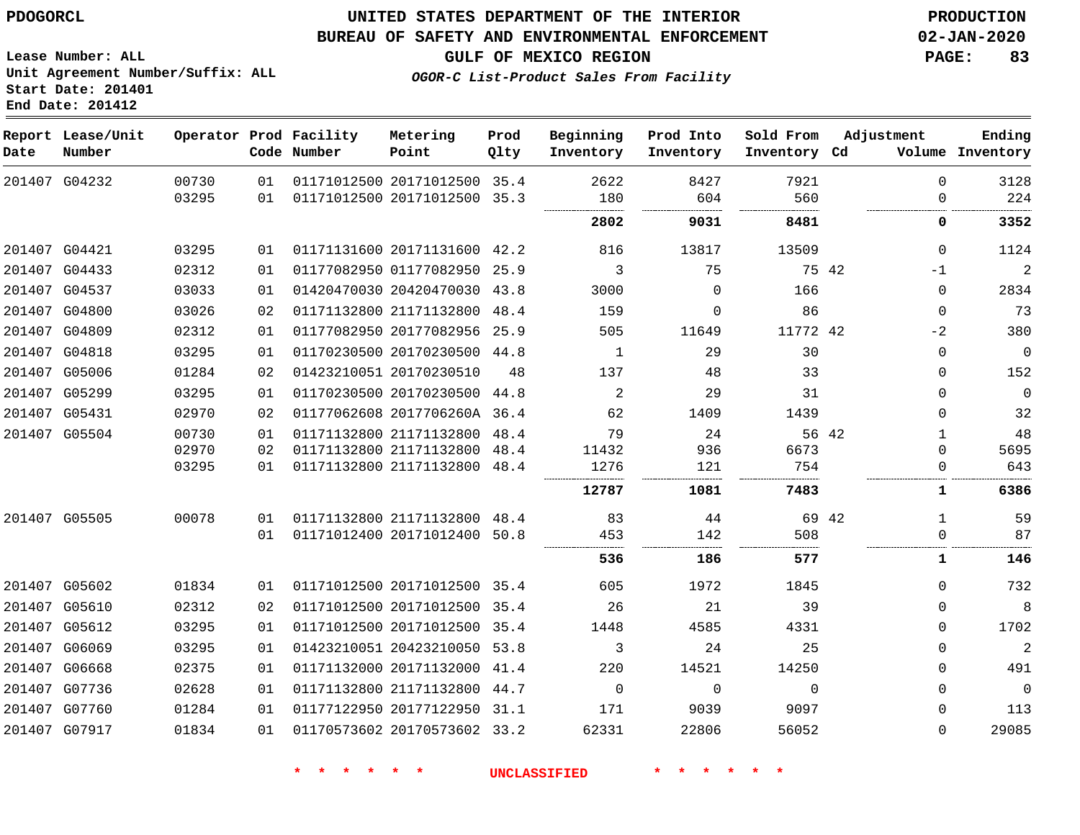#### **BUREAU OF SAFETY AND ENVIRONMENTAL ENFORCEMENT 02-JAN-2020**

**GULF OF MEXICO REGION PAGE: 83**

**Lease Number: ALL Unit Agreement Number/Suffix: ALL Start Date: 201401 End Date: 201412**

**OGOR-C List-Product Sales From Facility**

| Date | Report Lease/Unit<br>Number |                |          | Operator Prod Facility<br>Code Number | Metering<br>Point                                       | Prod<br>Qlty | Beginning<br>Inventory | Prod Into<br>Inventory | Sold From<br>Inventory Cd | Adjustment           | Ending<br>Volume Inventory |
|------|-----------------------------|----------------|----------|---------------------------------------|---------------------------------------------------------|--------------|------------------------|------------------------|---------------------------|----------------------|----------------------------|
|      | 201407 G04232               | 00730<br>03295 | 01<br>01 |                                       | 01171012500 20171012500 35.4<br>01171012500 20171012500 | 35.3         | 2622<br>180            | 8427<br>604            | 7921<br>560               | $\Omega$<br>$\Omega$ | 3128<br>224                |
|      |                             |                |          |                                       |                                                         |              | 2802                   | 9031                   | 8481                      | 0                    | 3352                       |
|      | 201407 G04421               | 03295          | 01       |                                       | 01171131600 20171131600 42.2                            |              | 816                    | 13817                  | 13509                     | $\Omega$             | 1124                       |
|      | 201407 G04433               | 02312          | 01       |                                       | 01177082950 01177082950 25.9                            |              | 3                      | 75                     |                           | 75 42<br>$-1$        | $\overline{a}$             |
|      | 201407 G04537               | 03033          | 01       |                                       | 01420470030 20420470030 43.8                            |              | 3000                   | $\Omega$               | 166                       | $\mathbf 0$          | 2834                       |
|      | 201407 G04800               | 03026          | 02       |                                       | 01171132800 21171132800 48.4                            |              | 159                    | 0                      | 86                        | 0                    | 73                         |
|      | 201407 G04809               | 02312          | 01       |                                       | 01177082950 20177082956 25.9                            |              | 505                    | 11649                  | 11772 42                  | $-2$                 | 380                        |
|      | 201407 G04818               | 03295          | 01       |                                       | 01170230500 20170230500 44.8                            |              | 1                      | 29                     | 30                        | $\mathbf 0$          | $\mathbf 0$                |
|      | 201407 G05006               | 01284          | 02       |                                       | 01423210051 20170230510                                 | 48           | 137                    | 48                     | 33                        | $\Omega$             | 152                        |
|      | 201407 G05299               | 03295          | 01       |                                       | 01170230500 20170230500                                 | 44.8         | 2                      | 29                     | 31                        | $\Omega$             | $\mathbf 0$                |
|      | 201407 G05431               | 02970          | 02       |                                       | 01177062608 2017706260A 36.4                            |              | 62                     | 1409                   | 1439                      | $\Omega$             | 32                         |
|      | 201407 G05504               | 00730          | 01       |                                       | 01171132800 21171132800                                 | 48.4         | 79                     | 24                     |                           | 56 42<br>1           | 48                         |
|      |                             | 02970          | 02       |                                       | 01171132800 21171132800                                 | 48.4         | 11432                  | 936                    | 6673                      | $\Omega$             | 5695                       |
|      |                             | 03295          | 01       |                                       | 01171132800 21171132800                                 | 48.4         | 1276                   | 121                    | 754                       | $\mathbf 0$          | 643                        |
|      |                             |                |          |                                       |                                                         |              | 12787                  | 1081                   | 7483                      | 1                    | 6386                       |
|      | 201407 G05505               | 00078          | 01       |                                       | 01171132800 21171132800 48.4                            |              | 83                     | 44                     |                           | 69 42<br>1           | 59                         |
|      |                             |                | 01       |                                       | 01171012400 20171012400 50.8                            |              | 453<br>                | 142                    | 508                       | $\Omega$             | 87                         |
|      |                             |                |          |                                       |                                                         |              | 536                    | 186                    | 577                       | $\mathbf 1$          | 146                        |
|      | 201407 G05602               | 01834          | 01       |                                       | 01171012500 20171012500 35.4                            |              | 605                    | 1972                   | 1845                      | $\Omega$             | 732                        |
|      | 201407 G05610               | 02312          | 02       |                                       | 01171012500 20171012500 35.4                            |              | 26                     | 21                     | 39                        | $\Omega$             | 8                          |
|      | 201407 G05612               | 03295          | 01       |                                       | 01171012500 20171012500 35.4                            |              | 1448                   | 4585                   | 4331                      | $\Omega$             | 1702                       |
|      | 201407 G06069               | 03295          | 01       |                                       | 01423210051 20423210050 53.8                            |              | 3                      | 24                     | 25                        | $\mathbf 0$          | $\overline{a}$             |
|      | 201407 G06668               | 02375          | 01       |                                       | 01171132000 20171132000 41.4                            |              | 220                    | 14521                  | 14250                     | $\Omega$             | 491                        |
|      | 201407 G07736               | 02628          | 01       |                                       | 01171132800 21171132800 44.7                            |              | $\Omega$               | $\mathbf{0}$           | $\Omega$                  | $\mathbf 0$          | $\mathbf 0$                |
|      | 201407 G07760               | 01284          | 01       |                                       | 01177122950 20177122950 31.1                            |              | 171                    | 9039                   | 9097                      | $\Omega$             | 113                        |
|      | 201407 G07917               | 01834          | 01       |                                       | 01170573602 20170573602 33.2                            |              | 62331                  | 22806                  | 56052                     | $\Omega$             | 29085                      |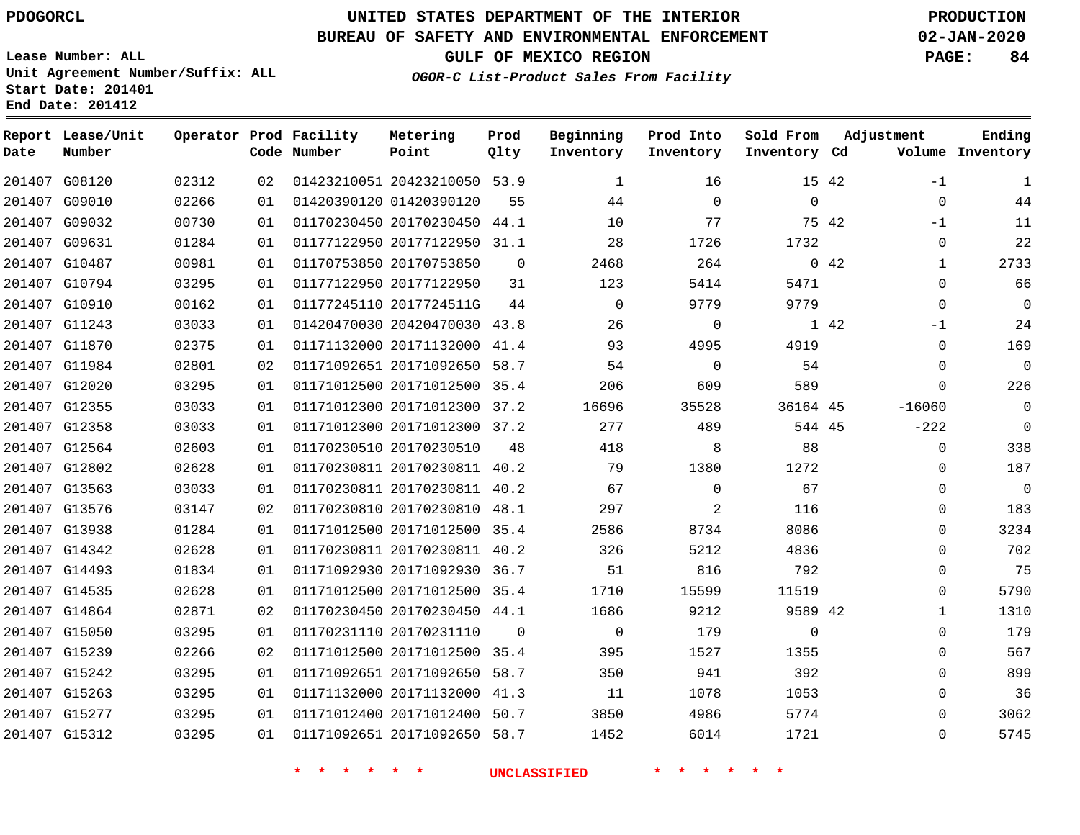# **UNITED STATES DEPARTMENT OF THE INTERIOR PDOGORCL PRODUCTION**

### **BUREAU OF SAFETY AND ENVIRONMENTAL ENFORCEMENT 02-JAN-2020**

**Lease Number: ALL Unit Agreement Number/Suffix: ALL Start Date: 201401**

**OGOR-C List-Product Sales From Facility**

**GULF OF MEXICO REGION PAGE: 84**

**Adjustment**

**Ending**

#### **Operator Prod Facility Metering Prod Beginning Prod Into Sold From**

| Date | Report Lease/Unit<br>Number |       |    | Operator Prod Facility<br>Code Number | Metering<br>Point            | Prod<br>Qlty | Beginning<br>Inventory | Prod Into<br>Inventory | Sold From<br>Inventory Cd |       | Adjustment  | Ending<br>Volume Inventory |
|------|-----------------------------|-------|----|---------------------------------------|------------------------------|--------------|------------------------|------------------------|---------------------------|-------|-------------|----------------------------|
|      | 201407 G08120               | 02312 | 02 |                                       | 01423210051 20423210050 53.9 |              | 1                      | 16                     |                           | 15 42 | $-1$        | 1                          |
|      | 201407 G09010               | 02266 | 01 |                                       | 01420390120 01420390120      | 55           | 44                     | $\mathbf 0$            | $\mathbf 0$               |       | $\mathbf 0$ | 44                         |
|      | 201407 G09032               | 00730 | 01 |                                       | 01170230450 20170230450 44.1 |              | 10                     | 77                     |                           | 75 42 | $-1$        | 11                         |
|      | 201407 G09631               | 01284 | 01 |                                       | 01177122950 20177122950      | 31.1         | 28                     | 1726                   | 1732                      |       | $\mathbf 0$ | 22                         |
|      | 201407 G10487               | 00981 | 01 |                                       | 01170753850 20170753850      | $\mathbf 0$  | 2468                   | 264                    |                           | 0.42  | 1           | 2733                       |
|      | 201407 G10794               | 03295 | 01 |                                       | 01177122950 20177122950      | 31           | 123                    | 5414                   | 5471                      |       | $\Omega$    | 66                         |
|      | 201407 G10910               | 00162 | 01 |                                       | 01177245110 2017724511G      | 44           | $\mathbf 0$            | 9779                   | 9779                      |       | $\Omega$    | $\Omega$                   |
|      | 201407 G11243               | 03033 | 01 |                                       | 01420470030 20420470030 43.8 |              | 26                     | $\Omega$               |                           | 1 42  | $-1$        | 24                         |
|      | 201407 G11870               | 02375 | 01 |                                       | 01171132000 20171132000      | 41.4         | 93                     | 4995                   | 4919                      |       | 0           | 169                        |
|      | 201407 G11984               | 02801 | 02 |                                       | 01171092651 20171092650      | 58.7         | 54                     | 0                      | 54                        |       | 0           | $\mathbf 0$                |
|      | 201407 G12020               | 03295 | 01 |                                       | 01171012500 20171012500 35.4 |              | 206                    | 609                    | 589                       |       | $\Omega$    | 226                        |
|      | 201407 G12355               | 03033 | 01 |                                       | 01171012300 20171012300      | 37.2         | 16696                  | 35528                  | 36164 45                  |       | $-16060$    | $\mathbf 0$                |
|      | 201407 G12358               | 03033 | 01 |                                       | 01171012300 20171012300 37.2 |              | 277                    | 489                    | 544 45                    |       | $-222$      | $\mathbf 0$                |
|      | 201407 G12564               | 02603 | 01 |                                       | 01170230510 20170230510      | 48           | 418                    | 8                      | 88                        |       | $\mathbf 0$ | 338                        |
|      | 201407 G12802               | 02628 | 01 |                                       | 01170230811 20170230811 40.2 |              | 79                     | 1380                   | 1272                      |       | $\Omega$    | 187                        |
|      | 201407 G13563               | 03033 | 01 |                                       | 01170230811 20170230811 40.2 |              | 67                     | $\Omega$               | 67                        |       | $\mathbf 0$ | $\overline{0}$             |
|      | 201407 G13576               | 03147 | 02 |                                       | 01170230810 20170230810 48.1 |              | 297                    | 2                      | 116                       |       | $\Omega$    | 183                        |
|      | 201407 G13938               | 01284 | 01 |                                       | 01171012500 20171012500 35.4 |              | 2586                   | 8734                   | 8086                      |       | $\Omega$    | 3234                       |
|      | 201407 G14342               | 02628 | 01 |                                       | 01170230811 20170230811 40.2 |              | 326                    | 5212                   | 4836                      |       | $\mathbf 0$ | 702                        |
|      | 201407 G14493               | 01834 | 01 |                                       | 01171092930 20171092930      | 36.7         | 51                     | 816                    | 792                       |       | 0           | 75                         |
|      | 201407 G14535               | 02628 | 01 |                                       | 01171012500 20171012500 35.4 |              | 1710                   | 15599                  | 11519                     |       | 0           | 5790                       |
|      | 201407 G14864               | 02871 | 02 |                                       | 01170230450 20170230450 44.1 |              | 1686                   | 9212                   | 9589 42                   |       | 1           | 1310                       |
|      | 201407 G15050               | 03295 | 01 |                                       | 01170231110 20170231110      | $\mathbf 0$  | 0                      | 179                    | $\mathbf 0$               |       | $\mathbf 0$ | 179                        |
|      | 201407 G15239               | 02266 | 02 |                                       | 01171012500 20171012500      | 35.4         | 395                    | 1527                   | 1355                      |       | $\mathbf 0$ | 567                        |
|      | 201407 G15242               | 03295 | 01 |                                       | 01171092651 20171092650      | 58.7         | 350                    | 941                    | 392                       |       | $\Omega$    | 899                        |
|      | 201407 G15263               | 03295 | 01 |                                       | 01171132000 20171132000      | 41.3         | 11                     | 1078                   | 1053                      |       | $\Omega$    | 36                         |
|      | 201407 G15277               | 03295 | 01 |                                       | 01171012400 20171012400      | 50.7         | 3850                   | 4986                   | 5774                      |       | $\Omega$    | 3062                       |
|      | 201407 G15312               | 03295 | 01 |                                       | 01171092651 20171092650 58.7 |              | 1452                   | 6014                   | 1721                      |       | $\Omega$    | 5745                       |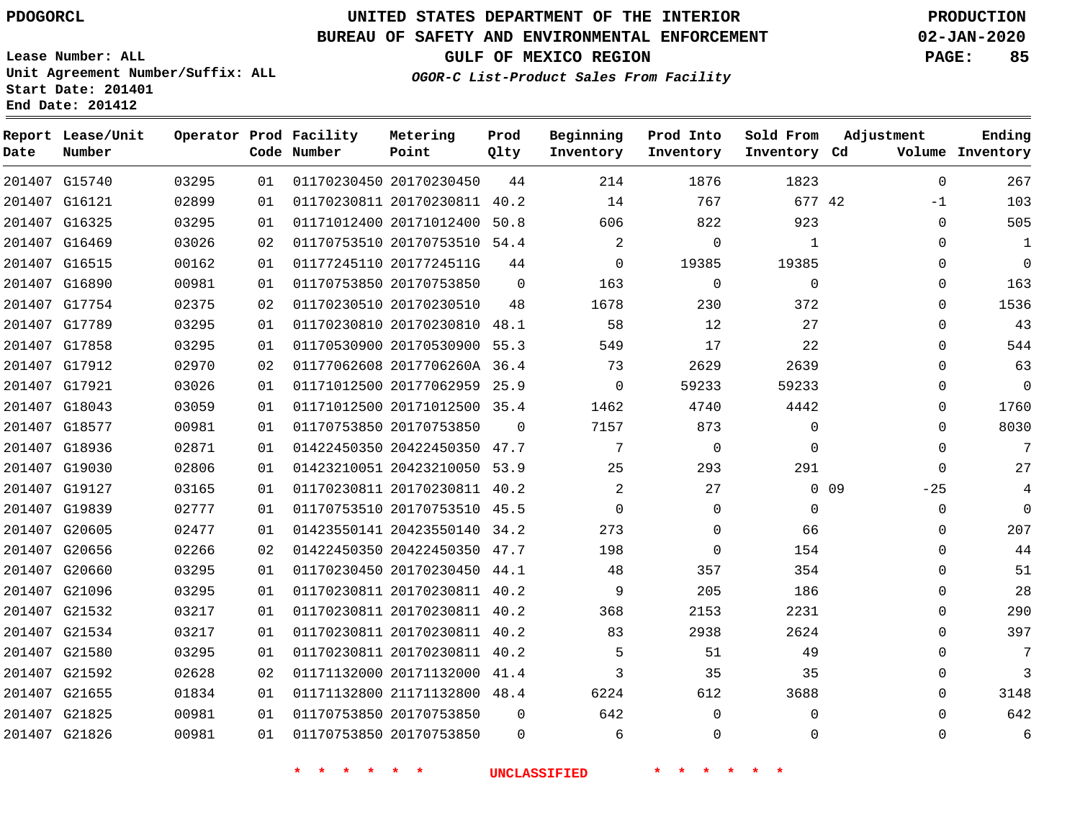G20605 G20656 G20660 G21096 G21532 G21534 G21580 G21592 G21655 G21825 G21826

# **UNITED STATES DEPARTMENT OF THE INTERIOR PDOGORCL PRODUCTION**

#### **BUREAU OF SAFETY AND ENVIRONMENTAL ENFORCEMENT 02-JAN-2020**

**Lease Number: ALL Unit Agreement Number/Suffix: ALL Start Date: 201401**

**OGOR-C List-Product Sales From Facility**

**GULF OF MEXICO REGION PAGE: 85**

 -1  $\Omega$  $\Omega$  $\Omega$  $\Omega$  $\Omega$  $\Omega$  $\Omega$  $\Omega$  $\Omega$  $\Omega$  $\Omega$   $\Omega$  $-25$  $\Omega$  $\Omega$  $\Omega$  $\Omega$   $\Omega$  $\Omega$   $\Omega$   $\Omega$ 

| Date   | Report Lease/Unit<br>Number |       |    | Operator Prod Facility<br>Code Number | Metering<br>Point            | Prod<br>Qlty | Beginning<br>Inventory | Prod Into<br>Inventory | Sold From<br>Inventory Cd | Adjustment<br>Volume     | Ending<br>Inventory |
|--------|-----------------------------|-------|----|---------------------------------------|------------------------------|--------------|------------------------|------------------------|---------------------------|--------------------------|---------------------|
|        | 201407 G15740               | 03295 | 01 |                                       | 01170230450 20170230450      | 44           | 214                    | 1876                   | 1823                      | $\Omega$                 | 267                 |
|        | 201407 G16121               | 02899 | 01 |                                       | 01170230811 20170230811      | 40.2         | 14                     | 767                    | 677 42                    | $-1$                     | 103                 |
|        | 201407 G16325               | 03295 | 01 |                                       | 01171012400 20171012400      | 50.8         | 606                    | 822                    | 923                       | $\Omega$                 | 505                 |
| 201407 | G16469                      | 03026 | 02 |                                       | 01170753510 20170753510 54.4 |              | $\overline{2}$         | 0                      |                           | $\Omega$                 | 1                   |
|        | 201407 G16515               | 00162 | 01 |                                       | 01177245110 2017724511G      | 44           | $\Omega$               | 19385                  | 19385                     | $\Omega$                 | 0                   |
|        | 201407 G16890               | 00981 | 01 |                                       | 01170753850 20170753850      | $\Omega$     | 163                    | 0                      | 0                         | $\Omega$                 | 163                 |
|        | 201407 G17754               | 02375 | 02 |                                       | 01170230510 20170230510      | 48           | 1678                   | 230                    | 372                       | $\Omega$                 | 1536                |
|        | 201407 G17789               | 03295 | 01 |                                       | 01170230810 20170230810      | 48.1         | 58                     | 12                     | 27                        | $\Omega$                 | 43                  |
|        | 201407 G17858               | 03295 | 01 |                                       | 01170530900 20170530900 55.3 |              | 549                    | 17                     | 22                        | $\Omega$                 | 544                 |
|        | 201407 G17912               | 02970 | 02 |                                       | 01177062608 2017706260A 36.4 |              | 73                     | 2629                   | 2639                      | $\Omega$                 | 63                  |
|        | 201407 G17921               | 03026 | 01 |                                       | 01171012500 20177062959 25.9 |              | $\Omega$               | 59233                  | 59233                     | $\Omega$                 | 0                   |
|        | 201407 G18043               | 03059 | 01 |                                       | 01171012500 20171012500 35.4 |              | 1462                   | 4740                   | 4442                      | $\Omega$                 | 1760                |
|        | 201407 G18577               | 00981 | 01 |                                       | 01170753850 20170753850      | $\Omega$     | 7157                   | 873                    | 0                         | $\Omega$                 | 8030                |
|        | 201407 G18936               | 02871 | 01 |                                       | 01422450350 20422450350      | 47.7         |                        | 0                      | O                         | $\Omega$                 | 7                   |
|        | 201407 G19030               | 02806 | 01 |                                       | 01423210051 20423210050 53.9 |              | 25                     | 293                    | 291                       | $\Omega$                 | 27                  |
|        | 201407 G19127               | 03165 | 01 |                                       | 01170230811 20170230811 40.2 |              | $\overline{2}$         | 27                     |                           | 0 <sub>09</sub><br>$-25$ |                     |
|        | 201407 G19839               | 02777 | 01 |                                       | 01170753510 20170753510 45.5 |              |                        | 0                      | 0                         | $\Omega$                 | 0                   |

 20423550140 34.2 20422450350 47.7 20170230450 44.1 20170230811 40.2 20170230811 40.2 20170230811 40.2 20170230811 40.2 20171132000 41.4 21171132800 48.4

 20170753850 20170753850

**\* \* \* \* \* \* UNCLASSIFIED \* \* \* \* \* \***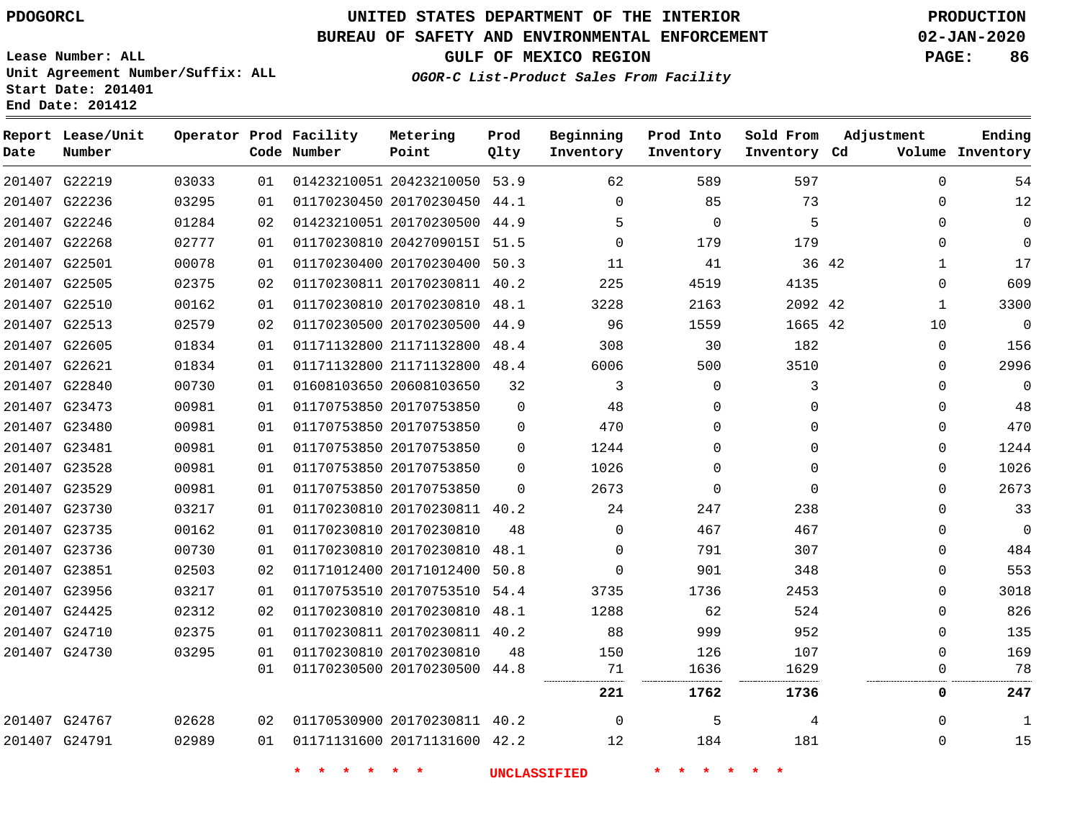#### **BUREAU OF SAFETY AND ENVIRONMENTAL ENFORCEMENT 02-JAN-2020**

**Lease Number: ALL Unit Agreement Number/Suffix: ALL Start Date: 201401**

**Operator Prod Facility Metering**

**End Date: 201412**

**Report Lease/Unit**

**GULF OF MEXICO REGION PAGE: 86**

**Prod**

**OGOR-C List-Product Sales From Facility**

**Beginning Prod Into Sold From**

**Adjustment**

**Ending Inventory**

| Date | Number        |       |    | Code Number        | Point                        | Qlty     | Inventory           | Inventory      | Inventory Cd |       |              | Volume Inventory |
|------|---------------|-------|----|--------------------|------------------------------|----------|---------------------|----------------|--------------|-------|--------------|------------------|
|      | 201407 G22219 | 03033 | 01 |                    | 01423210051 20423210050 53.9 |          | 62                  | 589            | 597          |       | 0            | 54               |
|      | 201407 G22236 | 03295 | 01 |                    | 01170230450 20170230450 44.1 |          | $\Omega$            | 85             | 73           |       | $\Omega$     | 12               |
|      | 201407 G22246 | 01284 | 02 |                    | 01423210051 20170230500 44.9 |          | 5                   | 0              | 5            |       | 0            | 0                |
|      | 201407 G22268 | 02777 | 01 |                    | 01170230810 2042709015I 51.5 |          | $\Omega$            | 179            | 179          |       | $\Omega$     | $\mathbf 0$      |
|      | 201407 G22501 | 00078 | 01 |                    | 01170230400 20170230400 50.3 |          | 11                  | 41             |              | 36 42 | $\mathbf 1$  | 17               |
|      | 201407 G22505 | 02375 | 02 |                    | 01170230811 20170230811 40.2 |          | 225                 | 4519           | 4135         |       | 0            | 609              |
|      | 201407 G22510 | 00162 | 01 |                    | 01170230810 20170230810 48.1 |          | 3228                | 2163           | 2092 42      |       | $\mathbf 1$  | 3300             |
|      | 201407 G22513 | 02579 | 02 |                    | 01170230500 20170230500 44.9 |          | 96                  | 1559           | 1665 42      |       | 10           | $\mathbf 0$      |
|      | 201407 G22605 | 01834 | 01 |                    | 01171132800 21171132800 48.4 |          | 308                 | 30             | 182          |       | 0            | 156              |
|      | 201407 G22621 | 01834 | 01 |                    | 01171132800 21171132800 48.4 |          | 6006                | 500            | 3510         |       | 0            | 2996             |
|      | 201407 G22840 | 00730 | 01 |                    | 01608103650 20608103650      | 32       | 3                   | $\mathbf 0$    | 3            |       | $\mathbf{0}$ | $\mathbf 0$      |
|      | 201407 G23473 | 00981 | 01 |                    | 01170753850 20170753850      | $\Omega$ | 48                  | $\Omega$       | $\Omega$     |       | $\Omega$     | 48               |
|      | 201407 G23480 | 00981 | 01 |                    | 01170753850 20170753850      | $\Omega$ | 470                 | 0              | $\Omega$     |       | 0            | 470              |
|      | 201407 G23481 | 00981 | 01 |                    | 01170753850 20170753850      | $\Omega$ | 1244                | 0              | $\Omega$     |       | $\mathbf{0}$ | 1244             |
|      | 201407 G23528 | 00981 | 01 |                    | 01170753850 20170753850      | $\Omega$ | 1026                | 0              | 0            |       | 0            | 1026             |
|      | 201407 G23529 | 00981 | 01 |                    | 01170753850 20170753850      | $\Omega$ | 2673                | $\Omega$       | $\Omega$     |       | $\Omega$     | 2673             |
|      | 201407 G23730 | 03217 | 01 |                    | 01170230810 20170230811 40.2 |          | 24                  | 247            | 238          |       | 0            | 33               |
|      | 201407 G23735 | 00162 | 01 |                    | 01170230810 20170230810      | 48       | $\Omega$            | 467            | 467          |       | $\Omega$     | $\mathbf 0$      |
|      | 201407 G23736 | 00730 | 01 |                    | 01170230810 20170230810      | 48.1     | $\Omega$            | 791            | 307          |       | $\Omega$     | 484              |
|      | 201407 G23851 | 02503 | 02 |                    | 01171012400 20171012400 50.8 |          | $\Omega$            | 901            | 348          |       | 0            | 553              |
|      | 201407 G23956 | 03217 | 01 |                    | 01170753510 20170753510 54.4 |          | 3735                | 1736           | 2453         |       | $\mathbf{0}$ | 3018             |
|      | 201407 G24425 | 02312 | 02 |                    | 01170230810 20170230810 48.1 |          | 1288                | 62             | 524          |       | $\Omega$     | 826              |
|      | 201407 G24710 | 02375 | 01 |                    | 01170230811 20170230811 40.2 |          | 88                  | 999            | 952          |       | 0            | 135              |
|      | 201407 G24730 | 03295 | 01 |                    | 01170230810 20170230810      | 48       | 150                 | 126            | 107          |       | 0            | 169              |
|      |               |       | 01 |                    | 01170230500 20170230500 44.8 |          | 71                  | 1636           | 1629         |       | $\mathbf{0}$ | 78               |
|      |               |       |    |                    |                              |          | 221                 | 1762           | 1736         |       | 0            | 247              |
|      | 201407 G24767 | 02628 | 02 |                    | 01170530900 20170230811 40.2 |          | $\mathbf 0$         | 5              | 4            |       | 0            | 1                |
|      | 201407 G24791 | 02989 | 01 |                    | 01171131600 20171131600 42.2 |          | 12                  | 184            | 181          |       | $\Omega$     | 15               |
|      |               |       |    | $\star$<br>$\star$ | $\star$<br>$\star$           |          | <b>UNCLASSIFIED</b> | 一大<br><b>水</b> | $*$ $*$      |       |              |                  |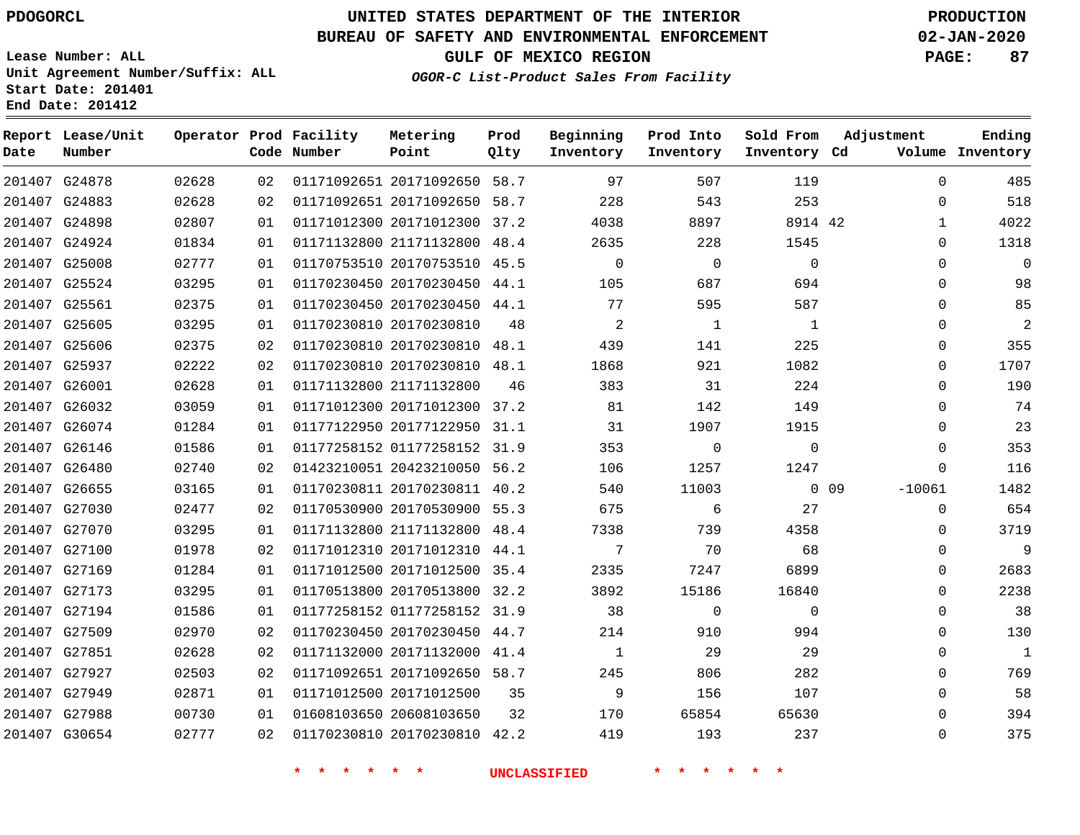### **BUREAU OF SAFETY AND ENVIRONMENTAL ENFORCEMENT 02-JAN-2020**

**Lease Number: ALL Unit Agreement Number/Suffix: ALL Start Date: 201401 End Date: 201412**

**OGOR-C List-Product Sales From Facility**

**GULF OF MEXICO REGION PAGE: 87**

|  | OGOR-C LISL-PIOQUCL SAIES |  |
|--|---------------------------|--|
|  |                           |  |
|  |                           |  |

| Date          | Report Lease/Unit<br>Number |       |    | Operator Prod Facility<br>Code Number | Metering<br>Point            | Prod<br>Qlty | Beginning<br>Inventory | Prod Into<br>Inventory | Sold From<br>Inventory Cd | Adjustment       | Ending<br>Volume Inventory |
|---------------|-----------------------------|-------|----|---------------------------------------|------------------------------|--------------|------------------------|------------------------|---------------------------|------------------|----------------------------|
|               | 201407 G24878               | 02628 | 02 |                                       | 01171092651 20171092650 58.7 |              | 97                     | 507                    | 119                       | $\Omega$         | 485                        |
|               | 201407 G24883               | 02628 | 02 |                                       | 01171092651 20171092650      | 58.7         | 228                    | 543                    | 253                       | $\Omega$         | 518                        |
|               | 201407 G24898               | 02807 | 01 |                                       | 01171012300 20171012300      | 37.2         | 4038                   | 8897                   | 8914 42                   | $\mathbf{1}$     | 4022                       |
|               | 201407 G24924               | 01834 | 01 |                                       | 01171132800 21171132800      | 48.4         | 2635                   | 228                    | 1545                      | $\mathbf 0$      | 1318                       |
|               | 201407 G25008               | 02777 | 01 |                                       | 01170753510 20170753510      | 45.5         | $\mathbf 0$            | $\Omega$               | $\Omega$                  | $\mathbf 0$      | $\mathbf 0$                |
|               | 201407 G25524               | 03295 | 01 |                                       | 01170230450 20170230450 44.1 |              | 105                    | 687                    | 694                       | $\mathbf 0$      | 98                         |
| 201407 G25561 |                             | 02375 | 01 |                                       | 01170230450 20170230450 44.1 |              | 77                     | 595                    | 587                       | $\mathbf 0$      | 85                         |
|               | 201407 G25605               | 03295 | 01 |                                       | 01170230810 20170230810      | 48           | 2                      | 1                      | 1                         | $\Omega$         | $\overline{2}$             |
|               | 201407 G25606               | 02375 | 02 |                                       | 01170230810 20170230810 48.1 |              | 439                    | 141                    | 225                       | $\mathbf 0$      | 355                        |
|               | 201407 G25937               | 02222 | 02 |                                       | 01170230810 20170230810 48.1 |              | 1868                   | 921                    | 1082                      | $\mathbf 0$      | 1707                       |
|               | 201407 G26001               | 02628 | 01 |                                       | 01171132800 21171132800      | 46           | 383                    | 31                     | 224                       | $\Omega$         | 190                        |
|               | 201407 G26032               | 03059 | 01 |                                       | 01171012300 20171012300 37.2 |              | 81                     | 142                    | 149                       | $\Omega$         | 74                         |
|               | 201407 G26074               | 01284 | 01 |                                       | 01177122950 20177122950 31.1 |              | 31                     | 1907                   | 1915                      | $\mathbf 0$      | 23                         |
|               | 201407 G26146               | 01586 | 01 |                                       | 01177258152 01177258152 31.9 |              | 353                    | $\Omega$               | $\Omega$                  | $\Omega$         | 353                        |
|               | 201407 G26480               | 02740 | 02 |                                       | 01423210051 20423210050 56.2 |              | 106                    | 1257                   | 1247                      | $\Omega$         | 116                        |
|               | 201407 G26655               | 03165 | 01 |                                       | 01170230811 20170230811 40.2 |              | 540                    | 11003                  |                           | 0.09<br>$-10061$ | 1482                       |
|               | 201407 G27030               | 02477 | 02 |                                       | 01170530900 20170530900      | 55.3         | 675                    | 6                      | 27                        | $\Omega$         | 654                        |
|               | 201407 G27070               | 03295 | 01 |                                       | 01171132800 21171132800      | 48.4         | 7338                   | 739                    | 4358                      | $\mathbf 0$      | 3719                       |
|               | 201407 G27100               | 01978 | 02 |                                       | 01171012310 20171012310      | 44.1         | 7                      | 70                     | 68                        | $\Omega$         | 9                          |
|               | 201407 G27169               | 01284 | 01 |                                       | 01171012500 20171012500      | 35.4         | 2335                   | 7247                   | 6899                      | $\Omega$         | 2683                       |
|               | 201407 G27173               | 03295 | 01 |                                       | 01170513800 20170513800      | 32.2         | 3892                   | 15186                  | 16840                     | $\mathbf 0$      | 2238                       |
|               | 201407 G27194               | 01586 | 01 |                                       | 01177258152 01177258152 31.9 |              | 38                     | $\Omega$               | $\Omega$                  | $\Omega$         | 38                         |
|               | 201407 G27509               | 02970 | 02 |                                       | 01170230450 20170230450 44.7 |              | 214                    | 910                    | 994                       | $\mathbf 0$      | 130                        |
|               | 201407 G27851               | 02628 | 02 |                                       | 01171132000 20171132000      | 41.4         | $\mathbf{1}$           | 29                     | 29                        | $\mathbf 0$      | $\overline{1}$             |
|               | 201407 G27927               | 02503 | 02 |                                       | 01171092651 20171092650 58.7 |              | 245                    | 806                    | 282                       | $\Omega$         | 769                        |
|               | 201407 G27949               | 02871 | 01 |                                       | 01171012500 20171012500      | 35           | 9                      | 156                    | 107                       | $\Omega$         | 58                         |
|               | 201407 G27988               | 00730 | 01 |                                       | 01608103650 20608103650      | 32           | 170                    | 65854                  | 65630                     | $\Omega$         | 394                        |
|               | 201407 G30654               | 02777 | 02 |                                       | 01170230810 20170230810 42.2 |              | 419                    | 193                    | 237                       | $\Omega$         | 375                        |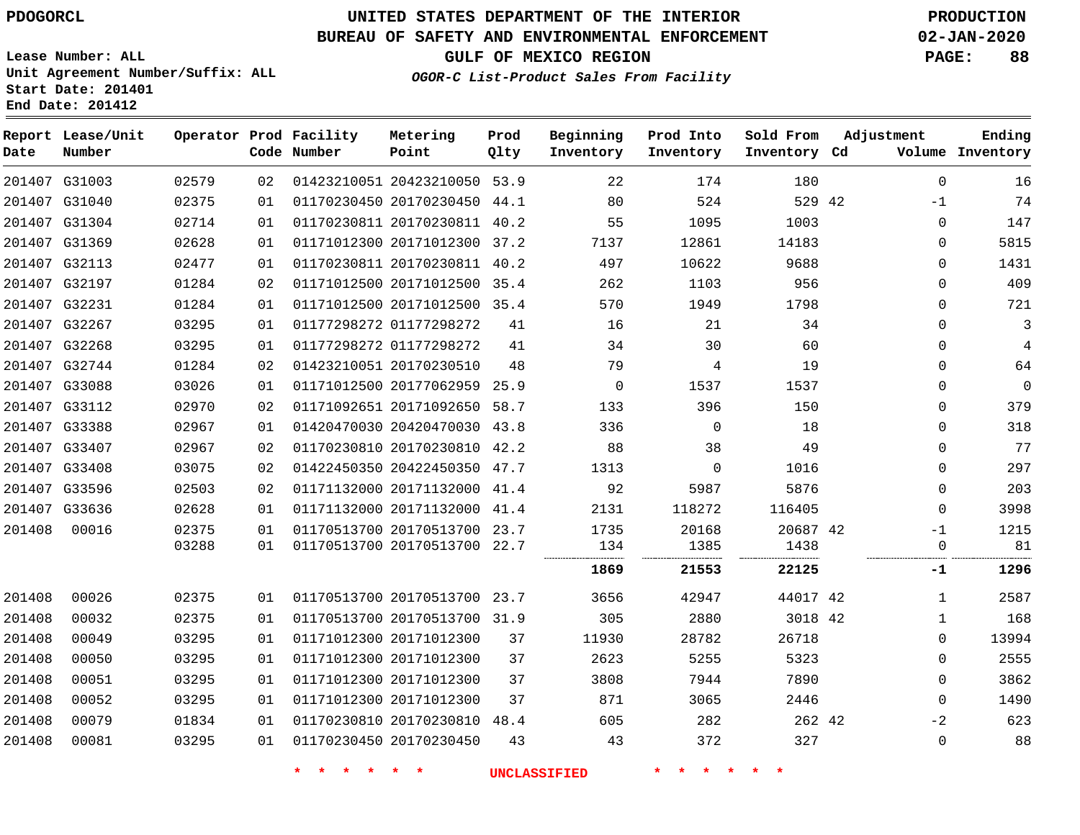# **UNITED STATES DEPARTMENT OF THE INTERIOR PDOGORCL PRODUCTION**

### **BUREAU OF SAFETY AND ENVIRONMENTAL ENFORCEMENT 02-JAN-2020**

**Lease Number: ALL Unit Agreement Number/Suffix: ALL Start Date: 201401**

**GULF OF MEXICO REGION PAGE: 88**

**OGOR-C List-Product Sales From Facility**

| Date   | Report Lease/Unit<br>Number |       |    | Operator Prod Facility<br>Code Number | Metering<br>Point            | Prod<br>Qlty | Beginning<br>Inventory | Prod Into<br>Inventory | Sold From<br>Inventory Cd | Adjustment  | Ending<br>Volume Inventory |
|--------|-----------------------------|-------|----|---------------------------------------|------------------------------|--------------|------------------------|------------------------|---------------------------|-------------|----------------------------|
|        | 201407 G31003               | 02579 | 02 |                                       | 01423210051 20423210050 53.9 |              | 22                     | 174                    | 180                       | $\Omega$    | 16                         |
|        | 201407 G31040               | 02375 | 01 |                                       | 01170230450 20170230450 44.1 |              | 80                     | 524                    | 529 42                    | $-1$        | 74                         |
|        | 201407 G31304               | 02714 | 01 |                                       | 01170230811 20170230811      | 40.2         | 55                     | 1095                   | 1003                      | $\mathbf 0$ | 147                        |
|        | 201407 G31369               | 02628 | 01 |                                       | 01171012300 20171012300 37.2 |              | 7137                   | 12861                  | 14183                     | $\mathbf 0$ | 5815                       |
|        | 201407 G32113               | 02477 | 01 |                                       | 01170230811 20170230811 40.2 |              | 497                    | 10622                  | 9688                      | $\Omega$    | 1431                       |
|        | 201407 G32197               | 01284 | 02 |                                       | 01171012500 20171012500 35.4 |              | 262                    | 1103                   | 956                       | $\mathbf 0$ | 409                        |
|        | 201407 G32231               | 01284 | 01 |                                       | 01171012500 20171012500 35.4 |              | 570                    | 1949                   | 1798                      | $\Omega$    | 721                        |
|        | 201407 G32267               | 03295 | 01 |                                       | 01177298272 01177298272      | 41           | 16                     | 21                     | 34                        | $\mathbf 0$ | 3                          |
|        | 201407 G32268               | 03295 | 01 |                                       | 01177298272 01177298272      | 41           | 34                     | 30                     | 60                        | $\mathbf 0$ | 4                          |
|        | 201407 G32744               | 01284 | 02 |                                       | 01423210051 20170230510      | 48           | 79                     | 4                      | 19                        | $\mathbf 0$ | 64                         |
|        | 201407 G33088               | 03026 | 01 |                                       | 01171012500 20177062959      | 25.9         | $\Omega$               | 1537                   | 1537                      | $\Omega$    | $\Omega$                   |
|        | 201407 G33112               | 02970 | 02 |                                       | 01171092651 20171092650      | 58.7         | 133                    | 396                    | 150                       | $\mathbf 0$ | 379                        |
|        | 201407 G33388               | 02967 | 01 |                                       | 01420470030 20420470030      | 43.8         | 336                    | $\Omega$               | 18                        | $\Omega$    | 318                        |
|        | 201407 G33407               | 02967 | 02 |                                       | 01170230810 20170230810 42.2 |              | 88                     | 38                     | 49                        | $\mathbf 0$ | 77                         |
|        | 201407 G33408               | 03075 | 02 |                                       | 01422450350 20422450350 47.7 |              | 1313                   | 0                      | 1016                      | 0           | 297                        |
|        | 201407 G33596               | 02503 | 02 |                                       | 01171132000 20171132000 41.4 |              | 92                     | 5987                   | 5876                      | $\mathbf 0$ | 203                        |
|        | 201407 G33636               | 02628 | 01 |                                       | 01171132000 20171132000      | 41.4         | 2131                   | 118272                 | 116405                    | $\mathbf 0$ | 3998                       |
| 201408 | 00016                       | 02375 | 01 |                                       | 01170513700 20170513700 23.7 |              | 1735                   | 20168                  | 20687 42                  | -1          | 1215                       |
|        |                             | 03288 | 01 |                                       | 01170513700 20170513700 22.7 |              | 134                    | 1385                   | 1438                      | $\mathbf 0$ | 81                         |
|        |                             |       |    |                                       |                              |              | 1869                   | 21553                  | 22125                     | -1          | 1296                       |
| 201408 | 00026                       | 02375 | 01 |                                       | 01170513700 20170513700 23.7 |              | 3656                   | 42947                  | 44017 42                  | 1           | 2587                       |
| 201408 | 00032                       | 02375 | 01 |                                       | 01170513700 20170513700 31.9 |              | 305                    | 2880                   | 3018 42                   | $\mathbf 1$ | 168                        |
| 201408 | 00049                       | 03295 | 01 |                                       | 01171012300 20171012300      | 37           | 11930                  | 28782                  | 26718                     | $\mathbf 0$ | 13994                      |
| 201408 | 00050                       | 03295 | 01 |                                       | 01171012300 20171012300      | 37           | 2623                   | 5255                   | 5323                      | 0           | 2555                       |
| 201408 | 00051                       | 03295 | 01 |                                       | 01171012300 20171012300      | 37           | 3808                   | 7944                   | 7890                      | $\Omega$    | 3862                       |
| 201408 | 00052                       | 03295 | 01 |                                       | 01171012300 20171012300      | 37           | 871                    | 3065                   | 2446                      | $\mathbf 0$ | 1490                       |
| 201408 | 00079                       | 01834 | 01 |                                       | 01170230810 20170230810 48.4 |              | 605                    | 282                    | 262 42                    | $-2$        | 623                        |
| 201408 | 00081                       | 03295 | 01 |                                       | 01170230450 20170230450      | 43           | 43                     | 372                    | 327                       | 0           | 88                         |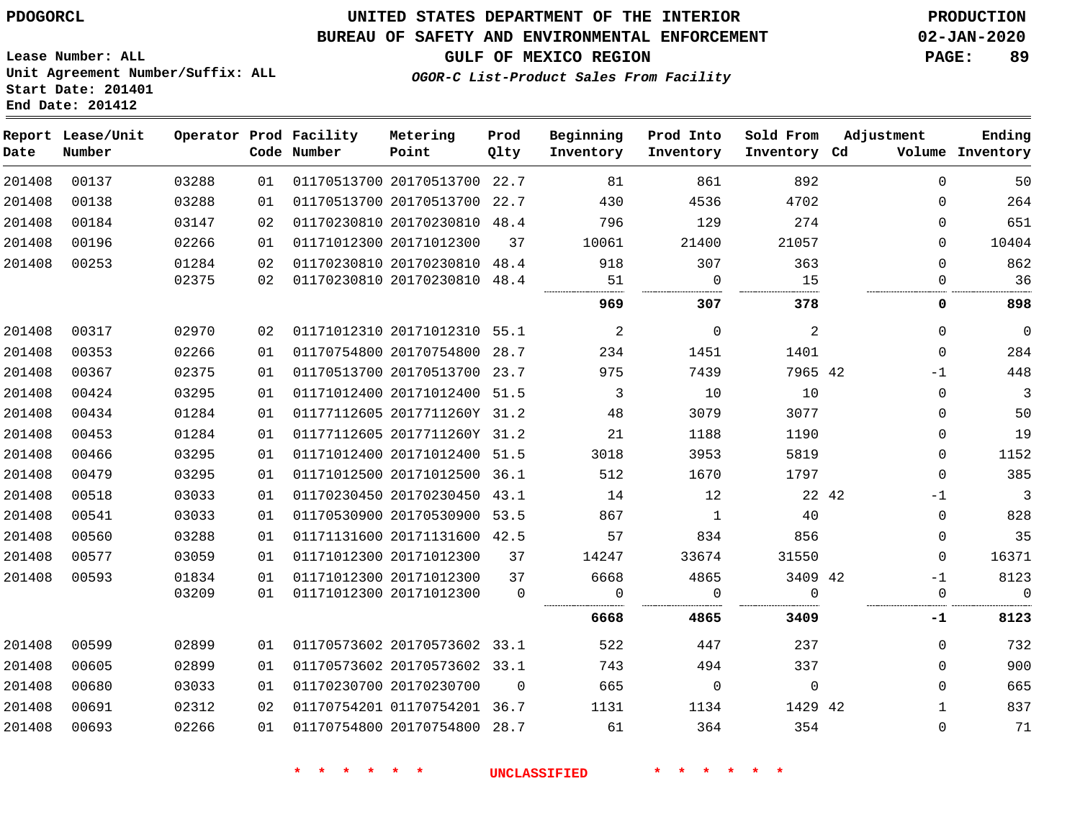### **BUREAU OF SAFETY AND ENVIRONMENTAL ENFORCEMENT 02-JAN-2020**

**GULF OF MEXICO REGION PAGE: 89**

**Lease Number: ALL Unit Agreement Number/Suffix: ALL Start Date: 201401 End Date: 201412**

**OGOR-C List-Product Sales From Facility**

| Date   | Report Lease/Unit<br>Number |       |                 | Operator Prod Facility<br>Code Number | Metering<br>Point            | Prod<br>Qlty | Beginning<br>Inventory | Prod Into<br>Inventory | Sold From<br>Inventory Cd | Adjustment    | Ending<br>Volume Inventory |
|--------|-----------------------------|-------|-----------------|---------------------------------------|------------------------------|--------------|------------------------|------------------------|---------------------------|---------------|----------------------------|
| 201408 | 00137                       | 03288 | 01              |                                       | 01170513700 20170513700 22.7 |              | 81                     | 861                    | 892                       | $\Omega$      | 50                         |
| 201408 | 00138                       | 03288 | 01              |                                       | 01170513700 20170513700      | 22.7         | 430                    | 4536                   | 4702                      | $\Omega$      | 264                        |
| 201408 | 00184                       | 03147 | 02 <sub>o</sub> |                                       | 01170230810 20170230810 48.4 |              | 796                    | 129                    | 274                       | 0             | 651                        |
| 201408 | 00196                       | 02266 | 01              |                                       | 01171012300 20171012300      | 37           | 10061                  | 21400                  | 21057                     | $\Omega$      | 10404                      |
| 201408 | 00253                       | 01284 | 02              |                                       | 01170230810 20170230810 48.4 |              | 918                    | 307                    | 363                       | $\Omega$      | 862                        |
|        |                             | 02375 | 02              |                                       | 01170230810 20170230810      | 48.4         | 51                     | $\mathbf 0$            | 15                        | $\Omega$      | 36                         |
|        |                             |       |                 |                                       |                              |              | 969                    | 307                    | 378                       | 0             | 898                        |
| 201408 | 00317                       | 02970 | 02              |                                       | 01171012310 20171012310 55.1 |              | 2                      | $\mathbf 0$            | 2                         | 0             | $\overline{0}$             |
| 201408 | 00353                       | 02266 | 01              |                                       | 01170754800 20170754800 28.7 |              | 234                    | 1451                   | 1401                      | $\mathbf 0$   | 284                        |
| 201408 | 00367                       | 02375 | 01              |                                       | 01170513700 20170513700 23.7 |              | 975                    | 7439                   | 7965 42                   | $-1$          | 448                        |
| 201408 | 00424                       | 03295 | 01              |                                       | 01171012400 20171012400 51.5 |              | 3                      | 10                     | 10                        | 0             | $\mathbf{3}$               |
| 201408 | 00434                       | 01284 | 01              |                                       | 01177112605 2017711260Y 31.2 |              | 48                     | 3079                   | 3077                      | 0             | 50                         |
| 201408 | 00453                       | 01284 | 01              |                                       | 01177112605 2017711260Y 31.2 |              | 21                     | 1188                   | 1190                      | 0             | 19                         |
| 201408 | 00466                       | 03295 | 01              |                                       | 01171012400 20171012400 51.5 |              | 3018                   | 3953                   | 5819                      | $\Omega$      | 1152                       |
| 201408 | 00479                       | 03295 | 01              |                                       | 01171012500 20171012500 36.1 |              | 512                    | 1670                   | 1797                      | $\mathbf 0$   | 385                        |
| 201408 | 00518                       | 03033 | 01              |                                       | 01170230450 20170230450 43.1 |              | 14                     | 12                     |                           | 22 42<br>$-1$ | $\overline{3}$             |
| 201408 | 00541                       | 03033 | 01              |                                       | 01170530900 20170530900 53.5 |              | 867                    | 1                      | 40                        | 0             | 828                        |
| 201408 | 00560                       | 03288 | 01              |                                       | 01171131600 20171131600 42.5 |              | 57                     | 834                    | 856                       | 0             | 35                         |
| 201408 | 00577                       | 03059 | 01              |                                       | 01171012300 20171012300      | 37           | 14247                  | 33674                  | 31550                     | $\Omega$      | 16371                      |
| 201408 | 00593                       | 01834 | 01              |                                       | 01171012300 20171012300      | 37           | 6668                   | 4865                   | 3409 42                   | $-1$          | 8123                       |
|        |                             | 03209 | 01              |                                       | 01171012300 20171012300      | $\Omega$     | 0                      | $\mathbf 0$            | $\Omega$                  | $\mathbf 0$   | $\overline{0}$             |
|        |                             |       |                 |                                       |                              |              | 6668                   | 4865                   | 3409                      | -1            | 8123                       |
| 201408 | 00599                       | 02899 | 01              |                                       | 01170573602 20170573602 33.1 |              | 522                    | 447                    | 237                       | $\Omega$      | 732                        |
| 201408 | 00605                       | 02899 | 01              |                                       | 01170573602 20170573602 33.1 |              | 743                    | 494                    | 337                       | $\mathbf 0$   | 900                        |
| 201408 | 00680                       | 03033 | 01              |                                       | 01170230700 20170230700      | $\mathbf 0$  | 665                    | 0                      | $\mathbf 0$               | 0             | 665                        |
| 201408 | 00691                       | 02312 | 02              |                                       | 01170754201 01170754201 36.7 |              | 1131                   | 1134                   | 1429 42                   | $\mathbf{1}$  | 837                        |
| 201408 | 00693                       | 02266 | 01              |                                       | 01170754800 20170754800 28.7 |              | 61                     | 364                    | 354                       | $\mathbf 0$   | 71                         |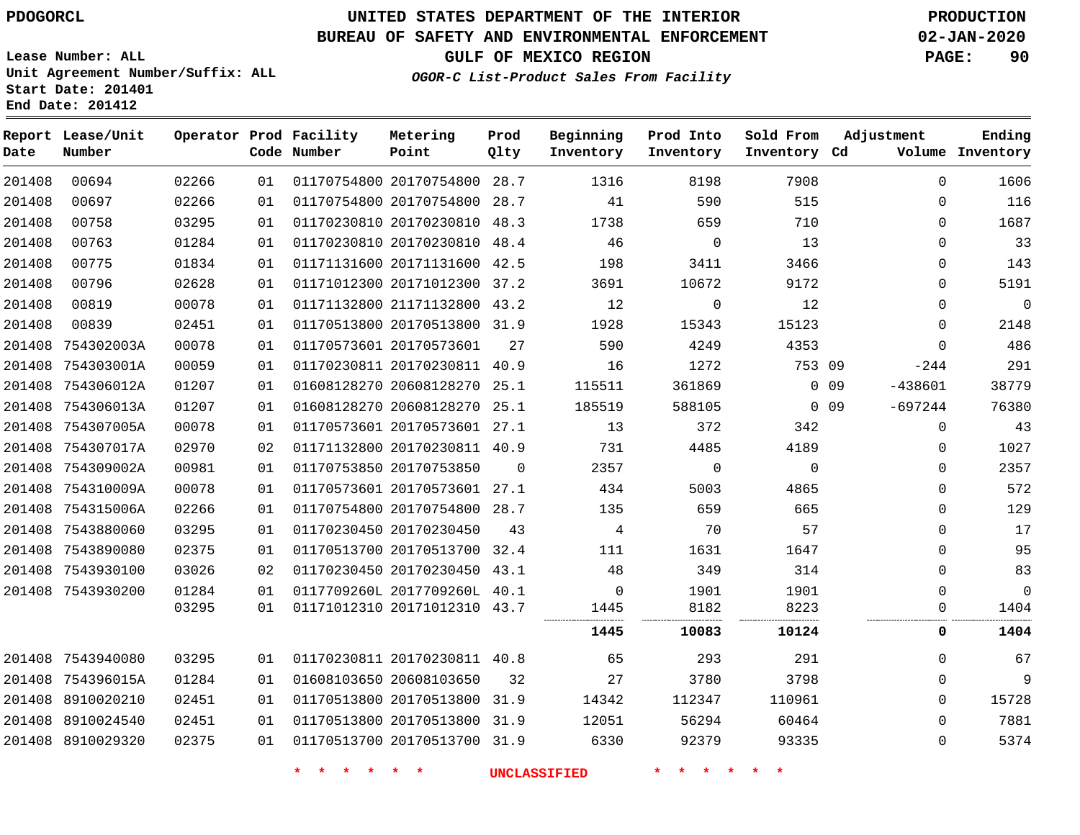# **UNITED STATES DEPARTMENT OF THE INTERIOR PDOGORCL PRODUCTION**

### **BUREAU OF SAFETY AND ENVIRONMENTAL ENFORCEMENT 02-JAN-2020**

**Lease Number: ALL Unit Agreement Number/Suffix: ALL Start Date: 201401**

**GULF OF MEXICO REGION PAGE: 90**

**OGOR-C List-Product Sales From Facility**

| Date   | Report Lease/Unit<br>Number |       |    | Operator Prod Facility<br>Code Number | Metering<br>Point            | Prod<br>Qlty | Beginning<br>Inventory | Prod Into<br>Inventory | Sold From<br>Inventory Cd | Adjustment                   | Ending<br>Volume Inventory |
|--------|-----------------------------|-------|----|---------------------------------------|------------------------------|--------------|------------------------|------------------------|---------------------------|------------------------------|----------------------------|
| 201408 | 00694                       | 02266 | 01 |                                       | 01170754800 20170754800 28.7 |              | 1316                   | 8198                   | 7908                      | $\mathbf 0$                  | 1606                       |
| 201408 | 00697                       | 02266 | 01 |                                       | 01170754800 20170754800 28.7 |              | 41                     | 590                    | 515                       | $\Omega$                     | 116                        |
| 201408 | 00758                       | 03295 | 01 |                                       | 01170230810 20170230810      | 48.3         | 1738                   | 659                    | 710                       | $\Omega$                     | 1687                       |
| 201408 | 00763                       | 01284 | 01 |                                       | 01170230810 20170230810 48.4 |              | 46                     | $\overline{0}$         | 13                        | $\mathbf 0$                  | 33                         |
| 201408 | 00775                       | 01834 | 01 |                                       | 01171131600 20171131600 42.5 |              | 198                    | 3411                   | 3466                      | $\Omega$                     | 143                        |
| 201408 | 00796                       | 02628 | 01 |                                       | 01171012300 20171012300 37.2 |              | 3691                   | 10672                  | 9172                      | $\mathbf 0$                  | 5191                       |
| 201408 | 00819                       | 00078 | 01 |                                       | 01171132800 21171132800 43.2 |              | 12                     | $\mathbf 0$            | 12                        | $\mathbf 0$                  | $\mathbf 0$                |
| 201408 | 00839                       | 02451 | 01 |                                       | 01170513800 20170513800 31.9 |              | 1928                   | 15343                  | 15123                     | $\mathbf 0$                  | 2148                       |
|        | 201408 754302003A           | 00078 | 01 |                                       | 01170573601 20170573601      | 27           | 590                    | 4249                   | 4353                      | $\mathbf 0$                  | 486                        |
|        | 201408 754303001A           | 00059 | 01 |                                       | 01170230811 20170230811 40.9 |              | 16                     | 1272                   | 753 09                    | $-244$                       | 291                        |
|        | 201408 754306012A           | 01207 | 01 |                                       | 01608128270 20608128270 25.1 |              | 115511                 | 361869                 |                           | 0 <sub>09</sub><br>$-438601$ | 38779                      |
|        | 201408 754306013A           | 01207 | 01 |                                       | 01608128270 20608128270 25.1 |              | 185519                 | 588105                 |                           | $0$ 09<br>$-697244$          | 76380                      |
|        | 201408 754307005A           | 00078 | 01 |                                       | 01170573601 20170573601 27.1 |              | 13                     | 372                    | 342                       | $\Omega$                     | 43                         |
|        | 201408 754307017A           | 02970 | 02 |                                       | 01171132800 20170230811 40.9 |              | 731                    | 4485                   | 4189                      | 0                            | 1027                       |
|        | 201408 754309002A           | 00981 | 01 |                                       | 01170753850 20170753850      | $\Omega$     | 2357                   | $\mathbf 0$            | $\Omega$                  | $\Omega$                     | 2357                       |
|        | 201408 754310009A           | 00078 | 01 |                                       | 01170573601 20170573601 27.1 |              | 434                    | 5003                   | 4865                      | $\Omega$                     | 572                        |
|        | 201408 754315006A           | 02266 | 01 |                                       | 01170754800 20170754800 28.7 |              | 135                    | 659                    | 665                       | $\mathbf 0$                  | 129                        |
|        | 201408 7543880060           | 03295 | 01 |                                       | 01170230450 20170230450      | 43           | $\overline{4}$         | 70                     | 57                        | $\mathbf 0$                  | 17                         |
|        | 201408 7543890080           | 02375 | 01 |                                       | 01170513700 20170513700 32.4 |              | 111                    | 1631                   | 1647                      | $\mathbf 0$                  | 95                         |
|        | 201408 7543930100           | 03026 | 02 |                                       | 01170230450 20170230450 43.1 |              | 48                     | 349                    | 314                       | $\mathbf 0$                  | 83                         |
|        | 201408 7543930200           | 01284 | 01 |                                       | 0117709260L 2017709260L 40.1 |              | $\mathbf 0$            | 1901                   | 1901                      | $\mathbf 0$                  | $\mathbf 0$                |
|        |                             | 03295 | 01 |                                       | 01171012310 20171012310 43.7 |              | 1445                   | 8182                   | 8223                      | $\mathbf 0$                  | 1404                       |
|        |                             |       |    |                                       |                              |              | 1445                   | 10083                  | 10124                     | 0                            | 1404                       |
|        | 201408 7543940080           | 03295 | 01 |                                       | 01170230811 20170230811 40.8 |              | 65                     | 293                    | 291                       | $\mathbf 0$                  | 67                         |
|        | 201408 754396015A           | 01284 | 01 |                                       | 01608103650 20608103650      | 32           | 27                     | 3780                   | 3798                      | $\mathbf 0$                  | 9                          |
|        | 201408 8910020210           | 02451 | 01 |                                       | 01170513800 20170513800 31.9 |              | 14342                  | 112347                 | 110961                    | $\mathbf 0$                  | 15728                      |
|        | 201408 8910024540           | 02451 | 01 |                                       | 01170513800 20170513800      | 31.9         | 12051                  | 56294                  | 60464                     | $\mathbf 0$                  | 7881                       |
|        | 201408 8910029320           | 02375 | 01 |                                       | 01170513700 20170513700 31.9 |              | 6330                   | 92379                  | 93335                     | $\mathbf 0$                  | 5374                       |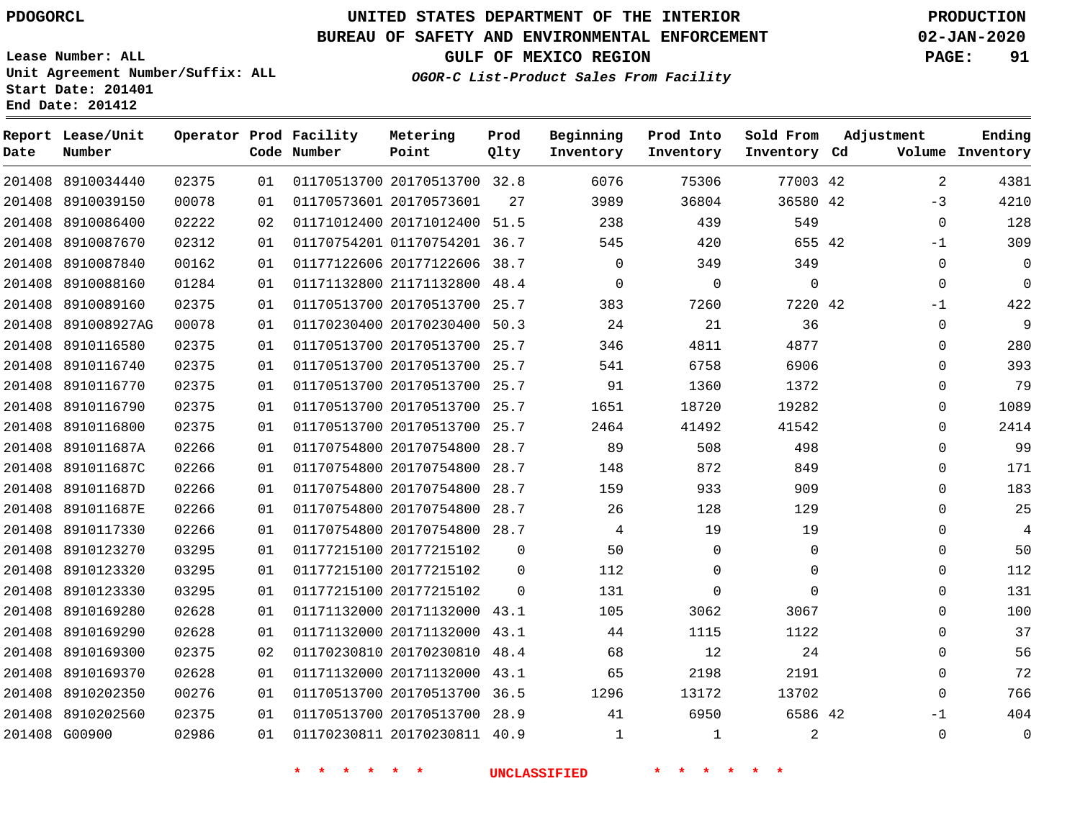### **BUREAU OF SAFETY AND ENVIRONMENTAL ENFORCEMENT 02-JAN-2020**

**Lease Number: ALL Unit Agreement Number/Suffix: ALL Start Date: 201401 End Date: 201412**

**OGOR-C List-Product Sales From Facility**

**GULF OF MEXICO REGION PAGE: 91**

| Date   | Report Lease/Unit<br>Number |       |    | Operator Prod Facility<br>Code Number | Metering<br>Point            | Prod<br>Qlty | Beginning<br>Inventory | Prod Into<br>Inventory | Sold From<br>Inventory Cd | Adjustment  | Ending<br>Volume Inventory |
|--------|-----------------------------|-------|----|---------------------------------------|------------------------------|--------------|------------------------|------------------------|---------------------------|-------------|----------------------------|
|        | 201408 8910034440           | 02375 | 01 |                                       | 01170513700 20170513700 32.8 |              | 6076                   | 75306                  | 77003 42                  | 2           | 4381                       |
| 201408 | 8910039150                  | 00078 | 01 |                                       | 01170573601 20170573601      | 27           | 3989                   | 36804                  | 36580 42                  | $-3$        | 4210                       |
| 201408 | 8910086400                  | 02222 | 02 |                                       | 01171012400 20171012400      | 51.5         | 238                    | 439                    | 549                       | $\mathbf 0$ | 128                        |
|        | 201408 8910087670           | 02312 | 01 |                                       | 01170754201 01170754201 36.7 |              | 545                    | 420                    | 655 42                    | $-1$        | 309                        |
|        | 201408 8910087840           | 00162 | 01 |                                       | 01177122606 20177122606      | 38.7         | $\mathbf 0$            | 349                    | 349                       | $\mathbf 0$ | $\overline{0}$             |
|        | 201408 8910088160           | 01284 | 01 |                                       | 01171132800 21171132800      | 48.4         | $\mathbf 0$            | 0                      | $\mathbf 0$               | $\Omega$    | $\Omega$                   |
| 201408 | 8910089160                  | 02375 | 01 |                                       | 01170513700 20170513700      | 25.7         | 383                    | 7260                   | 7220 42                   | $-1$        | 422                        |
|        | 201408 891008927AG          | 00078 | 01 |                                       | 01170230400 20170230400 50.3 |              | 24                     | 21                     | 36                        | $\mathbf 0$ | 9                          |
|        | 201408 8910116580           | 02375 | 01 |                                       | 01170513700 20170513700      | 25.7         | 346                    | 4811                   | 4877                      | 0           | 280                        |
|        | 201408 8910116740           | 02375 | 01 |                                       | 01170513700 20170513700 25.7 |              | 541                    | 6758                   | 6906                      | 0           | 393                        |
|        | 201408 8910116770           | 02375 | 01 |                                       | 01170513700 20170513700      | 25.7         | 91                     | 1360                   | 1372                      | $\Omega$    | 79                         |
|        | 201408 8910116790           | 02375 | 01 |                                       | 01170513700 20170513700 25.7 |              | 1651                   | 18720                  | 19282                     | $\Omega$    | 1089                       |
|        | 201408 8910116800           | 02375 | 01 |                                       | 01170513700 20170513700      | 25.7         | 2464                   | 41492                  | 41542                     | 0           | 2414                       |
|        | 201408 891011687A           | 02266 | 01 |                                       | 01170754800 20170754800      | 28.7         | 89                     | 508                    | 498                       | $\Omega$    | 99                         |
|        | 201408 891011687C           | 02266 | 01 |                                       | 01170754800 20170754800      | 28.7         | 148                    | 872                    | 849                       | 0           | 171                        |
|        | 201408 891011687D           | 02266 | 01 |                                       | 01170754800 20170754800      | 28.7         | 159                    | 933                    | 909                       | $\Omega$    | 183                        |
|        | 201408 891011687E           | 02266 | 01 |                                       | 01170754800 20170754800      | 28.7         | 26                     | 128                    | 129                       | 0           | 25                         |
|        | 201408 8910117330           | 02266 | 01 |                                       | 01170754800 20170754800 28.7 |              | 4                      | 19                     | 19                        | 0           | $\overline{4}$             |
| 201408 | 8910123270                  | 03295 | 01 |                                       | 01177215100 20177215102      | $\mathbf 0$  | 50                     | $\mathbf 0$            | $\mathbf 0$               | $\mathbf 0$ | 50                         |
| 201408 | 8910123320                  | 03295 | 01 |                                       | 01177215100 20177215102      | 0            | 112                    | 0                      | 0                         | 0           | 112                        |
| 201408 | 8910123330                  | 03295 | 01 |                                       | 01177215100 20177215102      | $\Omega$     | 131                    | $\Omega$               | $\Omega$                  | $\Omega$    | 131                        |
| 201408 | 8910169280                  | 02628 | 01 |                                       | 01171132000 20171132000      | 43.1         | 105                    | 3062                   | 3067                      | 0           | 100                        |
| 201408 | 8910169290                  | 02628 | 01 |                                       | 01171132000 20171132000      | 43.1         | 44                     | 1115                   | 1122                      | $\Omega$    | 37                         |
| 201408 | 8910169300                  | 02375 | 02 |                                       | 01170230810 20170230810      | 48.4         | 68                     | 12                     | 24                        | 0           | 56                         |
| 201408 | 8910169370                  | 02628 | 01 |                                       | 01171132000 20171132000      | 43.1         | 65                     | 2198                   | 2191                      | $\Omega$    | 72                         |
|        | 201408 8910202350           | 00276 | 01 |                                       | 01170513700 20170513700      | 36.5         | 1296                   | 13172                  | 13702                     | $\mathbf 0$ | 766                        |
|        | 201408 8910202560           | 02375 | 01 |                                       | 01170513700 20170513700      | 28.9         | 41                     | 6950                   | 6586 42                   | $-1$        | 404                        |
|        | 201408 G00900               | 02986 | 01 |                                       | 01170230811 20170230811 40.9 |              | $\mathbf{1}$           | $\mathbf{1}$           | 2                         | $\Omega$    | $\Omega$                   |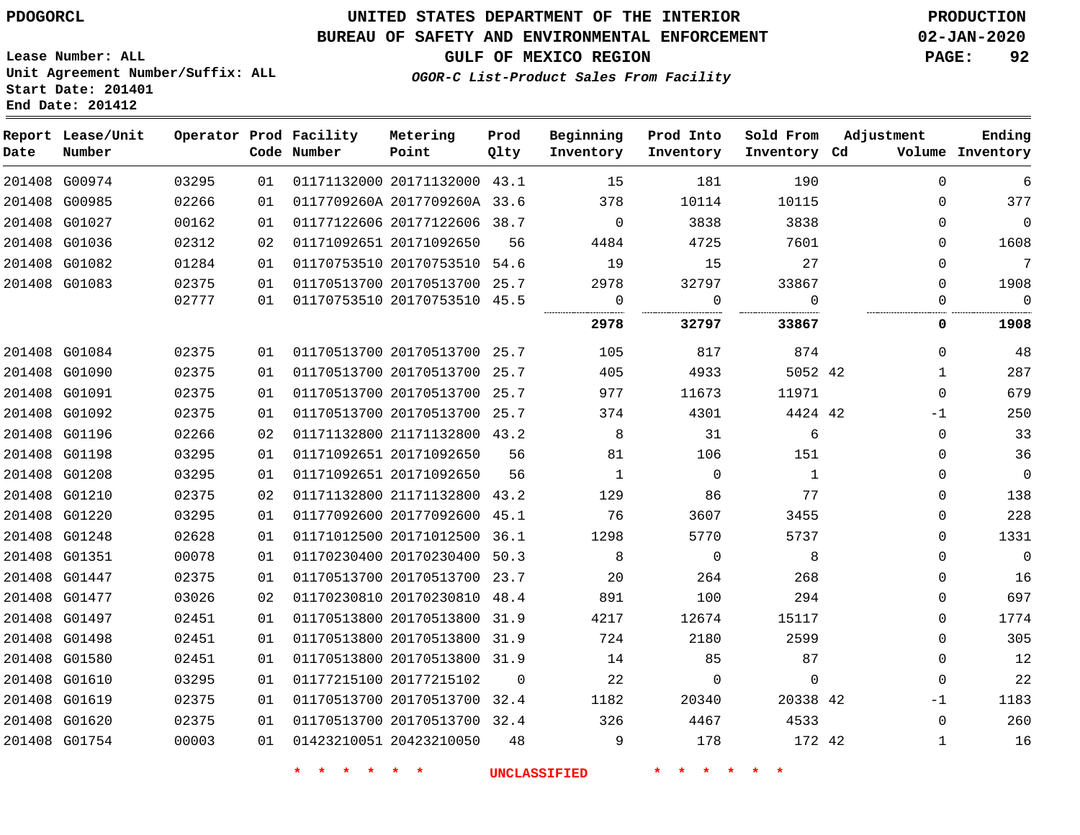### **UNITED STATES DEPARTMENT OF THE INTERIOR PDOGORCL PRODUCTION**

**Prod Qlty**

**Metering Point**

#### **BUREAU OF SAFETY AND ENVIRONMENTAL ENFORCEMENT 02-JAN-2020**

**Lease Number: ALL Unit Agreement Number/Suffix: ALL Start Date: 201401**

**Operator Prod Facility**

**End Date: 201412**

**Report Lease/Unit**

**Number**

**GULF OF MEXICO REGION PAGE: 92**

**Adjustment**

**Ending**

**OGOR-C List-Product Sales From Facility**

**Beginning Inventory**

**Prod Into Inventory**

**Sold From Inventory**

| Date | Number        |       |    | Code Number | Point                        | Qlty     | Inventory    | Inventory    | Inventory Cd |              | Volume Inventory |
|------|---------------|-------|----|-------------|------------------------------|----------|--------------|--------------|--------------|--------------|------------------|
|      | 201408 G00974 | 03295 | 01 |             | 01171132000 20171132000 43.1 |          | 15           | 181          | 190          | $\Omega$     | 6                |
|      | 201408 G00985 | 02266 | 01 |             | 0117709260A 2017709260A 33.6 |          | 378          | 10114        | 10115        | 0            | 377              |
|      | 201408 G01027 | 00162 | 01 |             | 01177122606 20177122606 38.7 |          | $\mathbf 0$  | 3838         | 3838         | 0            | $\mathbf 0$      |
|      | 201408 G01036 | 02312 | 02 |             | 01171092651 20171092650      | 56       | 4484         | 4725         | 7601         | $\Omega$     | 1608             |
|      | 201408 G01082 | 01284 | 01 |             | 01170753510 20170753510 54.6 |          | 19           | 15           | 27           | $\Omega$     | 7                |
|      | 201408 G01083 | 02375 | 01 |             | 01170513700 20170513700 25.7 |          | 2978         | 32797        | 33867        | 0            | 1908             |
|      |               | 02777 | 01 |             | 01170753510 20170753510 45.5 |          | 0            | $\mathbf{0}$ | $\Omega$     | 0            | $\mathbf 0$      |
|      |               |       |    |             |                              |          | 2978         | 32797        | 33867        | 0            | 1908             |
|      | 201408 G01084 | 02375 | 01 |             | 01170513700 20170513700 25.7 |          | 105          | 817          | 874          | $\Omega$     | 48               |
|      | 201408 G01090 | 02375 | 01 |             | 01170513700 20170513700 25.7 |          | 405          | 4933         | 5052 42      | $\mathbf{1}$ | 287              |
|      | 201408 G01091 | 02375 | 01 |             | 01170513700 20170513700 25.7 |          | 977          | 11673        | 11971        | $\Omega$     | 679              |
|      | 201408 G01092 | 02375 | 01 |             | 01170513700 20170513700 25.7 |          | 374          | 4301         | 4424 42      | -1           | 250              |
|      | 201408 G01196 | 02266 | 02 |             | 01171132800 21171132800 43.2 |          | 8            | 31           | 6            | 0            | 33               |
|      | 201408 G01198 | 03295 | 01 |             | 01171092651 20171092650      | 56       | 81           | 106          | 151          | $\Omega$     | 36               |
|      | 201408 G01208 | 03295 | 01 |             | 01171092651 20171092650      | 56       | $\mathbf{1}$ | $\mathbf 0$  | $\mathbf{1}$ | $\mathbf 0$  | $\mathbf 0$      |
|      | 201408 G01210 | 02375 | 02 |             | 01171132800 21171132800 43.2 |          | 129          | 86           | 77           | $\Omega$     | 138              |
|      | 201408 G01220 | 03295 | 01 |             | 01177092600 20177092600 45.1 |          | 76           | 3607         | 3455         | $\Omega$     | 228              |
|      | 201408 G01248 | 02628 | 01 |             | 01171012500 20171012500 36.1 |          | 1298         | 5770         | 5737         | $\Omega$     | 1331             |
|      | 201408 G01351 | 00078 | 01 |             | 01170230400 20170230400 50.3 |          | 8            | 0            | 8            | $\Omega$     | $\mathbf 0$      |
|      | 201408 G01447 | 02375 | 01 |             | 01170513700 20170513700 23.7 |          | 20           | 264          | 268          | $\Omega$     | 16               |
|      | 201408 G01477 | 03026 | 02 |             | 01170230810 20170230810 48.4 |          | 891          | 100          | 294          | 0            | 697              |
|      | 201408 G01497 | 02451 | 01 |             | 01170513800 20170513800 31.9 |          | 4217         | 12674        | 15117        | $\Omega$     | 1774             |
|      | 201408 G01498 | 02451 | 01 |             | 01170513800 20170513800 31.9 |          | 724          | 2180         | 2599         | $\Omega$     | 305              |
|      | 201408 G01580 | 02451 | 01 |             | 01170513800 20170513800 31.9 |          | 14           | 85           | 87           | $\Omega$     | 12               |
|      | 201408 G01610 | 03295 | 01 |             | 01177215100 20177215102      | $\Omega$ | 22           | $\mathbf 0$  | $\mathbf{0}$ | $\Omega$     | 22               |
|      | 201408 G01619 | 02375 | 01 |             | 01170513700 20170513700 32.4 |          | 1182         | 20340        | 20338 42     | $-1$         | 1183             |
|      | 201408 G01620 | 02375 | 01 |             | 01170513700 20170513700 32.4 |          | 326          | 4467         | 4533         | $\Omega$     | 260              |
|      | 201408 G01754 | 00003 | 01 |             | 01423210051 20423210050      | 48       | 9            | 178          | 172 42       | $\mathbf{1}$ | 16               |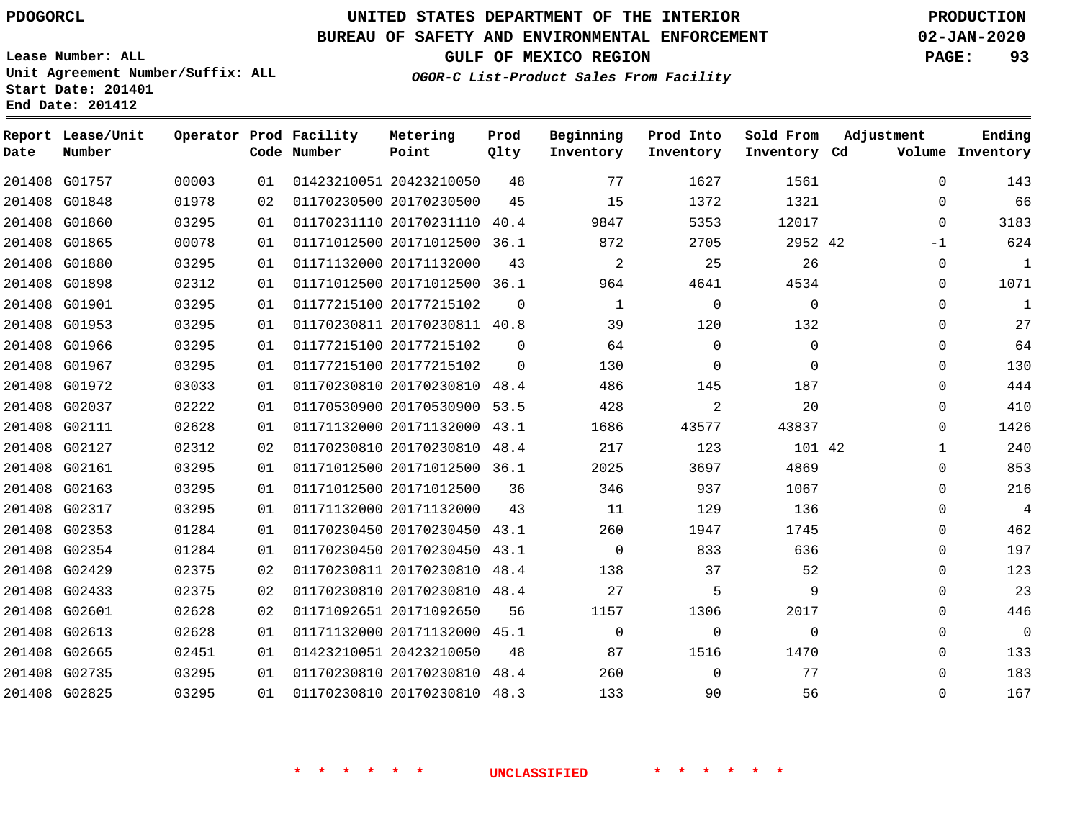**Prod**

### **BUREAU OF SAFETY AND ENVIRONMENTAL ENFORCEMENT 02-JAN-2020**

**Lease Number: ALL Unit Agreement Number/Suffix: ALL Start Date: 201401**

**Operator Prod Facility Metering**

**End Date: 201412**

**Report Lease/Unit**

**GULF OF MEXICO REGION PAGE: 93**

**Adjustment**

**Ending**

**OGOR-C List-Product Sales From Facility**

**Beginning Prod Into Sold From**

| Date | Number        |       |    | Code Number | Point                        | Qlty     | Inventory | Inventory      | Inventory Cd |              | Volume Inventory |
|------|---------------|-------|----|-------------|------------------------------|----------|-----------|----------------|--------------|--------------|------------------|
|      | 201408 G01757 | 00003 | 01 |             | 01423210051 20423210050      | 48       | 77        | 1627           | 1561         | $\mathbf{0}$ | 143              |
|      | 201408 G01848 | 01978 | 02 |             | 01170230500 20170230500      | 45       | 15        | 1372           | 1321         | $\Omega$     | 66               |
|      | 201408 G01860 | 03295 | 01 |             | 01170231110 20170231110      | 40.4     | 9847      | 5353           | 12017        | $\Omega$     | 3183             |
|      | 201408 G01865 | 00078 | 01 |             | 01171012500 20171012500 36.1 |          | 872       | 2705           | 2952 42      | -1           | 624              |
|      | 201408 G01880 | 03295 | 01 |             | 01171132000 20171132000      | 43       | 2         | 25             | 26           | 0            | $\mathbf 1$      |
|      | 201408 G01898 | 02312 | 01 |             | 01171012500 20171012500      | 36.1     | 964       | 4641           | 4534         | $\Omega$     | 1071             |
|      | 201408 G01901 | 03295 | 01 |             | 01177215100 20177215102      | $\Omega$ | 1         | $\Omega$       | $\Omega$     | $\Omega$     | $\mathbf{1}$     |
|      | 201408 G01953 | 03295 | 01 |             | 01170230811 20170230811      | 40.8     | 39        | 120            | 132          | 0            | 27               |
|      | 201408 G01966 | 03295 | 01 |             | 01177215100 20177215102      | $\Omega$ | 64        | $\mathbf 0$    | $\mathbf 0$  | $\Omega$     | 64               |
|      | 201408 G01967 | 03295 | 01 |             | 01177215100 20177215102      | $\Omega$ | 130       | 0              | $\Omega$     | $\Omega$     | 130              |
|      | 201408 G01972 | 03033 | 01 |             | 01170230810 20170230810      | 48.4     | 486       | 145            | 187          | $\Omega$     | 444              |
|      | 201408 G02037 | 02222 | 01 |             | 01170530900 20170530900 53.5 |          | 428       | $\overline{2}$ | 20           | 0            | 410              |
|      | 201408 G02111 | 02628 | 01 |             | 01171132000 20171132000      | 43.1     | 1686      | 43577          | 43837        | 0            | 1426             |
|      | 201408 G02127 | 02312 | 02 |             | 01170230810 20170230810      | 48.4     | 217       | 123            | 101 42       | 1            | 240              |
|      | 201408 G02161 | 03295 | 01 |             | 01171012500 20171012500 36.1 |          | 2025      | 3697           | 4869         | 0            | 853              |
|      | 201408 G02163 | 03295 | 01 |             | 01171012500 20171012500      | 36       | 346       | 937            | 1067         | 0            | 216              |
|      | 201408 G02317 | 03295 | 01 |             | 01171132000 20171132000      | 43       | 11        | 129            | 136          | $\Omega$     | $\overline{4}$   |
|      | 201408 G02353 | 01284 | 01 |             | 01170230450 20170230450      | 43.1     | 260       | 1947           | 1745         | 0            | 462              |
|      | 201408 G02354 | 01284 | 01 |             | 01170230450 20170230450      | 43.1     | $\Omega$  | 833            | 636          | $\Omega$     | 197              |
|      | 201408 G02429 | 02375 | 02 |             | 01170230811 20170230810 48.4 |          | 138       | 37             | 52           | $\Omega$     | 123              |
|      | 201408 G02433 | 02375 | 02 |             | 01170230810 20170230810      | 48.4     | 27        | 5              | 9            | $\Omega$     | 23               |
|      | 201408 G02601 | 02628 | 02 |             | 01171092651 20171092650      | 56       | 1157      | 1306           | 2017         | 0            | 446              |
|      | 201408 G02613 | 02628 | 01 |             | 01171132000 20171132000 45.1 |          | $\Omega$  | $\mathbf 0$    | $\Omega$     | 0            | 0                |
|      | 201408 G02665 | 02451 | 01 |             | 01423210051 20423210050      | 48       | 87        | 1516           | 1470         | 0            | 133              |
|      | 201408 G02735 | 03295 | 01 |             | 01170230810 20170230810      | 48.4     | 260       | $\mathbf 0$    | 77           | $\Omega$     | 183              |
|      | 201408 G02825 | 03295 | 01 |             | 01170230810 20170230810 48.3 |          | 133       | 90             | 56           | 0            | 167              |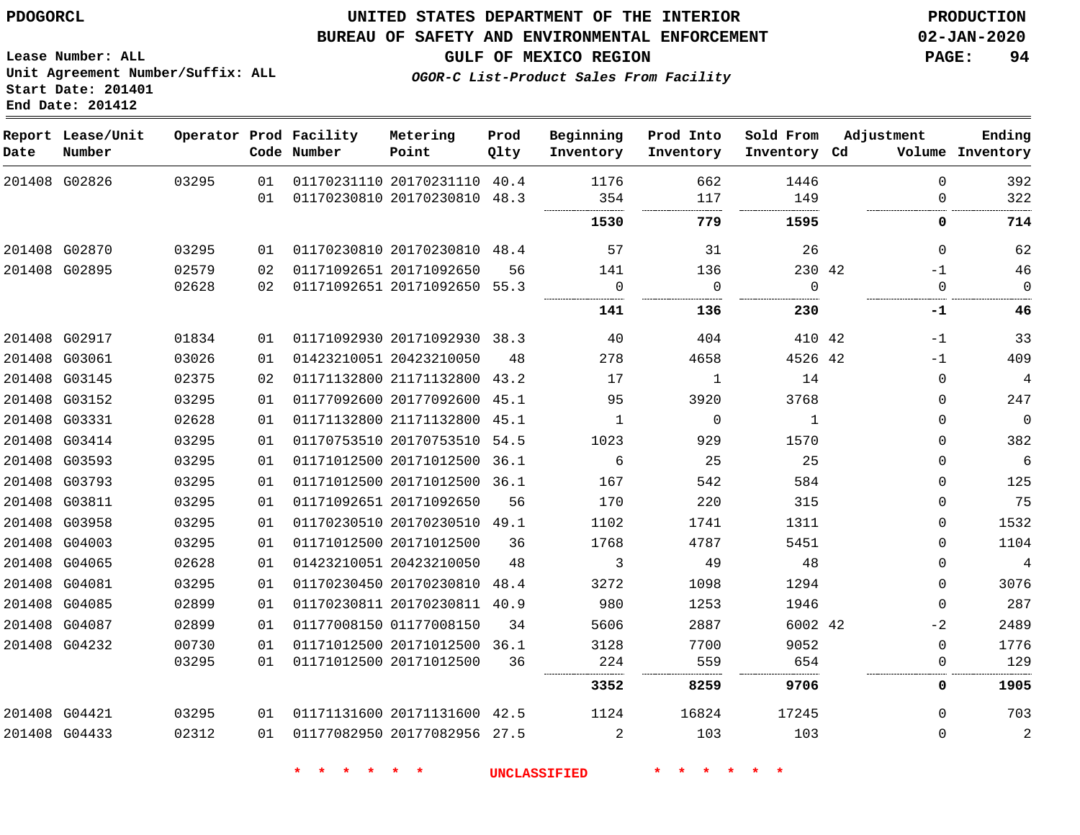#### **BUREAU OF SAFETY AND ENVIRONMENTAL ENFORCEMENT 02-JAN-2020**

**Lease Number: ALL Unit Agreement Number/Suffix: ALL Start Date: 201401 End Date: 201412**

**GULF OF MEXICO REGION PAGE: 94**

| OGOR-C List-Product Sales From Facility |  |
|-----------------------------------------|--|
|-----------------------------------------|--|

| Date | Report Lease/Unit<br>Number |       |    | Operator Prod Facility<br>Code Number | Metering<br>Point            | Prod<br>Qlty | Beginning<br>Inventory | Prod Into<br>Inventory | Sold From<br>Inventory Cd | Adjustment  | Ending<br>Volume Inventory |
|------|-----------------------------|-------|----|---------------------------------------|------------------------------|--------------|------------------------|------------------------|---------------------------|-------------|----------------------------|
|      | 201408 G02826               | 03295 | 01 |                                       | 01170231110 20170231110 40.4 |              | 1176                   | 662                    | 1446                      | $\Omega$    | 392                        |
|      |                             |       | 01 | 01170230810 20170230810 48.3          |                              |              | 354                    | 117                    | 149                       | $\Omega$    | 322                        |
|      |                             |       |    |                                       |                              |              | 1530                   | 779                    | 1595                      | 0           | 714                        |
|      | 201408 G02870               | 03295 | 01 | 01170230810 20170230810 48.4          |                              |              | 57                     | 31                     | 26                        | $\Omega$    | 62                         |
|      | 201408 G02895               | 02579 | 02 |                                       | 01171092651 20171092650      | 56           | 141                    | 136                    | 230 42                    | $-1$        | 46                         |
|      |                             | 02628 | 02 |                                       | 01171092651 20171092650 55.3 |              | 0                      | $\overline{0}$         | $\overline{0}$            | $\mathbf 0$ | $\mathbf 0$                |
|      |                             |       |    |                                       |                              |              | 141                    | 136                    | 230                       | $-1$        | 46                         |
|      | 201408 G02917               | 01834 | 01 |                                       | 01171092930 20171092930 38.3 |              | 40                     | 404                    | 410 42                    | -1          | 33                         |
|      | 201408 G03061               | 03026 | 01 |                                       | 01423210051 20423210050      | 48           | 278                    | 4658                   | 4526 42                   | $-1$        | 409                        |
|      | 201408 G03145               | 02375 | 02 |                                       | 01171132800 21171132800 43.2 |              | 17                     | 1                      | 14                        | $\Omega$    | $\sqrt{4}$                 |
|      | 201408 G03152               | 03295 | 01 |                                       | 01177092600 20177092600 45.1 |              | 95                     | 3920                   | 3768                      | $\Omega$    | 247                        |
|      | 201408 G03331               | 02628 | 01 |                                       | 01171132800 21171132800 45.1 |              | 1                      | $\Omega$               | 1                         | $\Omega$    | $\overline{0}$             |
|      | 201408 G03414               | 03295 | 01 |                                       | 01170753510 20170753510      | 54.5         | 1023                   | 929                    | 1570                      | 0           | 382                        |
|      | 201408 G03593               | 03295 | 01 |                                       | 01171012500 20171012500 36.1 |              | 6                      | 25                     | 25                        | $\Omega$    | $\sqrt{6}$                 |
|      | 201408 G03793               | 03295 | 01 |                                       | 01171012500 20171012500 36.1 |              | 167                    | 542                    | 584                       | $\Omega$    | 125                        |
|      | 201408 G03811               | 03295 | 01 |                                       | 01171092651 20171092650      | 56           | 170                    | 220                    | 315                       | $\Omega$    | 75                         |
|      | 201408 G03958               | 03295 | 01 |                                       | 01170230510 20170230510 49.1 |              | 1102                   | 1741                   | 1311                      | $\Omega$    | 1532                       |
|      | 201408 G04003               | 03295 | 01 |                                       | 01171012500 20171012500      | 36           | 1768                   | 4787                   | 5451                      | $\Omega$    | 1104                       |
|      | 201408 G04065               | 02628 | 01 |                                       | 01423210051 20423210050      | 48           | 3                      | 49                     | 48                        | $\Omega$    | $\overline{4}$             |
|      | 201408 G04081               | 03295 | 01 |                                       | 01170230450 20170230810 48.4 |              | 3272                   | 1098                   | 1294                      | $\Omega$    | 3076                       |
|      | 201408 G04085               | 02899 | 01 |                                       | 01170230811 20170230811      | 40.9         | 980                    | 1253                   | 1946                      | $\Omega$    | 287                        |
|      | 201408 G04087               | 02899 | 01 |                                       | 01177008150 01177008150      | 34           | 5606                   | 2887                   | 6002 42                   | -2          | 2489                       |
|      | 201408 G04232               | 00730 | 01 |                                       | 01171012500 20171012500 36.1 |              | 3128                   | 7700                   | 9052                      | $\Omega$    | 1776                       |
|      |                             | 03295 | 01 |                                       | 01171012500 20171012500      | 36           | 224                    | 559                    | 654                       | 0           | 129                        |
|      |                             |       |    |                                       |                              |              | 3352                   | 8259                   | 9706                      | 0           | 1905                       |
|      | 201408 G04421               | 03295 | 01 |                                       | 01171131600 20171131600 42.5 |              | 1124                   | 16824                  | 17245                     | $\Omega$    | 703                        |
|      | 201408 G04433               | 02312 | 01 |                                       | 01177082950 20177082956 27.5 |              | 2                      | 103                    | 103                       | $\Omega$    | 2                          |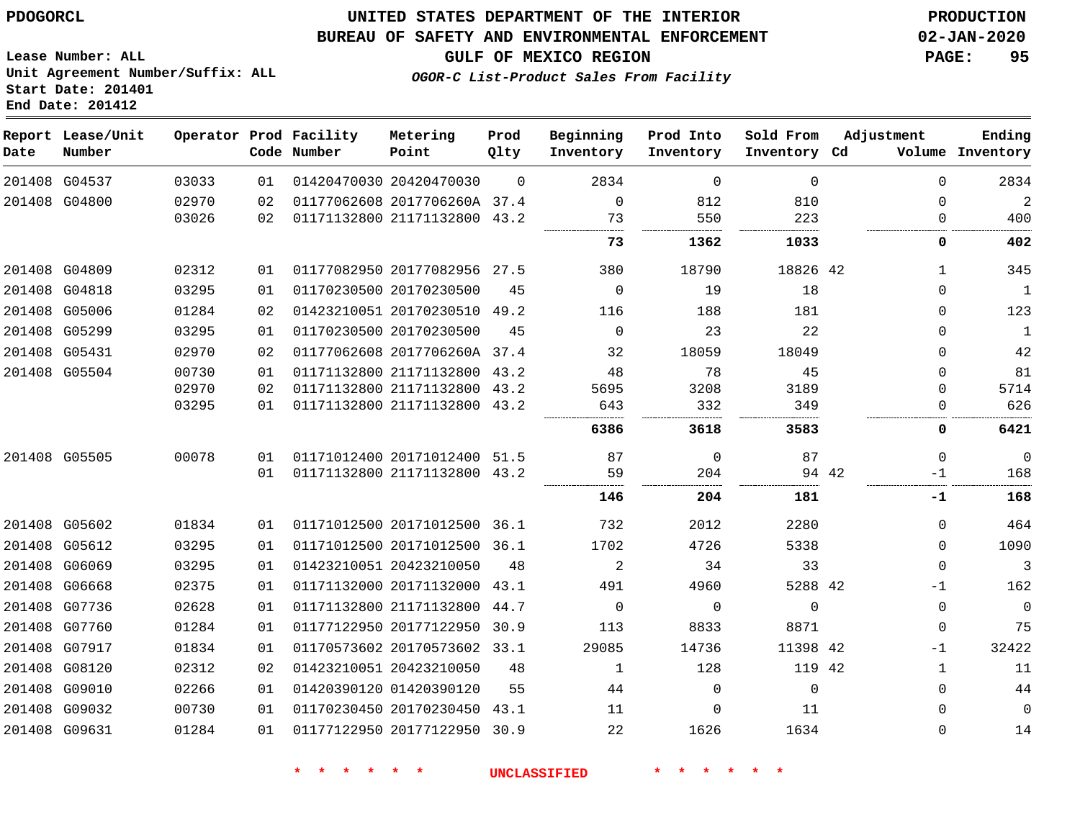#### **BUREAU OF SAFETY AND ENVIRONMENTAL ENFORCEMENT 02-JAN-2020**

**Lease Number: ALL Unit Agreement Number/Suffix: ALL Start Date: 201401 End Date: 201412**

**GULF OF MEXICO REGION PAGE: 95**

**OGOR-C List-Product Sales From Facility**

| Date          | Report Lease/Unit<br>Number |       |    | Operator Prod Facility<br>Code Number | Metering<br>Point            | Prod<br>Qlty | Beginning<br>Inventory | Prod Into<br>Inventory | Sold From<br>Inventory Cd | Adjustment | Ending<br>Volume Inventory  |
|---------------|-----------------------------|-------|----|---------------------------------------|------------------------------|--------------|------------------------|------------------------|---------------------------|------------|-----------------------------|
|               | 201408 G04537               | 03033 | 01 |                                       | 01420470030 20420470030      | $\Omega$     | 2834                   | $\Omega$               | $\Omega$                  |            | 2834<br>$\Omega$            |
|               | 201408 G04800               | 02970 | 02 |                                       | 01177062608 2017706260A 37.4 |              | $\mathbf 0$            | 812                    | 810                       |            | 2<br>$\Omega$               |
|               |                             | 03026 | 02 |                                       | 01171132800 21171132800 43.2 |              | 73                     | 550                    | 223                       |            | 400<br>0                    |
|               |                             |       |    |                                       |                              |              | 73                     | 1362                   | 1033                      |            | 402<br>0                    |
| 201408 G04809 |                             | 02312 | 01 |                                       | 01177082950 20177082956 27.5 |              | 380                    | 18790                  | 18826 42                  |            | 345<br>1                    |
|               | 201408 G04818               | 03295 | 01 |                                       | 01170230500 20170230500      | 45           | $\mathbf 0$            | 19                     | 18                        |            | $\mathbf{1}$<br>0           |
| 201408 G05006 |                             | 01284 | 02 |                                       | 01423210051 20170230510 49.2 |              | 116                    | 188                    | 181                       |            | 123<br>0                    |
| 201408 G05299 |                             | 03295 | 01 |                                       | 01170230500 20170230500      | 45           | $\Omega$               | 23                     | 22                        |            | $\mathbf{1}$<br>$\Omega$    |
| 201408 G05431 |                             | 02970 | 02 |                                       | 01177062608 2017706260A 37.4 |              | 32                     | 18059                  | 18049                     |            | 42<br>$\Omega$              |
| 201408 G05504 |                             | 00730 | 01 |                                       | 01171132800 21171132800 43.2 |              | 48                     | 78                     | 45                        |            | 81<br>$\Omega$              |
|               |                             | 02970 | 02 |                                       | 01171132800 21171132800 43.2 |              | 5695                   | 3208                   | 3189                      |            | 5714<br>$\Omega$            |
|               |                             | 03295 | 01 |                                       | 01171132800 21171132800 43.2 |              | 643                    | 332                    | 349                       |            | 626<br>0                    |
|               |                             |       |    |                                       |                              |              | 6386                   | 3618                   | 3583                      |            | 0<br>6421                   |
| 201408 G05505 |                             | 00078 | 01 |                                       | 01171012400 20171012400 51.5 |              | 87                     | 0                      | 87                        |            | $\mathbf 0$<br>$\Omega$     |
|               |                             |       | 01 |                                       | 01171132800 21171132800 43.2 |              | 59                     | 204                    |                           | 94 42      | 168<br>-1                   |
|               |                             |       |    |                                       |                              |              | 146                    | 204                    | 181                       |            | 168<br>-1                   |
|               | 201408 G05602               | 01834 | 01 |                                       | 01171012500 20171012500 36.1 |              | 732                    | 2012                   | 2280                      |            | 464<br>0                    |
|               | 201408 G05612               | 03295 | 01 |                                       | 01171012500 20171012500 36.1 |              | 1702                   | 4726                   | 5338                      |            | 1090<br>$\Omega$            |
| 201408 G06069 |                             | 03295 | 01 |                                       | 01423210051 20423210050      | 48           | 2                      | 34                     | 33                        |            | $\mathbf{3}$<br>$\mathbf 0$ |
| 201408 G06668 |                             | 02375 | 01 |                                       | 01171132000 20171132000      | 43.1         | 491                    | 4960                   | 5288 42                   |            | 162<br>$-1$                 |
| 201408 G07736 |                             | 02628 | 01 |                                       | 01171132800 21171132800      | 44.7         | $\Omega$               | $\Omega$               | $\Omega$                  |            | $\mathbf 0$<br>0            |
|               | 201408 G07760               | 01284 | 01 |                                       | 01177122950 20177122950 30.9 |              | 113                    | 8833                   | 8871                      |            | 75<br>$\mathbf 0$           |
|               | 201408 G07917               | 01834 | 01 |                                       | 01170573602 20170573602 33.1 |              | 29085                  | 14736                  | 11398 42                  |            | 32422<br>$-1$               |
| 201408 G08120 |                             | 02312 | 02 |                                       | 01423210051 20423210050      | 48           | 1                      | 128                    | 119 42                    |            | 11<br>1                     |
| 201408 G09010 |                             | 02266 | 01 |                                       | 01420390120 01420390120      | 55           | 44                     | $\Omega$               | $\Omega$                  |            | 44<br>0                     |
|               | 201408 G09032               | 00730 | 01 |                                       | 01170230450 20170230450 43.1 |              | 11                     | $\Omega$               | 11                        |            | 0<br>0                      |
|               | 201408 G09631               | 01284 | 01 |                                       | 01177122950 20177122950 30.9 |              | 22                     | 1626                   | 1634                      |            | 14<br>0                     |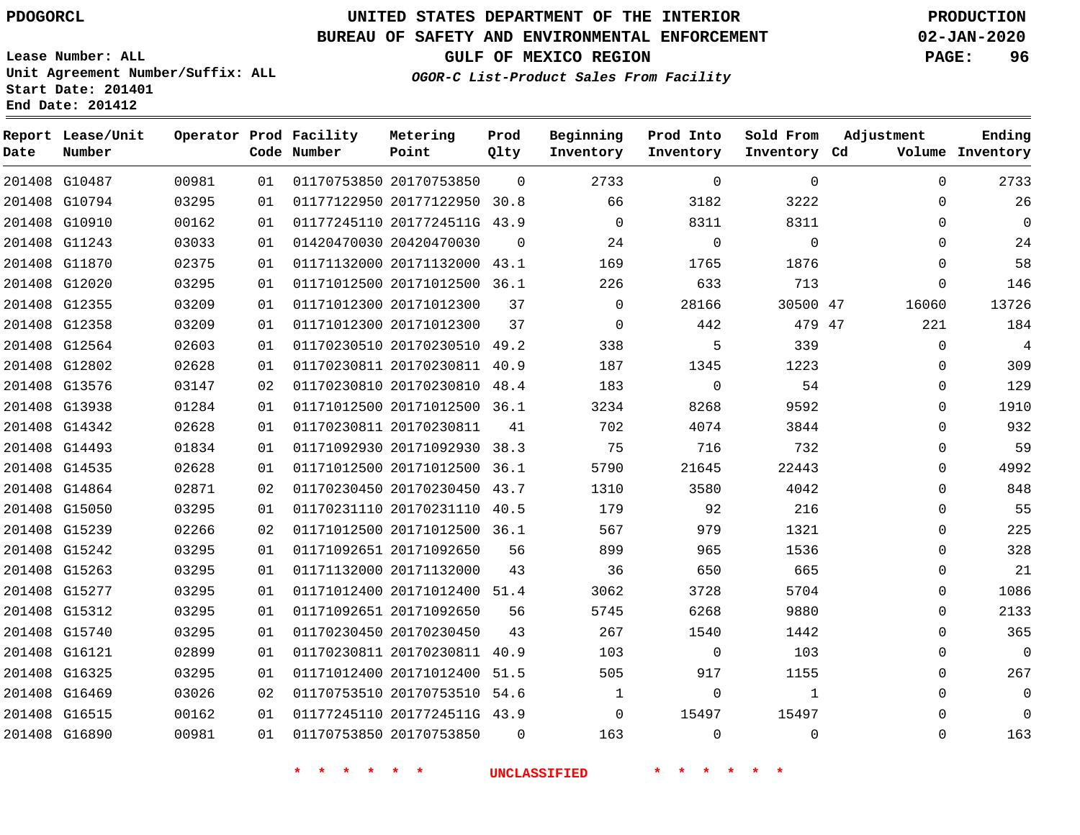**End Date: 201412**

**Report Lease/Unit**

**Number**

 G15740 G16121 G16325 G16469 G16515 G16890

# **UNITED STATES DEPARTMENT OF THE INTERIOR PDOGORCL PRODUCTION**

**Prod Qlty**

#### **BUREAU OF SAFETY AND ENVIRONMENTAL ENFORCEMENT 02-JAN-2020**

**Lease Number: ALL Unit Agreement Number/Suffix: ALL Start Date: 201401**

**Operator Prod Facility**

**Code Number**

**OGOR-C List-Product Sales From Facility**

**Beginning Inventory** **Prod Into Inventory** **Sold From Inventory**

**GULF OF MEXICO REGION PAGE: 96**

**Inventory Cd Volume**

**Adjustment**

  $\Omega$  $\Omega$  $\Omega$  $\Omega$  $\Omega$ 

  $\Omega$  $\Omega$  $\Omega$  $\Omega$  $\Omega$   $\Omega$  $\overline{0}$  $\Omega$  $\Omega$  $\Omega$  $\Omega$   $\Omega$  $\Omega$   $\Omega$   $\Omega$ 

**Ending**

| 201408 G10487 | 00981 | 01 | 01170753850 20170753850      | 0        | 2733     | $\Omega$    | $\mathbf 0$ | 0            |
|---------------|-------|----|------------------------------|----------|----------|-------------|-------------|--------------|
| 201408 G10794 | 03295 | 01 | 01177122950 20177122950      | 30.8     | 66       | 3182        | 3222        | $\mathbf 0$  |
| 201408 G10910 | 00162 | 01 | 01177245110 2017724511G 43.9 |          | 0        | 8311        | 8311        | 0            |
| 201408 G11243 | 03033 | 01 | 01420470030 20420470030      | $\Omega$ | 24       | $\mathbf 0$ | $\mathbf 0$ | $\mathbf 0$  |
| 201408 G11870 | 02375 | 01 | 01171132000 20171132000      | 43.1     | 169      | 1765        | 1876        | $\mathbf 0$  |
| 201408 G12020 | 03295 | 01 | 01171012500 20171012500      | 36.1     | 226      | 633         | 713         | $\mathbf 0$  |
| 201408 G12355 | 03209 | 01 | 01171012300 20171012300      | 37       | $\Omega$ | 28166       | 30500 47    | 16060        |
| 201408 G12358 | 03209 | 01 | 01171012300 20171012300      | 37       | $\Omega$ | 442         | 479 47      | 221          |
| 201408 G12564 | 02603 | 01 | 01170230510 20170230510      | 49.2     | 338      | 5           | 339         | $\mathbf 0$  |
| 201408 G12802 | 02628 | 01 | 01170230811 20170230811      | 40.9     | 187      | 1345        | 1223        | 0            |
| 201408 G13576 | 03147 | 02 | 01170230810 20170230810      | 48.4     | 183      | $\mathbf 0$ | 54          | $\mathbf 0$  |
| 201408 G13938 | 01284 | 01 | 01171012500 20171012500      | 36.1     | 3234     | 8268        | 9592        | $\mathbf 0$  |
| 201408 G14342 | 02628 | 01 | 01170230811 20170230811      | 41       | 702      | 4074        | 3844        | $\mathbf 0$  |
| 201408 G14493 | 01834 | 01 | 01171092930 20171092930      | 38.3     | 75       | 716         | 732         | $\mathbf 0$  |
| 201408 G14535 | 02628 | 01 | 01171012500 20171012500      | 36.1     | 5790     | 21645       | 22443       | $\mathbf 0$  |
| 201408 G14864 | 02871 | 02 | 01170230450 20170230450      | 43.7     | 1310     | 3580        | 4042        | $\mathbf 0$  |
| 201408 G15050 | 03295 | 01 | 01170231110 20170231110      | 40.5     | 179      | 92          | 216         | 0            |
| 201408 G15239 | 02266 | 02 | 01171012500 20171012500      | 36.1     | 567      | 979         | 1321        | $\mathbf 0$  |
| 201408 G15242 | 03295 | 01 | 01171092651 20171092650      | 56       | 899      | 965         | 1536        | $\mathbf{0}$ |
| 201408 G15263 | 03295 | 01 | 01171132000 20171132000      | 43       | 36       | 650         | 665         | $\mathbf 0$  |
| 201408 G15277 | 03295 | 01 | 01171012400 20171012400      | 51.4     | 3062     | 3728        | 5704        | 0            |
| 201408 G15312 | 03295 | 01 | 01171092651 20171092650      | 56       | 5745     | 6268        | 9880        | $\mathbf{0}$ |

#### 20170753510 54.6

20170230450

20170753850

 20170230811 40.9 20171012400 51.5

**Metering Point**

2017724511G 43.9

 $\Omega$ 

**\* \* \* \* \* \* UNCLASSIFIED \* \* \* \* \* \***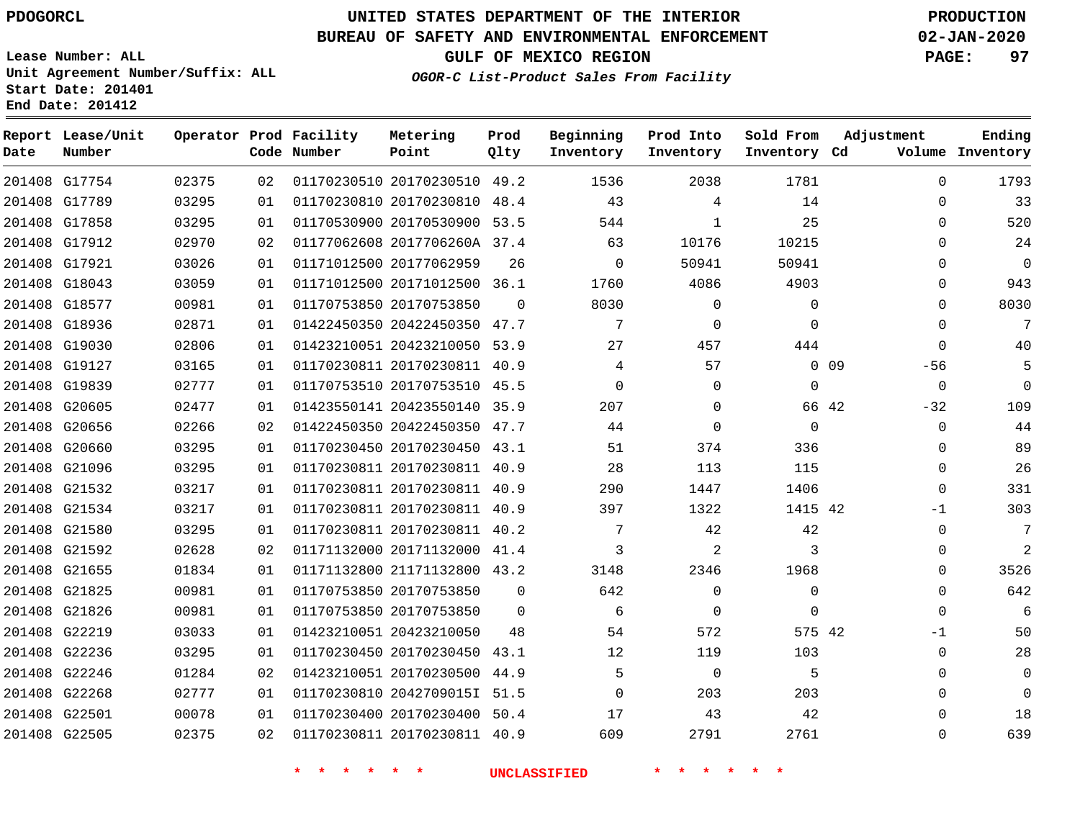# **UNITED STATES DEPARTMENT OF THE INTERIOR PDOGORCL PRODUCTION**

### **BUREAU OF SAFETY AND ENVIRONMENTAL ENFORCEMENT 02-JAN-2020**

**Lease Number: ALL Unit Agreement Number/Suffix: ALL Start Date: 201401**

**GULF OF MEXICO REGION PAGE: 97**

**OGOR-C List-Product Sales From Facility**

| Date          | Report Lease/Unit<br>Number |       |    | Operator Prod Facility<br>Code Number | Metering<br>Point            | Prod<br>Qlty | Beginning<br>Inventory | Prod Into<br>Inventory | Sold From<br>Inventory Cd | Adjustment     | Ending<br>Volume Inventory |
|---------------|-----------------------------|-------|----|---------------------------------------|------------------------------|--------------|------------------------|------------------------|---------------------------|----------------|----------------------------|
|               | 201408 G17754               | 02375 | 02 |                                       | 01170230510 20170230510 49.2 |              | 1536                   | 2038                   | 1781                      | $\Omega$       | 1793                       |
|               | 201408 G17789               | 03295 | 01 |                                       | 01170230810 20170230810 48.4 |              | 43                     | 4                      | 14                        | $\Omega$       | 33                         |
|               | 201408 G17858               | 03295 | 01 |                                       | 01170530900 20170530900 53.5 |              | 544                    | $\mathbf{1}$           | 25                        | $\Omega$       | 520                        |
|               | 201408 G17912               | 02970 | 02 |                                       | 01177062608 2017706260A 37.4 |              | 63                     | 10176                  | 10215                     | $\Omega$       | 24                         |
|               | 201408 G17921               | 03026 | 01 |                                       | 01171012500 20177062959      | 26           | $\mathbf 0$            | 50941                  | 50941                     | $\Omega$       | 0                          |
|               | 201408 G18043               | 03059 | 01 |                                       | 01171012500 20171012500 36.1 |              | 1760                   | 4086                   | 4903                      | $\Omega$       | 943                        |
| 201408 G18577 |                             | 00981 | 01 |                                       | 01170753850 20170753850      | $\Omega$     | 8030                   | 0                      | $\Omega$                  | $\Omega$       | 8030                       |
|               | 201408 G18936               | 02871 | 01 |                                       | 01422450350 20422450350      | 47.7         | 7                      | 0                      | $\Omega$                  | $\Omega$       | 7                          |
|               | 201408 G19030               | 02806 | 01 |                                       | 01423210051 20423210050 53.9 |              | 27                     | 457                    | 444                       | 0              | 40                         |
|               | 201408 G19127               | 03165 | 01 |                                       | 01170230811 20170230811 40.9 |              | 4                      | 57                     |                           | 0 0 9<br>$-56$ | 5                          |
|               | 201408 G19839               | 02777 | 01 |                                       | 01170753510 20170753510 45.5 |              | $\Omega$               | 0                      | $\Omega$                  | $\Omega$       | $\Omega$                   |
|               | 201408 G20605               | 02477 | 01 |                                       | 01423550141 20423550140      | 35.9         | 207                    | $\Omega$               |                           | 66 42<br>$-32$ | 109                        |
|               | 201408 G20656               | 02266 | 02 |                                       | 01422450350 20422450350 47.7 |              | 44                     | $\Omega$               | $\Omega$                  | $\Omega$       | 44                         |
|               | 201408 G20660               | 03295 | 01 |                                       | 01170230450 20170230450 43.1 |              | 51                     | 374                    | 336                       | 0              | 89                         |
|               | 201408 G21096               | 03295 | 01 |                                       | 01170230811 20170230811 40.9 |              | 28                     | 113                    | 115                       | 0              | 26                         |
|               | 201408 G21532               | 03217 | 01 |                                       | 01170230811 20170230811 40.9 |              | 290                    | 1447                   | 1406                      | 0              | 331                        |
|               | 201408 G21534               | 03217 | 01 |                                       | 01170230811 20170230811 40.9 |              | 397                    | 1322                   | 1415 42                   | -1             | 303                        |
|               | 201408 G21580               | 03295 | 01 |                                       | 01170230811 20170230811 40.2 |              | 7                      | 42                     | 42                        | $\Omega$       | 7                          |
|               | 201408 G21592               | 02628 | 02 |                                       | 01171132000 20171132000 41.4 |              | 3                      | 2                      | 3                         | $\Omega$       | 2                          |
|               | 201408 G21655               | 01834 | 01 |                                       | 01171132800 21171132800 43.2 |              | 3148                   | 2346                   | 1968                      | 0              | 3526                       |
|               | 201408 G21825               | 00981 | 01 |                                       | 01170753850 20170753850      | $\Omega$     | 642                    | 0                      | $\Omega$                  | $\Omega$       | 642                        |
|               | 201408 G21826               | 00981 | 01 |                                       | 01170753850 20170753850      | $\Omega$     | 6                      | $\mathbf 0$            | $\Omega$                  | $\Omega$       | 6                          |
|               | 201408 G22219               | 03033 | 01 |                                       | 01423210051 20423210050      | 48           | 54                     | 572                    | 575 42                    | $-1$           | 50                         |
|               | 201408 G22236               | 03295 | 01 |                                       | 01170230450 20170230450      | 43.1         | 12                     | 119                    | 103                       | 0              | 28                         |
|               | 201408 G22246               | 01284 | 02 |                                       | 01423210051 20170230500 44.9 |              | 5                      | 0                      | 5                         | 0              | 0                          |
|               | 201408 G22268               | 02777 | 01 |                                       | 01170230810 2042709015I 51.5 |              | $\Omega$               | 203                    | 203                       | $\Omega$       | $\Omega$                   |
|               | 201408 G22501               | 00078 | 01 |                                       | 01170230400 20170230400 50.4 |              | 17                     | 43                     | 42                        | $\Omega$       | 18                         |
|               | 201408 G22505               | 02375 | 02 |                                       | 01170230811 20170230811 40.9 |              | 609                    | 2791                   | 2761                      | $\Omega$       | 639                        |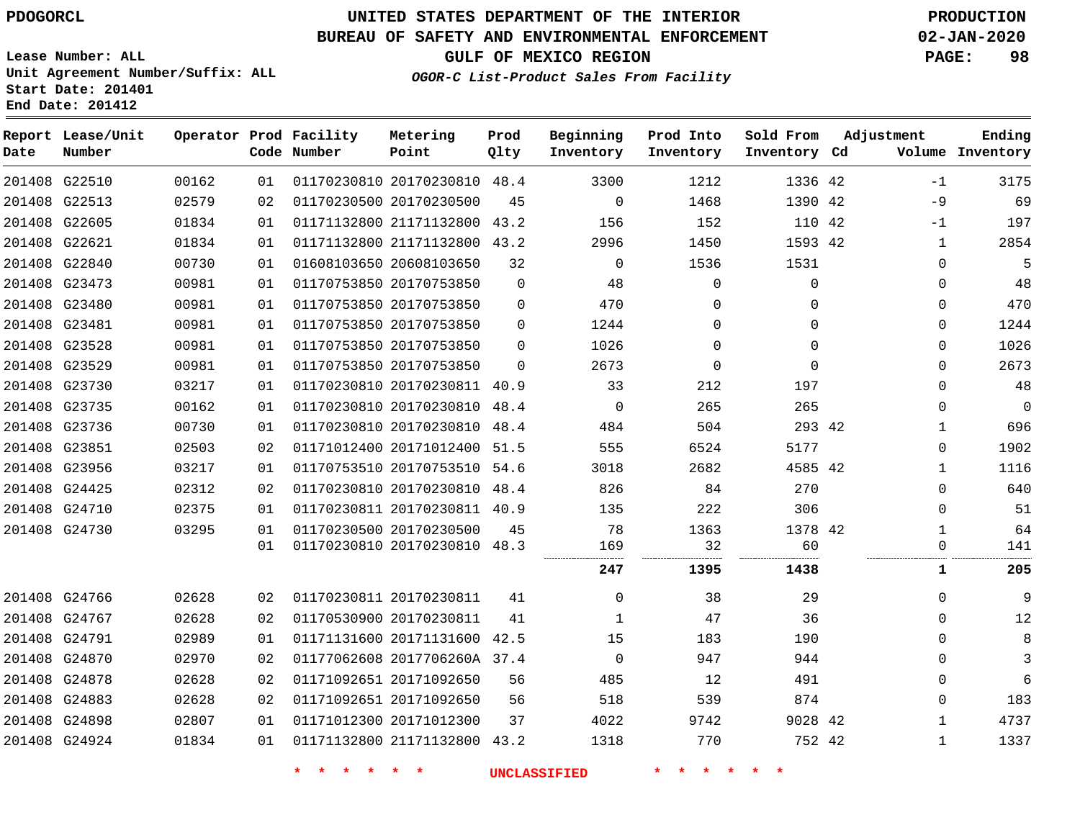### **BUREAU OF SAFETY AND ENVIRONMENTAL ENFORCEMENT 02-JAN-2020**

**OGOR-C List-Product Sales From Facility**

**GULF OF MEXICO REGION PAGE: 98**

**Lease Number: ALL Unit Agreement Number/Suffix: ALL Start Date: 201401 End Date: 201412**

| Date | Report Lease/Unit<br>Number |       |    | Operator Prod Facility<br>Code Number | Metering<br>Point            | Prod<br>Qlty | Beginning<br>Inventory | Prod Into<br>Inventory | Sold From<br>Inventory Cd | Adjustment |              | Ending<br>Volume Inventory |
|------|-----------------------------|-------|----|---------------------------------------|------------------------------|--------------|------------------------|------------------------|---------------------------|------------|--------------|----------------------------|
|      | 201408 G22510               | 00162 | 01 |                                       | 01170230810 20170230810 48.4 |              | 3300                   | 1212                   | 1336 42                   |            | $-1$         | 3175                       |
|      | 201408 G22513               | 02579 | 02 |                                       | 01170230500 20170230500      | 45           | $\Omega$               | 1468                   | 1390 42                   |            | $-9$         | 69                         |
|      | 201408 G22605               | 01834 | 01 |                                       | 01171132800 21171132800      | 43.2         | 156                    | 152                    | 110 42                    |            | $-1$         | 197                        |
|      | 201408 G22621               | 01834 | 01 |                                       | 01171132800 21171132800      | 43.2         | 2996                   | 1450                   | 1593 42                   |            | $\mathbf{1}$ | 2854                       |
|      | 201408 G22840               | 00730 | 01 |                                       | 01608103650 20608103650      | 32           | $\mathbf 0$            | 1536                   | 1531                      |            | $\mathbf 0$  | 5                          |
|      | 201408 G23473               | 00981 | 01 |                                       | 01170753850 20170753850      | $\Omega$     | 48                     | $\Omega$               | $\Omega$                  |            | 0            | 48                         |
|      | 201408 G23480               | 00981 | 01 |                                       | 01170753850 20170753850      | $\Omega$     | 470                    | $\Omega$               | $\Omega$                  |            | $\Omega$     | 470                        |
|      | 201408 G23481               | 00981 | 01 |                                       | 01170753850 20170753850      | $\mathbf{0}$ | 1244                   | $\mathbf 0$            | $\mathbf 0$               |            | 0            | 1244                       |
|      | 201408 G23528               | 00981 | 01 |                                       | 01170753850 20170753850      | $\Omega$     | 1026                   | $\Omega$               | $\Omega$                  |            | 0            | 1026                       |
|      | 201408 G23529               | 00981 | 01 |                                       | 01170753850 20170753850      | $\Omega$     | 2673                   | $\Omega$               | $\Omega$                  |            | $\mathbf 0$  | 2673                       |
|      | 201408 G23730               | 03217 | 01 |                                       | 01170230810 20170230811 40.9 |              | 33                     | 212                    | 197                       |            | $\Omega$     | 48                         |
|      | 201408 G23735               | 00162 | 01 |                                       | 01170230810 20170230810      | 48.4         | $\mathbf 0$            | 265                    | 265                       |            | $\Omega$     | $\mathbf 0$                |
|      | 201408 G23736               | 00730 | 01 |                                       | 01170230810 20170230810      | 48.4         | 484                    | 504                    | 293 42                    |            | 1            | 696                        |
|      | 201408 G23851               | 02503 | 02 |                                       | 01171012400 20171012400      | 51.5         | 555                    | 6524                   | 5177                      |            | $\mathbf 0$  | 1902                       |
|      | 201408 G23956               | 03217 | 01 |                                       | 01170753510 20170753510 54.6 |              | 3018                   | 2682                   | 4585 42                   |            | 1            | 1116                       |
|      | 201408 G24425               | 02312 | 02 |                                       | 01170230810 20170230810 48.4 |              | 826                    | 84                     | 270                       |            | $\Omega$     | 640                        |
|      | 201408 G24710               | 02375 | 01 |                                       | 01170230811 20170230811 40.9 |              | 135                    | 222                    | 306                       |            | $\mathbf 0$  | 51                         |
|      | 201408 G24730               | 03295 | 01 |                                       | 01170230500 20170230500      | 45           | 78                     | 1363                   | 1378 42                   |            | 1            | 64                         |
|      |                             |       | 01 |                                       | 01170230810 20170230810 48.3 |              | 169                    | 32                     | 60                        |            | $\mathbf 0$  | 141                        |
|      |                             |       |    |                                       |                              |              | 247                    | 1395                   | 1438                      |            | 1            | 205                        |
|      | 201408 G24766               | 02628 | 02 |                                       | 01170230811 20170230811      | 41           | $\mathbf 0$            | 38                     | 29                        |            | $\mathbf 0$  | 9                          |
|      | 201408 G24767               | 02628 | 02 |                                       | 01170530900 20170230811      | 41           | $\mathbf{1}$           | 47                     | 36                        |            | $\Omega$     | 12                         |
|      | 201408 G24791               | 02989 | 01 |                                       | 01171131600 20171131600      | 42.5         | 15                     | 183                    | 190                       |            | 0            | 8                          |
|      | 201408 G24870               | 02970 | 02 |                                       | 01177062608 2017706260A 37.4 |              | $\mathbf 0$            | 947                    | 944                       |            | 0            | 3                          |
|      | 201408 G24878               | 02628 | 02 |                                       | 01171092651 20171092650      | 56           | 485                    | 12                     | 491                       |            | $\mathbf 0$  | 6                          |
|      | 201408 G24883               | 02628 | 02 |                                       | 01171092651 20171092650      | 56           | 518                    | 539                    | 874                       |            | 0            | 183                        |
|      | 201408 G24898               | 02807 | 01 |                                       | 01171012300 20171012300      | 37           | 4022                   | 9742                   | 9028 42                   |            | 1            | 4737                       |
|      | 201408 G24924               | 01834 | 01 |                                       | 01171132800 21171132800 43.2 |              | 1318                   | 770                    | 752 42                    |            | $\mathbf{1}$ | 1337                       |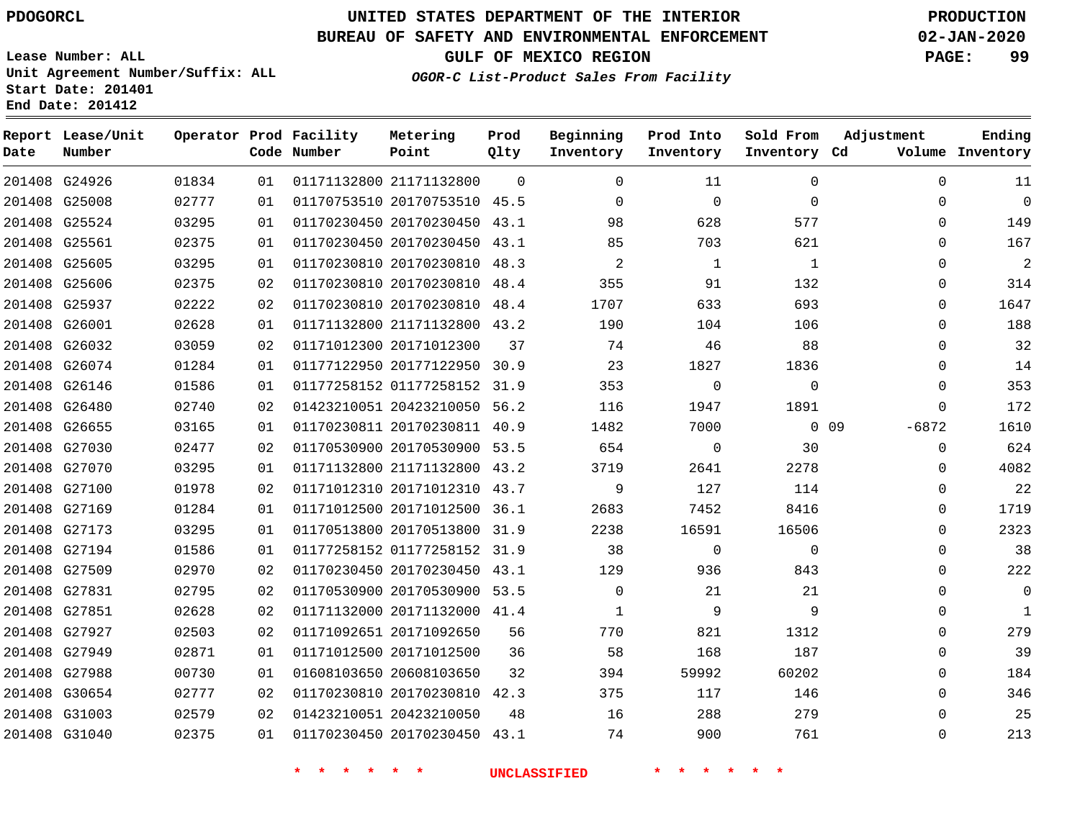# **UNITED STATES DEPARTMENT OF THE INTERIOR PDOGORCL PRODUCTION**

### **BUREAU OF SAFETY AND ENVIRONMENTAL ENFORCEMENT 02-JAN-2020**

**Lease Number: ALL Unit Agreement Number/Suffix: ALL Start Date: 201401**

**GULF OF MEXICO REGION PAGE: 99**

**OGOR-C List-Product Sales From Facility**

| Date | Report Lease/Unit<br>Number |       |    | Operator Prod Facility<br>Code Number | Metering<br>Point            | Prod<br>Qlty | Beginning<br>Inventory | Prod Into<br>Inventory | Sold From<br>Inventory Cd | Adjustment        | Ending<br>Volume Inventory |
|------|-----------------------------|-------|----|---------------------------------------|------------------------------|--------------|------------------------|------------------------|---------------------------|-------------------|----------------------------|
|      | 201408 G24926               | 01834 | 01 |                                       | 01171132800 21171132800      | $\Omega$     | $\Omega$               | 11                     | $\Omega$                  | $\Omega$          | 11                         |
|      | 201408 G25008               | 02777 | 01 |                                       | 01170753510 20170753510 45.5 |              | $\Omega$               | $\Omega$               | $\Omega$                  | $\Omega$          | $\overline{0}$             |
|      | 201408 G25524               | 03295 | 01 |                                       | 01170230450 20170230450      | 43.1         | 98                     | 628                    | 577                       | $\Omega$          | 149                        |
|      | 201408 G25561               | 02375 | 01 |                                       | 01170230450 20170230450 43.1 |              | 85                     | 703                    | 621                       | $\Omega$          | 167                        |
|      | 201408 G25605               | 03295 | 01 |                                       | 01170230810 20170230810 48.3 |              | 2                      | 1                      | 1                         | $\Omega$          | $\overline{2}$             |
|      | 201408 G25606               | 02375 | 02 |                                       | 01170230810 20170230810 48.4 |              | 355                    | 91                     | 132                       | 0                 | 314                        |
|      | 201408 G25937               | 02222 | 02 |                                       | 01170230810 20170230810 48.4 |              | 1707                   | 633                    | 693                       | $\mathbf 0$       | 1647                       |
|      | 201408 G26001               | 02628 | 01 |                                       | 01171132800 21171132800 43.2 |              | 190                    | 104                    | 106                       | $\Omega$          | 188                        |
|      | 201408 G26032               | 03059 | 02 |                                       | 01171012300 20171012300      | 37           | 74                     | 46                     | 88                        | 0                 | 32                         |
|      | 201408 G26074               | 01284 | 01 |                                       | 01177122950 20177122950 30.9 |              | 23                     | 1827                   | 1836                      | 0                 | 14                         |
|      | 201408 G26146               | 01586 | 01 |                                       | 01177258152 01177258152 31.9 |              | 353                    | $\mathbf 0$            | $\Omega$                  | $\mathbf 0$       | 353                        |
|      | 201408 G26480               | 02740 | 02 |                                       | 01423210051 20423210050 56.2 |              | 116                    | 1947                   | 1891                      | 0                 | 172                        |
|      | 201408 G26655               | 03165 | 01 |                                       | 01170230811 20170230811 40.9 |              | 1482                   | 7000                   |                           | $-6872$<br>$0$ 09 | 1610                       |
|      | 201408 G27030               | 02477 | 02 |                                       | 01170530900 20170530900 53.5 |              | 654                    | $\mathbf 0$            | 30                        | 0                 | 624                        |
|      | 201408 G27070               | 03295 | 01 |                                       | 01171132800 21171132800 43.2 |              | 3719                   | 2641                   | 2278                      | $\Omega$          | 4082                       |
|      | 201408 G27100               | 01978 | 02 |                                       | 01171012310 20171012310 43.7 |              | 9                      | 127                    | 114                       | $\Omega$          | 22                         |
|      | 201408 G27169               | 01284 | 01 |                                       | 01171012500 20171012500 36.1 |              | 2683                   | 7452                   | 8416                      | 0                 | 1719                       |
|      | 201408 G27173               | 03295 | 01 |                                       | 01170513800 20170513800 31.9 |              | 2238                   | 16591                  | 16506                     | $\Omega$          | 2323                       |
|      | 201408 G27194               | 01586 | 01 |                                       | 01177258152 01177258152 31.9 |              | 38                     | $\mathbf 0$            | $\Omega$                  | $\mathbf 0$       | 38                         |
|      | 201408 G27509               | 02970 | 02 |                                       | 01170230450 20170230450 43.1 |              | 129                    | 936                    | 843                       | $\Omega$          | 222                        |
|      | 201408 G27831               | 02795 | 02 |                                       | 01170530900 20170530900 53.5 |              | $\mathbf 0$            | 21                     | 21                        | 0                 | 0                          |
|      | 201408 G27851               | 02628 | 02 |                                       | 01171132000 20171132000 41.4 |              | 1                      | 9                      | 9                         | $\Omega$          | 1                          |
|      | 201408 G27927               | 02503 | 02 |                                       | 01171092651 20171092650      | 56           | 770                    | 821                    | 1312                      | 0                 | 279                        |
|      | 201408 G27949               | 02871 | 01 |                                       | 01171012500 20171012500      | 36           | 58                     | 168                    | 187                       | $\mathbf 0$       | 39                         |
|      | 201408 G27988               | 00730 | 01 |                                       | 01608103650 20608103650      | 32           | 394                    | 59992                  | 60202                     | 0                 | 184                        |
|      | 201408 G30654               | 02777 | 02 |                                       | 01170230810 20170230810 42.3 |              | 375                    | 117                    | 146                       | $\mathbf 0$       | 346                        |
|      | 201408 G31003               | 02579 | 02 |                                       | 01423210051 20423210050      | 48           | 16                     | 288                    | 279                       | $\mathbf 0$       | 25                         |
|      | 201408 G31040               | 02375 | 01 |                                       | 01170230450 20170230450 43.1 |              | 74                     | 900                    | 761                       | $\Omega$          | 213                        |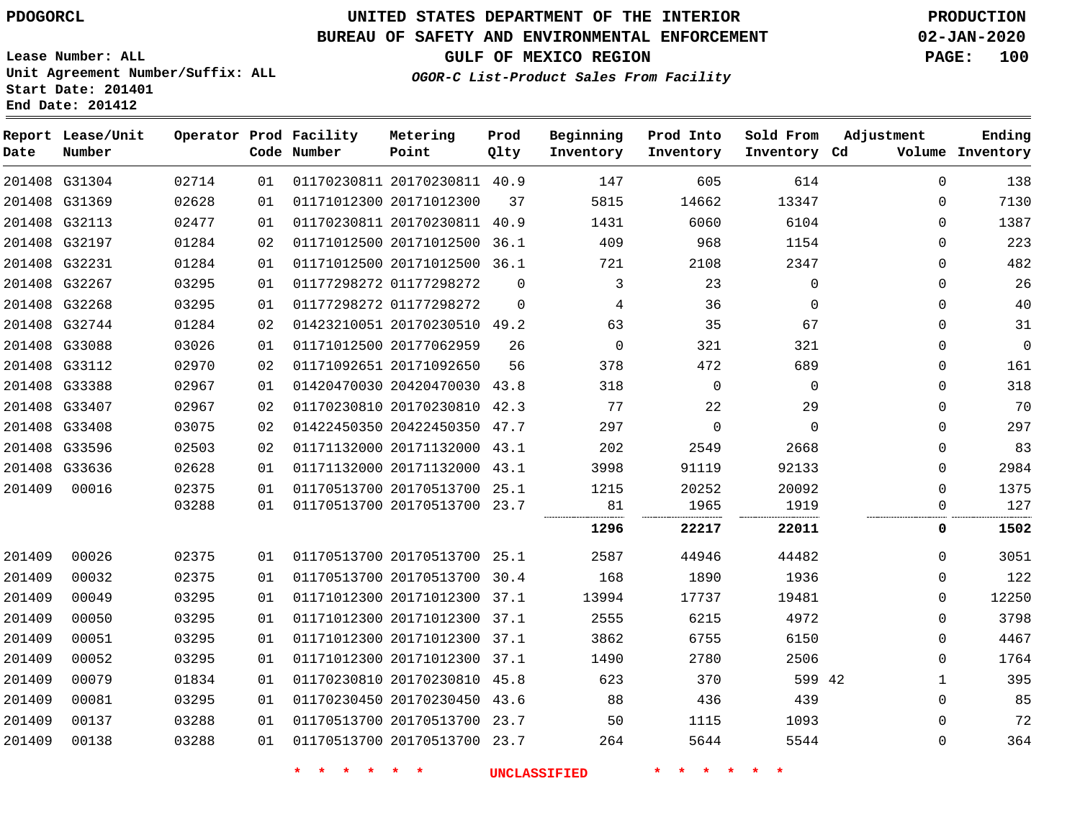# **UNITED STATES DEPARTMENT OF THE INTERIOR PDOGORCL PRODUCTION**

#### **BUREAU OF SAFETY AND ENVIRONMENTAL ENFORCEMENT 02-JAN-2020**

**Lease Number: ALL Unit Agreement Number/Suffix: ALL Start Date: 201401 End Date: 201412**

**OGOR-C List-Product Sales From Facility**

**GULF OF MEXICO REGION PAGE: 100**

| Date   | Report Lease/Unit<br>Number |       |    | Operator Prod Facility<br>Code Number | Metering<br>Point            | Prod<br>Qlty | Beginning<br>Inventory | Prod Into<br>Inventory | Sold From<br>Inventory Cd | Adjustment   | Ending<br>Volume Inventory |
|--------|-----------------------------|-------|----|---------------------------------------|------------------------------|--------------|------------------------|------------------------|---------------------------|--------------|----------------------------|
|        | 201408 G31304               | 02714 | 01 |                                       | 01170230811 20170230811 40.9 |              | 147                    | 605                    | 614                       | $\mathbf 0$  | 138                        |
|        | 201408 G31369               | 02628 | 01 |                                       | 01171012300 20171012300      | 37           | 5815                   | 14662                  | 13347                     | $\Omega$     | 7130                       |
|        | 201408 G32113               | 02477 | 01 |                                       | 01170230811 20170230811      | 40.9         | 1431                   | 6060                   | 6104                      | $\Omega$     | 1387                       |
|        | 201408 G32197               | 01284 | 02 |                                       | 01171012500 20171012500      | 36.1         | 409                    | 968                    | 1154                      | $\Omega$     | 223                        |
|        | 201408 G32231               | 01284 | 01 |                                       | 01171012500 20171012500      | 36.1         | 721                    | 2108                   | 2347                      | $\Omega$     | 482                        |
|        | 201408 G32267               | 03295 | 01 |                                       | 01177298272 01177298272      | $\Omega$     | 3                      | 23                     | $\Omega$                  | $\Omega$     | 26                         |
|        | 201408 G32268               | 03295 | 01 |                                       | 01177298272 01177298272      | $\Omega$     | 4                      | 36                     | $\Omega$                  | 0            | 40                         |
|        | 201408 G32744               | 01284 | 02 |                                       | 01423210051 20170230510 49.2 |              | 63                     | 35                     | 67                        | $\Omega$     | 31                         |
|        | 201408 G33088               | 03026 | 01 |                                       | 01171012500 20177062959      | 26           | $\Omega$               | 321                    | 321                       | $\Omega$     | $\mathbf 0$                |
|        | 201408 G33112               | 02970 | 02 |                                       | 01171092651 20171092650      | 56           | 378                    | 472                    | 689                       | 0            | 161                        |
|        | 201408 G33388               | 02967 | 01 |                                       | 01420470030 20420470030 43.8 |              | 318                    | $\mathbf 0$            | $\Omega$                  | 0            | 318                        |
|        | 201408 G33407               | 02967 | 02 |                                       | 01170230810 20170230810      | 42.3         | 77                     | 22                     | 29                        | 0            | 70                         |
|        | 201408 G33408               | 03075 | 02 |                                       | 01422450350 20422450350 47.7 |              | 297                    | $\mathbf 0$            | $\Omega$                  | $\Omega$     | 297                        |
|        | 201408 G33596               | 02503 | 02 |                                       | 01171132000 20171132000      | 43.1         | 202                    | 2549                   | 2668                      | 0            | 83                         |
|        | 201408 G33636               | 02628 | 01 |                                       | 01171132000 20171132000      | 43.1         | 3998                   | 91119                  | 92133                     | $\mathbf{0}$ | 2984                       |
| 201409 | 00016                       | 02375 | 01 |                                       | 01170513700 20170513700      | 25.1         | 1215                   | 20252                  | 20092                     | $\Omega$     | 1375                       |
|        |                             | 03288 | 01 |                                       | 01170513700 20170513700      | 23.7         | 81<br>                 | 1965                   | 1919<br>.                 | $\Omega$     | 127                        |
|        |                             |       |    |                                       |                              |              | 1296                   | 22217                  | 22011                     | 0            | 1502                       |
| 201409 | 00026                       | 02375 | 01 |                                       | 01170513700 20170513700 25.1 |              | 2587                   | 44946                  | 44482                     | 0            | 3051                       |
| 201409 | 00032                       | 02375 | 01 |                                       | 01170513700 20170513700      | 30.4         | 168                    | 1890                   | 1936                      | 0            | 122                        |
| 201409 | 00049                       | 03295 | 01 |                                       | 01171012300 20171012300      | 37.1         | 13994                  | 17737                  | 19481                     | $\mathbf 0$  | 12250                      |
| 201409 | 00050                       | 03295 | 01 |                                       | 01171012300 20171012300      | 37.1         | 2555                   | 6215                   | 4972                      | $\mathbf{0}$ | 3798                       |
| 201409 | 00051                       | 03295 | 01 |                                       | 01171012300 20171012300      | 37.1         | 3862                   | 6755                   | 6150                      | 0            | 4467                       |
| 201409 | 00052                       | 03295 | 01 |                                       | 01171012300 20171012300 37.1 |              | 1490                   | 2780                   | 2506                      | 0            | 1764                       |
| 201409 | 00079                       | 01834 | 01 |                                       | 01170230810 20170230810      | 45.8         | 623                    | 370                    | 599 42                    | 1            | 395                        |
| 201409 | 00081                       | 03295 | 01 |                                       | 01170230450 20170230450      | 43.6         | 88                     | 436                    | 439                       | 0            | 85                         |
| 201409 | 00137                       | 03288 | 01 |                                       | 01170513700 20170513700      | 23.7         | 50                     | 1115                   | 1093                      | $\Omega$     | 72                         |
| 201409 | 00138                       | 03288 | 01 |                                       | 01170513700 20170513700 23.7 |              | 264                    | 5644                   | 5544                      | $\Omega$     | 364                        |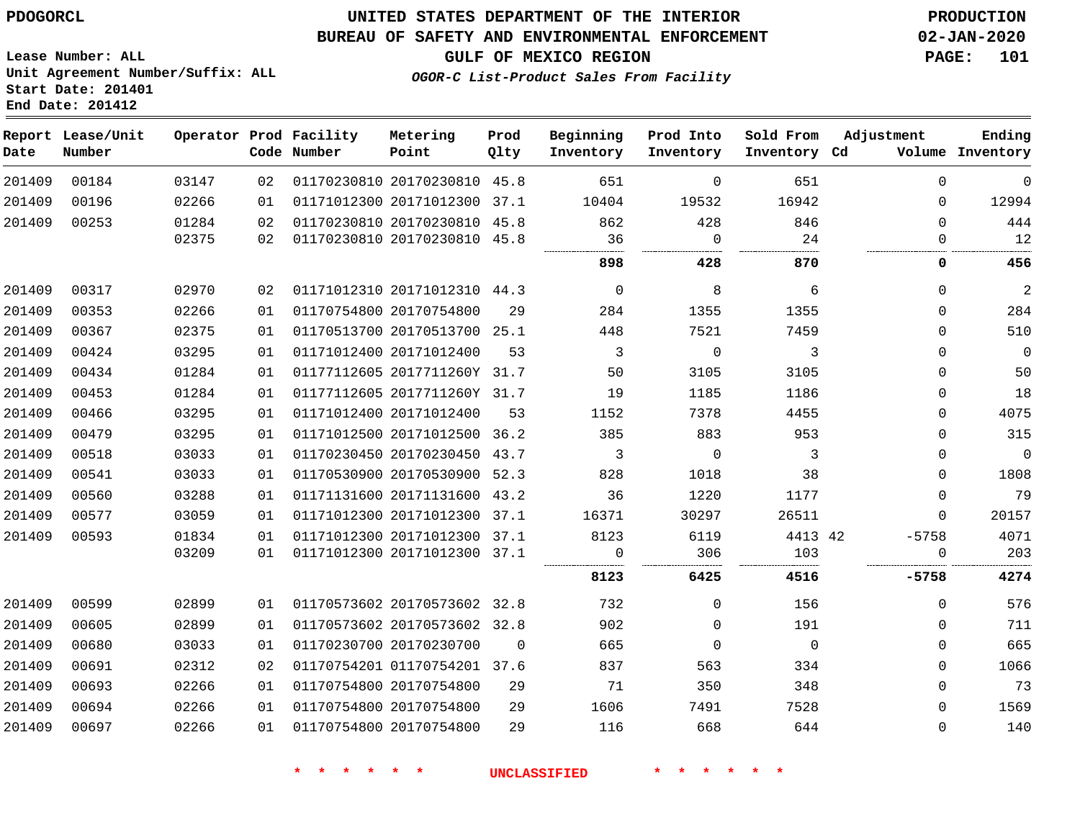### **UNITED STATES DEPARTMENT OF THE INTERIOR PDOGORCL PRODUCTION**

#### **BUREAU OF SAFETY AND ENVIRONMENTAL ENFORCEMENT 02-JAN-2020**

**Lease Number: ALL Unit Agreement Number/Suffix: ALL Start Date: 201401**

**GULF OF MEXICO REGION PAGE: 101**

**OGOR-C List-Product Sales From Facility**

| Date   | Report Lease/Unit<br>Number |       |    | Operator Prod Facility<br>Code Number | Metering<br>Point            | Prod<br>Qlty | Beginning<br>Inventory | Prod Into<br>Inventory | Sold From<br>Inventory Cd | Adjustment   | Ending<br>Volume Inventory |
|--------|-----------------------------|-------|----|---------------------------------------|------------------------------|--------------|------------------------|------------------------|---------------------------|--------------|----------------------------|
| 201409 | 00184                       | 03147 | 02 |                                       | 01170230810 20170230810 45.8 |              | 651                    | $\mathbf 0$            | 651                       | $\Omega$     | $\mathbf{0}$               |
| 201409 | 00196                       | 02266 | 01 |                                       | 01171012300 20171012300 37.1 |              | 10404                  | 19532                  | 16942                     | 0            | 12994                      |
| 201409 | 00253                       | 01284 | 02 |                                       | 01170230810 20170230810 45.8 |              | 862                    | 428                    | 846                       | $\Omega$     | 444                        |
|        |                             | 02375 | 02 |                                       | 01170230810 20170230810 45.8 |              | 36<br>                 | $\Omega$<br>           | 24                        | $\Omega$<br> | 12                         |
|        |                             |       |    |                                       |                              |              | 898                    | 428                    | 870                       | 0            | 456                        |
| 201409 | 00317                       | 02970 | 02 |                                       | 01171012310 20171012310 44.3 |              | $\overline{0}$         | 8                      | 6                         | $\Omega$     | $\overline{2}$             |
| 201409 | 00353                       | 02266 | 01 |                                       | 01170754800 20170754800      | 29           | 284                    | 1355                   | 1355                      | $\Omega$     | 284                        |
| 201409 | 00367                       | 02375 | 01 |                                       | 01170513700 20170513700 25.1 |              | 448                    | 7521                   | 7459                      | $\Omega$     | 510                        |
| 201409 | 00424                       | 03295 | 01 |                                       | 01171012400 20171012400      | 53           | $\overline{3}$         | $\mathbf 0$            | 3                         | $\Omega$     | $\Omega$                   |
| 201409 | 00434                       | 01284 | 01 |                                       | 01177112605 2017711260Y 31.7 |              | 50                     | 3105                   | 3105                      | 0            | 50                         |
| 201409 | 00453                       | 01284 | 01 |                                       | 01177112605 2017711260Y 31.7 |              | 19                     | 1185                   | 1186                      | 0            | 18                         |
| 201409 | 00466                       | 03295 | 01 |                                       | 01171012400 20171012400      | 53           | 1152                   | 7378                   | 4455                      | 0            | 4075                       |
| 201409 | 00479                       | 03295 | 01 |                                       | 01171012500 20171012500      | 36.2         | 385                    | 883                    | 953                       | $\Omega$     | 315                        |
| 201409 | 00518                       | 03033 | 01 |                                       | 01170230450 20170230450 43.7 |              | 3                      | $\Omega$               | 3                         | $\Omega$     | $\mathbf 0$                |
| 201409 | 00541                       | 03033 | 01 |                                       | 01170530900 20170530900 52.3 |              | 828                    | 1018                   | 38                        | $\Omega$     | 1808                       |
| 201409 | 00560                       | 03288 | 01 |                                       | 01171131600 20171131600 43.2 |              | 36                     | 1220                   | 1177                      | 0            | 79                         |
| 201409 | 00577                       | 03059 | 01 |                                       | 01171012300 20171012300      | 37.1         | 16371                  | 30297                  | 26511                     | 0            | 20157                      |
| 201409 | 00593                       | 01834 | 01 |                                       | 01171012300 20171012300 37.1 |              | 8123                   | 6119                   | 4413 42                   | $-5758$      | 4071                       |
|        |                             | 03209 | 01 |                                       | 01171012300 20171012300 37.1 |              | $\Omega$               | 306                    | 103                       | 0            | 203                        |
|        |                             |       |    |                                       |                              |              | 8123                   | 6425                   | 4516                      | $-5758$      | 4274                       |
| 201409 | 00599                       | 02899 | 01 |                                       | 01170573602 20170573602 32.8 |              | 732                    | $\Omega$               | 156                       | $\Omega$     | 576                        |
| 201409 | 00605                       | 02899 | 01 |                                       | 01170573602 20170573602 32.8 |              | 902                    | $\mathbf 0$            | 191                       | 0            | 711                        |
| 201409 | 00680                       | 03033 | 01 |                                       | 01170230700 20170230700      | $\Omega$     | 665                    | $\mathbf 0$            | $\Omega$                  | 0            | 665                        |
| 201409 | 00691                       | 02312 | 02 |                                       | 01170754201 01170754201 37.6 |              | 837                    | 563                    | 334                       | $\Omega$     | 1066                       |
| 201409 | 00693                       | 02266 | 01 |                                       | 01170754800 20170754800      | 29           | 71                     | 350                    | 348                       | 0            | 73                         |
| 201409 | 00694                       | 02266 | 01 |                                       | 01170754800 20170754800      | 29           | 1606                   | 7491                   | 7528                      | $\Omega$     | 1569                       |
| 201409 | 00697                       | 02266 | 01 |                                       | 01170754800 20170754800      | 29           | 116                    | 668                    | 644                       | $\Omega$     | 140                        |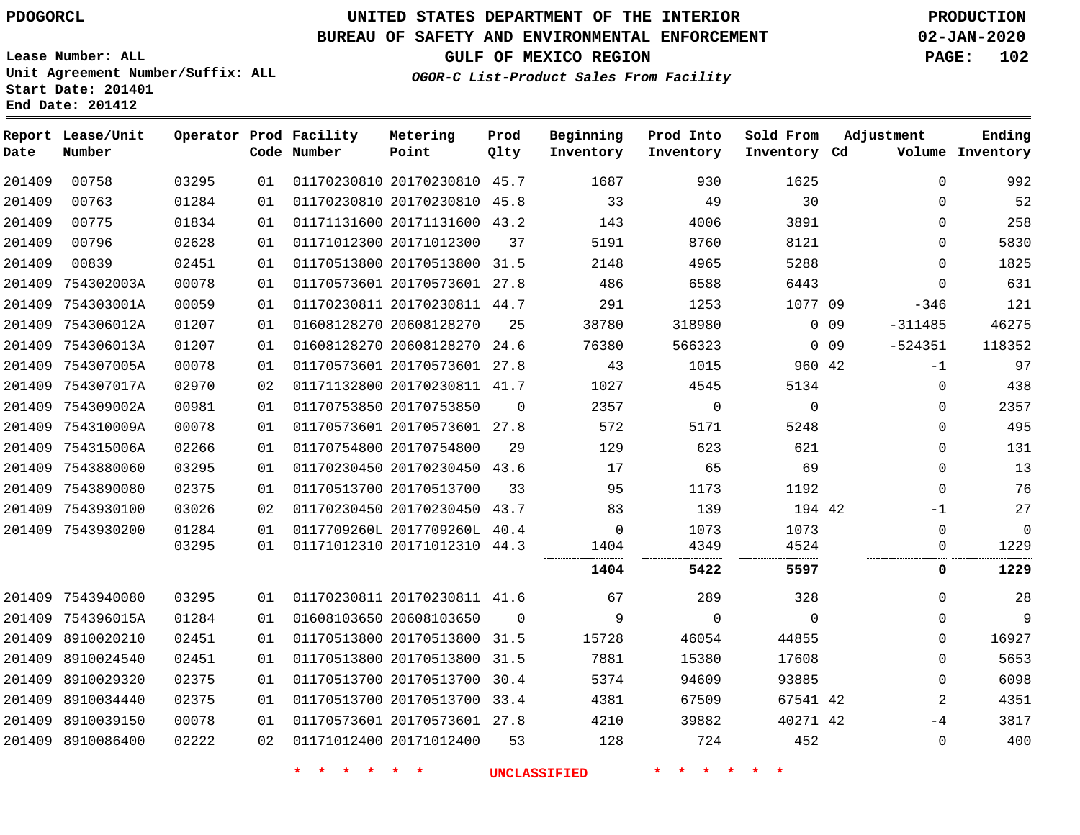**End Date: 201412**

**Report Lease/Unit**

**Number**

# **UNITED STATES DEPARTMENT OF THE INTERIOR PDOGORCL PRODUCTION**

**Prod Qlty**

#### **BUREAU OF SAFETY AND ENVIRONMENTAL ENFORCEMENT 02-JAN-2020**

**Lease Number: ALL Unit Agreement Number/Suffix: ALL Start Date: 201401**

**Operator Prod Facility**

**Code Number**

**Metering Point**

**GULF OF MEXICO REGION PAGE: 102**

**Inventory Cd Volume**

**Adjustment**

**Ending**

**OGOR-C List-Product Sales From Facility**

**Beginning Inventory** **Prod Into Inventory** **Sold From Inventory**

| 201409 | 00758             | 03295 | 01 | 01170230810 20170230810 45.7 |          | 1687  | 930         | 1625        |                 | 0         | 992            |
|--------|-------------------|-------|----|------------------------------|----------|-------|-------------|-------------|-----------------|-----------|----------------|
| 201409 | 00763             | 01284 | 01 | 01170230810 20170230810 45.8 |          | 33    | 49          | 30          |                 | $\Omega$  | 52             |
| 201409 | 00775             | 01834 | 01 | 01171131600 20171131600 43.2 |          | 143   | 4006        | 3891        |                 | $\Omega$  | 258            |
| 201409 | 00796             | 02628 | 01 | 01171012300 20171012300      | 37       | 5191  | 8760        | 8121        |                 | $\Omega$  | 5830           |
| 201409 | 00839             | 02451 | 01 | 01170513800 20170513800 31.5 |          | 2148  | 4965        | 5288        |                 | $\Omega$  | 1825           |
| 201409 | 754302003A        | 00078 | 01 | 01170573601 20170573601 27.8 |          | 486   | 6588        | 6443        |                 | $\Omega$  | 631            |
|        | 201409 754303001A | 00059 | 01 | 01170230811 20170230811 44.7 |          | 291   | 1253        | 1077 09     |                 | $-346$    | 121            |
| 201409 | 754306012A        | 01207 | 01 | 01608128270 20608128270      | 25       | 38780 | 318980      |             | $0$ 09          | $-311485$ | 46275          |
| 201409 | 754306013A        | 01207 | 01 | 01608128270 20608128270      | 24.6     | 76380 | 566323      |             | 0 <sub>09</sub> | $-524351$ | 118352         |
|        | 201409 754307005A | 00078 | 01 | 01170573601 20170573601 27.8 |          | 43    | 1015        | 960 42      |                 | $-1$      | 97             |
| 201409 | 754307017A        | 02970 | 02 | 01171132800 20170230811 41.7 |          | 1027  | 4545        | 5134        |                 | $\Omega$  | 438            |
| 201409 | 754309002A        | 00981 | 01 | 01170753850 20170753850      | $\Omega$ | 2357  | $\mathbf 0$ | $\mathbf 0$ |                 | $\Omega$  | 2357           |
|        | 201409 754310009A | 00078 | 01 | 01170573601 20170573601 27.8 |          | 572   | 5171        | 5248        |                 | 0         | 495            |
| 201409 | 754315006A        | 02266 | 01 | 01170754800 20170754800      | 29       | 129   | 623         | 621         |                 | $\Omega$  | 131            |
|        | 201409 7543880060 | 03295 | 01 | 01170230450 20170230450 43.6 |          | 17    | 65          | 69          |                 | $\Omega$  | 13             |
|        | 201409 7543890080 | 02375 | 01 | 01170513700 20170513700      | 33       | 95    | 1173        | 1192        |                 | $\Omega$  | 76             |
|        | 201409 7543930100 | 03026 | 02 | 01170230450 20170230450      | 43.7     | 83    | 139         | 194 42      |                 | $-1$      | 27             |
|        | 201409 7543930200 | 01284 | 01 | 0117709260L 2017709260L 40.4 |          | 0     | 1073        | 1073        |                 | $\Omega$  | $\overline{0}$ |
|        |                   | 03295 | 01 | 01171012310 20171012310 44.3 |          | 1404  | 4349        | 4524<br>    |                 | 0         | 1229           |
|        |                   |       |    |                              |          | 1404  | 5422        | 5597        |                 | 0         | 1229           |
|        | 201409 7543940080 | 03295 | 01 | 01170230811 20170230811 41.6 |          | 67    | 289         | 328         |                 | $\Omega$  | 28             |
|        | 201409 754396015A | 01284 | 01 | 01608103650 20608103650      | $\Omega$ | 9     | $\Omega$    | $\mathbf 0$ |                 | $\Omega$  | 9              |
|        | 201409 8910020210 | 02451 | 01 | 01170513800 20170513800 31.5 |          | 15728 | 46054       | 44855       |                 | $\Omega$  | 16927          |
|        | 201409 8910024540 | 02451 | 01 | 01170513800 20170513800 31.5 |          | 7881  | 15380       | 17608       |                 | $\Omega$  | 5653           |
| 201409 | 8910029320        | 02375 | 01 | 01170513700 20170513700      | 30.4     | 5374  | 94609       | 93885       |                 | $\Omega$  | 6098           |
|        | 201409 8910034440 | 02375 | 01 | 01170513700 20170513700 33.4 |          | 4381  | 67509       | 67541 42    |                 | 2         | 4351           |
| 201409 | 8910039150        | 00078 | 01 | 01170573601 20170573601 27.8 |          | 4210  | 39882       | 40271 42    |                 | -4        | 3817           |
|        | 201409 8910086400 | 02222 | 02 | 01171012400 20171012400      | 53       | 128   | 724         | 452         |                 | $\Omega$  | 400            |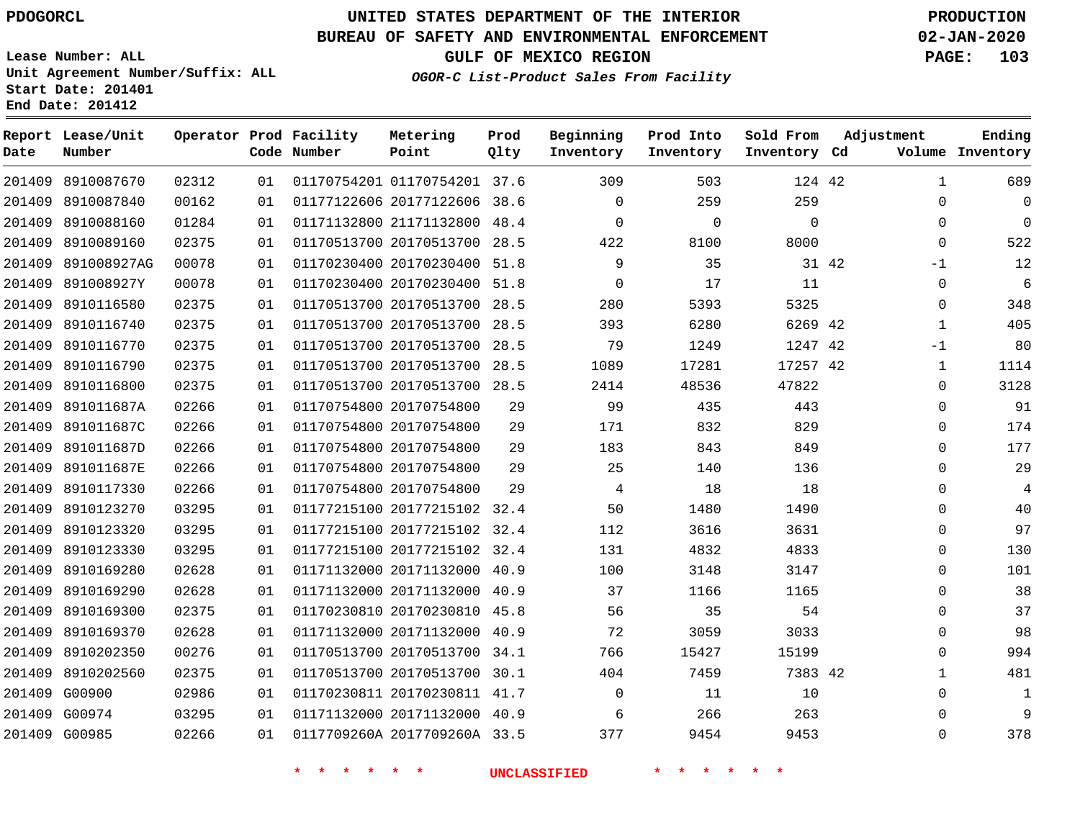**Report Lease/Unit**

**Number**

# **UNITED STATES DEPARTMENT OF THE INTERIOR PDOGORCL PRODUCTION**

#### **BUREAU OF SAFETY AND ENVIRONMENTAL ENFORCEMENT 02-JAN-2020**

**Lease Number: ALL Unit Agreement Number/Suffix: ALL Start Date: 201401 End Date: 201412**

#### **OGOR-C List-Product Sales From Facility**

**GULF OF MEXICO REGION PAGE: 103**

**Inventory Cd Volume**

**Adjustment**

**Ending**

|       |      | Operator Prod Facility<br>Code Number | Metering<br>Point | Prod<br>Olty | Beginning<br>Inventory | Prod Into<br>Inventory |
|-------|------|---------------------------------------|-------------------|--------------|------------------------|------------------------|
| 02312 | 0.1  | 01170754201 01170754201 37.6          |                   |              | 309                    | 503                    |
| 00162 | 01 D | 01177122606 20177122606 38.6          |                   |              | $\Omega$               | 259                    |
| 01284 | 01 D | 01171132800 21171132800 48.4          |                   |              | $\Omega$               |                        |

| 201409 8910087670  | 02312 | 01 |                         | 01170754201 01170754201 37.6 |      | 309      | 503      | 124 42   |       | 1            | 689      |
|--------------------|-------|----|-------------------------|------------------------------|------|----------|----------|----------|-------|--------------|----------|
| 201409 8910087840  | 00162 | 01 |                         | 01177122606 20177122606      | 38.6 | $\Omega$ | 259      | 259      |       | $\Omega$     | $\Omega$ |
| 201409 8910088160  | 01284 | 01 |                         | 01171132800 21171132800      | 48.4 | $\Omega$ | $\Omega$ | $\Omega$ |       | $\Omega$     | $\Omega$ |
| 201409 8910089160  | 02375 | 01 |                         | 01170513700 20170513700 28.5 |      | 422      | 8100     | 8000     |       | $\Omega$     | 522      |
| 201409 891008927AG | 00078 | 01 |                         | 01170230400 20170230400      | 51.8 | 9        | 35       |          | 31 42 | $-1$         | 12       |
| 201409 891008927Y  | 00078 | 01 |                         | 01170230400 20170230400 51.8 |      | 0        | 17       | 11       |       | $\mathbf{0}$ | 6        |
| 201409 8910116580  | 02375 | 01 |                         | 01170513700 20170513700 28.5 |      | 280      | 5393     | 5325     |       | 0            | 348      |
| 201409 8910116740  | 02375 | 01 |                         | 01170513700 20170513700      | 28.5 | 393      | 6280     | 6269 42  |       | 1            | 405      |
| 201409 8910116770  | 02375 | 01 |                         | 01170513700 20170513700 28.5 |      | 79       | 1249     | 1247 42  |       | $-1$         | 80       |
| 201409 8910116790  | 02375 | 01 |                         | 01170513700 20170513700 28.5 |      | 1089     | 17281    | 17257 42 |       | $\mathbf 1$  | 1114     |
| 201409 8910116800  | 02375 | 01 |                         | 01170513700 20170513700 28.5 |      | 2414     | 48536    | 47822    |       | $\Omega$     | 3128     |
| 201409 891011687A  | 02266 | 01 | 01170754800 20170754800 |                              | 29   | 99       | 435      | 443      |       | $\mathbf 0$  | 91       |
| 201409 891011687C  | 02266 | 01 | 01170754800 20170754800 |                              | 29   | 171      | 832      | 829      |       | $\mathbf{0}$ | 174      |
| 201409 891011687D  | 02266 | 01 | 01170754800 20170754800 |                              | 29   | 183      | 843      | 849      |       | $\Omega$     | 177      |
| 201409 891011687E  | 02266 | 01 | 01170754800 20170754800 |                              | 29   | 25       | 140      | 136      |       | $\Omega$     | 29       |
| 201409 8910117330  | 02266 | 01 | 01170754800 20170754800 |                              | 29   | 4        | 18       | 18       |       | $\Omega$     | 4        |
| 201409 8910123270  | 03295 | 01 |                         | 01177215100 20177215102 32.4 |      | 50       | 1480     | 1490     |       | $\Omega$     | 40       |
| 201409 8910123320  | 03295 | 01 |                         | 01177215100 20177215102 32.4 |      | 112      | 3616     | 3631     |       | $\Omega$     | 97       |
| 201409 8910123330  | 03295 | 01 |                         | 01177215100 20177215102 32.4 |      | 131      | 4832     | 4833     |       | $\Omega$     | 130      |
| 201409 8910169280  | 02628 | 01 |                         | 01171132000 20171132000 40.9 |      | 100      | 3148     | 3147     |       | $\Omega$     | 101      |
| 201409 8910169290  | 02628 | 01 |                         | 01171132000 20171132000      | 40.9 | 37       | 1166     | 1165     |       | 0            | 38       |
| 201409 8910169300  | 02375 | 01 |                         | 01170230810 20170230810      | 45.8 | 56       | 35       | 54       |       | $\mathbf{0}$ | 37       |
| 201409 8910169370  | 02628 | 01 |                         | 01171132000 20171132000 40.9 |      | 72       | 3059     | 3033     |       | $\Omega$     | 98       |
| 201409 8910202350  | 00276 | 01 |                         | 01170513700 20170513700 34.1 |      | 766      | 15427    | 15199    |       | $\Omega$     | 994      |
| 201409 8910202560  | 02375 | 01 |                         | 01170513700 20170513700 30.1 |      | 404      | 7459     | 7383 42  |       | $\mathbf{1}$ | 481      |
| 201409 G00900      | 02986 | 01 |                         | 01170230811 20170230811 41.7 |      | $\Omega$ | 11       | 10       |       | $\Omega$     | 1        |
| 201409 G00974      | 03295 | 01 |                         | 01171132000 20171132000 40.9 |      | 6        | 266      | 263      |       | $\Omega$     | 9        |
| 201409 G00985      | 02266 | 01 |                         | 0117709260A 2017709260A 33.5 |      | 377      | 9454     | 9453     |       | $\Omega$     | 378      |

**\* \* \* \* \* \* UNCLASSIFIED \* \* \* \* \* \***

**Sold From Inventory**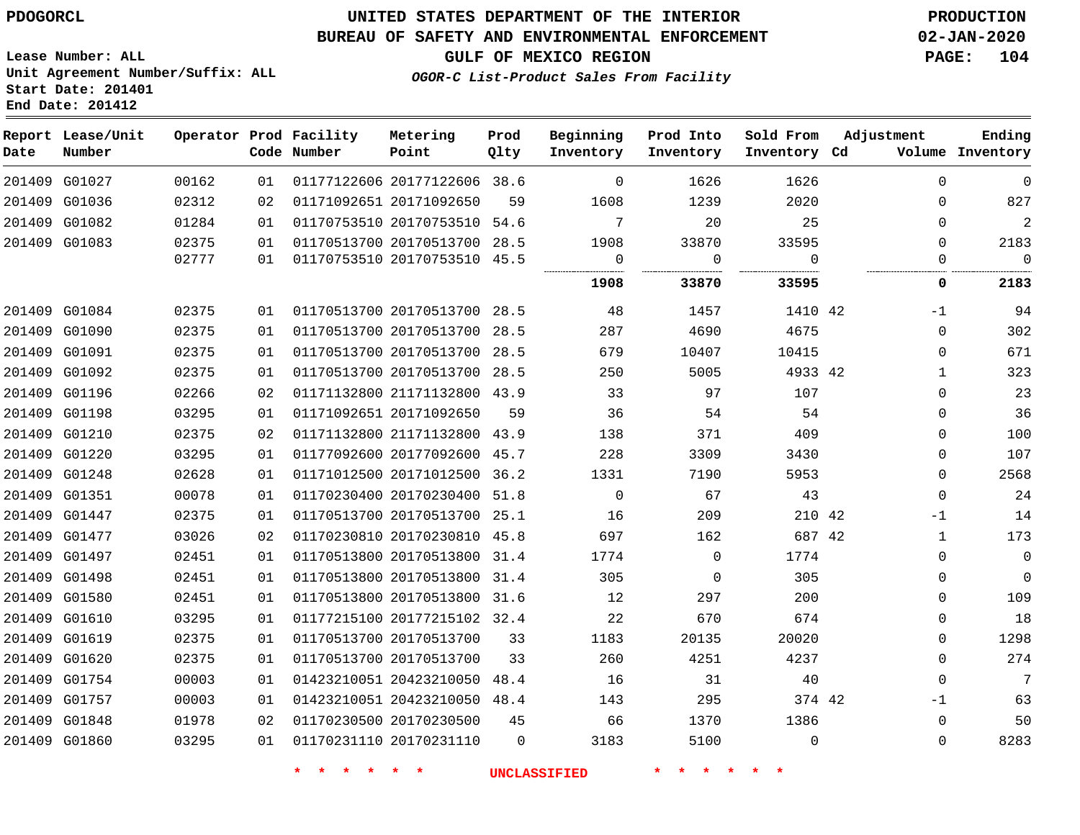**Lease Number: ALL**

**Start Date: 201401 End Date: 201412**

### **UNITED STATES DEPARTMENT OF THE INTERIOR PDOGORCL PRODUCTION**

### **BUREAU OF SAFETY AND ENVIRONMENTAL ENFORCEMENT 02-JAN-2020**

**Unit Agreement Number/Suffix: ALL**

**GULF OF MEXICO REGION PAGE: 104**

**OGOR-C List-Product Sales From Facility**

| Date          | Report Lease/Unit<br>Number |       |    | Operator Prod Facility<br>Code Number | Metering<br>Point            | Prod<br>Qlty | Beginning<br>Inventory | Prod Into<br>Inventory | Sold From<br>Inventory Cd | Adjustment |              | Ending<br>Volume Inventory |
|---------------|-----------------------------|-------|----|---------------------------------------|------------------------------|--------------|------------------------|------------------------|---------------------------|------------|--------------|----------------------------|
|               | 201409 G01027               | 00162 | 01 |                                       | 01177122606 20177122606 38.6 |              | $\Omega$               | 1626                   | 1626                      |            | $\Omega$     | $\Omega$                   |
|               | 201409 G01036               | 02312 | 02 |                                       | 01171092651 20171092650      | 59           | 1608                   | 1239                   | 2020                      |            | $\mathbf 0$  | 827                        |
|               | 201409 G01082               | 01284 | 01 |                                       | 01170753510 20170753510      | 54.6         | $7\phantom{.0}$        | 20                     | 25                        |            | $\mathbf 0$  | $\overline{a}$             |
|               | 201409 G01083               | 02375 | 01 |                                       | 01170513700 20170513700 28.5 |              | 1908                   | 33870                  | 33595                     |            | $\Omega$     | 2183                       |
|               |                             | 02777 | 01 |                                       | 01170753510 20170753510 45.5 |              | $\Omega$<br>           | $\Omega$<br>           | $\Omega$<br><br>.         |            | $\Omega$     | $\Omega$                   |
|               |                             |       |    |                                       |                              |              | 1908                   | 33870                  | 33595                     |            | 0            | 2183                       |
|               | 201409 G01084               | 02375 | 01 |                                       | 01170513700 20170513700 28.5 |              | 48                     | 1457                   | 1410 42                   |            | $-1$         | 94                         |
|               | 201409 G01090               | 02375 | 01 |                                       | 01170513700 20170513700      | 28.5         | 287                    | 4690                   | 4675                      |            | $\mathbf 0$  | 302                        |
| 201409 G01091 |                             | 02375 | 01 |                                       | 01170513700 20170513700      | 28.5         | 679                    | 10407                  | 10415                     |            | $\mathbf 0$  | 671                        |
|               | 201409 G01092               | 02375 | 01 |                                       | 01170513700 20170513700 28.5 |              | 250                    | 5005                   | 4933 42                   |            | $\mathbf{1}$ | 323                        |
|               | 201409 G01196               | 02266 | 02 |                                       | 01171132800 21171132800 43.9 |              | 33                     | 97                     | 107                       |            | $\Omega$     | 23                         |
|               | 201409 G01198               | 03295 | 01 |                                       | 01171092651 20171092650      | 59           | 36                     | 54                     | 54                        |            | $\mathbf 0$  | 36                         |
|               | 201409 G01210               | 02375 | 02 |                                       | 01171132800 21171132800 43.9 |              | 138                    | 371                    | 409                       |            | $\mathbf 0$  | 100                        |
|               | 201409 G01220               | 03295 | 01 |                                       | 01177092600 20177092600 45.7 |              | 228                    | 3309                   | 3430                      |            | $\Omega$     | 107                        |
| 201409        | G01248                      | 02628 | 01 |                                       | 01171012500 20171012500      | 36.2         | 1331                   | 7190                   | 5953                      |            | $\mathbf 0$  | 2568                       |
| 201409 G01351 |                             | 00078 | 01 |                                       | 01170230400 20170230400      | 51.8         | $\Omega$               | 67                     | 43                        |            | $\mathbf 0$  | 24                         |
|               | 201409 G01447               | 02375 | 01 |                                       | 01170513700 20170513700 25.1 |              | 16                     | 209                    | 210 42                    |            | -1           | 14                         |
|               | 201409 G01477               | 03026 | 02 |                                       | 01170230810 20170230810 45.8 |              | 697                    | 162                    | 687 42                    |            | 1            | 173                        |
|               | 201409 G01497               | 02451 | 01 |                                       | 01170513800 20170513800 31.4 |              | 1774                   | $\mathbf 0$            | 1774                      |            | $\mathbf 0$  | $\mathbf 0$                |
|               | 201409 G01498               | 02451 | 01 |                                       | 01170513800 20170513800      | 31.4         | 305                    | $\mathbf 0$            | 305                       |            | $\mathbf 0$  | $\mathbf 0$                |
|               | 201409 G01580               | 02451 | 01 |                                       | 01170513800 20170513800 31.6 |              | 12                     | 297                    | 200                       |            | $\Omega$     | 109                        |
| 201409        | G01610                      | 03295 | 01 |                                       | 01177215100 20177215102 32.4 |              | 22                     | 670                    | 674                       |            | $\Omega$     | 18                         |
| 201409        | G01619                      | 02375 | 01 |                                       | 01170513700 20170513700      | 33           | 1183                   | 20135                  | 20020                     |            | $\mathbf 0$  | 1298                       |
|               | 201409 G01620               | 02375 | 01 |                                       | 01170513700 20170513700      | 33           | 260                    | 4251                   | 4237                      |            | $\mathbf 0$  | 274                        |
|               | 201409 G01754               | 00003 | 01 |                                       | 01423210051 20423210050      | 48.4         | 16                     | 31                     | 40                        |            | $\mathbf 0$  | 7                          |
|               | 201409 G01757               | 00003 | 01 |                                       | 01423210051 20423210050 48.4 |              | 143                    | 295                    | 374 42                    |            | -1           | 63                         |
|               | 201409 G01848               | 01978 | 02 |                                       | 01170230500 20170230500      | 45           | 66                     | 1370                   | 1386                      |            | $\mathbf 0$  | 50                         |
|               | 201409 G01860               | 03295 | 01 |                                       | 01170231110 20170231110      | $\Omega$     | 3183                   | 5100                   | $\Omega$                  |            | $\Omega$     | 8283                       |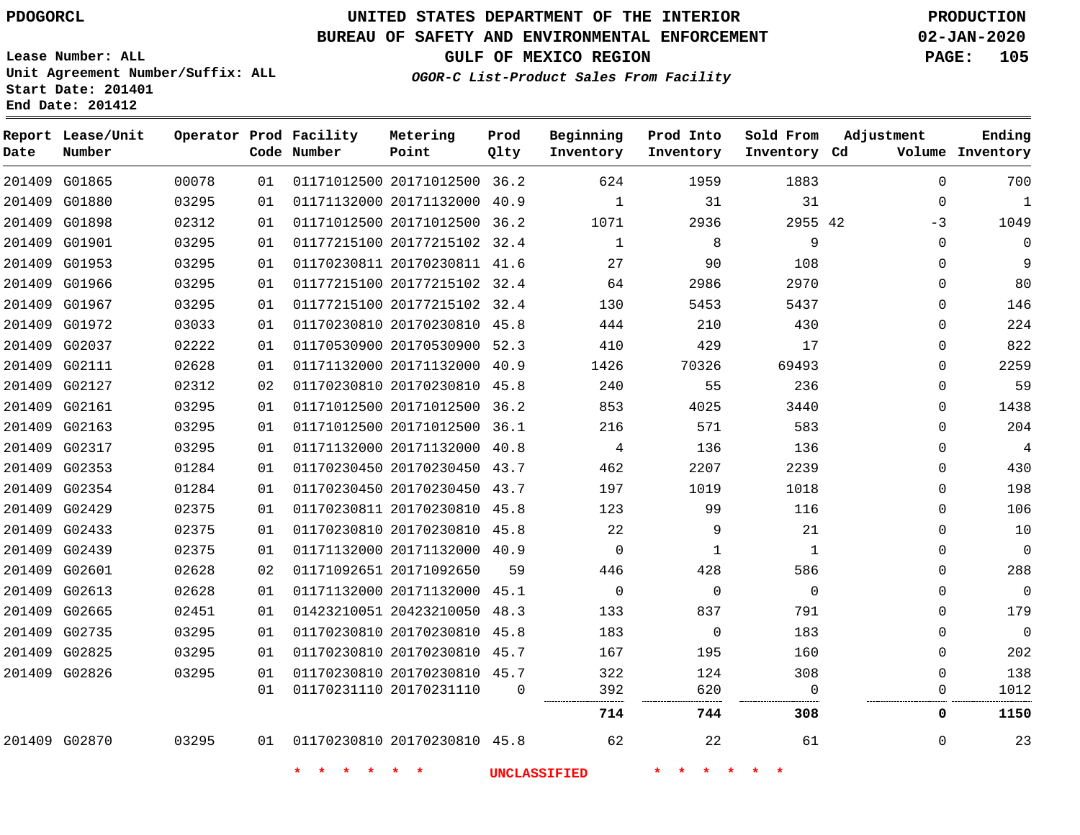**Report Lease/Unit**

**Number**

# **UNITED STATES DEPARTMENT OF THE INTERIOR PDOGORCL PRODUCTION**

**Prod Qlty**

#### **BUREAU OF SAFETY AND ENVIRONMENTAL ENFORCEMENT 02-JAN-2020**

**Lease Number: ALL Unit Agreement Number/Suffix: ALL Start Date: 201401 End Date: 201412**

**Operator Prod Facility**

**Code Number**

**OGOR-C List-Product Sales From Facility**

**Beginning Inventory** **Prod Into Inventory** **Sold From Inventory**

**GULF OF MEXICO REGION PAGE: 105**

**Inventory Cd Volume**

**Adjustment**

**Ending**

|               | 201409 G01865 | 00078 | 01 | 01171012500 20171012500 36.2    |    | 624            | 1959           | 1883           | $\Omega$     | 700            |
|---------------|---------------|-------|----|---------------------------------|----|----------------|----------------|----------------|--------------|----------------|
|               | 201409 G01880 | 03295 | 01 | 01171132000 20171132000 40.9    |    | $\mathbf{1}$   | 31             | 31             | 0            | $\mathbf{1}$   |
|               | 201409 G01898 | 02312 | 01 | 01171012500 20171012500 36.2    |    | 1071           | 2936           | 2955 42        | -3           | 1049           |
|               | 201409 G01901 | 03295 | 01 | 01177215100 20177215102 32.4    |    | $\mathbf{1}$   | 8              | $\overline{9}$ | $\mathbf{0}$ | 0              |
|               | 201409 G01953 | 03295 | 01 | 01170230811 20170230811 41.6    |    | 27             | 90             | 108            | $\Omega$     | 9              |
|               | 201409 G01966 | 03295 | 01 | 01177215100 20177215102 32.4    |    | 64             | 2986           | 2970           | $\Omega$     | 80             |
|               | 201409 G01967 | 03295 | 01 | 01177215100 20177215102 32.4    |    | 130            | 5453           | 5437           | $\Omega$     | 146            |
|               | 201409 G01972 | 03033 | 01 | 01170230810 20170230810 45.8    |    | 444            | 210            | 430            | $\Omega$     | 224            |
|               | 201409 G02037 | 02222 | 01 | 01170530900 20170530900 52.3    |    | 410            | 429            | 17             | $\Omega$     | 822            |
|               | 201409 G02111 | 02628 | 01 | 01171132000 20171132000 40.9    |    | 1426           | 70326          | 69493          | $\Omega$     | 2259           |
| 201409 G02127 |               | 02312 | 02 | 01170230810 20170230810 45.8    |    | 240            | 55             | 236            | $\Omega$     | 59             |
| 201409 G02161 |               | 03295 | 01 | 01171012500 20171012500 36.2    |    | 853            | 4025           | 3440           | $\Omega$     | 1438           |
|               | 201409 G02163 | 03295 | 01 | 01171012500 20171012500 36.1    |    | 216            | 571            | 583            | $\Omega$     | 204            |
|               | 201409 G02317 | 03295 | 01 | 01171132000 20171132000 40.8    |    | $\overline{4}$ | 136            | 136            | $\Omega$     | $\overline{4}$ |
|               | 201409 G02353 | 01284 | 01 | 01170230450 20170230450 43.7    |    | 462            | 2207           | 2239           | $\Omega$     | 430            |
|               | 201409 G02354 | 01284 | 01 | 01170230450 20170230450 43.7    |    | 197            | 1019           | 1018           | $\Omega$     | 198            |
|               | 201409 G02429 | 02375 | 01 | 01170230811 20170230810 45.8    |    | 123            | 99             | 116            | $\Omega$     | 106            |
|               | 201409 G02433 | 02375 | 01 | 01170230810 20170230810 45.8    |    | 22             | 9              | 21             | $\Omega$     | 10             |
|               | 201409 G02439 | 02375 | 01 | 01171132000 20171132000 40.9    |    | $\Omega$       | 1              | 1              | $\Omega$     | $\mathbf 0$    |
|               | 201409 G02601 | 02628 | 02 | 01171092651 20171092650         | 59 | 446            | 428            | 586            | 0            | 288            |
|               | 201409 G02613 | 02628 | 01 | 01171132000 20171132000 45.1    |    | $\overline{0}$ | $\overline{0}$ | $\Omega$       | $\Omega$     | $\overline{0}$ |
| 201409 G02665 |               | 02451 | 01 | 01423210051 20423210050 48.3    |    | 133            | 837            | 791            | $\Omega$     | 179            |
|               | 201409 G02735 | 03295 | 01 | 01170230810 20170230810 45.8    |    | 183            | $\overline{0}$ | 183            | $\Omega$     | $\mathbf 0$    |
|               | 201409 G02825 | 03295 | 01 | 01170230810 20170230810 45.7    |    | 167            | 195            | 160            | $\Omega$     | 202            |
|               | 201409 G02826 | 03295 | 01 | 01170230810 20170230810 45.7    |    | 322            | 124            | 308            | $\Omega$     | 138            |
|               |               |       | 01 | 01170231110 20170231110         | 0  | 392            | 620            | $\Omega$       | 0            | 1012           |
|               |               |       |    |                                 |    | 714            | 744            | 308            | 0            | 1150           |
|               | 201409 G02870 | 03295 |    | 01 01170230810 20170230810 45.8 |    | 62             | 22             | 61             | $\mathbf{0}$ | 23             |

**Metering Point**

**\* \* \* \* \* \* UNCLASSIFIED \* \* \* \* \* \***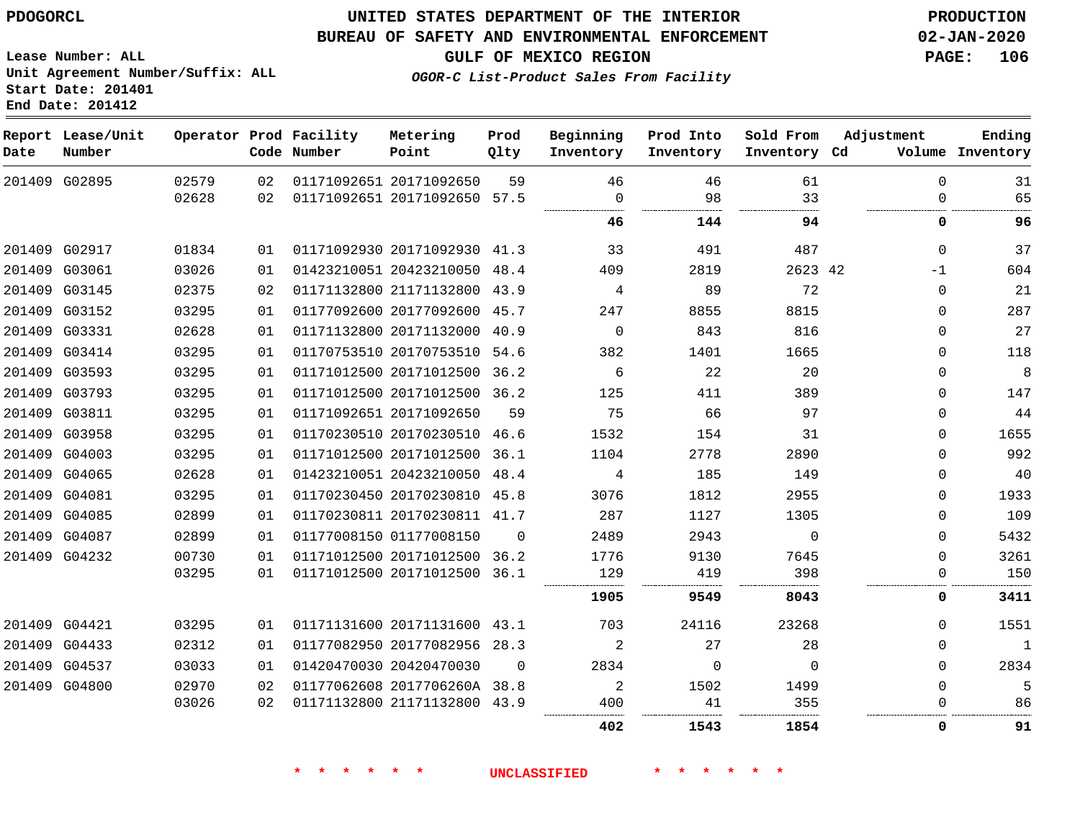#### **BUREAU OF SAFETY AND ENVIRONMENTAL ENFORCEMENT 02-JAN-2020**

**GULF OF MEXICO REGION PAGE: 106**

**Lease Number: ALL Unit Agreement Number/Suffix: ALL Start Date: 201401 End Date: 201412**

**OGOR-C List-Product Sales From Facility**

| Date | Report Lease/Unit<br>Number |       |    | Operator Prod Facility<br>Code Number | Metering<br>Point            | Prod<br>Qlty | Beginning<br>Inventory | Prod Into<br>Inventory | Sold From<br>Inventory Cd | Adjustment   | Ending<br>Volume Inventory |
|------|-----------------------------|-------|----|---------------------------------------|------------------------------|--------------|------------------------|------------------------|---------------------------|--------------|----------------------------|
|      | 201409 G02895               | 02579 | 02 |                                       | 01171092651 20171092650      | 59           | 46                     | 46                     | 61                        | $\Omega$     | 31                         |
|      |                             | 02628 | 02 |                                       | 01171092651 20171092650 57.5 |              | $\Omega$               | 98                     | 33                        | 0            | 65                         |
|      |                             |       |    |                                       |                              |              | 46                     | 144                    | 94                        | 0            | 96                         |
|      | 201409 G02917               | 01834 | 01 |                                       | 01171092930 20171092930 41.3 |              | 33                     | 491                    | 487                       | $\mathbf{0}$ | 37                         |
|      | 201409 G03061               | 03026 | 01 |                                       | 01423210051 20423210050      | 48.4         | 409                    | 2819                   | 2623 42                   | $-1$         | 604                        |
|      | 201409 G03145               | 02375 | 02 |                                       | 01171132800 21171132800 43.9 |              | 4                      | 89                     | 72                        | 0            | 21                         |
|      | 201409 G03152               | 03295 | 01 |                                       | 01177092600 20177092600 45.7 |              | 247                    | 8855                   | 8815                      | 0            | 287                        |
|      | 201409 G03331               | 02628 | 01 |                                       | 01171132800 20171132000      | 40.9         | $\Omega$               | 843                    | 816                       | $\Omega$     | 27                         |
|      | 201409 G03414               | 03295 | 01 |                                       | 01170753510 20170753510      | 54.6         | 382                    | 1401                   | 1665                      | $\Omega$     | 118                        |
|      | 201409 G03593               | 03295 | 01 |                                       | 01171012500 20171012500 36.2 |              | 6                      | 22                     | 20                        | $\Omega$     | 8                          |
|      | 201409 G03793               | 03295 | 01 |                                       | 01171012500 20171012500 36.2 |              | 125                    | 411                    | 389                       | 0            | 147                        |
|      | 201409 G03811               | 03295 | 01 |                                       | 01171092651 20171092650      | 59           | 75                     | 66                     | 97                        | 0            | 44                         |
|      | 201409 G03958               | 03295 | 01 |                                       | 01170230510 20170230510 46.6 |              | 1532                   | 154                    | 31                        | 0            | 1655                       |
|      | 201409 G04003               | 03295 | 01 |                                       | 01171012500 20171012500      | 36.1         | 1104                   | 2778                   | 2890                      | $\Omega$     | 992                        |
|      | 201409 G04065               | 02628 | 01 |                                       | 01423210051 20423210050      | 48.4         | 4                      | 185                    | 149                       | 0            | 40                         |
|      | 201409 G04081               | 03295 | 01 |                                       | 01170230450 20170230810 45.8 |              | 3076                   | 1812                   | 2955                      | 0            | 1933                       |
|      | 201409 G04085               | 02899 | 01 |                                       | 01170230811 20170230811 41.7 |              | 287                    | 1127                   | 1305                      | 0            | 109                        |
|      | 201409 G04087               | 02899 | 01 |                                       | 01177008150 01177008150      | $\Omega$     | 2489                   | 2943                   | $\Omega$                  | $\Omega$     | 5432                       |
|      | 201409 G04232               | 00730 | 01 |                                       | 01171012500 20171012500      | 36.2         | 1776                   | 9130                   | 7645                      | 0            | 3261                       |
|      |                             | 03295 | 01 |                                       | 01171012500 20171012500 36.1 |              | 129                    | 419                    | 398                       | 0            | 150                        |
|      |                             |       |    |                                       |                              |              | 1905                   | 9549                   | 8043                      | 0            | 3411                       |
|      | 201409 G04421               | 03295 | 01 |                                       | 01171131600 20171131600 43.1 |              | 703                    | 24116                  | 23268                     | 0            | 1551                       |
|      | 201409 G04433               | 02312 | 01 |                                       | 01177082950 20177082956      | 28.3         | 2                      | 27                     | 28                        | 0            | $\overline{1}$             |
|      | 201409 G04537               | 03033 | 01 |                                       | 01420470030 20420470030      | $\Omega$     | 2834                   | $\Omega$               | $\Omega$                  | 0            | 2834                       |
|      | 201409 G04800               | 02970 | 02 |                                       | 01177062608 2017706260A 38.8 |              | 2                      | 1502                   | 1499                      | 0            | 5                          |
|      |                             | 03026 | 02 |                                       | 01171132800 21171132800 43.9 |              | 400                    | 41                     | 355                       | 0            | 86                         |
|      |                             |       |    |                                       |                              |              | 402                    | 1543                   | 1854                      | 0            | 91                         |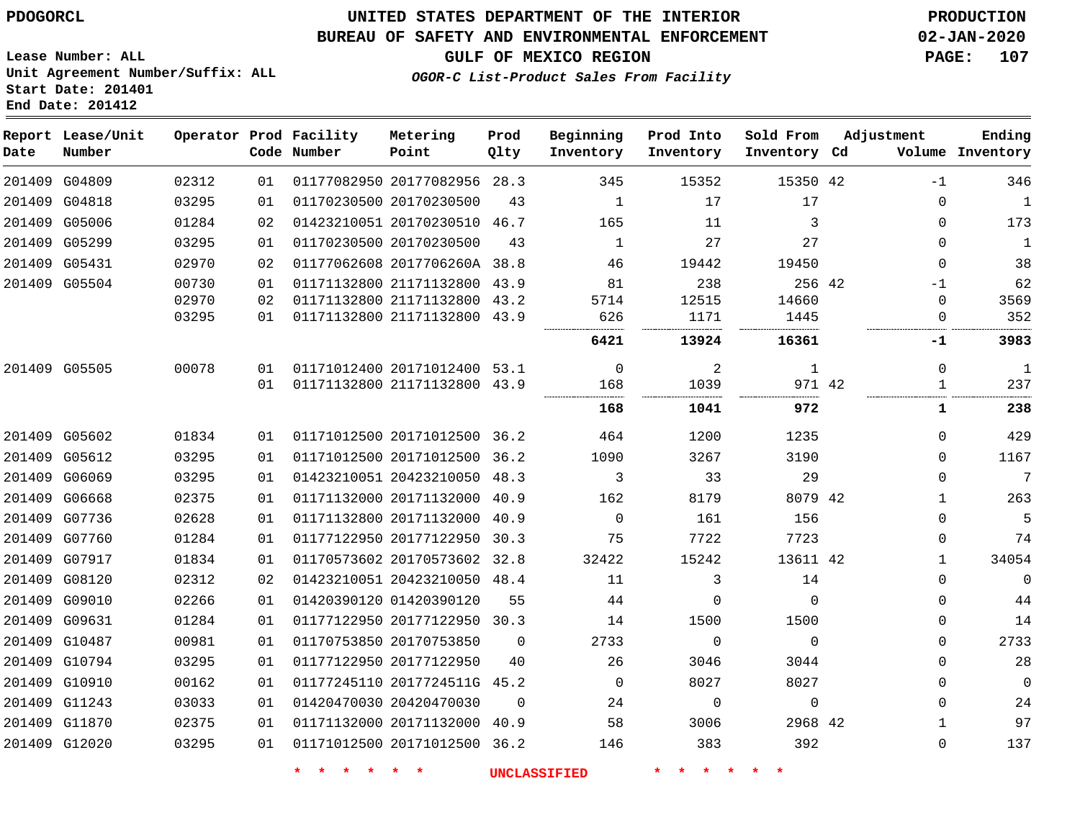**Lease Number: ALL**

**Start Date: 201401 End Date: 201412**

### **UNITED STATES DEPARTMENT OF THE INTERIOR PDOGORCL PRODUCTION**

### **BUREAU OF SAFETY AND ENVIRONMENTAL ENFORCEMENT 02-JAN-2020**

**Unit Agreement Number/Suffix: ALL**

**GULF OF MEXICO REGION PAGE: 107**

**OGOR-C List-Product Sales From Facility**

| Date   | Report Lease/Unit<br>Number |       |    | Operator Prod Facility<br>Code Number | Metering<br>Point            | Prod<br>Qlty | Beginning<br>Inventory | Prod Into<br>Inventory | Sold From<br>Inventory Cd | Adjustment   | Ending<br>Volume Inventory |
|--------|-----------------------------|-------|----|---------------------------------------|------------------------------|--------------|------------------------|------------------------|---------------------------|--------------|----------------------------|
|        | 201409 G04809               | 02312 | 01 |                                       | 01177082950 20177082956 28.3 |              | 345                    | 15352                  | 15350 42                  | $-1$         | 346                        |
| 201409 | G04818                      | 03295 | 01 |                                       | 01170230500 20170230500      | 43           | $\mathbf{1}$           | 17                     | 17                        | $\mathbf 0$  | $\mathbf{1}$               |
| 201409 | G05006                      | 01284 | 02 |                                       | 01423210051 20170230510      | 46.7         | 165                    | 11                     | 3                         | $\mathbf 0$  | 173                        |
|        | 201409 G05299               | 03295 | 01 |                                       | 01170230500 20170230500      | 43           | 1                      | 27                     | 27                        | $\Omega$     | $\mathbf{1}$               |
|        | 201409 G05431               | 02970 | 02 |                                       | 01177062608 2017706260A 38.8 |              | 46                     | 19442                  | 19450                     | $\mathbf 0$  | 38                         |
|        | 201409 G05504               | 00730 | 01 |                                       | 01171132800 21171132800 43.9 |              | 81                     | 238                    | 256 42                    | $-1$         | 62                         |
|        |                             | 02970 | 02 |                                       | 01171132800 21171132800      | 43.2         | 5714                   | 12515                  | 14660                     | $\Omega$     | 3569                       |
|        |                             | 03295 | 01 |                                       | 01171132800 21171132800      | 43.9         | 626                    | 1171                   | 1445                      | $\Omega$     | 352                        |
|        |                             |       |    |                                       |                              |              | 6421                   | 13924                  | 16361                     | -1           | 3983                       |
|        | 201409 G05505               | 00078 | 01 |                                       | 01171012400 20171012400      | 53.1         | $\Omega$               | $\overline{a}$         | $\mathbf{1}$              | $\mathbf 0$  | $\mathbf{1}$               |
|        |                             |       | 01 |                                       | 01171132800 21171132800 43.9 |              | 168                    | 1039                   | 971 42                    | 1            | 237                        |
|        |                             |       |    |                                       |                              |              | 168                    | 1041                   | 972                       | 1            | 238                        |
|        | 201409 G05602               | 01834 | 01 |                                       | 01171012500 20171012500 36.2 |              | 464                    | 1200                   | 1235                      | $\Omega$     | 429                        |
|        | 201409 G05612               | 03295 | 01 |                                       | 01171012500 20171012500      | 36.2         | 1090                   | 3267                   | 3190                      | $\Omega$     | 1167                       |
|        | 201409 G06069               | 03295 | 01 |                                       | 01423210051 20423210050 48.3 |              | 3                      | 33                     | 29                        | 0            | 7                          |
|        | 201409 G06668               | 02375 | 01 |                                       | 01171132000 20171132000 40.9 |              | 162                    | 8179                   | 8079 42                   | $\mathbf{1}$ | 263                        |
|        | 201409 G07736               | 02628 | 01 |                                       | 01171132800 20171132000      | 40.9         | $\Omega$               | 161                    | 156                       | $\Omega$     | 5                          |
|        | 201409 G07760               | 01284 | 01 |                                       | 01177122950 20177122950      | 30.3         | 75                     | 7722                   | 7723                      | 0            | 74                         |
|        | 201409 G07917               | 01834 | 01 |                                       | 01170573602 20170573602 32.8 |              | 32422                  | 15242                  | 13611 42                  | $\mathbf{1}$ | 34054                      |
|        | 201409 G08120               | 02312 | 02 |                                       | 01423210051 20423210050 48.4 |              | 11                     | 3                      | 14                        | 0            | $\mathbf{0}$               |
| 201409 | G09010                      | 02266 | 01 |                                       | 01420390120 01420390120      | 55           | 44                     | $\Omega$               | $\Omega$                  | $\Omega$     | 44                         |
|        | 201409 G09631               | 01284 | 01 |                                       | 01177122950 20177122950 30.3 |              | 14                     | 1500                   | 1500                      | 0            | 14                         |
|        | 201409 G10487               | 00981 | 01 |                                       | 01170753850 20170753850      | $\Omega$     | 2733                   | $\Omega$               | $\Omega$                  | $\Omega$     | 2733                       |
|        | 201409 G10794               | 03295 | 01 |                                       | 01177122950 20177122950      | 40           | 26                     | 3046                   | 3044                      | $\Omega$     | 28                         |
|        | 201409 G10910               | 00162 | 01 |                                       | 01177245110 2017724511G 45.2 |              | $\Omega$               | 8027                   | 8027                      | $\Omega$     | $\mathbf{0}$               |
|        | 201409 G11243               | 03033 | 01 |                                       | 01420470030 20420470030      | $\Omega$     | 24                     | $\Omega$               | $\mathbf 0$               | $\Omega$     | 24                         |
|        | 201409 G11870               | 02375 | 01 |                                       | 01171132000 20171132000      | 40.9         | 58                     | 3006                   | 2968 42                   | 1            | 97                         |
|        | 201409 G12020               | 03295 | 01 |                                       | 01171012500 20171012500 36.2 |              | 146                    | 383                    | 392                       | $\mathbf 0$  | 137                        |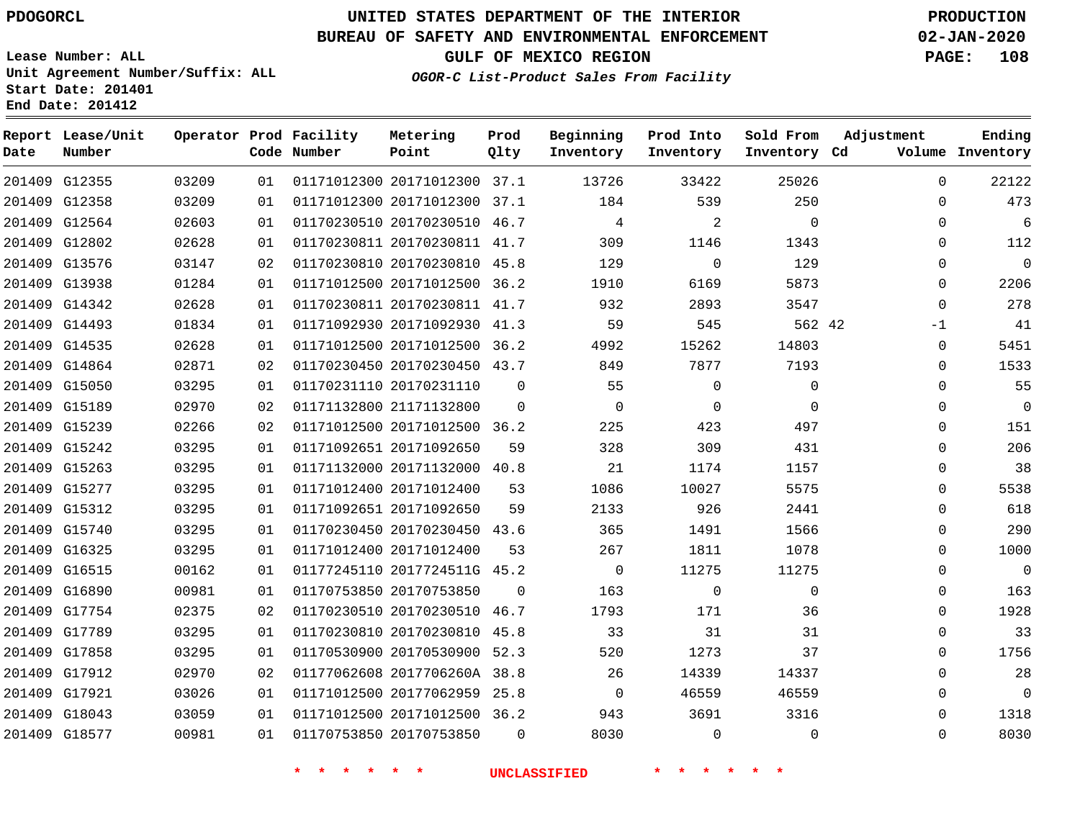### **BUREAU OF SAFETY AND ENVIRONMENTAL ENFORCEMENT 02-JAN-2020**

**Lease Number: ALL Unit Agreement Number/Suffix: ALL Start Date: 201401**

**End Date: 201412**

**GULF OF MEXICO REGION PAGE: 108**

**OGOR-C List-Product Sales From Facility**

| Date | Report Lease/Unit<br>Number |       |    | Operator Prod Facility<br>Code Number | Metering<br>Point            | Prod<br>Qlty | Beginning<br>Inventory | Prod Into<br>Inventory | Sold From<br>Inventory Cd | Adjustment  | Ending<br>Volume Inventory |
|------|-----------------------------|-------|----|---------------------------------------|------------------------------|--------------|------------------------|------------------------|---------------------------|-------------|----------------------------|
|      | 201409 G12355               | 03209 | 01 |                                       | 01171012300 20171012300 37.1 |              | 13726                  | 33422                  | 25026                     | $\Omega$    | 22122                      |
|      | 201409 G12358               | 03209 | 01 |                                       | 01171012300 20171012300 37.1 |              | 184                    | 539                    | 250                       | 0           | 473                        |
|      | 201409 G12564               | 02603 | 01 |                                       | 01170230510 20170230510 46.7 |              | 4                      | 2                      | $\Omega$                  | $\Omega$    | 6                          |
|      | 201409 G12802               | 02628 | 01 |                                       | 01170230811 20170230811 41.7 |              | 309                    | 1146                   | 1343                      | 0           | 112                        |
|      | 201409 G13576               | 03147 | 02 |                                       | 01170230810 20170230810 45.8 |              | 129                    | $\mathbf 0$            | 129                       | 0           | $\overline{0}$             |
|      | 201409 G13938               | 01284 | 01 |                                       | 01171012500 20171012500 36.2 |              | 1910                   | 6169                   | 5873                      | $\Omega$    | 2206                       |
|      | 201409 G14342               | 02628 | 01 |                                       | 01170230811 20170230811 41.7 |              | 932                    | 2893                   | 3547                      | $\mathbf 0$ | 278                        |
|      | 201409 G14493               | 01834 | 01 |                                       | 01171092930 20171092930      | 41.3         | 59                     | 545                    | 562 42                    | $-1$        | 41                         |
|      | 201409 G14535               | 02628 | 01 |                                       | 01171012500 20171012500 36.2 |              | 4992                   | 15262                  | 14803                     | 0           | 5451                       |
|      | 201409 G14864               | 02871 | 02 |                                       | 01170230450 20170230450 43.7 |              | 849                    | 7877                   | 7193                      | 0           | 1533                       |
|      | 201409 G15050               | 03295 | 01 |                                       | 01170231110 20170231110      | $\Omega$     | 55                     | $\mathbf 0$            | $\Omega$                  | 0           | 55                         |
|      | 201409 G15189               | 02970 | 02 |                                       | 01171132800 21171132800      | $\mathbf 0$  | $\mathbf 0$            | $\mathbf 0$            | $\Omega$                  | $\mathbf 0$ | $\mathbf 0$                |
|      | 201409 G15239               | 02266 | 02 |                                       | 01171012500 20171012500 36.2 |              | 225                    | 423                    | 497                       | 0           | 151                        |
|      | 201409 G15242               | 03295 | 01 |                                       | 01171092651 20171092650      | 59           | 328                    | 309                    | 431                       | 0           | 206                        |
|      | 201409 G15263               | 03295 | 01 |                                       | 01171132000 20171132000 40.8 |              | 21                     | 1174                   | 1157                      | $\Omega$    | 38                         |
|      | 201409 G15277               | 03295 | 01 |                                       | 01171012400 20171012400      | 53           | 1086                   | 10027                  | 5575                      | 0           | 5538                       |
|      | 201409 G15312               | 03295 | 01 |                                       | 01171092651 20171092650      | 59           | 2133                   | 926                    | 2441                      | $\mathbf 0$ | 618                        |
|      | 201409 G15740               | 03295 | 01 |                                       | 01170230450 20170230450 43.6 |              | 365                    | 1491                   | 1566                      | $\Omega$    | 290                        |
|      | 201409 G16325               | 03295 | 01 |                                       | 01171012400 20171012400      | 53           | 267                    | 1811                   | 1078                      | 0           | 1000                       |
|      | 201409 G16515               | 00162 | 01 |                                       | 01177245110 2017724511G 45.2 |              | $\mathbf 0$            | 11275                  | 11275                     | $\Omega$    | $\overline{0}$             |
|      | 201409 G16890               | 00981 | 01 |                                       | 01170753850 20170753850      | $\Omega$     | 163                    | 0                      | $\Omega$                  | 0           | 163                        |
|      | 201409 G17754               | 02375 | 02 |                                       | 01170230510 20170230510 46.7 |              | 1793                   | 171                    | 36                        | 0           | 1928                       |
|      | 201409 G17789               | 03295 | 01 |                                       | 01170230810 20170230810      | 45.8         | 33                     | 31                     | 31                        | $\Omega$    | 33                         |
|      | 201409 G17858               | 03295 | 01 |                                       | 01170530900 20170530900 52.3 |              | 520                    | 1273                   | 37                        | 0           | 1756                       |
|      | 201409 G17912               | 02970 | 02 |                                       | 01177062608 2017706260A 38.8 |              | 26                     | 14339                  | 14337                     | $\Omega$    | 28                         |
|      | 201409 G17921               | 03026 | 01 |                                       | 01171012500 20177062959 25.8 |              | $\mathbf 0$            | 46559                  | 46559                     | 0           | $\mathbf 0$                |
|      | 201409 G18043               | 03059 | 01 |                                       | 01171012500 20171012500 36.2 |              | 943                    | 3691                   | 3316                      | 0           | 1318                       |
|      | 201409 G18577               | 00981 | 01 |                                       | 01170753850 20170753850      | $\Omega$     | 8030                   | $\mathbf 0$            | $\mathbf 0$               | $\mathbf 0$ | 8030                       |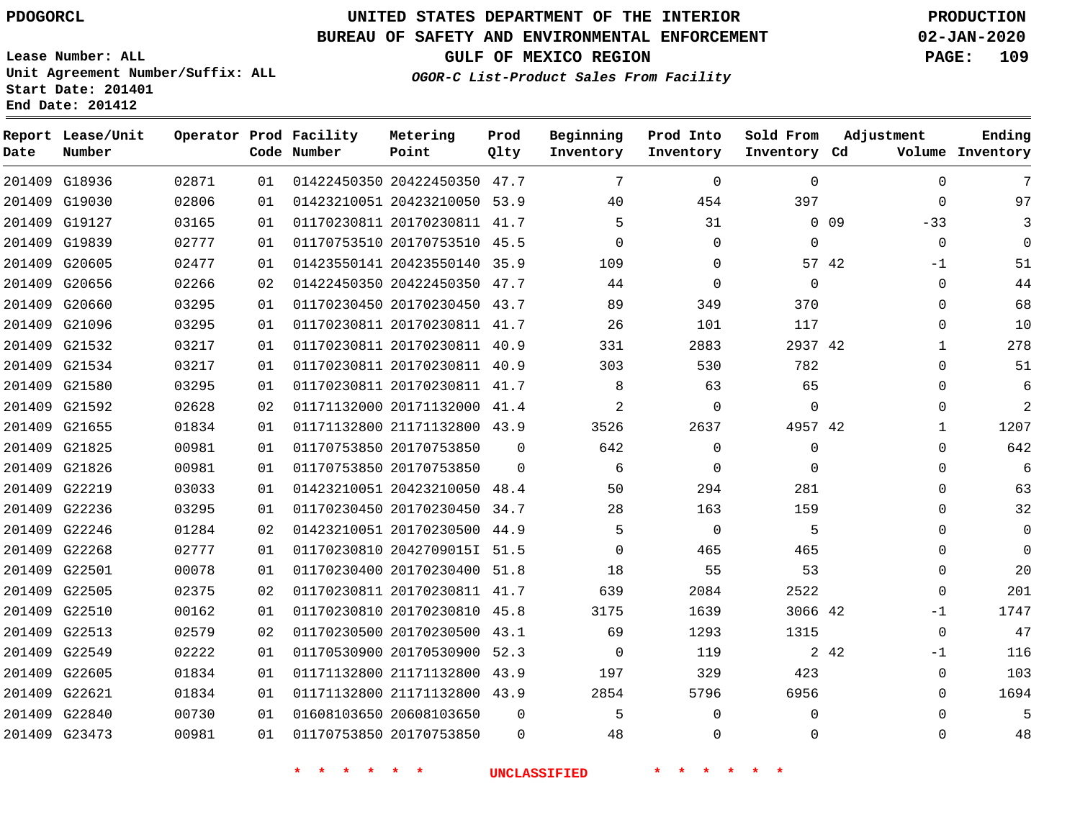**Date**

**Report Lease/Unit**

**Number**

 G22605 G22621 G22840 G23473

# **UNITED STATES DEPARTMENT OF THE INTERIOR PDOGORCL PRODUCTION**

**Prod Qlty**

#### **BUREAU OF SAFETY AND ENVIRONMENTAL ENFORCEMENT 02-JAN-2020**

**Lease Number: ALL Unit Agreement Number/Suffix: ALL Start Date: 201401 End Date: 201412**

**Operator Prod Facility**

**Code Number**

**GULF OF MEXICO REGION PAGE: 109**

**Inventory Cd Volume**

**Adjustment**

**Ending**

**OGOR-C List-Product Sales From Facility**

**Beginning Inventory** **Prod Into Inventory** **Sold From Inventory**

| 201409 | G18936        | 02871 | 01 | 01422450350 20422450350 | 47.7     | 7        | $\Omega$ | $\Omega$    |                 | $\Omega$    | 7           |
|--------|---------------|-------|----|-------------------------|----------|----------|----------|-------------|-----------------|-------------|-------------|
|        | 201409 G19030 | 02806 | 01 | 01423210051 20423210050 | 53.9     | 40       | 454      | 397         |                 | $\Omega$    | 97          |
| 201409 | G19127        | 03165 | 01 | 01170230811 20170230811 | 41.7     | 5        | 31       |             | 0 <sub>09</sub> | $-33$       | 3           |
| 201409 | G19839        | 02777 | 01 | 01170753510 20170753510 | 45.5     | $\Omega$ | $\Omega$ | $\Omega$    |                 | $\mathbf 0$ | $\Omega$    |
| 201409 | G20605        | 02477 | 01 | 01423550141 20423550140 | 35.9     | 109      | $\Omega$ |             | 57 42           | $-1$        | 51          |
| 201409 | G20656        | 02266 | 02 | 01422450350 20422450350 | 47.7     | 44       | 0        | $\mathbf 0$ |                 | 0           | 44          |
| 201409 | G20660        | 03295 | 01 | 01170230450 20170230450 | 43.7     | 89       | 349      | 370         |                 | 0           | 68          |
| 201409 | G21096        | 03295 | 01 | 01170230811 20170230811 | 41.7     | 26       | 101      | 117         |                 | $\Omega$    | 10          |
| 201409 | G21532        | 03217 | 01 | 01170230811 20170230811 | 40.9     | 331      | 2883     | 2937 42     |                 |             | 278         |
| 201409 | G21534        | 03217 | 01 | 01170230811 20170230811 | 40.9     | 303      | 530      | 782         |                 | 0           | 51          |
|        | 201409 G21580 | 03295 | 01 | 01170230811 20170230811 | 41.7     | 8        | 63       | 65          |                 | $\Omega$    | 6           |
|        | 201409 G21592 | 02628 | 02 | 01171132000 20171132000 | 41.4     | 2        | $\Omega$ | 0           |                 | 0           | 2           |
| 201409 | G21655        | 01834 | 01 | 01171132800 21171132800 | 43.9     | 3526     | 2637     | 4957 42     |                 |             | 1207        |
| 201409 | G21825        | 00981 | 01 | 01170753850 20170753850 | $\Omega$ | 642      | $\Omega$ | 0           |                 | 0           | 642         |
| 201409 | G21826        | 00981 | 01 | 01170753850 20170753850 | $\Omega$ | 6        | $\Omega$ | $\Omega$    |                 | 0           | 6           |
| 201409 | G22219        | 03033 | 01 | 01423210051 20423210050 | 48.4     | 50       | 294      | 281         |                 | $\Omega$    | 63          |
| 201409 | G22236        | 03295 | 01 | 01170230450 20170230450 | 34.7     | 28       | 163      | 159         |                 | 0           | 32          |
| 201409 | G22246        | 01284 | 02 | 01423210051 20170230500 | 44.9     | 5        | $\Omega$ | 5           |                 | $\Omega$    | $\mathbf 0$ |
| 201409 | G22268        | 02777 | 01 | 01170230810 2042709015I | 51.5     | $\Omega$ | 465      | 465         |                 | $\Omega$    | $\Omega$    |
| 201409 | G22501        | 00078 | 01 | 01170230400 20170230400 | 51.8     | 18       | 55       | 53          |                 | 0           | 20          |
| 201409 | G22505        | 02375 | 02 | 01170230811 20170230811 | 41.7     | 639      | 2084     | 2522        |                 | 0           | 201         |
| 201409 | G22510        | 00162 | 01 | 01170230810 20170230810 | 45.8     | 3175     | 1639     | 3066 42     |                 | $-1$        | 1747        |
| 201409 | G22513        | 02579 | 02 | 01170230500 20170230500 | 43.1     | 69       | 1293     | 1315        |                 | $\Omega$    | 47          |
| 201409 | G22549        | 02222 | 01 | 01170530900 20170530900 | 52.3     | $\Omega$ | 119      |             | 2 4 2           | $-1$        | 116         |

 20608103650 20170753850

 21171132800 43.9 21171132800 43.9

**Metering Point**

 

**\* \* \* \* \* \* UNCLASSIFIED \* \* \* \* \* \***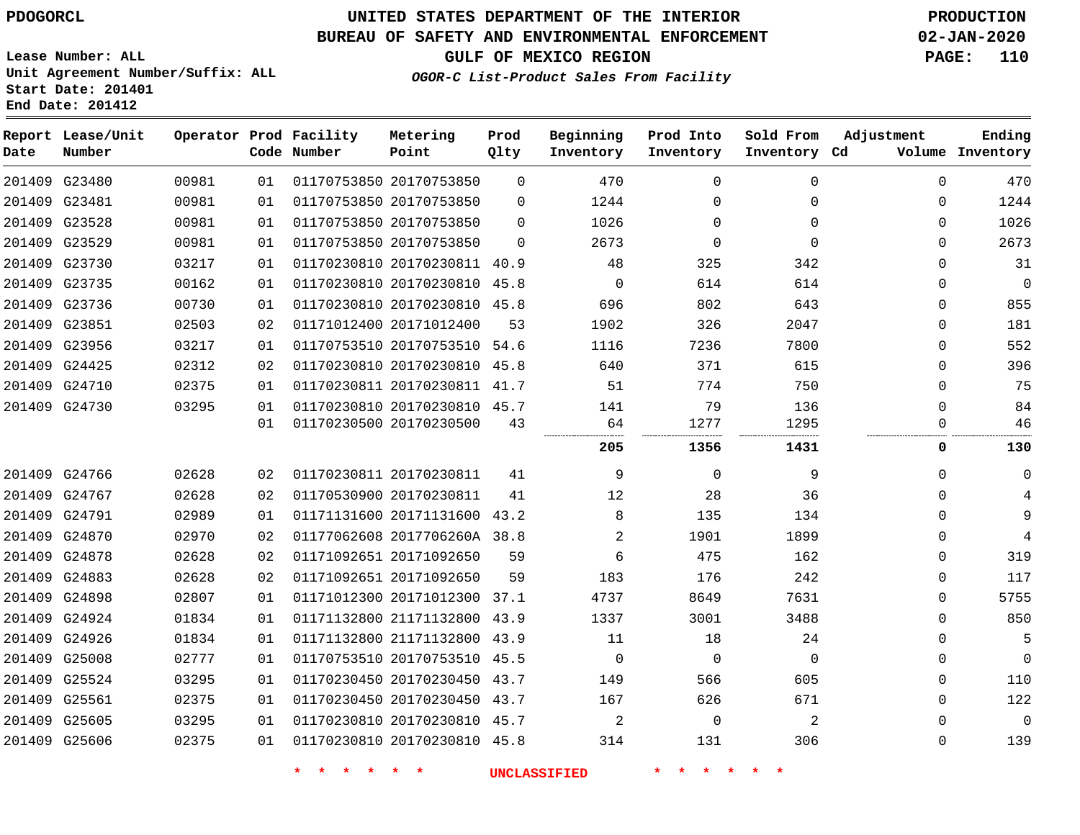# **UNITED STATES DEPARTMENT OF THE INTERIOR PDOGORCL PRODUCTION**

## **BUREAU OF SAFETY AND ENVIRONMENTAL ENFORCEMENT 02-JAN-2020**

**Lease Number: ALL Unit Agreement Number/Suffix: ALL Start Date: 201401**

**GULF OF MEXICO REGION PAGE: 110**

**OGOR-C List-Product Sales From Facility**

| Date | Report Lease/Unit<br>Number |       |    | Operator Prod Facility<br>Code Number | Metering<br>Point            | Prod<br>Qlty | Beginning<br>Inventory | Prod Into<br>Inventory | Sold From<br>Inventory Cd | Adjustment   | Ending<br>Volume Inventory |
|------|-----------------------------|-------|----|---------------------------------------|------------------------------|--------------|------------------------|------------------------|---------------------------|--------------|----------------------------|
|      | 201409 G23480               | 00981 | 01 |                                       | 01170753850 20170753850      | $\Omega$     | 470                    | $\Omega$               | $\Omega$                  | $\Omega$     | 470                        |
|      | 201409 G23481               | 00981 | 01 |                                       | 01170753850 20170753850      | $\Omega$     | 1244                   | $\Omega$               | $\Omega$                  | $\Omega$     | 1244                       |
|      | 201409 G23528               | 00981 | 01 |                                       | 01170753850 20170753850      | $\Omega$     | 1026                   | $\Omega$               | $\Omega$                  | $\mathbf 0$  | 1026                       |
|      | 201409 G23529               | 00981 | 01 |                                       | 01170753850 20170753850      | $\Omega$     | 2673                   | $\Omega$               | $\Omega$                  | $\Omega$     | 2673                       |
|      | 201409 G23730               | 03217 | 01 |                                       | 01170230810 20170230811 40.9 |              | 48                     | 325                    | 342                       | $\Omega$     | 31                         |
|      | 201409 G23735               | 00162 | 01 |                                       | 01170230810 20170230810 45.8 |              | $\mathbf 0$            | 614                    | 614                       | $\Omega$     | $\mathbf 0$                |
|      | 201409 G23736               | 00730 | 01 |                                       | 01170230810 20170230810 45.8 |              | 696                    | 802                    | 643                       | $\mathbf 0$  | 855                        |
|      | 201409 G23851               | 02503 | 02 |                                       | 01171012400 20171012400      | 53           | 1902                   | 326                    | 2047                      | $\Omega$     | 181                        |
|      | 201409 G23956               | 03217 | 01 |                                       | 01170753510 20170753510 54.6 |              | 1116                   | 7236                   | 7800                      | $\mathbf 0$  | 552                        |
|      | 201409 G24425               | 02312 | 02 |                                       | 01170230810 20170230810 45.8 |              | 640                    | 371                    | 615                       | $\Omega$     | 396                        |
|      | 201409 G24710               | 02375 | 01 |                                       | 01170230811 20170230811 41.7 |              | 51                     | 774                    | 750                       | $\mathbf 0$  | 75                         |
|      | 201409 G24730               | 03295 | 01 |                                       | 01170230810 20170230810 45.7 |              | 141                    | 79                     | 136                       | $\Omega$     | 84                         |
|      |                             |       | 01 |                                       | 01170230500 20170230500      | 43           | 64                     | 1277                   | 1295                      | 0            | 46                         |
|      |                             |       |    |                                       |                              |              | 205                    | 1356                   | 1431                      | 0            | 130                        |
|      | 201409 G24766               | 02628 | 02 |                                       | 01170230811 20170230811      | 41           | 9                      | $\Omega$               | 9                         | $\mathbf 0$  | $\mathbf 0$                |
|      | 201409 G24767               | 02628 | 02 |                                       | 01170530900 20170230811      | 41           | 12                     | 28                     | 36                        | $\Omega$     | 4                          |
|      | 201409 G24791               | 02989 | 01 |                                       | 01171131600 20171131600 43.2 |              | 8                      | 135                    | 134                       | $\Omega$     | 9                          |
|      | 201409 G24870               | 02970 | 02 |                                       | 01177062608 2017706260A 38.8 |              | 2                      | 1901                   | 1899                      | $\Omega$     | 4                          |
|      | 201409 G24878               | 02628 | 02 |                                       | 01171092651 20171092650      | 59           | 6                      | 475                    | 162                       | $\mathbf{0}$ | 319                        |
|      | 201409 G24883               | 02628 | 02 |                                       | 01171092651 20171092650      | 59           | 183                    | 176                    | 242                       | $\Omega$     | 117                        |
|      | 201409 G24898               | 02807 | 01 |                                       | 01171012300 20171012300 37.1 |              | 4737                   | 8649                   | 7631                      | $\Omega$     | 5755                       |
|      | 201409 G24924               | 01834 | 01 |                                       | 01171132800 21171132800 43.9 |              | 1337                   | 3001                   | 3488                      | $\Omega$     | 850                        |
|      | 201409 G24926               | 01834 | 01 |                                       | 01171132800 21171132800 43.9 |              | 11                     | 18                     | 24                        | $\mathbf 0$  | 5                          |
|      | 201409 G25008               | 02777 | 01 |                                       | 01170753510 20170753510 45.5 |              | $\mathbf 0$            | $\mathbf 0$            | $\Omega$                  | 0            | $\overline{0}$             |
|      | 201409 G25524               | 03295 | 01 |                                       | 01170230450 20170230450 43.7 |              | 149                    | 566                    | 605                       | 0            | 110                        |
|      | 201409 G25561               | 02375 | 01 |                                       | 01170230450 20170230450 43.7 |              | 167                    | 626                    | 671                       | 0            | 122                        |
|      | 201409 G25605               | 03295 | 01 |                                       | 01170230810 20170230810 45.7 |              | 2                      | $\Omega$               | 2                         | $\Omega$     | $\mathbf 0$                |
|      | 201409 G25606               | 02375 | 01 |                                       | 01170230810 20170230810 45.8 |              | 314                    | 131                    | 306                       | $\Omega$     | 139                        |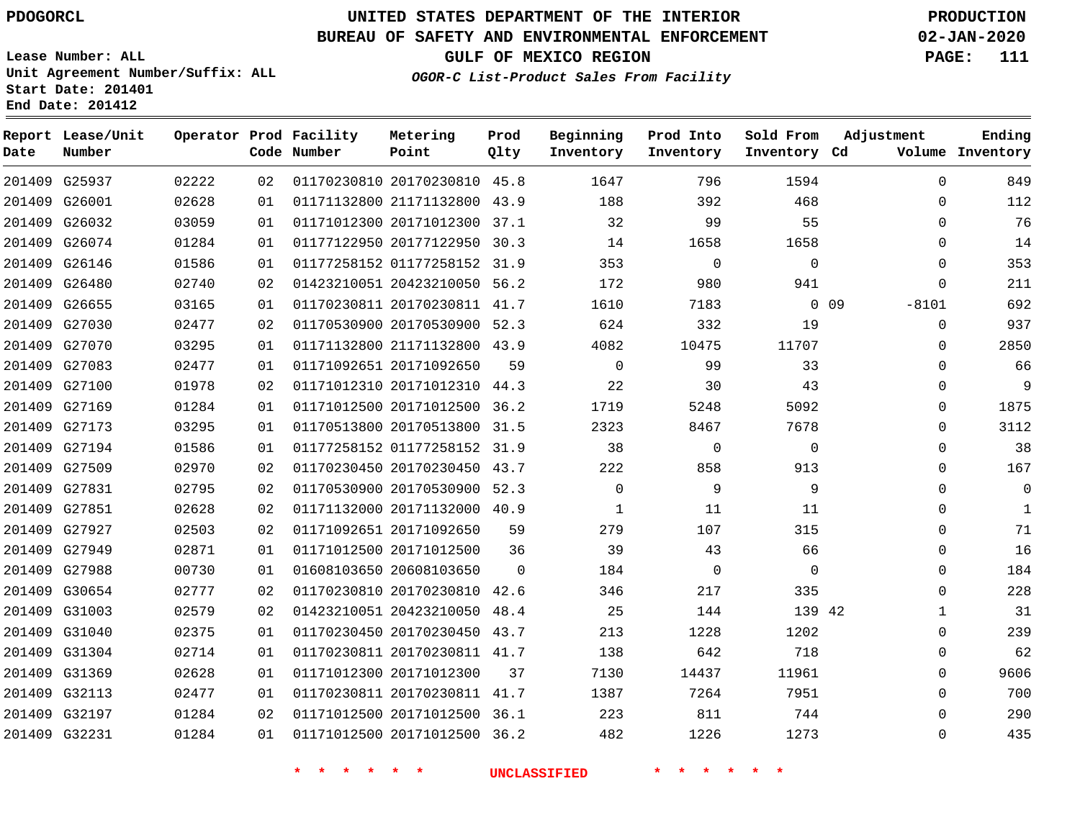## **BUREAU OF SAFETY AND ENVIRONMENTAL ENFORCEMENT 02-JAN-2020**

**Lease Number: ALL Unit Agreement Number/Suffix: ALL Start Date: 201401 End Date: 201412**

**OGOR-C List-Product Sales From Facility**

**GULF OF MEXICO REGION PAGE: 111**

| Date | Report Lease/Unit<br>Number |       |    | Operator Prod Facility<br>Code Number | Metering<br>Point            | Prod<br>Qlty | Beginning<br>Inventory | Prod Into<br>Inventory | Sold From<br>Inventory Cd | Adjustment        | Ending<br>Volume Inventory |
|------|-----------------------------|-------|----|---------------------------------------|------------------------------|--------------|------------------------|------------------------|---------------------------|-------------------|----------------------------|
|      | 201409 G25937               | 02222 | 02 |                                       | 01170230810 20170230810 45.8 |              | 1647                   | 796                    | 1594                      | $\Omega$          | 849                        |
|      | 201409 G26001               | 02628 | 01 |                                       | 01171132800 21171132800 43.9 |              | 188                    | 392                    | 468                       | $\Omega$          | 112                        |
|      | 201409 G26032               | 03059 | 01 |                                       | 01171012300 20171012300      | 37.1         | 32                     | 99                     | 55                        | $\Omega$          | 76                         |
|      | 201409 G26074               | 01284 | 01 |                                       | 01177122950 20177122950 30.3 |              | 14                     | 1658                   | 1658                      | 0                 | 14                         |
|      | 201409 G26146               | 01586 | 01 |                                       | 01177258152 01177258152      | 31.9         | 353                    | 0                      | $\mathbf 0$               | 0                 | 353                        |
|      | 201409 G26480               | 02740 | 02 |                                       | 01423210051 20423210050 56.2 |              | 172                    | 980                    | 941                       | $\Omega$          | 211                        |
|      | 201409 G26655               | 03165 | 01 |                                       | 01170230811 20170230811 41.7 |              | 1610                   | 7183                   |                           | $0$ 09<br>$-8101$ | 692                        |
|      | 201409 G27030               | 02477 | 02 |                                       | 01170530900 20170530900 52.3 |              | 624                    | 332                    | 19                        | $\mathbf 0$       | 937                        |
|      | 201409 G27070               | 03295 | 01 |                                       | 01171132800 21171132800 43.9 |              | 4082                   | 10475                  | 11707                     | 0                 | 2850                       |
|      | 201409 G27083               | 02477 | 01 |                                       | 01171092651 20171092650      | 59           | $\mathbf 0$            | 99                     | 33                        | $\Omega$          | 66                         |
|      | 201409 G27100               | 01978 | 02 |                                       | 01171012310 20171012310 44.3 |              | 22                     | 30                     | 43                        | $\Omega$          | 9                          |
|      | 201409 G27169               | 01284 | 01 |                                       | 01171012500 20171012500      | 36.2         | 1719                   | 5248                   | 5092                      | $\Omega$          | 1875                       |
|      | 201409 G27173               | 03295 | 01 |                                       | 01170513800 20170513800      | 31.5         | 2323                   | 8467                   | 7678                      | $\Omega$          | 3112                       |
|      | 201409 G27194               | 01586 | 01 |                                       | 01177258152 01177258152 31.9 |              | 38                     | 0                      | $\mathbf{0}$              | 0                 | 38                         |
|      | 201409 G27509               | 02970 | 02 |                                       | 01170230450 20170230450 43.7 |              | 222                    | 858                    | 913                       | $\Omega$          | 167                        |
|      | 201409 G27831               | 02795 | 02 |                                       | 01170530900 20170530900 52.3 |              | $\mathbf 0$            | 9                      | 9                         | $\Omega$          | 0                          |
|      | 201409 G27851               | 02628 | 02 |                                       | 01171132000 20171132000 40.9 |              | 1                      | 11                     | 11                        | $\Omega$          | 1                          |
|      | 201409 G27927               | 02503 | 02 |                                       | 01171092651 20171092650      | 59           | 279                    | 107                    | 315                       | $\Omega$          | 71                         |
|      | 201409 G27949               | 02871 | 01 |                                       | 01171012500 20171012500      | 36           | 39                     | 43                     | 66                        | $\Omega$          | 16                         |
|      | 201409 G27988               | 00730 | 01 |                                       | 01608103650 20608103650      | $\Omega$     | 184                    | 0                      | $\mathbf 0$               | 0                 | 184                        |
|      | 201409 G30654               | 02777 | 02 |                                       | 01170230810 20170230810      | 42.6         | 346                    | 217                    | 335                       | $\Omega$          | 228                        |
|      | 201409 G31003               | 02579 | 02 |                                       | 01423210051 20423210050      | 48.4         | 25                     | 144                    | 139 42                    | 1                 | 31                         |
|      | 201409 G31040               | 02375 | 01 |                                       | 01170230450 20170230450 43.7 |              | 213                    | 1228                   | 1202                      | $\Omega$          | 239                        |
|      | 201409 G31304               | 02714 | 01 |                                       | 01170230811 20170230811 41.7 |              | 138                    | 642                    | 718                       | 0                 | 62                         |
|      | 201409 G31369               | 02628 | 01 |                                       | 01171012300 20171012300      | 37           | 7130                   | 14437                  | 11961                     | 0                 | 9606                       |
|      | 201409 G32113               | 02477 | 01 |                                       | 01170230811 20170230811 41.7 |              | 1387                   | 7264                   | 7951                      | 0                 | 700                        |
|      | 201409 G32197               | 01284 | 02 |                                       | 01171012500 20171012500 36.1 |              | 223                    | 811                    | 744                       | $\Omega$          | 290                        |
|      | 201409 G32231               | 01284 | 01 |                                       | 01171012500 20171012500 36.2 |              | 482                    | 1226                   | 1273                      | $\Omega$          | 435                        |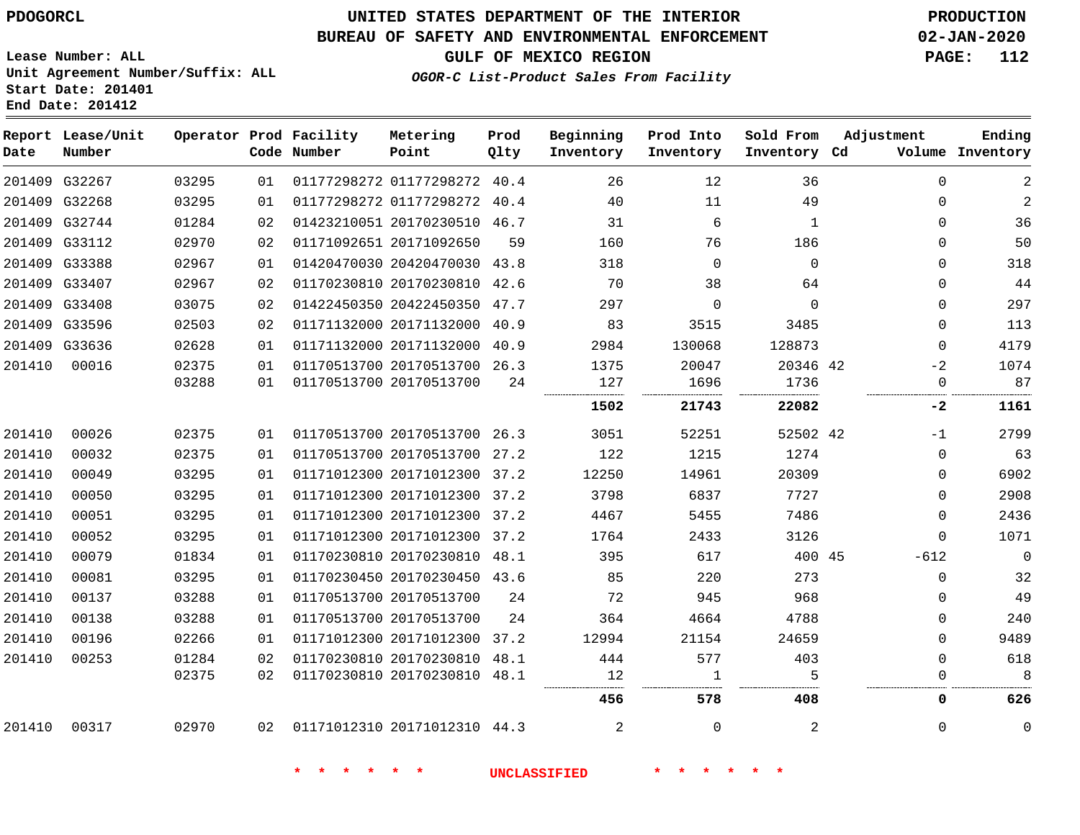# **UNITED STATES DEPARTMENT OF THE INTERIOR PDOGORCL PRODUCTION**

## **BUREAU OF SAFETY AND ENVIRONMENTAL ENFORCEMENT 02-JAN-2020**

**Lease Number: ALL Unit Agreement Number/Suffix: ALL Start Date: 201401**

**GULF OF MEXICO REGION PAGE: 112**

**OGOR-C List-Product Sales From Facility**

| Date          | Report Lease/Unit<br>Number |       |    | Operator Prod Facility<br>Code Number | Metering<br>Point            | Prod<br>Qlty | Beginning<br>Inventory | Prod Into<br>Inventory | Sold From<br>Inventory Cd | Adjustment  | Ending<br>Volume Inventory |
|---------------|-----------------------------|-------|----|---------------------------------------|------------------------------|--------------|------------------------|------------------------|---------------------------|-------------|----------------------------|
|               | 201409 G32267               | 03295 | 01 |                                       | 01177298272 01177298272 40.4 |              | 26                     | 12                     | 36                        | $\mathbf 0$ | $\overline{c}$             |
| 201409 G32268 |                             | 03295 | 01 |                                       | 01177298272 01177298272 40.4 |              | 40                     | 11                     | 49                        | $\mathbf 0$ | $\overline{c}$             |
| 201409 G32744 |                             | 01284 | 02 |                                       | 01423210051 20170230510 46.7 |              | 31                     | 6                      | 1                         | $\Omega$    | 36                         |
| 201409 G33112 |                             | 02970 | 02 |                                       | 01171092651 20171092650      | 59           | 160                    | 76                     | 186                       | $\Omega$    | 50                         |
| 201409 G33388 |                             | 02967 | 01 |                                       | 01420470030 20420470030 43.8 |              | 318                    | $\Omega$               | $\Omega$                  | $\mathbf 0$ | 318                        |
| 201409 G33407 |                             | 02967 | 02 |                                       | 01170230810 20170230810 42.6 |              | 70                     | 38                     | 64                        | $\Omega$    | 44                         |
| 201409 G33408 |                             | 03075 | 02 |                                       | 01422450350 20422450350      | 47.7         | 297                    | 0                      | $\mathbf 0$               | $\mathbf 0$ | 297                        |
| 201409 G33596 |                             | 02503 | 02 |                                       | 01171132000 20171132000 40.9 |              | 83                     | 3515                   | 3485                      | $\Omega$    | 113                        |
|               | 201409 G33636               | 02628 | 01 |                                       | 01171132000 20171132000 40.9 |              | 2984                   | 130068                 | 128873                    | $\mathbf 0$ | 4179                       |
| 201410        | 00016                       | 02375 | 01 |                                       | 01170513700 20170513700 26.3 |              | 1375                   | 20047                  | 20346 42                  | $-2$        | 1074                       |
|               |                             | 03288 | 01 |                                       | 01170513700 20170513700      | 24           | 127                    | 1696                   | 1736                      | $\Omega$    | 87<br>.                    |
|               |                             |       |    |                                       |                              |              | 1502                   | 21743                  | 22082                     | -2          | 1161                       |
| 201410        | 00026                       | 02375 | 01 |                                       | 01170513700 20170513700 26.3 |              | 3051                   | 52251                  | 52502 42                  | $-1$        | 2799                       |
| 201410        | 00032                       | 02375 | 01 |                                       | 01170513700 20170513700 27.2 |              | 122                    | 1215                   | 1274                      | $\Omega$    | 63                         |
| 201410        | 00049                       | 03295 | 01 |                                       | 01171012300 20171012300 37.2 |              | 12250                  | 14961                  | 20309                     | 0           | 6902                       |
| 201410        | 00050                       | 03295 | 01 |                                       | 01171012300 20171012300 37.2 |              | 3798                   | 6837                   | 7727                      | $\mathbf 0$ | 2908                       |
| 201410        | 00051                       | 03295 | 01 |                                       | 01171012300 20171012300      | 37.2         | 4467                   | 5455                   | 7486                      | $\mathbf 0$ | 2436                       |
| 201410        | 00052                       | 03295 | 01 |                                       | 01171012300 20171012300 37.2 |              | 1764                   | 2433                   | 3126                      | $\mathbf 0$ | 1071                       |
| 201410        | 00079                       | 01834 | 01 |                                       | 01170230810 20170230810 48.1 |              | 395                    | 617                    | 400 45                    | $-612$      | $\overline{0}$             |
| 201410        | 00081                       | 03295 | 01 |                                       | 01170230450 20170230450 43.6 |              | 85                     | 220                    | 273                       | $\mathbf 0$ | 32                         |
| 201410        | 00137                       | 03288 | 01 |                                       | 01170513700 20170513700      | 24           | 72                     | 945                    | 968                       | $\mathbf 0$ | 49                         |
| 201410        | 00138                       | 03288 | 01 |                                       | 01170513700 20170513700      | 24           | 364                    | 4664                   | 4788                      | $\Omega$    | 240                        |
| 201410        | 00196                       | 02266 | 01 |                                       | 01171012300 20171012300 37.2 |              | 12994                  | 21154                  | 24659                     | $\mathbf 0$ | 9489                       |
| 201410        | 00253                       | 01284 | 02 |                                       | 01170230810 20170230810 48.1 |              | 444                    | 577                    | 403                       | $\mathbf 0$ | 618                        |
|               |                             | 02375 | 02 |                                       | 01170230810 20170230810 48.1 |              | 12                     | 1                      | 5                         | 0           | 8                          |
|               |                             |       |    |                                       |                              |              | 456                    | 578                    | 408                       | 0           | 626                        |
| 201410        | 00317                       | 02970 | 02 | 01171012310 20171012310 44.3          |                              |              | 2                      | $\Omega$               | 2                         | $\Omega$    | $\mathbf 0$                |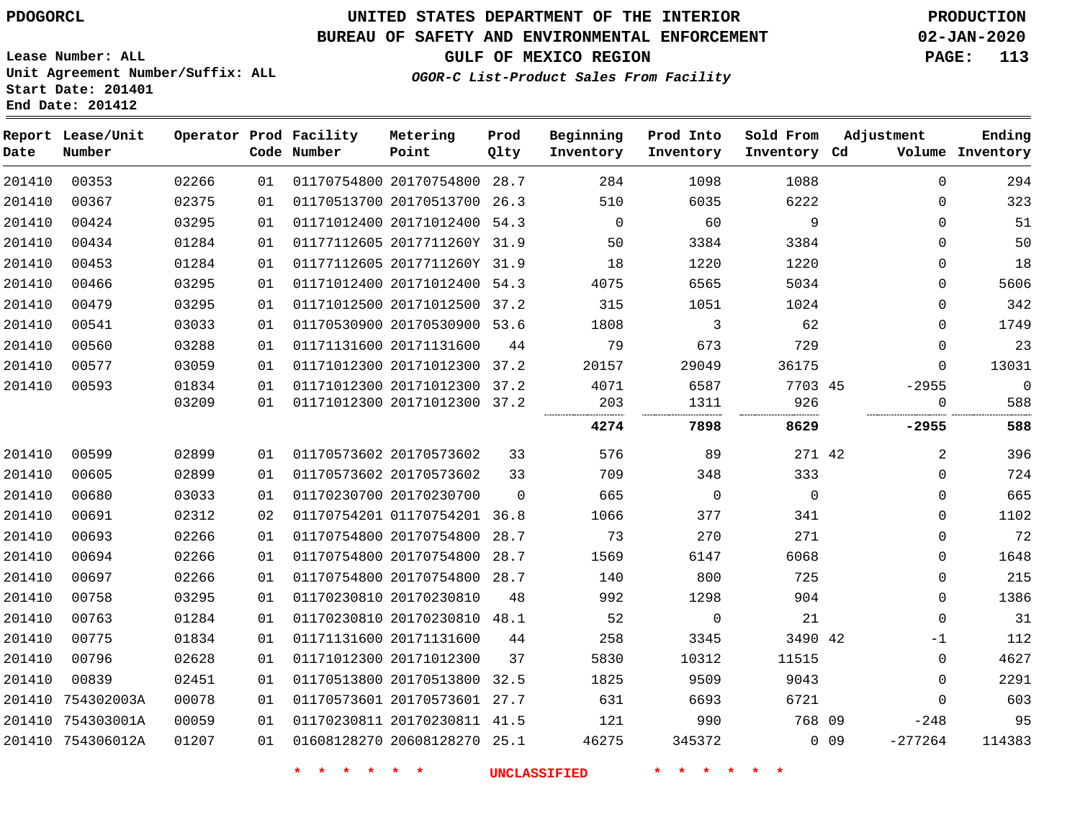# **UNITED STATES DEPARTMENT OF THE INTERIOR PDOGORCL PRODUCTION**

## **BUREAU OF SAFETY AND ENVIRONMENTAL ENFORCEMENT 02-JAN-2020**

**Lease Number: ALL Unit Agreement Number/Suffix: ALL Start Date: 201401**

**GULF OF MEXICO REGION PAGE: 113**

**OGOR-C List-Product Sales From Facility**

| Date   | Report Lease/Unit<br>Number |       |    | Operator Prod Facility<br>Code Number | Metering<br>Point            | Prod<br>Qlty | Beginning<br>Inventory | Prod Into<br>Inventory | Sold From<br>Inventory Cd | Adjustment |              | Ending<br>Volume Inventory |
|--------|-----------------------------|-------|----|---------------------------------------|------------------------------|--------------|------------------------|------------------------|---------------------------|------------|--------------|----------------------------|
| 201410 | 00353                       | 02266 | 01 |                                       | 01170754800 20170754800 28.7 |              | 284                    | 1098                   | 1088                      |            | $\mathbf 0$  | 294                        |
| 201410 | 00367                       | 02375 | 01 |                                       | 01170513700 20170513700 26.3 |              | 510                    | 6035                   | 6222                      |            | $\mathbf{0}$ | 323                        |
| 201410 | 00424                       | 03295 | 01 |                                       | 01171012400 20171012400 54.3 |              | $\overline{0}$         | 60                     | 9                         |            | $\mathbf{0}$ | 51                         |
| 201410 | 00434                       | 01284 | 01 |                                       | 01177112605 2017711260Y 31.9 |              | 50                     | 3384                   | 3384                      |            | $\Omega$     | 50                         |
| 201410 | 00453                       | 01284 | 01 |                                       | 01177112605 2017711260Y 31.9 |              | 18                     | 1220                   | 1220                      |            | 0            | 18                         |
| 201410 | 00466                       | 03295 | 01 |                                       | 01171012400 20171012400 54.3 |              | 4075                   | 6565                   | 5034                      |            | $\Omega$     | 5606                       |
| 201410 | 00479                       | 03295 | 01 |                                       | 01171012500 20171012500 37.2 |              | 315                    | 1051                   | 1024                      |            | $\Omega$     | 342                        |
| 201410 | 00541                       | 03033 | 01 |                                       | 01170530900 20170530900 53.6 |              | 1808                   | 3                      | 62                        |            | 0            | 1749                       |
| 201410 | 00560                       | 03288 | 01 |                                       | 01171131600 20171131600      | 44           | 79                     | 673                    | 729                       |            | 0            | 23                         |
| 201410 | 00577                       | 03059 | 01 |                                       | 01171012300 20171012300 37.2 |              | 20157                  | 29049                  | 36175                     |            | $\mathbf 0$  | 13031                      |
| 201410 | 00593                       | 01834 | 01 |                                       | 01171012300 20171012300 37.2 |              | 4071                   | 6587                   | 7703 45                   |            | $-2955$      | $\mathbf 0$                |
|        |                             | 03209 | 01 |                                       | 01171012300 20171012300 37.2 |              | 203                    | 1311                   | 926                       |            | 0            | 588                        |
|        |                             |       |    |                                       |                              |              | 4274                   | 7898                   | 8629                      |            | $-2955$      | 588                        |
| 201410 | 00599                       | 02899 | 01 |                                       | 01170573602 20170573602      | 33           | 576                    | 89                     | 271 42                    |            | 2            | 396                        |
| 201410 | 00605                       | 02899 | 01 |                                       | 01170573602 20170573602      | 33           | 709                    | 348                    | 333                       |            | $\mathbf 0$  | 724                        |
| 201410 | 00680                       | 03033 | 01 |                                       | 01170230700 20170230700      | $\Omega$     | 665                    | $\overline{0}$         | $\mathbf 0$               |            | 0            | 665                        |
| 201410 | 00691                       | 02312 | 02 |                                       | 01170754201 01170754201 36.8 |              | 1066                   | 377                    | 341                       |            | $\mathbf 0$  | 1102                       |
| 201410 | 00693                       | 02266 | 01 |                                       | 01170754800 20170754800 28.7 |              | 73                     | 270                    | 271                       |            | $\mathbf 0$  | 72                         |
| 201410 | 00694                       | 02266 | 01 |                                       | 01170754800 20170754800      | 28.7         | 1569                   | 6147                   | 6068                      |            | $\mathbf 0$  | 1648                       |
| 201410 | 00697                       | 02266 | 01 |                                       | 01170754800 20170754800 28.7 |              | 140                    | 800                    | 725                       |            | $\mathbf{0}$ | 215                        |
| 201410 | 00758                       | 03295 | 01 |                                       | 01170230810 20170230810      | 48           | 992                    | 1298                   | 904                       |            | 0            | 1386                       |
| 201410 | 00763                       | 01284 | 01 |                                       | 01170230810 20170230810 48.1 |              | 52                     | 0                      | 21                        |            | $\mathbf 0$  | 31                         |
| 201410 | 00775                       | 01834 | 01 |                                       | 01171131600 20171131600      | 44           | 258                    | 3345                   | 3490 42                   |            | -1           | 112                        |
| 201410 | 00796                       | 02628 | 01 |                                       | 01171012300 20171012300      | 37           | 5830                   | 10312                  | 11515                     |            | $\mathbf 0$  | 4627                       |
| 201410 | 00839                       | 02451 | 01 |                                       | 01170513800 20170513800 32.5 |              | 1825                   | 9509                   | 9043                      |            | $\Omega$     | 2291                       |
| 201410 | 754302003A                  | 00078 | 01 |                                       | 01170573601 20170573601 27.7 |              | 631                    | 6693                   | 6721                      |            | $\Omega$     | 603                        |
|        | 201410 754303001A           | 00059 | 01 |                                       | 01170230811 20170230811 41.5 |              | 121                    | 990                    | 768 09                    |            | $-248$       | 95                         |
|        | 201410 754306012A           | 01207 | 01 |                                       | 01608128270 20608128270 25.1 |              | 46275                  | 345372                 |                           | $0$ 09     | $-277264$    | 114383                     |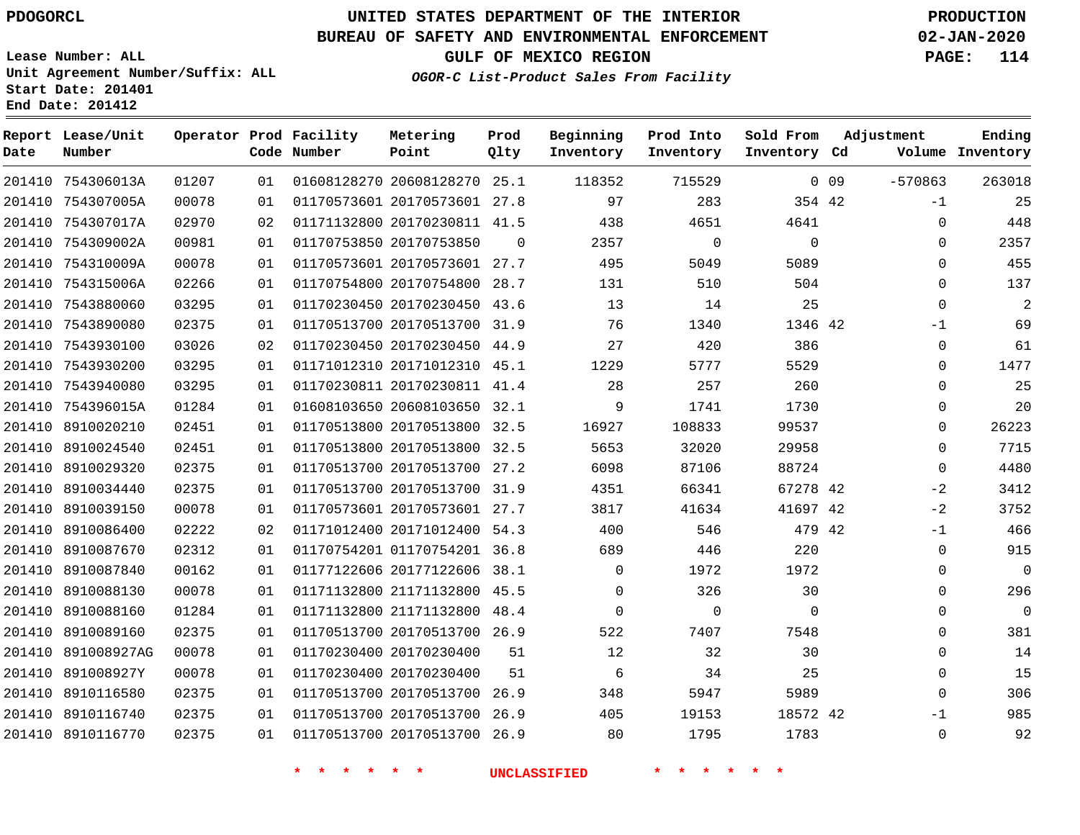**Date**

 754306013A 754307005A 754307017A

**Report Lease/Unit**

**Number**

 891008927AG 891008927Y 8910116580 8910116740 8910116770

# **UNITED STATES DEPARTMENT OF THE INTERIOR PDOGORCL PRODUCTION**

#### **BUREAU OF SAFETY AND ENVIRONMENTAL ENFORCEMENT 02-JAN-2020**

**Lease Number: ALL Unit Agreement Number/Suffix: ALL Start Date: 201401 End Date: 201412**

**Operator Prod Facility**

**Code Number**

20608128270 25.1

**Metering Point**

  $0<sup>1</sup>$ 

#### **OGOR-C List-Product Sales From Facility**

  $\sim$ 

  $0.23$ 

**Prod Into Inventory**

**Beginning Inventory**

**GULF OF MEXICO REGION PAGE: 114**

**Inventory Cd Volume**

-1  $\Omega$ 

 $\Omega$  -1  $\Omega$ 

-570863

**Adjustment**

**Ending**

0 0 9

**Sold From Inventory**

| 00078 | 01 | 01170573601 20170573601 | 27.8     | 97    | 283    | 354 42   |  |
|-------|----|-------------------------|----------|-------|--------|----------|--|
| 02970 | 02 | 01171132800 20170230811 | 41.5     | 438   | 4651   | 4641     |  |
| 00981 | 01 | 01170753850 20170753850 | $\Omega$ | 2357  | 0      | 0        |  |
| 00078 | 01 | 01170573601 20170573601 | 27.7     | 495   | 5049   | 5089     |  |
| 02266 | 01 | 01170754800 20170754800 | 28.7     | 131   | 510    | 504      |  |
| 03295 | 01 | 01170230450 20170230450 | 43.6     | 13    | 14     | 25       |  |
| 02375 | 01 | 01170513700 20170513700 | 31.9     | 76    | 1340   | 1346 42  |  |
| 03026 | 02 | 01170230450 20170230450 | 44.9     | 27    | 420    | 386      |  |
| 03295 | 01 | 01171012310 20171012310 | 45.1     | 1229  | 5777   | 5529     |  |
| 03295 | 01 | 01170230811 20170230811 | 41.4     | 28    | 257    | 260      |  |
| 01284 | 01 | 01608103650 20608103650 | 32.1     | 9     | 1741   | 1730     |  |
| 02451 | 01 | 01170513800 20170513800 | 32.5     | 16927 | 108833 | 99537    |  |
| 02451 | 01 | 01170513800 20170513800 | 32.5     | 5653  | 32020  | 29958    |  |
| 02375 | 01 | 01170513700 20170513700 | 27.2     | 6098  | 87106  | 88724    |  |
| 02375 | 01 | 01170513700 20170513700 | 31.9     | 4351  | 66341  | 67278 42 |  |
|       |    |                         |          |       |        |          |  |

**Prod Qlty**

 754309002A 754310009A 754315006A 7543880060 7543890080 7543930100 7543930200 7543940080 754396015A 8910020210 8910024540 8910029320 8910034440 8910039150 8910086400 8910087670 8910087840 8910088130 8910088160 8910089160 20170573601 27.7 20171012400 54.3 01170754201 36.8 20177122606 38.1 21171132800 45.5 21171132800 48.4 20170513700 26.9 42 42 42 42  $\Omega$  $\Omega$  $\Omega$   $\Omega$   $\Omega$   $\Omega$   $\Omega$  $\Omega$  $\Omega$  $\Omega$  $-1$  $\Omega$  $\Omega$  $\Omega$  $\Omega$  $\Omega$  $\Omega$  $\Omega$  $-2$  $-2$  $-1$  $\Omega$  $\Omega$  $\Omega$  $\Omega$  $\Omega$ 

> 

**\* \* \* \* \* \* UNCLASSIFIED \* \* \* \* \* \***

 20170513700 26.9 20170513700 26.9 20170513700 26.9

 20170230400 20170230400

42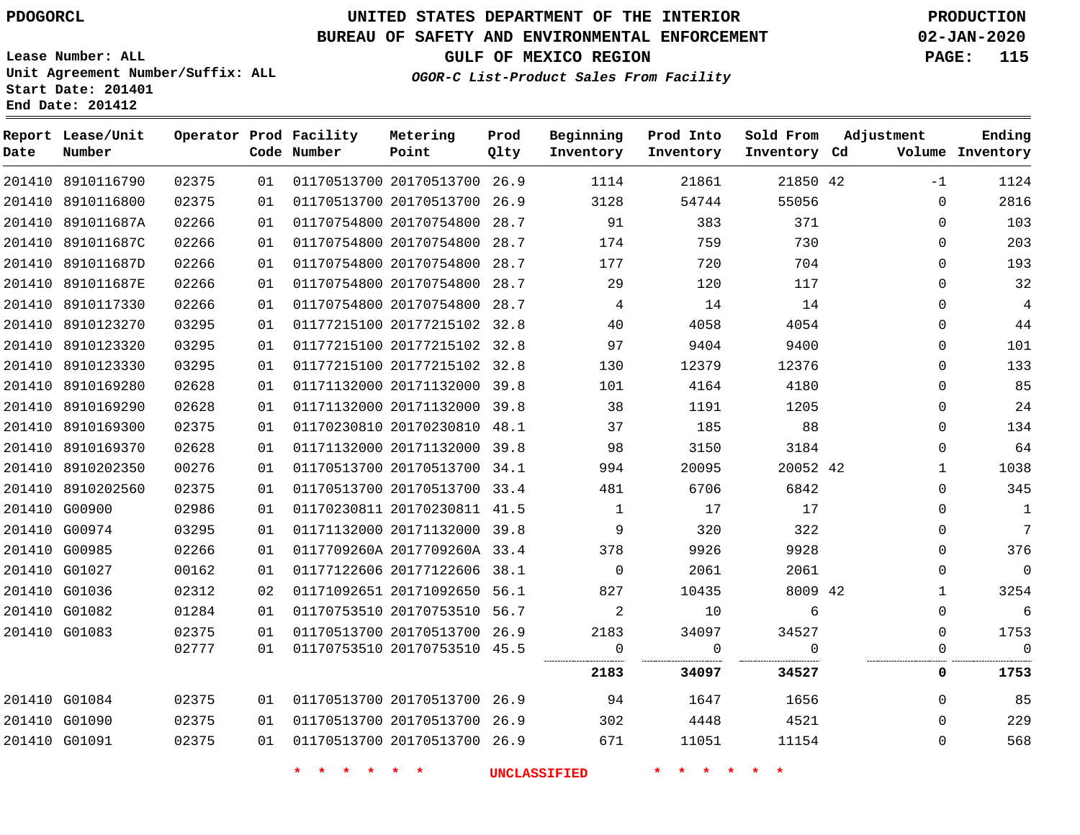**Prod**

#### **BUREAU OF SAFETY AND ENVIRONMENTAL ENFORCEMENT 02-JAN-2020**

**Lease Number: ALL Unit Agreement Number/Suffix: ALL Start Date: 201401 End Date: 201412**

**GULF OF MEXICO REGION PAGE: 115**

**Adjustment**

**Ending**

**OGOR-C List-Product Sales From Facility**

| Date | Report Lease/Unit<br>Number |       |    | Operator Prod Facility<br>Code Number | Metering<br>Point            | Prod<br>Qlty | Beginning<br>Inventory | Prod Into<br>Inventory | Sold From<br>Inventory Cd | Adjustment   | Ending<br>Volume Inventory |
|------|-----------------------------|-------|----|---------------------------------------|------------------------------|--------------|------------------------|------------------------|---------------------------|--------------|----------------------------|
|      | 201410 8910116790           | 02375 | 01 |                                       | 01170513700 20170513700 26.9 |              | 1114                   | 21861                  | 21850 42                  | $-1$         | 1124                       |
|      | 201410 8910116800           | 02375 | 01 |                                       | 01170513700 20170513700 26.9 |              | 3128                   | 54744                  | 55056                     | $\mathbf 0$  | 2816                       |
|      | 201410 891011687A           | 02266 | 01 |                                       | 01170754800 20170754800 28.7 |              | 91                     | 383                    | 371                       | 0            | 103                        |
|      | 201410 891011687C           | 02266 | 01 |                                       | 01170754800 20170754800 28.7 |              | 174                    | 759                    | 730                       | 0            | 203                        |
|      | 201410 891011687D           | 02266 | 01 |                                       | 01170754800 20170754800 28.7 |              | 177                    | 720                    | 704                       | $\mathbf 0$  | 193                        |
|      | 201410 891011687E           | 02266 | 01 |                                       | 01170754800 20170754800      | 28.7         | 29                     | 120                    | 117                       | $\mathbf 0$  | 32                         |
|      | 201410 8910117330           | 02266 | 01 |                                       | 01170754800 20170754800 28.7 |              | 4                      | 14                     | 14                        | $\mathbf{0}$ | $\overline{4}$             |
|      | 201410 8910123270           | 03295 | 01 |                                       | 01177215100 20177215102 32.8 |              | 40                     | 4058                   | 4054                      | 0            | 44                         |
|      | 201410 8910123320           | 03295 | 01 |                                       | 01177215100 20177215102 32.8 |              | 97                     | 9404                   | 9400                      | 0            | 101                        |
|      | 201410 8910123330           | 03295 | 01 |                                       | 01177215100 20177215102 32.8 |              | 130                    | 12379                  | 12376                     | 0            | 133                        |
|      | 201410 8910169280           | 02628 | 01 |                                       | 01171132000 20171132000 39.8 |              | 101                    | 4164                   | 4180                      | 0            | 85                         |
|      | 201410 8910169290           | 02628 | 01 |                                       | 01171132000 20171132000 39.8 |              | 38                     | 1191                   | 1205                      | $\mathbf 0$  | 24                         |
|      | 201410 8910169300           | 02375 | 01 |                                       | 01170230810 20170230810 48.1 |              | 37                     | 185                    | 88                        | $\mathbf 0$  | 134                        |
|      | 201410 8910169370           | 02628 | 01 |                                       | 01171132000 20171132000 39.8 |              | 98                     | 3150                   | 3184                      | $\Omega$     | 64                         |
|      | 201410 8910202350           | 00276 | 01 |                                       | 01170513700 20170513700 34.1 |              | 994                    | 20095                  | 20052 42                  | 1            | 1038                       |
|      | 201410 8910202560           | 02375 | 01 |                                       | 01170513700 20170513700 33.4 |              | 481                    | 6706                   | 6842                      | 0            | 345                        |
|      | 201410 G00900               | 02986 | 01 |                                       | 01170230811 20170230811 41.5 |              | $\mathbf{1}$           | 17                     | 17                        | 0            | $\mathbf{1}$               |
|      | 201410 G00974               | 03295 | 01 |                                       | 01171132000 20171132000 39.8 |              | 9                      | 320                    | 322                       | $\mathbf 0$  | $7\phantom{.0}$            |
|      | 201410 G00985               | 02266 | 01 |                                       | 0117709260A 2017709260A 33.4 |              | 378                    | 9926                   | 9928                      | 0            | 376                        |
|      | 201410 G01027               | 00162 | 01 |                                       | 01177122606 20177122606 38.1 |              | $\mathbf 0$            | 2061                   | 2061                      | $\mathbf 0$  | $\overline{0}$             |
|      | 201410 G01036               | 02312 | 02 |                                       | 01171092651 20171092650 56.1 |              | 827                    | 10435                  | 8009 42                   | $\mathbf{1}$ | 3254                       |
|      | 201410 G01082               | 01284 | 01 |                                       | 01170753510 20170753510 56.7 |              | 2                      | 10                     | 6                         | 0            | 6                          |
|      | 201410 G01083               | 02375 | 01 |                                       | 01170513700 20170513700 26.9 |              | 2183                   | 34097                  | 34527                     | 0            | 1753                       |
|      |                             | 02777 | 01 |                                       | 01170753510 20170753510 45.5 |              | $\mathbf 0$            | 0                      | $\Omega$                  | $\mathbf 0$  | $\mathbf 0$                |
|      |                             |       |    |                                       |                              |              | 2183                   | 34097                  | 34527                     | 0            | 1753                       |
|      | 201410 G01084               | 02375 | 01 |                                       | 01170513700 20170513700 26.9 |              | 94                     | 1647                   | 1656                      | 0            | 85                         |
|      | 201410 G01090               | 02375 | 01 |                                       | 01170513700 20170513700 26.9 |              | 302                    | 4448                   | 4521                      | 0            | 229                        |
|      | 201410 G01091               | 02375 | 01 |                                       | 01170513700 20170513700 26.9 |              | 671                    | 11051                  | 11154                     | 0            | 568                        |
|      |                             |       |    | * * * *<br>$\star$ $\star$            |                              |              | <b>UNCLASSIFIED</b>    | * * *<br>$\star$       | $*$ *                     |              |                            |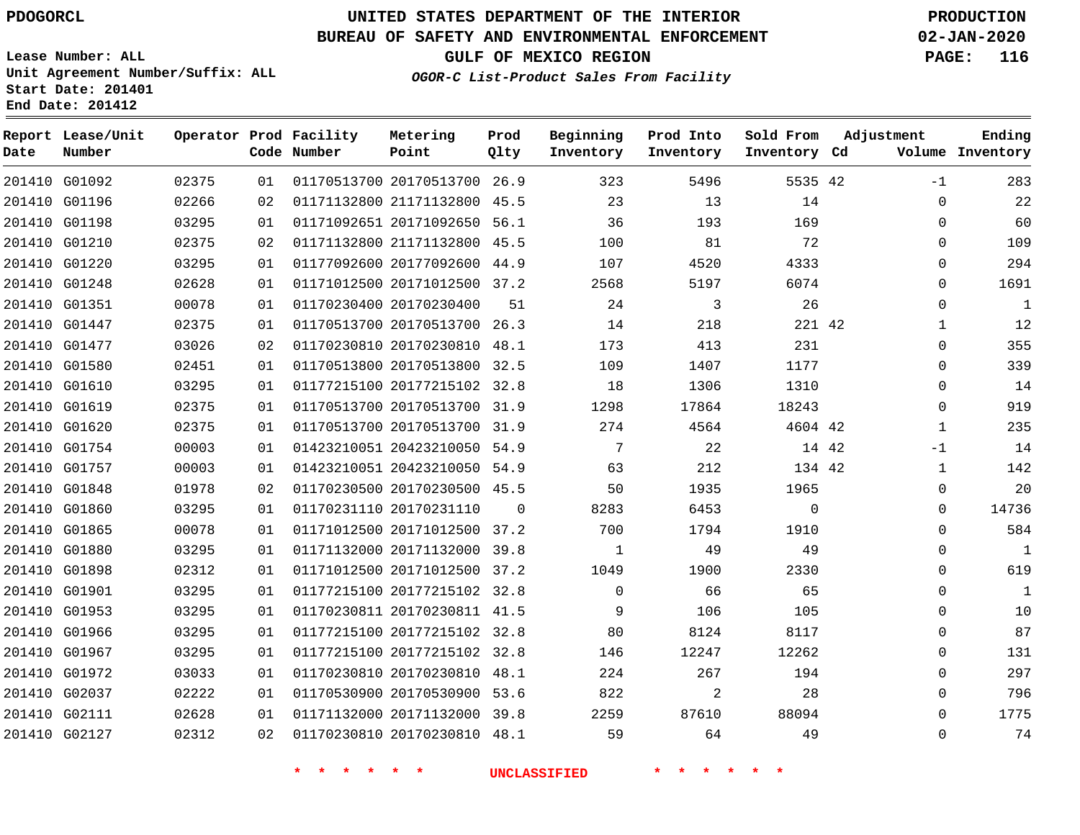## **BUREAU OF SAFETY AND ENVIRONMENTAL ENFORCEMENT 02-JAN-2020**

**Lease Number: ALL Unit Agreement Number/Suffix: ALL Start Date: 201401 End Date: 201412**

**GULF OF MEXICO REGION PAGE: 116**

**OGOR-C List-Product Sales From Facility**

| Date | Report Lease/Unit<br>Number |       |    | Operator Prod Facility<br>Code Number | Metering<br>Point            | Prod<br>Qlty | Beginning<br>Inventory | Prod Into<br>Inventory | Sold From<br>Inventory Cd | Adjustment |              | Ending<br>Volume Inventory |
|------|-----------------------------|-------|----|---------------------------------------|------------------------------|--------------|------------------------|------------------------|---------------------------|------------|--------------|----------------------------|
|      | 201410 G01092               | 02375 | 01 |                                       | 01170513700 20170513700 26.9 |              | 323                    | 5496                   | 5535 42                   |            | $-1$         | 283                        |
|      | 201410 G01196               | 02266 | 02 |                                       | 01171132800 21171132800 45.5 |              | 23                     | 13                     | 14                        |            | $\mathbf{0}$ | 22                         |
|      | 201410 G01198               | 03295 | 01 |                                       | 01171092651 20171092650 56.1 |              | 36                     | 193                    | 169                       |            | 0            | 60                         |
|      | 201410 G01210               | 02375 | 02 |                                       | 01171132800 21171132800 45.5 |              | 100                    | 81                     | 72                        |            | $\Omega$     | 109                        |
|      | 201410 G01220               | 03295 | 01 |                                       | 01177092600 20177092600 44.9 |              | 107                    | 4520                   | 4333                      |            | 0            | 294                        |
|      | 201410 G01248               | 02628 | 01 |                                       | 01171012500 20171012500 37.2 |              | 2568                   | 5197                   | 6074                      |            | $\mathbf 0$  | 1691                       |
|      | 201410 G01351               | 00078 | 01 |                                       | 01170230400 20170230400      | 51           | 24                     | 3                      | 26                        |            | $\Omega$     | $\mathbf{1}$               |
|      | 201410 G01447               | 02375 | 01 |                                       | 01170513700 20170513700 26.3 |              | 14                     | 218                    | 221 42                    |            | $\mathbf{1}$ | 12                         |
|      | 201410 G01477               | 03026 | 02 |                                       | 01170230810 20170230810 48.1 |              | 173                    | 413                    | 231                       |            | $\Omega$     | 355                        |
|      | 201410 G01580               | 02451 | 01 |                                       | 01170513800 20170513800 32.5 |              | 109                    | 1407                   | 1177                      |            | $\Omega$     | 339                        |
|      | 201410 G01610               | 03295 | 01 |                                       | 01177215100 20177215102 32.8 |              | 18                     | 1306                   | 1310                      |            | $\mathbf 0$  | 14                         |
|      | 201410 G01619               | 02375 | 01 |                                       | 01170513700 20170513700 31.9 |              | 1298                   | 17864                  | 18243                     |            | $\mathbf 0$  | 919                        |
|      | 201410 G01620               | 02375 | 01 |                                       | 01170513700 20170513700 31.9 |              | 274                    | 4564                   | 4604 42                   |            | $\mathbf{1}$ | 235                        |
|      | 201410 G01754               | 00003 | 01 |                                       | 01423210051 20423210050 54.9 |              | $7\phantom{.0}$        | 22                     | 14 42                     |            | $-1$         | 14                         |
|      | 201410 G01757               | 00003 | 01 |                                       | 01423210051 20423210050 54.9 |              | 63                     | 212                    | 134 42                    |            | $\mathbf{1}$ | 142                        |
|      | 201410 G01848               | 01978 | 02 |                                       | 01170230500 20170230500 45.5 |              | 50                     | 1935                   | 1965                      |            | $\mathbf 0$  | 20                         |
|      | 201410 G01860               | 03295 | 01 |                                       | 01170231110 20170231110      | -0           | 8283                   | 6453                   | $\mathbf{0}$              |            | 0            | 14736                      |
|      | 201410 G01865               | 00078 | 01 |                                       | 01171012500 20171012500 37.2 |              | 700                    | 1794                   | 1910                      |            | $\mathbf 0$  | 584                        |
|      | 201410 G01880               | 03295 | 01 |                                       | 01171132000 20171132000 39.8 |              | 1                      | 49                     | 49                        |            | $\mathbf 0$  | $\mathbf{1}$               |
|      | 201410 G01898               | 02312 | 01 |                                       | 01171012500 20171012500 37.2 |              | 1049                   | 1900                   | 2330                      |            | $\mathbf 0$  | 619                        |
|      | 201410 G01901               | 03295 | 01 |                                       | 01177215100 20177215102 32.8 |              | $\mathbf 0$            | 66                     | 65                        |            | $\Omega$     | $\mathbf{1}$               |
|      | 201410 G01953               | 03295 | 01 |                                       | 01170230811 20170230811 41.5 |              | 9                      | 106                    | 105                       |            | $\Omega$     | 10                         |
|      | 201410 G01966               | 03295 | 01 |                                       | 01177215100 20177215102 32.8 |              | 80                     | 8124                   | 8117                      |            | $\mathbf 0$  | 87                         |
|      | 201410 G01967               | 03295 | 01 |                                       | 01177215100 20177215102 32.8 |              | 146                    | 12247                  | 12262                     |            | $\mathbf 0$  | 131                        |
|      | 201410 G01972               | 03033 | 01 |                                       | 01170230810 20170230810 48.1 |              | 224                    | 267                    | 194                       |            | $\mathbf 0$  | 297                        |
|      | 201410 G02037               | 02222 | 01 |                                       | 01170530900 20170530900 53.6 |              | 822                    | 2                      | 28                        |            | $\mathbf 0$  | 796                        |
|      | 201410 G02111               | 02628 | 01 |                                       | 01171132000 20171132000 39.8 |              | 2259                   | 87610                  | 88094                     |            | $\mathbf 0$  | 1775                       |
|      | 201410 G02127               | 02312 | 02 |                                       | 01170230810 20170230810 48.1 |              | 59                     | 64                     | 49                        |            | $\Omega$     | 74                         |
|      |                             |       |    |                                       |                              |              |                        |                        |                           |            |              |                            |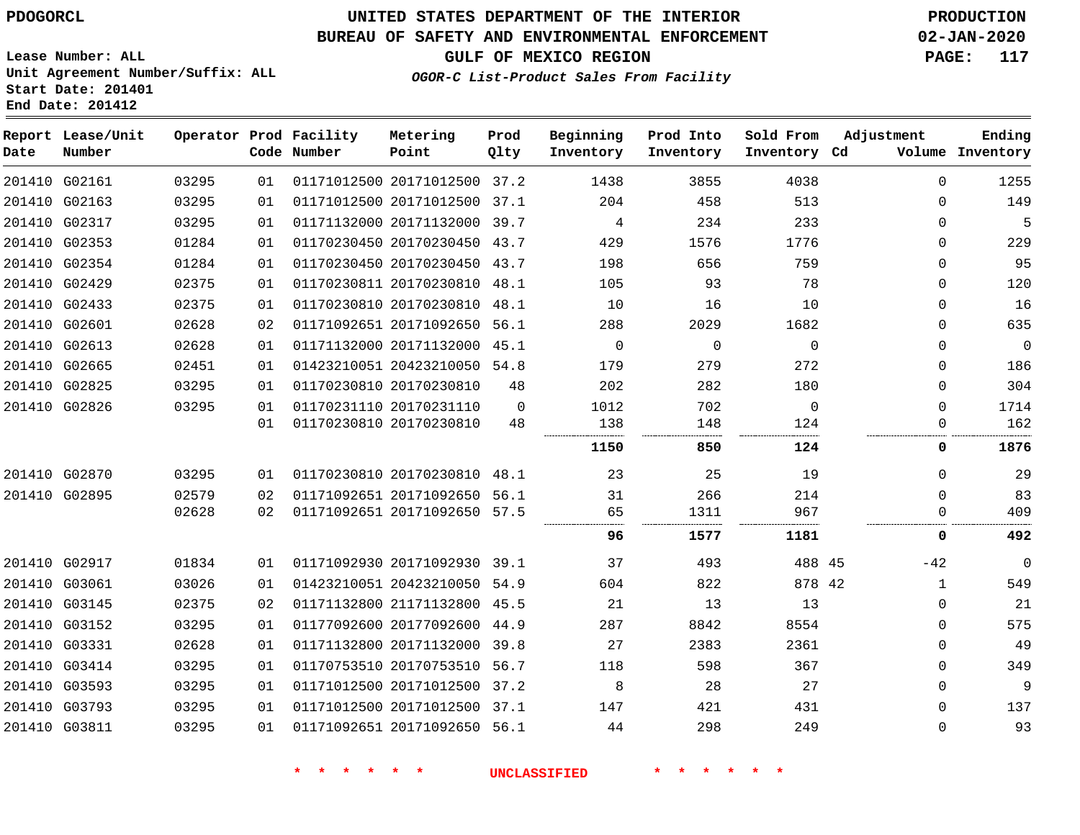# **UNITED STATES DEPARTMENT OF THE INTERIOR PDOGORCL PRODUCTION**

## **BUREAU OF SAFETY AND ENVIRONMENTAL ENFORCEMENT 02-JAN-2020**

**Lease Number: ALL Unit Agreement Number/Suffix: ALL Start Date: 201401**

**GULF OF MEXICO REGION PAGE: 117**

**OGOR-C List-Product Sales From Facility**

| Date | Report Lease/Unit<br>Number |       |    | Operator Prod Facility<br>Code Number | Metering<br>Point            | Prod<br>Qlty | Beginning<br>Inventory | Prod Into<br>Inventory | Sold From<br>Inventory Cd | Adjustment  | Ending<br>Volume Inventory |
|------|-----------------------------|-------|----|---------------------------------------|------------------------------|--------------|------------------------|------------------------|---------------------------|-------------|----------------------------|
|      | 201410 G02161               | 03295 | 01 |                                       | 01171012500 20171012500 37.2 |              | 1438                   | 3855                   | 4038                      | $\Omega$    | 1255                       |
|      | 201410 G02163               | 03295 | 01 |                                       | 01171012500 20171012500 37.1 |              | 204                    | 458                    | 513                       | $\Omega$    | 149                        |
|      | 201410 G02317               | 03295 | 01 |                                       | 01171132000 20171132000      | 39.7         | 4                      | 234                    | 233                       | $\Omega$    | 5                          |
|      | 201410 G02353               | 01284 | 01 |                                       | 01170230450 20170230450 43.7 |              | 429                    | 1576                   | 1776                      | $\Omega$    | 229                        |
|      | 201410 G02354               | 01284 | 01 |                                       | 01170230450 20170230450 43.7 |              | 198                    | 656                    | 759                       | 0           | 95                         |
|      | 201410 G02429               | 02375 | 01 |                                       | 01170230811 20170230810 48.1 |              | 105                    | 93                     | 78                        | 0           | 120                        |
|      | 201410 G02433               | 02375 | 01 |                                       | 01170230810 20170230810      | 48.1         | 10                     | 16                     | 10                        | 0           | 16                         |
|      | 201410 G02601               | 02628 | 02 |                                       | 01171092651 20171092650 56.1 |              | 288                    | 2029                   | 1682                      | 0           | 635                        |
|      | 201410 G02613               | 02628 | 01 |                                       | 01171132000 20171132000 45.1 |              | $\mathbf 0$            | 0                      | $\mathbf 0$               | 0           | $\overline{0}$             |
|      | 201410 G02665               | 02451 | 01 |                                       | 01423210051 20423210050 54.8 |              | 179                    | 279                    | 272                       | 0           | 186                        |
|      | 201410 G02825               | 03295 | 01 |                                       | 01170230810 20170230810      | 48           | 202                    | 282                    | 180                       | 0           | 304                        |
|      | 201410 G02826               | 03295 | 01 |                                       | 01170231110 20170231110      | $\Omega$     | 1012                   | 702                    | 0                         | 0           | 1714                       |
|      |                             |       | 01 |                                       | 01170230810 20170230810      | 48           | 138                    | 148                    | 124<br>.                  | 0           | 162                        |
|      |                             |       |    |                                       |                              |              | 1150                   | 850                    | 124                       | 0           | 1876                       |
|      | 201410 G02870               | 03295 | 01 |                                       | 01170230810 20170230810 48.1 |              | 23                     | 25                     | 19                        | $\Omega$    | 29                         |
|      | 201410 G02895               | 02579 | 02 |                                       | 01171092651 20171092650 56.1 |              | 31                     | 266                    | 214                       | $\Omega$    | 83                         |
|      |                             | 02628 | 02 |                                       | 01171092651 20171092650 57.5 |              | 65                     | 1311                   | 967                       | $\Omega$    | 409                        |
|      |                             |       |    |                                       |                              |              | 96                     | 1577                   | 1181                      | 0           | 492                        |
|      | 201410 G02917               | 01834 | 01 |                                       | 01171092930 20171092930 39.1 |              | 37                     | 493                    | 488 45                    | $-42$       | $\Omega$                   |
|      | 201410 G03061               | 03026 | 01 |                                       | 01423210051 20423210050      | 54.9         | 604                    | 822                    | 878 42                    | 1           | 549                        |
|      | 201410 G03145               | 02375 | 02 |                                       | 01171132800 21171132800      | 45.5         | 21                     | 13                     | 13                        | $\mathbf 0$ | 21                         |
|      | 201410 G03152               | 03295 | 01 |                                       | 01177092600 20177092600      | 44.9         | 287                    | 8842                   | 8554                      | 0           | 575                        |
|      | 201410 G03331               | 02628 | 01 |                                       | 01171132800 20171132000      | 39.8         | 27                     | 2383                   | 2361                      | 0           | 49                         |
|      | 201410 G03414               | 03295 | 01 |                                       | 01170753510 20170753510      | 56.7         | 118                    | 598                    | 367                       | 0           | 349                        |
|      | 201410 G03593               | 03295 | 01 |                                       | 01171012500 20171012500      | 37.2         | 8                      | 28                     | 27                        | 0           | 9                          |
|      | 201410 G03793               | 03295 | 01 |                                       | 01171012500 20171012500      | 37.1         | 147                    | 421                    | 431                       | 0           | 137                        |
|      | 201410 G03811               | 03295 | 01 |                                       | 01171092651 20171092650 56.1 |              | 44                     | 298                    | 249                       | 0           | 93                         |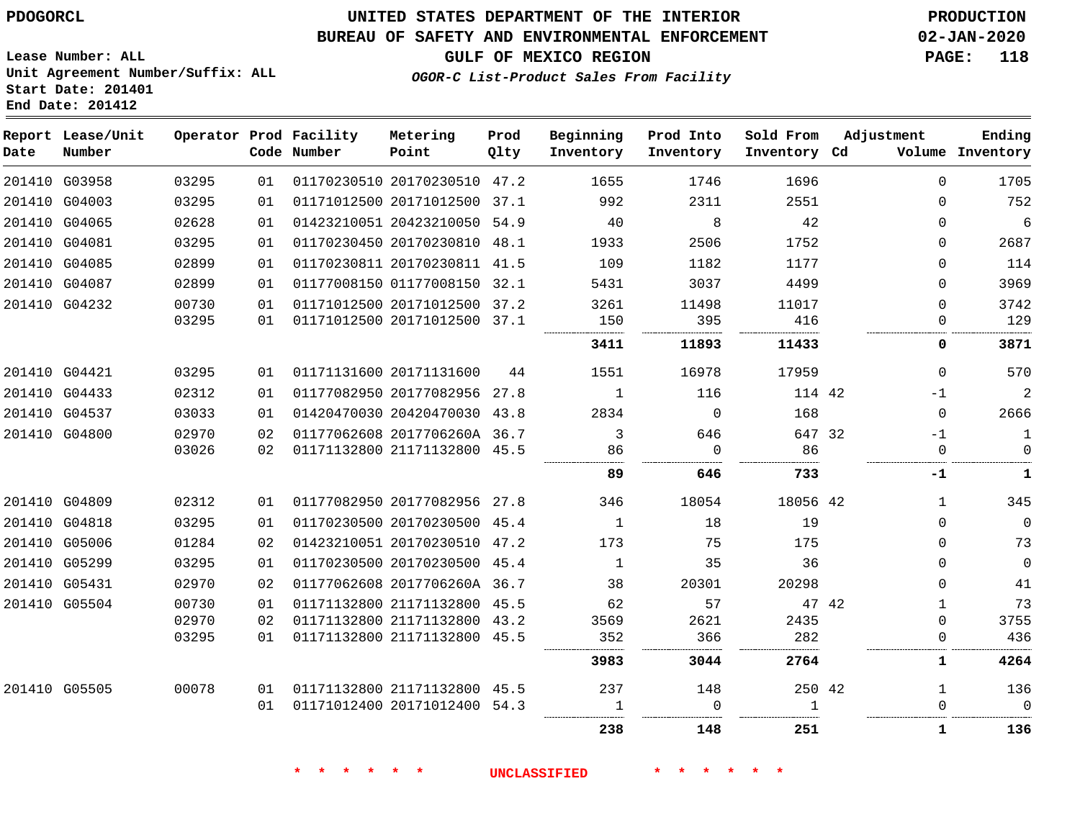## **BUREAU OF SAFETY AND ENVIRONMENTAL ENFORCEMENT 02-JAN-2020**

**OGOR-C List-Product Sales From Facility**

**GULF OF MEXICO REGION PAGE: 118**

**Lease Number: ALL Unit Agreement Number/Suffix: ALL Start Date: 201401 End Date: 201412**

| Date | Report Lease/Unit<br>Number |       |    | Operator Prod Facility<br>Code Number | Metering<br>Point            | Prod<br>Qlty | Beginning<br>Inventory | Prod Into<br>Inventory | Sold From<br>Inventory Cd | Adjustment   | Ending<br>Volume Inventory |
|------|-----------------------------|-------|----|---------------------------------------|------------------------------|--------------|------------------------|------------------------|---------------------------|--------------|----------------------------|
|      | 201410 G03958               | 03295 | 01 |                                       | 01170230510 20170230510 47.2 |              | 1655                   | 1746                   | 1696                      | $\Omega$     | 1705                       |
|      | 201410 G04003               | 03295 | 01 |                                       | 01171012500 20171012500 37.1 |              | 992                    | 2311                   | 2551                      | $\Omega$     | 752                        |
|      | 201410 G04065               | 02628 | 01 |                                       | 01423210051 20423210050 54.9 |              | 40                     | 8                      | 42                        | 0            | $\epsilon$                 |
|      | 201410 G04081               | 03295 | 01 |                                       | 01170230450 20170230810 48.1 |              | 1933                   | 2506                   | 1752                      | 0            | 2687                       |
|      | 201410 G04085               | 02899 | 01 |                                       | 01170230811 20170230811 41.5 |              | 109                    | 1182                   | 1177                      | 0            | 114                        |
|      | 201410 G04087               | 02899 | 01 |                                       | 01177008150 01177008150 32.1 |              | 5431                   | 3037                   | 4499                      | $\Omega$     | 3969                       |
|      | 201410 G04232               | 00730 | 01 |                                       | 01171012500 20171012500 37.2 |              | 3261                   | 11498                  | 11017                     | $\Omega$     | 3742                       |
|      |                             | 03295 | 01 |                                       | 01171012500 20171012500 37.1 |              | 150                    | 395                    | 416                       | 0            | 129                        |
|      |                             |       |    |                                       |                              |              | 3411                   | 11893                  | 11433                     | 0            | 3871                       |
|      | 201410 G04421               | 03295 | 01 |                                       | 01171131600 20171131600      | 44           | 1551                   | 16978                  | 17959                     | $\Omega$     | 570                        |
|      | 201410 G04433               | 02312 | 01 |                                       | 01177082950 20177082956 27.8 |              | 1                      | 116                    | 114 42                    | $-1$         | $\overline{2}$             |
|      | 201410 G04537               | 03033 | 01 |                                       | 01420470030 20420470030 43.8 |              | 2834                   | $\mathbf 0$            | 168                       | $\mathbf{0}$ | 2666                       |
|      | 201410 G04800               | 02970 | 02 |                                       | 01177062608 2017706260A 36.7 |              | 3                      | 646                    | 647 32                    | $-1$         | $\overline{1}$             |
|      |                             | 03026 | 02 |                                       | 01171132800 21171132800 45.5 |              | 86                     | $\Omega$               | 86                        | $\Omega$     | $\Omega$                   |
|      |                             |       |    |                                       |                              |              | 89                     | 646                    | 733                       | $-1$         | $\mathbf 1$                |
|      | 201410 G04809               | 02312 | 01 |                                       | 01177082950 20177082956 27.8 |              | 346                    | 18054                  | 18056 42                  | $\mathbf{1}$ | 345                        |
|      | 201410 G04818               | 03295 | 01 |                                       | 01170230500 20170230500 45.4 |              | $\overline{1}$         | 18                     | 19                        | 0            | $\overline{0}$             |
|      | 201410 G05006               | 01284 | 02 |                                       | 01423210051 20170230510 47.2 |              | 173                    | 75                     | 175                       | 0            | 73                         |
|      | 201410 G05299               | 03295 | 01 |                                       | 01170230500 20170230500 45.4 |              | $\mathbf{1}$           | 35                     | 36                        | 0            | $\mathbf 0$                |
|      | 201410 G05431               | 02970 | 02 |                                       | 01177062608 2017706260A 36.7 |              | 38                     | 20301                  | 20298                     | 0            | 41                         |
|      | 201410 G05504               | 00730 | 01 |                                       | 01171132800 21171132800 45.5 |              | 62                     | 57                     | 47 42                     | $\mathbf{1}$ | 73                         |
|      |                             | 02970 | 02 |                                       | 01171132800 21171132800 43.2 |              | 3569                   | 2621                   | 2435                      | $\Omega$     | 3755                       |
|      |                             | 03295 | 01 |                                       | 01171132800 21171132800 45.5 |              | 352                    | 366                    | 282                       | $\Omega$     | 436                        |
|      |                             |       |    |                                       |                              |              | 3983                   | 3044                   | 2764                      | $\mathbf{1}$ | 4264                       |
|      | 201410 G05505               | 00078 | 01 |                                       | 01171132800 21171132800 45.5 |              | 237                    | 148                    | 250 42                    | $\mathbf{1}$ | 136                        |
|      |                             |       | 01 |                                       | 01171012400 20171012400 54.3 |              | $\overline{1}$         | $\Omega$               | $\overline{1}$            | $\Omega$     | $\overline{0}$             |
|      |                             |       |    |                                       |                              |              | 238                    | 148                    | 251                       | $\mathbf{1}$ | 136                        |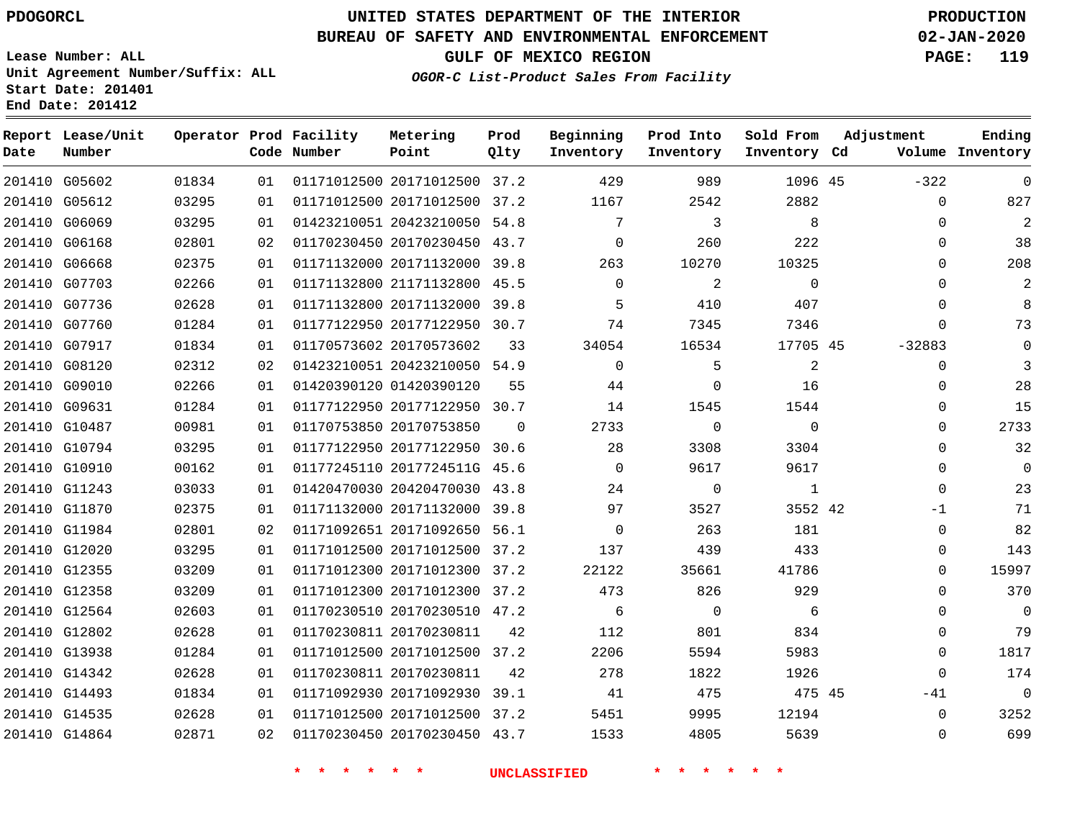## **BUREAU OF SAFETY AND ENVIRONMENTAL ENFORCEMENT 02-JAN-2020**

**Lease Number: ALL Unit Agreement Number/Suffix: ALL Start Date: 201401 End Date: 201412**

**GULF OF MEXICO REGION PAGE: 119**

**OGOR-C List-Product Sales From Facility**

| Date | Report Lease/Unit<br>Number |       |    | Operator Prod Facility<br>Code Number | Metering<br>Point            | Prod<br>Olty | Beginning<br>Inventory | Prod Into<br>Inventory | Sold From<br>Inventory Cd | Adjustment  | Ending<br>Volume Inventory |
|------|-----------------------------|-------|----|---------------------------------------|------------------------------|--------------|------------------------|------------------------|---------------------------|-------------|----------------------------|
|      | 201410 G05602               | 01834 | 01 |                                       | 01171012500 20171012500 37.2 |              | 429                    | 989                    | 1096 45                   | $-322$      | $\mathbf 0$                |
|      | 201410 G05612               | 03295 | 01 |                                       | 01171012500 20171012500 37.2 |              | 1167                   | 2542                   | 2882                      | 0           | 827                        |
|      | 201410 G06069               | 03295 | 01 |                                       | 01423210051 20423210050 54.8 |              | 7                      | 3                      | 8                         | $\Omega$    | 2                          |
|      | 201410 G06168               | 02801 | 02 |                                       | 01170230450 20170230450 43.7 |              | $\mathbf 0$            | 260                    | 222                       | 0           | 38                         |
|      | 201410 G06668               | 02375 | 01 |                                       | 01171132000 20171132000 39.8 |              | 263                    | 10270                  | 10325                     | $\Omega$    | 208                        |
|      | 201410 G07703               | 02266 | 01 |                                       | 01171132800 21171132800 45.5 |              | $\Omega$               | 2                      | $\Omega$                  | 0           | 2                          |
|      | 201410 G07736               | 02628 | 01 |                                       | 01171132800 20171132000 39.8 |              | 5                      | 410                    | 407                       | $\Omega$    | $\mathsf{B}$               |
|      | 201410 G07760               | 01284 | 01 |                                       | 01177122950 20177122950 30.7 |              | 74                     | 7345                   | 7346                      | $\mathbf 0$ | 73                         |
|      | 201410 G07917               | 01834 | 01 |                                       | 01170573602 20170573602      | 33           | 34054                  | 16534                  | 17705 45                  | $-32883$    | $\mathbf 0$                |
|      | 201410 G08120               | 02312 | 02 |                                       | 01423210051 20423210050 54.9 |              | $\Omega$               | 5                      | $\overline{a}$            | $\mathbf 0$ | 3                          |
|      | 201410 G09010               | 02266 | 01 |                                       | 01420390120 01420390120      | 55           | 44                     | $\mathbf 0$            | 16                        | 0           | 28                         |
|      | 201410 G09631               | 01284 | 01 |                                       | 01177122950 20177122950 30.7 |              | 14                     | 1545                   | 1544                      | $\Omega$    | 15                         |
|      | 201410 G10487               | 00981 | 01 |                                       | 01170753850 20170753850      | $\Omega$     | 2733                   | $\mathbf 0$            | $\mathbf{0}$              | 0           | 2733                       |
|      | 201410 G10794               | 03295 | 01 |                                       | 01177122950 20177122950 30.6 |              | 28                     | 3308                   | 3304                      | $\Omega$    | 32                         |
|      | 201410 G10910               | 00162 | 01 |                                       | 01177245110 2017724511G 45.6 |              | $\Omega$               | 9617                   | 9617                      | 0           | $\Omega$                   |
|      | 201410 G11243               | 03033 | 01 |                                       | 01420470030 20420470030 43.8 |              | 24                     | 0                      | $\mathbf{1}$              | $\mathbf 0$ | 23                         |
|      | 201410 G11870               | 02375 | 01 |                                       | 01171132000 20171132000 39.8 |              | 97                     | 3527                   | 3552 42                   | $-1$        | 71                         |
|      | 201410 G11984               | 02801 | 02 |                                       | 01171092651 20171092650 56.1 |              | 0                      | 263                    | 181                       | 0           | 82                         |
|      | 201410 G12020               | 03295 | 01 |                                       | 01171012500 20171012500 37.2 |              | 137                    | 439                    | 433                       | 0           | 143                        |
|      | 201410 G12355               | 03209 | 01 |                                       | 01171012300 20171012300 37.2 |              | 22122                  | 35661                  | 41786                     | $\mathbf 0$ | 15997                      |
|      | 201410 G12358               | 03209 | 01 |                                       | 01171012300 20171012300 37.2 |              | 473                    | 826                    | 929                       | $\Omega$    | 370                        |
|      | 201410 G12564               | 02603 | 01 |                                       | 01170230510 20170230510 47.2 |              | 6                      | $\Omega$               | 6                         | $\Omega$    | $\mathbf 0$                |
|      | 201410 G12802               | 02628 | 01 |                                       | 01170230811 20170230811      | 42           | 112                    | 801                    | 834                       | $\Omega$    | 79                         |
|      | 201410 G13938               | 01284 | 01 |                                       | 01171012500 20171012500 37.2 |              | 2206                   | 5594                   | 5983                      | 0           | 1817                       |
|      | 201410 G14342               | 02628 | 01 |                                       | 01170230811 20170230811      | 42           | 278                    | 1822                   | 1926                      | $\mathbf 0$ | 174                        |
|      | 201410 G14493               | 01834 | 01 |                                       | 01171092930 20171092930 39.1 |              | 41                     | 475                    | 475 45                    | $-41$       | $\mathbf{0}$               |
|      | 201410 G14535               | 02628 | 01 |                                       | 01171012500 20171012500 37.2 |              | 5451                   | 9995                   | 12194                     | 0           | 3252                       |
|      | 201410 G14864               | 02871 | 02 |                                       | 01170230450 20170230450 43.7 |              | 1533                   | 4805                   | 5639                      | $\Omega$    | 699                        |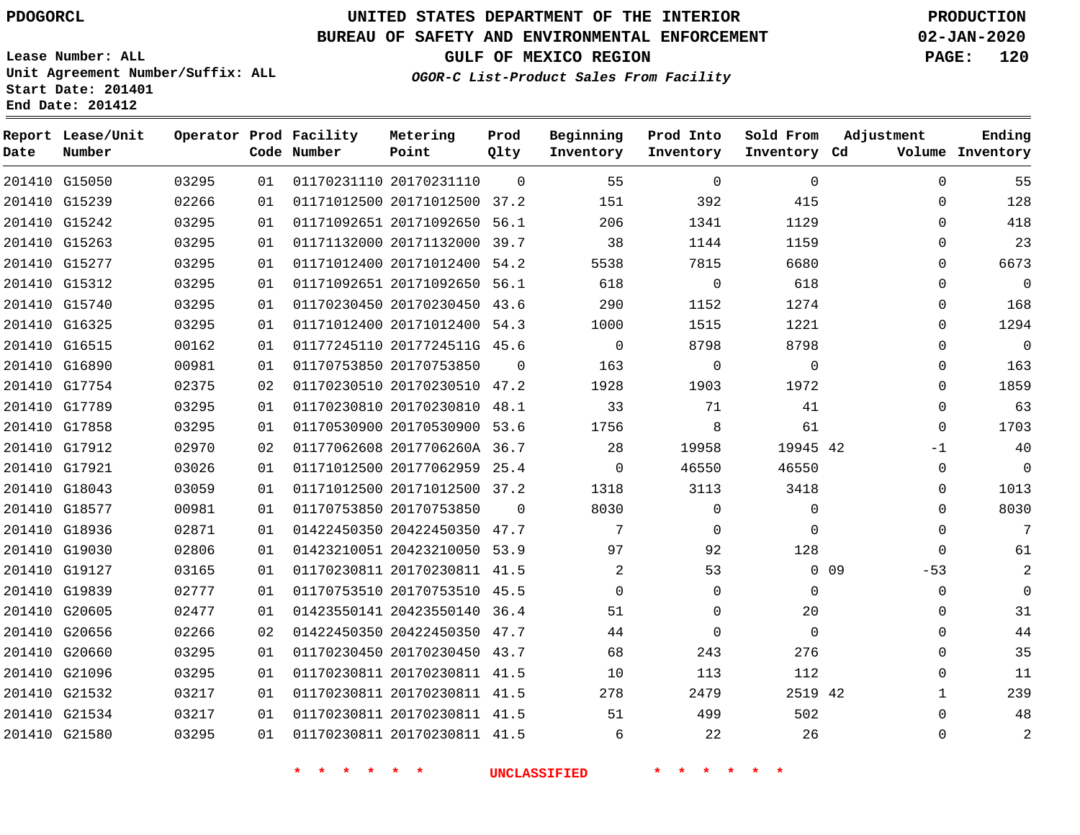**Date**

**Report Lease/Unit**

**Number**

# **UNITED STATES DEPARTMENT OF THE INTERIOR PDOGORCL PRODUCTION**

**Prod Qlty**

#### **BUREAU OF SAFETY AND ENVIRONMENTAL ENFORCEMENT 02-JAN-2020**

**Lease Number: ALL Unit Agreement Number/Suffix: ALL Start Date: 201401 End Date: 201412**

**Operator Prod Facility**

**OGOR-C List-Product Sales From Facility**

**Beginning Inventory** **Prod Into Inventory** **Sold From Inventory**

**GULF OF MEXICO REGION PAGE: 120**

**Adjustment**

**Ending**

| Date | Number        |       |    | Code Number | Point                        | Qlty     | Inventory | Inventory   | Inventory Cd |        |              | Volume Inventory |
|------|---------------|-------|----|-------------|------------------------------|----------|-----------|-------------|--------------|--------|--------------|------------------|
|      | 201410 G15050 | 03295 | 01 |             | 01170231110 20170231110      | $\Omega$ | 55        | $\mathbf 0$ | $\mathbf 0$  |        | 0            | 55               |
|      | 201410 G15239 | 02266 | 01 |             | 01171012500 20171012500 37.2 |          | 151       | 392         | 415          |        | 0            | 128              |
|      | 201410 G15242 | 03295 | 01 |             | 01171092651 20171092650 56.1 |          | 206       | 1341        | 1129         |        | $\Omega$     | 418              |
|      | 201410 G15263 | 03295 | 01 |             | 01171132000 20171132000 39.7 |          | 38        | 1144        | 1159         |        | $\Omega$     | 23               |
|      | 201410 G15277 | 03295 | 01 |             | 01171012400 20171012400 54.2 |          | 5538      | 7815        | 6680         |        | $\Omega$     | 6673             |
|      | 201410 G15312 | 03295 | 01 |             | 01171092651 20171092650 56.1 |          | 618       | $\mathbf 0$ | 618          |        | $\Omega$     | $\mathbf 0$      |
|      | 201410 G15740 | 03295 | 01 |             | 01170230450 20170230450 43.6 |          | 290       | 1152        | 1274         |        | $\Omega$     | 168              |
|      | 201410 G16325 | 03295 | 01 |             | 01171012400 20171012400 54.3 |          | 1000      | 1515        | 1221         |        | $\Omega$     | 1294             |
|      | 201410 G16515 | 00162 | 01 |             | 01177245110 2017724511G 45.6 |          | $\Omega$  | 8798        | 8798         |        | $\Omega$     | $\overline{0}$   |
|      | 201410 G16890 | 00981 | 01 |             | 01170753850 20170753850      | $\Omega$ | 163       | 0           | $\mathbf{0}$ |        | 0            | 163              |
|      | 201410 G17754 | 02375 | 02 |             | 01170230510 20170230510 47.2 |          | 1928      | 1903        | 1972         |        | 0            | 1859             |
|      | 201410 G17789 | 03295 | 01 |             | 01170230810 20170230810 48.1 |          | 33        | 71          | 41           |        | 0            | 63               |
|      | 201410 G17858 | 03295 | 01 |             | 01170530900 20170530900 53.6 |          | 1756      | 8           | 61           |        | $\Omega$     | 1703             |
|      | 201410 G17912 | 02970 | 02 |             | 01177062608 2017706260A 36.7 |          | 28        | 19958       | 19945 42     |        | -1           | 40               |
|      | 201410 G17921 | 03026 | 01 |             | 01171012500 20177062959 25.4 |          | $\Omega$  | 46550       | 46550        |        | $\mathbf{0}$ | - 0              |
|      | 201410 G18043 | 03059 | 01 |             | 01171012500 20171012500 37.2 |          | 1318      | 3113        | 3418         |        | 0            | 1013             |
|      | 201410 G18577 | 00981 | 01 |             | 01170753850 20170753850      | $\Omega$ | 8030      | $\mathbf 0$ | $\mathbf 0$  |        | $\Omega$     | 8030             |
|      | 201410 G18936 | 02871 | 01 |             | 01422450350 20422450350 47.7 |          | 7         | $\mathbf 0$ | $\Omega$     |        | $\Omega$     | 7                |
|      | 201410 G19030 | 02806 | 01 |             | 01423210051 20423210050 53.9 |          | 97        | 92          | 128          |        | $\Omega$     | 61               |
|      | 201410 G19127 | 03165 | 01 |             | 01170230811 20170230811 41.5 |          | 2         | 53          |              | $0$ 09 | $-53$        | 2                |
|      | 201410 G19839 | 02777 | 01 |             | 01170753510 20170753510 45.5 |          | 0         | $\mathbf 0$ | 0            |        | $\mathbf{0}$ | 0                |
|      | 201410 G20605 | 02477 | 01 |             | 01423550141 20423550140 36.4 |          | 51        | 0           | 20           |        | 0            | 31               |
|      | 201410 G20656 | 02266 | 02 |             | 01422450350 20422450350 47.7 |          | 44        | 0           | $\Omega$     |        | 0            | 44               |
|      | 201410 G20660 | 03295 | 01 |             | 01170230450 20170230450 43.7 |          | 68        | 243         | 276          |        | $\Omega$     | 35               |
|      | 201410 G21096 | 03295 | 01 |             | 01170230811 20170230811 41.5 |          | 10        | 113         | 112          |        | $\Omega$     | 11               |
|      | 201410 G21532 | 03217 | 01 |             | 01170230811 20170230811 41.5 |          | 278       | 2479        | 2519 42      |        | $\mathbf{1}$ | 239              |
|      | 201410 G21534 | 03217 | 01 |             | 01170230811 20170230811 41.5 |          | 51        | 499         | 502          |        | $\Omega$     | 48               |
|      | 201410 G21580 | 03295 | 01 |             | 01170230811 20170230811 41.5 |          | 6         | 22          | 26           |        | $\Omega$     | 2                |

**Metering Point**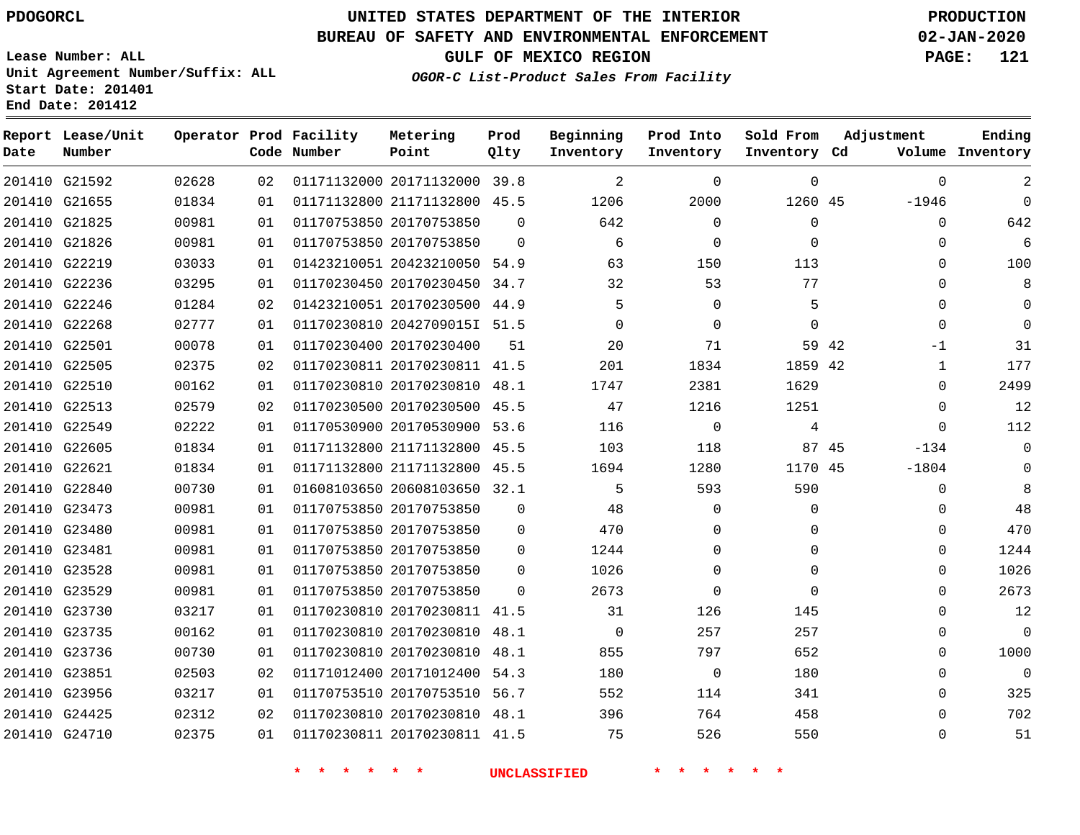**Date**

**Report Lease/Unit**

**Number**

# **UNITED STATES DEPARTMENT OF THE INTERIOR PDOGORCL PRODUCTION**

**Prod Qlty**

#### **BUREAU OF SAFETY AND ENVIRONMENTAL ENFORCEMENT 02-JAN-2020**

**Lease Number: ALL Unit Agreement Number/Suffix: ALL Start Date: 201401 End Date: 201412**

**Operator Prod Facility**

**Code Number**

**Metering Point**

**OGOR-C List-Product Sales From Facility**

**Beginning Inventory** **Prod Into Inventory** **Sold From Inventory**

**Inventory Cd Volume**

**Adjustment**

 -1946  $\Omega$   $\Omega$  $\Omega$  $\Omega$  $\Omega$  $-1$   $\Omega$  $\Omega$  $\Omega$ -134 -1804  $\overline{0}$  $\Omega$  $\Omega$  $\Omega$  $\Omega$   $\Omega$ 

**GULF OF MEXICO REGION PAGE: 121**

**Ending**

|               |       |    | $\star$<br>$\star$<br>$\star$<br>一大 | $\star$<br><b>水</b>          | <b>UNCLASSIFIED</b> |                |                |             |       |
|---------------|-------|----|-------------------------------------|------------------------------|---------------------|----------------|----------------|-------------|-------|
| 201410 G24710 | 02375 | 01 |                                     | 01170230811 20170230811 41.5 |                     | 75             | 526            | 550         |       |
| 201410 G24425 | 02312 | 02 |                                     | 01170230810 20170230810 48.1 |                     | 396            | 764            | 458         |       |
| 201410 G23956 | 03217 | 01 |                                     | 01170753510 20170753510 56.7 |                     | 552            | 114            | 341         |       |
| 201410 G23851 | 02503 | 02 |                                     | 01171012400 20171012400 54.3 |                     | 180            | $\overline{0}$ | 180         |       |
| 201410 G23736 | 00730 | 01 |                                     | 01170230810 20170230810 48.1 |                     | 855            | 797            | 652         |       |
| 201410 G23735 | 00162 | 01 |                                     | 01170230810 20170230810 48.1 |                     | $\mathbf{0}$   | 257            | 257         |       |
| 201410 G23730 | 03217 | 01 |                                     | 01170230810 20170230811 41.5 |                     | 31             | 126            | 145         |       |
| 201410 G23529 | 00981 | 01 | 01170753850 20170753850             |                              | $\mathbf{0}$        | 2673           | $\mathbf 0$    | $\mathbf 0$ |       |
| 201410 G23528 | 00981 | 01 | 01170753850 20170753850             |                              | $\Omega$            | 1026           | $\mathbf 0$    | $\Omega$    |       |
| 201410 G23481 | 00981 | 01 |                                     | 01170753850 20170753850      | $\mathbf{0}$        | 1244           | $\Omega$       | $\Omega$    |       |
| 201410 G23480 | 00981 | 01 |                                     | 01170753850 20170753850      | 0                   | 470            | 0              | $\Omega$    |       |
| 201410 G23473 | 00981 | 01 | 01170753850 20170753850             |                              | $\mathbf{0}$        | 48             | 0              | 0           |       |
| 201410 G22840 | 00730 | 01 |                                     | 01608103650 20608103650 32.1 |                     | 5              | 593            | 590         |       |
| 201410 G22621 | 01834 | 01 |                                     | 01171132800 21171132800 45.5 |                     | 1694           | 1280           | 1170 45     |       |
| 201410 G22605 | 01834 | 01 |                                     | 01171132800 21171132800 45.5 |                     | 103            | 118            |             | 87 45 |
| 201410 G22549 | 02222 | 01 |                                     | 01170530900 20170530900 53.6 |                     | 116            | $\overline{0}$ | 4           |       |
| 201410 G22513 | 02579 | 02 |                                     | 01170230500 20170230500 45.5 |                     | 47             | 1216           | 1251        |       |
| 201410 G22510 | 00162 | 01 |                                     | 01170230810 20170230810 48.1 |                     | 1747           | 2381           | 1629        |       |
| 201410 G22505 | 02375 | 02 |                                     | 01170230811 20170230811 41.5 |                     | 201            | 1834           | 1859 42     |       |
| 201410 G22501 | 00078 | 01 | 01170230400 20170230400             |                              | 51                  | 20             | 71             |             | 59 42 |
| 201410 G22268 | 02777 | 01 |                                     | 01170230810 2042709015I 51.5 |                     | 0              | $\mathbf 0$    | $\Omega$    |       |
| 201410 G22246 | 01284 | 02 |                                     | 01423210051 20170230500 44.9 |                     | 5              | $\mathbf 0$    | 5           |       |
| 201410 G22236 | 03295 | 01 |                                     | 01170230450 20170230450 34.7 |                     | 32             | 53             | 77          |       |
| 201410 G22219 | 03033 | 01 |                                     | 01423210051 20423210050 54.9 |                     | 63             | 150            | 113         |       |
| 201410 G21826 | 00981 | 01 |                                     | 01170753850 20170753850      | $\Omega$            | 6              | 0              | $\Omega$    |       |
| 201410 G21825 | 00981 | 01 | 01170753850 20170753850             |                              | $\overline{0}$      | 642            | $\mathbf 0$    | 0           |       |
| 201410 G21655 | 01834 | 01 |                                     | 01171132800 21171132800 45.5 |                     | 1206           | 2000           | 1260 45     |       |
| 201410 G21592 | 02628 | 02 |                                     | 01171132000 20171132000 39.8 |                     | $\overline{2}$ | $\mathbf 0$    | $\mathbf 0$ |       |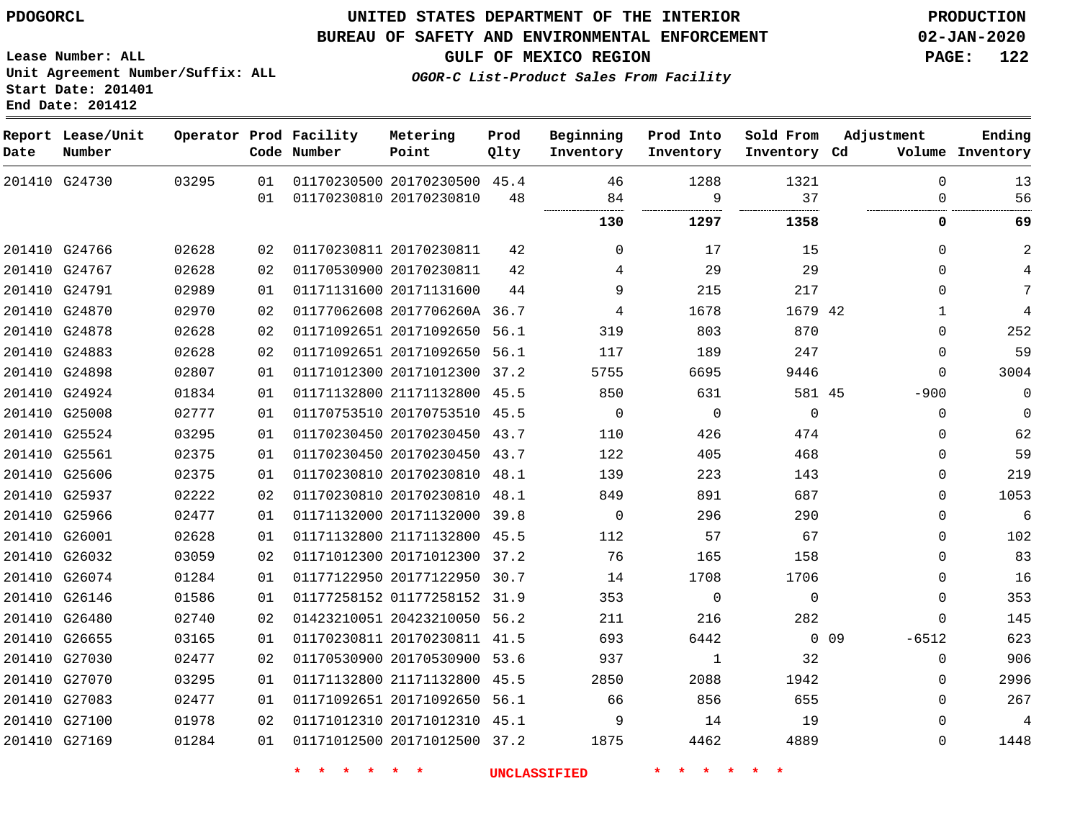#### **BUREAU OF SAFETY AND ENVIRONMENTAL ENFORCEMENT 02-JAN-2020**

**Lease Number: ALL Unit Agreement Number/Suffix: ALL Start Date: 201401 End Date: 201412**

**OGOR-C List-Product Sales From Facility**

**GULF OF MEXICO REGION PAGE: 122**

| Date | Report Lease/Unit<br>Number |       |    | Operator Prod Facility<br>Code Number | Metering<br>Point            | Prod<br>Qlty | Beginning<br>Inventory | Prod Into<br>Inventory | Sold From<br>Inventory Cd | Adjustment       | Ending<br>Volume Inventory |
|------|-----------------------------|-------|----|---------------------------------------|------------------------------|--------------|------------------------|------------------------|---------------------------|------------------|----------------------------|
|      | 201410 G24730               | 03295 | 01 |                                       | 01170230500 20170230500 45.4 |              | 46                     | 1288                   | 1321                      | $\Omega$         | 13                         |
|      |                             |       | 01 |                                       | 01170230810 20170230810      | 48           | 84<br>                 | 9<br>                  | 37<br>                    | $\Omega$         | 56                         |
|      |                             |       |    |                                       |                              |              | 130                    | 1297                   | 1358                      | 0                | 69                         |
|      | 201410 G24766               | 02628 | 02 |                                       | 01170230811 20170230811      | 42           | $\Omega$               | 17                     | 15                        | $\Omega$         | $\overline{2}$             |
|      | 201410 G24767               | 02628 | 02 |                                       | 01170530900 20170230811      | 42           | 4                      | 29                     | 29                        | $\Omega$         | 4                          |
|      | 201410 G24791               | 02989 | 01 |                                       | 01171131600 20171131600      | 44           | 9                      | 215                    | 217                       | $\Omega$         | 7                          |
|      | 201410 G24870               | 02970 | 02 |                                       | 01177062608 2017706260A 36.7 |              | 4                      | 1678                   | 1679 42                   | 1                | 4                          |
|      | 201410 G24878               | 02628 | 02 |                                       | 01171092651 20171092650 56.1 |              | 319                    | 803                    | 870                       | $\Omega$         | 252                        |
|      | 201410 G24883               | 02628 | 02 |                                       | 01171092651 20171092650 56.1 |              | 117                    | 189                    | 247                       | 0                | 59                         |
|      | 201410 G24898               | 02807 | 01 |                                       | 01171012300 20171012300 37.2 |              | 5755                   | 6695                   | 9446                      | $\Omega$         | 3004                       |
|      | 201410 G24924               | 01834 | 01 |                                       | 01171132800 21171132800 45.5 |              | 850                    | 631                    | 581 45                    | $-900$           | $\mathbf 0$                |
|      | 201410 G25008               | 02777 | 01 |                                       | 01170753510 20170753510 45.5 |              | $\mathbf 0$            | $\mathbf 0$            | $\overline{0}$            | $\mathbf 0$      | $\mathbf 0$                |
|      | 201410 G25524               | 03295 | 01 |                                       | 01170230450 20170230450 43.7 |              | 110                    | 426                    | 474                       | $\Omega$         | 62                         |
|      | 201410 G25561               | 02375 | 01 |                                       | 01170230450 20170230450 43.7 |              | 122                    | 405                    | 468                       | $\Omega$         | 59                         |
|      | 201410 G25606               | 02375 | 01 |                                       | 01170230810 20170230810 48.1 |              | 139                    | 223                    | 143                       | $\Omega$         | 219                        |
|      | 201410 G25937               | 02222 | 02 |                                       | 01170230810 20170230810 48.1 |              | 849                    | 891                    | 687                       | $\Omega$         | 1053                       |
|      | 201410 G25966               | 02477 | 01 |                                       | 01171132000 20171132000 39.8 |              | $\mathbf 0$            | 296                    | 290                       | $\Omega$         | $\sqrt{6}$                 |
|      | 201410 G26001               | 02628 | 01 |                                       | 01171132800 21171132800 45.5 |              | 112                    | 57                     | 67                        | 0                | 102                        |
|      | 201410 G26032               | 03059 | 02 |                                       | 01171012300 20171012300 37.2 |              | 76                     | 165                    | 158                       | $\mathbf{0}$     | 83                         |
|      | 201410 G26074               | 01284 | 01 |                                       | 01177122950 20177122950 30.7 |              | 14                     | 1708                   | 1706                      | $\Omega$         | 16                         |
|      | 201410 G26146               | 01586 | 01 |                                       | 01177258152 01177258152 31.9 |              | 353                    | $\Omega$               | $\Omega$                  | $\Omega$         | 353                        |
|      | 201410 G26480               | 02740 | 02 |                                       | 01423210051 20423210050 56.2 |              | 211                    | 216                    | 282                       | $\Omega$         | 145                        |
|      | 201410 G26655               | 03165 | 01 |                                       | 01170230811 20170230811 41.5 |              | 693                    | 6442                   |                           | $-6512$<br>0 0 9 | 623                        |
|      | 201410 G27030               | 02477 | 02 |                                       | 01170530900 20170530900      | 53.6         | 937                    | $\mathbf 1$            | 32                        | $\mathbf{0}$     | 906                        |
|      | 201410 G27070               | 03295 | 01 |                                       | 01171132800 21171132800      | 45.5         | 2850                   | 2088                   | 1942                      | 0                | 2996                       |
|      | 201410 G27083               | 02477 | 01 |                                       | 01171092651 20171092650 56.1 |              | 66                     | 856                    | 655                       | $\Omega$         | 267                        |
|      | 201410 G27100               | 01978 | 02 |                                       | 01171012310 20171012310 45.1 |              | 9                      | 14                     | 19                        | $\Omega$         | 4                          |
|      | 201410 G27169               | 01284 | 01 |                                       | 01171012500 20171012500 37.2 |              | 1875                   | 4462                   | 4889                      | $\Omega$         | 1448                       |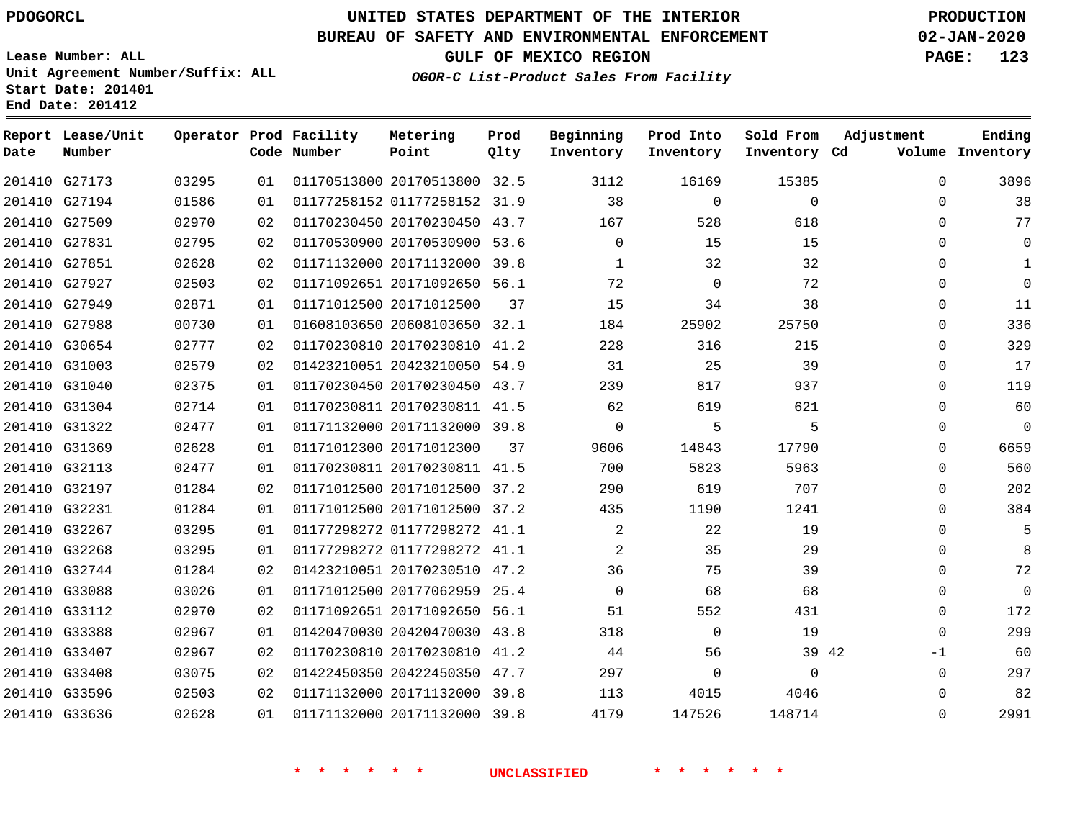#### **BUREAU OF SAFETY AND ENVIRONMENTAL ENFORCEMENT 02-JAN-2020**

**Lease Number: ALL Unit Agreement Number/Suffix: ALL Start Date: 201401**

**End Date: 201412**

**GULF OF MEXICO REGION PAGE: 123**

**OGOR-C List-Product Sales From Facility**

| Date | Report Lease/Unit<br>Number |       |    | Operator Prod Facility<br>Code Number | Metering<br>Point            | Prod<br>Qlty | Beginning<br>Inventory | Prod Into<br>Inventory | Sold From<br>Inventory Cd | Adjustment  | Ending<br>Volume Inventory |
|------|-----------------------------|-------|----|---------------------------------------|------------------------------|--------------|------------------------|------------------------|---------------------------|-------------|----------------------------|
|      | 201410 G27173               | 03295 | 01 |                                       | 01170513800 20170513800 32.5 |              | 3112                   | 16169                  | 15385                     | $\Omega$    | 3896                       |
|      | 201410 G27194               | 01586 | 01 |                                       | 01177258152 01177258152 31.9 |              | 38                     | $\mathbf 0$            | $\Omega$                  | 0           | 38                         |
|      | 201410 G27509               | 02970 | 02 |                                       | 01170230450 20170230450 43.7 |              | 167                    | 528                    | 618                       | $\Omega$    | 77                         |
|      | 201410 G27831               | 02795 | 02 |                                       | 01170530900 20170530900 53.6 |              | $\Omega$               | 15                     | 15                        | $\Omega$    | 0                          |
|      | 201410 G27851               | 02628 | 02 |                                       | 01171132000 20171132000 39.8 |              | $\mathbf 1$            | 32                     | 32                        | 0           | $\mathbf{1}$               |
|      | 201410 G27927               | 02503 | 02 |                                       | 01171092651 20171092650 56.1 |              | 72                     | $\Omega$               | 72                        | $\Omega$    | $\Omega$                   |
|      | 201410 G27949               | 02871 | 01 |                                       | 01171012500 20171012500      | 37           | 15                     | 34                     | 38                        | 0           | 11                         |
|      | 201410 G27988               | 00730 | 01 |                                       | 01608103650 20608103650 32.1 |              | 184                    | 25902                  | 25750                     | $\Omega$    | 336                        |
|      | 201410 G30654               | 02777 | 02 |                                       | 01170230810 20170230810 41.2 |              | 228                    | 316                    | 215                       | 0           | 329                        |
|      | 201410 G31003               | 02579 | 02 |                                       | 01423210051 20423210050 54.9 |              | 31                     | 25                     | 39                        | 0           | 17                         |
|      | 201410 G31040               | 02375 | 01 |                                       | 01170230450 20170230450 43.7 |              | 239                    | 817                    | 937                       | 0           | 119                        |
|      | 201410 G31304               | 02714 | 01 |                                       | 01170230811 20170230811 41.5 |              | 62                     | 619                    | 621                       | $\Omega$    | 60                         |
|      | 201410 G31322               | 02477 | 01 |                                       | 01171132000 20171132000 39.8 |              | $\Omega$               | 5                      | 5                         | $\Omega$    | 0                          |
|      | 201410 G31369               | 02628 | 01 |                                       | 01171012300 20171012300      | 37           | 9606                   | 14843                  | 17790                     | $\Omega$    | 6659                       |
|      | 201410 G32113               | 02477 | 01 |                                       | 01170230811 20170230811 41.5 |              | 700                    | 5823                   | 5963                      | $\Omega$    | 560                        |
|      | 201410 G32197               | 01284 | 02 |                                       | 01171012500 20171012500 37.2 |              | 290                    | 619                    | 707                       | 0           | 202                        |
|      | 201410 G32231               | 01284 | 01 |                                       | 01171012500 20171012500 37.2 |              | 435                    | 1190                   | 1241                      | 0           | 384                        |
|      | 201410 G32267               | 03295 | 01 |                                       | 01177298272 01177298272 41.1 |              | $\overline{2}$         | 22                     | 19                        | $\Omega$    | 5                          |
|      | 201410 G32268               | 03295 | 01 |                                       | 01177298272 01177298272 41.1 |              | 2                      | 35                     | 29                        | $\Omega$    | 8                          |
|      | 201410 G32744               | 01284 | 02 |                                       | 01423210051 20170230510 47.2 |              | 36                     | 75                     | 39                        | $\Omega$    | 72                         |
|      | 201410 G33088               | 03026 | 01 |                                       | 01171012500 20177062959 25.4 |              | $\Omega$               | 68                     | 68                        | 0           | 0                          |
|      | 201410 G33112               | 02970 | 02 |                                       | 01171092651 20171092650 56.1 |              | 51                     | 552                    | 431                       | 0           | 172                        |
|      | 201410 G33388               | 02967 | 01 |                                       | 01420470030 20420470030 43.8 |              | 318                    | $\mathbf 0$            | 19                        | $\mathbf 0$ | 299                        |
|      | 201410 G33407               | 02967 | 02 |                                       | 01170230810 20170230810 41.2 |              | 44                     | 56                     | 39 42                     | $-1$        | 60                         |
|      | 201410 G33408               | 03075 | 02 |                                       | 01422450350 20422450350 47.7 |              | 297                    | $\Omega$               | $\Omega$                  | $\Omega$    | 297                        |
|      | 201410 G33596               | 02503 | 02 |                                       | 01171132000 20171132000 39.8 |              | 113                    | 4015                   | 4046                      | 0           | 82                         |
|      | 201410 G33636               | 02628 | 01 |                                       | 01171132000 20171132000 39.8 |              | 4179                   | 147526                 | 148714                    | $\Omega$    | 2991                       |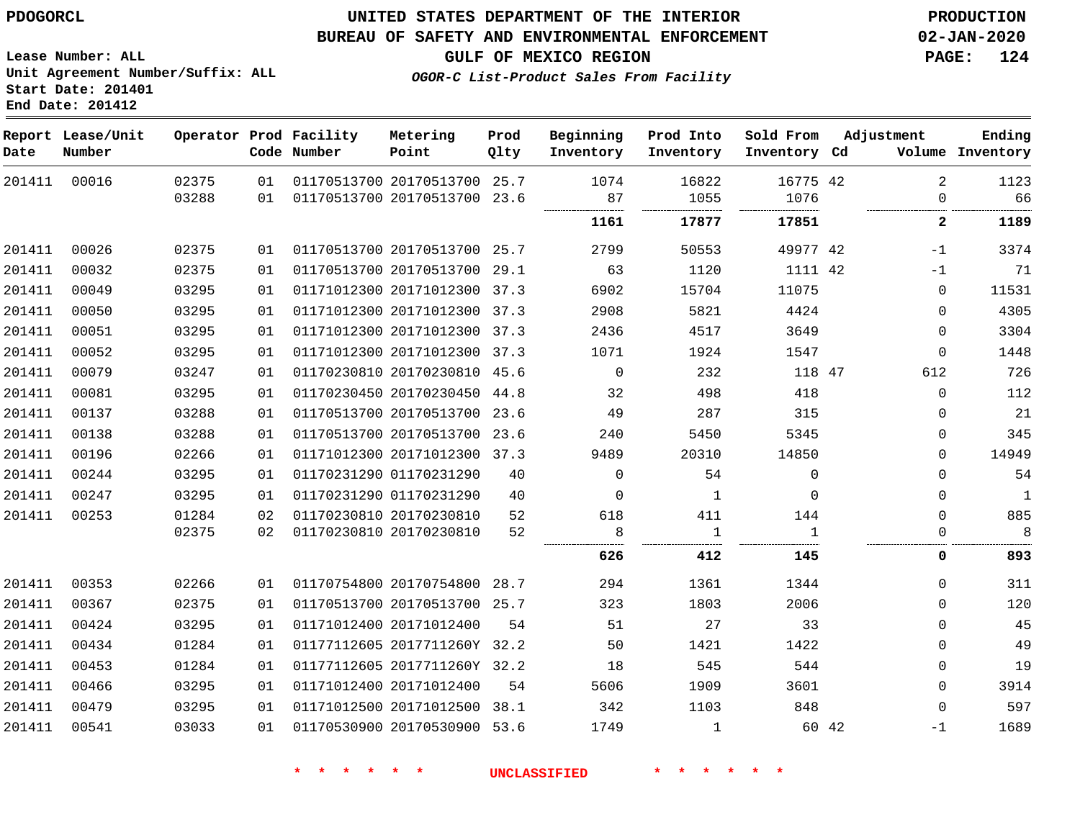#### **BUREAU OF SAFETY AND ENVIRONMENTAL ENFORCEMENT 02-JAN-2020**

**GULF OF MEXICO REGION PAGE: 124**

**Lease Number: ALL Unit Agreement Number/Suffix: ALL Start Date: 201401 End Date: 201412**

**OGOR-C List-Product Sales From Facility**

| Date   | Report Lease/Unit<br>Number |                |          | Operator Prod Facility<br>Code Number | Metering<br>Point                                            | Prod<br>Qlty | Beginning<br>Inventory | Prod Into<br>Inventory | Sold From<br>Inventory Cd | Adjustment |                            | Ending<br>Volume Inventory |
|--------|-----------------------------|----------------|----------|---------------------------------------|--------------------------------------------------------------|--------------|------------------------|------------------------|---------------------------|------------|----------------------------|----------------------------|
| 201411 | 00016                       | 02375<br>03288 | 01<br>01 |                                       | 01170513700 20170513700 25.7<br>01170513700 20170513700 23.6 |              | 1074<br>87<br>         | 16822<br>1055          | 16775 42<br>1076          |            | $\overline{2}$<br>$\Omega$ | 1123<br>66                 |
|        |                             |                |          |                                       |                                                              |              | 1161                   | 17877                  | 17851                     |            | $\mathbf{2}$               | 1189                       |
| 201411 | 00026                       | 02375          | 01       |                                       | 01170513700 20170513700 25.7                                 |              | 2799                   | 50553                  | 49977 42                  |            | $-1$                       | 3374                       |
| 201411 | 00032                       | 02375          | 01       |                                       | 01170513700 20170513700 29.1                                 |              | 63                     | 1120                   | 1111 42                   |            | $-1$                       | 71                         |
| 201411 | 00049                       | 03295          | 01       |                                       | 01171012300 20171012300 37.3                                 |              | 6902                   | 15704                  | 11075                     |            | $\Omega$                   | 11531                      |
| 201411 | 00050                       | 03295          | 01       |                                       | 01171012300 20171012300 37.3                                 |              | 2908                   | 5821                   | 4424                      |            | $\Omega$                   | 4305                       |
| 201411 | 00051                       | 03295          | 01       |                                       | 01171012300 20171012300 37.3                                 |              | 2436                   | 4517                   | 3649                      |            | 0                          | 3304                       |
| 201411 | 00052                       | 03295          | 01       |                                       | 01171012300 20171012300 37.3                                 |              | 1071                   | 1924                   | 1547                      |            | 0                          | 1448                       |
| 201411 | 00079                       | 03247          | 01       |                                       | 01170230810 20170230810 45.6                                 |              | $\mathbf 0$            | 232                    | 118 47                    |            | 612                        | 726                        |
| 201411 | 00081                       | 03295          | 01       |                                       | 01170230450 20170230450 44.8                                 |              | 32                     | 498                    | 418                       |            | $\Omega$                   | 112                        |
| 201411 | 00137                       | 03288          | 01       |                                       | 01170513700 20170513700 23.6                                 |              | 49                     | 287                    | 315                       |            | $\Omega$                   | 21                         |
| 201411 | 00138                       | 03288          | 01       |                                       | 01170513700 20170513700 23.6                                 |              | 240                    | 5450                   | 5345                      |            | 0                          | 345                        |
| 201411 | 00196                       | 02266          | 01       |                                       | 01171012300 20171012300 37.3                                 |              | 9489                   | 20310                  | 14850                     |            | $\Omega$                   | 14949                      |
| 201411 | 00244                       | 03295          | 01       |                                       | 01170231290 01170231290                                      | 40           | $\Omega$               | 54                     | $\Omega$                  |            | $\Omega$                   | 54                         |
| 201411 | 00247                       | 03295          | 01       |                                       | 01170231290 01170231290                                      | 40           | $\Omega$               | 1                      | $\Omega$                  |            | $\Omega$                   | 1                          |
| 201411 | 00253                       | 01284          | 02       |                                       | 01170230810 20170230810                                      | 52           | 618                    | 411                    | 144                       |            | $\Omega$                   | 885                        |
|        |                             | 02375          | 02       |                                       | 01170230810 20170230810                                      | 52           | 8<br>                  | .                      |                           |            | $\mathbf{0}$               | 8                          |
|        |                             |                |          |                                       |                                                              |              | 626                    | 412                    | 145                       |            | 0                          | 893                        |
| 201411 | 00353                       | 02266          | 01       |                                       | 01170754800 20170754800 28.7                                 |              | 294                    | 1361                   | 1344                      |            | $\Omega$                   | 311                        |
| 201411 | 00367                       | 02375          | 01       |                                       | 01170513700 20170513700 25.7                                 |              | 323                    | 1803                   | 2006                      |            | $\Omega$                   | 120                        |
| 201411 | 00424                       | 03295          | 01       |                                       | 01171012400 20171012400                                      | 54           | 51                     | 27                     | 33                        |            | $\Omega$                   | 45                         |
| 201411 | 00434                       | 01284          | 01       |                                       | 01177112605 2017711260Y 32.2                                 |              | 50                     | 1421                   | 1422                      |            | 0                          | 49                         |
| 201411 | 00453                       | 01284          | 01       |                                       | 01177112605 2017711260Y 32.2                                 |              | 18                     | 545                    | 544                       |            | 0                          | 19                         |
| 201411 | 00466                       | 03295          | 01       |                                       | 01171012400 20171012400                                      | 54           | 5606                   | 1909                   | 3601                      |            | $\Omega$                   | 3914                       |
| 201411 | 00479                       | 03295          | 01       |                                       | 01171012500 20171012500 38.1                                 |              | 342                    | 1103                   | 848                       |            | $\Omega$                   | 597                        |
| 201411 | 00541                       | 03033          | 01       |                                       | 01170530900 20170530900 53.6                                 |              | 1749                   | $\mathbf{1}$           |                           | 60 42      | $-1$                       | 1689                       |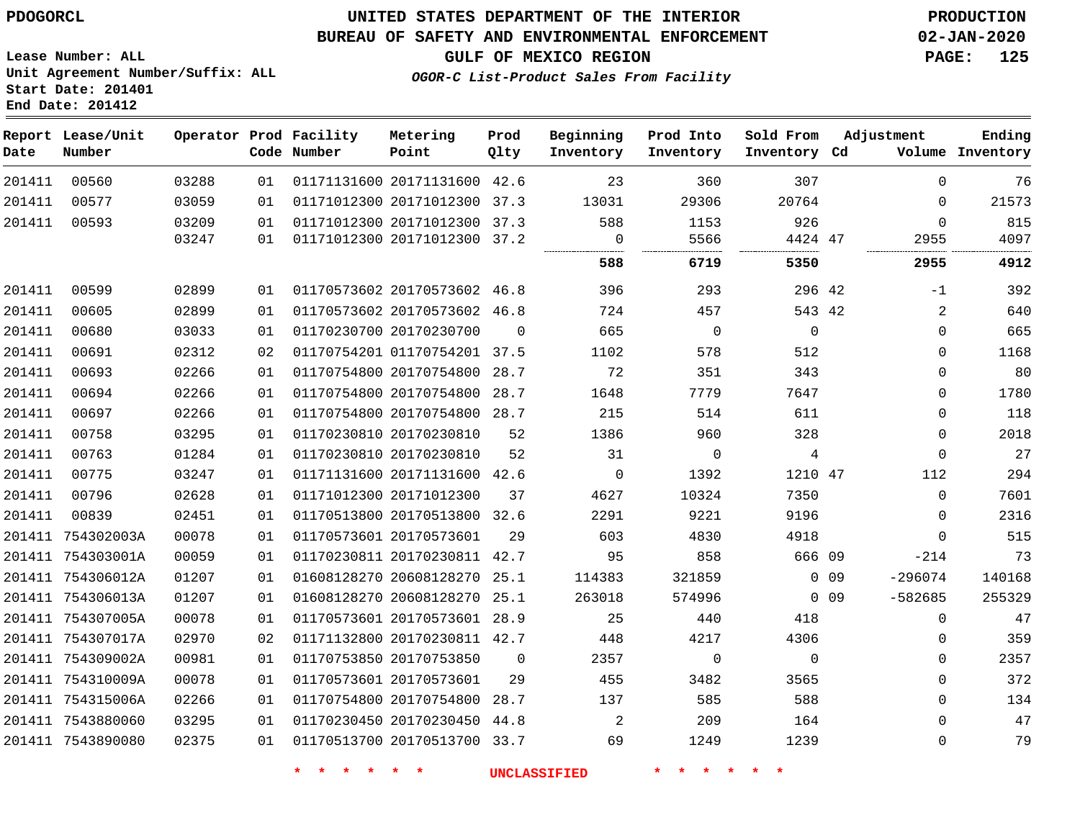#### **BUREAU OF SAFETY AND ENVIRONMENTAL ENFORCEMENT 02-JAN-2020**

**Lease Number: ALL Unit Agreement Number/Suffix: ALL Start Date: 201401 End Date: 201412**

**OGOR-C List-Product Sales From Facility**

**GULF OF MEXICO REGION PAGE: 125**

| Date   | Report Lease/Unit<br>Number |       |    | Operator Prod Facility<br>Code Number | Metering<br>Point            | Prod<br>Qlty   | Beginning<br>Inventory | Prod Into<br>Inventory | Sold From<br>Inventory Cd |                 | Adjustment  | Ending<br>Volume Inventory |
|--------|-----------------------------|-------|----|---------------------------------------|------------------------------|----------------|------------------------|------------------------|---------------------------|-----------------|-------------|----------------------------|
| 201411 | 00560                       | 03288 | 01 |                                       | 01171131600 20171131600 42.6 |                | 23                     | 360                    | 307                       |                 | $\Omega$    | 76                         |
| 201411 | 00577                       | 03059 | 01 |                                       | 01171012300 20171012300 37.3 |                | 13031                  | 29306                  | 20764                     |                 | $\Omega$    | 21573                      |
| 201411 | 00593                       | 03209 | 01 |                                       | 01171012300 20171012300 37.3 |                | 588                    | 1153                   | 926                       |                 | $\mathbf 0$ | 815                        |
|        |                             | 03247 | 01 |                                       | 01171012300 20171012300 37.2 |                | 0                      | 5566                   | 4424 47                   |                 | 2955        | 4097                       |
|        |                             |       |    |                                       |                              |                | 588                    | 6719                   | 5350                      |                 | 2955        | 4912                       |
| 201411 | 00599                       | 02899 | 01 |                                       | 01170573602 20170573602 46.8 |                | 396                    | 293                    | 296 42                    |                 | -1          | 392                        |
| 201411 | 00605                       | 02899 | 01 |                                       | 01170573602 20170573602 46.8 |                | 724                    | 457                    | 543 42                    |                 | 2           | 640                        |
| 201411 | 00680                       | 03033 | 01 |                                       | 01170230700 20170230700      | $\Omega$       | 665                    | $\mathbf 0$            | $\mathbf 0$               |                 | $\Omega$    | 665                        |
| 201411 | 00691                       | 02312 | 02 |                                       | 01170754201 01170754201 37.5 |                | 1102                   | 578                    | 512                       |                 | 0           | 1168                       |
| 201411 | 00693                       | 02266 | 01 |                                       | 01170754800 20170754800 28.7 |                | 72                     | 351                    | 343                       |                 | $\mathbf 0$ | 80                         |
| 201411 | 00694                       | 02266 | 01 |                                       | 01170754800 20170754800      | 28.7           | 1648                   | 7779                   | 7647                      |                 | $\Omega$    | 1780                       |
| 201411 | 00697                       | 02266 | 01 |                                       | 01170754800 20170754800 28.7 |                | 215                    | 514                    | 611                       |                 | $\Omega$    | 118                        |
| 201411 | 00758                       | 03295 | 01 |                                       | 01170230810 20170230810      | 52             | 1386                   | 960                    | 328                       |                 | $\Omega$    | 2018                       |
| 201411 | 00763                       | 01284 | 01 |                                       | 01170230810 20170230810      | 52             | 31                     | $\mathbf 0$            | 4                         |                 | $\Omega$    | 27                         |
| 201411 | 00775                       | 03247 | 01 |                                       | 01171131600 20171131600      | 42.6           | $\mathbf 0$            | 1392                   | 1210 47                   |                 | 112         | 294                        |
| 201411 | 00796                       | 02628 | 01 |                                       | 01171012300 20171012300      | 37             | 4627                   | 10324                  | 7350                      |                 | $\Omega$    | 7601                       |
| 201411 | 00839                       | 02451 | 01 |                                       | 01170513800 20170513800 32.6 |                | 2291                   | 9221                   | 9196                      |                 | $\Omega$    | 2316                       |
|        | 201411 754302003A           | 00078 | 01 |                                       | 01170573601 20170573601      | 29             | 603                    | 4830                   | 4918                      |                 | $\Omega$    | 515                        |
|        | 201411 754303001A           | 00059 | 01 |                                       | 01170230811 20170230811 42.7 |                | 95                     | 858                    | 666 09                    |                 | $-214$      | 73                         |
|        | 201411 754306012A           | 01207 | 01 |                                       | 01608128270 20608128270      | 25.1           | 114383                 | 321859                 |                           | $0$ 09          | $-296074$   | 140168                     |
|        | 201411 754306013A           | 01207 | 01 |                                       | 01608128270 20608128270 25.1 |                | 263018                 | 574996                 |                           | 0 <sub>09</sub> | $-582685$   | 255329                     |
|        | 201411 754307005A           | 00078 | 01 |                                       | 01170573601 20170573601 28.9 |                | 25                     | 440                    | 418                       |                 | $\Omega$    | 47                         |
|        | 201411 754307017A           | 02970 | 02 |                                       | 01171132800 20170230811 42.7 |                | 448                    | 4217                   | 4306                      |                 | $\Omega$    | 359                        |
|        | 201411 754309002A           | 00981 | 01 |                                       | 01170753850 20170753850      | $\overline{0}$ | 2357                   | $\mathbf 0$            | 0                         |                 | $\mathbf 0$ | 2357                       |
|        | 201411 754310009A           | 00078 | 01 |                                       | 01170573601 20170573601      | 29             | 455                    | 3482                   | 3565                      |                 | $\Omega$    | 372                        |
|        | 201411 754315006A           | 02266 | 01 |                                       | 01170754800 20170754800      | 28.7           | 137                    | 585                    | 588                       |                 | $\Omega$    | 134                        |
|        | 201411 7543880060           | 03295 | 01 |                                       | 01170230450 20170230450 44.8 |                | 2                      | 209                    | 164                       |                 | 0           | 47                         |
|        | 201411 7543890080           | 02375 | 01 |                                       | 01170513700 20170513700 33.7 |                | 69                     | 1249                   | 1239                      |                 | $\Omega$    | 79                         |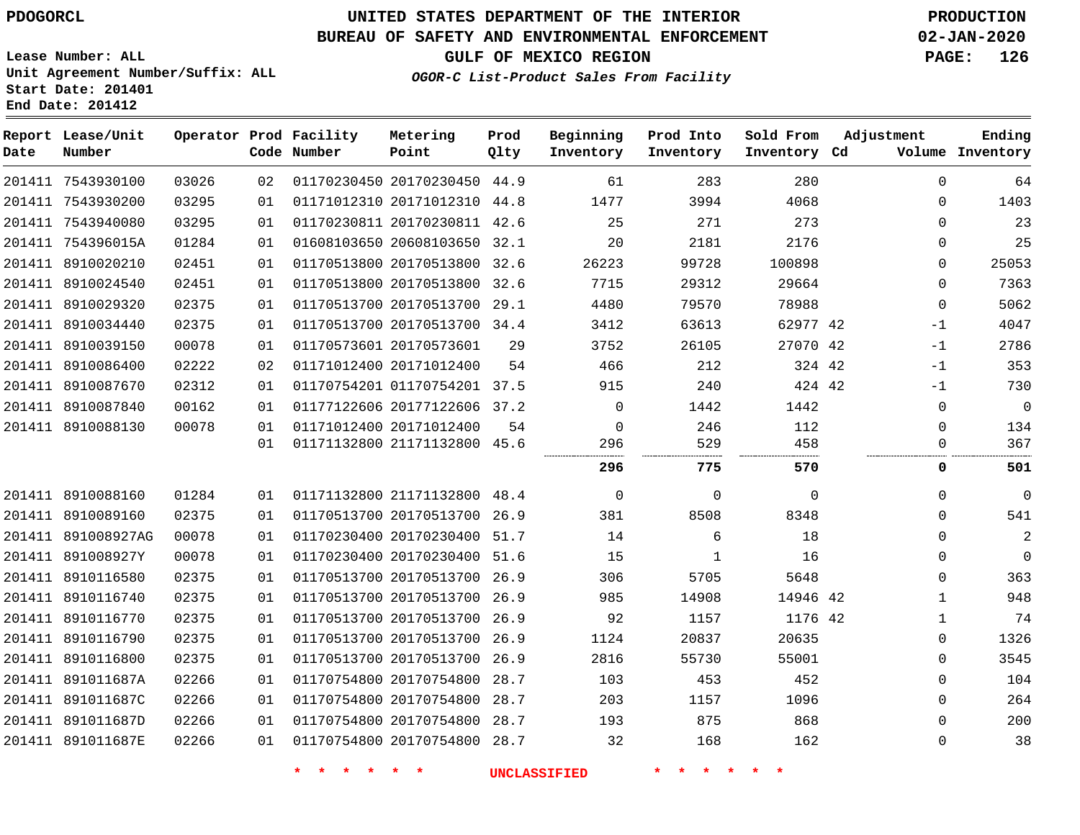**Prod Qlty**

#### **BUREAU OF SAFETY AND ENVIRONMENTAL ENFORCEMENT 02-JAN-2020**

**Lease Number: ALL Unit Agreement Number/Suffix: ALL Start Date: 201401**

**Operator Prod Facility**

**Code Number**

20170230450 44.9

**Metering Point**

**End Date: 201412**

**Date**

7543930100

**Report Lease/Unit**

**Number**

**GULF OF MEXICO REGION PAGE: 126**

**Inventory Cd Volume**

**Adjustment**

**Ending**

**OGOR-C List-Product Sales From Facility**

**Beginning Inventory**

**Sold From Inventory**

**Prod Into Inventory**

|        | 201411 7543930200  | 03295 | 01 | 01171012310 20171012310 44.8 |      | 1477     | 3994     | 4068     | $\Omega$    | 1403        |
|--------|--------------------|-------|----|------------------------------|------|----------|----------|----------|-------------|-------------|
|        | 201411 7543940080  | 03295 | 01 | 01170230811 20170230811 42.6 |      | 25       | 271      | 273      | $\Omega$    | 23          |
|        | 201411 754396015A  | 01284 | 01 | 01608103650 20608103650 32.1 |      | 20       | 2181     | 2176     | 0           | 25          |
|        | 201411 8910020210  | 02451 | 01 | 01170513800 20170513800      | 32.6 | 26223    | 99728    | 100898   | 0           | 25053       |
| 201411 | 8910024540         | 02451 | 01 | 01170513800 20170513800      | 32.6 | 7715     | 29312    | 29664    | $\Omega$    | 7363        |
|        | 201411 8910029320  | 02375 | 01 | 01170513700 20170513700 29.1 |      | 4480     | 79570    | 78988    | $\mathbf 0$ | 5062        |
|        | 201411 8910034440  | 02375 | 01 | 01170513700 20170513700 34.4 |      | 3412     | 63613    | 62977 42 | -1          | 4047        |
|        | 201411 8910039150  | 00078 | 01 | 01170573601 20170573601      | 29   | 3752     | 26105    | 27070 42 | $-1$        | 2786        |
|        | 201411 8910086400  | 02222 | 02 | 01171012400 20171012400      | 54   | 466      | 212      | 324 42   | $-1$        | 353         |
|        | 201411 8910087670  | 02312 | 01 | 01170754201 01170754201 37.5 |      | 915      | 240      | 424 42   | $-1$        | 730         |
|        | 201411 8910087840  | 00162 | 01 | 01177122606 20177122606 37.2 |      | $\Omega$ | 1442     | 1442     | 0           | 0           |
|        | 201411 8910088130  | 00078 | 01 | 01171012400 20171012400      | 54   | $\Omega$ | 246      | 112      | $\Omega$    | 134         |
|        |                    |       | 01 | 01171132800 21171132800 45.6 |      | 296      | 529      | 458      | 0           | 367         |
|        |                    |       |    |                              |      | 296      | 775      | 570      | 0           | 501         |
|        | 201411 8910088160  | 01284 | 01 | 01171132800 21171132800 48.4 |      | 0        | $\Omega$ | 0        | 0           | $\mathbf 0$ |
|        | 201411 8910089160  | 02375 | 01 | 01170513700 20170513700      | 26.9 | 381      | 8508     | 8348     | $\Omega$    | 541         |
|        | 201411 891008927AG | 00078 | 01 | 01170230400 20170230400 51.7 |      | 14       | 6        | 18       | $\Omega$    | 2           |
|        | 201411 891008927Y  | 00078 | 01 | 01170230400 20170230400      | 51.6 | 15       | 1        | 16       | $\Omega$    | 0           |
|        | 201411 8910116580  | 02375 | 01 | 01170513700 20170513700      | 26.9 | 306      | 5705     | 5648     | 0           | 363         |
|        | 201411 8910116740  | 02375 | 01 | 01170513700 20170513700      | 26.9 | 985      | 14908    | 14946 42 | 1           | 948         |
|        | 201411 8910116770  | 02375 | 01 | 01170513700 20170513700 26.9 |      | 92       | 1157     | 1176 42  | 1           | 74          |
|        | 201411 8910116790  | 02375 | 01 | 01170513700 20170513700      | 26.9 | 1124     | 20837    | 20635    | 0           | 1326        |
|        | 201411 8910116800  | 02375 | 01 | 01170513700 20170513700      | 26.9 | 2816     | 55730    | 55001    | 0           | 3545        |
| 201411 | 891011687A         | 02266 | 01 | 01170754800 20170754800      | 28.7 | 103      | 453      | 452      | $\Omega$    | 104         |
|        | 201411 891011687C  | 02266 | 01 | 01170754800 20170754800      | 28.7 | 203      | 1157     | 1096     | $\Omega$    | 264         |
|        | 201411 891011687D  | 02266 | 01 | 01170754800 20170754800      | 28.7 | 193      | 875      | 868      | $\Omega$    | 200         |
|        | 201411 891011687E  | 02266 | 01 | 01170754800 20170754800      | 28.7 | 32       | 168      | 162      | $\Omega$    | 38          |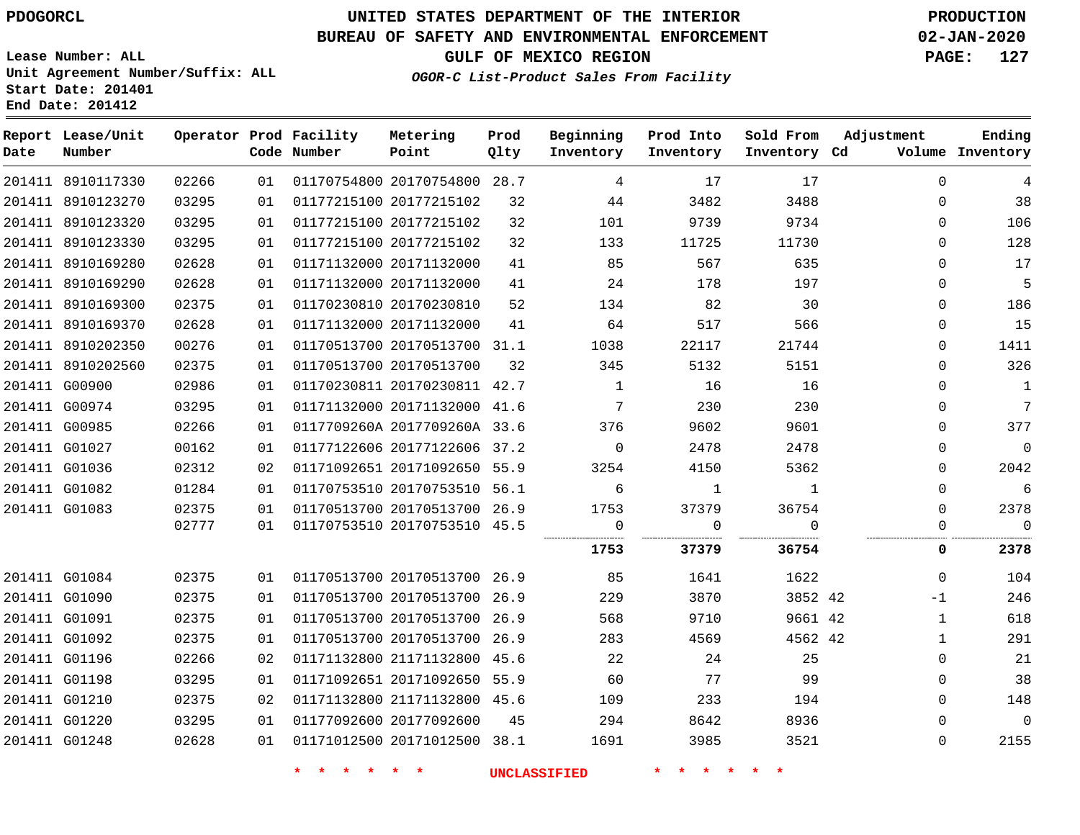## **BUREAU OF SAFETY AND ENVIRONMENTAL ENFORCEMENT 02-JAN-2020**

**Lease Number: ALL Unit Agreement Number/Suffix: ALL Start Date: 201401**

**End Date: 201412**

**GULF OF MEXICO REGION PAGE: 127**

**OGOR-C List-Product Sales From Facility**

| Date | Report Lease/Unit<br>Number |       |    | Operator Prod Facility<br>Code Number | Metering<br>Point            | Prod<br>Qlty | Beginning<br>Inventory | Prod Into<br>Inventory | Sold From<br>Inventory Cd | Adjustment   | Ending<br>Volume Inventory |
|------|-----------------------------|-------|----|---------------------------------------|------------------------------|--------------|------------------------|------------------------|---------------------------|--------------|----------------------------|
|      | 201411 8910117330           | 02266 | 01 |                                       | 01170754800 20170754800 28.7 |              | 4                      | 17                     | 17                        | $\Omega$     | 4                          |
|      | 201411 8910123270           | 03295 | 01 |                                       | 01177215100 20177215102      | 32           | 44                     | 3482                   | 3488                      | $\Omega$     | 38                         |
|      | 201411 8910123320           | 03295 | 01 |                                       | 01177215100 20177215102      | 32           | 101                    | 9739                   | 9734                      | $\Omega$     | 106                        |
|      | 201411 8910123330           | 03295 | 01 |                                       | 01177215100 20177215102      | 32           | 133                    | 11725                  | 11730                     | 0            | 128                        |
|      | 201411 8910169280           | 02628 | 01 |                                       | 01171132000 20171132000      | 41           | 85                     | 567                    | 635                       | 0            | 17                         |
|      | 201411 8910169290           | 02628 | 01 |                                       | 01171132000 20171132000      | 41           | 24                     | 178                    | 197                       | $\Omega$     | 5                          |
|      | 201411 8910169300           | 02375 | 01 |                                       | 01170230810 20170230810      | 52           | 134                    | 82                     | 30                        | 0            | 186                        |
|      | 201411 8910169370           | 02628 | 01 |                                       | 01171132000 20171132000      | 41           | 64                     | 517                    | 566                       | 0            | 15                         |
|      | 201411 8910202350           | 00276 | 01 |                                       | 01170513700 20170513700 31.1 |              | 1038                   | 22117                  | 21744                     | $\Omega$     | 1411                       |
|      | 201411 8910202560           | 02375 | 01 |                                       | 01170513700 20170513700      | 32           | 345                    | 5132                   | 5151                      | 0            | 326                        |
|      | 201411 G00900               | 02986 | 01 |                                       | 01170230811 20170230811 42.7 |              | $\mathbf{1}$           | 16                     | 16                        | 0            | $\mathbf{1}$               |
|      | 201411 G00974               | 03295 | 01 |                                       | 01171132000 20171132000 41.6 |              | 7                      | 230                    | 230                       | 0            | $7\phantom{.0}$            |
|      | 201411 G00985               | 02266 | 01 |                                       | 0117709260A 2017709260A 33.6 |              | 376                    | 9602                   | 9601                      | 0            | 377                        |
|      | 201411 G01027               | 00162 | 01 |                                       | 01177122606 20177122606 37.2 |              | $\Omega$               | 2478                   | 2478                      | $\Omega$     | $\mathbf 0$                |
|      | 201411 G01036               | 02312 | 02 |                                       | 01171092651 20171092650 55.9 |              | 3254                   | 4150                   | 5362                      | 0            | 2042                       |
|      | 201411 G01082               | 01284 | 01 |                                       | 01170753510 20170753510 56.1 |              | 6                      | 1                      | 1                         | 0            | $\sqrt{6}$                 |
|      | 201411 G01083               | 02375 | 01 |                                       | 01170513700 20170513700 26.9 |              | 1753                   | 37379                  | 36754                     | $\Omega$     | 2378                       |
|      |                             | 02777 | 01 |                                       | 01170753510 20170753510 45.5 |              | $\mathbf 0$            | $\Omega$               | $\Omega$<br>              | 0            | $\mathbf 0$                |
|      |                             |       |    |                                       |                              |              | 1753                   | 37379                  | 36754                     | 0            | 2378                       |
|      | 201411 G01084               | 02375 | 01 |                                       | 01170513700 20170513700 26.9 |              | 85                     | 1641                   | 1622                      | $\Omega$     | 104                        |
|      | 201411 G01090               | 02375 | 01 |                                       | 01170513700 20170513700 26.9 |              | 229                    | 3870                   | 3852 42                   | $-1$         | 246                        |
|      | 201411 G01091               | 02375 | 01 |                                       | 01170513700 20170513700 26.9 |              | 568                    | 9710                   | 9661 42                   | $\mathbf{1}$ | 618                        |
|      | 201411 G01092               | 02375 | 01 |                                       | 01170513700 20170513700 26.9 |              | 283                    | 4569                   | 4562 42                   | $\mathbf{1}$ | 291                        |
|      | 201411 G01196               | 02266 | 02 |                                       | 01171132800 21171132800 45.6 |              | 22                     | 24                     | 25                        | 0            | 21                         |
|      | 201411 G01198               | 03295 | 01 |                                       | 01171092651 20171092650 55.9 |              | 60                     | 77                     | 99                        | $\Omega$     | 38                         |
|      | 201411 G01210               | 02375 | 02 |                                       | 01171132800 21171132800 45.6 |              | 109                    | 233                    | 194                       | 0            | 148                        |
|      | 201411 G01220               | 03295 | 01 |                                       | 01177092600 20177092600      | 45           | 294                    | 8642                   | 8936                      | 0            | $\overline{0}$             |
|      | 201411 G01248               | 02628 | 01 |                                       | 01171012500 20171012500 38.1 |              | 1691                   | 3985                   | 3521                      | $\Omega$     | 2155                       |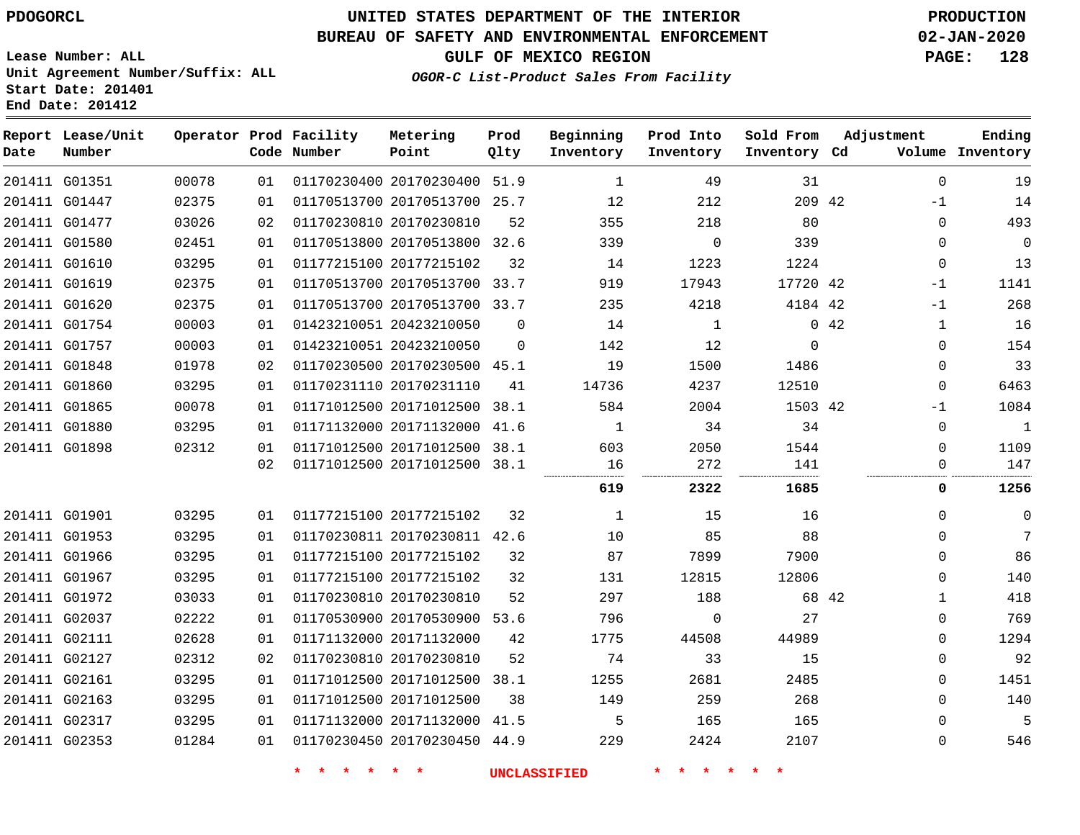**Start Date: 201401 End Date: 201412**

# **UNITED STATES DEPARTMENT OF THE INTERIOR PDOGORCL PRODUCTION**

## **BUREAU OF SAFETY AND ENVIRONMENTAL ENFORCEMENT 02-JAN-2020**

**Lease Number: ALL Unit Agreement Number/Suffix: ALL**

**GULF OF MEXICO REGION PAGE: 128**

**OGOR-C List-Product Sales From Facility**

| Date | Report Lease/Unit<br>Number |       |    | Operator Prod Facility<br>Code Number | Metering<br>Point            | Prod<br>Qlty | Beginning<br>Inventory | Prod Into<br>Inventory | Sold From<br>Inventory Cd | Adjustment |              | Ending<br>Volume Inventory |
|------|-----------------------------|-------|----|---------------------------------------|------------------------------|--------------|------------------------|------------------------|---------------------------|------------|--------------|----------------------------|
|      | 201411 G01351               | 00078 | 01 |                                       | 01170230400 20170230400      | 51.9         | 1                      | 49                     | 31                        |            | $\mathbf 0$  | 19                         |
|      | 201411 G01447               | 02375 | 01 |                                       | 01170513700 20170513700 25.7 |              | 12                     | 212                    | 209 42                    |            | $-1$         | 14                         |
|      | 201411 G01477               | 03026 | 02 |                                       | 01170230810 20170230810      | 52           | 355                    | 218                    | 80                        |            | $\Omega$     | 493                        |
|      | 201411 G01580               | 02451 | 01 |                                       | 01170513800 20170513800 32.6 |              | 339                    | $\overline{0}$         | 339                       |            | $\Omega$     | $\mathbf 0$                |
|      | 201411 G01610               | 03295 | 01 |                                       | 01177215100 20177215102      | 32           | 14                     | 1223                   | 1224                      |            | $\mathbf{0}$ | 13                         |
|      | 201411 G01619               | 02375 | 01 |                                       | 01170513700 20170513700 33.7 |              | 919                    | 17943                  | 17720 42                  |            | $-1$         | 1141                       |
|      | 201411 G01620               | 02375 | 01 |                                       | 01170513700 20170513700 33.7 |              | 235                    | 4218                   | 4184 42                   |            | $-1$         | 268                        |
|      | 201411 G01754               | 00003 | 01 |                                       | 01423210051 20423210050      | $\mathbf 0$  | 14                     | $\mathbf{1}$           |                           | 042        | 1            | 16                         |
|      | 201411 G01757               | 00003 | 01 |                                       | 01423210051 20423210050      | $\Omega$     | 142                    | 12                     | $\Omega$                  |            | $\Omega$     | 154                        |
|      | 201411 G01848               | 01978 | 02 |                                       | 01170230500 20170230500 45.1 |              | 19                     | 1500                   | 1486                      |            | $\Omega$     | 33                         |
|      | 201411 G01860               | 03295 | 01 |                                       | 01170231110 20170231110      | 41           | 14736                  | 4237                   | 12510                     |            | $\Omega$     | 6463                       |
|      | 201411 G01865               | 00078 | 01 |                                       | 01171012500 20171012500 38.1 |              | 584                    | 2004                   | 1503 42                   |            | $-1$         | 1084                       |
|      | 201411 G01880               | 03295 | 01 |                                       | 01171132000 20171132000      | 41.6         | 1                      | 34                     | 34                        |            | $\mathbf{0}$ | $\mathbf{1}$               |
|      | 201411 G01898               | 02312 | 01 |                                       | 01171012500 20171012500 38.1 |              | 603                    | 2050                   | 1544                      |            | $\Omega$     | 1109                       |
|      |                             |       | 02 |                                       | 01171012500 20171012500 38.1 |              | 16                     | 272                    | 141                       |            | $\Omega$     | 147                        |
|      |                             |       |    |                                       |                              |              | 619                    | 2322                   | 1685                      |            | 0            | 1256                       |
|      | 201411 G01901               | 03295 | 01 |                                       | 01177215100 20177215102      | 32           | 1                      | 15                     | 16                        |            | $\mathbf 0$  | $\mathbf 0$                |
|      | 201411 G01953               | 03295 | 01 |                                       | 01170230811 20170230811 42.6 |              | 10                     | 85                     | 88                        |            | $\mathbf 0$  | 7                          |
|      | 201411 G01966               | 03295 | 01 |                                       | 01177215100 20177215102      | 32           | 87                     | 7899                   | 7900                      |            | $\Omega$     | 86                         |
|      | 201411 G01967               | 03295 | 01 |                                       | 01177215100 20177215102      | 32           | 131                    | 12815                  | 12806                     |            | $\Omega$     | 140                        |
|      | 201411 G01972               | 03033 | 01 |                                       | 01170230810 20170230810      | 52           | 297                    | 188                    | 68 42                     |            | 1            | 418                        |
|      | 201411 G02037               | 02222 | 01 |                                       | 01170530900 20170530900      | 53.6         | 796                    | $\mathbf 0$            | 27                        |            | $\Omega$     | 769                        |
|      | 201411 G02111               | 02628 | 01 |                                       | 01171132000 20171132000      | 42           | 1775                   | 44508                  | 44989                     |            | $\Omega$     | 1294                       |
|      | 201411 G02127               | 02312 | 02 |                                       | 01170230810 20170230810      | 52           | 74                     | 33                     | 15                        |            | $\mathbf 0$  | 92                         |
|      | 201411 G02161               | 03295 | 01 |                                       | 01171012500 20171012500      | 38.1         | 1255                   | 2681                   | 2485                      |            | $\mathbf 0$  | 1451                       |
|      | 201411 G02163               | 03295 | 01 |                                       | 01171012500 20171012500      | 38           | 149                    | 259                    | 268                       |            | $\Omega$     | 140                        |
|      | 201411 G02317               | 03295 | 01 |                                       | 01171132000 20171132000 41.5 |              | 5                      | 165                    | 165                       |            | $\Omega$     | 5                          |
|      | 201411 G02353               | 01284 | 01 |                                       | 01170230450 20170230450 44.9 |              | 229                    | 2424                   | 2107                      |            | $\mathbf 0$  | 546                        |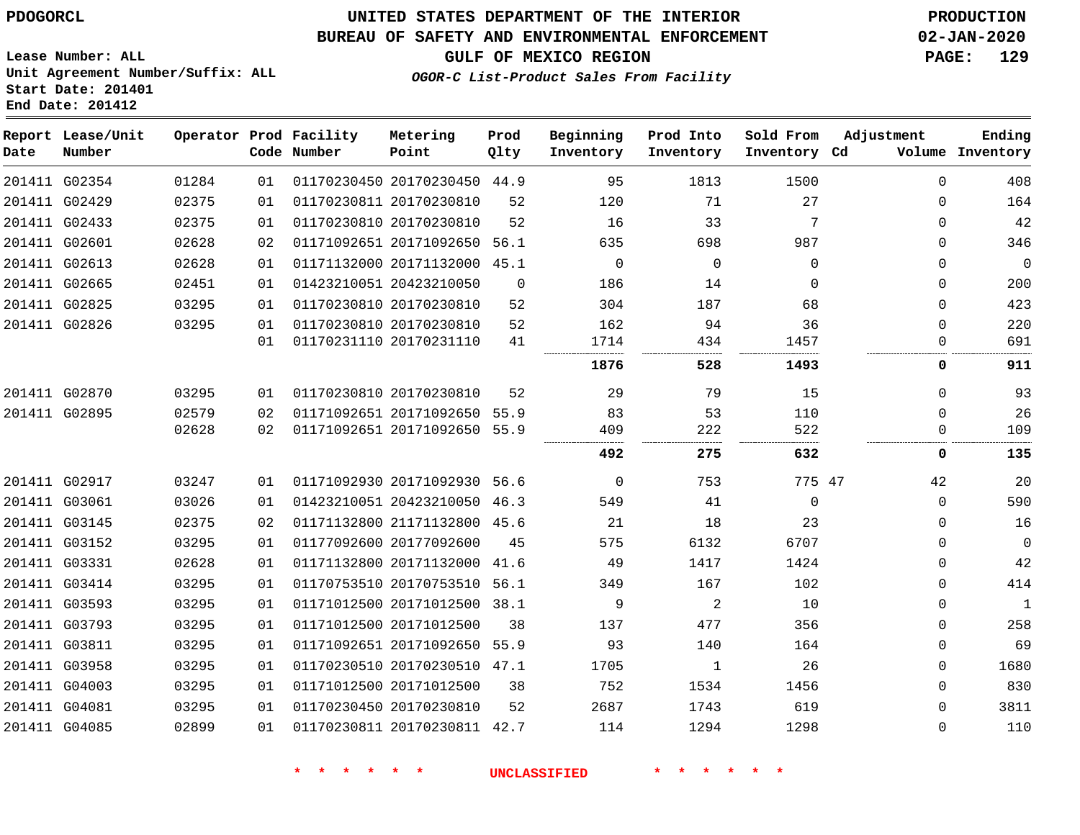#### **BUREAU OF SAFETY AND ENVIRONMENTAL ENFORCEMENT 02-JAN-2020**

**GULF OF MEXICO REGION PAGE: 129**

**Lease Number: ALL Unit Agreement Number/Suffix: ALL Start Date: 201401 End Date: 201412**

| OGOR-C List-Product Sales From Facility |
|-----------------------------------------|
|                                         |

| Date | Report Lease/Unit<br>Number |       |    | Operator Prod Facility<br>Code Number | Metering<br>Point            | Prod<br>Qlty | Beginning<br>Inventory | Prod Into<br>Inventory | Sold From<br>Inventory Cd | Adjustment  | Ending<br>Volume Inventory |
|------|-----------------------------|-------|----|---------------------------------------|------------------------------|--------------|------------------------|------------------------|---------------------------|-------------|----------------------------|
|      | 201411 G02354               | 01284 | 01 |                                       | 01170230450 20170230450 44.9 |              | 95                     | 1813                   | 1500                      | $\Omega$    | 408                        |
|      | 201411 G02429               | 02375 | 01 |                                       | 01170230811 20170230810      | 52           | 120                    | 71                     | 27                        | 0           | 164                        |
|      | 201411 G02433               | 02375 | 01 |                                       | 01170230810 20170230810      | 52           | 16                     | 33                     | 7                         | 0           | 42                         |
|      | 201411 G02601               | 02628 | 02 |                                       | 01171092651 20171092650      | 56.1         | 635                    | 698                    | 987                       | 0           | 346                        |
|      | 201411 G02613               | 02628 | 01 |                                       | 01171132000 20171132000 45.1 |              | 0                      | 0                      | 0                         | 0           | $\mathbf 0$                |
|      | 201411 G02665               | 02451 | 01 |                                       | 01423210051 20423210050      | $\Omega$     | 186                    | 14                     | $\Omega$                  | 0           | 200                        |
|      | 201411 G02825               | 03295 | 01 | 01170230810 20170230810               |                              | 52           | 304                    | 187                    | 68                        | 0           | 423                        |
|      | 201411 G02826               | 03295 | 01 |                                       | 01170230810 20170230810      | 52           | 162                    | 94                     | 36                        | 0           | 220                        |
|      |                             |       | 01 |                                       | 01170231110 20170231110      | 41           | 1714                   | 434                    | 1457                      | 0           | 691                        |
|      |                             |       |    |                                       |                              |              | 1876                   | 528                    | 1493                      | 0           | 911                        |
|      | 201411 G02870               | 03295 | 01 |                                       | 01170230810 20170230810      | 52           | 29                     | 79                     | 15                        | 0           | 93                         |
|      | 201411 G02895               | 02579 | 02 |                                       | 01171092651 20171092650 55.9 |              | 83                     | 53                     | 110                       | $\Omega$    | 26                         |
|      |                             | 02628 | 02 |                                       | 01171092651 20171092650 55.9 |              | 409                    | 222                    | 522                       | 0           | 109                        |
|      |                             |       |    |                                       |                              |              | 492                    | 275                    | 632                       | 0           | 135                        |
|      | 201411 G02917               | 03247 | 01 |                                       | 01171092930 20171092930 56.6 |              | 0                      | 753                    | 775 47                    | 42          | 20                         |
|      | 201411 G03061               | 03026 | 01 |                                       | 01423210051 20423210050      | 46.3         | 549                    | 41                     | $\mathbf 0$               | $\mathbf 0$ | 590                        |
|      | 201411 G03145               | 02375 | 02 |                                       | 01171132800 21171132800 45.6 |              | 21                     | 18                     | 23                        | 0           | 16                         |
|      | 201411 G03152               | 03295 | 01 |                                       | 01177092600 20177092600      | 45           | 575                    | 6132                   | 6707                      | 0           | 0                          |
|      | 201411 G03331               | 02628 | 01 |                                       | 01171132800 20171132000 41.6 |              | 49                     | 1417                   | 1424                      | 0           | 42                         |
|      | 201411 G03414               | 03295 | 01 |                                       | 01170753510 20170753510      | 56.1         | 349                    | 167                    | 102                       | $\Omega$    | 414                        |
|      | 201411 G03593               | 03295 | 01 |                                       | 01171012500 20171012500 38.1 |              | 9                      | 2                      | 10                        | 0           | $\mathbf{1}$               |
|      | 201411 G03793               | 03295 | 01 | 01171012500 20171012500               |                              | 38           | 137                    | 477                    | 356                       | 0           | 258                        |
|      | 201411 G03811               | 03295 | 01 |                                       | 01171092651 20171092650 55.9 |              | 93                     | 140                    | 164                       | $\Omega$    | 69                         |
|      | 201411 G03958               | 03295 | 01 |                                       | 01170230510 20170230510 47.1 |              | 1705                   | $\mathbf{1}$           | 26                        | $\Omega$    | 1680                       |
|      | 201411 G04003               | 03295 | 01 |                                       | 01171012500 20171012500      | 38           | 752                    | 1534                   | 1456                      | 0           | 830                        |
|      | 201411 G04081               | 03295 | 01 | 01170230450 20170230810               |                              | 52           | 2687                   | 1743                   | 619                       | 0           | 3811                       |
|      | 201411 G04085               | 02899 | 01 |                                       | 01170230811 20170230811 42.7 |              | 114                    | 1294                   | 1298                      | $\Omega$    | 110                        |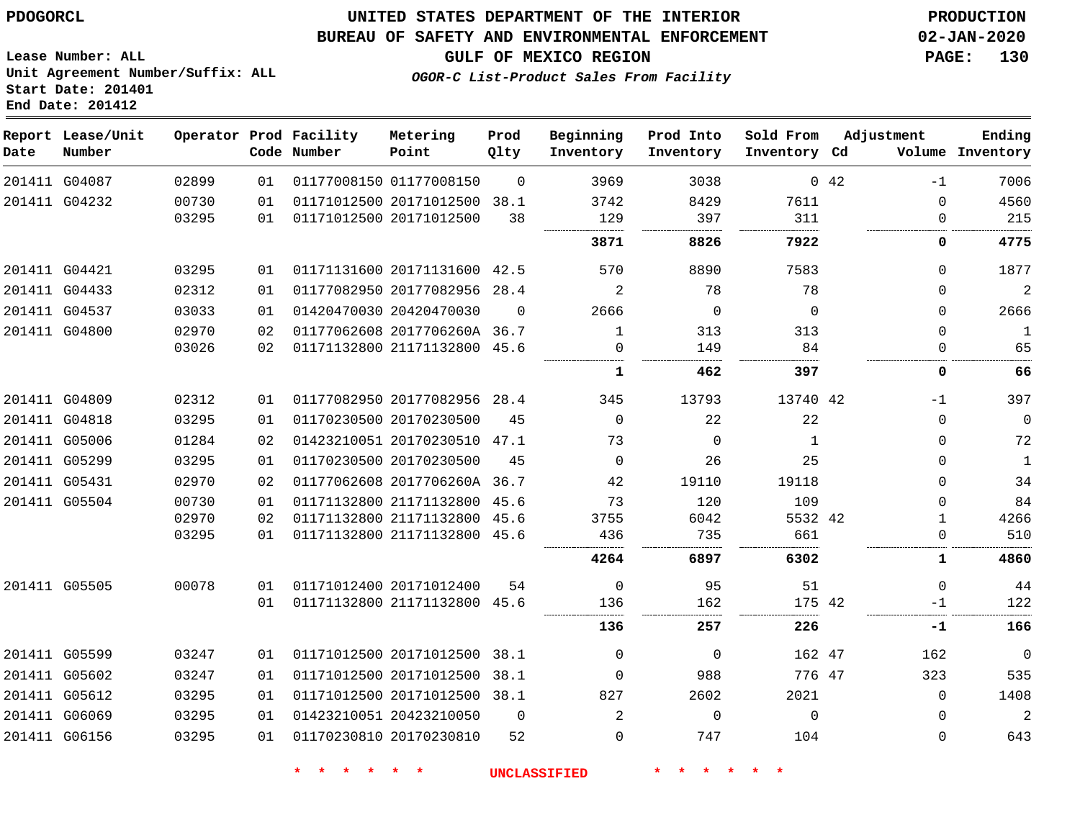## **UNITED STATES DEPARTMENT OF THE INTERIOR PDOGORCL PRODUCTION**

#### **BUREAU OF SAFETY AND ENVIRONMENTAL ENFORCEMENT 02-JAN-2020**

**Lease Number: ALL Unit Agreement Number/Suffix: ALL Start Date: 201401**

**GULF OF MEXICO REGION PAGE: 130**

**OGOR-C List-Product Sales From Facility**

| Date | Report Lease/Unit<br>Number |       |    | Operator Prod Facility<br>Code Number | Metering<br>Point            | Prod<br>Qlty | Beginning<br>Inventory | Prod Into<br>Inventory | Sold From<br>Inventory Cd | Adjustment |          | Ending<br>Volume Inventory |
|------|-----------------------------|-------|----|---------------------------------------|------------------------------|--------------|------------------------|------------------------|---------------------------|------------|----------|----------------------------|
|      | 201411 G04087               | 02899 | 01 |                                       | 01177008150 01177008150      | $\Omega$     | 3969                   | 3038                   |                           | 0.42       | $-1$     | 7006                       |
|      | 201411 G04232               | 00730 | 01 |                                       | 01171012500 20171012500 38.1 |              | 3742                   | 8429                   | 7611                      |            | $\Omega$ | 4560                       |
|      |                             | 03295 | 01 | 01171012500 20171012500               |                              | 38           | 129                    | 397                    | 311                       |            | 0        | 215                        |
|      |                             |       |    |                                       |                              |              | 3871                   | 8826                   | 7922                      |            | 0        | 4775                       |
|      | 201411 G04421               | 03295 | 01 |                                       | 01171131600 20171131600 42.5 |              | 570                    | 8890                   | 7583                      |            | $\Omega$ | 1877                       |
|      | 201411 G04433               | 02312 | 01 |                                       | 01177082950 20177082956 28.4 |              | 2                      | 78                     | 78                        |            | $\Omega$ | $\overline{2}$             |
|      | 201411 G04537               | 03033 | 01 |                                       | 01420470030 20420470030      | $\Omega$     | 2666                   | $\Omega$               | $\Omega$                  |            | $\Omega$ | 2666                       |
|      | 201411 G04800               | 02970 | 02 |                                       | 01177062608 2017706260A 36.7 |              | $\mathbf{1}$           | 313                    | 313                       |            | $\Omega$ | $\mathbf{1}$               |
|      |                             | 03026 | 02 |                                       | 01171132800 21171132800      | 45.6         | $\Omega$               | 149                    | 84                        |            | 0        | 65                         |
|      |                             |       |    |                                       |                              |              | 1                      | 462                    | 397                       |            | 0        | 66                         |
|      | 201411 G04809               | 02312 | 01 |                                       | 01177082950 20177082956 28.4 |              | 345                    | 13793                  | 13740 42                  |            | $-1$     | 397                        |
|      | 201411 G04818               | 03295 | 01 |                                       | 01170230500 20170230500      | 45           | $\Omega$               | 22                     | 22                        |            | $\Omega$ | $\mathbf 0$                |
|      | 201411 G05006               | 01284 | 02 |                                       | 01423210051 20170230510 47.1 |              | 73                     | $\Omega$               | 1                         |            | $\Omega$ | 72                         |
|      | 201411 G05299               | 03295 | 01 |                                       | 01170230500 20170230500      | 45           | $\Omega$               | 26                     | 25                        |            | $\Omega$ | $\mathbf{1}$               |
|      | 201411 G05431               | 02970 | 02 |                                       | 01177062608 2017706260A 36.7 |              | 42                     | 19110                  | 19118                     |            | $\Omega$ | 34                         |
|      | 201411 G05504               | 00730 | 01 |                                       | 01171132800 21171132800 45.6 |              | 73                     | 120                    | 109                       |            | $\Omega$ | 84                         |
|      |                             | 02970 | 02 |                                       | 01171132800 21171132800      | 45.6         | 3755                   | 6042                   | 5532 42                   |            | 1.       | 4266                       |
|      |                             | 03295 | 01 |                                       | 01171132800 21171132800 45.6 |              | 436                    | 735                    | 661                       |            | $\Omega$ | 510                        |
|      |                             |       |    |                                       |                              |              | 4264                   | 6897                   | 6302                      |            | 1        | 4860                       |
|      | 201411 G05505               | 00078 | 01 |                                       | 01171012400 20171012400      | 54           | $\Omega$               | 95                     | 51                        |            | $\Omega$ | 44                         |
|      |                             |       | 01 |                                       | 01171132800 21171132800 45.6 |              | 136                    | 162                    | 175 42                    |            | $-1$     | 122                        |
|      |                             |       |    |                                       |                              |              | 136                    | 257                    | 226                       |            | -1       | 166                        |
|      | 201411 G05599               | 03247 | 01 |                                       | 01171012500 20171012500 38.1 |              | $\Omega$               | $\Omega$               | 162 47                    |            | 162      | $\overline{0}$             |
|      | 201411 G05602               | 03247 | 01 |                                       | 01171012500 20171012500      | 38.1         | $\Omega$               | 988                    | 776 47                    |            | 323      | 535                        |
|      | 201411 G05612               | 03295 | 01 |                                       | 01171012500 20171012500 38.1 |              | 827                    | 2602                   | 2021                      |            | $\Omega$ | 1408                       |
|      | 201411 G06069               | 03295 | 01 |                                       | 01423210051 20423210050      | $\Omega$     | $\overline{2}$         | $\mathbf 0$            | $\mathbf 0$               |            | 0        | $\overline{2}$             |
|      | 201411 G06156               | 03295 | 01 |                                       | 01170230810 20170230810      | 52           | $\Omega$               | 747                    | 104                       |            | $\Omega$ | 643                        |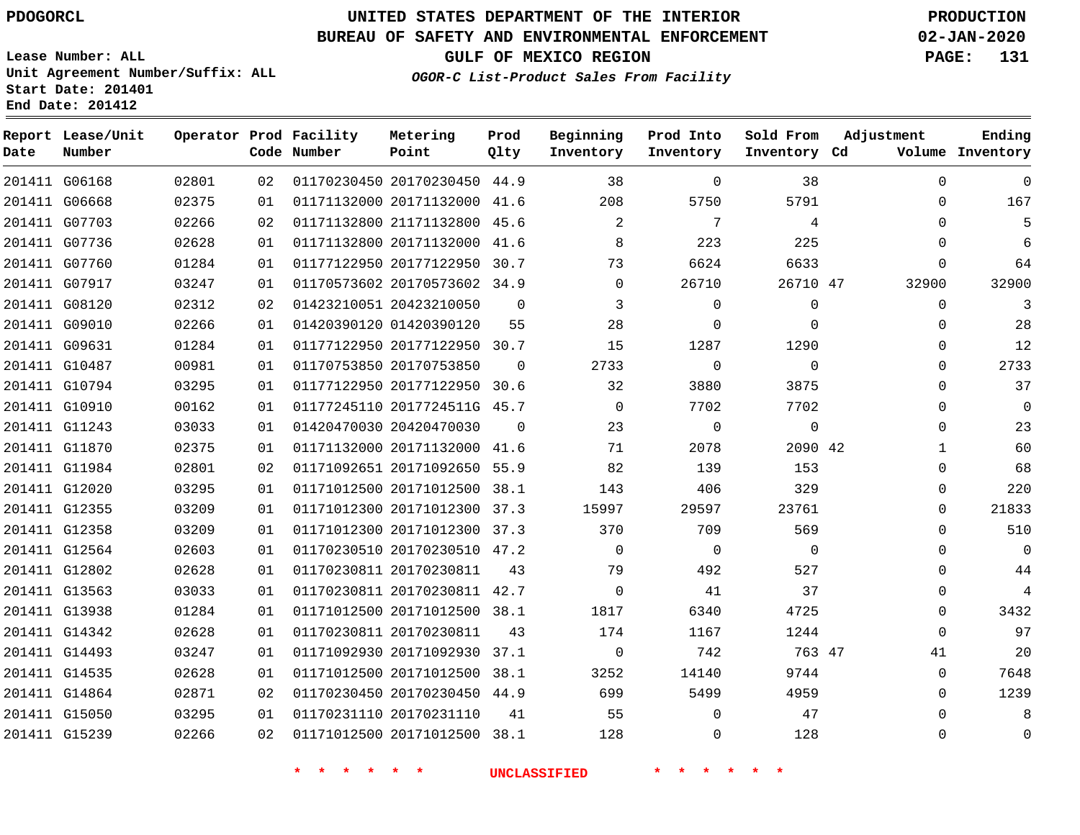**Date**

**Report Lease/Unit**

**Number**

# **UNITED STATES DEPARTMENT OF THE INTERIOR PDOGORCL PRODUCTION**

**Prod Qlty**

## **BUREAU OF SAFETY AND ENVIRONMENTAL ENFORCEMENT 02-JAN-2020**

**Lease Number: ALL Unit Agreement Number/Suffix: ALL Start Date: 201401 End Date: 201412**

**Operator Prod Facility**

**Code Number**

**OGOR-C List-Product Sales From Facility**

**Beginning Inventory**

**Prod Into Inventory**

**Sold From Inventory**

**GULF OF MEXICO REGION PAGE: 131**

**Inventory Cd Volume**

**Adjustment**

  $\Omega$  $\Omega$   $\Omega$ 

 $\Omega$   $\Omega$  $\Omega$  $\Omega$  $\Omega$  $\Omega$   $\Omega$  $\Omega$  $\Omega$  $\Omega$  $\Omega$  $\Omega$  $\Omega$   $\Omega$ 

**Ending**

|               |                     |    |                                           |                              |                                           |                | 38             | $\mathbf 0$    |
|---------------|---------------------|----|-------------------------------------------|------------------------------|-------------------------------------------|----------------|----------------|----------------|
| 201411 G06668 | 02375               |    | 01  01171132000  20171132000  41.6  208   |                              |                                           | 5750           | 5791           | $\Omega$       |
| 201411 G07703 | 02266               |    | 02 01171132800 21171132800 45.6 2         |                              |                                           | $\overline{7}$ | $\overline{4}$ | 0              |
| 201411 G07736 | 02628               | 01 |                                           |                              | 01171132800 20171132000 41.6 8            | 223            | 225            | $\overline{0}$ |
| 201411 G07760 | 01284               | 01 |                                           | 01177122950 20177122950 30.7 | 73                                        | 6624           | 6633           | $\mathbf 0$    |
| 201411 G07917 | 03247               | 01 |                                           | 01170573602 20170573602 34.9 | $\overline{0}$                            | 26710          | 26710 47       | 32900          |
| 201411 G08120 | 02312               |    | 02 01423210051 20423210050 0              |                              | $\overline{\mathbf{3}}$                   | $\overline{0}$ | $\overline{0}$ | 0              |
| 201411 G09010 | 02266               | 01 |                                           | 01420390120 01420390120 55   | 28                                        | $\overline{0}$ | $\overline{0}$ | $\Omega$       |
| 201411 G09631 | 01284               |    | 01   01177122950   20177122950   30.7     |                              | 15                                        | 1287           | 1290           | 0              |
| 201411 G10487 | 00981               | 01 |                                           |                              | 01170753850 20170753850 0 2733            | $\overline{0}$ | $\overline{0}$ | $\Omega$       |
| 201411 G10794 | 03295               |    | 01  01177122950  20177122950  30.6  32    |                              |                                           | 3880           | 3875           | 0              |
| 201411 G10910 | 00162               | 01 |                                           |                              | 01177245110 2017724511G 45.7 0 7702       |                | 7702           | $\Omega$       |
| 201411 G11243 | 03033               |    | 01 01420470030 20420470030 0              |                              | 23                                        | $\overline{0}$ | $\overline{0}$ | $\Omega$       |
| 201411 G11870 | 02375               | 01 | 01171132000 20171132000 41.6              |                              | 71                                        | 2078           | 2090 42        | 1              |
| 201411 G11984 | 02801               |    | 02 01171092651 20171092650 55.9 82 139    |                              |                                           |                | 153            | $\Omega$       |
| 201411 G12020 | 03295               | 01 |                                           |                              | 01171012500 20171012500 38.1 143 406      |                | 329            | $\Omega$       |
| 201411 G12355 | 03209               |    |                                           |                              |                                           | 29597          | 23761          | 0              |
| 201411 G12358 | 03209               | 01 |                                           |                              | 01171012300 20171012300 37.3 370 370 709  |                | 569            | $\Omega$       |
| 201411 G12564 | 02603               |    | 01   01170230510   20170230510   47.2     |                              | $\overline{0}$                            | $\overline{0}$ | $\overline{0}$ | $\Omega$       |
| 201411 G12802 | 02628               | 01 |                                           |                              | 01170230811 20170230811 43 79 492         |                | 527            | 0              |
| 201411 G13563 | 03033               |    | 01   01170230811   20170230811   42.7     |                              | $\overline{0}$                            | 41             | 37             | 0              |
| 201411 G13938 | 01284               | 01 |                                           | 01171012500 20171012500 38.1 | 1817                                      | 6340           | 4725           | $\mathbf 0$    |
| 201411 G14342 | 02628               |    | 01  01170230811  20170230811  43  174     |                              |                                           | 1167           | 1244           | $\Omega$       |
| 201411 G14493 | 03247               | 01 |                                           |                              | 01171092930 20171092930 37.1 0 742 763 47 |                |                | 41             |
| 201411 G14535 | 02628               | 01 |                                           |                              | 01171012500 20171012500 38.1 3252         | 14140          | 9744           | $\mathbf 0$    |
| 201411 G14864 | 02871               | 02 |                                           |                              | 01170230450 20170230450 44.9 699 5499     |                | 4959           | $\mathbf 0$    |
|               | 201411 G15050 03295 |    | 01  01170231110  20170231110  41  55      |                              |                                           | $\overline{0}$ | 47             | $\Omega$       |
|               | 201411 G15239 02266 |    | 02 01171012500 20171012500 38.1 128 0 128 |                              |                                           |                |                | 0              |
|               |                     |    |                                           |                              | * * * * * * * UNCLASSIFIED                | * * * * * *    |                |                |

**Metering Point**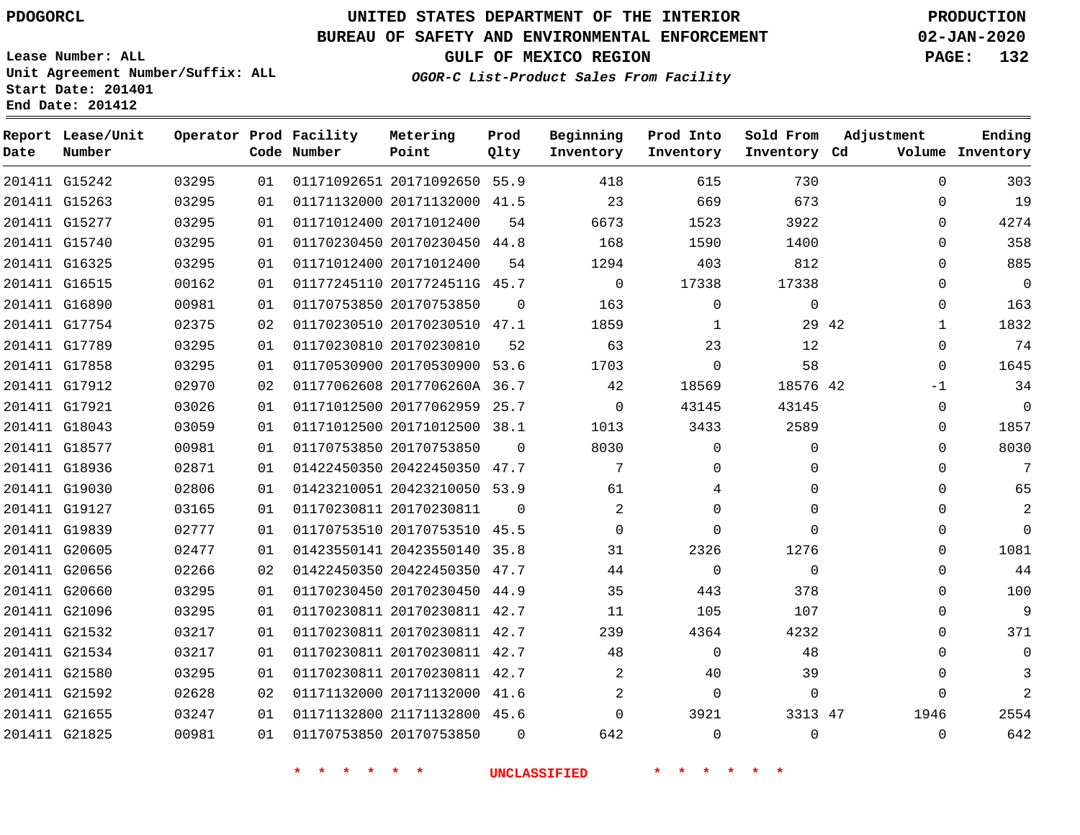## **BUREAU OF SAFETY AND ENVIRONMENTAL ENFORCEMENT 02-JAN-2020**

**Lease Number: ALL Unit Agreement Number/Suffix: ALL Start Date: 201401 End Date: 201412**

**OGOR-C List-Product Sales From Facility**

**GULF OF MEXICO REGION PAGE: 132**

| OGOR-C List-Product Sales From Facility |  |  |
|-----------------------------------------|--|--|
|                                         |  |  |
|                                         |  |  |

| Date          | Report Lease/Unit<br>Number |       |    | Operator Prod Facility<br>Code Number | Metering<br>Point            | Prod<br>Qlty | Beginning<br>Inventory | Prod Into<br>Inventory | Sold From<br>Inventory Cd | Adjustment            | Ending<br>Volume Inventory |
|---------------|-----------------------------|-------|----|---------------------------------------|------------------------------|--------------|------------------------|------------------------|---------------------------|-----------------------|----------------------------|
| 201411 G15242 |                             | 03295 | 01 |                                       | 01171092651 20171092650 55.9 |              | 418                    | 615                    | 730                       | $\Omega$              | 303                        |
| 201411 G15263 |                             | 03295 | 01 |                                       | 01171132000 20171132000 41.5 |              | 23                     | 669                    | 673                       | $\mathbf{0}$          | 19                         |
| 201411 G15277 |                             | 03295 | 01 |                                       | 01171012400 20171012400      | 54           | 6673                   | 1523                   | 3922                      | $\Omega$              | 4274                       |
| 201411 G15740 |                             | 03295 | 01 |                                       | 01170230450 20170230450 44.8 |              | 168                    | 1590                   | 1400                      | $\Omega$              | 358                        |
| 201411 G16325 |                             | 03295 | 01 |                                       | 01171012400 20171012400      | 54           | 1294                   | 403                    | 812                       | $\Omega$              | 885                        |
| 201411 G16515 |                             | 00162 | 01 |                                       | 01177245110 2017724511G 45.7 |              | $\overline{0}$         | 17338                  | 17338                     | $\mathbf 0$           | $\mathbf 0$                |
| 201411 G16890 |                             | 00981 | 01 |                                       | 01170753850 20170753850      | $\Omega$     | 163                    | $\Omega$               | $\Omega$                  | 0                     | 163                        |
| 201411 G17754 |                             | 02375 | 02 |                                       | 01170230510 20170230510 47.1 |              | 1859                   | 1                      |                           | 29 42<br>$\mathbf{1}$ | 1832                       |
| 201411 G17789 |                             | 03295 | 01 |                                       | 01170230810 20170230810      | 52           | 63                     | 23                     | 12                        | $\Omega$              | 74                         |
| 201411 G17858 |                             | 03295 | 01 |                                       | 01170530900 20170530900 53.6 |              | 1703                   | 0                      | 58                        | 0                     | 1645                       |
| 201411 G17912 |                             | 02970 | 02 |                                       | 01177062608 2017706260A 36.7 |              | 42                     | 18569                  | 18576 42                  | $-1$                  | 34                         |
| 201411 G17921 |                             | 03026 | 01 |                                       | 01171012500 20177062959      | 25.7         | $\mathbf 0$            | 43145                  | 43145                     | $\mathbf{0}$          | $\mathbf 0$                |
| 201411 G18043 |                             | 03059 | 01 |                                       | 01171012500 20171012500 38.1 |              | 1013                   | 3433                   | 2589                      | $\Omega$              | 1857                       |
| 201411 G18577 |                             | 00981 | 01 |                                       | 01170753850 20170753850      | $\Omega$     | 8030                   | $\Omega$               | $\Omega$                  | $\Omega$              | 8030                       |
| 201411 G18936 |                             | 02871 | 01 |                                       | 01422450350 20422450350 47.7 |              | 7                      | $\Omega$               | $\Omega$                  | $\Omega$              | 7                          |
| 201411 G19030 |                             | 02806 | 01 |                                       | 01423210051 20423210050 53.9 |              | 61                     | 4                      | $\Omega$                  | $\Omega$              | 65                         |
| 201411 G19127 |                             | 03165 | 01 |                                       | 01170230811 20170230811      | $\mathbf 0$  | $\overline{c}$         | $\Omega$               | $\Omega$                  | $\Omega$              | $\overline{a}$             |
| 201411 G19839 |                             | 02777 | 01 |                                       | 01170753510 20170753510 45.5 |              | $\Omega$               | $\Omega$               | $\Omega$                  | $\Omega$              | $\Omega$                   |
| 201411 G20605 |                             | 02477 | 01 |                                       | 01423550141 20423550140 35.8 |              | 31                     | 2326                   | 1276                      | $\mathbf{0}$          | 1081                       |
| 201411 G20656 |                             | 02266 | 02 |                                       | 01422450350 20422450350 47.7 |              | 44                     | $\mathbf 0$            | $\Omega$                  | $\mathbf{0}$          | 44                         |
| 201411 G20660 |                             | 03295 | 01 |                                       | 01170230450 20170230450 44.9 |              | 35                     | 443                    | 378                       | $\mathbf{0}$          | 100                        |
| 201411 G21096 |                             | 03295 | 01 |                                       | 01170230811 20170230811 42.7 |              | 11                     | 105                    | 107                       | $\Omega$              | 9                          |
| 201411 G21532 |                             | 03217 | 01 |                                       | 01170230811 20170230811 42.7 |              | 239                    | 4364                   | 4232                      | $\mathbf 0$           | 371                        |
| 201411 G21534 |                             | 03217 | 01 |                                       | 01170230811 20170230811 42.7 |              | 48                     | $\Omega$               | 48                        | $\Omega$              | $\mathbf 0$                |
| 201411 G21580 |                             | 03295 | 01 |                                       | 01170230811 20170230811 42.7 |              | $\overline{2}$         | 40                     | 39                        | $\mathbf{0}$          | 3                          |
| 201411 G21592 |                             | 02628 | 02 |                                       | 01171132000 20171132000 41.6 |              | 2                      | $\Omega$               | $\Omega$                  | $\Omega$              | 2                          |
| 201411 G21655 |                             | 03247 | 01 |                                       | 01171132800 21171132800 45.6 |              | 0                      | 3921                   | 3313 47                   | 1946                  | 2554                       |
| 201411 G21825 |                             | 00981 | 01 |                                       | 01170753850 20170753850      | $\Omega$     | 642                    | $\Omega$               | $\Omega$                  | $\mathbf{0}$          | 642                        |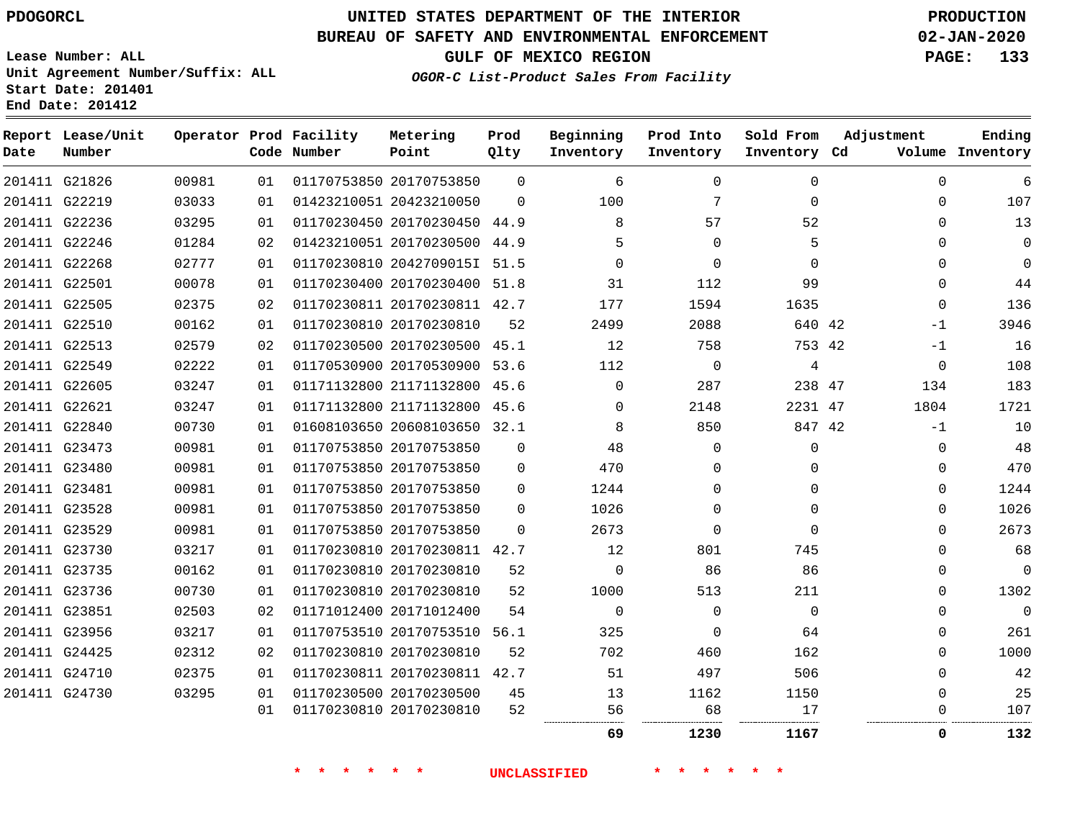**Date**

# **UNITED STATES DEPARTMENT OF THE INTERIOR PDOGORCL PRODUCTION**

#### **BUREAU OF SAFETY AND ENVIRONMENTAL ENFORCEMENT 02-JAN-2020**

**Lease Number: ALL Unit Agreement Number/Suffix: ALL Start Date: 201401**

**Operator Prod Facility**

**Code Number**

**Metering Point**

**End Date: 201412**

**Report Lease/Unit**

**Number**

**GULF OF MEXICO REGION PAGE: 133**

 $\Omega$ 

**Prod Qlty**

**Inventory Cd Volume**

**Adjustment**

 $\Omega$ 

**Ending**

. . . . . . . . . .

. . . . . . . . . . . . .

**OGOR-C List-Product Sales From Facility**

**Beginning Inventory**

 $\cap$ 

 $\cap$ 

**Sold From Inventory**

**Prod Into Inventory**

| 201411 G21826 | 00981 | 01 | 01170753850 20170753850      | <sup>0</sup> | 6           | O        | 0        | 0        | 6           |
|---------------|-------|----|------------------------------|--------------|-------------|----------|----------|----------|-------------|
| 201411 G22219 | 03033 | 01 | 01423210051 20423210050      | $\Omega$     | 100         | 7        | $\Omega$ | 0        | 107         |
| 201411 G22236 | 03295 | 01 | 01170230450 20170230450 44.9 |              | 8           | 57       | 52       | 0        | 13          |
| 201411 G22246 | 01284 | 02 | 01423210051 20170230500 44.9 |              | 5           | $\Omega$ | 5        | 0        | $\mathbf 0$ |
| 201411 G22268 | 02777 | 01 | 01170230810 2042709015I 51.5 |              | $\Omega$    | $\Omega$ | $\Omega$ | 0        | $\Omega$    |
| 201411 G22501 | 00078 | 01 | 01170230400 20170230400 51.8 |              | 31          | 112      | 99       | $\Omega$ | 44          |
| 201411 G22505 | 02375 | 02 | 01170230811 20170230811 42.7 |              | 177         | 1594     | 1635     | $\Omega$ | 136         |
| 201411 G22510 | 00162 | 01 | 01170230810 20170230810      | 52           | 2499        | 2088     | 640 42   | $-1$     | 3946        |
| 201411 G22513 | 02579 | 02 | 01170230500 20170230500 45.1 |              | 12          | 758      | 753 42   | $-1$     | 16          |
| 201411 G22549 | 02222 | 01 | 01170530900 20170530900 53.6 |              | 112         | $\Omega$ | 4        | $\Omega$ | 108         |
| 201411 G22605 | 03247 | 01 | 01171132800 21171132800 45.6 |              | 0           | 287      | 238 47   | 134      | 183         |
| 201411 G22621 | 03247 | 01 | 01171132800 21171132800 45.6 |              | $\Omega$    | 2148     | 2231 47  | 1804     | 1721        |
| 201411 G22840 | 00730 | 01 | 01608103650 20608103650 32.1 |              | 8           | 850      | 847 42   | $-1$     | 10          |
| 201411 G23473 | 00981 | 01 | 01170753850 20170753850      | $\Omega$     | 48          | $\Omega$ | $\Omega$ | $\Omega$ | 48          |
| 201411 G23480 | 00981 | 01 | 01170753850 20170753850      | $\Omega$     | 470         | $\Omega$ | 0        | 0        | 470         |
| 201411 G23481 | 00981 | 01 | 01170753850 20170753850      | $\Omega$     | 1244        | $\Omega$ | $\Omega$ | 0        | 1244        |
| 201411 G23528 | 00981 | 01 | 01170753850 20170753850      | $\Omega$     | 1026        | $\Omega$ | $\Omega$ | $\Omega$ | 1026        |
| 201411 G23529 | 00981 | 01 | 01170753850 20170753850      | $\Omega$     | 2673        | $\Omega$ | $\Omega$ | 0        | 2673        |
| 201411 G23730 | 03217 | 01 | 01170230810 20170230811 42.7 |              | 12          | 801      | 745      | 0        | 68          |
| 201411 G23735 | 00162 | 01 | 01170230810 20170230810      | 52           | $\mathbf 0$ | 86       | 86       | 0        | $\mathbf 0$ |
| 201411 G23736 | 00730 | 01 | 01170230810 20170230810      | 52           | 1000        | 513      | 211      | 0        | 1302        |
| 201411 G23851 | 02503 | 02 | 01171012400 20171012400      | 54           | $\Omega$    | $\Omega$ | $\Omega$ | 0        | $\mathbf 0$ |
| 201411 G23956 | 03217 | 01 | 01170753510 20170753510 56.1 |              | 325         | $\Omega$ | 64       | 0        | 261         |
| 201411 G24425 | 02312 | 02 | 01170230810 20170230810      | 52           | 702         | 460      | 162      | 0        | 1000        |
| 201411 G24710 | 02375 | 01 | 01170230811 20170230811 42.7 |              | 51          | 497      | 506      | 0        | 42          |
| 201411 G24730 | 03295 | 01 | 01170230500 20170230500      | 45           | 13          | 1162     | 1150     | $\Omega$ | 25          |

**\* \* \* \* \* \* UNCLASSIFIED \* \* \* \* \* \***

. . . . . . . . . . . . . . .

. . . . . . . .

.............................

**1230 1167 0 132**

. . . . . . . .

20170230810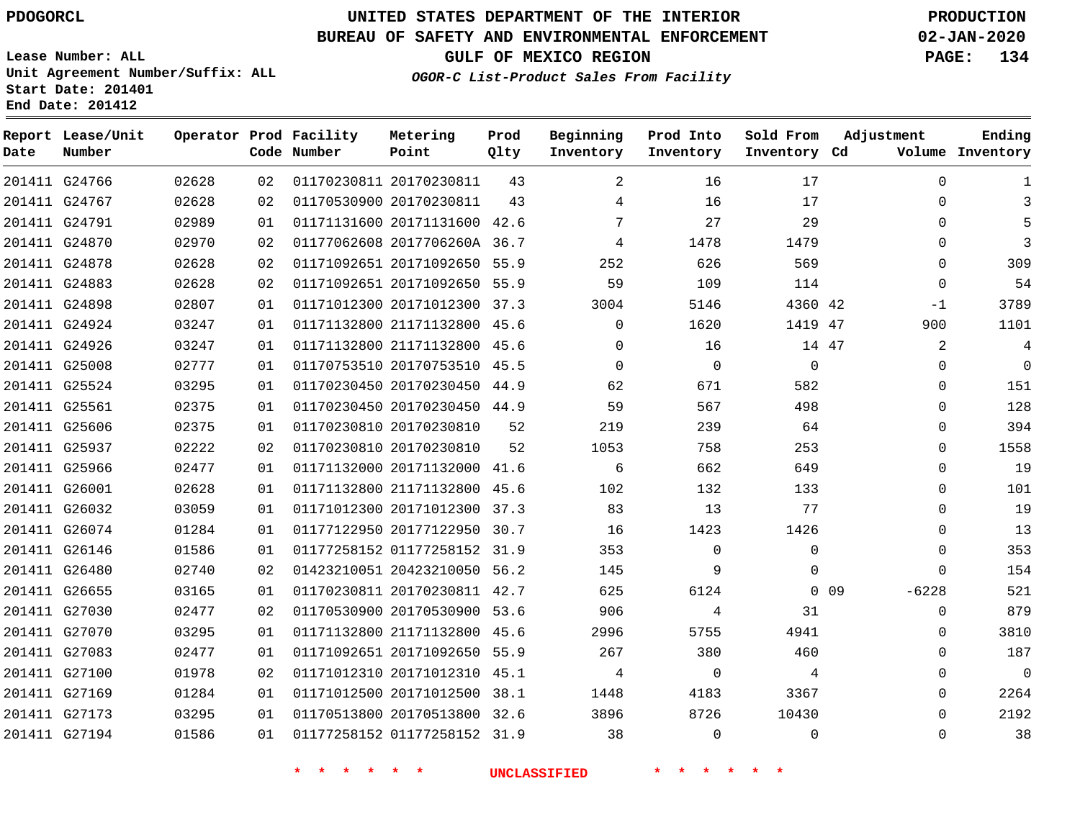## **BUREAU OF SAFETY AND ENVIRONMENTAL ENFORCEMENT 02-JAN-2020**

**Lease Number: ALL Unit Agreement Number/Suffix: ALL Start Date: 201401 End Date: 201412**

**OGOR-C List-Product Sales From Facility**

**GULF OF MEXICO REGION PAGE: 134**

| Date | Report Lease/Unit<br>Number |       |    | Operator Prod Facility<br>Code Number | Metering<br>Point            | Prod<br>Qlty | Beginning<br>Inventory | Prod Into<br>Inventory | Sold From<br>Inventory Cd | Adjustment            | Ending<br>Volume Inventory |
|------|-----------------------------|-------|----|---------------------------------------|------------------------------|--------------|------------------------|------------------------|---------------------------|-----------------------|----------------------------|
|      | 201411 G24766               | 02628 | 02 |                                       | 01170230811 20170230811      | 43           | $\overline{a}$         | 16                     | 17                        | $\Omega$              | 1                          |
|      | 201411 G24767               | 02628 | 02 |                                       | 01170530900 20170230811      | 43           | 4                      | 16                     | 17                        | $\Omega$              | 3                          |
|      | 201411 G24791               | 02989 | 01 |                                       | 01171131600 20171131600 42.6 |              | 7                      | 27                     | 29                        | $\Omega$              | 5                          |
|      | 201411 G24870               | 02970 | 02 |                                       | 01177062608 2017706260A 36.7 |              | 4                      | 1478                   | 1479                      | $\Omega$              | 3                          |
|      | 201411 G24878               | 02628 | 02 |                                       | 01171092651 20171092650 55.9 |              | 252                    | 626                    | 569                       | $\Omega$              | 309                        |
|      | 201411 G24883               | 02628 | 02 |                                       | 01171092651 20171092650 55.9 |              | 59                     | 109                    | 114                       | $\Omega$              | 54                         |
|      | 201411 G24898               | 02807 | 01 |                                       | 01171012300 20171012300 37.3 |              | 3004                   | 5146                   | 4360 42                   | $-1$                  | 3789                       |
|      | 201411 G24924               | 03247 | 01 |                                       | 01171132800 21171132800 45.6 |              | $\Omega$               | 1620                   | 1419 47                   | 900                   | 1101                       |
|      | 201411 G24926               | 03247 | 01 |                                       | 01171132800 21171132800 45.6 |              | $\Omega$               | 16                     | 14 47                     | 2                     | 4                          |
|      | 201411 G25008               | 02777 | 01 |                                       | 01170753510 20170753510 45.5 |              | $\Omega$               | $\Omega$               | $\Omega$                  | $\Omega$              | $\Omega$                   |
|      | 201411 G25524               | 03295 | 01 |                                       | 01170230450 20170230450 44.9 |              | 62                     | 671                    | 582                       | $\Omega$              | 151                        |
|      | 201411 G25561               | 02375 | 01 |                                       | 01170230450 20170230450 44.9 |              | 59                     | 567                    | 498                       | $\Omega$              | 128                        |
|      | 201411 G25606               | 02375 | 01 |                                       | 01170230810 20170230810      | 52           | 219                    | 239                    | 64                        | $\Omega$              | 394                        |
|      | 201411 G25937               | 02222 | 02 |                                       | 01170230810 20170230810      | 52           | 1053                   | 758                    | 253                       | $\Omega$              | 1558                       |
|      | 201411 G25966               | 02477 | 01 |                                       | 01171132000 20171132000 41.6 |              | 6                      | 662                    | 649                       | 0                     | 19                         |
|      | 201411 G26001               | 02628 | 01 |                                       | 01171132800 21171132800 45.6 |              | 102                    | 132                    | 133                       | $\Omega$              | 101                        |
|      | 201411 G26032               | 03059 | 01 |                                       | 01171012300 20171012300 37.3 |              | 83                     | 13                     | 77                        | $\Omega$              | 19                         |
|      | 201411 G26074               | 01284 | 01 |                                       | 01177122950 20177122950 30.7 |              | 16                     | 1423                   | 1426                      | $\Omega$              | 13                         |
|      | 201411 G26146               | 01586 | 01 |                                       | 01177258152 01177258152 31.9 |              | 353                    | $\mathbf 0$            | $\Omega$                  | 0                     | 353                        |
|      | 201411 G26480               | 02740 | 02 |                                       | 01423210051 20423210050 56.2 |              | 145                    | 9                      | $\Omega$                  | $\Omega$              | 154                        |
|      | 201411 G26655               | 03165 | 01 |                                       | 01170230811 20170230811 42.7 |              | 625                    | 6124                   |                           | $-6228$<br>$0\quad09$ | 521                        |
|      | 201411 G27030               | 02477 | 02 |                                       | 01170530900 20170530900 53.6 |              | 906                    | 4                      | 31                        | 0                     | 879                        |
|      | 201411 G27070               | 03295 | 01 |                                       | 01171132800 21171132800 45.6 |              | 2996                   | 5755                   | 4941                      | 0                     | 3810                       |
|      | 201411 G27083               | 02477 | 01 |                                       | 01171092651 20171092650 55.9 |              | 267                    | 380                    | 460                       | $\Omega$              | 187                        |
|      | 201411 G27100               | 01978 | 02 |                                       | 01171012310 20171012310 45.1 |              | 4                      | $\mathbf 0$            | 4                         | 0                     | $\overline{0}$             |
|      | 201411 G27169               | 01284 | 01 |                                       | 01171012500 20171012500 38.1 |              | 1448                   | 4183                   | 3367                      | 0                     | 2264                       |
|      | 201411 G27173               | 03295 | 01 |                                       | 01170513800 20170513800 32.6 |              | 3896                   | 8726                   | 10430                     | $\Omega$              | 2192                       |
|      | 201411 G27194               | 01586 | 01 |                                       | 01177258152 01177258152 31.9 |              | 38                     | $\Omega$               | $\Omega$                  | $\Omega$              | 38                         |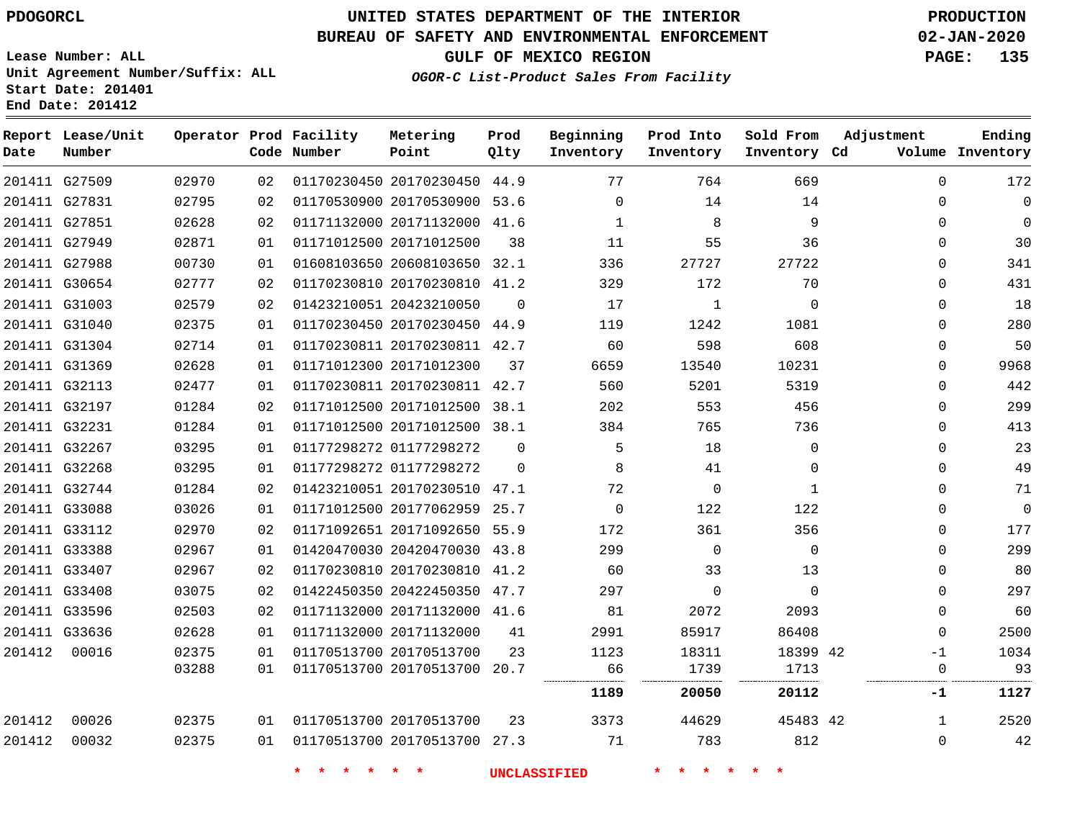G27509 G27831

**Date**

**Report Lease/Unit**

**Number**

00016

# **UNITED STATES DEPARTMENT OF THE INTERIOR PDOGORCL PRODUCTION**

**Prod Qlty**

#### **BUREAU OF SAFETY AND ENVIRONMENTAL ENFORCEMENT 02-JAN-2020**

**Lease Number: ALL Unit Agreement Number/Suffix: ALL Start Date: 201401 End Date: 201412**

> 

**Operator Prod Facility**

**Code Number**

 

    **OGOR-C List-Product Sales From Facility**

  $\Omega$ 

**Beginning Inventory**

**Inventory Cd Volume**

**Adjustment**

  $\Omega$  $\Omega$  $\Omega$  $\Omega$  $\Omega$  $\Omega$  $\Omega$  $\Omega$  $\Omega$  $\Omega$  $\Omega$  $\Omega$  $\overline{0}$  $\Omega$  $\overline{0}$  $\Omega$  $\Omega$  $\Omega$  $\Omega$   $\Omega$  $\Omega$ -1 

**Ending**

**GULF OF MEXICO REGION PAGE: 135**

 

 

**Sold From Inventory**

**Prod Into Inventory**

|               | 201411 G27851 | 02628 | 02 |                         | 01171132000 20171132000 41.6 |                |          | 8        | 9            |  |
|---------------|---------------|-------|----|-------------------------|------------------------------|----------------|----------|----------|--------------|--|
| 201411 G27949 |               | 02871 | 01 | 01171012500 20171012500 |                              | 38             | 11       | 55       | 36           |  |
| 201411 G27988 |               | 00730 | 01 |                         | 01608103650 20608103650 32.1 |                | 336      | 27727    | 27722        |  |
|               | 201411 G30654 | 02777 | 02 |                         | 01170230810 20170230810 41.2 |                | 329      | 172      | 70           |  |
|               | 201411 G31003 | 02579 | 02 | 01423210051 20423210050 |                              | $\overline{0}$ | 17       | 1        | $\mathbf 0$  |  |
|               | 201411 G31040 | 02375 | 01 |                         | 01170230450 20170230450 44.9 |                | 119      | 1242     | 1081         |  |
|               | 201411 G31304 | 02714 | 01 |                         | 01170230811 20170230811 42.7 |                | 60       | 598      | 608          |  |
| 201411 G31369 |               | 02628 | 01 | 01171012300 20171012300 |                              | 37             | 6659     | 13540    | 10231        |  |
| 201411 G32113 |               | 02477 | 01 |                         | 01170230811 20170230811 42.7 |                | 560      | 5201     | 5319         |  |
|               | 201411 G32197 | 01284 | 02 |                         | 01171012500 20171012500 38.1 |                | 202      | 553      | 456          |  |
|               | 201411 G32231 | 01284 | 01 |                         | 01171012500 20171012500 38.1 |                | 384      | 765      | 736          |  |
| 201411 G32267 |               | 03295 | 01 | 01177298272 01177298272 |                              | $\Omega$       | 5        | 18       | $\mathbf 0$  |  |
| 201411 G32268 |               | 03295 | 01 | 01177298272 01177298272 |                              | $\mathbf 0$    | 8        | 41       | 0            |  |
| 201411 G32744 |               | 01284 | 02 |                         | 01423210051 20170230510 47.1 |                | 72       | 0        | $\mathbf{1}$ |  |
| 201411 G33088 |               | 03026 | 01 |                         | 01171012500 20177062959 25.7 |                | $\Omega$ | 122      | 122          |  |
|               | 201411 G33112 | 02970 | 02 |                         | 01171092651 20171092650 55.9 |                | 172      | 361      | 356          |  |
| 201411 G33388 |               | 02967 | 01 |                         | 01420470030 20420470030 43.8 |                | 299      | $\Omega$ | $\mathbf 0$  |  |
|               | 201411 G33407 | 02967 | 02 |                         | 01170230810 20170230810 41.2 |                | 60       | 33       | 13           |  |
| 201411 G33408 |               | 03075 | 02 |                         | 01422450350 20422450350 47.7 |                | 297      | $\Omega$ | $\Omega$     |  |
| 201411 G33596 |               | 02503 | 02 |                         | 01171132000 20171132000 41.6 |                | 81       | 2072     | 2093         |  |
|               | 201411 G33636 | 02628 | 01 |                         | 01171132000 20171132000      | 41             | 2991     | 85917    | 86408        |  |

 20170230450 44.9 20170530900 53.6

**Metering Point**

|        |       | 03288 | 01 | 01170513700 20170513700 20.7 |    | 66       | 739 '     | '713      |     |      |
|--------|-------|-------|----|------------------------------|----|----------|-----------|-----------|-----|------|
|        |       |       |    |                              |    | <br>1189 | <br>20050 | <br>20112 | - 1 | 1127 |
| 201412 | 00026 | 02375 | 01 | 01170513700 20170513700      | 23 | 3373     | 44629     | 45483 42  |     | 2520 |
| 201412 | 00032 | 02375 | 01 | 01170513700 20170513700 27.3 |    | 71       | 783       | 812       |     | 42   |

 

**\* \* \* \* \* \* UNCLASSIFIED \* \* \* \* \* \***

20170513700

  42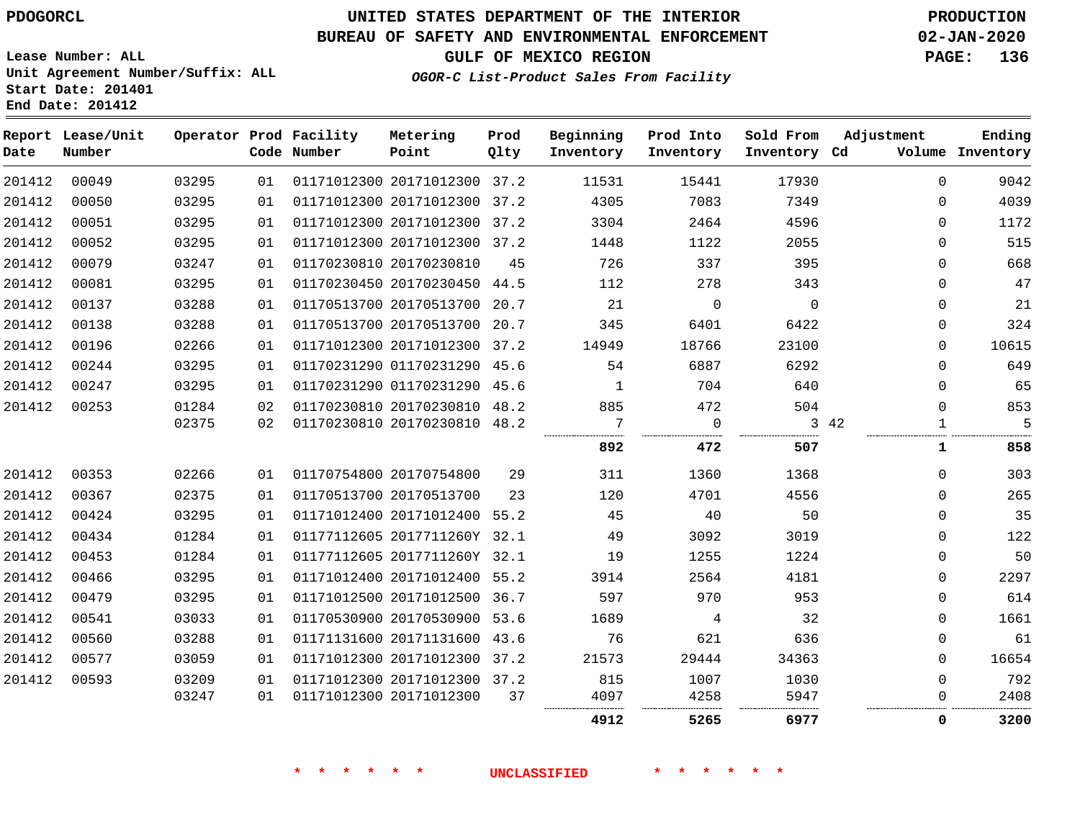**Lease Number: ALL**

**Start Date: 201401 End Date: 201412**

# **UNITED STATES DEPARTMENT OF THE INTERIOR PDOGORCL PRODUCTION**

## **BUREAU OF SAFETY AND ENVIRONMENTAL ENFORCEMENT 02-JAN-2020**

**Unit Agreement Number/Suffix: ALL**

**GULF OF MEXICO REGION PAGE: 136**

**OGOR-C List-Product Sales From Facility**

| Date   | Report Lease/Unit<br>Number |       |    | Operator Prod Facility<br>Code Number | Metering<br>Point            | Prod<br>Qlty | Beginning<br>Inventory | Prod Into<br>Inventory | Sold From<br>Inventory Cd | Adjustment  | Ending<br>Volume Inventory |
|--------|-----------------------------|-------|----|---------------------------------------|------------------------------|--------------|------------------------|------------------------|---------------------------|-------------|----------------------------|
| 201412 | 00049                       | 03295 | 01 |                                       | 01171012300 20171012300 37.2 |              | 11531                  | 15441                  | 17930                     | $\Omega$    | 9042                       |
| 201412 | 00050                       | 03295 | 01 |                                       | 01171012300 20171012300      | 37.2         | 4305                   | 7083                   | 7349                      | $\Omega$    | 4039                       |
| 201412 | 00051                       | 03295 | 01 |                                       | 01171012300 20171012300 37.2 |              | 3304                   | 2464                   | 4596                      | $\Omega$    | 1172                       |
| 201412 | 00052                       | 03295 | 01 |                                       | 01171012300 20171012300 37.2 |              | 1448                   | 1122                   | 2055                      | $\Omega$    | 515                        |
| 201412 | 00079                       | 03247 | 01 |                                       | 01170230810 20170230810      | 45           | 726                    | 337                    | 395                       | $\Omega$    | 668                        |
| 201412 | 00081                       | 03295 | 01 |                                       | 01170230450 20170230450 44.5 |              | 112                    | 278                    | 343                       | 0           | 47                         |
| 201412 | 00137                       | 03288 | 01 |                                       | 01170513700 20170513700      | 20.7         | 21                     | $\Omega$               | $\Omega$                  | $\Omega$    | 21                         |
| 201412 | 00138                       | 03288 | 01 |                                       | 01170513700 20170513700      | 20.7         | 345                    | 6401                   | 6422                      | $\mathbf 0$ | 324                        |
| 201412 | 00196                       | 02266 | 01 |                                       | 01171012300 20171012300      | 37.2         | 14949                  | 18766                  | 23100                     | $\Omega$    | 10615                      |
| 201412 | 00244                       | 03295 | 01 |                                       | 01170231290 01170231290      | 45.6         | 54                     | 6887                   | 6292                      | $\mathbf 0$ | 649                        |
| 201412 | 00247                       | 03295 | 01 |                                       | 01170231290 01170231290 45.6 |              | 1                      | 704                    | 640                       | $\Omega$    | 65                         |
| 201412 | 00253                       | 01284 | 02 |                                       | 01170230810 20170230810 48.2 |              | 885                    | 472                    | 504                       | $\Omega$    | 853                        |
|        |                             | 02375 | 02 |                                       | 01170230810 20170230810 48.2 |              | 7                      | $\Omega$               |                           | 3 42<br>1   | $\overline{5}$             |
|        |                             |       |    |                                       |                              |              | 892                    | 472                    | 507                       | 1           | 858                        |
| 201412 | 00353                       | 02266 | 01 |                                       | 01170754800 20170754800      | 29           | 311                    | 1360                   | 1368                      | $\Omega$    | 303                        |
| 201412 | 00367                       | 02375 | 01 |                                       | 01170513700 20170513700      | 23           | 120                    | 4701                   | 4556                      | $\Omega$    | 265                        |
| 201412 | 00424                       | 03295 | 01 |                                       | 01171012400 20171012400      | 55.2         | 45                     | 40                     | 50                        | $\Omega$    | 35                         |
| 201412 | 00434                       | 01284 | 01 |                                       | 01177112605 2017711260Y 32.1 |              | 49                     | 3092                   | 3019                      | $\mathbf 0$ | 122                        |
| 201412 | 00453                       | 01284 | 01 |                                       | 01177112605 2017711260Y 32.1 |              | 19                     | 1255                   | 1224                      | $\Omega$    | 50                         |
| 201412 | 00466                       | 03295 | 01 |                                       | 01171012400 20171012400 55.2 |              | 3914                   | 2564                   | 4181                      | $\Omega$    | 2297                       |
| 201412 | 00479                       | 03295 | 01 |                                       | 01171012500 20171012500 36.7 |              | 597                    | 970                    | 953                       | $\mathbf 0$ | 614                        |
| 201412 | 00541                       | 03033 | 01 |                                       | 01170530900 20170530900 53.6 |              | 1689                   | 4                      | 32                        | $\Omega$    | 1661                       |
| 201412 | 00560                       | 03288 | 01 |                                       | 01171131600 20171131600      | 43.6         | 76                     | 621                    | 636                       | 0           | 61                         |
| 201412 | 00577                       | 03059 | 01 |                                       | 01171012300 20171012300 37.2 |              | 21573                  | 29444                  | 34363                     | $\Omega$    | 16654                      |
| 201412 | 00593                       | 03209 | 01 |                                       | 01171012300 20171012300 37.2 |              | 815                    | 1007                   | 1030                      | $\mathbf 0$ | 792                        |
|        |                             | 03247 | 01 |                                       | 01171012300 20171012300      | 37           | 4097                   | 4258                   | 5947                      | $\mathbf 0$ | 2408                       |
|        |                             |       |    |                                       |                              |              | 4912                   | 5265                   | 6977                      | 0           | 3200                       |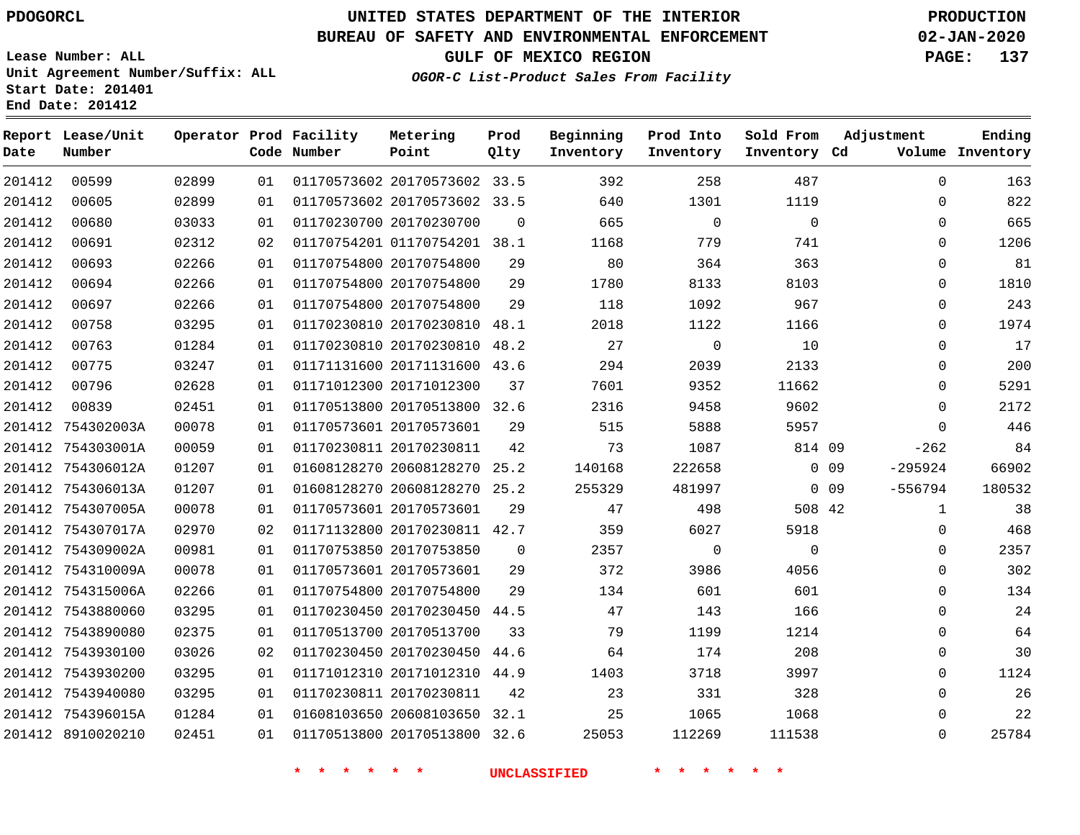**Prod**

## **BUREAU OF SAFETY AND ENVIRONMENTAL ENFORCEMENT 02-JAN-2020**

**Lease Number: ALL Unit Agreement Number/Suffix: ALL Start Date: 201401 End Date: 201412**

**OGOR-C List-Product Sales From Facility**

**Beginning**

**Prod Into**

**Sold From**

**Adjustment**

**GULF OF MEXICO REGION PAGE: 137**

**Ending**

| Ending<br>Volume Inventory | Adjustment   |        | Sold From<br>Inventory Cd | Prod Into<br>Inventory | Beginning<br>Inventory | Prod<br>Qlty | Metering<br>Point            | Operator Prod Facility<br>Code Number |    |       | Report Lease/Unit<br>Number | Date   |
|----------------------------|--------------|--------|---------------------------|------------------------|------------------------|--------------|------------------------------|---------------------------------------|----|-------|-----------------------------|--------|
| 163                        | $\mathbf 0$  |        | 487                       | 258                    | 392                    |              | 01170573602 20170573602 33.5 |                                       | 01 | 02899 | 00599                       | 201412 |
| 822                        | $\Omega$     |        | 1119                      | 1301                   | 640                    |              | 01170573602 20170573602 33.5 |                                       | 01 | 02899 | 00605                       | 201412 |
| 665                        | $\mathbf 0$  |        | 0                         | $\mathbf 0$            | 665                    | $\mathbf 0$  |                              | 01170230700 20170230700               | 01 | 03033 | 00680                       | 201412 |
| 1206                       | $\mathbf 0$  |        | 741                       | 779                    | 1168                   |              | 01170754201 01170754201 38.1 |                                       | 02 | 02312 | 00691                       | 201412 |
| 81                         | 0            |        | 363                       | 364                    | 80                     | 29           |                              | 01170754800 20170754800               | 01 | 02266 | 00693                       | 201412 |
| 1810                       | $\Omega$     |        | 8103                      | 8133                   | 1780                   | 29           |                              | 01170754800 20170754800               | 01 | 02266 | 00694                       | 201412 |
| 243                        | $\mathbf 0$  |        | 967                       | 1092                   | 118                    | 29           |                              | 01170754800 20170754800               | 01 | 02266 | 00697                       | 201412 |
| 1974                       | $\mathbf 0$  |        | 1166                      | 1122                   | 2018                   |              | 01170230810 20170230810 48.1 |                                       | 01 | 03295 | 00758                       | 201412 |
| 17                         | $\mathbf 0$  |        | $10$                      | $\mathsf 0$            | 27                     |              | 01170230810 20170230810 48.2 |                                       | 01 | 01284 | 00763                       | 201412 |
| 200                        | $\mathbf 0$  |        | 2133                      | 2039                   | 294                    |              | 01171131600 20171131600 43.6 |                                       | 01 | 03247 | 00775                       | 201412 |
| 5291                       | $\mathbf{0}$ |        | 11662                     | 9352                   | 7601                   | 37           |                              | 01171012300 20171012300               | 01 | 02628 | 00796                       | 201412 |
| 2172                       | $\mathbf{0}$ |        | 9602                      | 9458                   | 2316                   |              | 01170513800 20170513800 32.6 |                                       | 01 | 02451 | 00839                       | 201412 |
| 446                        | $\mathbf 0$  |        | 5957                      | 5888                   | 515                    | 29           |                              | 01170573601 20170573601               | 01 | 00078 | 201412 754302003A           |        |
| 84                         | $-262$       |        | 814 09                    | 1087                   | 73                     | 42           |                              | 01170230811 20170230811               | 01 | 00059 | 201412 754303001A           |        |
| 66902                      | $-295924$    | $0$ 09 |                           | 222658                 | 140168                 |              | 01608128270 20608128270 25.2 |                                       | 01 | 01207 | 201412 754306012A           |        |
| 180532                     | $-556794$    | $0$ 09 |                           | 481997                 | 255329                 |              | 01608128270 20608128270 25.2 |                                       | 01 | 01207 | 201412 754306013A           |        |
| 38                         | $\mathbf{1}$ |        | 508 42                    | 498                    | 47                     | 29           |                              | 01170573601 20170573601               | 01 | 00078 | 201412 754307005A           |        |
| 468                        | $\mathbf 0$  |        | 5918                      | 6027                   | 359                    |              | 01171132800 20170230811 42.7 |                                       | 02 | 02970 | 201412 754307017A           |        |
| 2357                       | $\Omega$     |        | $\Omega$                  | $\mathbf 0$            | 2357                   | $\Omega$     | 01170753850 20170753850      |                                       | 01 | 00981 | 201412 754309002A           |        |
| 302                        | $\mathbf 0$  |        | 4056                      | 3986                   | 372                    | 29           |                              | 01170573601 20170573601               | 01 | 00078 | 201412 754310009A           |        |
| 134                        | $\mathbf 0$  |        | 601                       | 601                    | 134                    | 29           |                              | 01170754800 20170754800               | 01 | 02266 | 201412 754315006A           |        |
| 24                         | $\mathbf 0$  |        | 166                       | 143                    | 47                     |              | 01170230450 20170230450 44.5 |                                       | 01 | 03295 | 201412 7543880060           |        |
| 64                         | $\Omega$     |        | 1214                      | 1199                   | 79                     | 33           |                              | 01170513700 20170513700               | 01 | 02375 | 201412 7543890080           |        |
| 30                         | $\mathbf 0$  |        | 208                       | 174                    | 64                     |              | 01170230450 20170230450 44.6 |                                       | 02 | 03026 | 201412 7543930100           |        |
| 1124                       | $\mathbf{0}$ |        | 3997                      | 3718                   | 1403                   |              | 01171012310 20171012310 44.9 |                                       | 01 | 03295 | 201412 7543930200           |        |
| 26                         | $\mathbf 0$  |        | 328                       | 331                    | 23                     | 42           |                              | 01170230811 20170230811               | 01 | 03295 | 201412 7543940080           |        |
| 22                         | $\mathbf 0$  |        | 1068                      | 1065                   | 25                     |              | 01608103650 20608103650 32.1 |                                       | 01 | 01284 | 201412 754396015A           |        |
| 25784                      | 0            |        | 111538                    | 112269                 | 25053                  |              | 01170513800 20170513800 32.6 |                                       | 01 | 02451 | 201412 8910020210           |        |
|                            |              |        | $\star$                   |                        | <b>UNCLASSIFIED</b>    |              |                              | * * * *<br>$\star$ $\star$            |    |       |                             |        |

**Metering**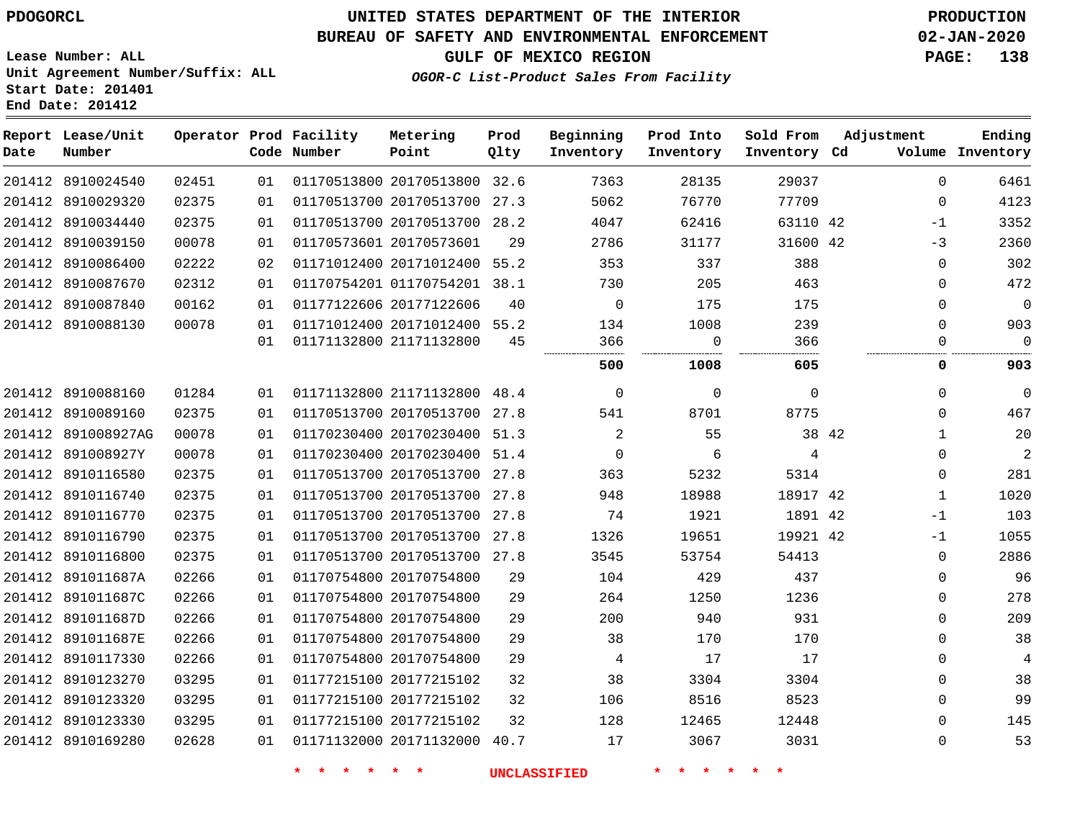# **UNITED STATES DEPARTMENT OF THE INTERIOR PDOGORCL PRODUCTION**

## **BUREAU OF SAFETY AND ENVIRONMENTAL ENFORCEMENT 02-JAN-2020**

**Lease Number: ALL Unit Agreement Number/Suffix: ALL Start Date: 201401**

## **OGOR-C List-Product Sales From Facility**

**GULF OF MEXICO REGION PAGE: 138**

| Date | Report Lease/Unit<br>Number |       |    | Operator Prod Facility<br>Code Number | Metering<br>Point            | Prod<br>Qlty | Beginning<br>Inventory | Prod Into<br>Inventory | Sold From<br>Inventory Cd | Adjustment |              | Ending<br>Volume Inventory |
|------|-----------------------------|-------|----|---------------------------------------|------------------------------|--------------|------------------------|------------------------|---------------------------|------------|--------------|----------------------------|
|      | 201412 8910024540           | 02451 | 01 |                                       | 01170513800 20170513800 32.6 |              | 7363                   | 28135                  | 29037                     |            | 0            | 6461                       |
|      | 201412 8910029320           | 02375 | 01 |                                       | 01170513700 20170513700 27.3 |              | 5062                   | 76770                  | 77709                     |            | $\Omega$     | 4123                       |
|      | 201412 8910034440           | 02375 | 01 |                                       | 01170513700 20170513700 28.2 |              | 4047                   | 62416                  | 63110 42                  |            | $-1$         | 3352                       |
|      | 201412 8910039150           | 00078 | 01 |                                       | 01170573601 20170573601      | 29           | 2786                   | 31177                  | 31600 42                  |            | $-3$         | 2360                       |
|      | 201412 8910086400           | 02222 | 02 |                                       | 01171012400 20171012400 55.2 |              | 353                    | 337                    | 388                       |            | $\Omega$     | 302                        |
|      | 201412 8910087670           | 02312 | 01 |                                       | 01170754201 01170754201 38.1 |              | 730                    | 205                    | 463                       |            | 0            | 472                        |
|      | 201412 8910087840           | 00162 | 01 |                                       | 01177122606 20177122606      | 40           | $\mathbf 0$            | 175                    | 175                       |            | 0            | $\mathbf 0$                |
|      | 201412 8910088130           | 00078 | 01 |                                       | 01171012400 20171012400 55.2 |              | 134                    | 1008                   | 239                       |            | $\Omega$     | 903                        |
|      |                             |       | 01 |                                       | 01171132800 21171132800      | 45           | 366<br><br>.           | $\mathbf 0$            | 366                       |            | 0            | $\mathbf 0$                |
|      |                             |       |    |                                       |                              |              | 500                    | 1008                   | 605                       |            | 0            | 903                        |
|      | 201412 8910088160           | 01284 | 01 |                                       | 01171132800 21171132800 48.4 |              | $\overline{0}$         | $\mathbf 0$            | $\mathbf 0$               |            | 0            | $\mathbf 0$                |
|      | 201412 8910089160           | 02375 | 01 |                                       | 01170513700 20170513700 27.8 |              | 541                    | 8701                   | 8775                      |            | $\Omega$     | 467                        |
|      | 201412 891008927AG          | 00078 | 01 |                                       | 01170230400 20170230400 51.3 |              | 2                      | 55                     |                           | 38 42      | $\mathbf{1}$ | 20                         |
|      | 201412 891008927Y           | 00078 | 01 |                                       | 01170230400 20170230400 51.4 |              | $\Omega$               | 6                      | 4                         |            | $\Omega$     | 2                          |
|      | 201412 8910116580           | 02375 | 01 |                                       | 01170513700 20170513700      | 27.8         | 363                    | 5232                   | 5314                      |            | 0            | 281                        |
|      | 201412 8910116740           | 02375 | 01 |                                       | 01170513700 20170513700      | 27.8         | 948                    | 18988                  | 18917 42                  |            | $\mathbf{1}$ | 1020                       |
|      | 201412 8910116770           | 02375 | 01 |                                       | 01170513700 20170513700 27.8 |              | 74                     | 1921                   | 1891 42                   |            | $-1$         | 103                        |
|      | 201412 8910116790           | 02375 | 01 |                                       | 01170513700 20170513700 27.8 |              | 1326                   | 19651                  | 19921 42                  |            | -1           | 1055                       |
|      | 201412 8910116800           | 02375 | 01 |                                       | 01170513700 20170513700 27.8 |              | 3545                   | 53754                  | 54413                     |            | $\mathbf 0$  | 2886                       |
|      | 201412 891011687A           | 02266 | 01 |                                       | 01170754800 20170754800      | 29           | 104                    | 429                    | 437                       |            | 0            | 96                         |
|      | 201412 891011687C           | 02266 | 01 |                                       | 01170754800 20170754800      | 29           | 264                    | 1250                   | 1236                      |            | 0            | 278                        |
|      | 201412 891011687D           | 02266 | 01 |                                       | 01170754800 20170754800      | 29           | 200                    | 940                    | 931                       |            | 0            | 209                        |
|      | 201412 891011687E           | 02266 | 01 |                                       | 01170754800 20170754800      | 29           | 38                     | 170                    | 170                       |            | 0            | 38                         |
|      | 201412 8910117330           | 02266 | 01 |                                       | 01170754800 20170754800      | 29           | 4                      | 17                     | 17                        |            | 0            | $\overline{4}$             |
|      | 201412 8910123270           | 03295 | 01 |                                       | 01177215100 20177215102      | 32           | 38                     | 3304                   | 3304                      |            | 0            | 38                         |
|      | 201412 8910123320           | 03295 | 01 |                                       | 01177215100 20177215102      | 32           | 106                    | 8516                   | 8523                      |            | 0            | 99                         |
|      | 201412 8910123330           | 03295 | 01 |                                       | 01177215100 20177215102      | 32           | 128                    | 12465                  | 12448                     |            | 0            | 145                        |
|      | 201412 8910169280           | 02628 | 01 |                                       | 01171132000 20171132000 40.7 |              | 17                     | 3067                   | 3031                      |            | $\Omega$     | 53                         |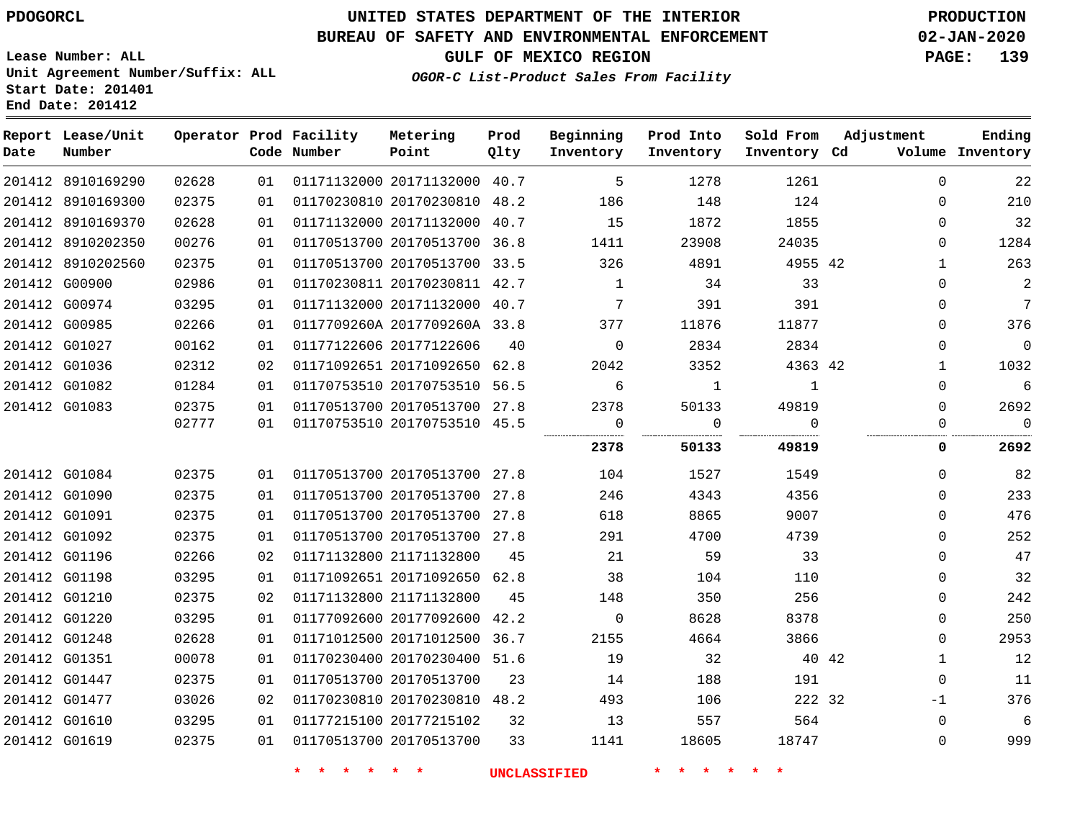# **UNITED STATES DEPARTMENT OF THE INTERIOR PDOGORCL PRODUCTION**

## **BUREAU OF SAFETY AND ENVIRONMENTAL ENFORCEMENT 02-JAN-2020**

**Lease Number: ALL Unit Agreement Number/Suffix: ALL Start Date: 201401**

**GULF OF MEXICO REGION PAGE: 139**

**OGOR-C List-Product Sales From Facility**

| Date          | Report Lease/Unit<br>Number |       |    | Operator Prod Facility<br>Code Number | Metering<br>Point            | Prod<br>Qlty | Beginning<br>Inventory | Prod Into<br>Inventory | Sold From<br>Inventory Cd | Adjustment            | Ending<br>Volume Inventory |
|---------------|-----------------------------|-------|----|---------------------------------------|------------------------------|--------------|------------------------|------------------------|---------------------------|-----------------------|----------------------------|
|               | 201412 8910169290           | 02628 | 01 |                                       | 01171132000 20171132000 40.7 |              | 5                      | 1278                   | 1261                      | $\Omega$              | 22                         |
|               | 201412 8910169300           | 02375 | 01 |                                       | 01170230810 20170230810 48.2 |              | 186                    | 148                    | 124                       | $\Omega$              | 210                        |
|               | 201412 8910169370           | 02628 | 01 |                                       | 01171132000 20171132000 40.7 |              | 15                     | 1872                   | 1855                      | $\Omega$              | 32                         |
|               | 201412 8910202350           | 00276 | 01 |                                       | 01170513700 20170513700 36.8 |              | 1411                   | 23908                  | 24035                     | 0                     | 1284                       |
|               | 201412 8910202560           | 02375 | 01 |                                       | 01170513700 20170513700 33.5 |              | 326                    | 4891                   | 4955 42                   | 1                     | 263                        |
|               | 201412 G00900               | 02986 | 01 |                                       | 01170230811 20170230811 42.7 |              | $\mathbf{1}$           | 34                     | 33                        | 0                     | 2                          |
|               | 201412 G00974               | 03295 | 01 |                                       | 01171132000 20171132000 40.7 |              | 7                      | 391                    | 391                       | 0                     | $7\phantom{.0}$            |
|               | 201412 G00985               | 02266 | 01 |                                       | 0117709260A 2017709260A 33.8 |              | 377                    | 11876                  | 11877                     | $\Omega$              | 376                        |
|               | 201412 G01027               | 00162 | 01 |                                       | 01177122606 20177122606      | 40           | $\overline{0}$         | 2834                   | 2834                      | 0                     | $\mathbf 0$                |
|               | 201412 G01036               | 02312 | 02 |                                       | 01171092651 20171092650 62.8 |              | 2042                   | 3352                   | 4363 42                   | $\mathbf{1}$          | 1032                       |
|               | 201412 G01082               | 01284 | 01 |                                       | 01170753510 20170753510 56.5 |              | 6                      | 1                      | 1                         | $\Omega$              | $\sqrt{6}$                 |
|               | 201412 G01083               | 02375 | 01 |                                       | 01170513700 20170513700 27.8 |              | 2378                   | 50133                  | 49819                     | $\Omega$              | 2692                       |
|               |                             | 02777 | 01 |                                       | 01170753510 20170753510 45.5 |              | 0<br>                  | $\Omega$               | $\Omega$<br>              | $\Omega$              | $\Omega$                   |
|               |                             |       |    |                                       |                              |              | 2378                   | 50133                  | 49819                     | 0                     | 2692                       |
|               | 201412 G01084               | 02375 | 01 |                                       | 01170513700 20170513700 27.8 |              | 104                    | 1527                   | 1549                      | $\Omega$              | 82                         |
|               | 201412 G01090               | 02375 | 01 |                                       | 01170513700 20170513700 27.8 |              | 246                    | 4343                   | 4356                      | $\Omega$              | 233                        |
| 201412 G01091 |                             | 02375 | 01 |                                       | 01170513700 20170513700 27.8 |              | 618                    | 8865                   | 9007                      | $\Omega$              | 476                        |
|               | 201412 G01092               | 02375 | 01 |                                       | 01170513700 20170513700 27.8 |              | 291                    | 4700                   | 4739                      | 0                     | 252                        |
|               | 201412 G01196               | 02266 | 02 |                                       | 01171132800 21171132800      | 45           | 21                     | 59                     | 33                        | $\Omega$              | 47                         |
|               | 201412 G01198               | 03295 | 01 |                                       | 01171092651 20171092650 62.8 |              | 38                     | 104                    | 110                       | $\Omega$              | 32                         |
|               | 201412 G01210               | 02375 | 02 |                                       | 01171132800 21171132800      | 45           | 148                    | 350                    | 256                       | $\Omega$              | 242                        |
|               | 201412 G01220               | 03295 | 01 |                                       | 01177092600 20177092600 42.2 |              | 0                      | 8628                   | 8378                      | $\Omega$              | 250                        |
|               | 201412 G01248               | 02628 | 01 |                                       | 01171012500 20171012500 36.7 |              | 2155                   | 4664                   | 3866                      | $\Omega$              | 2953                       |
| 201412 G01351 |                             | 00078 | 01 |                                       | 01170230400 20170230400 51.6 |              | 19                     | 32                     |                           | 40 42<br>$\mathbf{1}$ | 12                         |
|               | 201412 G01447               | 02375 | 01 |                                       | 01170513700 20170513700      | 23           | 14                     | 188                    | 191                       | 0                     | 11                         |
|               | 201412 G01477               | 03026 | 02 |                                       | 01170230810 20170230810 48.2 |              | 493                    | 106                    | 222 32                    | $-1$                  | 376                        |
|               | 201412 G01610               | 03295 | 01 |                                       | 01177215100 20177215102      | 32           | 13                     | 557                    | 564                       | 0                     | 6                          |
|               | 201412 G01619               | 02375 | 01 |                                       | 01170513700 20170513700      | 33           | 1141                   | 18605                  | 18747                     | 0                     | 999                        |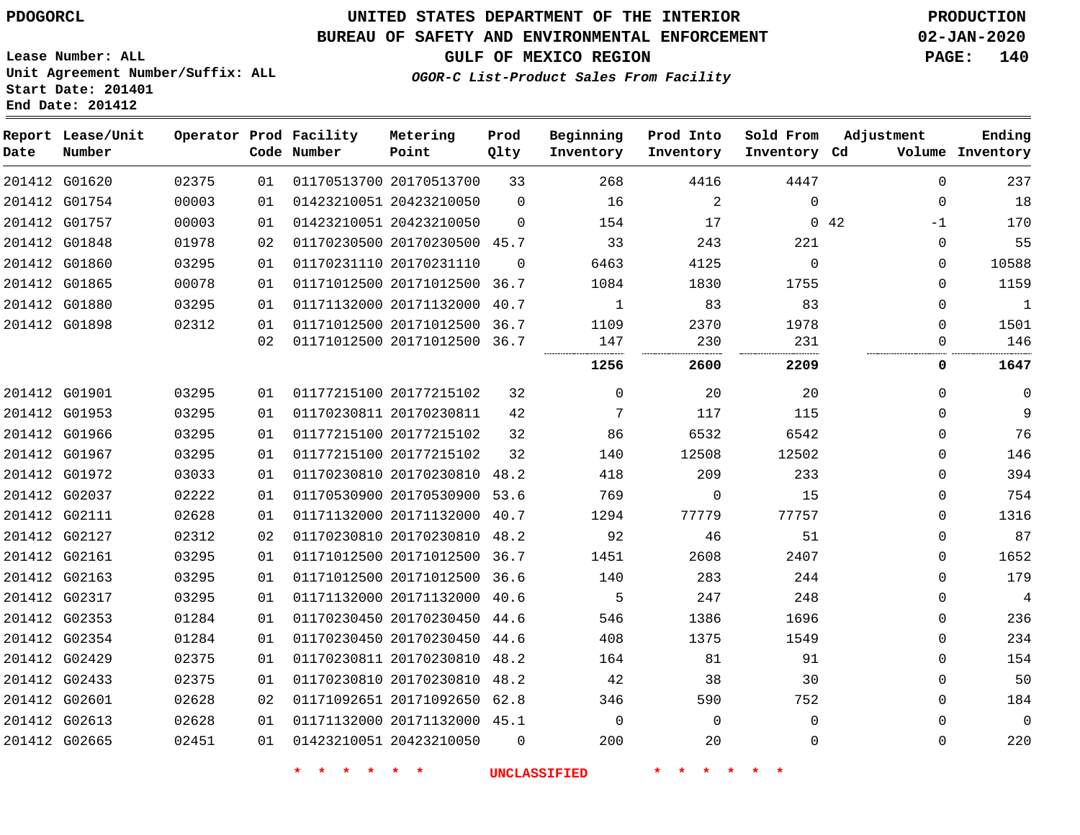# **UNITED STATES DEPARTMENT OF THE INTERIOR PDOGORCL PRODUCTION**

## **BUREAU OF SAFETY AND ENVIRONMENTAL ENFORCEMENT 02-JAN-2020**

**Lease Number: ALL Unit Agreement Number/Suffix: ALL Start Date: 201401**

## **GULF OF MEXICO REGION PAGE: 140**

**OGOR-C List-Product Sales From Facility**

| Date          | Report Lease/Unit<br>Number |       |    | Operator Prod Facility<br>Code Number | Metering<br>Point            | Prod<br>Qlty | Beginning<br>Inventory | Prod Into<br>Inventory | Sold From<br>Inventory Cd | Adjustment          | Ending<br>Volume Inventory |
|---------------|-----------------------------|-------|----|---------------------------------------|------------------------------|--------------|------------------------|------------------------|---------------------------|---------------------|----------------------------|
|               | 201412 G01620               | 02375 | 01 |                                       | 01170513700 20170513700      | 33           | 268                    | 4416                   | 4447                      | $\mathbf 0$         | 237                        |
| 201412 G01754 |                             | 00003 | 01 |                                       | 01423210051 20423210050      | $\Omega$     | 16                     | $\overline{2}$         | $\Omega$                  | $\mathbf 0$         | 18                         |
|               | 201412 G01757               | 00003 | 01 |                                       | 01423210051 20423210050      | $\Omega$     | 154                    | 17                     |                           | $0\quad 42$<br>$-1$ | 170                        |
| 201412 G01848 |                             | 01978 | 02 |                                       | 01170230500 20170230500 45.7 |              | 33                     | 243                    | 221                       | $\Omega$            | 55                         |
| 201412 G01860 |                             | 03295 | 01 |                                       | 01170231110 20170231110      | $\mathbf 0$  | 6463                   | 4125                   | $\mathbf 0$               | $\mathbf 0$         | 10588                      |
| 201412 G01865 |                             | 00078 | 01 |                                       | 01171012500 20171012500      | 36.7         | 1084                   | 1830                   | 1755                      | $\Omega$            | 1159                       |
| 201412 G01880 |                             | 03295 | 01 |                                       | 01171132000 20171132000      | 40.7         | $\mathbf{1}$           | 83                     | 83                        | $\Omega$            | $\mathbf{1}$               |
| 201412 G01898 |                             | 02312 | 01 |                                       | 01171012500 20171012500      | 36.7         | 1109                   | 2370                   | 1978                      | 0                   | 1501                       |
|               |                             |       | 02 |                                       | 01171012500 20171012500 36.7 |              | 147<br>                | 230                    | 231                       | $\mathbf 0$<br>     | 146                        |
|               |                             |       |    |                                       |                              |              | 1256                   | 2600                   | 2209                      | 0                   | 1647                       |
|               | 201412 G01901               | 03295 | 01 |                                       | 01177215100 20177215102      | 32           | $\mathbf 0$            | 20                     | 20                        | $\mathbf 0$         | $\mathbf 0$                |
| 201412 G01953 |                             | 03295 | 01 |                                       | 01170230811 20170230811      | 42           | 7                      | 117                    | 115                       | $\Omega$            | 9                          |
|               | 201412 G01966               | 03295 | 01 |                                       | 01177215100 20177215102      | 32           | 86                     | 6532                   | 6542                      | $\Omega$            | 76                         |
|               | 201412 G01967               | 03295 | 01 |                                       | 01177215100 20177215102      | 32           | 140                    | 12508                  | 12502                     | $\mathbf 0$         | 146                        |
|               | 201412 G01972               | 03033 | 01 |                                       | 01170230810 20170230810      | 48.2         | 418                    | 209                    | 233                       | $\Omega$            | 394                        |
| 201412 G02037 |                             | 02222 | 01 |                                       | 01170530900 20170530900      | 53.6         | 769                    | 0                      | 15                        | $\Omega$            | 754                        |
| 201412 G02111 |                             | 02628 | 01 |                                       | 01171132000 20171132000 40.7 |              | 1294                   | 77779                  | 77757                     | $\mathbf{0}$        | 1316                       |
| 201412 G02127 |                             | 02312 | 02 |                                       | 01170230810 20170230810 48.2 |              | 92                     | 46                     | 51                        | 0                   | 87                         |
| 201412 G02161 |                             | 03295 | 01 |                                       | 01171012500 20171012500 36.7 |              | 1451                   | 2608                   | 2407                      | $\Omega$            | 1652                       |
| 201412 G02163 |                             | 03295 | 01 |                                       | 01171012500 20171012500      | 36.6         | 140                    | 283                    | 244                       | $\Omega$            | 179                        |
| 201412 G02317 |                             | 03295 | 01 |                                       | 01171132000 20171132000 40.6 |              | 5                      | 247                    | 248                       | $\mathbf 0$         | $\overline{4}$             |
|               | 201412 G02353               | 01284 | 01 |                                       | 01170230450 20170230450 44.6 |              | 546                    | 1386                   | 1696                      | $\Omega$            | 236                        |
| 201412 G02354 |                             | 01284 | 01 |                                       | 01170230450 20170230450 44.6 |              | 408                    | 1375                   | 1549                      | $\Omega$            | 234                        |
| 201412 G02429 |                             | 02375 | 01 |                                       | 01170230811 20170230810 48.2 |              | 164                    | 81                     | 91                        | $\mathbf 0$         | 154                        |
| 201412 G02433 |                             | 02375 | 01 |                                       | 01170230810 20170230810      | 48.2         | 42                     | 38                     | 30                        | 0                   | 50                         |
| 201412 G02601 |                             | 02628 | 02 |                                       | 01171092651 20171092650 62.8 |              | 346                    | 590                    | 752                       | $\Omega$            | 184                        |
| 201412 G02613 |                             | 02628 | 01 |                                       | 01171132000 20171132000 45.1 |              | $\mathbf 0$            | 0                      | $\mathbf{0}$              | $\mathbf{0}$        | $\mathbf 0$                |
| 201412 G02665 |                             | 02451 | 01 |                                       | 01423210051 20423210050      | $\Omega$     | 200                    | 20                     | 0                         | $\mathbf 0$         | 220                        |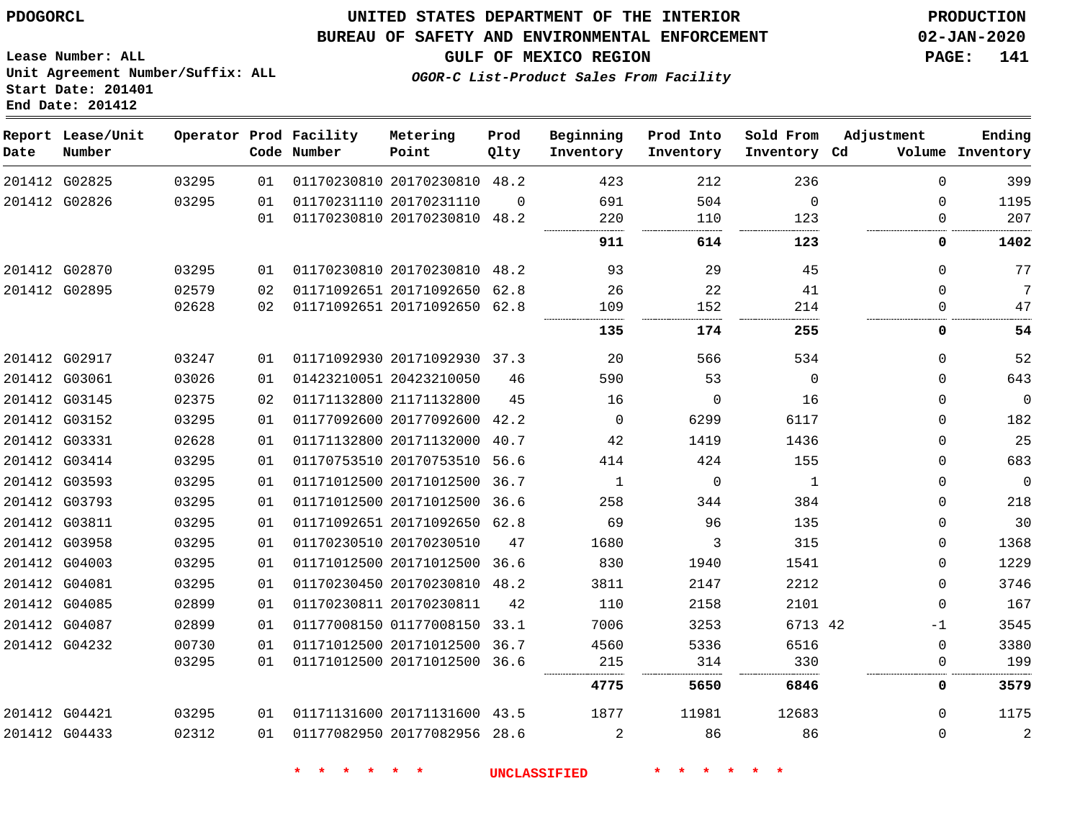G02825 G02826

**Date**

**Report Lease/Unit**

**Number**

 G02870 G02895

 G02917 G03061 G03145 G03152 G03331 G03414 G03593 G03793 G03811 G03958 G04003 G04081 G04085 G04087 G04232

## **UNITED STATES DEPARTMENT OF THE INTERIOR PDOGORCL PRODUCTION**

 $\Omega$ 

**Prod Qlty**

#### **BUREAU OF SAFETY AND ENVIRONMENTAL ENFORCEMENT 02-JAN-2020**

**Lease Number: ALL Unit Agreement Number/Suffix: ALL Start Date: 201401 End Date: 201412**

> 

**Operator Prod Facility**

**Code Number**

20170230810 48.2

**Metering Point**

20170231110

  **OGOR-C List-Product Sales From Facility**

 

 

  $\Omega$ 

**Sold From Inventory**

**Prod Into Inventory**

**Beginning Inventory**

**GULF OF MEXICO REGION PAGE: 141**

**Inventory Cd Volume**

**Adjustment**

  $\Omega$  $\Omega$ 

 

 $\Omega$  $\Omega$   $\Omega$  $\Omega$  $\Omega$  $\Omega$  $\Omega$  $\Omega$  $\Omega$  $\Omega$  $\Omega$  -1 

 

**Ending**

 

. . . . . .

. . . . . . . . . . . . .

|       | 01 |                         | 01170230810 20170230810 | 48.2 | 220  | 110      | 123  |    |
|-------|----|-------------------------|-------------------------|------|------|----------|------|----|
|       |    |                         |                         |      | 911  | 614      | 123  |    |
| 03295 | 01 |                         | 01170230810 20170230810 | 48.2 | 93   | 29       | 45   |    |
| 02579 | 02 | 01171092651 20171092650 |                         | 62.8 | 26   | 22       | 41   |    |
| 02628 | 02 |                         | 01171092651 20171092650 | 62.8 | 109  | 152      | 214  |    |
|       |    |                         |                         |      | 135  | 174      | 255  |    |
| 03247 | 01 |                         | 01171092930 20171092930 | 37.3 | 20   | 566      | 534  |    |
| 03026 | 01 | 01423210051 20423210050 |                         | 46   | 590  | 53       | 0    |    |
| 02375 | 02 | 01171132800 21171132800 |                         | 45   | 16   | $\Omega$ | 16   |    |
| 03295 | 01 | 01177092600 20177092600 |                         | 42.2 | 0    | 6299     | 6117 |    |
| 02628 | 01 | 01171132800 20171132000 |                         | 40.7 | 42   | 1419     | 1436 |    |
| 03295 | 01 | 01170753510 20170753510 |                         | 56.6 | 414  | 424      | 155  |    |
| 03295 | 01 | 01171012500 20171012500 |                         | 36.7 | 1    | 0        | 1    |    |
| 03295 | 01 | 01171012500 20171012500 |                         | 36.6 | 258  | 344      | 384  |    |
| 03295 | 01 | 01171092651 20171092650 |                         | 62.8 | 69   | 96       | 135  |    |
| 03295 | 01 | 01170230510 20170230510 |                         | 47   | 1680 | 3        | 315  |    |
| 03295 | 01 | 01171012500 20171012500 |                         | 36.6 | 830  | 1940     | 1541 |    |
| 03295 | 01 | 01170230450 20170230810 |                         | 48.2 | 3811 | 2147     | 2212 |    |
| 02899 | 01 | 01170230811 20170230811 |                         | 42   | 110  | 2158     | 2101 |    |
| 02899 | 01 | 01177008150 01177008150 |                         | 33.1 | 7006 | 3253     | 6713 | 42 |
| 00730 | 01 | 01171012500 20171012500 |                         | 36.7 | 4560 | 5336     | 6516 |    |
| 03295 | 01 |                         | 01171012500 20171012500 | 36.6 | 215  | 314      | 330  |    |
|       |    |                         |                         |      |      |          |      |    |

 G04421 G04433 20171131600 43.5 20177082956 28.6 

**\* \* \* \* \* \* UNCLASSIFIED \* \* \* \* \* \***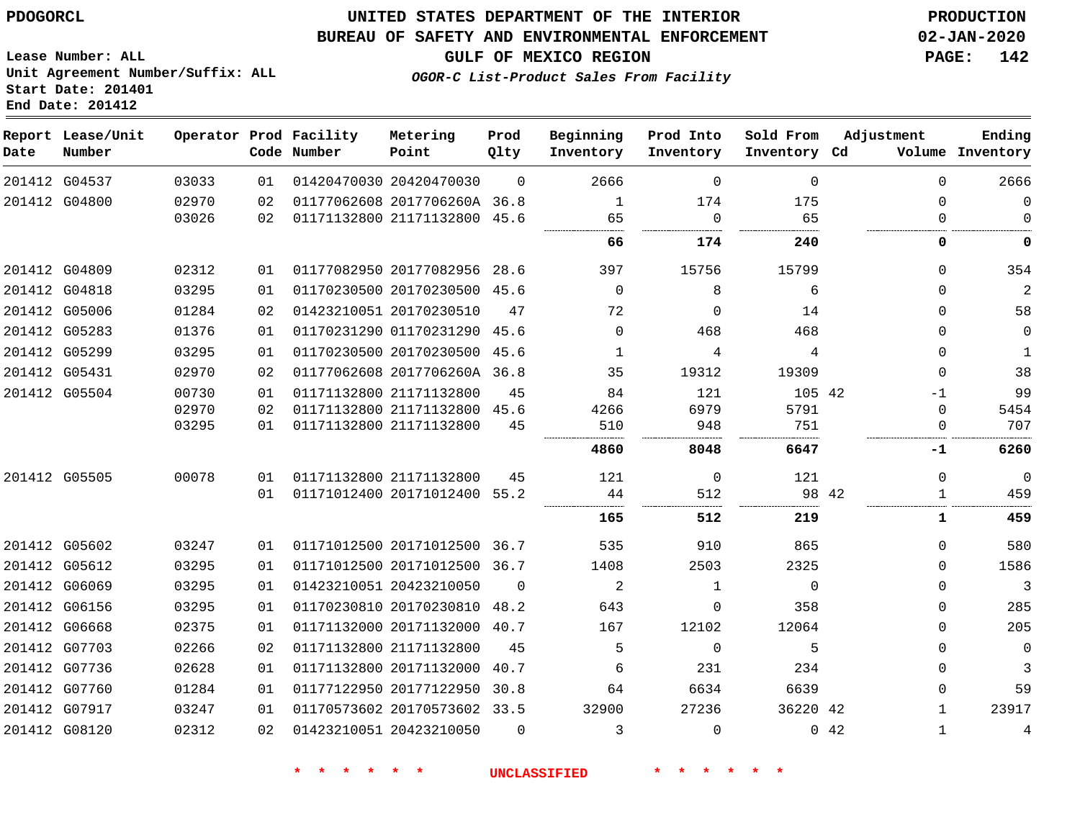#### **BUREAU OF SAFETY AND ENVIRONMENTAL ENFORCEMENT 02-JAN-2020**

**GULF OF MEXICO REGION PAGE: 142**

**Lease Number: ALL Unit Agreement Number/Suffix: ALL Start Date: 201401 End Date: 201412**

**OGOR-C List-Product Sales From Facility**

| Date | Report Lease/Unit<br>Number |       |    | Operator Prod Facility<br>Code Number | Metering<br>Point            | Prod<br>Qlty | Beginning<br>Inventory | Prod Into<br>Inventory | Sold From<br>Inventory Cd |              | Adjustment   | Ending<br>Volume Inventory |
|------|-----------------------------|-------|----|---------------------------------------|------------------------------|--------------|------------------------|------------------------|---------------------------|--------------|--------------|----------------------------|
|      | 201412 G04537               | 03033 | 01 |                                       | 01420470030 20420470030      | $\Omega$     | 2666                   | $\mathbf 0$            | $\mathbf 0$               |              | $\Omega$     | 2666                       |
|      | 201412 G04800               | 02970 | 02 |                                       | 01177062608 2017706260A 36.8 |              | 1                      | 174                    | 175                       |              | $\Omega$     | $\mathbf 0$                |
|      |                             | 03026 | 02 |                                       | 01171132800 21171132800 45.6 |              | 65                     | $\mathbf 0$            | 65                        |              | $\Omega$     | $\Omega$                   |
|      |                             |       |    |                                       |                              |              | 66                     | 174                    | 240                       |              | 0            | 0                          |
|      | 201412 G04809               | 02312 | 01 |                                       | 01177082950 20177082956 28.6 |              | 397                    | 15756                  | 15799                     |              | $\Omega$     | 354                        |
|      | 201412 G04818               | 03295 | 01 |                                       | 01170230500 20170230500 45.6 |              | $\Omega$               | 8                      | 6                         |              | $\Omega$     | 2                          |
|      | 201412 G05006               | 01284 | 02 |                                       | 01423210051 20170230510      | 47           | 72                     | $\Omega$               | 14                        |              | $\Omega$     | 58                         |
|      | 201412 G05283               | 01376 | 01 |                                       | 01170231290 01170231290 45.6 |              | $\Omega$               | 468                    | 468                       |              | $\Omega$     | 0                          |
|      | 201412 G05299               | 03295 | 01 |                                       | 01170230500 20170230500      | 45.6         | 1                      | 4                      | 4                         |              | $\Omega$     | $\mathbf 1$                |
|      | 201412 G05431               | 02970 | 02 |                                       | 01177062608 2017706260A 36.8 |              | 35                     | 19312                  | 19309                     |              | $\Omega$     | 38                         |
|      | 201412 G05504               | 00730 | 01 |                                       | 01171132800 21171132800      | 45           | 84                     | 121                    | 105 42                    |              | $-1$         | 99                         |
|      |                             | 02970 | 02 |                                       | 01171132800 21171132800 45.6 |              | 4266                   | 6979                   | 5791                      |              | $\Omega$     | 5454                       |
|      |                             | 03295 | 01 |                                       | 01171132800 21171132800      | 45           | 510                    | 948                    | 751                       |              | $\Omega$     | 707                        |
|      |                             |       |    |                                       |                              |              | 4860                   | 8048                   | 6647                      |              | -1           | 6260                       |
|      | 201412 G05505               | 00078 | 01 |                                       | 01171132800 21171132800      | 45           | 121                    | 0                      | 121                       |              | $\mathbf 0$  | $\overline{0}$             |
|      |                             |       | 01 |                                       | 01171012400 20171012400 55.2 |              | 44                     | 512                    |                           | 98 42        |              | 459                        |
|      |                             |       |    |                                       |                              |              | 165                    | 512                    | 219                       |              | 1            | 459                        |
|      | 201412 G05602               | 03247 | 01 |                                       | 01171012500 20171012500 36.7 |              | 535                    | 910                    | 865                       |              | $\Omega$     | 580                        |
|      | 201412 G05612               | 03295 | 01 |                                       | 01171012500 20171012500 36.7 |              | 1408                   | 2503                   | 2325                      |              | $\Omega$     | 1586                       |
|      | 201412 G06069               | 03295 | 01 |                                       | 01423210051 20423210050      | $\Omega$     | 2                      | $\mathbf{1}$           | $\Omega$                  |              | $\Omega$     | 3                          |
|      | 201412 G06156               | 03295 | 01 |                                       | 01170230810 20170230810      | 48.2         | 643                    | 0                      | 358                       |              | $\Omega$     | 285                        |
|      | 201412 G06668               | 02375 | 01 |                                       | 01171132000 20171132000 40.7 |              | 167                    | 12102                  | 12064                     |              | $\Omega$     | 205                        |
|      | 201412 G07703               | 02266 | 02 |                                       | 01171132800 21171132800      | 45           | 5                      | $\Omega$               | 5                         |              | $\Omega$     | 0                          |
|      | 201412 G07736               | 02628 | 01 |                                       | 01171132800 20171132000      | 40.7         | 6                      | 231                    | 234                       |              | $\Omega$     | 3                          |
|      | 201412 G07760               | 01284 | 01 |                                       | 01177122950 20177122950      | 30.8         | 64                     | 6634                   | 6639                      |              | $\Omega$     | 59                         |
|      | 201412 G07917               | 03247 | 01 |                                       | 01170573602 20170573602 33.5 |              | 32900                  | 27236                  | 36220 42                  |              | 1            | 23917                      |
|      | 201412 G08120               | 02312 | 02 |                                       | 01423210051 20423210050      | $\Omega$     | 3                      | $\Omega$               |                           | $0 \quad 42$ | $\mathbf{1}$ | 4                          |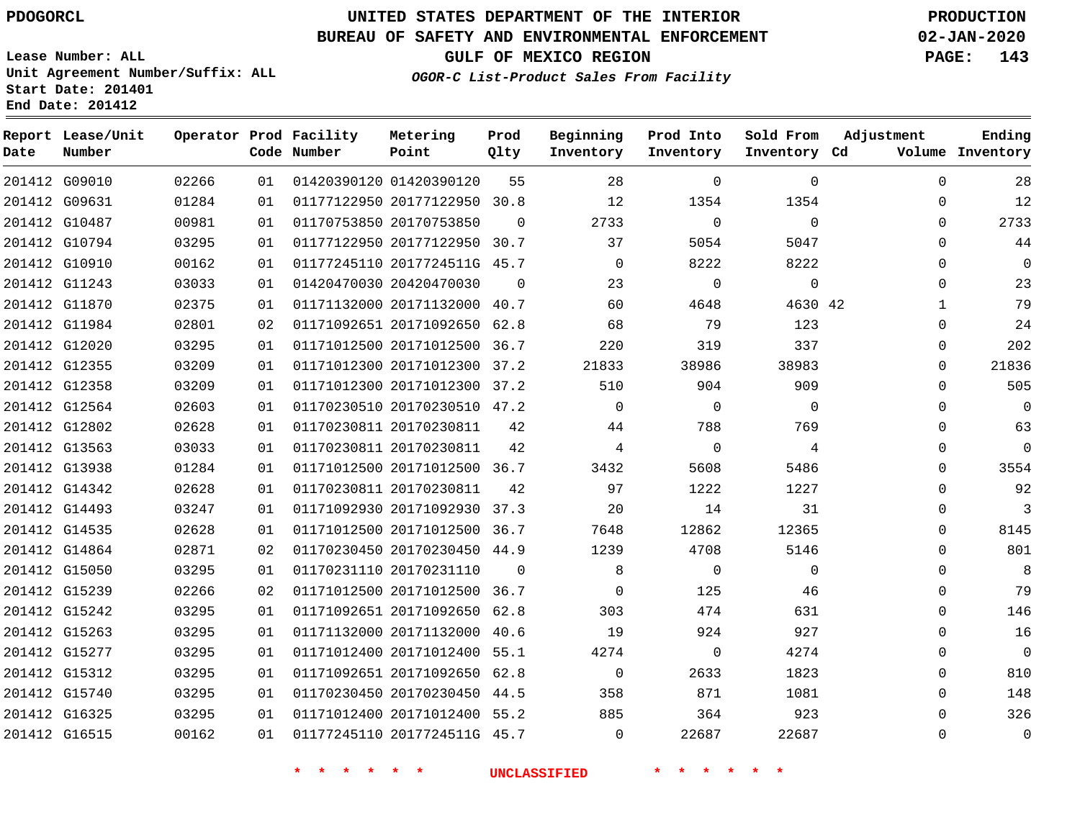G09010 G09631

**Date**

**Report Lease/Unit**

**Number**

## **UNITED STATES DEPARTMENT OF THE INTERIOR PDOGORCL PRODUCTION**

**Prod Qlty**

#### **BUREAU OF SAFETY AND ENVIRONMENTAL ENFORCEMENT 02-JAN-2020**

**Lease Number: ALL Unit Agreement Number/Suffix: ALL Start Date: 201401 End Date: 201412**

> 

**Operator Prod Facility**

**Code Number**

01420390120

20177122950 30.8

**Metering Point**

  **OGOR-C List-Product Sales From Facility**

**Beginning Inventory**

> 

 

 

**Sold From Inventory**

**Prod Into Inventory**

**GULF OF MEXICO REGION PAGE: 143**

**Inventory Cd Volume**

**Adjustment**

  $\Omega$   $\Omega$  $\Omega$   $\Omega$  $\overline{0}$  $\overline{0}$  $\Omega$  $\overline{0}$  $\Omega$  $\Omega$  $\Omega$  $\Omega$   $\Omega$  

**Ending**

|               | 201412 G10487 | 00981 | 01 | 01170753850 20170753850      | 0                   | 2733         | $\Omega$ | $\Omega$ |  |
|---------------|---------------|-------|----|------------------------------|---------------------|--------------|----------|----------|--|
|               | 201412 G10794 | 03295 | 01 | 01177122950 20177122950 30.7 |                     | 37           | 5054     | 5047     |  |
|               | 201412 G10910 | 00162 | 01 | 01177245110 2017724511G 45.7 |                     | 0            | 8222     | 8222     |  |
|               | 201412 G11243 | 03033 | 01 | 01420470030 20420470030      | $\Omega$            | 23           | $\Omega$ | $\Omega$ |  |
|               | 201412 G11870 | 02375 | 01 | 01171132000 20171132000 40.7 |                     | 60           | 4648     | 4630 42  |  |
|               | 201412 G11984 | 02801 | 02 | 01171092651 20171092650 62.8 |                     | 68           | 79       | 123      |  |
|               | 201412 G12020 | 03295 | 01 | 01171012500 20171012500 36.7 |                     | 220          | 319      | 337      |  |
| 201412 G12355 |               | 03209 | 01 | 01171012300 20171012300 37.2 |                     | 21833        | 38986    | 38983    |  |
|               | 201412 G12358 | 03209 | 01 | 01171012300 20171012300 37.2 |                     | 510          | 904      | 909      |  |
|               | 201412 G12564 | 02603 | 01 | 01170230510 20170230510 47.2 |                     | $\Omega$     | $\Omega$ | $\Omega$ |  |
| 201412 G12802 |               | 02628 | 01 | 01170230811 20170230811      | 42                  | 44           | 788      | 769      |  |
|               | 201412 G13563 | 03033 | 01 | 01170230811 20170230811      | 42                  | 4            | $\Omega$ | 4        |  |
| 201412 G13938 |               | 01284 | 01 | 01171012500 20171012500 36.7 |                     | 3432         | 5608     | 5486     |  |
|               | 201412 G14342 | 02628 | 01 | 01170230811 20170230811      | 42                  | 97           | 1222     | 1227     |  |
|               | 201412 G14493 | 03247 | 01 | 01171092930 20171092930 37.3 |                     | 20           | 14       | 31       |  |
| 201412 G14535 |               | 02628 | 01 | 01171012500 20171012500 36.7 |                     | 7648         | 12862    | 12365    |  |
|               | 201412 G14864 | 02871 | 02 | 01170230450 20170230450 44.9 |                     | 1239         | 4708     | 5146     |  |
|               | 201412 G15050 | 03295 | 01 | 01170231110 20170231110      | $\Omega$            | 8            | $\Omega$ | $\Omega$ |  |
| 201412 G15239 |               | 02266 | 02 | 01171012500 20171012500 36.7 |                     | $\mathbf{0}$ | 125      | 46       |  |
|               | 201412 G15242 | 03295 | 01 | 01171092651 20171092650 62.8 |                     | 303          | 474      | 631      |  |
|               | 201412 G15263 | 03295 | 01 | 01171132000 20171132000 40.6 |                     | 19           | 924      | 927      |  |
|               | 201412 G15277 | 03295 | 01 | 01171012400 20171012400 55.1 |                     | 4274         | $\Omega$ | 4274     |  |
|               | 201412 G15312 | 03295 | 01 | 01171092651 20171092650 62.8 |                     | $\mathbf 0$  | 2633     | 1823     |  |
|               | 201412 G15740 | 03295 | 01 | 01170230450 20170230450 44.5 |                     | 358          | 871      | 1081     |  |
| 201412 G16325 |               | 03295 | 01 | 01171012400 20171012400 55.2 |                     | 885          | 364      | 923      |  |
| 201412 G16515 |               | 00162 | 01 | 01177245110 2017724511G 45.7 |                     | $\mathbf 0$  | 22687    | 22687    |  |
|               |               |       |    |                              | <b>UNCLASSIFIED</b> |              |          |          |  |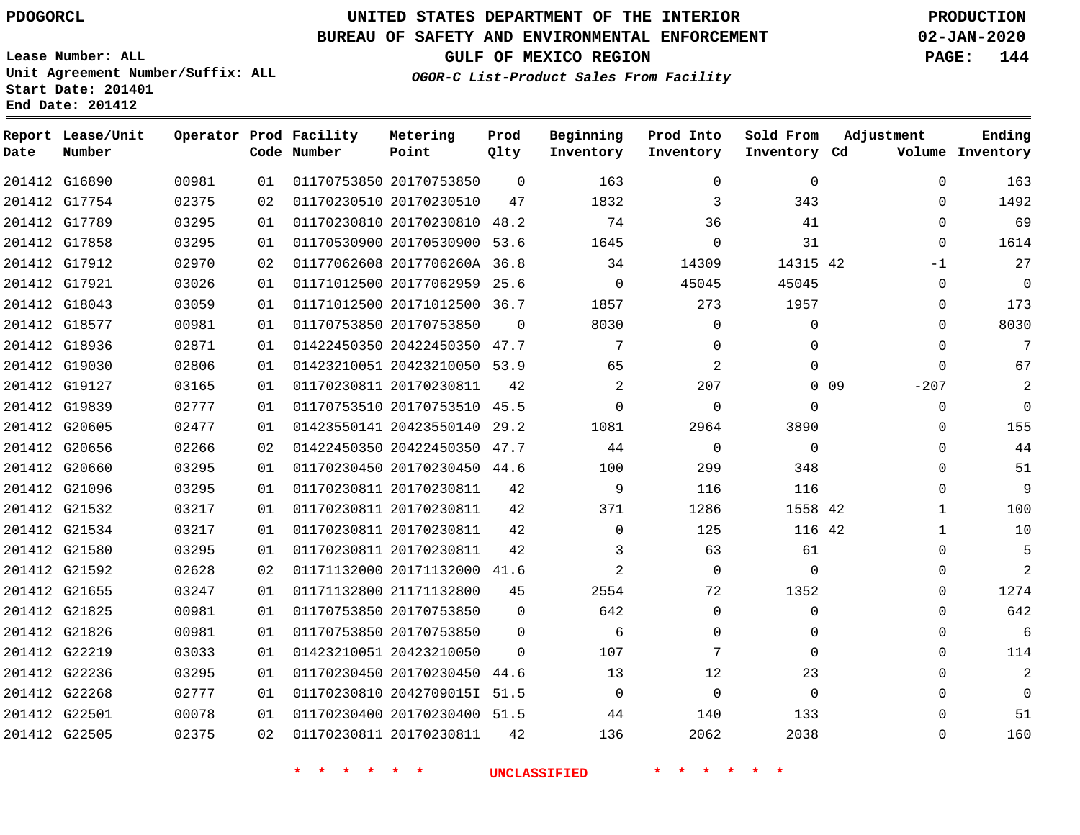**Date**

**Report Lease/Unit**

**Number**

G22505

# **UNITED STATES DEPARTMENT OF THE INTERIOR PDOGORCL PRODUCTION**

**Prod Qlty**

#### **BUREAU OF SAFETY AND ENVIRONMENTAL ENFORCEMENT 02-JAN-2020**

**Lease Number: ALL Unit Agreement Number/Suffix: ALL Start Date: 201401 End Date: 201412**

**Operator Prod Facility**

**Code Number**

**Metering Point**

**GULF OF MEXICO REGION PAGE: 144**

**Inventory Cd Volume**

**Adjustment**

**Ending**

 $\Omega$ 

**OGOR-C List-Product Sales From Facility**

**Inventory**

**Beginning Prod Into**

**Inventory**

**Sold From Inventory**

| 163            | $\Omega$ |                 | $\Omega$    | $\Omega$    | 163            | $\Omega$ |                              | 01170753850 20170753850 | 01 | 00981 | 201412 G16890 |  |
|----------------|----------|-----------------|-------------|-------------|----------------|----------|------------------------------|-------------------------|----|-------|---------------|--|
| 1492           | $\Omega$ |                 | 343         | 3           | 1832           | 47       |                              | 01170230510 20170230510 | 02 | 02375 | 201412 G17754 |  |
| 69             | $\Omega$ |                 | 41          | 36          | 74             | 48.2     | 01170230810 20170230810      |                         | 01 | 03295 | 201412 G17789 |  |
| 1614           | 0        |                 | 31          | $\Omega$    | 1645           | 53.6     | 01170530900 20170530900      |                         | 01 | 03295 | 201412 G17858 |  |
| 27             | $-1$     |                 | 14315 42    | 14309       | 34             |          | 01177062608 2017706260A 36.8 |                         | 02 | 02970 | 201412 G17912 |  |
| $\overline{0}$ | 0        |                 | 45045       | 45045       | $\overline{0}$ | 25.6     | 01171012500 20177062959      |                         | 01 | 03026 | 201412 G17921 |  |
| 173            | $\Omega$ |                 | 1957        | 273         | 1857           | 36.7     | 01171012500 20171012500      |                         | 01 | 03059 | 201412 G18043 |  |
| 8030           | 0        |                 | $\Omega$    | $\Omega$    | 8030           | $\Omega$ |                              | 01170753850 20170753850 | 01 | 00981 | 201412 G18577 |  |
| 7              | $\Omega$ |                 | $\Omega$    | $\Omega$    | 7              | 47.7     | 01422450350 20422450350      |                         | 01 | 02871 | 201412 G18936 |  |
| 67             | $\Omega$ |                 | $\Omega$    | 2           | 65             |          | 01423210051 20423210050 53.9 |                         | 01 | 02806 | 201412 G19030 |  |
| 2              | $-207$   | 0 <sub>09</sub> |             | 207         | 2              | 42       |                              | 01170230811 20170230811 | 01 | 03165 | 201412 G19127 |  |
| $\mathbf 0$    | 0        |                 | $\Omega$    | $\Omega$    | $\Omega$       |          | 01170753510 20170753510 45.5 |                         | 01 | 02777 | 201412 G19839 |  |
| 155            | 0        |                 | 3890        | 2964        | 1081           | 29.2     | 01423550141 20423550140      |                         | 01 | 02477 | 201412 G20605 |  |
| 44             | 0        |                 | $\mathbf 0$ | $\mathbf 0$ | 44             | 47.7     | 01422450350 20422450350      |                         | 02 | 02266 | 201412 G20656 |  |
| 51             | 0        |                 | 348         | 299         | 100            | 44.6     | 01170230450 20170230450      |                         | 01 | 03295 | 201412 G20660 |  |
| 9              | 0        |                 | 116         | 116         | 9              | 42       |                              | 01170230811 20170230811 | 01 | 03295 | 201412 G21096 |  |
| 100            | 1        |                 | 1558 42     | 1286        | 371            | 42       |                              | 01170230811 20170230811 | 01 | 03217 | 201412 G21532 |  |
| 10             | 1        |                 | 116 42      | 125         | $\mathbf 0$    | 42       |                              | 01170230811 20170230811 | 01 | 03217 | 201412 G21534 |  |
| 5              | 0        |                 | 61          | 63          | 3              | 42       |                              | 01170230811 20170230811 | 01 | 03295 | 201412 G21580 |  |
| $\overline{2}$ | $\Omega$ |                 | $\Omega$    | $\Omega$    | 2              | 41.6     | 01171132000 20171132000      |                         | 02 | 02628 | 201412 G21592 |  |
| 1274           | $\Omega$ |                 | 1352        | 72          | 2554           | 45       |                              | 01171132800 21171132800 | 01 | 03247 | 201412 G21655 |  |
| 642            | $\Omega$ |                 | $\Omega$    | $\Omega$    | 642            | $\Omega$ |                              | 01170753850 20170753850 | 01 | 00981 | 201412 G21825 |  |
| 6              | $\Omega$ |                 | $\Omega$    | $\Omega$    | 6              | $\Omega$ |                              | 01170753850 20170753850 | 01 | 00981 | 201412 G21826 |  |
| 114            | $\Omega$ |                 | $\Omega$    | 7           | 107            | $\Omega$ |                              | 01423210051 20423210050 | 01 | 03033 | 201412 G22219 |  |
| $\overline{a}$ | $\Omega$ |                 | 23          | 12          | 13             | 44.6     | 01170230450 20170230450      |                         | 01 | 03295 | 201412 G22236 |  |
| $\Omega$       | $\Omega$ |                 | $\Omega$    | $\Omega$    | $\Omega$       | 51.5     | 01170230810 20427090151      |                         | 01 | 02777 | 201412 G22268 |  |
| 51             | $\Omega$ |                 | 133         | 140         | 44             | 51.5     | 01170230400 20170230400      |                         | 01 | 00078 | 201412 G22501 |  |

**\* \* \* \* \* \* UNCLASSIFIED \* \* \* \* \* \***

01170230811 20170230811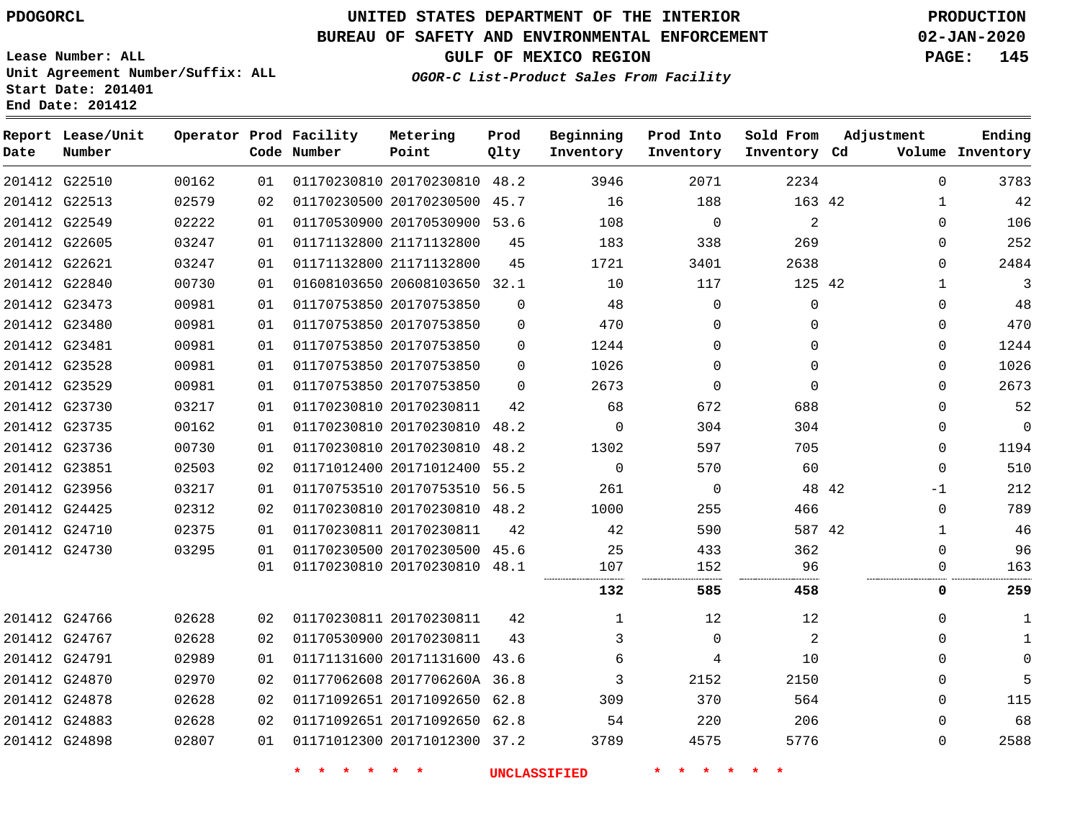**Date**

## **UNITED STATES DEPARTMENT OF THE INTERIOR PDOGORCL PRODUCTION**

#### **BUREAU OF SAFETY AND ENVIRONMENTAL ENFORCEMENT 02-JAN-2020**

**Lease Number: ALL Unit Agreement Number/Suffix: ALL Start Date: 201401**

**Operator Prod Facility**

**Code Number**

**Metering Point**

**End Date: 201412**

**Report Lease/Unit**

**Number**

**GULF OF MEXICO REGION PAGE: 145**

**Prod Qlty**

**Inventory Cd Volume**

**Adjustment**

**Ending**

**OGOR-C List-Product Sales From Facility**

**Inventory**

**Beginning Prod Into**

**Inventory**

**Sold From Inventory**

| 3783     | $\Omega$     | 2234     | 2071     | 3946     |          | 01170230810 20170230810 48.2 | 01 | 00162 | 201412 G22510 |  |
|----------|--------------|----------|----------|----------|----------|------------------------------|----|-------|---------------|--|
| 42       | 1            | 163 42   | 188      | 16       |          | 01170230500 20170230500 45.7 | 02 | 02579 | 201412 G22513 |  |
| 106      | $\Omega$     | 2        | $\Omega$ | 108      |          | 01170530900 20170530900 53.6 | 01 | 02222 | 201412 G22549 |  |
| 252      | $\Omega$     | 269      | 338      | 183      | 45       | 01171132800 21171132800      | 01 | 03247 | 201412 G22605 |  |
| 2484     | $\Omega$     | 2638     | 3401     | 1721     | 45       | 01171132800 21171132800      | 01 | 03247 | 201412 G22621 |  |
| 3        | 1            | 125 42   | 117      | 10       |          | 01608103650 20608103650 32.1 | 01 | 00730 | 201412 G22840 |  |
| 48       | $\Omega$     | $\Omega$ | 0        | 48       | $\Omega$ | 01170753850 20170753850      | 01 | 00981 | 201412 G23473 |  |
| 470      | $\Omega$     | $\Omega$ | 0        | 470      | 0        | 01170753850 20170753850      | 01 | 00981 | 201412 G23480 |  |
| 1244     | $\Omega$     | $\Omega$ | 0        | 1244     | $\Omega$ | 01170753850 20170753850      | 01 | 00981 | 201412 G23481 |  |
| 1026     | $\Omega$     | $\Omega$ | $\Omega$ | 1026     | $\Omega$ | 01170753850 20170753850      | 01 | 00981 | 201412 G23528 |  |
| 2673     | $\Omega$     | $\Omega$ | $\Omega$ | 2673     | $\Omega$ | 01170753850 20170753850      | 01 | 00981 | 201412 G23529 |  |
| 52       | $\Omega$     | 688      | 672      | 68       | 42       | 01170230810 20170230811      | 01 | 03217 | 201412 G23730 |  |
| $\Omega$ | $\Omega$     | 304      | 304      | $\Omega$ |          | 01170230810 20170230810 48.2 | 01 | 00162 | 201412 G23735 |  |
| 1194     | $\Omega$     | 705      | 597      | 1302     | 48.2     | 01170230810 20170230810      | 01 | 00730 | 201412 G23736 |  |
| 510      | $\Omega$     | 60       | 570      | $\Omega$ |          | 01171012400 20171012400 55.2 | 02 | 02503 | 201412 G23851 |  |
| 212      | -1           | 48 42    | $\Omega$ | 261      |          | 01170753510 20170753510 56.5 | 01 | 03217 | 201412 G23956 |  |
| 789      | $\mathbf 0$  | 466      | 255      | 1000     | 48.2     | 01170230810 20170230810      | 02 | 02312 | 201412 G24425 |  |
| 46       | 1            | 587 42   | 590      | 42       | 42       | 01170230811 20170230811      | 01 | 02375 | 201412 G24710 |  |
| 96       | $\Omega$     | 362      | 433      | 25       |          | 01170230500 20170230500 45.6 | 01 | 03295 | 201412 G24730 |  |
| 163      | 0            | 96       | 152      | 107      |          | 01170230810 20170230810 48.1 | 01 |       |               |  |
| 259      | 0            | 458      | 585      | 132      |          |                              |    |       |               |  |
| 1        | $\Omega$     | 12       | 12       | 1        | 42       | 01170230811 20170230811      | 02 | 02628 | 201412 G24766 |  |
| 1        | <sup>n</sup> | 2        | $\Omega$ | 3        | 43       | 01170530900 20170230811      | 02 | 02628 | 201412 G24767 |  |
| $\Omega$ | <sup>n</sup> | 10       | 4        | 6        | 43.6     | 01171131600 20171131600      | 01 | 02989 | 201412 G24791 |  |
| 5        | $\Omega$     | 2150     | 2152     | 3        |          | 01177062608 2017706260A 36.8 | 02 | 02970 | 201412 G24870 |  |
| 115      | $\Omega$     | 564      | 370      | 309      | 62.8     | 01171092651 20171092650      | 02 | 02628 | 201412 G24878 |  |
| 68       | 0            | 206      | 220      | 54       |          | 01171092651 20171092650 62.8 | 02 | 02628 | 201412 G24883 |  |
| 2588     | $\Omega$     | 5776     | 4575     | 3789     |          | 01171012300 20171012300 37.2 | 01 | 02807 | 201412 G24898 |  |
|          |              |          |          |          |          |                              |    |       |               |  |

**\* \* \* \* \* \* UNCLASSIFIED \* \* \* \* \* \***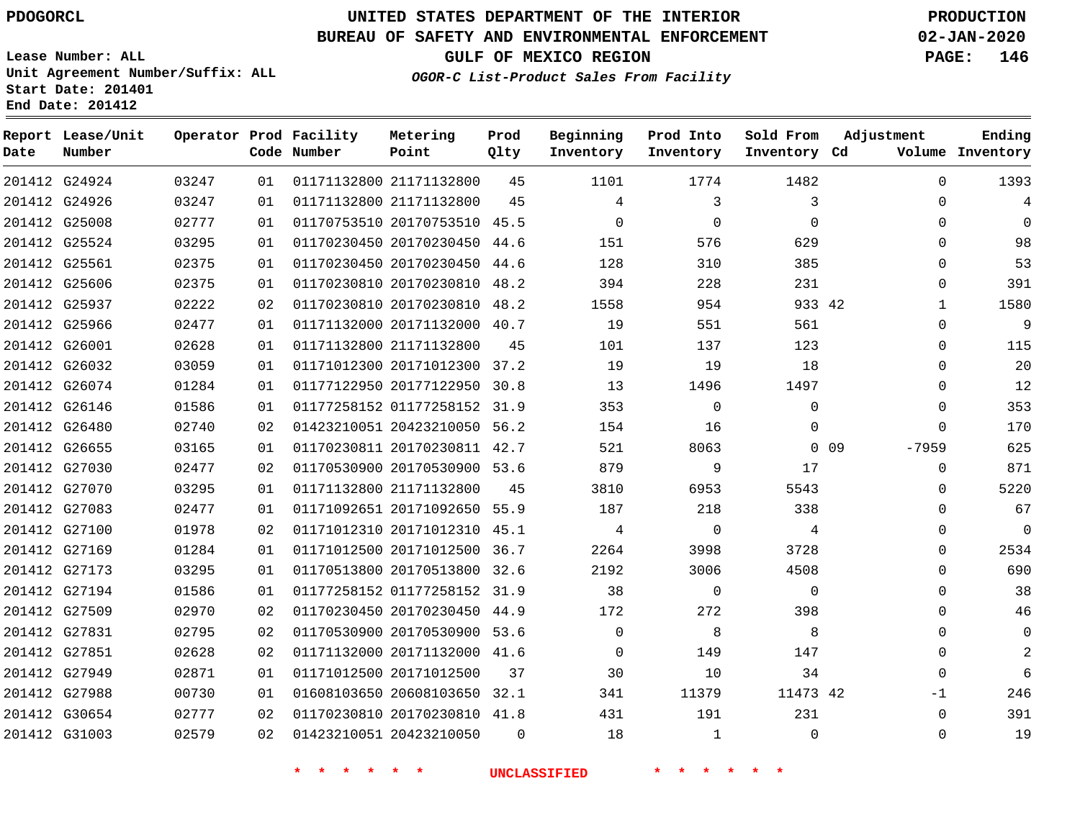**Date**

**End Date: 201412**

**Report Lease/Unit**

**Number**

# **UNITED STATES DEPARTMENT OF THE INTERIOR PDOGORCL PRODUCTION**

**Prod Qlty**

#### **BUREAU OF SAFETY AND ENVIRONMENTAL ENFORCEMENT 02-JAN-2020**

**Lease Number: ALL Unit Agreement Number/Suffix: ALL Start Date: 201401**

**Operator Prod Facility**

**Code Number**

**OGOR-C List-Product Sales From Facility**

**Beginning Inventory** **Prod Into Inventory** **Sold From Inventory**

**Inventory Cd Volume**

**Adjustment**

  $\Omega$  $\Omega$   $\Omega$  $\Omega$   $\Omega$  $\Omega$  $\Omega$   $\Omega$  $\overline{0}$ -7959  $\Omega$  $\Omega$  $\Omega$  $\Omega$  $\Omega$  $\Omega$  $\Omega$   $-1$   $\Omega$ 

**GULF OF MEXICO REGION PAGE: 146**

**Ending**

| 201412 G24924 03247 |       |    | 01   01171132800   21171132800   45         |                                      |                | 1101            | 1774                    | 1482                    |  |
|---------------------|-------|----|---------------------------------------------|--------------------------------------|----------------|-----------------|-------------------------|-------------------------|--|
| 201412 G24926 03247 |       | 01 |                                             | 01171132800 21171132800 45 4         |                |                 | $\overline{\mathbf{3}}$ | $\overline{\mathbf{3}}$ |  |
| 201412 G25008 02777 |       | 01 | 01170753510 20170753510 45.5                |                                      |                | $\overline{0}$  | $\overline{0}$          | $\overline{0}$          |  |
| 201412 G25524       | 03295 | 01 |                                             | 01170230450 20170230450 44.6         |                | 151             | 576                     | 629                     |  |
| 201412 G25561 02375 |       | 01 |                                             | 01170230450 20170230450 44.6 128     |                |                 | 310                     | 385                     |  |
| 201412 G25606       | 02375 | 01 |                                             | 01170230810 20170230810 48.2 394     |                |                 | 228                     | 231                     |  |
| 201412 G25937 02222 |       | 02 |                                             | 01170230810 20170230810 48.2 1558    |                |                 |                         | 954<br>933 42           |  |
| 201412 G25966       | 02477 | 01 | 01171132000 20171132000 40.7 19             |                                      |                |                 | 551                     | 561                     |  |
| 201412 G26001 02628 |       | 01 |                                             | 01171132800 21171132800 45 101       |                |                 | 137                     | 123                     |  |
| 201412 G26032       | 03059 |    | 01 01171012300 20171012300 37.2 19 19 19    |                                      |                |                 |                         | 18                      |  |
| 201412 G26074 01284 |       |    |                                             |                                      |                |                 | 1496 149                | 1497                    |  |
| 201412 G26146       | 01586 | 01 | 01177258152 01177258152 31.9 353 0          |                                      |                |                 |                         | $\Omega$                |  |
| 201412 G26480       | 02740 |    | 02   01423210051   20423210050   56.2       |                                      |                |                 | 154 16                  | $\Omega$                |  |
| 201412 G26655 03165 |       |    | 01 01170230811 20170230811 42.7 521         |                                      |                |                 | 8063                    | $0\quad09$              |  |
| 201412 G27030       | 02477 | 02 | 01170530900 20170530900 53.6 879            |                                      |                |                 | $\overline{9}$          | 17                      |  |
| 201412 G27070       | 03295 |    | 01   01171132800   21171132800   45         |                                      |                |                 | 3810                    | 6953<br>5543            |  |
| 201412 G27083 02477 |       | 01 | 01171092651 20171092650 55.9 187            |                                      |                |                 | 218                     | 338                     |  |
| 201412 G27100       | 01978 | 02 |                                             | 01171012310 20171012310 45.1         |                | $4\overline{)}$ | $\overline{0}$          | $\overline{4}$          |  |
| 201412 G27169 01284 |       | 01 |                                             | 01171012500 20171012500 36.7         |                | 2264            | 3998                    | 3728                    |  |
| 201412 G27173 03295 |       | 01 |                                             | 01170513800 20170513800 32.6         |                | 2192            | 3006                    | 4508                    |  |
| 201412 G27194       | 01586 | 01 |                                             | 01177258152 01177258152 31.9 38 0    |                |                 |                         | $\overline{0}$          |  |
| 201412 G27509 02970 |       | 02 |                                             | 01170230450 20170230450 44.9 172 272 |                |                 |                         | 398                     |  |
| 201412 G27831 02795 |       | 02 |                                             | 01170530900 20170530900 53.6 0       |                |                 |                         | 8                       |  |
| 201412 G27851       | 02628 | 02 |                                             |                                      |                |                 |                         |                         |  |
| 201412 G27949       | 02871 |    | 01  01171012500  20171012500  37   30       |                                      |                |                 | 10                      | 34                      |  |
| 201412 G27988       | 00730 | 01 |                                             | 01608103650 20608103650 32.1         |                | 341             | 11379                   | 11473 42                |  |
| 201412 G30654       | 02777 |    | 02 01170230810 20170230810 41.8 431 191 231 |                                      |                |                 |                         |                         |  |
| 201412 G31003       | 02579 |    | 02 01423210051 20423210050                  |                                      | $\overline{0}$ | 18              | 1                       | $\overline{0}$          |  |

**Metering Point**

**\* \* \* \* \* \* UNCLASSIFIED \* \* \* \* \* \***